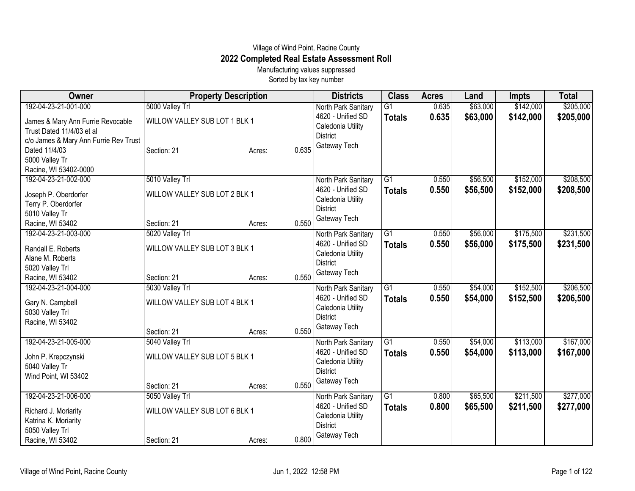## Village of Wind Point, Racine County **2022 Completed Real Estate Assessment Roll**

Manufacturing values suppressed Sorted by tax key number

| Owner                                 | <b>Property Description</b>   |                 | <b>Districts</b>                     | <b>Class</b>    | <b>Acres</b> | Land     | <b>Impts</b> | <b>Total</b> |
|---------------------------------------|-------------------------------|-----------------|--------------------------------------|-----------------|--------------|----------|--------------|--------------|
| 192-04-23-21-001-000                  | 5000 Valley Trl               |                 | North Park Sanitary                  | $\overline{G1}$ | 0.635        | \$63,000 | \$142,000    | \$205,000    |
| James & Mary Ann Furrie Revocable     | WILLOW VALLEY SUB LOT 1 BLK 1 |                 | 4620 - Unified SD                    | <b>Totals</b>   | 0.635        | \$63,000 | \$142,000    | \$205,000    |
| Trust Dated 11/4/03 et al             |                               |                 | Caledonia Utility                    |                 |              |          |              |              |
| c/o James & Mary Ann Furrie Rev Trust |                               |                 | <b>District</b>                      |                 |              |          |              |              |
| Dated 11/4/03                         | Section: 21                   | 0.635<br>Acres: | Gateway Tech                         |                 |              |          |              |              |
| 5000 Valley Tr                        |                               |                 |                                      |                 |              |          |              |              |
| Racine, WI 53402-0000                 |                               |                 |                                      |                 |              |          |              |              |
| 192-04-23-21-002-000                  | 5010 Valley Trl               |                 | North Park Sanitary                  | $\overline{G1}$ | 0.550        | \$56,500 | \$152,000    | \$208,500    |
| Joseph P. Oberdorfer                  | WILLOW VALLEY SUB LOT 2 BLK 1 |                 | 4620 - Unified SD                    | <b>Totals</b>   | 0.550        | \$56,500 | \$152,000    | \$208,500    |
| Terry P. Oberdorfer                   |                               |                 | Caledonia Utility                    |                 |              |          |              |              |
| 5010 Valley Tr                        |                               |                 | <b>District</b>                      |                 |              |          |              |              |
| Racine, WI 53402                      | Section: 21                   | 0.550<br>Acres: | Gateway Tech                         |                 |              |          |              |              |
| 192-04-23-21-003-000                  | 5020 Valley Trl               |                 | North Park Sanitary                  | $\overline{G1}$ | 0.550        | \$56,000 | \$175,500    | \$231,500    |
| Randall E. Roberts                    | WILLOW VALLEY SUB LOT 3 BLK 1 |                 | 4620 - Unified SD                    | <b>Totals</b>   | 0.550        | \$56,000 | \$175,500    | \$231,500    |
| Alane M. Roberts                      |                               |                 | Caledonia Utility                    |                 |              |          |              |              |
| 5020 Valley Trl                       |                               |                 | <b>District</b>                      |                 |              |          |              |              |
| Racine, WI 53402                      | Section: 21                   | 0.550<br>Acres: | Gateway Tech                         |                 |              |          |              |              |
| 192-04-23-21-004-000                  | 5030 Valley Trl               |                 | North Park Sanitary                  | $\overline{G1}$ | 0.550        | \$54,000 | \$152,500    | \$206,500    |
|                                       |                               |                 | 4620 - Unified SD                    | <b>Totals</b>   | 0.550        | \$54,000 | \$152,500    | \$206,500    |
| Gary N. Campbell                      | WILLOW VALLEY SUB LOT 4 BLK 1 |                 | Caledonia Utility                    |                 |              |          |              |              |
| 5030 Valley Trl                       |                               |                 | <b>District</b>                      |                 |              |          |              |              |
| Racine, WI 53402                      |                               |                 | Gateway Tech                         |                 |              |          |              |              |
|                                       | Section: 21                   | 0.550<br>Acres: |                                      |                 |              |          |              |              |
| 192-04-23-21-005-000                  | 5040 Valley Trl               |                 | North Park Sanitary                  | $\overline{G1}$ | 0.550        | \$54,000 | \$113,000    | \$167,000    |
| John P. Krepczynski                   | WILLOW VALLEY SUB LOT 5 BLK 1 |                 | 4620 - Unified SD                    | <b>Totals</b>   | 0.550        | \$54,000 | \$113,000    | \$167,000    |
| 5040 Valley Tr                        |                               |                 | Caledonia Utility<br><b>District</b> |                 |              |          |              |              |
| Wind Point, WI 53402                  |                               |                 | Gateway Tech                         |                 |              |          |              |              |
|                                       | Section: 21                   | 0.550<br>Acres: |                                      |                 |              |          |              |              |
| 192-04-23-21-006-000                  | 5050 Valley Trl               |                 | North Park Sanitary                  | $\overline{G1}$ | 0.800        | \$65,500 | \$211,500    | \$277,000    |
| Richard J. Moriarity                  | WILLOW VALLEY SUB LOT 6 BLK 1 |                 | 4620 - Unified SD                    | <b>Totals</b>   | 0.800        | \$65,500 | \$211,500    | \$277,000    |
| Katrina K. Moriarity                  |                               |                 | Caledonia Utility                    |                 |              |          |              |              |
| 5050 Valley Trl                       |                               |                 | <b>District</b>                      |                 |              |          |              |              |
| Racine, WI 53402                      | Section: 21                   | 0.800<br>Acres: | Gateway Tech                         |                 |              |          |              |              |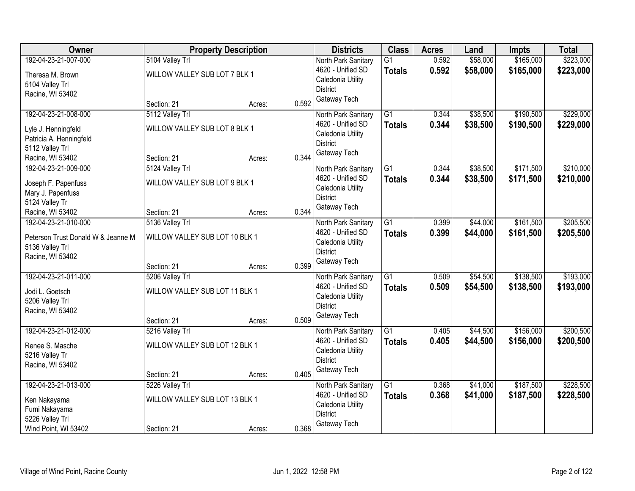| Owner                                                 |                                | <b>Property Description</b> |       | <b>Districts</b>                     | <b>Class</b>    | <b>Acres</b> | Land     | Impts     | <b>Total</b> |
|-------------------------------------------------------|--------------------------------|-----------------------------|-------|--------------------------------------|-----------------|--------------|----------|-----------|--------------|
| 192-04-23-21-007-000                                  | 5104 Valley Trl                |                             |       | North Park Sanitary                  | $\overline{G1}$ | 0.592        | \$58,000 | \$165,000 | \$223,000    |
| Theresa M. Brown                                      | WILLOW VALLEY SUB LOT 7 BLK 1  |                             |       | 4620 - Unified SD                    | <b>Totals</b>   | 0.592        | \$58,000 | \$165,000 | \$223,000    |
| 5104 Valley Trl                                       |                                |                             |       | Caledonia Utility                    |                 |              |          |           |              |
| Racine, WI 53402                                      |                                |                             |       | <b>District</b>                      |                 |              |          |           |              |
|                                                       | Section: 21                    | Acres:                      | 0.592 | Gateway Tech                         |                 |              |          |           |              |
| 192-04-23-21-008-000                                  | 5112 Valley Trl                |                             |       | North Park Sanitary                  | $\overline{G1}$ | 0.344        | \$38,500 | \$190,500 | \$229,000    |
| Lyle J. Henningfeld                                   | WILLOW VALLEY SUB LOT 8 BLK 1  |                             |       | 4620 - Unified SD                    | <b>Totals</b>   | 0.344        | \$38,500 | \$190,500 | \$229,000    |
| Patricia A. Henningfeld                               |                                |                             |       | Caledonia Utility                    |                 |              |          |           |              |
| 5112 Valley Trl                                       |                                |                             |       | <b>District</b>                      |                 |              |          |           |              |
| Racine, WI 53402                                      | Section: 21                    | Acres:                      | 0.344 | Gateway Tech                         |                 |              |          |           |              |
| 192-04-23-21-009-000                                  | 5124 Valley Trl                |                             |       | North Park Sanitary                  | $\overline{G1}$ | 0.344        | \$38,500 | \$171,500 | \$210,000    |
| Joseph F. Papenfuss                                   | WILLOW VALLEY SUB LOT 9 BLK 1  |                             |       | 4620 - Unified SD                    | <b>Totals</b>   | 0.344        | \$38,500 | \$171,500 | \$210,000    |
| Mary J. Papenfuss                                     |                                |                             |       | Caledonia Utility                    |                 |              |          |           |              |
| 5124 Valley Tr                                        |                                |                             |       | <b>District</b>                      |                 |              |          |           |              |
| Racine, WI 53402                                      | Section: 21                    | Acres:                      | 0.344 | Gateway Tech                         |                 |              |          |           |              |
| 192-04-23-21-010-000                                  | 5136 Valley Trl                |                             |       | North Park Sanitary                  | $\overline{G1}$ | 0.399        | \$44,000 | \$161,500 | \$205,500    |
|                                                       | WILLOW VALLEY SUB LOT 10 BLK 1 |                             |       | 4620 - Unified SD                    | <b>Totals</b>   | 0.399        | \$44,000 | \$161,500 | \$205,500    |
| Peterson Trust Donald W & Jeanne M<br>5136 Valley Trl |                                |                             |       | Caledonia Utility                    |                 |              |          |           |              |
| Racine, WI 53402                                      |                                |                             |       | <b>District</b>                      |                 |              |          |           |              |
|                                                       | Section: 21                    | Acres:                      | 0.399 | Gateway Tech                         |                 |              |          |           |              |
| 192-04-23-21-011-000                                  | 5206 Valley Trl                |                             |       | North Park Sanitary                  | $\overline{G1}$ | 0.509        | \$54,500 | \$138,500 | \$193,000    |
|                                                       |                                |                             |       | 4620 - Unified SD                    | <b>Totals</b>   | 0.509        | \$54,500 | \$138,500 | \$193,000    |
| Jodi L. Goetsch                                       | WILLOW VALLEY SUB LOT 11 BLK 1 |                             |       | Caledonia Utility                    |                 |              |          |           |              |
| 5206 Valley Trl                                       |                                |                             |       | <b>District</b>                      |                 |              |          |           |              |
| Racine, WI 53402                                      |                                |                             | 0.509 | Gateway Tech                         |                 |              |          |           |              |
| 192-04-23-21-012-000                                  | Section: 21<br>5216 Valley Trl | Acres:                      |       | North Park Sanitary                  | $\overline{G1}$ | 0.405        | \$44,500 | \$156,000 | \$200,500    |
|                                                       |                                |                             |       | 4620 - Unified SD                    | <b>Totals</b>   | 0.405        | \$44,500 | \$156,000 | \$200,500    |
| Renee S. Masche                                       | WILLOW VALLEY SUB LOT 12 BLK 1 |                             |       | Caledonia Utility                    |                 |              |          |           |              |
| 5216 Valley Tr                                        |                                |                             |       | <b>District</b>                      |                 |              |          |           |              |
| Racine, WI 53402                                      |                                |                             |       | Gateway Tech                         |                 |              |          |           |              |
|                                                       | Section: 21                    | Acres:                      | 0.405 |                                      |                 |              |          |           |              |
| 192-04-23-21-013-000                                  | 5226 Valley Trl                |                             |       | North Park Sanitary                  | $\overline{G1}$ | 0.368        | \$41,000 | \$187,500 | \$228,500    |
| Ken Nakayama                                          | WILLOW VALLEY SUB LOT 13 BLK 1 |                             |       | 4620 - Unified SD                    | <b>Totals</b>   | 0.368        | \$41,000 | \$187,500 | \$228,500    |
| Fumi Nakayama                                         |                                |                             |       | Caledonia Utility<br><b>District</b> |                 |              |          |           |              |
| 5226 Valley Trl                                       |                                |                             |       | Gateway Tech                         |                 |              |          |           |              |
| Wind Point, WI 53402                                  | Section: 21                    | Acres:                      | 0.368 |                                      |                 |              |          |           |              |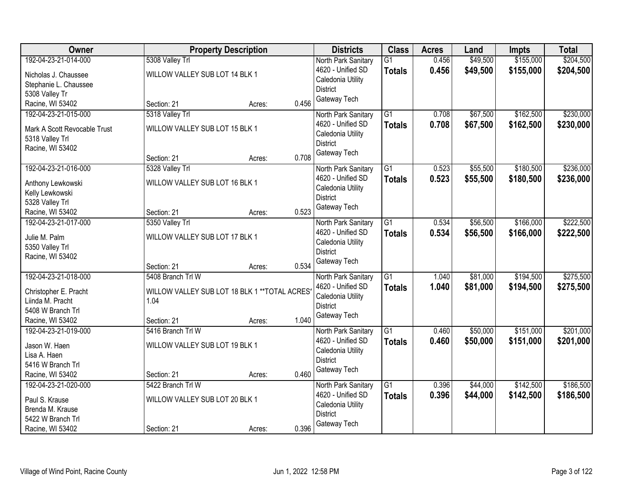| Owner                        |                                                | <b>Property Description</b> |       | <b>Districts</b>                         | <b>Class</b>    | <b>Acres</b> | Land     | <b>Impts</b> | <b>Total</b> |
|------------------------------|------------------------------------------------|-----------------------------|-------|------------------------------------------|-----------------|--------------|----------|--------------|--------------|
| 192-04-23-21-014-000         | 5308 Valley Trl                                |                             |       | North Park Sanitary                      | $\overline{G1}$ | 0.456        | \$49,500 | \$155,000    | \$204,500    |
| Nicholas J. Chaussee         | WILLOW VALLEY SUB LOT 14 BLK 1                 |                             |       | 4620 - Unified SD                        | <b>Totals</b>   | 0.456        | \$49,500 | \$155,000    | \$204,500    |
| Stephanie L. Chaussee        |                                                |                             |       | Caledonia Utility                        |                 |              |          |              |              |
| 5308 Valley Tr               |                                                |                             |       | <b>District</b>                          |                 |              |          |              |              |
| Racine, WI 53402             | Section: 21                                    | Acres:                      | 0.456 | Gateway Tech                             |                 |              |          |              |              |
| 192-04-23-21-015-000         | 5318 Valley Trl                                |                             |       | North Park Sanitary                      | $\overline{G1}$ | 0.708        | \$67,500 | \$162,500    | \$230,000    |
| Mark A Scott Revocable Trust | WILLOW VALLEY SUB LOT 15 BLK 1                 |                             |       | 4620 - Unified SD                        | <b>Totals</b>   | 0.708        | \$67,500 | \$162,500    | \$230,000    |
| 5318 Valley Trl              |                                                |                             |       | Caledonia Utility                        |                 |              |          |              |              |
| Racine, WI 53402             |                                                |                             |       | <b>District</b>                          |                 |              |          |              |              |
|                              | Section: 21                                    | Acres:                      | 0.708 | Gateway Tech                             |                 |              |          |              |              |
| 192-04-23-21-016-000         | 5328 Valley Trl                                |                             |       | North Park Sanitary                      | $\overline{G1}$ | 0.523        | \$55,500 | \$180,500    | \$236,000    |
| Anthony Lewkowski            | WILLOW VALLEY SUB LOT 16 BLK 1                 |                             |       | 4620 - Unified SD                        | <b>Totals</b>   | 0.523        | \$55,500 | \$180,500    | \$236,000    |
| Kelly Lewkowski              |                                                |                             |       | Caledonia Utility                        |                 |              |          |              |              |
| 5328 Valley Trl              |                                                |                             |       | <b>District</b>                          |                 |              |          |              |              |
| Racine, WI 53402             | Section: 21                                    | Acres:                      | 0.523 | Gateway Tech                             |                 |              |          |              |              |
| 192-04-23-21-017-000         | 5350 Valley Trl                                |                             |       | North Park Sanitary                      | $\overline{G1}$ | 0.534        | \$56,500 | \$166,000    | \$222,500    |
|                              |                                                |                             |       | 4620 - Unified SD                        | <b>Totals</b>   | 0.534        | \$56,500 | \$166,000    | \$222,500    |
| Julie M. Palm                | WILLOW VALLEY SUB LOT 17 BLK 1                 |                             |       | Caledonia Utility                        |                 |              |          |              |              |
| 5350 Valley Trl              |                                                |                             |       | <b>District</b>                          |                 |              |          |              |              |
| Racine, WI 53402             | Section: 21                                    |                             | 0.534 | Gateway Tech                             |                 |              |          |              |              |
| 192-04-23-21-018-000         | 5408 Branch Trl W                              | Acres:                      |       |                                          | $\overline{G1}$ | 1.040        | \$81,000 | \$194,500    | \$275,500    |
|                              |                                                |                             |       | North Park Sanitary<br>4620 - Unified SD |                 | 1.040        |          |              |              |
| Christopher E. Pracht        | WILLOW VALLEY SUB LOT 18 BLK 1 ** TOTAL ACRES* |                             |       | Caledonia Utility                        | <b>Totals</b>   |              | \$81,000 | \$194,500    | \$275,500    |
| Liinda M. Pracht             | 1.04                                           |                             |       | <b>District</b>                          |                 |              |          |              |              |
| 5408 W Branch Trl            |                                                |                             |       | Gateway Tech                             |                 |              |          |              |              |
| Racine, WI 53402             | Section: 21                                    | Acres:                      | 1.040 |                                          |                 |              |          |              |              |
| 192-04-23-21-019-000         | 5416 Branch Trl W                              |                             |       | North Park Sanitary                      | $\overline{G1}$ | 0.460        | \$50,000 | \$151,000    | \$201,000    |
| Jason W. Haen                | WILLOW VALLEY SUB LOT 19 BLK 1                 |                             |       | 4620 - Unified SD                        | <b>Totals</b>   | 0.460        | \$50,000 | \$151,000    | \$201,000    |
| Lisa A. Haen                 |                                                |                             |       | Caledonia Utility<br><b>District</b>     |                 |              |          |              |              |
| 5416 W Branch Trl            |                                                |                             |       |                                          |                 |              |          |              |              |
| Racine, WI 53402             | Section: 21                                    | Acres:                      | 0.460 | Gateway Tech                             |                 |              |          |              |              |
| 192-04-23-21-020-000         | 5422 Branch Trl W                              |                             |       | North Park Sanitary                      | $\overline{G1}$ | 0.396        | \$44,000 | \$142,500    | \$186,500    |
| Paul S. Krause               | WILLOW VALLEY SUB LOT 20 BLK 1                 |                             |       | 4620 - Unified SD                        | <b>Totals</b>   | 0.396        | \$44,000 | \$142,500    | \$186,500    |
| Brenda M. Krause             |                                                |                             |       | Caledonia Utility                        |                 |              |          |              |              |
| 5422 W Branch Trl            |                                                |                             |       | <b>District</b>                          |                 |              |          |              |              |
| Racine, WI 53402             | Section: 21                                    | Acres:                      | 0.396 | Gateway Tech                             |                 |              |          |              |              |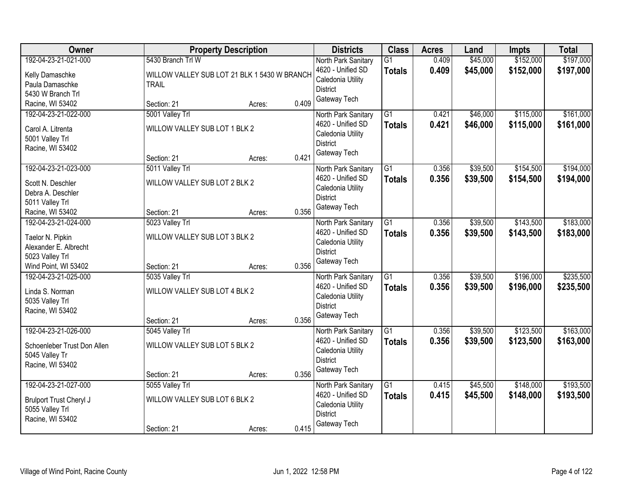| Owner                                                                                                        |                                                                 | <b>Property Description</b>                  |       | <b>Districts</b>                                                                                 | <b>Class</b>                     | <b>Acres</b>   | Land                 | Impts                  | <b>Total</b>           |
|--------------------------------------------------------------------------------------------------------------|-----------------------------------------------------------------|----------------------------------------------|-------|--------------------------------------------------------------------------------------------------|----------------------------------|----------------|----------------------|------------------------|------------------------|
| 192-04-23-21-021-000<br>Kelly Damaschke<br>Paula Damaschke<br>5430 W Branch Trl                              | 5430 Branch Trl W<br><b>TRAIL</b>                               | WILLOW VALLEY SUB LOT 21 BLK 1 5430 W BRANCH |       | North Park Sanitary<br>4620 - Unified SD<br>Caledonia Utility<br><b>District</b>                 | $\overline{G1}$<br><b>Totals</b> | 0.409<br>0.409 | \$45,000<br>\$45,000 | \$152,000<br>\$152,000 | \$197,000<br>\$197,000 |
| Racine, WI 53402                                                                                             | Section: 21                                                     | Acres:                                       | 0.409 | Gateway Tech                                                                                     |                                  |                |                      |                        |                        |
| 192-04-23-21-022-000<br>Carol A. Litrenta<br>5001 Valley Trl<br>Racine, WI 53402                             | 5001 Valley Trl<br>WILLOW VALLEY SUB LOT 1 BLK 2<br>Section: 21 | Acres:                                       | 0.421 | North Park Sanitary<br>4620 - Unified SD<br>Caledonia Utility<br><b>District</b><br>Gateway Tech | $\overline{G1}$<br><b>Totals</b> | 0.421<br>0.421 | \$46,000<br>\$46,000 | \$115,000<br>\$115,000 | \$161,000<br>\$161,000 |
| 192-04-23-21-023-000<br>Scott N. Deschler<br>Debra A. Deschler<br>5011 Valley Trl<br>Racine, WI 53402        | 5011 Valley Trl<br>WILLOW VALLEY SUB LOT 2 BLK 2<br>Section: 21 | Acres:                                       | 0.356 | North Park Sanitary<br>4620 - Unified SD<br>Caledonia Utility<br><b>District</b><br>Gateway Tech | $\overline{G1}$<br><b>Totals</b> | 0.356<br>0.356 | \$39,500<br>\$39,500 | \$154,500<br>\$154,500 | \$194,000<br>\$194,000 |
| 192-04-23-21-024-000<br>Taelor N. Pipkin<br>Alexander E. Albrecht<br>5023 Valley Trl<br>Wind Point, WI 53402 | 5023 Valley Trl<br>WILLOW VALLEY SUB LOT 3 BLK 2<br>Section: 21 | Acres:                                       | 0.356 | North Park Sanitary<br>4620 - Unified SD<br>Caledonia Utility<br><b>District</b><br>Gateway Tech | $\overline{G1}$<br><b>Totals</b> | 0.356<br>0.356 | \$39,500<br>\$39,500 | \$143,500<br>\$143,500 | \$183,000<br>\$183,000 |
| 192-04-23-21-025-000<br>Linda S. Norman<br>5035 Valley Trl<br>Racine, WI 53402                               | 5035 Valley Trl<br>WILLOW VALLEY SUB LOT 4 BLK 2<br>Section: 21 | Acres:                                       | 0.356 | North Park Sanitary<br>4620 - Unified SD<br>Caledonia Utility<br><b>District</b><br>Gateway Tech | $\overline{G1}$<br>Totals        | 0.356<br>0.356 | \$39,500<br>\$39,500 | \$196,000<br>\$196,000 | \$235,500<br>\$235,500 |
| 192-04-23-21-026-000<br>Schoenleber Trust Don Allen<br>5045 Valley Tr<br>Racine, WI 53402                    | 5045 Valley Trl<br>WILLOW VALLEY SUB LOT 5 BLK 2<br>Section: 21 | Acres:                                       | 0.356 | North Park Sanitary<br>4620 - Unified SD<br>Caledonia Utility<br><b>District</b><br>Gateway Tech | $\overline{G1}$<br><b>Totals</b> | 0.356<br>0.356 | \$39,500<br>\$39,500 | \$123,500<br>\$123,500 | \$163,000<br>\$163,000 |
| 192-04-23-21-027-000<br>Brulport Trust Cheryl J<br>5055 Valley Trl<br>Racine, WI 53402                       | 5055 Valley Trl<br>WILLOW VALLEY SUB LOT 6 BLK 2<br>Section: 21 | Acres:                                       | 0.415 | North Park Sanitary<br>4620 - Unified SD<br>Caledonia Utility<br><b>District</b><br>Gateway Tech | $\overline{G1}$<br><b>Totals</b> | 0.415<br>0.415 | \$45,500<br>\$45,500 | \$148,000<br>\$148,000 | \$193,500<br>\$193,500 |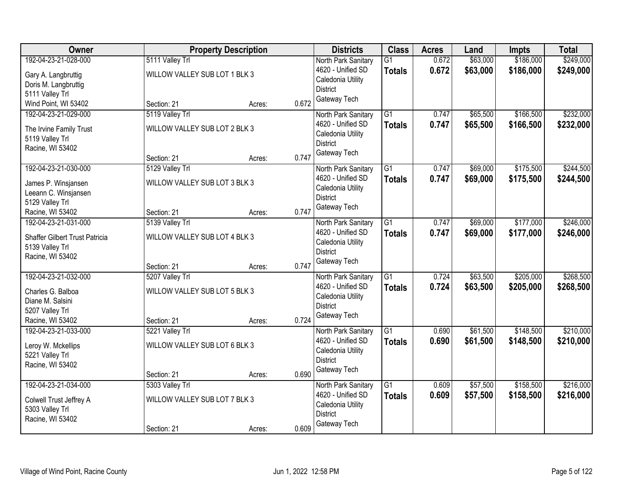| Owner                                                                                                |                                                                 | <b>Property Description</b> |       | <b>Districts</b>                                                                                 | <b>Class</b>                     | <b>Acres</b>   | Land                 | <b>Impts</b>           | <b>Total</b>           |
|------------------------------------------------------------------------------------------------------|-----------------------------------------------------------------|-----------------------------|-------|--------------------------------------------------------------------------------------------------|----------------------------------|----------------|----------------------|------------------------|------------------------|
| 192-04-23-21-028-000<br>Gary A. Langbruttig<br>Doris M. Langbruttig<br>5111 Valley Trl               | 5111 Valley Trl<br>WILLOW VALLEY SUB LOT 1 BLK 3                |                             |       | North Park Sanitary<br>4620 - Unified SD<br>Caledonia Utility<br><b>District</b><br>Gateway Tech | $\overline{G1}$<br><b>Totals</b> | 0.672<br>0.672 | \$63,000<br>\$63,000 | \$186,000<br>\$186,000 | \$249,000<br>\$249,000 |
| Wind Point, WI 53402                                                                                 | Section: 21                                                     | Acres:                      | 0.672 |                                                                                                  |                                  |                |                      |                        |                        |
| 192-04-23-21-029-000<br>The Irvine Family Trust<br>5119 Valley Trl<br>Racine, WI 53402               | 5119 Valley Trl<br>WILLOW VALLEY SUB LOT 2 BLK 3<br>Section: 21 | Acres:                      | 0.747 | North Park Sanitary<br>4620 - Unified SD<br>Caledonia Utility<br><b>District</b><br>Gateway Tech | $\overline{G1}$<br><b>Totals</b> | 0.747<br>0.747 | \$65,500<br>\$65,500 | \$166,500<br>\$166,500 | \$232,000<br>\$232,000 |
| 192-04-23-21-030-000                                                                                 | 5129 Valley Trl                                                 |                             |       | North Park Sanitary                                                                              | $\overline{G1}$                  | 0.747          | \$69,000             | \$175,500              | \$244,500              |
| James P. Winsjansen<br>Leeann C. Winsjansen<br>5129 Valley Trl                                       | WILLOW VALLEY SUB LOT 3 BLK 3                                   |                             |       | 4620 - Unified SD<br>Caledonia Utility<br><b>District</b><br>Gateway Tech                        | <b>Totals</b>                    | 0.747          | \$69,000             | \$175,500              | \$244,500              |
| Racine, WI 53402                                                                                     | Section: 21                                                     | Acres:                      | 0.747 |                                                                                                  |                                  |                |                      |                        |                        |
| 192-04-23-21-031-000<br>Shaffer Gilbert Trust Patricia<br>5139 Valley Trl<br>Racine, WI 53402        | 5139 Valley Trl<br>WILLOW VALLEY SUB LOT 4 BLK 3                |                             |       | North Park Sanitary<br>4620 - Unified SD<br>Caledonia Utility<br><b>District</b>                 | $\overline{G1}$<br><b>Totals</b> | 0.747<br>0.747 | \$69,000<br>\$69,000 | \$177,000<br>\$177,000 | \$246,000<br>\$246,000 |
|                                                                                                      | Section: 21                                                     | Acres:                      | 0.747 | Gateway Tech                                                                                     |                                  |                |                      |                        |                        |
| 192-04-23-21-032-000<br>Charles G. Balboa<br>Diane M. Salsini<br>5207 Valley Trl<br>Racine, WI 53402 | 5207 Valley Trl<br>WILLOW VALLEY SUB LOT 5 BLK 3<br>Section: 21 | Acres:                      | 0.724 | North Park Sanitary<br>4620 - Unified SD<br>Caledonia Utility<br><b>District</b><br>Gateway Tech | $\overline{G1}$<br>Totals        | 0.724<br>0.724 | \$63,500<br>\$63,500 | \$205,000<br>\$205,000 | \$268,500<br>\$268,500 |
| 192-04-23-21-033-000<br>Leroy W. Mckellips<br>5221 Valley Trl<br>Racine, WI 53402                    | 5221 Valley Trl<br>WILLOW VALLEY SUB LOT 6 BLK 3<br>Section: 21 | Acres:                      | 0.690 | North Park Sanitary<br>4620 - Unified SD<br>Caledonia Utility<br><b>District</b><br>Gateway Tech | $\overline{G1}$<br><b>Totals</b> | 0.690<br>0.690 | \$61,500<br>\$61,500 | \$148,500<br>\$148,500 | \$210,000<br>\$210,000 |
| 192-04-23-21-034-000<br>Colwell Trust Jeffrey A<br>5303 Valley Trl<br>Racine, WI 53402               | 5303 Valley Trl<br>WILLOW VALLEY SUB LOT 7 BLK 3<br>Section: 21 | Acres:                      | 0.609 | North Park Sanitary<br>4620 - Unified SD<br>Caledonia Utility<br><b>District</b><br>Gateway Tech | $\overline{G1}$<br><b>Totals</b> | 0.609<br>0.609 | \$57,500<br>\$57,500 | \$158,500<br>\$158,500 | \$216,000<br>\$216,000 |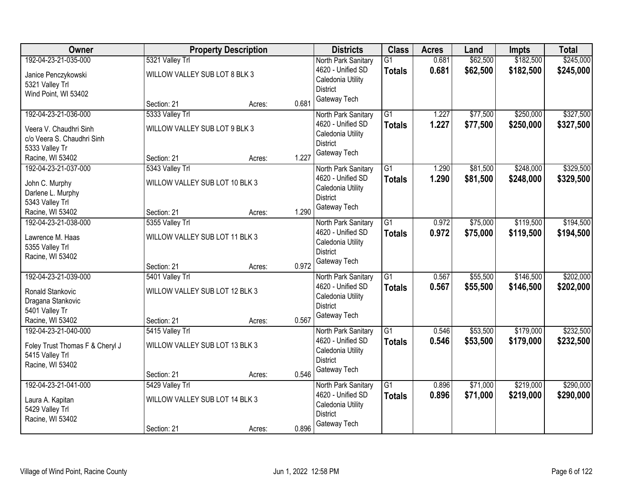| Owner                           |                                | <b>Property Description</b> |       | <b>Districts</b>    | <b>Class</b>    | <b>Acres</b> | Land     | <b>Impts</b> | <b>Total</b> |
|---------------------------------|--------------------------------|-----------------------------|-------|---------------------|-----------------|--------------|----------|--------------|--------------|
| 192-04-23-21-035-000            | 5321 Valley Trl                |                             |       | North Park Sanitary | $\overline{G1}$ | 0.681        | \$62,500 | \$182,500    | \$245,000    |
| Janice Penczykowski             | WILLOW VALLEY SUB LOT 8 BLK 3  |                             |       | 4620 - Unified SD   | <b>Totals</b>   | 0.681        | \$62,500 | \$182,500    | \$245,000    |
| 5321 Valley Trl                 |                                |                             |       | Caledonia Utility   |                 |              |          |              |              |
| Wind Point, WI 53402            |                                |                             |       | <b>District</b>     |                 |              |          |              |              |
|                                 | Section: 21                    | Acres:                      | 0.681 | Gateway Tech        |                 |              |          |              |              |
| 192-04-23-21-036-000            | 5333 Valley Trl                |                             |       | North Park Sanitary | $\overline{G1}$ | 1.227        | \$77,500 | \$250,000    | \$327,500    |
| Veera V. Chaudhri Sinh          | WILLOW VALLEY SUB LOT 9 BLK 3  |                             |       | 4620 - Unified SD   | <b>Totals</b>   | 1.227        | \$77,500 | \$250,000    | \$327,500    |
| c/o Veera S. Chaudhri Sinh      |                                |                             |       | Caledonia Utility   |                 |              |          |              |              |
| 5333 Valley Tr                  |                                |                             |       | <b>District</b>     |                 |              |          |              |              |
| Racine, WI 53402                | Section: 21                    | Acres:                      | 1.227 | Gateway Tech        |                 |              |          |              |              |
| 192-04-23-21-037-000            | 5343 Valley Trl                |                             |       | North Park Sanitary | $\overline{G1}$ | 1.290        | \$81,500 | \$248,000    | \$329,500    |
| John C. Murphy                  | WILLOW VALLEY SUB LOT 10 BLK 3 |                             |       | 4620 - Unified SD   | <b>Totals</b>   | 1.290        | \$81,500 | \$248,000    | \$329,500    |
| Darlene L. Murphy               |                                |                             |       | Caledonia Utility   |                 |              |          |              |              |
| 5343 Valley Trl                 |                                |                             |       | <b>District</b>     |                 |              |          |              |              |
| Racine, WI 53402                | Section: 21                    | Acres:                      | 1.290 | Gateway Tech        |                 |              |          |              |              |
| 192-04-23-21-038-000            | 5355 Valley Trl                |                             |       | North Park Sanitary | $\overline{G1}$ | 0.972        | \$75,000 | \$119,500    | \$194,500    |
| Lawrence M. Haas                | WILLOW VALLEY SUB LOT 11 BLK 3 |                             |       | 4620 - Unified SD   | <b>Totals</b>   | 0.972        | \$75,000 | \$119,500    | \$194,500    |
| 5355 Valley Trl                 |                                |                             |       | Caledonia Utility   |                 |              |          |              |              |
| Racine, WI 53402                |                                |                             |       | <b>District</b>     |                 |              |          |              |              |
|                                 | Section: 21                    | Acres:                      | 0.972 | Gateway Tech        |                 |              |          |              |              |
| 192-04-23-21-039-000            | 5401 Valley Trl                |                             |       | North Park Sanitary | $\overline{G1}$ | 0.567        | \$55,500 | \$146,500    | \$202,000    |
| Ronald Stankovic                | WILLOW VALLEY SUB LOT 12 BLK 3 |                             |       | 4620 - Unified SD   | <b>Totals</b>   | 0.567        | \$55,500 | \$146,500    | \$202,000    |
| Dragana Stankovic               |                                |                             |       | Caledonia Utility   |                 |              |          |              |              |
| 5401 Valley Tr                  |                                |                             |       | <b>District</b>     |                 |              |          |              |              |
| Racine, WI 53402                | Section: 21                    | Acres:                      | 0.567 | Gateway Tech        |                 |              |          |              |              |
| 192-04-23-21-040-000            | 5415 Valley Trl                |                             |       | North Park Sanitary | $\overline{G1}$ | 0.546        | \$53,500 | \$179,000    | \$232,500    |
| Foley Trust Thomas F & Cheryl J | WILLOW VALLEY SUB LOT 13 BLK 3 |                             |       | 4620 - Unified SD   | <b>Totals</b>   | 0.546        | \$53,500 | \$179,000    | \$232,500    |
| 5415 Valley Trl                 |                                |                             |       | Caledonia Utility   |                 |              |          |              |              |
| Racine, WI 53402                |                                |                             |       | <b>District</b>     |                 |              |          |              |              |
|                                 | Section: 21                    | Acres:                      | 0.546 | Gateway Tech        |                 |              |          |              |              |
| 192-04-23-21-041-000            | 5429 Valley Trl                |                             |       | North Park Sanitary | $\overline{G1}$ | 0.896        | \$71,000 | \$219,000    | \$290,000    |
| Laura A. Kapitan                | WILLOW VALLEY SUB LOT 14 BLK 3 |                             |       | 4620 - Unified SD   | <b>Totals</b>   | 0.896        | \$71,000 | \$219,000    | \$290,000    |
| 5429 Valley Trl                 |                                |                             |       | Caledonia Utility   |                 |              |          |              |              |
| Racine, WI 53402                |                                |                             |       | <b>District</b>     |                 |              |          |              |              |
|                                 | Section: 21                    | Acres:                      | 0.896 | Gateway Tech        |                 |              |          |              |              |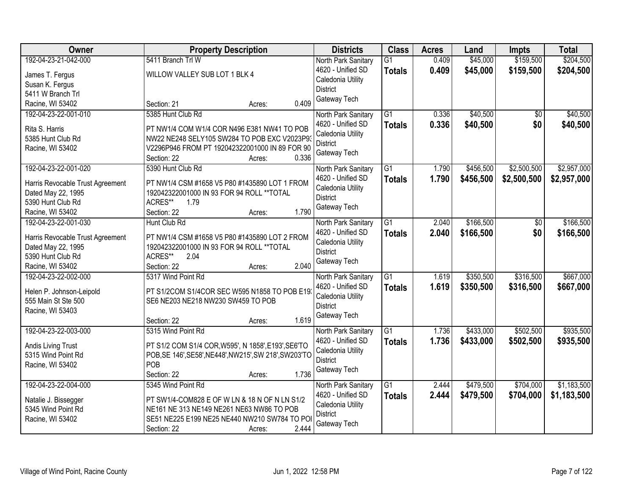| <b>Owner</b>                     | <b>Property Description</b>                                                      | <b>Districts</b>                         | <b>Class</b>    | <b>Acres</b> | Land      | <b>Impts</b> | <b>Total</b> |
|----------------------------------|----------------------------------------------------------------------------------|------------------------------------------|-----------------|--------------|-----------|--------------|--------------|
| 192-04-23-21-042-000             | 5411 Branch Trl W                                                                | North Park Sanitary                      | $\overline{G1}$ | 0.409        | \$45,000  | \$159,500    | \$204,500    |
| James T. Fergus                  | WILLOW VALLEY SUB LOT 1 BLK 4                                                    | 4620 - Unified SD                        | <b>Totals</b>   | 0.409        | \$45,000  | \$159,500    | \$204,500    |
| Susan K. Fergus                  |                                                                                  | Caledonia Utility                        |                 |              |           |              |              |
| 5411 W Branch Trl                |                                                                                  | <b>District</b>                          |                 |              |           |              |              |
| Racine, WI 53402                 | 0.409<br>Section: 21<br>Acres:                                                   | Gateway Tech                             |                 |              |           |              |              |
| 192-04-23-22-001-010             | 5385 Hunt Club Rd                                                                | North Park Sanitary                      | $\overline{G1}$ | 0.336        | \$40,500  | \$0          | \$40,500     |
|                                  |                                                                                  | 4620 - Unified SD                        | <b>Totals</b>   | 0.336        | \$40,500  | \$0          | \$40,500     |
| Rita S. Harris                   | PT NW1/4 COM W1/4 COR N496 E381 NW41 TO POB                                      | Caledonia Utility                        |                 |              |           |              |              |
| 5385 Hunt Club Rd                | NW22 NE248 SELY105 SW284 TO POB EXC V2023P93                                     | <b>District</b>                          |                 |              |           |              |              |
| Racine, WI 53402                 | V2296P946 FROM PT 192042322001000 IN 89 FOR 90<br>0.336<br>Section: 22<br>Acres: | Gateway Tech                             |                 |              |           |              |              |
| 192-04-23-22-001-020             | 5390 Hunt Club Rd                                                                | North Park Sanitary                      | G1              | 1.790        | \$456,500 | \$2,500,500  | \$2,957,000  |
|                                  |                                                                                  | 4620 - Unified SD                        | <b>Totals</b>   | 1.790        | \$456,500 | \$2,500,500  | \$2,957,000  |
| Harris Revocable Trust Agreement | PT NW1/4 CSM #1658 V5 P80 #1435890 LOT 1 FROM                                    | Caledonia Utility                        |                 |              |           |              |              |
| Dated May 22, 1995               | 192042322001000 IN 93 FOR 94 ROLL ** TOTAL                                       | <b>District</b>                          |                 |              |           |              |              |
| 5390 Hunt Club Rd                | ACRES**<br>1.79                                                                  | Gateway Tech                             |                 |              |           |              |              |
| Racine, WI 53402                 | 1.790<br>Section: 22<br>Acres:                                                   |                                          |                 |              |           |              |              |
| 192-04-23-22-001-030             | Hunt Club Rd                                                                     | North Park Sanitary                      | G1              | 2.040        | \$166,500 | \$0          | \$166,500    |
| Harris Revocable Trust Agreement | PT NW1/4 CSM #1658 V5 P80 #1435890 LOT 2 FROM                                    | 4620 - Unified SD                        | <b>Totals</b>   | 2.040        | \$166,500 | \$0          | \$166,500    |
| Dated May 22, 1995               | 192042322001000 IN 93 FOR 94 ROLL ** TOTAL                                       | Caledonia Utility                        |                 |              |           |              |              |
| 5390 Hunt Club Rd                | ACRES**<br>2.04                                                                  | <b>District</b>                          |                 |              |           |              |              |
| Racine, WI 53402                 | 2.040<br>Section: 22<br>Acres:                                                   | Gateway Tech                             |                 |              |           |              |              |
| 192-04-23-22-002-000             | 5317 Wind Point Rd                                                               | North Park Sanitary                      | $\overline{G1}$ | 1.619        | \$350,500 | \$316,500    | \$667,000    |
|                                  |                                                                                  | 4620 - Unified SD                        | <b>Totals</b>   | 1.619        | \$350,500 | \$316,500    | \$667,000    |
| Helen P. Johnson-Leipold         | PT S1/2COM S1/4COR SEC W595 N1858 TO POB E193                                    | Caledonia Utility                        |                 |              |           |              |              |
| 555 Main St Ste 500              | SE6 NE203 NE218 NW230 SW459 TO POB                                               | <b>District</b>                          |                 |              |           |              |              |
| Racine, WI 53403                 | 1.619                                                                            | Gateway Tech                             |                 |              |           |              |              |
| 192-04-23-22-003-000             | Section: 22<br>Acres:<br>5315 Wind Point Rd                                      |                                          | $\overline{G1}$ | 1.736        | \$433,000 | \$502,500    | \$935,500    |
|                                  |                                                                                  | North Park Sanitary<br>4620 - Unified SD |                 |              |           |              |              |
| Andis Living Trust               | PT S1/2 COM S1/4 COR, W595', N 1858', E193', SE6'TO                              | Caledonia Utility                        | <b>Totals</b>   | 1.736        | \$433,000 | \$502,500    | \$935,500    |
| 5315 Wind Point Rd               | POB, SE 146', SE58', NE448', NW215', SW 218', SW203'TO                           | <b>District</b>                          |                 |              |           |              |              |
| Racine, WI 53402                 | POB                                                                              | Gateway Tech                             |                 |              |           |              |              |
|                                  | 1.736<br>Section: 22<br>Acres:                                                   |                                          |                 |              |           |              |              |
| 192-04-23-22-004-000             | 5345 Wind Point Rd                                                               | North Park Sanitary                      | $\overline{G1}$ | 2.444        | \$479,500 | \$704,000    | \$1,183,500  |
| Natalie J. Bissegger             | PT SW1/4-COM828 E OF W LN & 18 N OF N LN S1/2                                    | 4620 - Unified SD                        | <b>Totals</b>   | 2.444        | \$479,500 | \$704,000    | \$1,183,500  |
| 5345 Wind Point Rd               | NE161 NE 313 NE149 NE261 NE63 NW86 TO POB                                        | Caledonia Utility                        |                 |              |           |              |              |
| Racine, WI 53402                 | SE51 NE225 E199 NE25 NE440 NW210 SW784 TO PO                                     | <b>District</b>                          |                 |              |           |              |              |
|                                  | 2.444<br>Section: 22<br>Acres:                                                   | Gateway Tech                             |                 |              |           |              |              |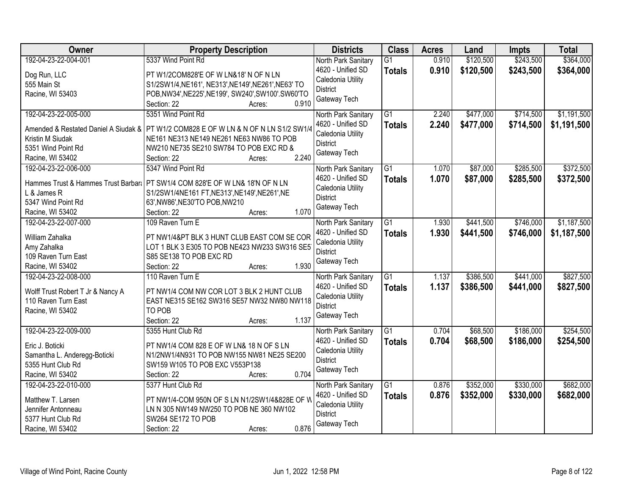| Owner                                  | <b>Property Description</b>                                                            | <b>Districts</b>                         | <b>Class</b>    | <b>Acres</b> | Land      | <b>Impts</b> | <b>Total</b> |
|----------------------------------------|----------------------------------------------------------------------------------------|------------------------------------------|-----------------|--------------|-----------|--------------|--------------|
| 192-04-23-22-004-001                   | 5337 Wind Point Rd                                                                     | North Park Sanitary                      | $\overline{G1}$ | 0.910        | \$120,500 | \$243,500    | \$364,000    |
| Dog Run, LLC                           | PT W1/2COM828'E OF W LN&18' N OF N LN                                                  | 4620 - Unified SD                        | <b>Totals</b>   | 0.910        | \$120,500 | \$243,500    | \$364,000    |
| 555 Main St                            | S1/2SW1/4, NE161', NE313', NE149', NE261', NE63' TO                                    | Caledonia Utility                        |                 |              |           |              |              |
| Racine, WI 53403                       | POB, NW34', NE225', NE199', SW240', SW100'. SW60'TO                                    | <b>District</b>                          |                 |              |           |              |              |
|                                        | 0.910<br>Section: 22<br>Acres:                                                         | Gateway Tech                             |                 |              |           |              |              |
| 192-04-23-22-005-000                   | 5351 Wind Point Rd                                                                     | North Park Sanitary                      | $\overline{G1}$ | 2.240        | \$477,000 | \$714,500    | \$1,191,500  |
|                                        |                                                                                        | 4620 - Unified SD                        | <b>Totals</b>   | 2.240        | \$477,000 | \$714,500    | \$1,191,500  |
|                                        | Amended & Restated Daniel A Siudak &   PT W1/2 COM828 E OF W LN & N OF N LN S1/2 SW1/4 | Caledonia Utility                        |                 |              |           |              |              |
| Kristin M Siudak<br>5351 Wind Point Rd | NE161 NE313 NE149 NE261 NE63 NW86 TO POB<br>NW210 NE735 SE210 SW784 TO POB EXC RD &    | <b>District</b>                          |                 |              |           |              |              |
| Racine, WI 53402                       | 2.240<br>Section: 22                                                                   | Gateway Tech                             |                 |              |           |              |              |
| 192-04-23-22-006-000                   | Acres:<br>5347 Wind Point Rd                                                           |                                          | $\overline{G1}$ | 1.070        | \$87,000  | \$285,500    | \$372,500    |
|                                        |                                                                                        | North Park Sanitary<br>4620 - Unified SD |                 |              |           |              |              |
| Hammes Trust & Hammes Trust Barbara    | PT SW1/4 COM 828'E OF W LN& 18'N OF N LN                                               | Caledonia Utility                        | <b>Totals</b>   | 1.070        | \$87,000  | \$285,500    | \$372,500    |
| L & James R                            | S1/2SW1/4NE161 FT, NE313', NE149', NE261', NE                                          | <b>District</b>                          |                 |              |           |              |              |
| 5347 Wind Point Rd                     | 63', NW86', NE30'TO POB, NW210                                                         | Gateway Tech                             |                 |              |           |              |              |
| Racine, WI 53402                       | 1.070<br>Section: 22<br>Acres:                                                         |                                          |                 |              |           |              |              |
| 192-04-23-22-007-000                   | 109 Raven Turn E                                                                       | North Park Sanitary                      | G1              | 1.930        | \$441,500 | \$746,000    | \$1,187,500  |
| William Zahalka                        | PT NW1/4&PT BLK 3 HUNT CLUB EAST COM SE COR                                            | 4620 - Unified SD                        | <b>Totals</b>   | 1.930        | \$441,500 | \$746,000    | \$1,187,500  |
| Amy Zahalka                            | LOT 1 BLK 3 E305 TO POB NE423 NW233 SW316 SE5                                          | Caledonia Utility                        |                 |              |           |              |              |
| 109 Raven Turn East                    | S85 SE138 TO POB EXC RD                                                                | <b>District</b>                          |                 |              |           |              |              |
| Racine, WI 53402                       | 1.930<br>Section: 22<br>Acres:                                                         | Gateway Tech                             |                 |              |           |              |              |
| 192-04-23-22-008-000                   | 110 Raven Turn E                                                                       | North Park Sanitary                      | $\overline{G1}$ | 1.137        | \$386,500 | \$441,000    | \$827,500    |
|                                        |                                                                                        | 4620 - Unified SD                        | <b>Totals</b>   | 1.137        | \$386,500 | \$441,000    | \$827,500    |
| Wolff Trust Robert T Jr & Nancy A      | PT NW1/4 COM NW COR LOT 3 BLK 2 HUNT CLUB                                              | Caledonia Utility                        |                 |              |           |              |              |
| 110 Raven Turn East                    | EAST NE315 SE162 SW316 SE57 NW32 NW80 NW118                                            | <b>District</b>                          |                 |              |           |              |              |
| Racine, WI 53402                       | TO POB                                                                                 | Gateway Tech                             |                 |              |           |              |              |
|                                        | 1.137<br>Section: 22<br>Acres:                                                         |                                          |                 |              |           |              |              |
| 192-04-23-22-009-000                   | 5355 Hunt Club Rd                                                                      | North Park Sanitary                      | $\overline{G1}$ | 0.704        | \$68,500  | \$186,000    | \$254,500    |
| Eric J. Boticki                        | PT NW1/4 COM 828 E OF W LN& 18 N OF S LN                                               | 4620 - Unified SD                        | <b>Totals</b>   | 0.704        | \$68,500  | \$186,000    | \$254,500    |
| Samantha L. Anderegg-Boticki           | N1/2NW1/4N931 TO POB NW155 NW81 NE25 SE200                                             | Caledonia Utility                        |                 |              |           |              |              |
| 5355 Hunt Club Rd                      | SW159 W105 TO POB EXC V553P138                                                         | <b>District</b>                          |                 |              |           |              |              |
| Racine, WI 53402                       | 0.704<br>Section: 22<br>Acres:                                                         | Gateway Tech                             |                 |              |           |              |              |
| 192-04-23-22-010-000                   | 5377 Hunt Club Rd                                                                      | North Park Sanitary                      | G1              | 0.876        | \$352,000 | \$330,000    | \$682,000    |
|                                        |                                                                                        | 4620 - Unified SD                        | <b>Totals</b>   | 0.876        | \$352,000 | \$330,000    | \$682,000    |
| Matthew T. Larsen                      | PT NW1/4-COM 950N OF S LN N1/2SW1/4&828E OF W                                          | Caledonia Utility                        |                 |              |           |              |              |
| Jennifer Antonneau                     | LN N 305 NW149 NW250 TO POB NE 360 NW102                                               | <b>District</b>                          |                 |              |           |              |              |
| 5377 Hunt Club Rd                      | SW264 SE172 TO POB                                                                     | Gateway Tech                             |                 |              |           |              |              |
| Racine, WI 53402                       | 0.876<br>Section: 22<br>Acres:                                                         |                                          |                 |              |           |              |              |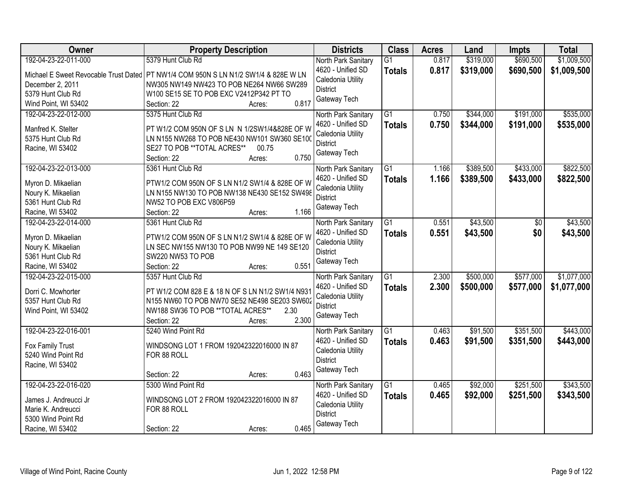| <b>Owner</b>                            | <b>Property Description</b>                                             | <b>Districts</b>    | <b>Class</b>    | <b>Acres</b> | Land      | <b>Impts</b> | <b>Total</b> |
|-----------------------------------------|-------------------------------------------------------------------------|---------------------|-----------------|--------------|-----------|--------------|--------------|
| 192-04-23-22-011-000                    | 5379 Hunt Club Rd                                                       | North Park Sanitary | $\overline{G1}$ | 0.817        | \$319,000 | \$690,500    | \$1,009,500  |
| Michael E Sweet Revocable Trust Dated   | PT NW1/4 COM 950N S LN N1/2 SW1/4 & 828E W LN                           | 4620 - Unified SD   | <b>Totals</b>   | 0.817        | \$319,000 | \$690,500    | \$1,009,500  |
| December 2, 2011                        | NW305 NW149 NW423 TO POB NE264 NW66 SW289                               | Caledonia Utility   |                 |              |           |              |              |
| 5379 Hunt Club Rd                       | W100 SE15 SE TO POB EXC V2412P342 PT TO                                 | <b>District</b>     |                 |              |           |              |              |
| Wind Point, WI 53402                    | 0.817<br>Section: 22<br>Acres:                                          | Gateway Tech        |                 |              |           |              |              |
| 192-04-23-22-012-000                    | 5375 Hunt Club Rd                                                       | North Park Sanitary | $\overline{G1}$ | 0.750        | \$344,000 | \$191,000    | \$535,000    |
|                                         |                                                                         | 4620 - Unified SD   |                 | 0.750        |           |              |              |
| Manfred K. Stelter                      | PT W1/2 COM 950N OF S LN N 1/2SW1/4&828E OF W                           | Caledonia Utility   | <b>Totals</b>   |              | \$344,000 | \$191,000    | \$535,000    |
| 5375 Hunt Club Rd                       | LN N155 NW268 TO POB NE430 NW101 SW360 SE100                            | <b>District</b>     |                 |              |           |              |              |
| Racine, WI 53402                        | SE27 TO POB ** TOTAL ACRES**<br>00.75                                   | Gateway Tech        |                 |              |           |              |              |
|                                         | 0.750<br>Section: 22<br>Acres:                                          |                     |                 |              |           |              |              |
| 192-04-23-22-013-000                    | 5361 Hunt Club Rd                                                       | North Park Sanitary | $\overline{G1}$ | 1.166        | \$389,500 | \$433,000    | \$822,500    |
|                                         |                                                                         | 4620 - Unified SD   | <b>Totals</b>   | 1.166        | \$389,500 | \$433,000    | \$822,500    |
| Myron D. Mikaelian                      | PTW1/2 COM 950N OF S LN N1/2 SW1/4 & 828E OF W                          | Caledonia Utility   |                 |              |           |              |              |
| Noury K. Mikaelian<br>5361 Hunt Club Rd | LN N155 NW130 TO POB NW138 NE430 SE152 SW498<br>NW52 TO POB EXC V806P59 | <b>District</b>     |                 |              |           |              |              |
|                                         | 1.166<br>Section: 22                                                    | Gateway Tech        |                 |              |           |              |              |
| Racine, WI 53402                        | Acres:                                                                  |                     |                 |              |           |              |              |
| 192-04-23-22-014-000                    | 5361 Hunt Club Rd                                                       | North Park Sanitary | G1              | 0.551        | \$43,500  | \$0          | \$43,500     |
| Myron D. Mikaelian                      | PTW1/2 COM 950N OF S LN N1/2 SW1/4 & 828E OF W                          | 4620 - Unified SD   | <b>Totals</b>   | 0.551        | \$43,500  | \$0          | \$43,500     |
| Noury K. Mikaelian                      | LN SEC NW155 NW130 TO POB NW99 NE 149 SE120                             | Caledonia Utility   |                 |              |           |              |              |
| 5361 Hunt Club Rd                       | SW220 NW53 TO POB                                                       | <b>District</b>     |                 |              |           |              |              |
| Racine, WI 53402                        | 0.551<br>Section: 22<br>Acres:                                          | Gateway Tech        |                 |              |           |              |              |
| 192-04-23-22-015-000                    | 5357 Hunt Club Rd                                                       | North Park Sanitary | $\overline{G1}$ | 2.300        | \$500,000 | \$577,000    | \$1,077,000  |
|                                         |                                                                         | 4620 - Unified SD   | Totals          | 2.300        | \$500,000 | \$577,000    | \$1,077,000  |
| Dorri C. Mcwhorter                      | PT W1/2 COM 828 E & 18 N OF S LN N1/2 SW1/4 N931                        | Caledonia Utility   |                 |              |           |              |              |
| 5357 Hunt Club Rd                       | N155 NW60 TO POB NW70 SE52 NE498 SE203 SW602                            | <b>District</b>     |                 |              |           |              |              |
| Wind Point, WI 53402                    | NW188 SW36 TO POB **TOTAL ACRES**<br>2.30                               | Gateway Tech        |                 |              |           |              |              |
|                                         | 2.300<br>Section: 22<br>Acres:                                          |                     |                 |              |           |              |              |
| 192-04-23-22-016-001                    | 5240 Wind Point Rd                                                      | North Park Sanitary | $\overline{G1}$ | 0.463        | \$91,500  | \$351,500    | \$443,000    |
| Fox Family Trust                        | WINDSONG LOT 1 FROM 192042322016000 IN 87                               | 4620 - Unified SD   | <b>Totals</b>   | 0.463        | \$91,500  | \$351,500    | \$443,000    |
| 5240 Wind Point Rd                      | FOR 88 ROLL                                                             | Caledonia Utility   |                 |              |           |              |              |
| Racine, WI 53402                        |                                                                         | <b>District</b>     |                 |              |           |              |              |
|                                         | 0.463<br>Section: 22<br>Acres:                                          | Gateway Tech        |                 |              |           |              |              |
| 192-04-23-22-016-020                    | 5300 Wind Point Rd                                                      | North Park Sanitary | $\overline{G1}$ | 0.465        | \$92,000  | \$251,500    | \$343,500    |
|                                         |                                                                         | 4620 - Unified SD   | <b>Totals</b>   | 0.465        | \$92,000  | \$251,500    | \$343,500    |
| James J. Andreucci Jr                   | WINDSONG LOT 2 FROM 192042322016000 IN 87                               | Caledonia Utility   |                 |              |           |              |              |
| Marie K. Andreucci                      | FOR 88 ROLL                                                             | <b>District</b>     |                 |              |           |              |              |
| 5300 Wind Point Rd                      |                                                                         | Gateway Tech        |                 |              |           |              |              |
| Racine, WI 53402                        | 0.465<br>Section: 22<br>Acres:                                          |                     |                 |              |           |              |              |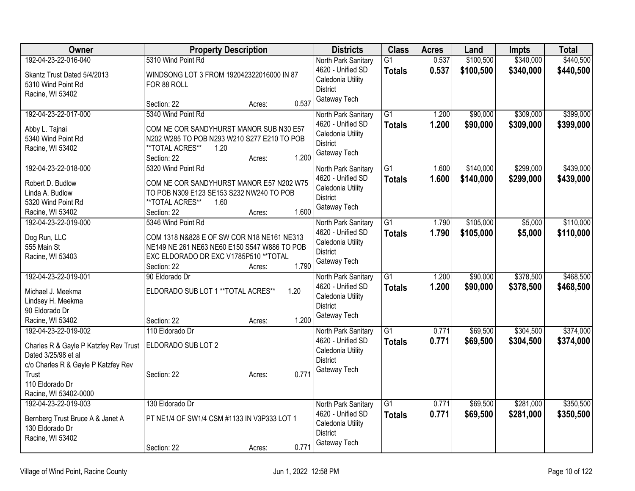| Owner                                         | <b>Property Description</b>                                                            | <b>Districts</b>    | <b>Class</b>    | <b>Acres</b> | Land      | <b>Impts</b> | <b>Total</b> |
|-----------------------------------------------|----------------------------------------------------------------------------------------|---------------------|-----------------|--------------|-----------|--------------|--------------|
| 192-04-23-22-016-040                          | 5310 Wind Point Rd                                                                     | North Park Sanitary | $\overline{G1}$ | 0.537        | \$100,500 | \$340,000    | \$440,500    |
| Skantz Trust Dated 5/4/2013                   | WINDSONG LOT 3 FROM 192042322016000 IN 87                                              | 4620 - Unified SD   | <b>Totals</b>   | 0.537        | \$100,500 | \$340,000    | \$440,500    |
| 5310 Wind Point Rd                            | FOR 88 ROLL                                                                            | Caledonia Utility   |                 |              |           |              |              |
| Racine, WI 53402                              |                                                                                        | <b>District</b>     |                 |              |           |              |              |
|                                               | 0.537<br>Section: 22<br>Acres:                                                         | Gateway Tech        |                 |              |           |              |              |
| 192-04-23-22-017-000                          | 5340 Wind Point Rd                                                                     | North Park Sanitary | $\overline{G1}$ | 1.200        | \$90,000  | \$309,000    | \$399,000    |
| Abby L. Tajnai                                | COM NE COR SANDYHURST MANOR SUB N30 E57                                                | 4620 - Unified SD   | <b>Totals</b>   | 1.200        | \$90,000  | \$309,000    | \$399,000    |
| 5340 Wind Point Rd                            | N202 W285 TO POB N293 W210 S277 E210 TO POB                                            | Caledonia Utility   |                 |              |           |              |              |
| Racine, WI 53402                              | **TOTAL ACRES**<br>1.20                                                                | <b>District</b>     |                 |              |           |              |              |
|                                               | 1.200<br>Section: 22<br>Acres:                                                         | Gateway Tech        |                 |              |           |              |              |
| 192-04-23-22-018-000                          | 5320 Wind Point Rd                                                                     | North Park Sanitary | $\overline{G1}$ | 1.600        | \$140,000 | \$299,000    | \$439,000    |
| Robert D. Budlow                              | COM NE COR SANDYHURST MANOR E57 N202 W75                                               | 4620 - Unified SD   | <b>Totals</b>   | 1.600        | \$140,000 | \$299,000    | \$439,000    |
| Linda A. Budlow                               | TO POB N309 E123 SE153 S232 NW240 TO POB                                               | Caledonia Utility   |                 |              |           |              |              |
| 5320 Wind Point Rd                            | **TOTAL ACRES**<br>1.60                                                                | <b>District</b>     |                 |              |           |              |              |
| Racine, WI 53402                              | 1.600<br>Section: 22<br>Acres:                                                         | Gateway Tech        |                 |              |           |              |              |
| 192-04-23-22-019-000                          | 5346 Wind Point Rd                                                                     | North Park Sanitary | $\overline{G1}$ | 1.790        | \$105,000 | \$5,000      | \$110,000    |
|                                               |                                                                                        | 4620 - Unified SD   | <b>Totals</b>   | 1.790        | \$105,000 | \$5,000      | \$110,000    |
| Dog Run, LLC<br>555 Main St                   | COM 1318 N&828 E OF SW COR N18 NE161 NE313                                             | Caledonia Utility   |                 |              |           |              |              |
| Racine, WI 53403                              | NE149 NE 261 NE63 NE60 E150 S547 W886 TO POB<br>EXC ELDORADO DR EXC V1785P510 ** TOTAL | <b>District</b>     |                 |              |           |              |              |
|                                               | 1.790<br>Section: 22<br>Acres:                                                         | Gateway Tech        |                 |              |           |              |              |
| 192-04-23-22-019-001                          | 90 Eldorado Dr                                                                         | North Park Sanitary | $\overline{G1}$ | 1.200        | \$90,000  | \$378,500    | \$468,500    |
|                                               |                                                                                        | 4620 - Unified SD   | <b>Totals</b>   | 1.200        | \$90,000  | \$378,500    | \$468,500    |
| Michael J. Meekma                             | ELDORADO SUB LOT 1 ** TOTAL ACRES**<br>1.20                                            | Caledonia Utility   |                 |              |           |              |              |
| Lindsey H. Meekma                             |                                                                                        | <b>District</b>     |                 |              |           |              |              |
| 90 Eldorado Dr<br>Racine, WI 53402            | 1.200<br>Section: 22                                                                   | Gateway Tech        |                 |              |           |              |              |
| 192-04-23-22-019-002                          | Acres:<br>110 Eldorado Dr                                                              | North Park Sanitary | $\overline{G1}$ | 0.771        | \$69,500  | \$304,500    | \$374,000    |
|                                               |                                                                                        | 4620 - Unified SD   | <b>Totals</b>   | 0.771        | \$69,500  | \$304,500    | \$374,000    |
| Charles R & Gayle P Katzfey Rev Trust         | ELDORADO SUB LOT 2                                                                     | Caledonia Utility   |                 |              |           |              |              |
| Dated 3/25/98 et al                           |                                                                                        | <b>District</b>     |                 |              |           |              |              |
| c/o Charles R & Gayle P Katzfey Rev           |                                                                                        | Gateway Tech        |                 |              |           |              |              |
| Trust                                         | 0.771<br>Section: 22<br>Acres:                                                         |                     |                 |              |           |              |              |
| 110 Eldorado Dr                               |                                                                                        |                     |                 |              |           |              |              |
| Racine, WI 53402-0000<br>192-04-23-22-019-003 | 130 Eldorado Dr                                                                        | North Park Sanitary | $\overline{G1}$ | 0.771        | \$69,500  | \$281,000    | \$350,500    |
|                                               |                                                                                        | 4620 - Unified SD   | <b>Totals</b>   | 0.771        | \$69,500  | \$281,000    | \$350,500    |
| Bernberg Trust Bruce A & Janet A              | PT NE1/4 OF SW1/4 CSM #1133 IN V3P333 LOT 1                                            | Caledonia Utility   |                 |              |           |              |              |
| 130 Eldorado Dr                               |                                                                                        | <b>District</b>     |                 |              |           |              |              |
| Racine, WI 53402                              |                                                                                        | Gateway Tech        |                 |              |           |              |              |
|                                               | 0.771<br>Section: 22<br>Acres:                                                         |                     |                 |              |           |              |              |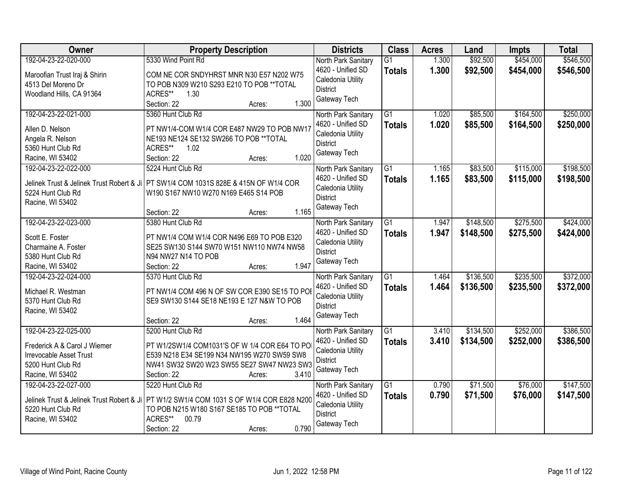| Owner                                                                                                                           | <b>Property Description</b>                                                                                                                                                                                          | <b>Districts</b>                                                                                 | <b>Class</b>                     | <b>Acres</b>   | Land                   | <b>Impts</b>           | <b>Total</b>           |
|---------------------------------------------------------------------------------------------------------------------------------|----------------------------------------------------------------------------------------------------------------------------------------------------------------------------------------------------------------------|--------------------------------------------------------------------------------------------------|----------------------------------|----------------|------------------------|------------------------|------------------------|
| 192-04-23-22-020-000<br>Maroofian Trust Iraj & Shirin<br>4513 Del Moreno Dr<br>Woodland Hills, CA 91364                         | 5330 Wind Point Rd<br>COM NE COR SNDYHRST MNR N30 E57 N202 W75<br>TO POB N309 W210 S293 E210 TO POB ** TOTAL<br>ACRES**<br>1.30<br>1.300<br>Section: 22<br>Acres:                                                    | North Park Sanitary<br>4620 - Unified SD<br>Caledonia Utility<br><b>District</b><br>Gateway Tech | $\overline{G1}$<br><b>Totals</b> | 1.300<br>1.300 | \$92,500<br>\$92,500   | \$454,000<br>\$454,000 | \$546,500<br>\$546,500 |
| 192-04-23-22-021-000<br>Allen D. Nelson<br>Angela R. Nelson<br>5360 Hunt Club Rd<br>Racine, WI 53402                            | 5360 Hunt Club Rd<br>PT NW1/4-COM W1/4 COR E487 NW29 TO POB NW17<br>NE193 NE124 SE132 SW266 TO POB ** TOTAL<br>ACRES**<br>1.02<br>1.020<br>Section: 22<br>Acres:                                                     | North Park Sanitary<br>4620 - Unified SD<br>Caledonia Utility<br><b>District</b><br>Gateway Tech | $\overline{G1}$<br><b>Totals</b> | 1.020<br>1.020 | \$85,500<br>\$85,500   | \$164,500<br>\$164,500 | \$250,000<br>\$250,000 |
| 192-04-23-22-022-000<br>5224 Hunt Club Rd<br>Racine, WI 53402                                                                   | 5224 Hunt Club Rd<br>Jelinek Trust & Jelinek Trust Robert & Ji   PT SW1/4 COM 1031S 828E & 415N OF W1/4 COR<br>W190 S167 NW10 W270 N169 E465 S14 POB<br>1.165<br>Section: 22<br>Acres:                               | North Park Sanitary<br>4620 - Unified SD<br>Caledonia Utility<br><b>District</b><br>Gateway Tech | $\overline{G1}$<br><b>Totals</b> | 1.165<br>1.165 | \$83,500<br>\$83,500   | \$115,000<br>\$115,000 | \$198,500<br>\$198,500 |
| 192-04-23-22-023-000<br>Scott E. Foster<br>Charmaine A. Foster<br>5380 Hunt Club Rd<br>Racine, WI 53402                         | 5380 Hunt Club Rd<br>PT NW1/4 COM W1/4 COR N496 E69 TO POB E320<br>SE25 SW130 S144 SW70 W151 NW110 NW74 NW58<br>N94 NW27 N14 TO POB<br>1.947<br>Section: 22<br>Acres:                                                | North Park Sanitary<br>4620 - Unified SD<br>Caledonia Utility<br><b>District</b><br>Gateway Tech | G1<br><b>Totals</b>              | 1.947<br>1.947 | \$148,500<br>\$148,500 | \$275,500<br>\$275,500 | \$424,000<br>\$424,000 |
| 192-04-23-22-024-000<br>Michael R. Westman<br>5370 Hunt Club Rd<br>Racine, WI 53402                                             | 5370 Hunt Club Rd<br>PT NW1/4 COM 496 N OF SW COR E390 SE15 TO PO<br>SE9 SW130 S144 SE18 NE193 E 127 N&W TO POB<br>1.464<br>Section: 22<br>Acres:                                                                    | North Park Sanitary<br>4620 - Unified SD<br>Caledonia Utility<br><b>District</b><br>Gateway Tech | $\overline{G1}$<br><b>Totals</b> | 1.464<br>1.464 | \$136,500<br>\$136,500 | \$235,500<br>\$235,500 | \$372,000<br>\$372,000 |
| 192-04-23-22-025-000<br>Frederick A & Carol J Wiemer<br><b>Irrevocable Asset Trust</b><br>5200 Hunt Club Rd<br>Racine, WI 53402 | 5200 Hunt Club Rd<br>PT W1/2SW1/4 COM1031'S OF W 1/4 COR E64 TO PO<br>E539 N218 E34 SE199 N34 NW195 W270 SW59 SW8<br>NW41 SW32 SW20 W23 SW55 SE27 SW47 NW23 SW3<br>Section: 22<br>3.410<br>Acres:                    | North Park Sanitary<br>4620 - Unified SD<br>Caledonia Utility<br><b>District</b><br>Gateway Tech | $\overline{G1}$<br><b>Totals</b> | 3.410<br>3.410 | \$134,500<br>\$134,500 | \$252,000<br>\$252,000 | \$386,500<br>\$386,500 |
| 192-04-23-22-027-000<br>5220 Hunt Club Rd<br>Racine, WI 53402                                                                   | 5220 Hunt Club Rd<br>Jelinek Trust & Jelinek Trust Robert & Ji   PT W1/2 SW1/4 COM 1031 S OF W1/4 COR E828 N200<br>TO POB N215 W180 S167 SE185 TO POB ** TOTAL<br>ACRES**<br>00.79<br>0.790<br>Section: 22<br>Acres: | North Park Sanitary<br>4620 - Unified SD<br>Caledonia Utility<br><b>District</b><br>Gateway Tech | $\overline{G1}$<br><b>Totals</b> | 0.790<br>0.790 | \$71,500<br>\$71,500   | \$76,000<br>\$76,000   | \$147,500<br>\$147,500 |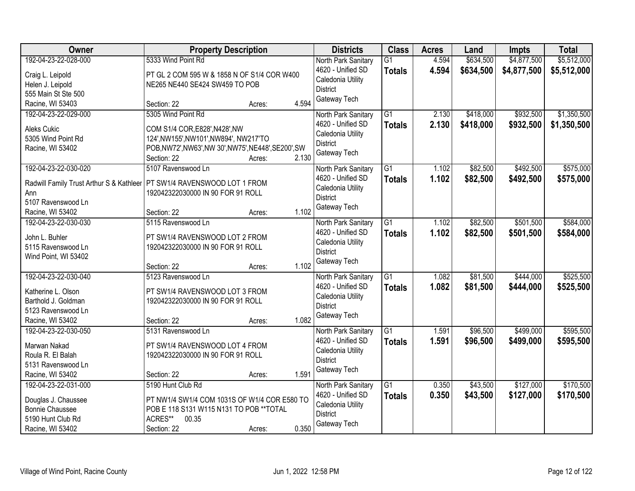| Owner                                                                     | <b>Property Description</b>                                         |        |       | <b>Districts</b>                     | <b>Class</b>    | <b>Acres</b> | Land      | <b>Impts</b> | <b>Total</b> |
|---------------------------------------------------------------------------|---------------------------------------------------------------------|--------|-------|--------------------------------------|-----------------|--------------|-----------|--------------|--------------|
| 192-04-23-22-028-000                                                      | 5333 Wind Point Rd                                                  |        |       | North Park Sanitary                  | $\overline{G1}$ | 4.594        | \$634,500 | \$4,877,500  | \$5,512,000  |
| Craig L. Leipold                                                          | PT GL 2 COM 595 W & 1858 N OF S1/4 COR W400                         |        |       | 4620 - Unified SD                    | <b>Totals</b>   | 4.594        | \$634,500 | \$4,877,500  | \$5,512,000  |
| Helen J. Leipold                                                          | NE265 NE440 SE424 SW459 TO POB                                      |        |       | Caledonia Utility                    |                 |              |           |              |              |
| 555 Main St Ste 500                                                       |                                                                     |        |       | <b>District</b>                      |                 |              |           |              |              |
| Racine, WI 53403                                                          | Section: 22                                                         | Acres: | 4.594 | Gateway Tech                         |                 |              |           |              |              |
| 192-04-23-22-029-000                                                      | 5305 Wind Point Rd                                                  |        |       | North Park Sanitary                  | $\overline{G1}$ | 2.130        | \$418,000 | \$932,500    | \$1,350,500  |
|                                                                           |                                                                     |        |       | 4620 - Unified SD                    | Totals          | 2.130        | \$418,000 | \$932,500    | \$1,350,500  |
| Aleks Cukic                                                               | COM S1/4 COR, E828', N428', NW                                      |        |       | Caledonia Utility                    |                 |              |           |              |              |
| 5305 Wind Point Rd                                                        | 124', NW155', NW101', NW894', NW217'TO                              |        |       | <b>District</b>                      |                 |              |           |              |              |
| Racine, WI 53402                                                          | POB, NW72', NW63', NW 30', NW75', NE448', SE200', SW<br>Section: 22 | Acres: | 2.130 | Gateway Tech                         |                 |              |           |              |              |
| 192-04-23-22-030-020                                                      | 5107 Ravenswood Ln                                                  |        |       | North Park Sanitary                  | $\overline{G1}$ | 1.102        | \$82,500  | \$492,500    | \$575,000    |
|                                                                           |                                                                     |        |       | 4620 - Unified SD                    |                 | 1.102        | \$82,500  | \$492,500    | \$575,000    |
| Radwill Family Trust Arthur S & Kathleer   PT SW1/4 RAVENSWOOD LOT 1 FROM |                                                                     |        |       | Caledonia Utility                    | <b>Totals</b>   |              |           |              |              |
| Ann                                                                       | 192042322030000 IN 90 FOR 91 ROLL                                   |        |       | <b>District</b>                      |                 |              |           |              |              |
| 5107 Ravenswood Ln                                                        |                                                                     |        |       | Gateway Tech                         |                 |              |           |              |              |
| Racine, WI 53402                                                          | Section: 22                                                         | Acres: | 1.102 |                                      |                 |              |           |              |              |
| 192-04-23-22-030-030                                                      | 5115 Ravenswood Ln                                                  |        |       | North Park Sanitary                  | G1              | 1.102        | \$82,500  | \$501,500    | \$584,000    |
| John L. Buhler                                                            | PT SW1/4 RAVENSWOOD LOT 2 FROM                                      |        |       | 4620 - Unified SD                    | <b>Totals</b>   | 1.102        | \$82,500  | \$501,500    | \$584,000    |
| 5115 Ravenswood Ln                                                        | 192042322030000 IN 90 FOR 91 ROLL                                   |        |       | Caledonia Utility                    |                 |              |           |              |              |
| Wind Point, WI 53402                                                      |                                                                     |        |       | <b>District</b>                      |                 |              |           |              |              |
|                                                                           | Section: 22                                                         | Acres: | 1.102 | Gateway Tech                         |                 |              |           |              |              |
| 192-04-23-22-030-040                                                      | 5123 Ravenswood Ln                                                  |        |       | North Park Sanitary                  | $\overline{G1}$ | 1.082        | \$81,500  | \$444,000    | \$525,500    |
|                                                                           |                                                                     |        |       | 4620 - Unified SD                    | Totals          | 1.082        | \$81,500  | \$444,000    | \$525,500    |
| Katherine L. Olson                                                        | PT SW1/4 RAVENSWOOD LOT 3 FROM                                      |        |       | Caledonia Utility                    |                 |              |           |              |              |
| Barthold J. Goldman                                                       | 192042322030000 IN 90 FOR 91 ROLL                                   |        |       | <b>District</b>                      |                 |              |           |              |              |
| 5123 Ravenswood Ln<br>Racine, WI 53402                                    | Section: 22                                                         |        | 1.082 | Gateway Tech                         |                 |              |           |              |              |
| 192-04-23-22-030-050                                                      |                                                                     | Acres: |       |                                      | $\overline{G1}$ |              |           |              | \$595,500    |
|                                                                           | 5131 Ravenswood Ln                                                  |        |       | North Park Sanitary                  |                 | 1.591        | \$96,500  | \$499,000    |              |
| Marwan Nakad                                                              | PT SW1/4 RAVENSWOOD LOT 4 FROM                                      |        |       | 4620 - Unified SD                    | <b>Totals</b>   | 1.591        | \$96,500  | \$499,000    | \$595,500    |
| Roula R. El Balah                                                         | 192042322030000 IN 90 FOR 91 ROLL                                   |        |       | Caledonia Utility<br><b>District</b> |                 |              |           |              |              |
| 5131 Ravenswood Ln                                                        |                                                                     |        |       | Gateway Tech                         |                 |              |           |              |              |
| Racine, WI 53402                                                          | Section: 22                                                         | Acres: | 1.591 |                                      |                 |              |           |              |              |
| 192-04-23-22-031-000                                                      | 5190 Hunt Club Rd                                                   |        |       | North Park Sanitary                  | $\overline{G1}$ | 0.350        | \$43,500  | \$127,000    | \$170,500    |
| Douglas J. Chaussee                                                       | PT NW1/4 SW1/4 COM 1031S OF W1/4 COR E580 TO                        |        |       | 4620 - Unified SD                    | <b>Totals</b>   | 0.350        | \$43,500  | \$127,000    | \$170,500    |
| <b>Bonnie Chaussee</b>                                                    | POB E 118 S131 W115 N131 TO POB ** TOTAL                            |        |       | Caledonia Utility                    |                 |              |           |              |              |
| 5190 Hunt Club Rd                                                         | ACRES**<br>00.35                                                    |        |       | <b>District</b>                      |                 |              |           |              |              |
| Racine, WI 53402                                                          | Section: 22                                                         | Acres: | 0.350 | Gateway Tech                         |                 |              |           |              |              |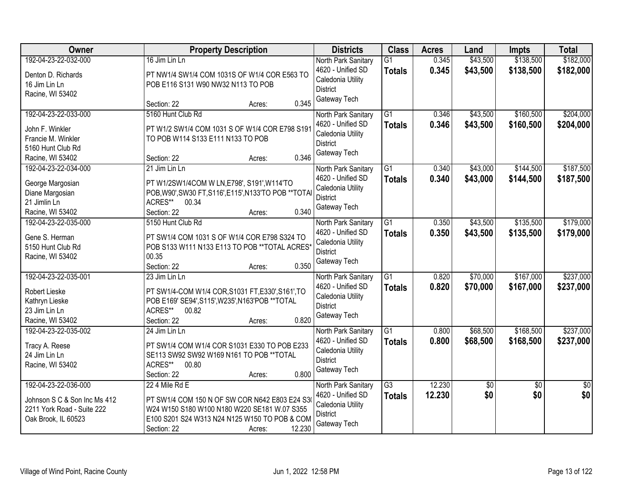| Owner                        | <b>Property Description</b>                           | <b>Districts</b>                     | <b>Class</b>    | <b>Acres</b> | Land       | <b>Impts</b>    | <b>Total</b>    |
|------------------------------|-------------------------------------------------------|--------------------------------------|-----------------|--------------|------------|-----------------|-----------------|
| 192-04-23-22-032-000         | 16 Jim Lin Ln                                         | North Park Sanitary                  | $\overline{G1}$ | 0.345        | \$43,500   | \$138,500       | \$182,000       |
| Denton D. Richards           | PT NW1/4 SW1/4 COM 1031S OF W1/4 COR E563 TO          | 4620 - Unified SD                    | <b>Totals</b>   | 0.345        | \$43,500   | \$138,500       | \$182,000       |
| 16 Jim Lin Ln                | POB E116 S131 W90 NW32 N113 TO POB                    | Caledonia Utility                    |                 |              |            |                 |                 |
| Racine, WI 53402             |                                                       | <b>District</b><br>Gateway Tech      |                 |              |            |                 |                 |
|                              | 0.345<br>Section: 22<br>Acres:                        |                                      |                 |              |            |                 |                 |
| 192-04-23-22-033-000         | 5160 Hunt Club Rd                                     | North Park Sanitary                  | $\overline{G1}$ | 0.346        | \$43,500   | \$160,500       | \$204,000       |
| John F. Winkler              | PT W1/2 SW1/4 COM 1031 S OF W1/4 COR E798 S191        | 4620 - Unified SD                    | <b>Totals</b>   | 0.346        | \$43,500   | \$160,500       | \$204,000       |
| Francie M. Winkler           | TO POB W114 S133 E111 N133 TO POB                     | Caledonia Utility<br><b>District</b> |                 |              |            |                 |                 |
| 5160 Hunt Club Rd            |                                                       | Gateway Tech                         |                 |              |            |                 |                 |
| Racine, WI 53402             | 0.346<br>Section: 22<br>Acres:                        |                                      |                 |              |            |                 |                 |
| 192-04-23-22-034-000         | 21 Jim Lin Ln                                         | North Park Sanitary                  | $\overline{G1}$ | 0.340        | \$43,000   | \$144,500       | \$187,500       |
| George Margosian             | PT W1/2SW1/4COM W LN, E798', S191', W114'TO           | 4620 - Unified SD                    | <b>Totals</b>   | 0.340        | \$43,000   | \$144,500       | \$187,500       |
| Diane Margosian              | POB, W90', SW30 FT, S116', E115', N133'TO POB ** TOTA | Caledonia Utility                    |                 |              |            |                 |                 |
| 21 Jimlin Ln                 | ACRES** 00.34                                         | <b>District</b><br>Gateway Tech      |                 |              |            |                 |                 |
| Racine, WI 53402             | 0.340<br>Section: 22<br>Acres:                        |                                      |                 |              |            |                 |                 |
| 192-04-23-22-035-000         | 5150 Hunt Club Rd                                     | North Park Sanitary                  | G1              | 0.350        | \$43,500   | \$135,500       | \$179,000       |
| Gene S. Herman               | PT SW1/4 COM 1031 S OF W1/4 COR E798 S324 TO          | 4620 - Unified SD                    | <b>Totals</b>   | 0.350        | \$43,500   | \$135,500       | \$179,000       |
| 5150 Hunt Club Rd            | POB S133 W111 N133 E113 TO POB ** TOTAL ACRES*        | Caledonia Utility                    |                 |              |            |                 |                 |
| Racine, WI 53402             | 00.35                                                 | <b>District</b>                      |                 |              |            |                 |                 |
|                              | 0.350<br>Section: 22<br>Acres:                        | Gateway Tech                         |                 |              |            |                 |                 |
| 192-04-23-22-035-001         | 23 Jim Lin Ln                                         | North Park Sanitary                  | $\overline{G1}$ | 0.820        | \$70,000   | \$167,000       | \$237,000       |
| Robert Lieske                | PT SW1/4-COM W1/4 COR, S1031 FT, E330', S161', TO     | 4620 - Unified SD                    | <b>Totals</b>   | 0.820        | \$70,000   | \$167,000       | \$237,000       |
| Kathryn Lieske               | POB E169' SE94', S115', W235', N163'POB ** TOTAL      | Caledonia Utility                    |                 |              |            |                 |                 |
| 23 Jim Lin Ln                | ACRES**<br>00.82                                      | <b>District</b>                      |                 |              |            |                 |                 |
| Racine, WI 53402             | 0.820<br>Section: 22<br>Acres:                        | Gateway Tech                         |                 |              |            |                 |                 |
| 192-04-23-22-035-002         | 24 Jim Lin Ln                                         | North Park Sanitary                  | G1              | 0.800        | \$68,500   | \$168,500       | \$237,000       |
| Tracy A. Reese               | PT SW1/4 COM W1/4 COR S1031 E330 TO POB E233          | 4620 - Unified SD                    | <b>Totals</b>   | 0.800        | \$68,500   | \$168,500       | \$237,000       |
| 24 Jim Lin Ln                | SE113 SW92 SW92 W169 N161 TO POB ** TOTAL             | Caledonia Utility                    |                 |              |            |                 |                 |
| Racine, WI 53402             | ACRES** 00.80                                         | <b>District</b>                      |                 |              |            |                 |                 |
|                              | 0.800<br>Section: 22<br>Acres:                        | Gateway Tech                         |                 |              |            |                 |                 |
| 192-04-23-22-036-000         | 22 4 Mile Rd E                                        | North Park Sanitary                  | $\overline{G3}$ | 12.230       | $\sqrt{6}$ | $\overline{30}$ | $\overline{50}$ |
| Johnson S C & Son Inc Ms 412 | PT SW1/4 COM 150 N OF SW COR N642 E803 E24 S3         | 4620 - Unified SD                    | <b>Totals</b>   | 12.230       | \$0        | \$0             | \$0             |
| 2211 York Road - Suite 222   | W24 W150 S180 W100 N180 W220 SE181 W.07 S355          | Caledonia Utility                    |                 |              |            |                 |                 |
| Oak Brook, IL 60523          | E100 S201 S24 W313 N24 N125 W150 TO POB & COM         | District                             |                 |              |            |                 |                 |
|                              | 12.230<br>Section: 22<br>Acres:                       | Gateway Tech                         |                 |              |            |                 |                 |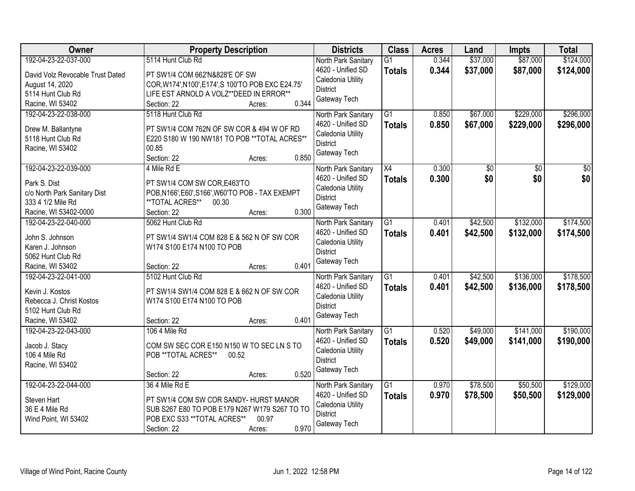| Owner                                             | <b>Property Description</b>                                                  | <b>Districts</b>                         | <b>Class</b>    | <b>Acres</b> | Land            | <b>Impts</b> | <b>Total</b>    |
|---------------------------------------------------|------------------------------------------------------------------------------|------------------------------------------|-----------------|--------------|-----------------|--------------|-----------------|
| 192-04-23-22-037-000                              | 5114 Hunt Club Rd                                                            | North Park Sanitary                      | $\overline{G1}$ | 0.344        | \$37,000        | \$87,000     | \$124,000       |
| David Volz Revocable Trust Dated                  | PT SW1/4 COM 662'N&828'E OF SW                                               | 4620 - Unified SD                        | <b>Totals</b>   | 0.344        | \$37,000        | \$87,000     | \$124,000       |
| August 14, 2020                                   | COR, W174', N100', E174', S100'TO POB EXC E24.75'                            | Caledonia Utility                        |                 |              |                 |              |                 |
| 5114 Hunt Club Rd                                 | LIFE EST ARNOLD A VOLZ**DEED IN ERROR**                                      | <b>District</b>                          |                 |              |                 |              |                 |
| Racine, WI 53402                                  | 0.344<br>Section: 22<br>Acres:                                               | Gateway Tech                             |                 |              |                 |              |                 |
| 192-04-23-22-038-000                              | 5118 Hunt Club Rd                                                            | North Park Sanitary                      | $\overline{G1}$ | 0.850        | \$67,000        | \$229,000    | \$296,000       |
| Drew M. Ballantyne                                | PT SW1/4 COM 762N OF SW COR & 494 W OF RD                                    | 4620 - Unified SD                        | <b>Totals</b>   | 0.850        | \$67,000        | \$229,000    | \$296,000       |
| 5118 Hunt Club Rd                                 | E220 S180 W 190 NW181 TO POB ** TOTAL ACRES**                                | Caledonia Utility                        |                 |              |                 |              |                 |
| Racine, WI 53402                                  | 00.85                                                                        | <b>District</b>                          |                 |              |                 |              |                 |
|                                                   | 0.850<br>Section: 22<br>Acres:                                               | Gateway Tech                             |                 |              |                 |              |                 |
| 192-04-23-22-039-000                              | 4 Mile Rd E                                                                  | North Park Sanitary                      | X4              | 0.300        | $\overline{50}$ | \$0          | $\overline{30}$ |
|                                                   |                                                                              | 4620 - Unified SD                        | <b>Totals</b>   | 0.300        | \$0             | \$0          | \$0             |
| Park S. Dist                                      | PT SW1/4 COM SW COR, E463'TO                                                 | Caledonia Utility                        |                 |              |                 |              |                 |
| c/o North Park Sanitary Dist<br>333 4 1/2 Mile Rd | POB, N166', E60', S166', W60'TO POB - TAX EXEMPT<br>**TOTAL ACRES**<br>00.30 | <b>District</b>                          |                 |              |                 |              |                 |
| Racine, WI 53402-0000                             | 0.300<br>Section: 22<br>Acres:                                               | Gateway Tech                             |                 |              |                 |              |                 |
| 192-04-23-22-040-000                              | 5062 Hunt Club Rd                                                            |                                          | G1              | 0.401        | \$42,500        | \$132,000    | \$174,500       |
|                                                   |                                                                              | North Park Sanitary<br>4620 - Unified SD |                 | 0.401        |                 |              |                 |
| John S. Johnson                                   | PT SW1/4 SW1/4 COM 828 E & 562 N OF SW COR                                   | Caledonia Utility                        | <b>Totals</b>   |              | \$42,500        | \$132,000    | \$174,500       |
| Karen J. Johnson                                  | W174 S100 E174 N100 TO POB                                                   | <b>District</b>                          |                 |              |                 |              |                 |
| 5062 Hunt Club Rd                                 |                                                                              | Gateway Tech                             |                 |              |                 |              |                 |
| Racine, WI 53402                                  | 0.401<br>Section: 22<br>Acres:                                               |                                          |                 |              |                 |              |                 |
| 192-04-23-22-041-000                              | 5102 Hunt Club Rd                                                            | North Park Sanitary                      | $\overline{G1}$ | 0.401        | \$42,500        | \$136,000    | \$178,500       |
| Kevin J. Kostos                                   | PT SW1/4 SW1/4 COM 828 E & 662 N OF SW COR                                   | 4620 - Unified SD                        | <b>Totals</b>   | 0.401        | \$42,500        | \$136,000    | \$178,500       |
| Rebecca J. Christ Kostos                          | W174 S100 E174 N100 TO POB                                                   | Caledonia Utility                        |                 |              |                 |              |                 |
| 5102 Hunt Club Rd                                 |                                                                              | <b>District</b>                          |                 |              |                 |              |                 |
| Racine, WI 53402                                  | 0.401<br>Section: 22<br>Acres:                                               | Gateway Tech                             |                 |              |                 |              |                 |
| 192-04-23-22-043-000                              | 106 4 Mile Rd                                                                | North Park Sanitary                      | $\overline{G1}$ | 0.520        | \$49,000        | \$141,000    | \$190,000       |
| Jacob J. Stacy                                    | COM SW SEC COR E150 N150 W TO SEC LN S TO                                    | 4620 - Unified SD                        | <b>Totals</b>   | 0.520        | \$49,000        | \$141,000    | \$190,000       |
| 106 4 Mile Rd                                     | POB **TOTAL ACRES**<br>00.52                                                 | Caledonia Utility                        |                 |              |                 |              |                 |
| Racine, WI 53402                                  |                                                                              | <b>District</b>                          |                 |              |                 |              |                 |
|                                                   | 0.520<br>Section: 22<br>Acres:                                               | Gateway Tech                             |                 |              |                 |              |                 |
| 192-04-23-22-044-000                              | 36 4 Mile Rd E                                                               | North Park Sanitary                      | $\overline{G1}$ | 0.970        | \$78,500        | \$50,500     | \$129,000       |
|                                                   |                                                                              | 4620 - Unified SD                        | <b>Totals</b>   | 0.970        | \$78,500        | \$50,500     | \$129,000       |
| Steven Hart                                       | PT SW1/4 COM SW COR SANDY- HURST MANOR                                       | Caledonia Utility                        |                 |              |                 |              |                 |
| 36 E 4 Mile Rd                                    | SUB S267 E80 TO POB E179 N267 W179 S267 TO TO                                | <b>District</b>                          |                 |              |                 |              |                 |
| Wind Point, WI 53402                              | POB EXC S33 ** TOTAL ACRES**<br>00.97                                        | Gateway Tech                             |                 |              |                 |              |                 |
|                                                   | 0.970<br>Section: 22<br>Acres:                                               |                                          |                 |              |                 |              |                 |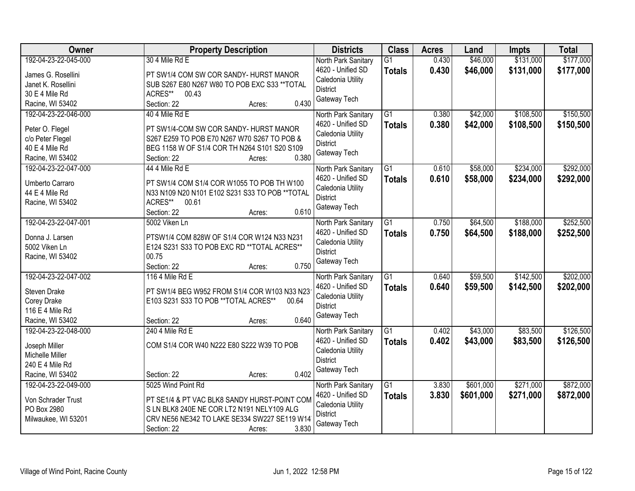| Owner                                                                                                  | <b>Property Description</b>                                                                                                                                                                        | <b>Districts</b>                                                                                 | <b>Class</b>                     | <b>Acres</b>   | Land                   | <b>Impts</b>           | <b>Total</b>           |
|--------------------------------------------------------------------------------------------------------|----------------------------------------------------------------------------------------------------------------------------------------------------------------------------------------------------|--------------------------------------------------------------------------------------------------|----------------------------------|----------------|------------------------|------------------------|------------------------|
| 192-04-23-22-045-000<br>James G. Rosellini<br>Janet K. Rosellini<br>30 E 4 Mile Rd<br>Racine, WI 53402 | 30 4 Mile Rd E<br>PT SW1/4 COM SW COR SANDY- HURST MANOR<br>SUB S267 E80 N267 W80 TO POB EXC S33 ** TOTAL<br>ACRES**<br>00.43<br>0.430<br>Section: 22<br>Acres:                                    | North Park Sanitary<br>4620 - Unified SD<br>Caledonia Utility<br><b>District</b><br>Gateway Tech | $\overline{G1}$<br><b>Totals</b> | 0.430<br>0.430 | \$46,000<br>\$46,000   | \$131,000<br>\$131,000 | \$177,000<br>\$177,000 |
| 192-04-23-22-046-000<br>Peter O. Flegel<br>c/o Peter Flegel<br>40 E 4 Mile Rd<br>Racine, WI 53402      | 40 4 Mile Rd E<br>PT SW1/4-COM SW COR SANDY- HURST MANOR<br>S267 E259 TO POB E70 N267 W70 S267 TO POB &<br>BEG 1158 W OF S1/4 COR TH N264 S101 S20 S109<br>0.380<br>Section: 22<br>Acres:          | North Park Sanitary<br>4620 - Unified SD<br>Caledonia Utility<br><b>District</b><br>Gateway Tech | $\overline{G1}$<br><b>Totals</b> | 0.380<br>0.380 | \$42,000<br>\$42,000   | \$108,500<br>\$108,500 | \$150,500<br>\$150,500 |
| 192-04-23-22-047-000<br>Umberto Carraro<br>44 E 4 Mile Rd<br>Racine, WI 53402                          | 44 4 Mile Rd E<br>PT SW1/4 COM S1/4 COR W1055 TO POB TH W100<br>N33 N109 N20 N101 E102 S231 S33 TO POB ** TOTAL<br>ACRES**<br>00.61<br>0.610<br>Section: 22<br>Acres:                              | North Park Sanitary<br>4620 - Unified SD<br>Caledonia Utility<br><b>District</b><br>Gateway Tech | $\overline{G1}$<br><b>Totals</b> | 0.610<br>0.610 | \$58,000<br>\$58,000   | \$234,000<br>\$234,000 | \$292,000<br>\$292,000 |
| 192-04-23-22-047-001<br>Donna J. Larsen<br>5002 Viken Ln<br>Racine, WI 53402                           | 5002 Viken Ln<br>PTSW1/4 COM 828W OF S1/4 COR W124 N33 N231<br>E124 S231 S33 TO POB EXC RD ** TOTAL ACRES**<br>00.75<br>0.750<br>Section: 22<br>Acres:                                             | North Park Sanitary<br>4620 - Unified SD<br>Caledonia Utility<br><b>District</b><br>Gateway Tech | G1<br><b>Totals</b>              | 0.750<br>0.750 | \$64,500<br>\$64,500   | \$188,000<br>\$188,000 | \$252,500<br>\$252,500 |
| 192-04-23-22-047-002<br>Steven Drake<br>Corey Drake<br>116 E 4 Mile Rd<br>Racine, WI 53402             | 116 4 Mile Rd E<br>PT SW1/4 BEG W952 FROM S1/4 COR W103 N33 N23<br>E103 S231 S33 TO POB ** TOTAL ACRES**<br>00.64<br>0.640<br>Section: 22<br>Acres:                                                | North Park Sanitary<br>4620 - Unified SD<br>Caledonia Utility<br><b>District</b><br>Gateway Tech | $\overline{G1}$<br><b>Totals</b> | 0.640<br>0.640 | \$59,500<br>\$59,500   | \$142,500<br>\$142,500 | \$202,000<br>\$202,000 |
| 192-04-23-22-048-000<br>Joseph Miller<br>Michelle Miller<br>240 E 4 Mile Rd<br>Racine, WI 53402        | 240 4 Mile Rd E<br>COM S1/4 COR W40 N222 E80 S222 W39 TO POB<br>0.402<br>Section: 22<br>Acres:                                                                                                     | North Park Sanitary<br>4620 - Unified SD<br>Caledonia Utility<br><b>District</b><br>Gateway Tech | $\overline{G1}$<br><b>Totals</b> | 0.402<br>0.402 | \$43,000<br>\$43,000   | \$83,500<br>\$83,500   | \$126,500<br>\$126,500 |
| 192-04-23-22-049-000<br>Von Schrader Trust<br>PO Box 2980<br>Milwaukee, WI 53201                       | 5025 Wind Point Rd<br>PT SE1/4 & PT VAC BLK8 SANDY HURST-POINT COM<br>S LN BLK8 240E NE COR LT2 N191 NELY109 ALG<br>CRV NE56 NE342 TO LAKE SE334 SW227 SE119 W14<br>3.830<br>Section: 22<br>Acres: | North Park Sanitary<br>4620 - Unified SD<br>Caledonia Utility<br><b>District</b><br>Gateway Tech | $\overline{G1}$<br><b>Totals</b> | 3.830<br>3.830 | \$601,000<br>\$601,000 | \$271,000<br>\$271,000 | \$872,000<br>\$872,000 |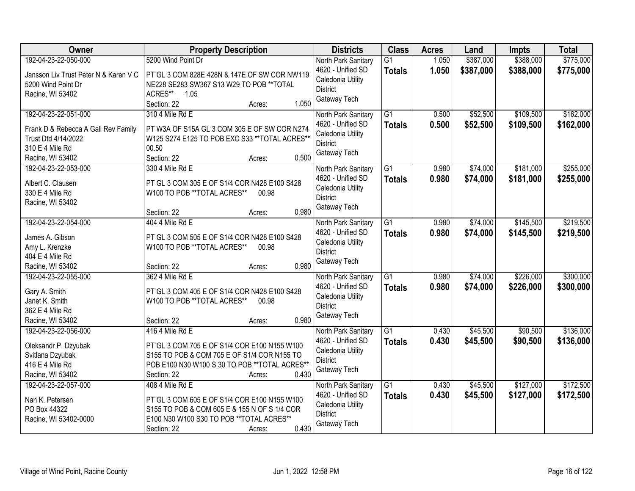| Owner                                 | <b>Property Description</b>                                                 | <b>Districts</b>    | <b>Class</b>    | <b>Acres</b> | Land      | <b>Impts</b> | <b>Total</b> |
|---------------------------------------|-----------------------------------------------------------------------------|---------------------|-----------------|--------------|-----------|--------------|--------------|
| 192-04-23-22-050-000                  | 5200 Wind Point Dr                                                          | North Park Sanitary | $\overline{G1}$ | 1.050        | \$387,000 | \$388,000    | \$775,000    |
| Jansson Liv Trust Peter N & Karen V C | PT GL 3 COM 828E 428N & 147E OF SW COR NW119                                | 4620 - Unified SD   | <b>Totals</b>   | 1.050        | \$387,000 | \$388,000    | \$775,000    |
| 5200 Wind Point Dr                    | NE228 SE283 SW367 S13 W29 TO POB ** TOTAL                                   | Caledonia Utility   |                 |              |           |              |              |
| Racine, WI 53402                      | ACRES** 1.05                                                                | <b>District</b>     |                 |              |           |              |              |
|                                       | 1.050<br>Section: 22<br>Acres:                                              | Gateway Tech        |                 |              |           |              |              |
| 192-04-23-22-051-000                  | 310 4 Mile Rd E                                                             | North Park Sanitary | $\overline{G1}$ | 0.500        | \$52,500  | \$109,500    | \$162,000    |
| Frank D & Rebecca A Gall Rev Family   | PT W3A OF S15A GL 3 COM 305 E OF SW COR N274                                | 4620 - Unified SD   | <b>Totals</b>   | 0.500        | \$52,500  | \$109,500    | \$162,000    |
| Trust Dtd 4/14/2022                   | W125 S274 E125 TO POB EXC S33 ** TOTAL ACRES**                              | Caledonia Utility   |                 |              |           |              |              |
| 310 E 4 Mile Rd                       | 00.50                                                                       | <b>District</b>     |                 |              |           |              |              |
| Racine, WI 53402                      | 0.500<br>Section: 22<br>Acres:                                              | Gateway Tech        |                 |              |           |              |              |
| 192-04-23-22-053-000                  | 330 4 Mile Rd E                                                             | North Park Sanitary | G1              | 0.980        | \$74,000  | \$181,000    | \$255,000    |
|                                       |                                                                             | 4620 - Unified SD   | <b>Totals</b>   | 0.980        | \$74,000  | \$181,000    | \$255,000    |
| Albert C. Clausen                     | PT GL 3 COM 305 E OF S1/4 COR N428 E100 S428<br>W100 TO POB **TOTAL ACRES** | Caledonia Utility   |                 |              |           |              |              |
| 330 E 4 Mile Rd                       | 00.98                                                                       | <b>District</b>     |                 |              |           |              |              |
| Racine, WI 53402                      | 0.980<br>Section: 22<br>Acres:                                              | Gateway Tech        |                 |              |           |              |              |
| 192-04-23-22-054-000                  | 404 4 Mile Rd E                                                             | North Park Sanitary | G1              | 0.980        | \$74,000  | \$145,500    | \$219,500    |
|                                       |                                                                             | 4620 - Unified SD   | <b>Totals</b>   | 0.980        | \$74,000  | \$145,500    | \$219,500    |
| James A. Gibson                       | PT GL 3 COM 505 E OF S1/4 COR N428 E100 S428                                | Caledonia Utility   |                 |              |           |              |              |
| Amy L. Krenzke                        | W100 TO POB **TOTAL ACRES**<br>00.98                                        | <b>District</b>     |                 |              |           |              |              |
| 404 E 4 Mile Rd                       |                                                                             | Gateway Tech        |                 |              |           |              |              |
| Racine, WI 53402                      | 0.980<br>Section: 22<br>Acres:                                              |                     |                 |              |           |              |              |
| 192-04-23-22-055-000                  | 362 4 Mile Rd E                                                             | North Park Sanitary | $\overline{G1}$ | 0.980        | \$74,000  | \$226,000    | \$300,000    |
| Gary A. Smith                         | PT GL 3 COM 405 E OF S1/4 COR N428 E100 S428                                | 4620 - Unified SD   | <b>Totals</b>   | 0.980        | \$74,000  | \$226,000    | \$300,000    |
| Janet K. Smith                        | W100 TO POB **TOTAL ACRES**<br>00.98                                        | Caledonia Utility   |                 |              |           |              |              |
| 362 E 4 Mile Rd                       |                                                                             | <b>District</b>     |                 |              |           |              |              |
| Racine, WI 53402                      | 0.980<br>Section: 22<br>Acres:                                              | Gateway Tech        |                 |              |           |              |              |
| 192-04-23-22-056-000                  | 416 4 Mile Rd E                                                             | North Park Sanitary | $\overline{G1}$ | 0.430        | \$45,500  | \$90,500     | \$136,000    |
| Oleksandr P. Dzyubak                  | PT GL 3 COM 705 E OF S1/4 COR E100 N155 W100                                | 4620 - Unified SD   | <b>Totals</b>   | 0.430        | \$45,500  | \$90,500     | \$136,000    |
| Svitlana Dzyubak                      | S155 TO POB & COM 705 E OF S1/4 COR N155 TO                                 | Caledonia Utility   |                 |              |           |              |              |
| 416 E 4 Mile Rd                       | POB E100 N30 W100 S 30 TO POB ** TOTAL ACRES**                              | <b>District</b>     |                 |              |           |              |              |
| Racine, WI 53402                      | 0.430<br>Section: 22<br>Acres:                                              | Gateway Tech        |                 |              |           |              |              |
| 192-04-23-22-057-000                  | 408 4 Mile Rd E                                                             | North Park Sanitary | G1              | 0.430        | \$45,500  | \$127,000    | \$172,500    |
| Nan K. Petersen                       | PT GL 3 COM 605 E OF S1/4 COR E100 N155 W100                                | 4620 - Unified SD   | <b>Totals</b>   | 0.430        | \$45,500  | \$127,000    | \$172,500    |
| PO Box 44322                          | S155 TO POB & COM 605 E & 155 N OF S 1/4 COR                                | Caledonia Utility   |                 |              |           |              |              |
| Racine, WI 53402-0000                 | E100 N30 W100 S30 TO POB **TOTAL ACRES**                                    | <b>District</b>     |                 |              |           |              |              |
|                                       | 0.430<br>Section: 22<br>Acres:                                              | Gateway Tech        |                 |              |           |              |              |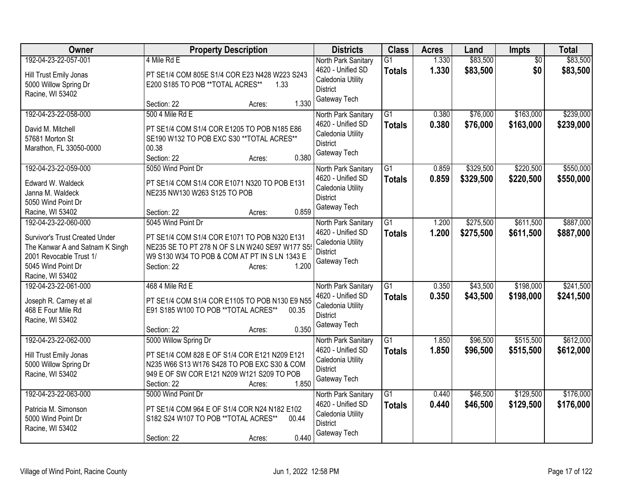| Owner                                                                                                                                                                 | <b>Property Description</b>                                                                                                                                                                             | <b>Districts</b>                                                                                 | <b>Class</b>                     | <b>Acres</b>   | Land                   | Impts                  | <b>Total</b>           |
|-----------------------------------------------------------------------------------------------------------------------------------------------------------------------|---------------------------------------------------------------------------------------------------------------------------------------------------------------------------------------------------------|--------------------------------------------------------------------------------------------------|----------------------------------|----------------|------------------------|------------------------|------------------------|
| 192-04-23-22-057-001<br>Hill Trust Emily Jonas<br>5000 Willow Spring Dr<br>Racine, WI 53402                                                                           | 4 Mile Rd E<br>PT SE1/4 COM 805E S1/4 COR E23 N428 W223 S243<br>E200 S185 TO POB **TOTAL ACRES**<br>1.33<br>1.330<br>Section: 22<br>Acres:                                                              | North Park Sanitary<br>4620 - Unified SD<br>Caledonia Utility<br><b>District</b><br>Gateway Tech | $\overline{G1}$<br><b>Totals</b> | 1.330<br>1.330 | \$83,500<br>\$83,500   | $\overline{50}$<br>\$0 | \$83,500<br>\$83,500   |
| 192-04-23-22-058-000<br>David M. Mitchell<br>57681 Morton St<br>Marathon, FL 33050-0000                                                                               | 500 4 Mile Rd E<br>PT SE1/4 COM S1/4 COR E1205 TO POB N185 E86<br>SE190 W132 TO POB EXC S30 ** TOTAL ACRES**<br>00.38<br>0.380<br>Section: 22<br>Acres:                                                 | North Park Sanitary<br>4620 - Unified SD<br>Caledonia Utility<br><b>District</b><br>Gateway Tech | G1<br><b>Totals</b>              | 0.380<br>0.380 | \$76,000<br>\$76,000   | \$163,000<br>\$163,000 | \$239,000<br>\$239,000 |
| 192-04-23-22-059-000<br>Edward W. Waldeck<br>Janna M. Waldeck<br>5050 Wind Point Dr<br>Racine, WI 53402                                                               | 5050 Wind Point Dr<br>PT SE1/4 COM S1/4 COR E1071 N320 TO POB E131<br>NE235 NW130 W263 S125 TO POB<br>0.859<br>Section: 22<br>Acres:                                                                    | North Park Sanitary<br>4620 - Unified SD<br>Caledonia Utility<br><b>District</b><br>Gateway Tech | $\overline{G1}$<br><b>Totals</b> | 0.859<br>0.859 | \$329,500<br>\$329,500 | \$220,500<br>\$220,500 | \$550,000<br>\$550,000 |
| 192-04-23-22-060-000<br><b>Survivor's Trust Created Under</b><br>The Kanwar A and Satnam K Singh<br>2001 Revocable Trust 1/<br>5045 Wind Point Dr<br>Racine, WI 53402 | 5045 Wind Point Dr<br>PT SE1/4 COM S1/4 COR E1071 TO POB N320 E131<br>NE235 SE TO PT 278 N OF S LN W240 SE97 W177 S5<br>W9 S130 W34 TO POB & COM AT PT IN S LN 1343 E<br>1.200<br>Section: 22<br>Acres: | North Park Sanitary<br>4620 - Unified SD<br>Caledonia Utility<br><b>District</b><br>Gateway Tech | $\overline{G1}$<br><b>Totals</b> | 1.200<br>1.200 | \$275,500<br>\$275,500 | \$611,500<br>\$611,500 | \$887,000<br>\$887,000 |
| 192-04-23-22-061-000<br>Joseph R. Carney et al<br>468 E Four Mile Rd<br>Racine, WI 53402                                                                              | 468 4 Mile Rd E<br>PT SE1/4 COM S1/4 COR E1105 TO POB N130 E9 N55<br>E91 S185 W100 TO POB ** TOTAL ACRES**<br>00.35<br>0.350<br>Section: 22<br>Acres:                                                   | North Park Sanitary<br>4620 - Unified SD<br>Caledonia Utility<br><b>District</b><br>Gateway Tech | $\overline{G1}$<br><b>Totals</b> | 0.350<br>0.350 | \$43,500<br>\$43,500   | \$198,000<br>\$198,000 | \$241,500<br>\$241,500 |
| 192-04-23-22-062-000<br>Hill Trust Emily Jonas<br>5000 Willow Spring Dr<br>Racine, WI 53402                                                                           | 5000 Willow Spring Dr<br>PT SE1/4 COM 828 E OF S1/4 COR E121 N209 E121<br>N235 W66 S13 W176 S428 TO POB EXC S30 & COM<br>949 E OF SW COR E121 N209 W121 S209 TO POB<br>1.850<br>Section: 22<br>Acres:   | North Park Sanitary<br>4620 - Unified SD<br>Caledonia Utility<br><b>District</b><br>Gateway Tech | $\overline{G1}$<br><b>Totals</b> | 1.850<br>1.850 | \$96,500<br>\$96,500   | \$515,500<br>\$515,500 | \$612,000<br>\$612,000 |
| 192-04-23-22-063-000<br>Patricia M. Simonson<br>5000 Wind Point Dr<br>Racine, WI 53402                                                                                | 5000 Wind Point Dr<br>PT SE1/4 COM 964 E OF S1/4 COR N24 N182 E102<br>S182 S24 W107 TO POB **TOTAL ACRES**<br>00.44<br>0.440<br>Section: 22<br>Acres:                                                   | North Park Sanitary<br>4620 - Unified SD<br>Caledonia Utility<br><b>District</b><br>Gateway Tech | $\overline{G1}$<br><b>Totals</b> | 0.440<br>0.440 | \$46,500<br>\$46,500   | \$129,500<br>\$129,500 | \$176,000<br>\$176,000 |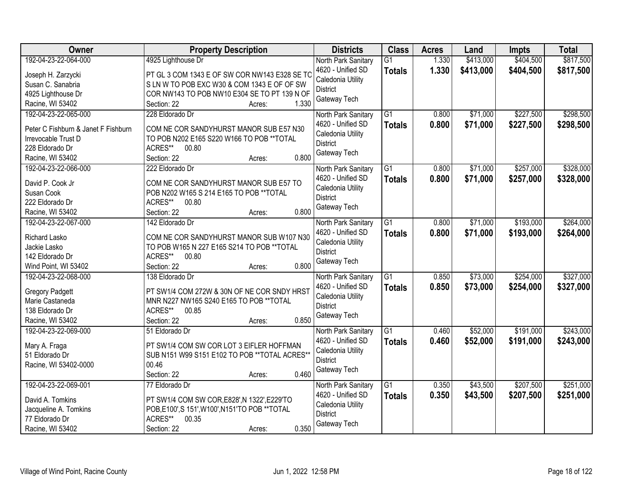| Owner                               | <b>Property Description</b>                             | <b>Districts</b>                     | <b>Class</b>    | <b>Acres</b> | Land      | <b>Impts</b> | <b>Total</b> |
|-------------------------------------|---------------------------------------------------------|--------------------------------------|-----------------|--------------|-----------|--------------|--------------|
| 192-04-23-22-064-000                | 4925 Lighthouse Dr                                      | North Park Sanitary                  | $\overline{G1}$ | 1.330        | \$413,000 | \$404,500    | \$817,500    |
| Joseph H. Zarzycki                  | PT GL 3 COM 1343 E OF SW COR NW143 E328 SE TO           | 4620 - Unified SD                    | <b>Totals</b>   | 1.330        | \$413,000 | \$404,500    | \$817,500    |
| Susan C. Sanabria                   | S LN W TO POB EXC W30 & COM 1343 E OF OF SW             | Caledonia Utility                    |                 |              |           |              |              |
| 4925 Lighthouse Dr                  | COR NW143 TO POB NW10 E304 SE TO PT 139 N OF            | <b>District</b>                      |                 |              |           |              |              |
| Racine, WI 53402                    | 1.330<br>Section: 22<br>Acres:                          | Gateway Tech                         |                 |              |           |              |              |
| 192-04-23-22-065-000                | 228 Eldorado Dr                                         | North Park Sanitary                  | $\overline{G1}$ | 0.800        | \$71,000  | \$227,500    | \$298,500    |
|                                     |                                                         | 4620 - Unified SD                    | <b>Totals</b>   | 0.800        | \$71,000  | \$227,500    | \$298,500    |
| Peter C Fishburn & Janet F Fishburn | COM NE COR SANDYHURST MANOR SUB E57 N30                 | Caledonia Utility                    |                 |              |           |              |              |
| Irrevocable Trust D                 | TO POB N202 E165 S220 W166 TO POB ** TOTAL              | <b>District</b>                      |                 |              |           |              |              |
| 228 Eldorado Dr                     | ACRES**<br>00.80                                        | Gateway Tech                         |                 |              |           |              |              |
| Racine, WI 53402                    | 0.800<br>Section: 22<br>Acres:                          |                                      |                 |              |           |              |              |
| 192-04-23-22-066-000                | 222 Eldorado Dr                                         | North Park Sanitary                  | G1              | 0.800        | \$71,000  | \$257,000    | \$328,000    |
| David P. Cook Jr                    | COM NE COR SANDYHURST MANOR SUB E57 TO                  | 4620 - Unified SD                    | <b>Totals</b>   | 0.800        | \$71,000  | \$257,000    | \$328,000    |
| Susan Cook                          | POB N202 W165 S 214 E165 TO POB ** TOTAL                | Caledonia Utility                    |                 |              |           |              |              |
| 222 Eldorado Dr                     | ACRES**<br>00.80                                        | <b>District</b>                      |                 |              |           |              |              |
| Racine, WI 53402                    | 0.800<br>Section: 22<br>Acres:                          | Gateway Tech                         |                 |              |           |              |              |
| 192-04-23-22-067-000                | 142 Eldorado Dr                                         | North Park Sanitary                  | G1              | 0.800        | \$71,000  | \$193,000    | \$264,000    |
|                                     |                                                         | 4620 - Unified SD                    | <b>Totals</b>   | 0.800        | \$71,000  | \$193,000    | \$264,000    |
| Richard Lasko                       | COM NE COR SANDYHURST MANOR SUB W107 N30                | Caledonia Utility                    |                 |              |           |              |              |
| Jackie Lasko                        | TO POB W165 N 227 E165 S214 TO POB ** TOTAL             | <b>District</b>                      |                 |              |           |              |              |
| 142 Eldorado Dr                     | ACRES**<br>00.80                                        | Gateway Tech                         |                 |              |           |              |              |
| Wind Point, WI 53402                | 0.800<br>Section: 22<br>Acres:                          |                                      |                 |              |           |              |              |
| 192-04-23-22-068-000                | 138 Eldorado Dr                                         | North Park Sanitary                  | $\overline{G1}$ | 0.850        | \$73,000  | \$254,000    | \$327,000    |
| <b>Gregory Padgett</b>              | PT SW1/4 COM 272W & 30N OF NE COR SNDY HRST             | 4620 - Unified SD                    | <b>Totals</b>   | 0.850        | \$73,000  | \$254,000    | \$327,000    |
| Marie Castaneda                     | MNR N227 NW165 S240 E165 TO POB ** TOTAL                | Caledonia Utility                    |                 |              |           |              |              |
| 138 Eldorado Dr                     | ACRES**<br>00.85                                        | <b>District</b>                      |                 |              |           |              |              |
| Racine, WI 53402                    | 0.850<br>Section: 22<br>Acres:                          | Gateway Tech                         |                 |              |           |              |              |
| 192-04-23-22-069-000                | 51 Eldorado Dr                                          | North Park Sanitary                  | $\overline{G1}$ | 0.460        | \$52,000  | \$191,000    | \$243,000    |
|                                     |                                                         | 4620 - Unified SD                    | <b>Totals</b>   | 0.460        | \$52,000  | \$191,000    | \$243,000    |
| Mary A. Fraga                       | PT SW1/4 COM SW COR LOT 3 EIFLER HOFFMAN                | Caledonia Utility                    |                 |              |           |              |              |
| 51 Eldorado Dr                      | SUB N151 W99 S151 E102 TO POB ** TOTAL ACRES**<br>00.46 | <b>District</b>                      |                 |              |           |              |              |
| Racine, WI 53402-0000               | 0.460                                                   | Gateway Tech                         |                 |              |           |              |              |
| 192-04-23-22-069-001                | Section: 22<br>Acres:                                   |                                      |                 |              |           | \$207,500    |              |
|                                     | 77 Eldorado Dr                                          | North Park Sanitary                  | $\overline{G1}$ | 0.350        | \$43,500  |              | \$251,000    |
| David A. Tomkins                    | PT SW1/4 COM SW COR, E828', N 1322', E229'TO            | 4620 - Unified SD                    | <b>Totals</b>   | 0.350        | \$43,500  | \$207,500    | \$251,000    |
| Jacqueline A. Tomkins               | POB, E100', S 151', W100', N151'TO POB ** TOTAL         | Caledonia Utility<br><b>District</b> |                 |              |           |              |              |
| 77 Eldorado Dr                      | ACRES**<br>00.35                                        |                                      |                 |              |           |              |              |
| Racine, WI 53402                    | 0.350<br>Section: 22<br>Acres:                          | Gateway Tech                         |                 |              |           |              |              |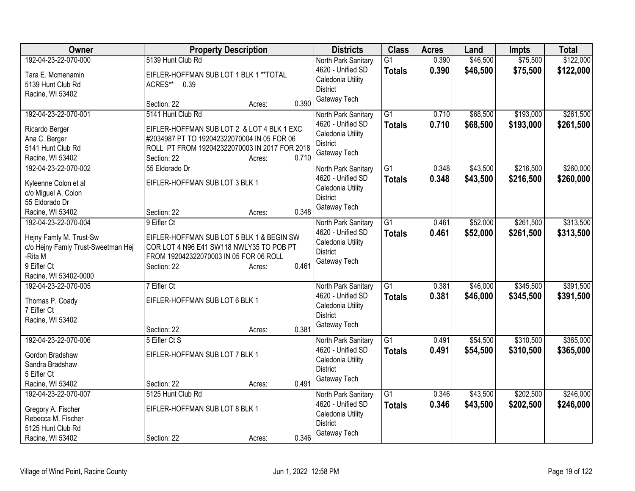| Owner                                 | <b>Property Description</b>                   |       | <b>Districts</b>                         | <b>Class</b>    | <b>Acres</b> | Land     | <b>Impts</b> | <b>Total</b> |
|---------------------------------------|-----------------------------------------------|-------|------------------------------------------|-----------------|--------------|----------|--------------|--------------|
| 192-04-23-22-070-000                  | 5139 Hunt Club Rd                             |       | North Park Sanitary                      | $\overline{G1}$ | 0.390        | \$46,500 | \$75,500     | \$122,000    |
| Tara E. Mcmenamin                     | EIFLER-HOFFMAN SUB LOT 1 BLK 1 ** TOTAL       |       | 4620 - Unified SD                        | <b>Totals</b>   | 0.390        | \$46,500 | \$75,500     | \$122,000    |
| 5139 Hunt Club Rd                     | ACRES**<br>0.39                               |       | Caledonia Utility                        |                 |              |          |              |              |
| Racine, WI 53402                      |                                               |       | <b>District</b>                          |                 |              |          |              |              |
|                                       | Section: 22<br>Acres:                         | 0.390 | Gateway Tech                             |                 |              |          |              |              |
| 192-04-23-22-070-001                  | 5141 Hunt Club Rd                             |       | North Park Sanitary                      | G1              | 0.710        | \$68,500 | \$193,000    | \$261,500    |
| Ricardo Berger                        | EIFLER-HOFFMAN SUB LOT 2 & LOT 4 BLK 1 EXC    |       | 4620 - Unified SD                        | <b>Totals</b>   | 0.710        | \$68,500 | \$193,000    | \$261,500    |
| Ana C. Berger                         | #2034987 PT TO 192042322070004 IN 05 FOR 06   |       | Caledonia Utility                        |                 |              |          |              |              |
| 5141 Hunt Club Rd                     | ROLL PT FROM 192042322070003 IN 2017 FOR 2018 |       | <b>District</b>                          |                 |              |          |              |              |
| Racine, WI 53402                      | Section: 22<br>Acres:                         | 0.710 | Gateway Tech                             |                 |              |          |              |              |
| 192-04-23-22-070-002                  | 55 Eldorado Dr                                |       | North Park Sanitary                      | $\overline{G1}$ | 0.348        | \$43,500 | \$216,500    | \$260,000    |
|                                       |                                               |       | 4620 - Unified SD                        | <b>Totals</b>   | 0.348        | \$43,500 | \$216,500    | \$260,000    |
| Kyleenne Colon et al                  | EIFLER-HOFFMAN SUB LOT 3 BLK 1                |       | Caledonia Utility                        |                 |              |          |              |              |
| c/o Miguel A. Colon<br>55 Eldorado Dr |                                               |       | <b>District</b>                          |                 |              |          |              |              |
| Racine, WI 53402                      | Section: 22<br>Acres:                         | 0.348 | Gateway Tech                             |                 |              |          |              |              |
| 192-04-23-22-070-004                  | 9 Eifler Ct                                   |       | North Park Sanitary                      | $\overline{G1}$ | 0.461        | \$52,000 | \$261,500    | \$313,500    |
|                                       |                                               |       | 4620 - Unified SD                        | <b>Totals</b>   | 0.461        | \$52,000 | \$261,500    | \$313,500    |
| Hejny Famly M. Trust-Sw               | EIFLER-HOFFMAN SUB LOT 5 BLK 1 & BEGIN SW     |       | Caledonia Utility                        |                 |              |          |              |              |
| c/o Hejny Famly Trust-Sweetman Hej    | COR LOT 4 N96 E41 SW118 NWLY35 TO POB PT      |       | <b>District</b>                          |                 |              |          |              |              |
| -Rita M                               | FROM 192042322070003 IN 05 FOR 06 ROLL        |       | Gateway Tech                             |                 |              |          |              |              |
| 9 Eifler Ct                           | Section: 22<br>Acres:                         | 0.461 |                                          |                 |              |          |              |              |
| Racine, WI 53402-0000                 |                                               |       |                                          |                 |              |          |              |              |
| 192-04-23-22-070-005                  | 7 Eifler Ct                                   |       | North Park Sanitary<br>4620 - Unified SD | G1              | 0.381        | \$46,000 | \$345,500    | \$391,500    |
| Thomas P. Coady                       | EIFLER-HOFFMAN SUB LOT 6 BLK 1                |       | Caledonia Utility                        | <b>Totals</b>   | 0.381        | \$46,000 | \$345,500    | \$391,500    |
| 7 Eifler Ct                           |                                               |       | <b>District</b>                          |                 |              |          |              |              |
| Racine, WI 53402                      |                                               |       | Gateway Tech                             |                 |              |          |              |              |
|                                       | Section: 22<br>Acres:                         | 0.381 |                                          |                 |              |          |              |              |
| 192-04-23-22-070-006                  | 5 Eifler Ct S                                 |       | North Park Sanitary                      | $\overline{G1}$ | 0.491        | \$54,500 | \$310,500    | \$365,000    |
| Gordon Bradshaw                       | EIFLER-HOFFMAN SUB LOT 7 BLK 1                |       | 4620 - Unified SD                        | <b>Totals</b>   | 0.491        | \$54,500 | \$310,500    | \$365,000    |
| Sandra Bradshaw                       |                                               |       | Caledonia Utility                        |                 |              |          |              |              |
| 5 Eifler Ct                           |                                               |       | <b>District</b>                          |                 |              |          |              |              |
| Racine, WI 53402                      | Section: 22<br>Acres:                         | 0.491 | Gateway Tech                             |                 |              |          |              |              |
| 192-04-23-22-070-007                  | 5125 Hunt Club Rd                             |       | North Park Sanitary                      | $\overline{G1}$ | 0.346        | \$43,500 | \$202,500    | \$246,000    |
| Gregory A. Fischer                    | EIFLER-HOFFMAN SUB LOT 8 BLK 1                |       | 4620 - Unified SD                        | <b>Totals</b>   | 0.346        | \$43,500 | \$202,500    | \$246,000    |
| Rebecca M. Fischer                    |                                               |       | Caledonia Utility                        |                 |              |          |              |              |
| 5125 Hunt Club Rd                     |                                               |       | <b>District</b>                          |                 |              |          |              |              |
| Racine, WI 53402                      | Section: 22<br>Acres:                         | 0.346 | Gateway Tech                             |                 |              |          |              |              |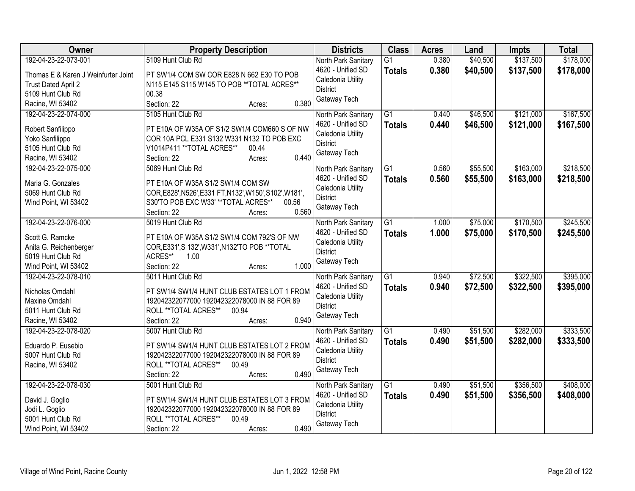| Owner                               | <b>Property Description</b>                                                    | <b>Districts</b>                     | <b>Class</b>    | <b>Acres</b> | Land     | <b>Impts</b> | <b>Total</b> |
|-------------------------------------|--------------------------------------------------------------------------------|--------------------------------------|-----------------|--------------|----------|--------------|--------------|
| 192-04-23-22-073-001                | 5109 Hunt Club Rd                                                              | North Park Sanitary                  | $\overline{G1}$ | 0.380        | \$40,500 | \$137,500    | \$178,000    |
| Thomas E & Karen J Weinfurter Joint | PT SW1/4 COM SW COR E828 N 662 E30 TO POB                                      | 4620 - Unified SD                    | <b>Totals</b>   | 0.380        | \$40,500 | \$137,500    | \$178,000    |
| Trust Dated April 2                 | N115 E145 S115 W145 TO POB ** TOTAL ACRES**                                    | Caledonia Utility                    |                 |              |          |              |              |
| 5109 Hunt Club Rd                   | 00.38                                                                          | <b>District</b>                      |                 |              |          |              |              |
| Racine, WI 53402                    | 0.380<br>Section: 22<br>Acres:                                                 | Gateway Tech                         |                 |              |          |              |              |
| 192-04-23-22-074-000                | 5105 Hunt Club Rd                                                              | North Park Sanitary                  | $\overline{G1}$ | 0.440        | \$46,500 | \$121,000    | \$167,500    |
| Robert Sanfilippo                   | PT E10A OF W35A OF S1/2 SW1/4 COM660 S OF NW                                   | 4620 - Unified SD                    | <b>Totals</b>   | 0.440        | \$46,500 | \$121,000    | \$167,500    |
| Yoko Sanfilippo                     | COR 10A PCL E331 S132 W331 N132 TO POB EXC                                     | Caledonia Utility                    |                 |              |          |              |              |
| 5105 Hunt Club Rd                   | V1014P411 ** TOTAL ACRES**<br>00.44                                            | <b>District</b>                      |                 |              |          |              |              |
| Racine, WI 53402                    | 0.440<br>Section: 22<br>Acres:                                                 | Gateway Tech                         |                 |              |          |              |              |
| 192-04-23-22-075-000                | 5069 Hunt Club Rd                                                              | North Park Sanitary                  | $\overline{G1}$ | 0.560        | \$55,500 | \$163,000    | \$218,500    |
|                                     |                                                                                | 4620 - Unified SD                    | <b>Totals</b>   | 0.560        | \$55,500 | \$163,000    | \$218,500    |
| Maria G. Gonzales                   | PT E10A OF W35A S1/2 SW1/4 COM SW                                              | Caledonia Utility                    |                 |              |          |              |              |
| 5069 Hunt Club Rd                   | COR, E828', N526', E331 FT, N132', W150', S102', W181',                        | <b>District</b>                      |                 |              |          |              |              |
| Wind Point, WI 53402                | S30'TO POB EXC W33' ** TOTAL ACRES**<br>00.56                                  | Gateway Tech                         |                 |              |          |              |              |
|                                     | 0.560<br>Section: 22<br>Acres:                                                 |                                      |                 |              |          |              |              |
| 192-04-23-22-076-000                | 5019 Hunt Club Rd                                                              | North Park Sanitary                  | $\overline{G1}$ | 1.000        | \$75,000 | \$170,500    | \$245,500    |
| Scott G. Ramcke                     | PT E10A OF W35A S1/2 SW1/4 COM 792'S OF NW                                     | 4620 - Unified SD                    | <b>Totals</b>   | 1.000        | \$75,000 | \$170,500    | \$245,500    |
| Anita G. Reichenberger              | COR, E331', S 132', W331', N132'TO POB ** TOTAL                                | Caledonia Utility<br><b>District</b> |                 |              |          |              |              |
| 5019 Hunt Club Rd                   | ACRES**<br>1.00                                                                | Gateway Tech                         |                 |              |          |              |              |
| Wind Point, WI 53402                | 1.000<br>Section: 22<br>Acres:                                                 |                                      |                 |              |          |              |              |
| 192-04-23-22-078-010                | 5011 Hunt Club Rd                                                              | North Park Sanitary                  | $\overline{G1}$ | 0.940        | \$72,500 | \$322,500    | \$395,000    |
| Nicholas Omdahl                     | PT SW1/4 SW1/4 HUNT CLUB ESTATES LOT 1 FROM                                    | 4620 - Unified SD                    | <b>Totals</b>   | 0.940        | \$72,500 | \$322,500    | \$395,000    |
| Maxine Omdahl                       | 192042322077000 192042322078000 IN 88 FOR 89                                   | Caledonia Utility                    |                 |              |          |              |              |
| 5011 Hunt Club Rd                   | ROLL ** TOTAL ACRES**<br>00.94                                                 | <b>District</b>                      |                 |              |          |              |              |
| Racine, WI 53402                    | 0.940<br>Section: 22<br>Acres:                                                 | Gateway Tech                         |                 |              |          |              |              |
| 192-04-23-22-078-020                | 5007 Hunt Club Rd                                                              | North Park Sanitary                  | $\overline{G1}$ | 0.490        | \$51,500 | \$282,000    | \$333,500    |
|                                     |                                                                                | 4620 - Unified SD                    | <b>Totals</b>   | 0.490        | \$51,500 | \$282,000    | \$333,500    |
| Eduardo P. Eusebio                  | PT SW1/4 SW1/4 HUNT CLUB ESTATES LOT 2 FROM                                    | Caledonia Utility                    |                 |              |          |              |              |
| 5007 Hunt Club Rd                   | 192042322077000 192042322078000 IN 88 FOR 89<br>ROLL ** TOTAL ACRES**<br>00.49 | <b>District</b>                      |                 |              |          |              |              |
| Racine, WI 53402                    | 0.490<br>Section: 22                                                           | Gateway Tech                         |                 |              |          |              |              |
| 192-04-23-22-078-030                | Acres:<br>5001 Hunt Club Rd                                                    | North Park Sanitary                  | $\overline{G1}$ | 0.490        | \$51,500 | \$356,500    | \$408,000    |
|                                     |                                                                                | 4620 - Unified SD                    |                 | 0.490        | \$51,500 | \$356,500    |              |
| David J. Goglio                     | PT SW1/4 SW1/4 HUNT CLUB ESTATES LOT 3 FROM                                    | Caledonia Utility                    | <b>Totals</b>   |              |          |              | \$408,000    |
| Jodi L. Goglio                      | 192042322077000 192042322078000 IN 88 FOR 89                                   | <b>District</b>                      |                 |              |          |              |              |
| 5001 Hunt Club Rd                   | ROLL ** TOTAL ACRES**<br>00.49                                                 | Gateway Tech                         |                 |              |          |              |              |
| Wind Point, WI 53402                | 0.490<br>Section: 22<br>Acres:                                                 |                                      |                 |              |          |              |              |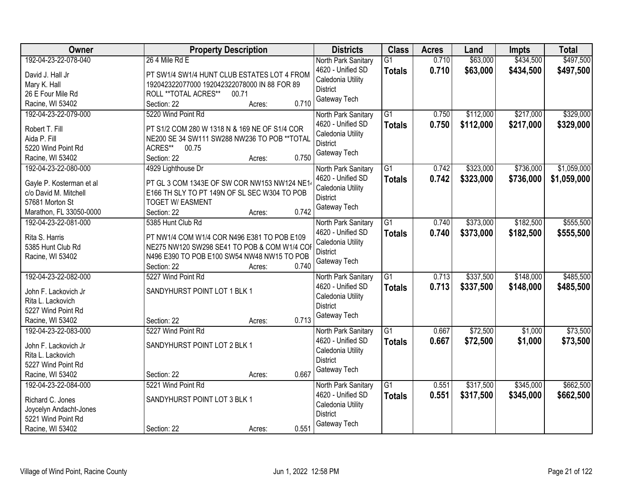| Owner                    | <b>Property Description</b>                   | <b>Districts</b>    | <b>Class</b>    | <b>Acres</b> | Land      | <b>Impts</b> | <b>Total</b> |
|--------------------------|-----------------------------------------------|---------------------|-----------------|--------------|-----------|--------------|--------------|
| 192-04-23-22-078-040     | 26 4 Mile Rd E                                | North Park Sanitary | $\overline{G1}$ | 0.710        | \$63,000  | \$434,500    | \$497,500    |
| David J. Hall Jr         | PT SW1/4 SW1/4 HUNT CLUB ESTATES LOT 4 FROM   | 4620 - Unified SD   | <b>Totals</b>   | 0.710        | \$63,000  | \$434,500    | \$497,500    |
| Mary K. Hall             | 192042322077000 192042322078000 IN 88 FOR 89  | Caledonia Utility   |                 |              |           |              |              |
| 26 E Four Mile Rd        | ROLL ** TOTAL ACRES**<br>00.71                | <b>District</b>     |                 |              |           |              |              |
| Racine, WI 53402         | 0.710<br>Section: 22<br>Acres:                | Gateway Tech        |                 |              |           |              |              |
| 192-04-23-22-079-000     | 5220 Wind Point Rd                            | North Park Sanitary | G1              | 0.750        | \$112,000 | \$217,000    | \$329,000    |
|                          |                                               | 4620 - Unified SD   | <b>Totals</b>   | 0.750        | \$112,000 | \$217,000    | \$329,000    |
| Robert T. Fill           | PT S1/2 COM 280 W 1318 N & 169 NE OF S1/4 COR | Caledonia Utility   |                 |              |           |              |              |
| Aida P. Fill             | NE200 SE 34 SW111 SW288 NW236 TO POB ** TOTAL | <b>District</b>     |                 |              |           |              |              |
| 5220 Wind Point Rd       | ACRES**<br>00.75                              | Gateway Tech        |                 |              |           |              |              |
| Racine, WI 53402         | 0.750<br>Section: 22<br>Acres:                |                     |                 |              |           |              |              |
| 192-04-23-22-080-000     | 4929 Lighthouse Dr                            | North Park Sanitary | $\overline{G1}$ | 0.742        | \$323,000 | \$736,000    | \$1,059,000  |
| Gayle P. Kosterman et al | PT GL 3 COM 1343E OF SW COR NW153 NW124 NE1   | 4620 - Unified SD   | <b>Totals</b>   | 0.742        | \$323,000 | \$736,000    | \$1,059,000  |
| c/o David M. Mitchell    | E166 TH SLY TO PT 149N OF SL SEC W304 TO POB  | Caledonia Utility   |                 |              |           |              |              |
| 57681 Morton St          | <b>TOGET W/ EASMENT</b>                       | <b>District</b>     |                 |              |           |              |              |
| Marathon, FL 33050-0000  | 0.742<br>Section: 22<br>Acres:                | Gateway Tech        |                 |              |           |              |              |
| 192-04-23-22-081-000     | 5385 Hunt Club Rd                             | North Park Sanitary | G1              | 0.740        | \$373,000 | \$182,500    | \$555,500    |
|                          |                                               | 4620 - Unified SD   | <b>Totals</b>   | 0.740        | \$373,000 | \$182,500    | \$555,500    |
| Rita S. Harris           | PT NW1/4 COM W1/4 COR N496 E381 TO POB E109   | Caledonia Utility   |                 |              |           |              |              |
| 5385 Hunt Club Rd        | NE275 NW120 SW298 SE41 TO POB & COM W1/4 COR  | <b>District</b>     |                 |              |           |              |              |
| Racine, WI 53402         | N496 E390 TO POB E100 SW54 NW48 NW15 TO POB   | Gateway Tech        |                 |              |           |              |              |
|                          | 0.740<br>Section: 22<br>Acres:                |                     |                 |              |           |              |              |
| 192-04-23-22-082-000     | 5227 Wind Point Rd                            | North Park Sanitary | $\overline{G1}$ | 0.713        | \$337,500 | \$148,000    | \$485,500    |
| John F. Lackovich Jr     | SANDYHURST POINT LOT 1 BLK 1                  | 4620 - Unified SD   | <b>Totals</b>   | 0.713        | \$337,500 | \$148,000    | \$485,500    |
| Rita L. Lackovich        |                                               | Caledonia Utility   |                 |              |           |              |              |
| 5227 Wind Point Rd       |                                               | <b>District</b>     |                 |              |           |              |              |
| Racine, WI 53402         | 0.713<br>Section: 22<br>Acres:                | Gateway Tech        |                 |              |           |              |              |
| 192-04-23-22-083-000     | 5227 Wind Point Rd                            | North Park Sanitary | $\overline{G1}$ | 0.667        | \$72,500  | \$1,000      | \$73,500     |
|                          |                                               | 4620 - Unified SD   | <b>Totals</b>   | 0.667        | \$72,500  | \$1,000      | \$73,500     |
| John F. Lackovich Jr     | SANDYHURST POINT LOT 2 BLK 1                  | Caledonia Utility   |                 |              |           |              |              |
| Rita L. Lackovich        |                                               | <b>District</b>     |                 |              |           |              |              |
| 5227 Wind Point Rd       |                                               | Gateway Tech        |                 |              |           |              |              |
| Racine, WI 53402         | 0.667<br>Section: 22<br>Acres:                |                     |                 |              |           |              |              |
| 192-04-23-22-084-000     | 5221 Wind Point Rd                            | North Park Sanitary | $\overline{G1}$ | 0.551        | \$317,500 | \$345,000    | \$662,500    |
| Richard C. Jones         | SANDYHURST POINT LOT 3 BLK 1                  | 4620 - Unified SD   | <b>Totals</b>   | 0.551        | \$317,500 | \$345,000    | \$662,500    |
| Joycelyn Andacht-Jones   |                                               | Caledonia Utility   |                 |              |           |              |              |
| 5221 Wind Point Rd       |                                               | <b>District</b>     |                 |              |           |              |              |
| Racine, WI 53402         | 0.551<br>Section: 22<br>Acres:                | Gateway Tech        |                 |              |           |              |              |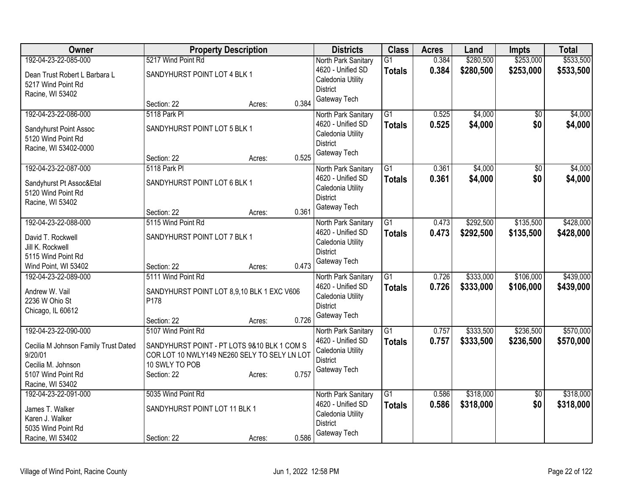| Owner                                    | <b>Property Description</b>                  |       | <b>Districts</b>                         | <b>Class</b>    | <b>Acres</b> | Land      | <b>Impts</b>    | <b>Total</b> |
|------------------------------------------|----------------------------------------------|-------|------------------------------------------|-----------------|--------------|-----------|-----------------|--------------|
| 192-04-23-22-085-000                     | 5217 Wind Point Rd                           |       | North Park Sanitary                      | $\overline{G1}$ | 0.384        | \$280,500 | \$253,000       | \$533,500    |
| Dean Trust Robert L Barbara L            | SANDYHURST POINT LOT 4 BLK 1                 |       | 4620 - Unified SD                        | <b>Totals</b>   | 0.384        | \$280,500 | \$253,000       | \$533,500    |
| 5217 Wind Point Rd                       |                                              |       | Caledonia Utility                        |                 |              |           |                 |              |
| Racine, WI 53402                         |                                              |       | <b>District</b>                          |                 |              |           |                 |              |
|                                          | Section: 22<br>Acres:                        | 0.384 | Gateway Tech                             |                 |              |           |                 |              |
| 192-04-23-22-086-000                     | 5118 Park PI                                 |       | North Park Sanitary                      | G1              | 0.525        | \$4,000   | \$0             | \$4,000      |
| Sandyhurst Point Assoc                   | SANDYHURST POINT LOT 5 BLK 1                 |       | 4620 - Unified SD                        | <b>Totals</b>   | 0.525        | \$4,000   | \$0             | \$4,000      |
| 5120 Wind Point Rd                       |                                              |       | Caledonia Utility                        |                 |              |           |                 |              |
| Racine, WI 53402-0000                    |                                              |       | <b>District</b>                          |                 |              |           |                 |              |
|                                          | Section: 22<br>Acres:                        | 0.525 | Gateway Tech                             |                 |              |           |                 |              |
| 192-04-23-22-087-000                     | 5118 Park PI                                 |       | North Park Sanitary                      | G1              | 0.361        | \$4,000   | \$0             | \$4,000      |
| Sandyhurst Pt Assoc&Etal                 | SANDYHURST POINT LOT 6 BLK 1                 |       | 4620 - Unified SD                        | <b>Totals</b>   | 0.361        | \$4,000   | \$0             | \$4,000      |
| 5120 Wind Point Rd                       |                                              |       | Caledonia Utility                        |                 |              |           |                 |              |
| Racine, WI 53402                         |                                              |       | <b>District</b>                          |                 |              |           |                 |              |
|                                          | Section: 22<br>Acres:                        | 0.361 | Gateway Tech                             |                 |              |           |                 |              |
| 192-04-23-22-088-000                     | 5115 Wind Point Rd                           |       | North Park Sanitary                      | $\overline{G1}$ | 0.473        | \$292,500 | \$135,500       | \$428,000    |
| David T. Rockwell                        | SANDYHURST POINT LOT 7 BLK 1                 |       | 4620 - Unified SD                        | <b>Totals</b>   | 0.473        | \$292,500 | \$135,500       | \$428,000    |
| Jill K. Rockwell                         |                                              |       | Caledonia Utility                        |                 |              |           |                 |              |
| 5115 Wind Point Rd                       |                                              |       | <b>District</b>                          |                 |              |           |                 |              |
| Wind Point, WI 53402                     | Section: 22<br>Acres:                        | 0.473 | Gateway Tech                             |                 |              |           |                 |              |
| 192-04-23-22-089-000                     | 5111 Wind Point Rd                           |       | North Park Sanitary                      | $\overline{G1}$ | 0.726        | \$333,000 | \$106,000       | \$439,000    |
|                                          |                                              |       | 4620 - Unified SD                        | <b>Totals</b>   | 0.726        | \$333,000 | \$106,000       | \$439,000    |
| Andrew W. Vail                           | SANDYHURST POINT LOT 8,9,10 BLK 1 EXC V606   |       | Caledonia Utility                        |                 |              |           |                 |              |
| 2236 W Ohio St                           | P178                                         |       | <b>District</b>                          |                 |              |           |                 |              |
| Chicago, IL 60612                        | Section: 22<br>Acres:                        | 0.726 | Gateway Tech                             |                 |              |           |                 |              |
| 192-04-23-22-090-000                     | 5107 Wind Point Rd                           |       | North Park Sanitary                      | $\overline{G1}$ | 0.757        | \$333,500 | \$236,500       | \$570,000    |
|                                          |                                              |       | 4620 - Unified SD                        | <b>Totals</b>   | 0.757        | \$333,500 | \$236,500       | \$570,000    |
| Cecilia M Johnson Family Trust Dated     | SANDYHURST POINT - PT LOTS 9&10 BLK 1 COM S  |       | Caledonia Utility                        |                 |              |           |                 |              |
| 9/20/01                                  | COR LOT 10 NWLY149 NE260 SELY TO SELY LN LOT |       | <b>District</b>                          |                 |              |           |                 |              |
| Cecilia M. Johnson                       | 10 SWLY TO POB                               |       | Gateway Tech                             |                 |              |           |                 |              |
| 5107 Wind Point Rd                       | Section: 22<br>Acres:                        | 0.757 |                                          |                 |              |           |                 |              |
| Racine, WI 53402<br>192-04-23-22-091-000 | 5035 Wind Point Rd                           |       |                                          | $\overline{G1}$ | 0.586        | \$318,000 | $\overline{50}$ | \$318,000    |
|                                          |                                              |       | North Park Sanitary<br>4620 - Unified SD |                 | 0.586        | \$318,000 | \$0             | \$318,000    |
| James T. Walker                          | SANDYHURST POINT LOT 11 BLK 1                |       | Caledonia Utility                        | <b>Totals</b>   |              |           |                 |              |
| Karen J. Walker                          |                                              |       | <b>District</b>                          |                 |              |           |                 |              |
| 5035 Wind Point Rd                       |                                              |       | Gateway Tech                             |                 |              |           |                 |              |
| Racine, WI 53402                         | Section: 22<br>Acres:                        | 0.586 |                                          |                 |              |           |                 |              |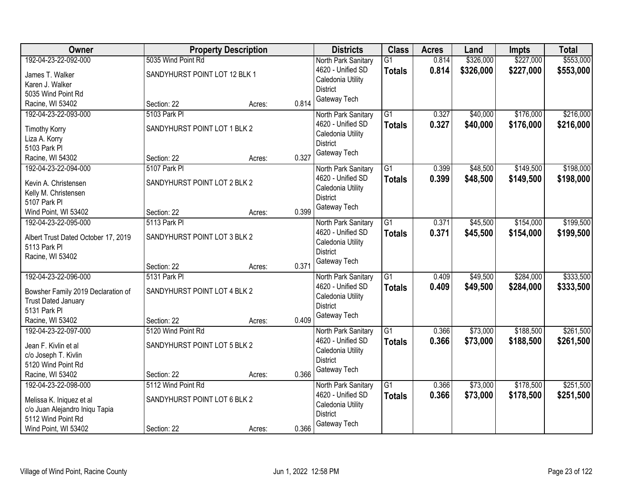| Owner                               |                               | <b>Property Description</b> |       | <b>Districts</b>    | <b>Class</b>    | <b>Acres</b> | Land      | <b>Impts</b> | <b>Total</b> |
|-------------------------------------|-------------------------------|-----------------------------|-------|---------------------|-----------------|--------------|-----------|--------------|--------------|
| 192-04-23-22-092-000                | 5035 Wind Point Rd            |                             |       | North Park Sanitary | $\overline{G1}$ | 0.814        | \$326,000 | \$227,000    | \$553,000    |
| James T. Walker                     | SANDYHURST POINT LOT 12 BLK 1 |                             |       | 4620 - Unified SD   | <b>Totals</b>   | 0.814        | \$326,000 | \$227,000    | \$553,000    |
| Karen J. Walker                     |                               |                             |       | Caledonia Utility   |                 |              |           |              |              |
| 5035 Wind Point Rd                  |                               |                             |       | <b>District</b>     |                 |              |           |              |              |
| Racine, WI 53402                    | Section: 22                   | Acres:                      | 0.814 | Gateway Tech        |                 |              |           |              |              |
| 192-04-23-22-093-000                | 5103 Park PI                  |                             |       | North Park Sanitary | $\overline{G1}$ | 0.327        | \$40,000  | \$176,000    | \$216,000    |
|                                     |                               |                             |       | 4620 - Unified SD   | <b>Totals</b>   | 0.327        | \$40,000  | \$176,000    | \$216,000    |
| <b>Timothy Korry</b>                | SANDYHURST POINT LOT 1 BLK 2  |                             |       | Caledonia Utility   |                 |              |           |              |              |
| Liza A. Korry                       |                               |                             |       | <b>District</b>     |                 |              |           |              |              |
| 5103 Park Pl                        |                               |                             |       | Gateway Tech        |                 |              |           |              |              |
| Racine, WI 54302                    | Section: 22                   | Acres:                      | 0.327 |                     |                 |              |           |              |              |
| 192-04-23-22-094-000                | 5107 Park PI                  |                             |       | North Park Sanitary | G1              | 0.399        | \$48,500  | \$149,500    | \$198,000    |
| Kevin A. Christensen                | SANDYHURST POINT LOT 2 BLK 2  |                             |       | 4620 - Unified SD   | <b>Totals</b>   | 0.399        | \$48,500  | \$149,500    | \$198,000    |
| Kelly M. Christensen                |                               |                             |       | Caledonia Utility   |                 |              |           |              |              |
| 5107 Park Pl                        |                               |                             |       | <b>District</b>     |                 |              |           |              |              |
| Wind Point, WI 53402                | Section: 22                   | Acres:                      | 0.399 | Gateway Tech        |                 |              |           |              |              |
| 192-04-23-22-095-000                | 5113 Park PI                  |                             |       | North Park Sanitary | $\overline{G1}$ | 0.371        | \$45,500  | \$154,000    | \$199,500    |
|                                     |                               |                             |       | 4620 - Unified SD   | <b>Totals</b>   | 0.371        | \$45,500  | \$154,000    | \$199,500    |
| Albert Trust Dated October 17, 2019 | SANDYHURST POINT LOT 3 BLK 2  |                             |       | Caledonia Utility   |                 |              |           |              |              |
| 5113 Park Pl                        |                               |                             |       | <b>District</b>     |                 |              |           |              |              |
| Racine, WI 53402                    |                               |                             |       | Gateway Tech        |                 |              |           |              |              |
|                                     | Section: 22                   | Acres:                      | 0.371 |                     |                 |              |           |              |              |
| 192-04-23-22-096-000                | 5131 Park PI                  |                             |       | North Park Sanitary | $\overline{G1}$ | 0.409        | \$49,500  | \$284,000    | \$333,500    |
| Bowsher Family 2019 Declaration of  | SANDYHURST POINT LOT 4 BLK 2  |                             |       | 4620 - Unified SD   | Totals          | 0.409        | \$49,500  | \$284,000    | \$333,500    |
| <b>Trust Dated January</b>          |                               |                             |       | Caledonia Utility   |                 |              |           |              |              |
| 5131 Park PI                        |                               |                             |       | <b>District</b>     |                 |              |           |              |              |
| Racine, WI 53402                    | Section: 22                   | Acres:                      | 0.409 | Gateway Tech        |                 |              |           |              |              |
| 192-04-23-22-097-000                | 5120 Wind Point Rd            |                             |       | North Park Sanitary | $\overline{G1}$ | 0.366        | \$73,000  | \$188,500    | \$261,500    |
|                                     |                               |                             |       | 4620 - Unified SD   | <b>Totals</b>   | 0.366        | \$73,000  | \$188,500    | \$261,500    |
| Jean F. Kivlin et al                | SANDYHURST POINT LOT 5 BLK 2  |                             |       | Caledonia Utility   |                 |              |           |              |              |
| c/o Joseph T. Kivlin                |                               |                             |       | <b>District</b>     |                 |              |           |              |              |
| 5120 Wind Point Rd                  |                               |                             |       | Gateway Tech        |                 |              |           |              |              |
| Racine, WI 53402                    | Section: 22                   | Acres:                      | 0.366 |                     |                 |              |           |              |              |
| 192-04-23-22-098-000                | 5112 Wind Point Rd            |                             |       | North Park Sanitary | $\overline{G1}$ | 0.366        | \$73,000  | \$178,500    | \$251,500    |
| Melissa K. Iniquez et al            | SANDYHURST POINT LOT 6 BLK 2  |                             |       | 4620 - Unified SD   | <b>Totals</b>   | 0.366        | \$73,000  | \$178,500    | \$251,500    |
| c/o Juan Alejandro Iniqu Tapia      |                               |                             |       | Caledonia Utility   |                 |              |           |              |              |
| 5112 Wind Point Rd                  |                               |                             |       | <b>District</b>     |                 |              |           |              |              |
| Wind Point, WI 53402                | Section: 22                   | Acres:                      | 0.366 | Gateway Tech        |                 |              |           |              |              |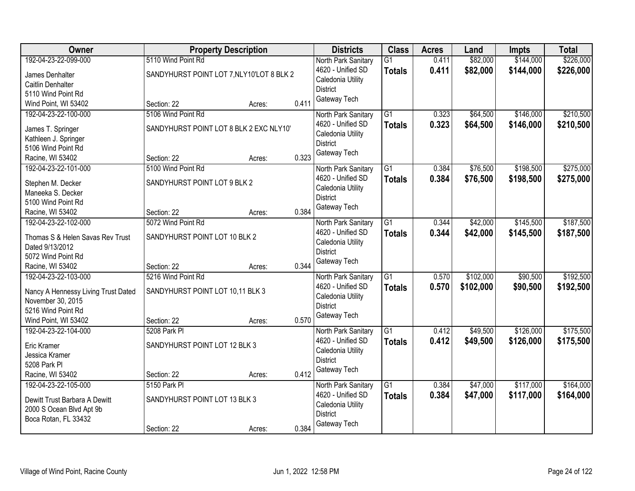| Owner                               | <b>Property Description</b>               |        |       | <b>Districts</b>                         | <b>Class</b>    | <b>Acres</b> | Land      | <b>Impts</b> | <b>Total</b> |
|-------------------------------------|-------------------------------------------|--------|-------|------------------------------------------|-----------------|--------------|-----------|--------------|--------------|
| 192-04-23-22-099-000                | 5110 Wind Point Rd                        |        |       | North Park Sanitary                      | $\overline{G1}$ | 0.411        | \$82,000  | \$144,000    | \$226,000    |
| James Denhalter                     | SANDYHURST POINT LOT 7, NLY10'LOT 8 BLK 2 |        |       | 4620 - Unified SD                        | <b>Totals</b>   | 0.411        | \$82,000  | \$144,000    | \$226,000    |
| Caitlin Denhalter                   |                                           |        |       | Caledonia Utility                        |                 |              |           |              |              |
| 5110 Wind Point Rd                  |                                           |        |       | <b>District</b>                          |                 |              |           |              |              |
| Wind Point, WI 53402                | Section: 22                               | Acres: | 0.411 | Gateway Tech                             |                 |              |           |              |              |
| 192-04-23-22-100-000                | 5106 Wind Point Rd                        |        |       | North Park Sanitary                      | $\overline{G1}$ | 0.323        | \$64,500  | \$146,000    | \$210,500    |
|                                     |                                           |        |       | 4620 - Unified SD                        | <b>Totals</b>   | 0.323        | \$64,500  | \$146,000    | \$210,500    |
| James T. Springer                   | SANDYHURST POINT LOT 8 BLK 2 EXC NLY10'   |        |       | Caledonia Utility                        |                 |              |           |              |              |
| Kathleen J. Springer                |                                           |        |       | <b>District</b>                          |                 |              |           |              |              |
| 5106 Wind Point Rd                  |                                           |        |       | Gateway Tech                             |                 |              |           |              |              |
| Racine, WI 53402                    | Section: 22                               | Acres: | 0.323 |                                          |                 |              |           |              |              |
| 192-04-23-22-101-000                | 5100 Wind Point Rd                        |        |       | North Park Sanitary                      | G1              | 0.384        | \$76,500  | \$198,500    | \$275,000    |
| Stephen M. Decker                   | SANDYHURST POINT LOT 9 BLK 2              |        |       | 4620 - Unified SD                        | <b>Totals</b>   | 0.384        | \$76,500  | \$198,500    | \$275,000    |
| Maneeka S. Decker                   |                                           |        |       | Caledonia Utility                        |                 |              |           |              |              |
| 5100 Wind Point Rd                  |                                           |        |       | <b>District</b>                          |                 |              |           |              |              |
| Racine, WI 53402                    | Section: 22                               | Acres: | 0.384 | Gateway Tech                             |                 |              |           |              |              |
| 192-04-23-22-102-000                | 5072 Wind Point Rd                        |        |       | North Park Sanitary                      | $\overline{G1}$ | 0.344        | \$42,000  | \$145,500    | \$187,500    |
|                                     |                                           |        |       | 4620 - Unified SD                        | <b>Totals</b>   | 0.344        | \$42,000  | \$145,500    | \$187,500    |
| Thomas S & Helen Savas Rev Trust    | SANDYHURST POINT LOT 10 BLK 2             |        |       | Caledonia Utility                        |                 |              |           |              |              |
| Dated 9/13/2012                     |                                           |        |       | <b>District</b>                          |                 |              |           |              |              |
| 5072 Wind Point Rd                  |                                           |        |       | Gateway Tech                             |                 |              |           |              |              |
| Racine, WI 53402                    | Section: 22                               | Acres: | 0.344 |                                          |                 |              |           |              |              |
| 192-04-23-22-103-000                | 5216 Wind Point Rd                        |        |       | North Park Sanitary                      | $\overline{G1}$ | 0.570        | \$102,000 | \$90,500     | \$192,500    |
| Nancy A Hennessy Living Trust Dated | SANDYHURST POINT LOT 10,11 BLK 3          |        |       | 4620 - Unified SD                        | Totals          | 0.570        | \$102,000 | \$90,500     | \$192,500    |
| November 30, 2015                   |                                           |        |       | Caledonia Utility                        |                 |              |           |              |              |
| 5216 Wind Point Rd                  |                                           |        |       | <b>District</b>                          |                 |              |           |              |              |
| Wind Point, WI 53402                | Section: 22                               | Acres: | 0.570 | Gateway Tech                             |                 |              |           |              |              |
| 192-04-23-22-104-000                | 5208 Park PI                              |        |       | North Park Sanitary                      | $\overline{G1}$ | 0.412        | \$49,500  | \$126,000    | \$175,500    |
| Eric Kramer                         | SANDYHURST POINT LOT 12 BLK 3             |        |       | 4620 - Unified SD                        | <b>Totals</b>   | 0.412        | \$49,500  | \$126,000    | \$175,500    |
| Jessica Kramer                      |                                           |        |       | Caledonia Utility                        |                 |              |           |              |              |
| 5208 Park Pl                        |                                           |        |       | <b>District</b>                          |                 |              |           |              |              |
| Racine, WI 53402                    | Section: 22                               |        | 0.412 | Gateway Tech                             |                 |              |           |              |              |
| 192-04-23-22-105-000                | 5150 Park PI                              | Acres: |       |                                          | $\overline{G1}$ | 0.384        | \$47,000  | \$117,000    | \$164,000    |
|                                     |                                           |        |       | North Park Sanitary<br>4620 - Unified SD |                 |              |           |              |              |
| Dewitt Trust Barbara A Dewitt       | SANDYHURST POINT LOT 13 BLK 3             |        |       |                                          | <b>Totals</b>   | 0.384        | \$47,000  | \$117,000    | \$164,000    |
| 2000 S Ocean Blvd Apt 9b            |                                           |        |       | Caledonia Utility<br><b>District</b>     |                 |              |           |              |              |
| Boca Rotan, FL 33432                |                                           |        |       | Gateway Tech                             |                 |              |           |              |              |
|                                     | Section: 22                               | Acres: | 0.384 |                                          |                 |              |           |              |              |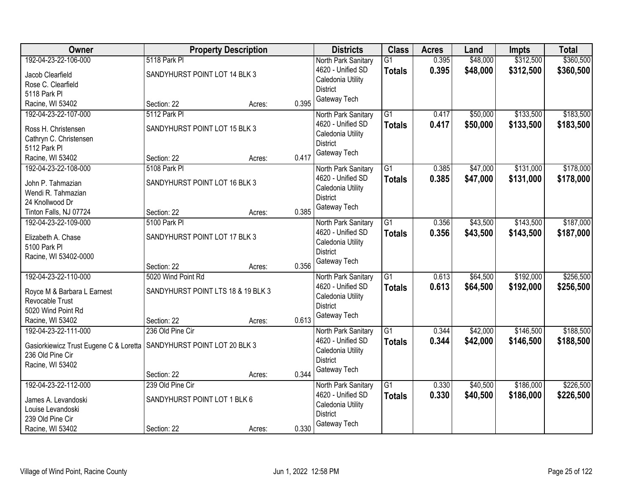| Owner                                                                  |                                    | <b>Property Description</b> |       | <b>Districts</b>                         | <b>Class</b>    | <b>Acres</b> | Land     | <b>Impts</b> | <b>Total</b> |
|------------------------------------------------------------------------|------------------------------------|-----------------------------|-------|------------------------------------------|-----------------|--------------|----------|--------------|--------------|
| 192-04-23-22-106-000                                                   | 5118 Park PI                       |                             |       | North Park Sanitary                      | $\overline{G1}$ | 0.395        | \$48,000 | \$312,500    | \$360,500    |
| Jacob Clearfield                                                       | SANDYHURST POINT LOT 14 BLK 3      |                             |       | 4620 - Unified SD                        | <b>Totals</b>   | 0.395        | \$48,000 | \$312,500    | \$360,500    |
| Rose C. Clearfield                                                     |                                    |                             |       | Caledonia Utility                        |                 |              |          |              |              |
| 5118 Park PI                                                           |                                    |                             |       | <b>District</b>                          |                 |              |          |              |              |
| Racine, WI 53402                                                       | Section: 22                        | Acres:                      | 0.395 | Gateway Tech                             |                 |              |          |              |              |
| 192-04-23-22-107-000                                                   | 5112 Park PI                       |                             |       | North Park Sanitary                      | $\overline{G1}$ | 0.417        | \$50,000 | \$133,500    | \$183,500    |
|                                                                        |                                    |                             |       | 4620 - Unified SD                        | <b>Totals</b>   | 0.417        | \$50,000 | \$133,500    | \$183,500    |
| Ross H. Christensen                                                    | SANDYHURST POINT LOT 15 BLK 3      |                             |       | Caledonia Utility                        |                 |              |          |              |              |
| Cathryn C. Christensen<br>5112 Park PI                                 |                                    |                             |       | <b>District</b>                          |                 |              |          |              |              |
| Racine, WI 53402                                                       | Section: 22                        | Acres:                      | 0.417 | Gateway Tech                             |                 |              |          |              |              |
| 192-04-23-22-108-000                                                   | 5108 Park PI                       |                             |       | North Park Sanitary                      | G1              | 0.385        | \$47,000 | \$131,000    | \$178,000    |
|                                                                        |                                    |                             |       | 4620 - Unified SD                        | <b>Totals</b>   | 0.385        | \$47,000 | \$131,000    | \$178,000    |
| John P. Tahmazian                                                      | SANDYHURST POINT LOT 16 BLK 3      |                             |       | Caledonia Utility                        |                 |              |          |              |              |
| Wendi R. Tahmazian                                                     |                                    |                             |       | <b>District</b>                          |                 |              |          |              |              |
| 24 Knollwood Dr                                                        |                                    |                             |       | Gateway Tech                             |                 |              |          |              |              |
| Tinton Falls, NJ 07724                                                 | Section: 22                        | Acres:                      | 0.385 |                                          |                 |              |          |              |              |
| 192-04-23-22-109-000                                                   | 5100 Park PI                       |                             |       | North Park Sanitary                      | $\overline{G1}$ | 0.356        | \$43,500 | \$143,500    | \$187,000    |
| Elizabeth A. Chase                                                     | SANDYHURST POINT LOT 17 BLK 3      |                             |       | 4620 - Unified SD                        | <b>Totals</b>   | 0.356        | \$43,500 | \$143,500    | \$187,000    |
| 5100 Park Pl                                                           |                                    |                             |       | Caledonia Utility                        |                 |              |          |              |              |
| Racine, WI 53402-0000                                                  |                                    |                             |       | <b>District</b>                          |                 |              |          |              |              |
|                                                                        | Section: 22                        | Acres:                      | 0.356 | Gateway Tech                             |                 |              |          |              |              |
| 192-04-23-22-110-000                                                   | 5020 Wind Point Rd                 |                             |       | North Park Sanitary                      | $\overline{G1}$ | 0.613        | \$64,500 | \$192,000    | \$256,500    |
|                                                                        |                                    |                             |       | 4620 - Unified SD                        | <b>Totals</b>   | 0.613        | \$64,500 | \$192,000    | \$256,500    |
| Royce M & Barbara L Earnest                                            | SANDYHURST POINT LTS 18 & 19 BLK 3 |                             |       | Caledonia Utility                        |                 |              |          |              |              |
| Revocable Trust<br>5020 Wind Point Rd                                  |                                    |                             |       | <b>District</b>                          |                 |              |          |              |              |
| Racine, WI 53402                                                       | Section: 22                        |                             | 0.613 | Gateway Tech                             |                 |              |          |              |              |
| 192-04-23-22-111-000                                                   | 236 Old Pine Cir                   | Acres:                      |       |                                          | $\overline{G1}$ | 0.344        | \$42,000 | \$146,500    | \$188,500    |
|                                                                        |                                    |                             |       | North Park Sanitary<br>4620 - Unified SD | <b>Totals</b>   | 0.344        | \$42,000 | \$146,500    | \$188,500    |
| Gasiorkiewicz Trust Eugene C & Loretta   SANDYHURST POINT LOT 20 BLK 3 |                                    |                             |       | Caledonia Utility                        |                 |              |          |              |              |
| 236 Old Pine Cir                                                       |                                    |                             |       | <b>District</b>                          |                 |              |          |              |              |
| Racine, WI 53402                                                       |                                    |                             |       | Gateway Tech                             |                 |              |          |              |              |
|                                                                        | Section: 22                        | Acres:                      | 0.344 |                                          |                 |              |          |              |              |
| 192-04-23-22-112-000                                                   | 239 Old Pine Cir                   |                             |       | North Park Sanitary                      | $\overline{G1}$ | 0.330        | \$40,500 | \$186,000    | \$226,500    |
| James A. Levandoski                                                    | SANDYHURST POINT LOT 1 BLK 6       |                             |       | 4620 - Unified SD                        | <b>Totals</b>   | 0.330        | \$40,500 | \$186,000    | \$226,500    |
| Louise Levandoski                                                      |                                    |                             |       | Caledonia Utility                        |                 |              |          |              |              |
| 239 Old Pine Cir                                                       |                                    |                             |       | <b>District</b>                          |                 |              |          |              |              |
| Racine, WI 53402                                                       | Section: 22                        | Acres:                      | 0.330 | Gateway Tech                             |                 |              |          |              |              |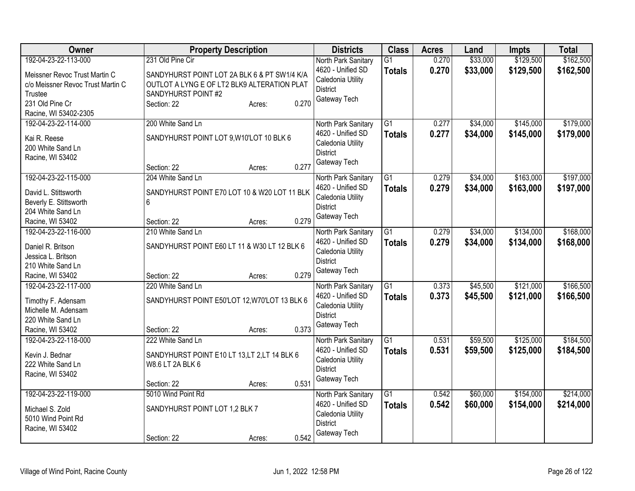| Owner                                                                                                                                             | <b>Property Description</b>                                                                                                                                              | <b>Districts</b>                                                                                 | <b>Class</b>                     | <b>Acres</b>   | Land                 | <b>Impts</b>           | <b>Total</b>           |
|---------------------------------------------------------------------------------------------------------------------------------------------------|--------------------------------------------------------------------------------------------------------------------------------------------------------------------------|--------------------------------------------------------------------------------------------------|----------------------------------|----------------|----------------------|------------------------|------------------------|
| 192-04-23-22-113-000<br>Meissner Revoc Trust Martin C<br>c/o Meissner Revoc Trust Martin C<br>Trustee<br>231 Old Pine Cr<br>Racine, WI 53402-2305 | 231 Old Pine Cir<br>SANDYHURST POINT LOT 2A BLK 6 & PT SW1/4 K/A<br>OUTLOT A LYNG E OF LT2 BLK9 ALTERATION PLAT<br>SANDYHURST POINT #2<br>0.270<br>Section: 22<br>Acres: | North Park Sanitary<br>4620 - Unified SD<br>Caledonia Utility<br>District<br>Gateway Tech        | $\overline{G1}$<br><b>Totals</b> | 0.270<br>0.270 | \$33,000<br>\$33,000 | \$129,500<br>\$129,500 | \$162,500<br>\$162,500 |
| 192-04-23-22-114-000<br>Kai R. Reese<br>200 White Sand Ln<br>Racine, WI 53402                                                                     | 200 White Sand Ln<br>SANDYHURST POINT LOT 9, W10'LOT 10 BLK 6<br>0.277<br>Section: 22<br>Acres:                                                                          | North Park Sanitary<br>4620 - Unified SD<br>Caledonia Utility<br><b>District</b><br>Gateway Tech | $\overline{G1}$<br><b>Totals</b> | 0.277<br>0.277 | \$34,000<br>\$34,000 | \$145,000<br>\$145,000 | \$179,000<br>\$179,000 |
| 192-04-23-22-115-000<br>David L. Stittsworth<br>Beverly E. Stittsworth<br>204 White Sand Ln<br>Racine, WI 53402                                   | 204 White Sand Ln<br>SANDYHURST POINT E70 LOT 10 & W20 LOT 11 BLK<br>6<br>0.279<br>Section: 22<br>Acres:                                                                 | North Park Sanitary<br>4620 - Unified SD<br>Caledonia Utility<br><b>District</b><br>Gateway Tech | $\overline{G1}$<br><b>Totals</b> | 0.279<br>0.279 | \$34,000<br>\$34,000 | \$163,000<br>\$163,000 | \$197,000<br>\$197,000 |
| 192-04-23-22-116-000<br>Daniel R. Britson<br>Jessica L. Britson<br>210 White Sand Ln<br>Racine, WI 53402                                          | 210 White Sand Ln<br>SANDYHURST POINT E60 LT 11 & W30 LT 12 BLK 6<br>0.279<br>Section: 22<br>Acres:                                                                      | North Park Sanitary<br>4620 - Unified SD<br>Caledonia Utility<br><b>District</b><br>Gateway Tech | $\overline{G1}$<br><b>Totals</b> | 0.279<br>0.279 | \$34,000<br>\$34,000 | \$134,000<br>\$134,000 | \$168,000<br>\$168,000 |
| 192-04-23-22-117-000<br>Timothy F. Adensam<br>Michelle M. Adensam<br>220 White Sand Ln<br>Racine, WI 53402                                        | 220 White Sand Ln<br>SANDYHURST POINT E50'LOT 12, W70'LOT 13 BLK 6<br>0.373<br>Section: 22<br>Acres:                                                                     | North Park Sanitary<br>4620 - Unified SD<br>Caledonia Utility<br><b>District</b><br>Gateway Tech | $\overline{G1}$<br><b>Totals</b> | 0.373<br>0.373 | \$45,500<br>\$45,500 | \$121,000<br>\$121,000 | \$166,500<br>\$166,500 |
| 192-04-23-22-118-000<br>Kevin J. Bednar<br>222 White Sand Ln<br>Racine, WI 53402                                                                  | 222 White Sand Ln<br>SANDYHURST POINT E10 LT 13, LT 2, LT 14 BLK 6<br>W8.6 LT 2A BLK 6<br>0.531<br>Section: 22<br>Acres:                                                 | North Park Sanitary<br>4620 - Unified SD<br>Caledonia Utility<br><b>District</b><br>Gateway Tech | $\overline{G1}$<br><b>Totals</b> | 0.531<br>0.531 | \$59,500<br>\$59,500 | \$125,000<br>\$125,000 | \$184,500<br>\$184,500 |
| 192-04-23-22-119-000<br>Michael S. Zold<br>5010 Wind Point Rd<br>Racine, WI 53402                                                                 | 5010 Wind Point Rd<br>SANDYHURST POINT LOT 1,2 BLK 7<br>0.542<br>Section: 22<br>Acres:                                                                                   | North Park Sanitary<br>4620 - Unified SD<br>Caledonia Utility<br><b>District</b><br>Gateway Tech | $\overline{G1}$<br><b>Totals</b> | 0.542<br>0.542 | \$60,000<br>\$60,000 | \$154,000<br>\$154,000 | \$214,000<br>\$214,000 |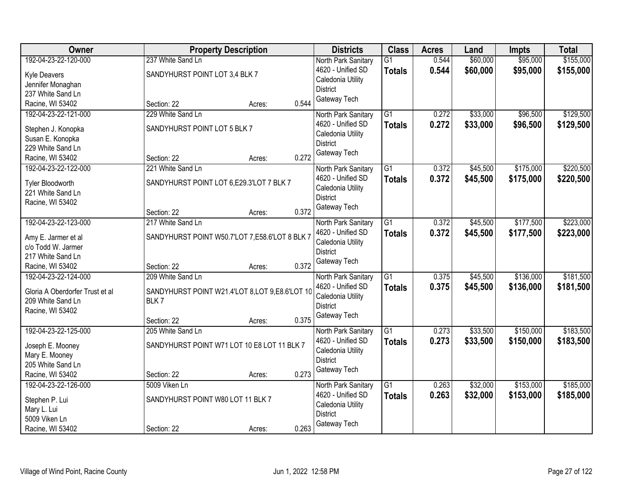| Owner                                 | <b>Property Description</b>                    |        | <b>Districts</b>                     | <b>Class</b>    | <b>Acres</b> | Land     | Impts     | <b>Total</b> |
|---------------------------------------|------------------------------------------------|--------|--------------------------------------|-----------------|--------------|----------|-----------|--------------|
| 192-04-23-22-120-000                  | 237 White Sand Ln                              |        | North Park Sanitary                  | G <sub>1</sub>  | 0.544        | \$60,000 | \$95,000  | \$155,000    |
| Kyle Deavers                          | SANDYHURST POINT LOT 3,4 BLK 7                 |        | 4620 - Unified SD                    | <b>Totals</b>   | 0.544        | \$60,000 | \$95,000  | \$155,000    |
| Jennifer Monaghan                     |                                                |        | Caledonia Utility                    |                 |              |          |           |              |
| 237 White Sand Ln                     |                                                |        | <b>District</b>                      |                 |              |          |           |              |
| Racine, WI 53402                      | Section: 22                                    | Acres: | Gateway Tech<br>0.544                |                 |              |          |           |              |
| 192-04-23-22-121-000                  | 229 White Sand Ln                              |        | North Park Sanitary                  | $\overline{G1}$ | 0.272        | \$33,000 | \$96,500  | \$129,500    |
| Stephen J. Konopka                    | SANDYHURST POINT LOT 5 BLK 7                   |        | 4620 - Unified SD                    | <b>Totals</b>   | 0.272        | \$33,000 | \$96,500  | \$129,500    |
| Susan E. Konopka                      |                                                |        | Caledonia Utility                    |                 |              |          |           |              |
| 229 White Sand Ln                     |                                                |        | <b>District</b>                      |                 |              |          |           |              |
| Racine, WI 53402                      | Section: 22                                    | Acres: | Gateway Tech<br>0.272                |                 |              |          |           |              |
| 192-04-23-22-122-000                  | 221 White Sand Ln                              |        | North Park Sanitary                  | $\overline{G1}$ | 0.372        | \$45,500 | \$175,000 | \$220,500    |
|                                       | SANDYHURST POINT LOT 6,E29.3'LOT 7 BLK 7       |        | 4620 - Unified SD                    | <b>Totals</b>   | 0.372        | \$45,500 | \$175,000 | \$220,500    |
| Tyler Bloodworth<br>221 White Sand Ln |                                                |        | Caledonia Utility                    |                 |              |          |           |              |
| Racine, WI 53402                      |                                                |        | <b>District</b>                      |                 |              |          |           |              |
|                                       | Section: 22                                    | Acres: | Gateway Tech<br>0.372                |                 |              |          |           |              |
| 192-04-23-22-123-000                  | 217 White Sand Ln                              |        | North Park Sanitary                  | G1              | 0.372        | \$45,500 | \$177,500 | \$223,000    |
|                                       |                                                |        | 4620 - Unified SD                    | <b>Totals</b>   | 0.372        | \$45,500 | \$177,500 | \$223,000    |
| Amy E. Jarmer et al                   | SANDYHURST POINT W50.7'LOT 7,E58.6'LOT 8 BLK 7 |        | Caledonia Utility                    |                 |              |          |           |              |
| c/o Todd W. Jarmer                    |                                                |        | <b>District</b>                      |                 |              |          |           |              |
| 217 White Sand Ln                     |                                                |        | Gateway Tech                         |                 |              |          |           |              |
| Racine, WI 53402                      | Section: 22                                    | Acres: | 0.372                                |                 |              |          |           |              |
| 192-04-23-22-124-000                  | 209 White Sand Ln                              |        | North Park Sanitary                  | $\overline{G1}$ | 0.375        | \$45,500 | \$136,000 | \$181,500    |
| Gloria A Oberdorfer Trust et al       | SANDYHURST POINT W21.4'LOT 8,LOT 9,E8.6'LOT 10 |        | 4620 - Unified SD                    | <b>Totals</b>   | 0.375        | \$45,500 | \$136,000 | \$181,500    |
| 209 White Sand Ln                     | BLK7                                           |        | Caledonia Utility<br><b>District</b> |                 |              |          |           |              |
| Racine, WI 53402                      |                                                |        | Gateway Tech                         |                 |              |          |           |              |
|                                       | Section: 22                                    | Acres: | 0.375                                |                 |              |          |           |              |
| 192-04-23-22-125-000                  | 205 White Sand Ln                              |        | North Park Sanitary                  | $\overline{G1}$ | 0.273        | \$33,500 | \$150,000 | \$183,500    |
| Joseph E. Mooney                      | SANDYHURST POINT W71 LOT 10 E8 LOT 11 BLK 7    |        | 4620 - Unified SD                    | <b>Totals</b>   | 0.273        | \$33,500 | \$150,000 | \$183,500    |
| Mary E. Mooney                        |                                                |        | Caledonia Utility                    |                 |              |          |           |              |
| 205 White Sand Ln                     |                                                |        | <b>District</b>                      |                 |              |          |           |              |
| Racine, WI 53402                      | Section: 22                                    | Acres: | Gateway Tech<br>0.273                |                 |              |          |           |              |
| 192-04-23-22-126-000                  | 5009 Viken Ln                                  |        | North Park Sanitary                  | G1              | 0.263        | \$32,000 | \$153,000 | \$185,000    |
| Stephen P. Lui                        | SANDYHURST POINT W80 LOT 11 BLK 7              |        | 4620 - Unified SD                    | <b>Totals</b>   | 0.263        | \$32,000 | \$153,000 | \$185,000    |
| Mary L. Lui                           |                                                |        | Caledonia Utility                    |                 |              |          |           |              |
| 5009 Viken Ln                         |                                                |        | <b>District</b>                      |                 |              |          |           |              |
| Racine, WI 53402                      | Section: 22                                    | Acres: | Gateway Tech<br>0.263                |                 |              |          |           |              |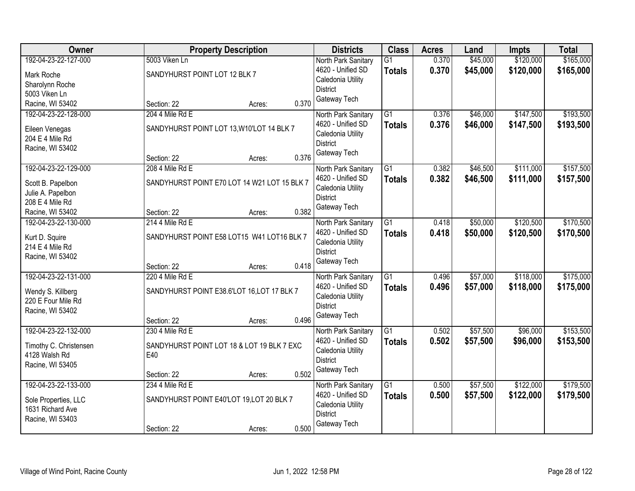| Owner                             | <b>Property Description</b>   |                                              |       | <b>Districts</b>                     | <b>Class</b>    | <b>Acres</b> | Land     | <b>Impts</b> | <b>Total</b> |
|-----------------------------------|-------------------------------|----------------------------------------------|-------|--------------------------------------|-----------------|--------------|----------|--------------|--------------|
| 192-04-23-22-127-000              | 5003 Viken Ln                 |                                              |       | North Park Sanitary                  | $\overline{G1}$ | 0.370        | \$45,000 | \$120,000    | \$165,000    |
| Mark Roche                        | SANDYHURST POINT LOT 12 BLK 7 |                                              |       | 4620 - Unified SD                    | <b>Totals</b>   | 0.370        | \$45,000 | \$120,000    | \$165,000    |
| Sharolynn Roche                   |                               |                                              |       | Caledonia Utility                    |                 |              |          |              |              |
| 5003 Viken Ln                     |                               |                                              |       | <b>District</b>                      |                 |              |          |              |              |
| Racine, WI 53402                  | Section: 22                   | Acres:                                       | 0.370 | Gateway Tech                         |                 |              |          |              |              |
| 192-04-23-22-128-000              | 204 4 Mile Rd E               |                                              |       | North Park Sanitary                  | G1              | 0.376        | \$46,000 | \$147,500    | \$193,500    |
| Eileen Venegas                    |                               | SANDYHURST POINT LOT 13, W10'LOT 14 BLK 7    |       | 4620 - Unified SD                    | <b>Totals</b>   | 0.376        | \$46,000 | \$147,500    | \$193,500    |
| 204 E 4 Mile Rd                   |                               |                                              |       | Caledonia Utility                    |                 |              |          |              |              |
| Racine, WI 53402                  |                               |                                              |       | <b>District</b>                      |                 |              |          |              |              |
|                                   | Section: 22                   | Acres:                                       | 0.376 | Gateway Tech                         |                 |              |          |              |              |
| 192-04-23-22-129-000              | 208 4 Mile Rd E               |                                              |       | North Park Sanitary                  | $\overline{G1}$ | 0.382        | \$46,500 | \$111,000    | \$157,500    |
| Scott B. Papelbon                 |                               | SANDYHURST POINT E70 LOT 14 W21 LOT 15 BLK 7 |       | 4620 - Unified SD                    | <b>Totals</b>   | 0.382        | \$46,500 | \$111,000    | \$157,500    |
| Julie A. Papelbon                 |                               |                                              |       | Caledonia Utility                    |                 |              |          |              |              |
| 208 E 4 Mile Rd                   |                               |                                              |       | <b>District</b>                      |                 |              |          |              |              |
| Racine, WI 53402                  | Section: 22                   | Acres:                                       | 0.382 | Gateway Tech                         |                 |              |          |              |              |
| 192-04-23-22-130-000              | 214 4 Mile Rd E               |                                              |       | North Park Sanitary                  | G1              | 0.418        | \$50,000 | \$120,500    | \$170,500    |
|                                   |                               |                                              |       | 4620 - Unified SD                    | <b>Totals</b>   | 0.418        | \$50,000 | \$120,500    | \$170,500    |
| Kurt D. Squire<br>214 E 4 Mile Rd |                               | SANDYHURST POINT E58 LOT15 W41 LOT16 BLK 7   |       | Caledonia Utility                    |                 |              |          |              |              |
| Racine, WI 53402                  |                               |                                              |       | <b>District</b>                      |                 |              |          |              |              |
|                                   | Section: 22                   | Acres:                                       | 0.418 | Gateway Tech                         |                 |              |          |              |              |
| 192-04-23-22-131-000              | 220 4 Mile Rd E               |                                              |       | North Park Sanitary                  | $\overline{G1}$ | 0.496        | \$57,000 | \$118,000    | \$175,000    |
|                                   |                               |                                              |       | 4620 - Unified SD                    | <b>Totals</b>   | 0.496        | \$57,000 | \$118,000    | \$175,000    |
| Wendy S. Killberg                 |                               | SANDYHURST POINT E38.6'LOT 16,LOT 17 BLK 7   |       | Caledonia Utility                    |                 |              |          |              |              |
| 220 E Four Mile Rd                |                               |                                              |       | <b>District</b>                      |                 |              |          |              |              |
| Racine, WI 53402                  |                               |                                              |       | Gateway Tech                         |                 |              |          |              |              |
|                                   | Section: 22                   | Acres:                                       | 0.496 |                                      |                 |              |          |              |              |
| 192-04-23-22-132-000              | 230 4 Mile Rd E               |                                              |       | North Park Sanitary                  | $\overline{G1}$ | 0.502        | \$57,500 | \$96,000     | \$153,500    |
| Timothy C. Christensen            |                               | SANDYHURST POINT LOT 18 & LOT 19 BLK 7 EXC   |       | 4620 - Unified SD                    | <b>Totals</b>   | 0.502        | \$57,500 | \$96,000     | \$153,500    |
| 4128 Walsh Rd                     | E40                           |                                              |       | Caledonia Utility<br><b>District</b> |                 |              |          |              |              |
| Racine, WI 53405                  |                               |                                              |       | Gateway Tech                         |                 |              |          |              |              |
|                                   | Section: 22                   | Acres:                                       | 0.502 |                                      |                 |              |          |              |              |
| 192-04-23-22-133-000              | 234 4 Mile Rd E               |                                              |       | North Park Sanitary                  | $\overline{G1}$ | 0.500        | \$57,500 | \$122,000    | \$179,500    |
| Sole Properties, LLC              |                               | SANDYHURST POINT E40'LOT 19, LOT 20 BLK 7    |       | 4620 - Unified SD                    | <b>Totals</b>   | 0.500        | \$57,500 | \$122,000    | \$179,500    |
| 1631 Richard Ave                  |                               |                                              |       | Caledonia Utility                    |                 |              |          |              |              |
| Racine, WI 53403                  |                               |                                              |       | <b>District</b>                      |                 |              |          |              |              |
|                                   | Section: 22                   | Acres:                                       | 0.500 | Gateway Tech                         |                 |              |          |              |              |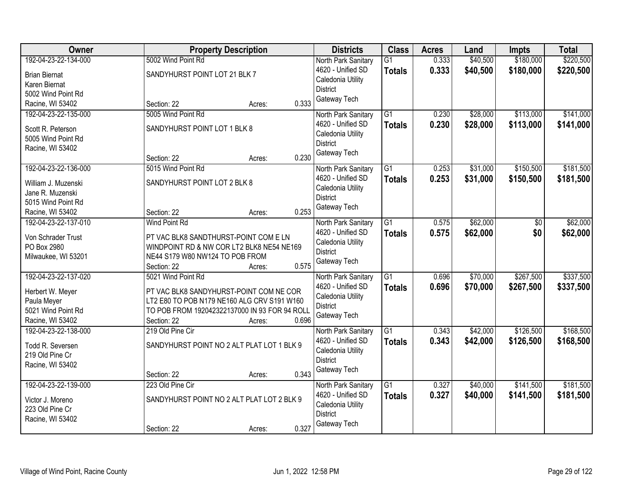| Owner                                    | <b>Property Description</b>                   | <b>Districts</b>                     | <b>Class</b>    | <b>Acres</b> | Land     | <b>Impts</b> | <b>Total</b> |
|------------------------------------------|-----------------------------------------------|--------------------------------------|-----------------|--------------|----------|--------------|--------------|
| 192-04-23-22-134-000                     | 5002 Wind Point Rd                            | North Park Sanitary                  | $\overline{G1}$ | 0.333        | \$40,500 | \$180,000    | \$220,500    |
| <b>Brian Biernat</b>                     | SANDYHURST POINT LOT 21 BLK 7                 | 4620 - Unified SD                    | <b>Totals</b>   | 0.333        | \$40,500 | \$180,000    | \$220,500    |
| Karen Biernat                            |                                               | Caledonia Utility                    |                 |              |          |              |              |
| 5002 Wind Point Rd                       |                                               | <b>District</b>                      |                 |              |          |              |              |
| Racine, WI 53402                         | 0.333<br>Section: 22<br>Acres:                | Gateway Tech                         |                 |              |          |              |              |
| 192-04-23-22-135-000                     | 5005 Wind Point Rd                            | North Park Sanitary                  | $\overline{G1}$ | 0.230        | \$28,000 | \$113,000    | \$141,000    |
| Scott R. Peterson                        | SANDYHURST POINT LOT 1 BLK 8                  | 4620 - Unified SD                    | <b>Totals</b>   | 0.230        | \$28,000 | \$113,000    | \$141,000    |
| 5005 Wind Point Rd                       |                                               | Caledonia Utility                    |                 |              |          |              |              |
| Racine, WI 53402                         |                                               | <b>District</b>                      |                 |              |          |              |              |
|                                          | 0.230<br>Section: 22<br>Acres:                | Gateway Tech                         |                 |              |          |              |              |
| 192-04-23-22-136-000                     | 5015 Wind Point Rd                            | North Park Sanitary                  | $\overline{G1}$ | 0.253        | \$31,000 | \$150,500    | \$181,500    |
|                                          |                                               | 4620 - Unified SD                    | <b>Totals</b>   | 0.253        | \$31,000 | \$150,500    | \$181,500    |
| William J. Muzenski                      | SANDYHURST POINT LOT 2 BLK 8                  | Caledonia Utility                    |                 |              |          |              |              |
| Jane R. Muzenski<br>5015 Wind Point Rd   |                                               | <b>District</b>                      |                 |              |          |              |              |
|                                          | 0.253<br>Section: 22                          | Gateway Tech                         |                 |              |          |              |              |
| Racine, WI 53402<br>192-04-23-22-137-010 | Acres:<br><b>Wind Point Rd</b>                | North Park Sanitary                  | $\overline{G1}$ | 0.575        | \$62,000 | \$0          | \$62,000     |
|                                          |                                               | 4620 - Unified SD                    |                 | 0.575        |          |              |              |
| Von Schrader Trust                       | PT VAC BLK8 SANDTHURST-POINT COM E LN         | Caledonia Utility                    | <b>Totals</b>   |              | \$62,000 | \$0          | \$62,000     |
| PO Box 2980                              | WINDPOINT RD & NW COR LT2 BLK8 NE54 NE169     | <b>District</b>                      |                 |              |          |              |              |
| Milwaukee, WI 53201                      | NE44 S179 W80 NW124 TO POB FROM               | Gateway Tech                         |                 |              |          |              |              |
|                                          | 0.575<br>Section: 22<br>Acres:                |                                      |                 |              |          |              |              |
| 192-04-23-22-137-020                     | 5021 Wind Point Rd                            | North Park Sanitary                  | $\overline{G1}$ | 0.696        | \$70,000 | \$267,500    | \$337,500    |
| Herbert W. Meyer                         | PT VAC BLK8 SANDYHURST-POINT COM NE COR       | 4620 - Unified SD                    | <b>Totals</b>   | 0.696        | \$70,000 | \$267,500    | \$337,500    |
| Paula Meyer                              | LT2 E80 TO POB N179 NE160 ALG CRV S191 W160   | Caledonia Utility                    |                 |              |          |              |              |
| 5021 Wind Point Rd                       | TO POB FROM 192042322137000 IN 93 FOR 94 ROLL | <b>District</b>                      |                 |              |          |              |              |
| Racine, WI 53402                         | 0.696<br>Section: 22<br>Acres:                | Gateway Tech                         |                 |              |          |              |              |
| 192-04-23-22-138-000                     | 219 Old Pine Cir                              | North Park Sanitary                  | $\overline{G1}$ | 0.343        | \$42,000 | \$126,500    | \$168,500    |
|                                          |                                               | 4620 - Unified SD                    | <b>Totals</b>   | 0.343        | \$42,000 | \$126,500    | \$168,500    |
| Todd R. Seversen                         | SANDYHURST POINT NO 2 ALT PLAT LOT 1 BLK 9    | Caledonia Utility                    |                 |              |          |              |              |
| 219 Old Pine Cr                          |                                               | <b>District</b>                      |                 |              |          |              |              |
| Racine, WI 53402                         | 0.343                                         | Gateway Tech                         |                 |              |          |              |              |
|                                          | Section: 22<br>Acres:                         |                                      |                 |              |          |              |              |
| 192-04-23-22-139-000                     | 223 Old Pine Cir                              | North Park Sanitary                  | $\overline{G1}$ | 0.327        | \$40,000 | \$141,500    | \$181,500    |
| Victor J. Moreno                         | SANDYHURST POINT NO 2 ALT PLAT LOT 2 BLK 9    | 4620 - Unified SD                    | <b>Totals</b>   | 0.327        | \$40,000 | \$141,500    | \$181,500    |
| 223 Old Pine Cr                          |                                               | Caledonia Utility<br><b>District</b> |                 |              |          |              |              |
| Racine, WI 53402                         |                                               |                                      |                 |              |          |              |              |
|                                          | 0.327<br>Section: 22<br>Acres:                | Gateway Tech                         |                 |              |          |              |              |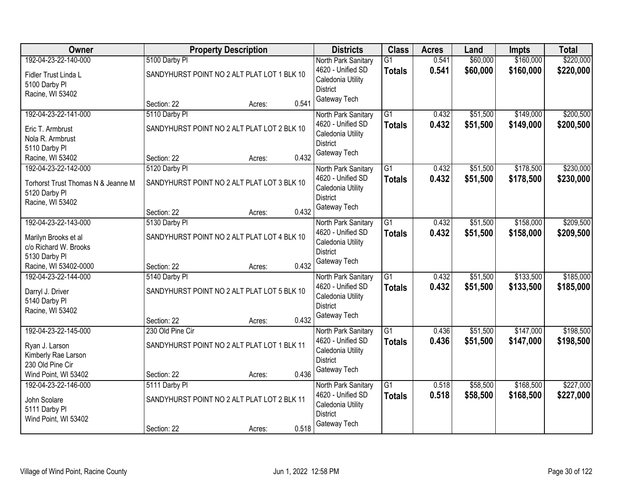| Owner                              | <b>Property Description</b>                 | <b>Districts</b> | <b>Class</b>        | <b>Acres</b>    | Land  | Impts    | <b>Total</b> |           |
|------------------------------------|---------------------------------------------|------------------|---------------------|-----------------|-------|----------|--------------|-----------|
| 192-04-23-22-140-000               | 5100 Darby PI                               |                  | North Park Sanitary | $\overline{G1}$ | 0.541 | \$60,000 | \$160,000    | \$220,000 |
| Fidler Trust Linda L               | SANDYHURST POINT NO 2 ALT PLAT LOT 1 BLK 10 |                  | 4620 - Unified SD   | <b>Totals</b>   | 0.541 | \$60,000 | \$160,000    | \$220,000 |
| 5100 Darby PI                      |                                             |                  | Caledonia Utility   |                 |       |          |              |           |
| Racine, WI 53402                   |                                             |                  | <b>District</b>     |                 |       |          |              |           |
|                                    | Section: 22                                 | 0.541<br>Acres:  | Gateway Tech        |                 |       |          |              |           |
| 192-04-23-22-141-000               | 5110 Darby PI                               |                  | North Park Sanitary | $\overline{G1}$ | 0.432 | \$51,500 | \$149,000    | \$200,500 |
| Eric T. Armbrust                   | SANDYHURST POINT NO 2 ALT PLAT LOT 2 BLK 10 |                  | 4620 - Unified SD   | <b>Totals</b>   | 0.432 | \$51,500 | \$149,000    | \$200,500 |
| Nola R. Armbrust                   |                                             |                  | Caledonia Utility   |                 |       |          |              |           |
| 5110 Darby PI                      |                                             |                  | <b>District</b>     |                 |       |          |              |           |
| Racine, WI 53402                   | Section: 22<br>Acres:                       | 0.432            | Gateway Tech        |                 |       |          |              |           |
| 192-04-23-22-142-000               | 5120 Darby PI                               |                  | North Park Sanitary | $\overline{G1}$ | 0.432 | \$51,500 | \$178,500    | \$230,000 |
| Torhorst Trust Thomas N & Jeanne M | SANDYHURST POINT NO 2 ALT PLAT LOT 3 BLK 10 |                  | 4620 - Unified SD   | <b>Totals</b>   | 0.432 | \$51,500 | \$178,500    | \$230,000 |
| 5120 Darby PI                      |                                             |                  | Caledonia Utility   |                 |       |          |              |           |
| Racine, WI 53402                   |                                             |                  | <b>District</b>     |                 |       |          |              |           |
|                                    | Section: 22<br>Acres:                       | 0.432            | Gateway Tech        |                 |       |          |              |           |
| 192-04-23-22-143-000               | 5130 Darby PI                               |                  | North Park Sanitary | $\overline{G1}$ | 0.432 | \$51,500 | \$158,000    | \$209,500 |
| Marilyn Brooks et al               | SANDYHURST POINT NO 2 ALT PLAT LOT 4 BLK 10 |                  | 4620 - Unified SD   | <b>Totals</b>   | 0.432 | \$51,500 | \$158,000    | \$209,500 |
| c/o Richard W. Brooks              |                                             |                  | Caledonia Utility   |                 |       |          |              |           |
| 5130 Darby Pl                      |                                             |                  | <b>District</b>     |                 |       |          |              |           |
| Racine, WI 53402-0000              | Section: 22<br>Acres:                       | 0.432            | Gateway Tech        |                 |       |          |              |           |
| 192-04-23-22-144-000               | 5140 Darby PI                               |                  | North Park Sanitary | $\overline{G1}$ | 0.432 | \$51,500 | \$133,500    | \$185,000 |
| Darryl J. Driver                   | SANDYHURST POINT NO 2 ALT PLAT LOT 5 BLK 10 |                  | 4620 - Unified SD   | <b>Totals</b>   | 0.432 | \$51,500 | \$133,500    | \$185,000 |
| 5140 Darby PI                      |                                             |                  | Caledonia Utility   |                 |       |          |              |           |
| Racine, WI 53402                   |                                             |                  | <b>District</b>     |                 |       |          |              |           |
|                                    | Section: 22<br>Acres:                       | 0.432            | Gateway Tech        |                 |       |          |              |           |
| 192-04-23-22-145-000               | 230 Old Pine Cir                            |                  | North Park Sanitary | $\overline{G1}$ | 0.436 | \$51,500 | \$147,000    | \$198,500 |
| Ryan J. Larson                     | SANDYHURST POINT NO 2 ALT PLAT LOT 1 BLK 11 |                  | 4620 - Unified SD   | <b>Totals</b>   | 0.436 | \$51,500 | \$147,000    | \$198,500 |
| Kimberly Rae Larson                |                                             |                  | Caledonia Utility   |                 |       |          |              |           |
| 230 Old Pine Cir                   |                                             |                  | <b>District</b>     |                 |       |          |              |           |
| Wind Point, WI 53402               | Section: 22                                 | 0.436<br>Acres:  | Gateway Tech        |                 |       |          |              |           |
| 192-04-23-22-146-000               | 5111 Darby PI                               |                  | North Park Sanitary | $\overline{G1}$ | 0.518 | \$58,500 | \$168,500    | \$227,000 |
| John Scolare                       | SANDYHURST POINT NO 2 ALT PLAT LOT 2 BLK 11 |                  | 4620 - Unified SD   | <b>Totals</b>   | 0.518 | \$58,500 | \$168,500    | \$227,000 |
| 5111 Darby PI                      |                                             |                  | Caledonia Utility   |                 |       |          |              |           |
| Wind Point, WI 53402               |                                             |                  | <b>District</b>     |                 |       |          |              |           |
|                                    | Section: 22<br>Acres:                       | 0.518            | Gateway Tech        |                 |       |          |              |           |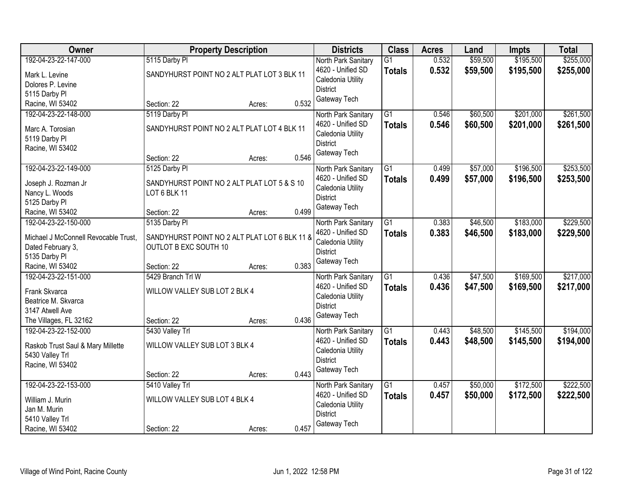| 192-04-23-22-147-000<br>\$59,500<br>\$195,500<br>\$255,000<br>5115 Darby PI<br>$\overline{G1}$<br>0.532<br>North Park Sanitary<br>0.532<br>4620 - Unified SD<br>\$59,500<br>\$195,500<br>\$255,000<br><b>Totals</b><br>SANDYHURST POINT NO 2 ALT PLAT LOT 3 BLK 11<br>Mark L. Levine<br>Caledonia Utility<br>Dolores P. Levine<br><b>District</b><br>5115 Darby Pl<br>Gateway Tech<br>0.532<br>Racine, WI 53402<br>Section: 22<br>Acres:<br>\$201,000<br>192-04-23-22-148-000<br>5119 Darby PI<br>$\overline{G1}$<br>\$60,500<br>North Park Sanitary<br>0.546<br>4620 - Unified SD<br>0.546<br>\$60,500<br>\$201,000<br><b>Totals</b><br>SANDYHURST POINT NO 2 ALT PLAT LOT 4 BLK 11<br>Marc A. Torosian<br>Caledonia Utility<br>5119 Darby Pl<br><b>District</b><br>Racine, WI 53402<br>Gateway Tech<br>0.546<br>Section: 22<br>Acres:<br>\$196,500<br>192-04-23-22-149-000<br>$\overline{G1}$<br>\$57,000<br>5125 Darby PI<br>0.499<br>North Park Sanitary<br>4620 - Unified SD<br>\$57,000<br>0.499<br>\$196,500<br><b>Totals</b><br>Joseph J. Rozman Jr<br>SANDYHURST POINT NO 2 ALT PLAT LOT 5 & S 10<br>Caledonia Utility<br>Nancy L. Woods<br>LOT 6 BLK 11<br><b>District</b><br>5125 Darby PI<br>Gateway Tech<br>0.499<br>Section: 22<br>Racine, WI 53402<br>Acres:<br>\$46,500<br>\$183,000<br>192-04-23-22-150-000<br>5135 Darby PI<br>G1<br>0.383<br>North Park Sanitary<br>0.383<br>4620 - Unified SD<br>\$46,500<br>\$183,000<br><b>Totals</b><br>Michael J McConnell Revocable Trust,<br>SANDYHURST POINT NO 2 ALT PLAT LOT 6 BLK 11 &<br>Caledonia Utility<br>OUTLOT B EXC SOUTH 10<br>Dated February 3,<br><b>District</b><br>5135 Darby Pl<br>Gateway Tech<br>0.383<br>Racine, WI 53402<br>Section: 22<br>Acres:<br>192-04-23-22-151-000<br>5429 Branch Trl W<br>$\overline{G1}$<br>\$47,500<br>\$169,500<br>0.436<br>North Park Sanitary<br>\$169,500<br>4620 - Unified SD<br>0.436<br>\$47,500<br><b>Totals</b><br>Frank Skvarca<br>WILLOW VALLEY SUB LOT 2 BLK 4<br>Caledonia Utility<br>Beatrice M. Skvarca<br><b>District</b><br>3147 Atwell Ave<br>Gateway Tech<br>0.436<br>The Villages, FL 32162<br>Section: 22<br>Acres:<br>$\overline{G1}$<br>192-04-23-22-152-000<br>\$48,500<br>\$145,500<br>5430 Valley Trl<br>0.443<br>North Park Sanitary<br>4620 - Unified SD<br>0.443<br>\$48,500<br>\$145,500<br><b>Totals</b><br>WILLOW VALLEY SUB LOT 3 BLK 4<br>Raskob Trust Saul & Mary Millette<br>Caledonia Utility<br>5430 Valley Trl<br><b>District</b><br>Racine, WI 53402<br>Gateway Tech<br>0.443<br>Section: 22<br>Acres:<br>\$50,000<br>\$172,500<br>192-04-23-22-153-000<br>5410 Valley Trl<br>$\overline{G1}$<br>North Park Sanitary<br>0.457<br>0.457<br>\$50,000<br>\$172,500<br>4620 - Unified SD<br><b>Totals</b><br>WILLOW VALLEY SUB LOT 4 BLK 4<br>William J. Murin<br>Caledonia Utility<br>Jan M. Murin<br><b>District</b><br>5410 Valley Trl | Owner | <b>Property Description</b> |  |       | <b>Districts</b> | <b>Class</b> | <b>Acres</b> | Land | <b>Impts</b> | <b>Total</b> |
|-----------------------------------------------------------------------------------------------------------------------------------------------------------------------------------------------------------------------------------------------------------------------------------------------------------------------------------------------------------------------------------------------------------------------------------------------------------------------------------------------------------------------------------------------------------------------------------------------------------------------------------------------------------------------------------------------------------------------------------------------------------------------------------------------------------------------------------------------------------------------------------------------------------------------------------------------------------------------------------------------------------------------------------------------------------------------------------------------------------------------------------------------------------------------------------------------------------------------------------------------------------------------------------------------------------------------------------------------------------------------------------------------------------------------------------------------------------------------------------------------------------------------------------------------------------------------------------------------------------------------------------------------------------------------------------------------------------------------------------------------------------------------------------------------------------------------------------------------------------------------------------------------------------------------------------------------------------------------------------------------------------------------------------------------------------------------------------------------------------------------------------------------------------------------------------------------------------------------------------------------------------------------------------------------------------------------------------------------------------------------------------------------------------------------------------------------------------------------------------------------------------------------------------------------------------------------------------------------------------------------------------------------------------------------------------------------------------------------------------------------------------------------------------------------------------------------------------------------------------------------------------------|-------|-----------------------------|--|-------|------------------|--------------|--------------|------|--------------|--------------|
|                                                                                                                                                                                                                                                                                                                                                                                                                                                                                                                                                                                                                                                                                                                                                                                                                                                                                                                                                                                                                                                                                                                                                                                                                                                                                                                                                                                                                                                                                                                                                                                                                                                                                                                                                                                                                                                                                                                                                                                                                                                                                                                                                                                                                                                                                                                                                                                                                                                                                                                                                                                                                                                                                                                                                                                                                                                                                         |       |                             |  |       |                  |              |              |      |              |              |
|                                                                                                                                                                                                                                                                                                                                                                                                                                                                                                                                                                                                                                                                                                                                                                                                                                                                                                                                                                                                                                                                                                                                                                                                                                                                                                                                                                                                                                                                                                                                                                                                                                                                                                                                                                                                                                                                                                                                                                                                                                                                                                                                                                                                                                                                                                                                                                                                                                                                                                                                                                                                                                                                                                                                                                                                                                                                                         |       |                             |  |       |                  |              |              |      |              |              |
|                                                                                                                                                                                                                                                                                                                                                                                                                                                                                                                                                                                                                                                                                                                                                                                                                                                                                                                                                                                                                                                                                                                                                                                                                                                                                                                                                                                                                                                                                                                                                                                                                                                                                                                                                                                                                                                                                                                                                                                                                                                                                                                                                                                                                                                                                                                                                                                                                                                                                                                                                                                                                                                                                                                                                                                                                                                                                         |       |                             |  |       |                  |              |              |      |              |              |
| \$261,500<br>\$261,500<br>\$253,500<br>\$253,500<br>\$229,500<br>\$229,500<br>\$217,000<br>\$222,500<br>\$222,500                                                                                                                                                                                                                                                                                                                                                                                                                                                                                                                                                                                                                                                                                                                                                                                                                                                                                                                                                                                                                                                                                                                                                                                                                                                                                                                                                                                                                                                                                                                                                                                                                                                                                                                                                                                                                                                                                                                                                                                                                                                                                                                                                                                                                                                                                                                                                                                                                                                                                                                                                                                                                                                                                                                                                                       |       |                             |  |       |                  |              |              |      |              |              |
|                                                                                                                                                                                                                                                                                                                                                                                                                                                                                                                                                                                                                                                                                                                                                                                                                                                                                                                                                                                                                                                                                                                                                                                                                                                                                                                                                                                                                                                                                                                                                                                                                                                                                                                                                                                                                                                                                                                                                                                                                                                                                                                                                                                                                                                                                                                                                                                                                                                                                                                                                                                                                                                                                                                                                                                                                                                                                         |       |                             |  |       |                  |              |              |      |              |              |
|                                                                                                                                                                                                                                                                                                                                                                                                                                                                                                                                                                                                                                                                                                                                                                                                                                                                                                                                                                                                                                                                                                                                                                                                                                                                                                                                                                                                                                                                                                                                                                                                                                                                                                                                                                                                                                                                                                                                                                                                                                                                                                                                                                                                                                                                                                                                                                                                                                                                                                                                                                                                                                                                                                                                                                                                                                                                                         |       |                             |  |       |                  |              |              |      |              |              |
|                                                                                                                                                                                                                                                                                                                                                                                                                                                                                                                                                                                                                                                                                                                                                                                                                                                                                                                                                                                                                                                                                                                                                                                                                                                                                                                                                                                                                                                                                                                                                                                                                                                                                                                                                                                                                                                                                                                                                                                                                                                                                                                                                                                                                                                                                                                                                                                                                                                                                                                                                                                                                                                                                                                                                                                                                                                                                         |       |                             |  |       |                  |              |              |      |              |              |
|                                                                                                                                                                                                                                                                                                                                                                                                                                                                                                                                                                                                                                                                                                                                                                                                                                                                                                                                                                                                                                                                                                                                                                                                                                                                                                                                                                                                                                                                                                                                                                                                                                                                                                                                                                                                                                                                                                                                                                                                                                                                                                                                                                                                                                                                                                                                                                                                                                                                                                                                                                                                                                                                                                                                                                                                                                                                                         |       |                             |  |       |                  |              |              |      |              |              |
|                                                                                                                                                                                                                                                                                                                                                                                                                                                                                                                                                                                                                                                                                                                                                                                                                                                                                                                                                                                                                                                                                                                                                                                                                                                                                                                                                                                                                                                                                                                                                                                                                                                                                                                                                                                                                                                                                                                                                                                                                                                                                                                                                                                                                                                                                                                                                                                                                                                                                                                                                                                                                                                                                                                                                                                                                                                                                         |       |                             |  |       |                  |              |              |      |              |              |
|                                                                                                                                                                                                                                                                                                                                                                                                                                                                                                                                                                                                                                                                                                                                                                                                                                                                                                                                                                                                                                                                                                                                                                                                                                                                                                                                                                                                                                                                                                                                                                                                                                                                                                                                                                                                                                                                                                                                                                                                                                                                                                                                                                                                                                                                                                                                                                                                                                                                                                                                                                                                                                                                                                                                                                                                                                                                                         |       |                             |  |       |                  |              |              |      |              |              |
|                                                                                                                                                                                                                                                                                                                                                                                                                                                                                                                                                                                                                                                                                                                                                                                                                                                                                                                                                                                                                                                                                                                                                                                                                                                                                                                                                                                                                                                                                                                                                                                                                                                                                                                                                                                                                                                                                                                                                                                                                                                                                                                                                                                                                                                                                                                                                                                                                                                                                                                                                                                                                                                                                                                                                                                                                                                                                         |       |                             |  |       |                  |              |              |      |              |              |
|                                                                                                                                                                                                                                                                                                                                                                                                                                                                                                                                                                                                                                                                                                                                                                                                                                                                                                                                                                                                                                                                                                                                                                                                                                                                                                                                                                                                                                                                                                                                                                                                                                                                                                                                                                                                                                                                                                                                                                                                                                                                                                                                                                                                                                                                                                                                                                                                                                                                                                                                                                                                                                                                                                                                                                                                                                                                                         |       |                             |  |       |                  |              |              |      |              |              |
| \$217,000<br>\$194,000<br>\$194,000                                                                                                                                                                                                                                                                                                                                                                                                                                                                                                                                                                                                                                                                                                                                                                                                                                                                                                                                                                                                                                                                                                                                                                                                                                                                                                                                                                                                                                                                                                                                                                                                                                                                                                                                                                                                                                                                                                                                                                                                                                                                                                                                                                                                                                                                                                                                                                                                                                                                                                                                                                                                                                                                                                                                                                                                                                                     |       |                             |  |       |                  |              |              |      |              |              |
|                                                                                                                                                                                                                                                                                                                                                                                                                                                                                                                                                                                                                                                                                                                                                                                                                                                                                                                                                                                                                                                                                                                                                                                                                                                                                                                                                                                                                                                                                                                                                                                                                                                                                                                                                                                                                                                                                                                                                                                                                                                                                                                                                                                                                                                                                                                                                                                                                                                                                                                                                                                                                                                                                                                                                                                                                                                                                         |       |                             |  |       |                  |              |              |      |              |              |
|                                                                                                                                                                                                                                                                                                                                                                                                                                                                                                                                                                                                                                                                                                                                                                                                                                                                                                                                                                                                                                                                                                                                                                                                                                                                                                                                                                                                                                                                                                                                                                                                                                                                                                                                                                                                                                                                                                                                                                                                                                                                                                                                                                                                                                                                                                                                                                                                                                                                                                                                                                                                                                                                                                                                                                                                                                                                                         |       |                             |  |       |                  |              |              |      |              |              |
|                                                                                                                                                                                                                                                                                                                                                                                                                                                                                                                                                                                                                                                                                                                                                                                                                                                                                                                                                                                                                                                                                                                                                                                                                                                                                                                                                                                                                                                                                                                                                                                                                                                                                                                                                                                                                                                                                                                                                                                                                                                                                                                                                                                                                                                                                                                                                                                                                                                                                                                                                                                                                                                                                                                                                                                                                                                                                         |       |                             |  |       |                  |              |              |      |              |              |
|                                                                                                                                                                                                                                                                                                                                                                                                                                                                                                                                                                                                                                                                                                                                                                                                                                                                                                                                                                                                                                                                                                                                                                                                                                                                                                                                                                                                                                                                                                                                                                                                                                                                                                                                                                                                                                                                                                                                                                                                                                                                                                                                                                                                                                                                                                                                                                                                                                                                                                                                                                                                                                                                                                                                                                                                                                                                                         |       |                             |  |       |                  |              |              |      |              |              |
|                                                                                                                                                                                                                                                                                                                                                                                                                                                                                                                                                                                                                                                                                                                                                                                                                                                                                                                                                                                                                                                                                                                                                                                                                                                                                                                                                                                                                                                                                                                                                                                                                                                                                                                                                                                                                                                                                                                                                                                                                                                                                                                                                                                                                                                                                                                                                                                                                                                                                                                                                                                                                                                                                                                                                                                                                                                                                         |       |                             |  |       |                  |              |              |      |              |              |
|                                                                                                                                                                                                                                                                                                                                                                                                                                                                                                                                                                                                                                                                                                                                                                                                                                                                                                                                                                                                                                                                                                                                                                                                                                                                                                                                                                                                                                                                                                                                                                                                                                                                                                                                                                                                                                                                                                                                                                                                                                                                                                                                                                                                                                                                                                                                                                                                                                                                                                                                                                                                                                                                                                                                                                                                                                                                                         |       |                             |  |       |                  |              |              |      |              |              |
|                                                                                                                                                                                                                                                                                                                                                                                                                                                                                                                                                                                                                                                                                                                                                                                                                                                                                                                                                                                                                                                                                                                                                                                                                                                                                                                                                                                                                                                                                                                                                                                                                                                                                                                                                                                                                                                                                                                                                                                                                                                                                                                                                                                                                                                                                                                                                                                                                                                                                                                                                                                                                                                                                                                                                                                                                                                                                         |       |                             |  |       |                  |              |              |      |              |              |
|                                                                                                                                                                                                                                                                                                                                                                                                                                                                                                                                                                                                                                                                                                                                                                                                                                                                                                                                                                                                                                                                                                                                                                                                                                                                                                                                                                                                                                                                                                                                                                                                                                                                                                                                                                                                                                                                                                                                                                                                                                                                                                                                                                                                                                                                                                                                                                                                                                                                                                                                                                                                                                                                                                                                                                                                                                                                                         |       |                             |  |       |                  |              |              |      |              |              |
|                                                                                                                                                                                                                                                                                                                                                                                                                                                                                                                                                                                                                                                                                                                                                                                                                                                                                                                                                                                                                                                                                                                                                                                                                                                                                                                                                                                                                                                                                                                                                                                                                                                                                                                                                                                                                                                                                                                                                                                                                                                                                                                                                                                                                                                                                                                                                                                                                                                                                                                                                                                                                                                                                                                                                                                                                                                                                         |       |                             |  |       |                  |              |              |      |              |              |
|                                                                                                                                                                                                                                                                                                                                                                                                                                                                                                                                                                                                                                                                                                                                                                                                                                                                                                                                                                                                                                                                                                                                                                                                                                                                                                                                                                                                                                                                                                                                                                                                                                                                                                                                                                                                                                                                                                                                                                                                                                                                                                                                                                                                                                                                                                                                                                                                                                                                                                                                                                                                                                                                                                                                                                                                                                                                                         |       |                             |  |       |                  |              |              |      |              |              |
|                                                                                                                                                                                                                                                                                                                                                                                                                                                                                                                                                                                                                                                                                                                                                                                                                                                                                                                                                                                                                                                                                                                                                                                                                                                                                                                                                                                                                                                                                                                                                                                                                                                                                                                                                                                                                                                                                                                                                                                                                                                                                                                                                                                                                                                                                                                                                                                                                                                                                                                                                                                                                                                                                                                                                                                                                                                                                         |       |                             |  |       |                  |              |              |      |              |              |
|                                                                                                                                                                                                                                                                                                                                                                                                                                                                                                                                                                                                                                                                                                                                                                                                                                                                                                                                                                                                                                                                                                                                                                                                                                                                                                                                                                                                                                                                                                                                                                                                                                                                                                                                                                                                                                                                                                                                                                                                                                                                                                                                                                                                                                                                                                                                                                                                                                                                                                                                                                                                                                                                                                                                                                                                                                                                                         |       |                             |  |       |                  |              |              |      |              |              |
|                                                                                                                                                                                                                                                                                                                                                                                                                                                                                                                                                                                                                                                                                                                                                                                                                                                                                                                                                                                                                                                                                                                                                                                                                                                                                                                                                                                                                                                                                                                                                                                                                                                                                                                                                                                                                                                                                                                                                                                                                                                                                                                                                                                                                                                                                                                                                                                                                                                                                                                                                                                                                                                                                                                                                                                                                                                                                         |       |                             |  |       |                  |              |              |      |              |              |
|                                                                                                                                                                                                                                                                                                                                                                                                                                                                                                                                                                                                                                                                                                                                                                                                                                                                                                                                                                                                                                                                                                                                                                                                                                                                                                                                                                                                                                                                                                                                                                                                                                                                                                                                                                                                                                                                                                                                                                                                                                                                                                                                                                                                                                                                                                                                                                                                                                                                                                                                                                                                                                                                                                                                                                                                                                                                                         |       |                             |  |       |                  |              |              |      |              |              |
|                                                                                                                                                                                                                                                                                                                                                                                                                                                                                                                                                                                                                                                                                                                                                                                                                                                                                                                                                                                                                                                                                                                                                                                                                                                                                                                                                                                                                                                                                                                                                                                                                                                                                                                                                                                                                                                                                                                                                                                                                                                                                                                                                                                                                                                                                                                                                                                                                                                                                                                                                                                                                                                                                                                                                                                                                                                                                         |       |                             |  |       |                  |              |              |      |              |              |
|                                                                                                                                                                                                                                                                                                                                                                                                                                                                                                                                                                                                                                                                                                                                                                                                                                                                                                                                                                                                                                                                                                                                                                                                                                                                                                                                                                                                                                                                                                                                                                                                                                                                                                                                                                                                                                                                                                                                                                                                                                                                                                                                                                                                                                                                                                                                                                                                                                                                                                                                                                                                                                                                                                                                                                                                                                                                                         |       |                             |  |       |                  |              |              |      |              |              |
|                                                                                                                                                                                                                                                                                                                                                                                                                                                                                                                                                                                                                                                                                                                                                                                                                                                                                                                                                                                                                                                                                                                                                                                                                                                                                                                                                                                                                                                                                                                                                                                                                                                                                                                                                                                                                                                                                                                                                                                                                                                                                                                                                                                                                                                                                                                                                                                                                                                                                                                                                                                                                                                                                                                                                                                                                                                                                         |       |                             |  |       |                  |              |              |      |              |              |
|                                                                                                                                                                                                                                                                                                                                                                                                                                                                                                                                                                                                                                                                                                                                                                                                                                                                                                                                                                                                                                                                                                                                                                                                                                                                                                                                                                                                                                                                                                                                                                                                                                                                                                                                                                                                                                                                                                                                                                                                                                                                                                                                                                                                                                                                                                                                                                                                                                                                                                                                                                                                                                                                                                                                                                                                                                                                                         |       |                             |  |       |                  |              |              |      |              |              |
|                                                                                                                                                                                                                                                                                                                                                                                                                                                                                                                                                                                                                                                                                                                                                                                                                                                                                                                                                                                                                                                                                                                                                                                                                                                                                                                                                                                                                                                                                                                                                                                                                                                                                                                                                                                                                                                                                                                                                                                                                                                                                                                                                                                                                                                                                                                                                                                                                                                                                                                                                                                                                                                                                                                                                                                                                                                                                         |       |                             |  |       |                  |              |              |      |              |              |
|                                                                                                                                                                                                                                                                                                                                                                                                                                                                                                                                                                                                                                                                                                                                                                                                                                                                                                                                                                                                                                                                                                                                                                                                                                                                                                                                                                                                                                                                                                                                                                                                                                                                                                                                                                                                                                                                                                                                                                                                                                                                                                                                                                                                                                                                                                                                                                                                                                                                                                                                                                                                                                                                                                                                                                                                                                                                                         |       |                             |  |       |                  |              |              |      |              |              |
|                                                                                                                                                                                                                                                                                                                                                                                                                                                                                                                                                                                                                                                                                                                                                                                                                                                                                                                                                                                                                                                                                                                                                                                                                                                                                                                                                                                                                                                                                                                                                                                                                                                                                                                                                                                                                                                                                                                                                                                                                                                                                                                                                                                                                                                                                                                                                                                                                                                                                                                                                                                                                                                                                                                                                                                                                                                                                         |       |                             |  |       |                  |              |              |      |              |              |
|                                                                                                                                                                                                                                                                                                                                                                                                                                                                                                                                                                                                                                                                                                                                                                                                                                                                                                                                                                                                                                                                                                                                                                                                                                                                                                                                                                                                                                                                                                                                                                                                                                                                                                                                                                                                                                                                                                                                                                                                                                                                                                                                                                                                                                                                                                                                                                                                                                                                                                                                                                                                                                                                                                                                                                                                                                                                                         |       |                             |  |       |                  |              |              |      |              |              |
| Racine, WI 53402<br>Section: 22<br>Acres:                                                                                                                                                                                                                                                                                                                                                                                                                                                                                                                                                                                                                                                                                                                                                                                                                                                                                                                                                                                                                                                                                                                                                                                                                                                                                                                                                                                                                                                                                                                                                                                                                                                                                                                                                                                                                                                                                                                                                                                                                                                                                                                                                                                                                                                                                                                                                                                                                                                                                                                                                                                                                                                                                                                                                                                                                                               |       |                             |  | 0.457 | Gateway Tech     |              |              |      |              |              |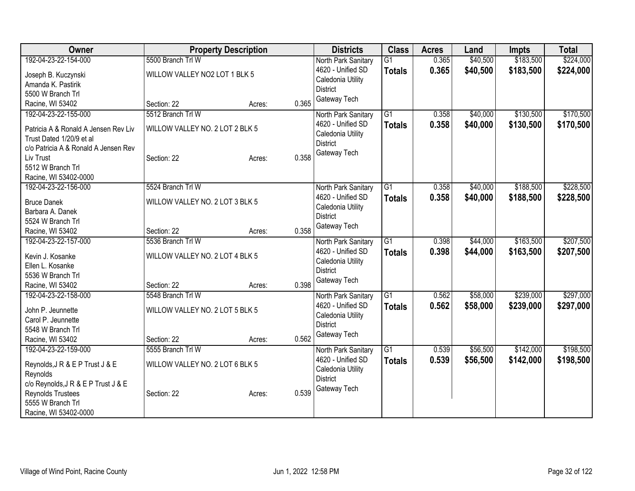| Owner                                                            | <b>Property Description</b>     |                 | <b>Districts</b>                       | <b>Class</b>    | <b>Acres</b> | Land     | <b>Impts</b> | <b>Total</b> |
|------------------------------------------------------------------|---------------------------------|-----------------|----------------------------------------|-----------------|--------------|----------|--------------|--------------|
| 192-04-23-22-154-000                                             | 5500 Branch Trl W               |                 | North Park Sanitary                    | $\overline{G1}$ | 0.365        | \$40,500 | \$183,500    | \$224,000    |
| Joseph B. Kuczynski                                              | WILLOW VALLEY NO2 LOT 1 BLK 5   |                 | 4620 - Unified SD                      | <b>Totals</b>   | 0.365        | \$40,500 | \$183,500    | \$224,000    |
| Amanda K. Pastirik                                               |                                 |                 | Caledonia Utility                      |                 |              |          |              |              |
| 5500 W Branch Trl                                                |                                 |                 | <b>District</b>                        |                 |              |          |              |              |
| Racine, WI 53402                                                 | Section: 22                     | 0.365<br>Acres: | Gateway Tech                           |                 |              |          |              |              |
| 192-04-23-22-155-000                                             | 5512 Branch Trl W               |                 | North Park Sanitary                    | G1              | 0.358        | \$40,000 | \$130,500    | \$170,500    |
| Patricia A & Ronald A Jensen Rev Liv<br>Trust Dated 1/20/9 et al | WILLOW VALLEY NO. 2 LOT 2 BLK 5 |                 | 4620 - Unified SD<br>Caledonia Utility | <b>Totals</b>   | 0.358        | \$40,000 | \$130,500    | \$170,500    |
| c/o Patricia A & Ronald A Jensen Rev                             |                                 |                 | <b>District</b>                        |                 |              |          |              |              |
| Liv Trust                                                        | Section: 22                     | 0.358<br>Acres: | Gateway Tech                           |                 |              |          |              |              |
| 5512 W Branch Trl                                                |                                 |                 |                                        |                 |              |          |              |              |
| Racine, WI 53402-0000                                            |                                 |                 |                                        |                 |              |          |              |              |
| 192-04-23-22-156-000                                             | 5524 Branch Trl W               |                 | North Park Sanitary                    | $\overline{G1}$ | 0.358        | \$40,000 | \$188,500    | \$228,500    |
| <b>Bruce Danek</b>                                               | WILLOW VALLEY NO. 2 LOT 3 BLK 5 |                 | 4620 - Unified SD                      | <b>Totals</b>   | 0.358        | \$40,000 | \$188,500    | \$228,500    |
| Barbara A. Danek                                                 |                                 |                 | Caledonia Utility                      |                 |              |          |              |              |
| 5524 W Branch Trl                                                |                                 |                 | <b>District</b>                        |                 |              |          |              |              |
| Racine, WI 53402                                                 | Section: 22                     | 0.358<br>Acres: | Gateway Tech                           |                 |              |          |              |              |
| 192-04-23-22-157-000                                             | 5536 Branch Trl W               |                 | North Park Sanitary                    | $\overline{G1}$ | 0.398        | \$44,000 | \$163,500    | \$207,500    |
| Kevin J. Kosanke                                                 | WILLOW VALLEY NO. 2 LOT 4 BLK 5 |                 | 4620 - Unified SD                      | <b>Totals</b>   | 0.398        | \$44,000 | \$163,500    | \$207,500    |
| Ellen L. Kosanke                                                 |                                 |                 | Caledonia Utility<br><b>District</b>   |                 |              |          |              |              |
| 5536 W Branch Trl                                                |                                 |                 | Gateway Tech                           |                 |              |          |              |              |
| Racine, WI 53402                                                 | Section: 22                     | 0.398<br>Acres: |                                        |                 |              |          |              |              |
| 192-04-23-22-158-000                                             | 5548 Branch Trl W               |                 | North Park Sanitary                    | $\overline{G1}$ | 0.562        | \$58,000 | \$239,000    | \$297,000    |
| John P. Jeunnette                                                | WILLOW VALLEY NO. 2 LOT 5 BLK 5 |                 | 4620 - Unified SD                      | <b>Totals</b>   | 0.562        | \$58,000 | \$239,000    | \$297,000    |
| Carol P. Jeunnette                                               |                                 |                 | Caledonia Utility                      |                 |              |          |              |              |
| 5548 W Branch Trl                                                |                                 |                 | <b>District</b>                        |                 |              |          |              |              |
| Racine, WI 53402                                                 | Section: 22                     | 0.562<br>Acres: | Gateway Tech                           |                 |              |          |              |              |
| 192-04-23-22-159-000                                             | 5555 Branch Trl W               |                 | North Park Sanitary                    | $\overline{G1}$ | 0.539        | \$56,500 | \$142,000    | \$198,500    |
| Reynolds, J R & E P Trust J & E                                  | WILLOW VALLEY NO. 2 LOT 6 BLK 5 |                 | 4620 - Unified SD                      | <b>Totals</b>   | 0.539        | \$56,500 | \$142,000    | \$198,500    |
| Reynolds                                                         |                                 |                 | Caledonia Utility                      |                 |              |          |              |              |
| c/o Reynolds, J R & E P Trust J & E                              |                                 |                 | <b>District</b>                        |                 |              |          |              |              |
| Reynolds Trustees                                                | Section: 22                     | 0.539<br>Acres: | Gateway Tech                           |                 |              |          |              |              |
| 5555 W Branch Trl                                                |                                 |                 |                                        |                 |              |          |              |              |
| Racine, WI 53402-0000                                            |                                 |                 |                                        |                 |              |          |              |              |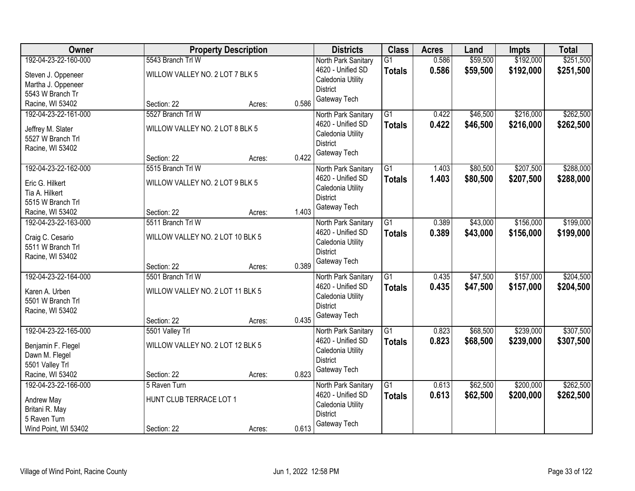| Owner                                |                                  | <b>Property Description</b> |       | <b>Districts</b>    | <b>Class</b>    | <b>Acres</b> | Land     | <b>Impts</b> | <b>Total</b> |
|--------------------------------------|----------------------------------|-----------------------------|-------|---------------------|-----------------|--------------|----------|--------------|--------------|
| 192-04-23-22-160-000                 | 5543 Branch Trl W                |                             |       | North Park Sanitary | G <sub>1</sub>  | 0.586        | \$59,500 | \$192,000    | \$251,500    |
| Steven J. Oppeneer                   | WILLOW VALLEY NO. 2 LOT 7 BLK 5  |                             |       | 4620 - Unified SD   | <b>Totals</b>   | 0.586        | \$59,500 | \$192,000    | \$251,500    |
| Martha J. Oppeneer                   |                                  |                             |       | Caledonia Utility   |                 |              |          |              |              |
| 5543 W Branch Tr                     |                                  |                             |       | <b>District</b>     |                 |              |          |              |              |
| Racine, WI 53402                     | Section: 22                      | Acres:                      | 0.586 | Gateway Tech        |                 |              |          |              |              |
| 192-04-23-22-161-000                 | 5527 Branch Trl W                |                             |       | North Park Sanitary | $\overline{G1}$ | 0.422        | \$46,500 | \$216,000    | \$262,500    |
| Jeffrey M. Slater                    | WILLOW VALLEY NO. 2 LOT 8 BLK 5  |                             |       | 4620 - Unified SD   | <b>Totals</b>   | 0.422        | \$46,500 | \$216,000    | \$262,500    |
| 5527 W Branch Trl                    |                                  |                             |       | Caledonia Utility   |                 |              |          |              |              |
| Racine, WI 53402                     |                                  |                             |       | <b>District</b>     |                 |              |          |              |              |
|                                      | Section: 22                      | Acres:                      | 0.422 | Gateway Tech        |                 |              |          |              |              |
| 192-04-23-22-162-000                 | 5515 Branch Trl W                |                             |       | North Park Sanitary | $\overline{G1}$ | 1.403        | \$80,500 | \$207,500    | \$288,000    |
| Eric G. Hilkert                      | WILLOW VALLEY NO. 2 LOT 9 BLK 5  |                             |       | 4620 - Unified SD   | <b>Totals</b>   | 1.403        | \$80,500 | \$207,500    | \$288,000    |
| Tia A. Hilkert                       |                                  |                             |       | Caledonia Utility   |                 |              |          |              |              |
| 5515 W Branch Trl                    |                                  |                             |       | <b>District</b>     |                 |              |          |              |              |
| Racine, WI 53402                     | Section: 22                      | Acres:                      | 1.403 | Gateway Tech        |                 |              |          |              |              |
| 192-04-23-22-163-000                 | 5511 Branch Trl W                |                             |       | North Park Sanitary | G1              | 0.389        | \$43,000 | \$156,000    | \$199,000    |
| Craig C. Cesario                     | WILLOW VALLEY NO. 2 LOT 10 BLK 5 |                             |       | 4620 - Unified SD   | <b>Totals</b>   | 0.389        | \$43,000 | \$156,000    | \$199,000    |
| 5511 W Branch Trl                    |                                  |                             |       | Caledonia Utility   |                 |              |          |              |              |
| Racine, WI 53402                     |                                  |                             |       | <b>District</b>     |                 |              |          |              |              |
|                                      | Section: 22                      | Acres:                      | 0.389 | Gateway Tech        |                 |              |          |              |              |
| 192-04-23-22-164-000                 | 5501 Branch Trl W                |                             |       | North Park Sanitary | $\overline{G1}$ | 0.435        | \$47,500 | \$157,000    | \$204,500    |
| Karen A. Urben                       | WILLOW VALLEY NO. 2 LOT 11 BLK 5 |                             |       | 4620 - Unified SD   | <b>Totals</b>   | 0.435        | \$47,500 | \$157,000    | \$204,500    |
| 5501 W Branch Trl                    |                                  |                             |       | Caledonia Utility   |                 |              |          |              |              |
| Racine, WI 53402                     |                                  |                             |       | <b>District</b>     |                 |              |          |              |              |
|                                      | Section: 22                      | Acres:                      | 0.435 | Gateway Tech        |                 |              |          |              |              |
| 192-04-23-22-165-000                 | 5501 Valley Trl                  |                             |       | North Park Sanitary | $\overline{G1}$ | 0.823        | \$68,500 | \$239,000    | \$307,500    |
|                                      | WILLOW VALLEY NO. 2 LOT 12 BLK 5 |                             |       | 4620 - Unified SD   | <b>Totals</b>   | 0.823        | \$68,500 | \$239,000    | \$307,500    |
| Benjamin F. Flegel<br>Dawn M. Flegel |                                  |                             |       | Caledonia Utility   |                 |              |          |              |              |
| 5501 Valley Trl                      |                                  |                             |       | <b>District</b>     |                 |              |          |              |              |
| Racine, WI 53402                     | Section: 22                      | Acres:                      | 0.823 | Gateway Tech        |                 |              |          |              |              |
| 192-04-23-22-166-000                 | 5 Raven Turn                     |                             |       | North Park Sanitary | $\overline{G1}$ | 0.613        | \$62,500 | \$200,000    | \$262,500    |
|                                      | HUNT CLUB TERRACE LOT 1          |                             |       | 4620 - Unified SD   | <b>Totals</b>   | 0.613        | \$62,500 | \$200,000    | \$262,500    |
| Andrew May<br>Britani R. May         |                                  |                             |       | Caledonia Utility   |                 |              |          |              |              |
| 5 Raven Turn                         |                                  |                             |       | <b>District</b>     |                 |              |          |              |              |
| Wind Point, WI 53402                 | Section: 22                      | Acres:                      | 0.613 | Gateway Tech        |                 |              |          |              |              |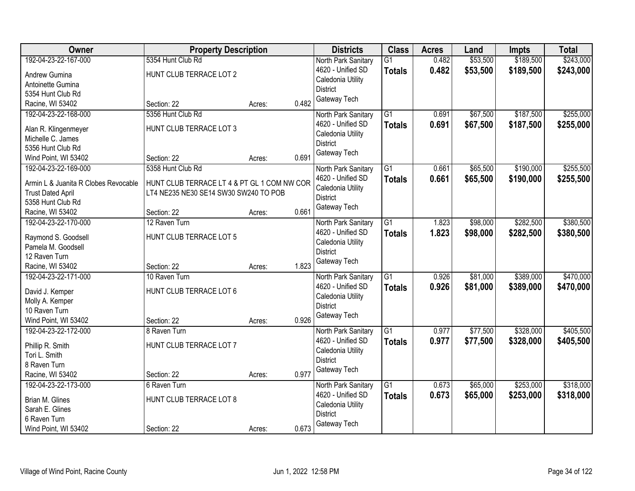| Owner                                | <b>Property Description</b>                 |        |       | <b>Districts</b>                     | <b>Class</b>    | <b>Acres</b> | Land     | <b>Impts</b> | <b>Total</b> |
|--------------------------------------|---------------------------------------------|--------|-------|--------------------------------------|-----------------|--------------|----------|--------------|--------------|
| 192-04-23-22-167-000                 | 5354 Hunt Club Rd                           |        |       | North Park Sanitary                  | $\overline{G1}$ | 0.482        | \$53,500 | \$189,500    | \$243,000    |
| Andrew Gumina                        | HUNT CLUB TERRACE LOT 2                     |        |       | 4620 - Unified SD                    | <b>Totals</b>   | 0.482        | \$53,500 | \$189,500    | \$243,000    |
| Antoinette Gumina                    |                                             |        |       | Caledonia Utility                    |                 |              |          |              |              |
| 5354 Hunt Club Rd                    |                                             |        |       | <b>District</b>                      |                 |              |          |              |              |
| Racine, WI 53402                     | Section: 22                                 | Acres: | 0.482 | Gateway Tech                         |                 |              |          |              |              |
| 192-04-23-22-168-000                 | 5356 Hunt Club Rd                           |        |       | North Park Sanitary                  | $\overline{G1}$ | 0.691        | \$67,500 | \$187,500    | \$255,000    |
|                                      |                                             |        |       | 4620 - Unified SD                    | <b>Totals</b>   | 0.691        | \$67,500 | \$187,500    | \$255,000    |
| Alan R. Klingenmeyer                 | HUNT CLUB TERRACE LOT 3                     |        |       | Caledonia Utility                    |                 |              |          |              |              |
| Michelle C. James                    |                                             |        |       | <b>District</b>                      |                 |              |          |              |              |
| 5356 Hunt Club Rd                    |                                             |        | 0.691 | Gateway Tech                         |                 |              |          |              |              |
| Wind Point, WI 53402                 | Section: 22                                 | Acres: |       |                                      |                 |              |          |              |              |
| 192-04-23-22-169-000                 | 5358 Hunt Club Rd                           |        |       | North Park Sanitary                  | G1              | 0.661        | \$65,500 | \$190,000    | \$255,500    |
| Armin L & Juanita R Clobes Revocable | HUNT CLUB TERRACE LT 4 & PT GL 1 COM NW COR |        |       | 4620 - Unified SD                    | <b>Totals</b>   | 0.661        | \$65,500 | \$190,000    | \$255,500    |
| <b>Trust Dated April</b>             | LT4 NE235 NE30 SE14 SW30 SW240 TO POB       |        |       | Caledonia Utility                    |                 |              |          |              |              |
| 5358 Hunt Club Rd                    |                                             |        |       | <b>District</b>                      |                 |              |          |              |              |
| Racine, WI 53402                     | Section: 22                                 | Acres: | 0.661 | Gateway Tech                         |                 |              |          |              |              |
| 192-04-23-22-170-000                 | 12 Raven Turn                               |        |       | North Park Sanitary                  | $\overline{G1}$ | 1.823        | \$98,000 | \$282,500    | \$380,500    |
|                                      |                                             |        |       | 4620 - Unified SD                    | <b>Totals</b>   | 1.823        | \$98,000 | \$282,500    | \$380,500    |
| Raymond S. Goodsell                  | HUNT CLUB TERRACE LOT 5                     |        |       | Caledonia Utility                    |                 |              |          |              |              |
| Pamela M. Goodsell                   |                                             |        |       | <b>District</b>                      |                 |              |          |              |              |
| 12 Raven Turn                        |                                             |        | 1.823 | Gateway Tech                         |                 |              |          |              |              |
| Racine, WI 53402                     | Section: 22                                 | Acres: |       |                                      |                 |              |          |              |              |
| 192-04-23-22-171-000                 | 10 Raven Turn                               |        |       | North Park Sanitary                  | $\overline{G1}$ | 0.926        | \$81,000 | \$389,000    | \$470,000    |
| David J. Kemper                      | HUNT CLUB TERRACE LOT 6                     |        |       | 4620 - Unified SD                    | Totals          | 0.926        | \$81,000 | \$389,000    | \$470,000    |
| Molly A. Kemper                      |                                             |        |       | Caledonia Utility<br><b>District</b> |                 |              |          |              |              |
| 10 Raven Turn                        |                                             |        |       | Gateway Tech                         |                 |              |          |              |              |
| Wind Point, WI 53402                 | Section: 22                                 | Acres: | 0.926 |                                      |                 |              |          |              |              |
| 192-04-23-22-172-000                 | 8 Raven Turn                                |        |       | North Park Sanitary                  | $\overline{G1}$ | 0.977        | \$77,500 | \$328,000    | \$405,500    |
| Phillip R. Smith                     | HUNT CLUB TERRACE LOT 7                     |        |       | 4620 - Unified SD                    | <b>Totals</b>   | 0.977        | \$77,500 | \$328,000    | \$405,500    |
| Tori L. Smith                        |                                             |        |       | Caledonia Utility                    |                 |              |          |              |              |
| 8 Raven Turn                         |                                             |        |       | <b>District</b>                      |                 |              |          |              |              |
| Racine, WI 53402                     | Section: 22                                 |        | 0.977 | Gateway Tech                         |                 |              |          |              |              |
| 192-04-23-22-173-000                 | 6 Raven Turn                                | Acres: |       |                                      | $\overline{G1}$ | 0.673        | \$65,000 | \$253,000    | \$318,000    |
|                                      |                                             |        |       | North Park Sanitary                  |                 |              |          |              |              |
| Brian M. Glines                      | HUNT CLUB TERRACE LOT 8                     |        |       | 4620 - Unified SD                    | <b>Totals</b>   | 0.673        | \$65,000 | \$253,000    | \$318,000    |
| Sarah E. Glines                      |                                             |        |       | Caledonia Utility<br><b>District</b> |                 |              |          |              |              |
| 6 Raven Turn                         |                                             |        |       |                                      |                 |              |          |              |              |
| Wind Point, WI 53402                 | Section: 22                                 | Acres: | 0.673 | Gateway Tech                         |                 |              |          |              |              |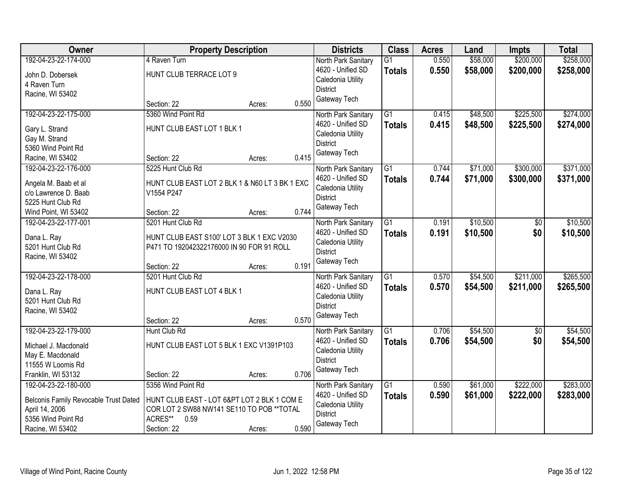| Owner                                        | <b>Property Description</b>                    | <b>Districts</b> | <b>Class</b>                         | <b>Acres</b>    | Land  | <b>Impts</b> | <b>Total</b> |           |
|----------------------------------------------|------------------------------------------------|------------------|--------------------------------------|-----------------|-------|--------------|--------------|-----------|
| 192-04-23-22-174-000                         | 4 Raven Turn                                   |                  | North Park Sanitary                  | $\overline{G1}$ | 0.550 | \$58,000     | \$200,000    | \$258,000 |
| John D. Dobersek                             | HUNT CLUB TERRACE LOT 9                        |                  | 4620 - Unified SD                    | <b>Totals</b>   | 0.550 | \$58,000     | \$200,000    | \$258,000 |
| 4 Raven Turn                                 |                                                |                  | Caledonia Utility                    |                 |       |              |              |           |
| Racine, WI 53402                             |                                                |                  | <b>District</b>                      |                 |       |              |              |           |
|                                              | Section: 22                                    | Acres:           | Gateway Tech<br>0.550                |                 |       |              |              |           |
| 192-04-23-22-175-000                         | 5360 Wind Point Rd                             |                  | North Park Sanitary                  | $\overline{G1}$ | 0.415 | \$48,500     | \$225,500    | \$274,000 |
| Gary L. Strand                               | HUNT CLUB EAST LOT 1 BLK 1                     |                  | 4620 - Unified SD                    | <b>Totals</b>   | 0.415 | \$48,500     | \$225,500    | \$274,000 |
| Gay M. Strand                                |                                                |                  | Caledonia Utility                    |                 |       |              |              |           |
| 5360 Wind Point Rd                           |                                                |                  | <b>District</b>                      |                 |       |              |              |           |
| Racine, WI 53402                             | Section: 22                                    | Acres:           | Gateway Tech<br>0.415                |                 |       |              |              |           |
| 192-04-23-22-176-000                         | 5225 Hunt Club Rd                              |                  | North Park Sanitary                  | $\overline{G1}$ | 0.744 | \$71,000     | \$300,000    | \$371,000 |
|                                              | HUNT CLUB EAST LOT 2 BLK 1 & N60 LT 3 BK 1 EXC |                  | 4620 - Unified SD                    | <b>Totals</b>   | 0.744 | \$71,000     | \$300,000    | \$371,000 |
| Angela M. Baab et al<br>c/o Lawrence D. Baab | V1554 P247                                     |                  | Caledonia Utility                    |                 |       |              |              |           |
| 5225 Hunt Club Rd                            |                                                |                  | <b>District</b>                      |                 |       |              |              |           |
| Wind Point, WI 53402                         | Section: 22                                    | Acres:           | Gateway Tech<br>0.744                |                 |       |              |              |           |
| 192-04-23-22-177-001                         | 5201 Hunt Club Rd                              |                  | North Park Sanitary                  | $\overline{G1}$ | 0.191 | \$10,500     | \$0          | \$10,500  |
|                                              |                                                |                  | 4620 - Unified SD                    | <b>Totals</b>   | 0.191 | \$10,500     | \$0          | \$10,500  |
| Dana L. Ray                                  | HUNT CLUB EAST S100' LOT 3 BLK 1 EXC V2030     |                  | Caledonia Utility                    |                 |       |              |              |           |
| 5201 Hunt Club Rd                            | P471 TO 192042322176000 IN 90 FOR 91 ROLL      |                  | <b>District</b>                      |                 |       |              |              |           |
| Racine, WI 53402                             |                                                |                  | Gateway Tech                         |                 |       |              |              |           |
|                                              | Section: 22                                    | Acres:           | 0.191                                |                 |       |              |              |           |
| 192-04-23-22-178-000                         | 5201 Hunt Club Rd                              |                  | North Park Sanitary                  | $\overline{G1}$ | 0.570 | \$54,500     | \$211,000    | \$265,500 |
| Dana L. Ray                                  | HUNT CLUB EAST LOT 4 BLK 1                     |                  | 4620 - Unified SD                    | Totals          | 0.570 | \$54,500     | \$211,000    | \$265,500 |
| 5201 Hunt Club Rd                            |                                                |                  | Caledonia Utility<br><b>District</b> |                 |       |              |              |           |
| Racine, WI 53402                             |                                                |                  | Gateway Tech                         |                 |       |              |              |           |
|                                              | Section: 22                                    | Acres:           | 0.570                                |                 |       |              |              |           |
| 192-04-23-22-179-000                         | Hunt Club Rd                                   |                  | North Park Sanitary                  | $\overline{G1}$ | 0.706 | \$54,500     | $\sqrt{6}$   | \$54,500  |
| Michael J. Macdonald                         | HUNT CLUB EAST LOT 5 BLK 1 EXC V1391P103       |                  | 4620 - Unified SD                    | <b>Totals</b>   | 0.706 | \$54,500     | \$0          | \$54,500  |
| May E. Macdonald                             |                                                |                  | Caledonia Utility                    |                 |       |              |              |           |
| 11555 W Loomis Rd                            |                                                |                  | <b>District</b>                      |                 |       |              |              |           |
| Franklin, WI 53132                           | Section: 22                                    | Acres:           | Gateway Tech<br>0.706                |                 |       |              |              |           |
| 192-04-23-22-180-000                         | 5356 Wind Point Rd                             |                  | North Park Sanitary                  | $\overline{G1}$ | 0.590 | \$61,000     | \$222,000    | \$283,000 |
| Belconis Family Revocable Trust Dated        | HUNT CLUB EAST - LOT 6&PT LOT 2 BLK 1 COM E    |                  | 4620 - Unified SD                    | <b>Totals</b>   | 0.590 | \$61,000     | \$222,000    | \$283,000 |
| April 14, 2006                               | COR LOT 2 SW88 NW141 SE110 TO POB ** TOTAL     |                  | Caledonia Utility                    |                 |       |              |              |           |
| 5356 Wind Point Rd                           | ACRES**<br>0.59                                |                  | <b>District</b>                      |                 |       |              |              |           |
| Racine, WI 53402                             | Section: 22                                    | Acres:           | Gateway Tech<br>0.590                |                 |       |              |              |           |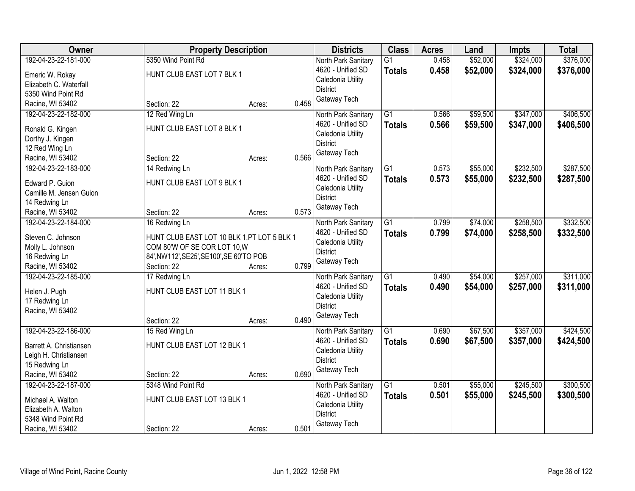| Owner                   | <b>Property Description</b>                 |        |       | <b>Districts</b>                         | <b>Class</b>    | <b>Acres</b> | Land     | <b>Impts</b> | <b>Total</b> |
|-------------------------|---------------------------------------------|--------|-------|------------------------------------------|-----------------|--------------|----------|--------------|--------------|
| 192-04-23-22-181-000    | 5350 Wind Point Rd                          |        |       | North Park Sanitary                      | $\overline{G1}$ | 0.458        | \$52,000 | \$324,000    | \$376,000    |
| Emeric W. Rokay         | HUNT CLUB EAST LOT 7 BLK 1                  |        |       | 4620 - Unified SD                        | <b>Totals</b>   | 0.458        | \$52,000 | \$324,000    | \$376,000    |
| Elizabeth C. Waterfall  |                                             |        |       | Caledonia Utility                        |                 |              |          |              |              |
| 5350 Wind Point Rd      |                                             |        |       | <b>District</b>                          |                 |              |          |              |              |
| Racine, WI 53402        | Section: 22                                 | Acres: | 0.458 | Gateway Tech                             |                 |              |          |              |              |
| 192-04-23-22-182-000    | 12 Red Wing Ln                              |        |       | North Park Sanitary                      | $\overline{G1}$ | 0.566        | \$59,500 | \$347,000    | \$406,500    |
|                         |                                             |        |       | 4620 - Unified SD                        | <b>Totals</b>   | 0.566        | \$59,500 | \$347,000    | \$406,500    |
| Ronald G. Kingen        | HUNT CLUB EAST LOT 8 BLK 1                  |        |       | Caledonia Utility                        |                 |              |          |              |              |
| Dorthy J. Kingen        |                                             |        |       | <b>District</b>                          |                 |              |          |              |              |
| 12 Red Wing Ln          |                                             |        |       | Gateway Tech                             |                 |              |          |              |              |
| Racine, WI 53402        | Section: 22                                 | Acres: | 0.566 |                                          |                 |              |          |              |              |
| 192-04-23-22-183-000    | 14 Redwing Ln                               |        |       | North Park Sanitary                      | G1              | 0.573        | \$55,000 | \$232,500    | \$287,500    |
| Edward P. Guion         | HUNT CLUB EAST LOT 9 BLK 1                  |        |       | 4620 - Unified SD                        | <b>Totals</b>   | 0.573        | \$55,000 | \$232,500    | \$287,500    |
| Camille M. Jensen Guion |                                             |        |       | Caledonia Utility                        |                 |              |          |              |              |
| 14 Redwing Ln           |                                             |        |       | <b>District</b>                          |                 |              |          |              |              |
| Racine, WI 53402        | Section: 22                                 | Acres: | 0.573 | Gateway Tech                             |                 |              |          |              |              |
| 192-04-23-22-184-000    | 16 Redwing Ln                               |        |       | North Park Sanitary                      | $\overline{G1}$ | 0.799        | \$74,000 | \$258,500    | \$332,500    |
|                         |                                             |        |       | 4620 - Unified SD                        | <b>Totals</b>   | 0.799        | \$74,000 | \$258,500    | \$332,500    |
| Steven C. Johnson       | HUNT CLUB EAST LOT 10 BLK 1, PT LOT 5 BLK 1 |        |       | Caledonia Utility                        |                 |              |          |              |              |
| Molly L. Johnson        | COM 80'W OF SE COR LOT 10, W                |        |       | <b>District</b>                          |                 |              |          |              |              |
| 16 Redwing Ln           | 84', NW112', SE25', SE100', SE 60'TO POB    |        |       | Gateway Tech                             |                 |              |          |              |              |
| Racine, WI 53402        | Section: 22                                 | Acres: | 0.799 |                                          |                 |              |          |              |              |
| 192-04-23-22-185-000    | 17 Redwing Ln                               |        |       | North Park Sanitary                      | $\overline{G1}$ | 0.490        | \$54,000 | \$257,000    | \$311,000    |
| Helen J. Pugh           | HUNT CLUB EAST LOT 11 BLK 1                 |        |       | 4620 - Unified SD                        | <b>Totals</b>   | 0.490        | \$54,000 | \$257,000    | \$311,000    |
| 17 Redwing Ln           |                                             |        |       | Caledonia Utility                        |                 |              |          |              |              |
| Racine, WI 53402        |                                             |        |       | <b>District</b>                          |                 |              |          |              |              |
|                         | Section: 22                                 | Acres: | 0.490 | Gateway Tech                             |                 |              |          |              |              |
| 192-04-23-22-186-000    | 15 Red Wing Ln                              |        |       |                                          | $\overline{G1}$ | 0.690        | \$67,500 | \$357,000    | \$424,500    |
|                         |                                             |        |       | North Park Sanitary<br>4620 - Unified SD |                 |              |          |              |              |
| Barrett A. Christiansen | HUNT CLUB EAST LOT 12 BLK 1                 |        |       | Caledonia Utility                        | <b>Totals</b>   | 0.690        | \$67,500 | \$357,000    | \$424,500    |
| Leigh H. Christiansen   |                                             |        |       | <b>District</b>                          |                 |              |          |              |              |
| 15 Redwing Ln           |                                             |        |       | Gateway Tech                             |                 |              |          |              |              |
| Racine, WI 53402        | Section: 22                                 | Acres: | 0.690 |                                          |                 |              |          |              |              |
| 192-04-23-22-187-000    | 5348 Wind Point Rd                          |        |       | North Park Sanitary                      | $\overline{G1}$ | 0.501        | \$55,000 | \$245,500    | \$300,500    |
| Michael A. Walton       | HUNT CLUB EAST LOT 13 BLK 1                 |        |       | 4620 - Unified SD                        | <b>Totals</b>   | 0.501        | \$55,000 | \$245,500    | \$300,500    |
| Elizabeth A. Walton     |                                             |        |       | Caledonia Utility                        |                 |              |          |              |              |
| 5348 Wind Point Rd      |                                             |        |       | <b>District</b>                          |                 |              |          |              |              |
| Racine, WI 53402        | Section: 22                                 | Acres: | 0.501 | Gateway Tech                             |                 |              |          |              |              |
|                         |                                             |        |       |                                          |                 |              |          |              |              |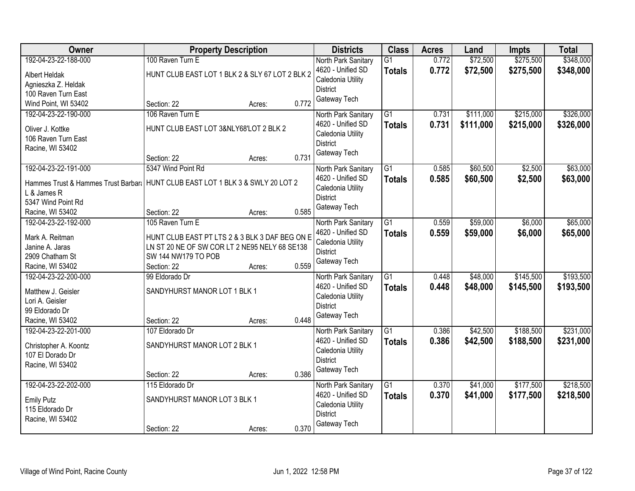| Owner                               | <b>Property Description</b>                     |        |       | <b>Districts</b>                         | <b>Class</b>    | <b>Acres</b> | Land      | <b>Impts</b> | <b>Total</b> |
|-------------------------------------|-------------------------------------------------|--------|-------|------------------------------------------|-----------------|--------------|-----------|--------------|--------------|
| 192-04-23-22-188-000                | 100 Raven Turn E                                |        |       | North Park Sanitary                      | $\overline{G1}$ | 0.772        | \$72,500  | \$275,500    | \$348,000    |
| <b>Albert Heldak</b>                | HUNT CLUB EAST LOT 1 BLK 2 & SLY 67 LOT 2 BLK 2 |        |       | 4620 - Unified SD                        | <b>Totals</b>   | 0.772        | \$72,500  | \$275,500    | \$348,000    |
| Agnieszka Z. Heldak                 |                                                 |        |       | Caledonia Utility                        |                 |              |           |              |              |
| 100 Raven Turn East                 |                                                 |        |       | <b>District</b>                          |                 |              |           |              |              |
| Wind Point, WI 53402                | Section: 22                                     | Acres: | 0.772 | Gateway Tech                             |                 |              |           |              |              |
| 192-04-23-22-190-000                | 106 Raven Turn E                                |        |       | North Park Sanitary                      | $\overline{G1}$ | 0.731        | \$111,000 | \$215,000    | \$326,000    |
|                                     |                                                 |        |       | 4620 - Unified SD                        | Totals          | 0.731        | \$111,000 | \$215,000    | \$326,000    |
| Oliver J. Kottke                    | HUNT CLUB EAST LOT 3&NLY68'LOT 2 BLK 2          |        |       | Caledonia Utility                        |                 |              |           |              |              |
| 106 Raven Turn East                 |                                                 |        |       | <b>District</b>                          |                 |              |           |              |              |
| Racine, WI 53402                    | Section: 22                                     | Acres: | 0.731 | Gateway Tech                             |                 |              |           |              |              |
| 192-04-23-22-191-000                | 5347 Wind Point Rd                              |        |       | North Park Sanitary                      | $\overline{G1}$ | 0.585        | \$60,500  | \$2,500      | \$63,000     |
|                                     |                                                 |        |       | 4620 - Unified SD                        |                 | 0.585        | \$60,500  |              |              |
| Hammes Trust & Hammes Trust Barbara | HUNT CLUB EAST LOT 1 BLK 3 & SWLY 20 LOT 2      |        |       | Caledonia Utility                        | <b>Totals</b>   |              |           | \$2,500      | \$63,000     |
| L & James R                         |                                                 |        |       | <b>District</b>                          |                 |              |           |              |              |
| 5347 Wind Point Rd                  |                                                 |        |       | Gateway Tech                             |                 |              |           |              |              |
| Racine, WI 53402                    | Section: 22                                     | Acres: | 0.585 |                                          |                 |              |           |              |              |
| 192-04-23-22-192-000                | 105 Raven Turn E                                |        |       | North Park Sanitary                      | $\overline{G1}$ | 0.559        | \$59,000  | \$6,000      | \$65,000     |
| Mark A. Reitman                     | HUNT CLUB EAST PT LTS 2 & 3 BLK 3 DAF BEG ON E  |        |       | 4620 - Unified SD                        | <b>Totals</b>   | 0.559        | \$59,000  | \$6,000      | \$65,000     |
| Janine A. Jaras                     | LN ST 20 NE OF SW COR LT 2 NE95 NELY 68 SE138   |        |       | Caledonia Utility                        |                 |              |           |              |              |
| 2909 Chatham St                     | SW 144 NW179 TO POB                             |        |       | <b>District</b>                          |                 |              |           |              |              |
| Racine, WI 53402                    | Section: 22                                     | Acres: | 0.559 | Gateway Tech                             |                 |              |           |              |              |
| 192-04-23-22-200-000                | 99 Eldorado Dr                                  |        |       | North Park Sanitary                      | $\overline{G1}$ | 0.448        | \$48,000  | \$145,500    | \$193,500    |
|                                     |                                                 |        |       | 4620 - Unified SD                        | <b>Totals</b>   | 0.448        | \$48,000  | \$145,500    | \$193,500    |
| Matthew J. Geisler                  | SANDYHURST MANOR LOT 1 BLK 1                    |        |       | Caledonia Utility                        |                 |              |           |              |              |
| Lori A. Geisler                     |                                                 |        |       | <b>District</b>                          |                 |              |           |              |              |
| 99 Eldorado Dr<br>Racine, WI 53402  | Section: 22                                     | Acres: | 0.448 | Gateway Tech                             |                 |              |           |              |              |
| 192-04-23-22-201-000                | 107 Eldorado Dr                                 |        |       |                                          | $\overline{G1}$ | 0.386        | \$42,500  | \$188,500    | \$231,000    |
|                                     |                                                 |        |       | North Park Sanitary<br>4620 - Unified SD |                 |              |           |              |              |
| Christopher A. Koontz               | SANDYHURST MANOR LOT 2 BLK 1                    |        |       | Caledonia Utility                        | <b>Totals</b>   | 0.386        | \$42,500  | \$188,500    | \$231,000    |
| 107 El Dorado Dr                    |                                                 |        |       | <b>District</b>                          |                 |              |           |              |              |
| Racine, WI 53402                    |                                                 |        |       | Gateway Tech                             |                 |              |           |              |              |
|                                     | Section: 22                                     | Acres: | 0.386 |                                          |                 |              |           |              |              |
| 192-04-23-22-202-000                | 115 Eldorado Dr                                 |        |       | North Park Sanitary                      | $\overline{G1}$ | 0.370        | \$41,000  | \$177,500    | \$218,500    |
| <b>Emily Putz</b>                   | SANDYHURST MANOR LOT 3 BLK 1                    |        |       | 4620 - Unified SD                        | Totals          | 0.370        | \$41,000  | \$177,500    | \$218,500    |
| 115 Eldorado Dr                     |                                                 |        |       | Caledonia Utility                        |                 |              |           |              |              |
| Racine, WI 53402                    |                                                 |        |       | <b>District</b>                          |                 |              |           |              |              |
|                                     | Section: 22                                     | Acres: | 0.370 | Gateway Tech                             |                 |              |           |              |              |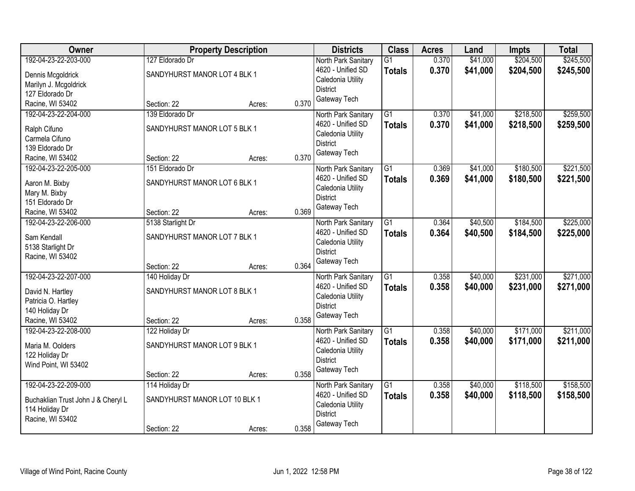| <b>Owner</b>                       |                               | <b>Property Description</b> |       | <b>Districts</b>    | <b>Class</b>    | <b>Acres</b> | Land     | Impts     | <b>Total</b> |
|------------------------------------|-------------------------------|-----------------------------|-------|---------------------|-----------------|--------------|----------|-----------|--------------|
| 192-04-23-22-203-000               | 127 Eldorado Dr               |                             |       | North Park Sanitary | $\overline{G1}$ | 0.370        | \$41,000 | \$204,500 | \$245,500    |
| Dennis Mcgoldrick                  | SANDYHURST MANOR LOT 4 BLK 1  |                             |       | 4620 - Unified SD   | <b>Totals</b>   | 0.370        | \$41,000 | \$204,500 | \$245,500    |
| Marilyn J. Mcgoldrick              |                               |                             |       | Caledonia Utility   |                 |              |          |           |              |
| 127 Eldorado Dr                    |                               |                             |       | <b>District</b>     |                 |              |          |           |              |
| Racine, WI 53402                   | Section: 22                   | Acres:                      | 0.370 | Gateway Tech        |                 |              |          |           |              |
| 192-04-23-22-204-000               | 139 Eldorado Dr               |                             |       | North Park Sanitary | $\overline{G1}$ | 0.370        | \$41,000 | \$218,500 | \$259,500    |
| Ralph Cifuno                       | SANDYHURST MANOR LOT 5 BLK 1  |                             |       | 4620 - Unified SD   | <b>Totals</b>   | 0.370        | \$41,000 | \$218,500 | \$259,500    |
| Carmela Cifuno                     |                               |                             |       | Caledonia Utility   |                 |              |          |           |              |
| 139 Eldorado Dr                    |                               |                             |       | <b>District</b>     |                 |              |          |           |              |
| Racine, WI 53402                   | Section: 22                   | Acres:                      | 0.370 | Gateway Tech        |                 |              |          |           |              |
| 192-04-23-22-205-000               | 151 Eldorado Dr               |                             |       | North Park Sanitary | $\overline{G1}$ | 0.369        | \$41,000 | \$180,500 | \$221,500    |
| Aaron M. Bixby                     | SANDYHURST MANOR LOT 6 BLK 1  |                             |       | 4620 - Unified SD   | <b>Totals</b>   | 0.369        | \$41,000 | \$180,500 | \$221,500    |
| Mary M. Bixby                      |                               |                             |       | Caledonia Utility   |                 |              |          |           |              |
| 151 Eldorado Dr                    |                               |                             |       | <b>District</b>     |                 |              |          |           |              |
| Racine, WI 53402                   | Section: 22                   | Acres:                      | 0.369 | Gateway Tech        |                 |              |          |           |              |
| 192-04-23-22-206-000               | 5138 Starlight Dr             |                             |       | North Park Sanitary | G1              | 0.364        | \$40,500 | \$184,500 | \$225,000    |
| Sam Kendall                        | SANDYHURST MANOR LOT 7 BLK 1  |                             |       | 4620 - Unified SD   | <b>Totals</b>   | 0.364        | \$40,500 | \$184,500 | \$225,000    |
| 5138 Starlight Dr                  |                               |                             |       | Caledonia Utility   |                 |              |          |           |              |
| Racine, WI 53402                   |                               |                             |       | <b>District</b>     |                 |              |          |           |              |
|                                    | Section: 22                   | Acres:                      | 0.364 | Gateway Tech        |                 |              |          |           |              |
| 192-04-23-22-207-000               | 140 Holiday Dr                |                             |       | North Park Sanitary | $\overline{G1}$ | 0.358        | \$40,000 | \$231,000 | \$271,000    |
| David N. Hartley                   | SANDYHURST MANOR LOT 8 BLK 1  |                             |       | 4620 - Unified SD   | Totals          | 0.358        | \$40,000 | \$231,000 | \$271,000    |
| Patricia O. Hartley                |                               |                             |       | Caledonia Utility   |                 |              |          |           |              |
| 140 Holiday Dr                     |                               |                             |       | <b>District</b>     |                 |              |          |           |              |
| Racine, WI 53402                   | Section: 22                   | Acres:                      | 0.358 | Gateway Tech        |                 |              |          |           |              |
| 192-04-23-22-208-000               | 122 Holiday Dr                |                             |       | North Park Sanitary | $\overline{G1}$ | 0.358        | \$40,000 | \$171,000 | \$211,000    |
| Maria M. Oolders                   | SANDYHURST MANOR LOT 9 BLK 1  |                             |       | 4620 - Unified SD   | <b>Totals</b>   | 0.358        | \$40,000 | \$171,000 | \$211,000    |
| 122 Holiday Dr                     |                               |                             |       | Caledonia Utility   |                 |              |          |           |              |
| Wind Point, WI 53402               |                               |                             |       | <b>District</b>     |                 |              |          |           |              |
|                                    | Section: 22                   | Acres:                      | 0.358 | Gateway Tech        |                 |              |          |           |              |
| 192-04-23-22-209-000               | 114 Holiday Dr                |                             |       | North Park Sanitary | $\overline{G1}$ | 0.358        | \$40,000 | \$118,500 | \$158,500    |
| Buchaklian Trust John J & Cheryl L | SANDYHURST MANOR LOT 10 BLK 1 |                             |       | 4620 - Unified SD   | <b>Totals</b>   | 0.358        | \$40,000 | \$118,500 | \$158,500    |
| 114 Holiday Dr                     |                               |                             |       | Caledonia Utility   |                 |              |          |           |              |
| Racine, WI 53402                   |                               |                             |       | <b>District</b>     |                 |              |          |           |              |
|                                    | Section: 22                   | Acres:                      | 0.358 | Gateway Tech        |                 |              |          |           |              |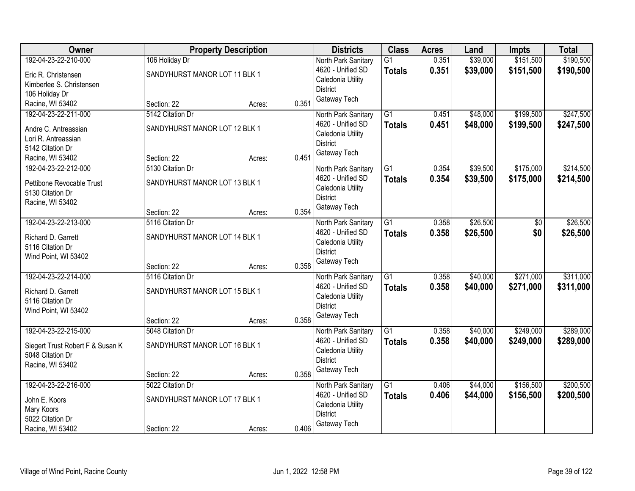| Owner                            |                               | <b>Property Description</b> |       | <b>Districts</b>                       | <b>Class</b>    | <b>Acres</b> | Land     | <b>Impts</b>   | <b>Total</b> |
|----------------------------------|-------------------------------|-----------------------------|-------|----------------------------------------|-----------------|--------------|----------|----------------|--------------|
| 192-04-23-22-210-000             | 106 Holiday Dr                |                             |       | North Park Sanitary                    | $\overline{G1}$ | 0.351        | \$39,000 | \$151,500      | \$190,500    |
| Eric R. Christensen              | SANDYHURST MANOR LOT 11 BLK 1 |                             |       | 4620 - Unified SD                      | <b>Totals</b>   | 0.351        | \$39,000 | \$151,500      | \$190,500    |
| Kimberlee S. Christensen         |                               |                             |       | Caledonia Utility                      |                 |              |          |                |              |
| 106 Holiday Dr                   |                               |                             |       | <b>District</b>                        |                 |              |          |                |              |
| Racine, WI 53402                 | Section: 22                   | Acres:                      | 0.351 | Gateway Tech                           |                 |              |          |                |              |
| 192-04-23-22-211-000             | 5142 Citation Dr              |                             |       | North Park Sanitary                    | $\overline{G1}$ | 0.451        | \$48,000 | \$199,500      | \$247,500    |
| Andre C. Antreassian             | SANDYHURST MANOR LOT 12 BLK 1 |                             |       | 4620 - Unified SD                      | <b>Totals</b>   | 0.451        | \$48,000 | \$199,500      | \$247,500    |
| Lori R. Antreassian              |                               |                             |       | Caledonia Utility                      |                 |              |          |                |              |
| 5142 Citation Dr                 |                               |                             |       | <b>District</b>                        |                 |              |          |                |              |
| Racine, WI 53402                 | Section: 22                   | Acres:                      | 0.451 | Gateway Tech                           |                 |              |          |                |              |
| 192-04-23-22-212-000             | 5130 Citation Dr              |                             |       | North Park Sanitary                    | $\overline{G1}$ | 0.354        | \$39,500 | \$175,000      | \$214,500    |
| Pettibone Revocable Trust        | SANDYHURST MANOR LOT 13 BLK 1 |                             |       | 4620 - Unified SD                      | <b>Totals</b>   | 0.354        | \$39,500 | \$175,000      | \$214,500    |
| 5130 Citation Dr                 |                               |                             |       | Caledonia Utility                      |                 |              |          |                |              |
| Racine, WI 53402                 |                               |                             |       | <b>District</b>                        |                 |              |          |                |              |
|                                  | Section: 22                   | Acres:                      | 0.354 | Gateway Tech                           |                 |              |          |                |              |
| 192-04-23-22-213-000             | 5116 Citation Dr              |                             |       | North Park Sanitary                    | G1              | 0.358        | \$26,500 | $\frac{1}{20}$ | \$26,500     |
| Richard D. Garrett               | SANDYHURST MANOR LOT 14 BLK 1 |                             |       | 4620 - Unified SD                      | <b>Totals</b>   | 0.358        | \$26,500 | \$0            | \$26,500     |
| 5116 Citation Dr                 |                               |                             |       | Caledonia Utility                      |                 |              |          |                |              |
| Wind Point, WI 53402             |                               |                             |       | <b>District</b>                        |                 |              |          |                |              |
|                                  | Section: 22                   | Acres:                      | 0.358 | Gateway Tech                           |                 |              |          |                |              |
| 192-04-23-22-214-000             | 5116 Citation Dr              |                             |       | North Park Sanitary                    | $\overline{G1}$ | 0.358        | \$40,000 | \$271,000      | \$311,000    |
|                                  |                               |                             |       | 4620 - Unified SD                      | <b>Totals</b>   | 0.358        | \$40,000 | \$271,000      | \$311,000    |
| Richard D. Garrett               | SANDYHURST MANOR LOT 15 BLK 1 |                             |       | Caledonia Utility                      |                 |              |          |                |              |
| 5116 Citation Dr                 |                               |                             |       | <b>District</b>                        |                 |              |          |                |              |
| Wind Point, WI 53402             | Section: 22                   |                             | 0.358 | Gateway Tech                           |                 |              |          |                |              |
| 192-04-23-22-215-000             | 5048 Citation Dr              | Acres:                      |       | North Park Sanitary                    | $\overline{G1}$ | 0.358        | \$40,000 | \$249,000      | \$289,000    |
|                                  |                               |                             |       | 4620 - Unified SD                      | <b>Totals</b>   | 0.358        | \$40,000 | \$249,000      | \$289,000    |
| Siegert Trust Robert F & Susan K | SANDYHURST MANOR LOT 16 BLK 1 |                             |       | Caledonia Utility                      |                 |              |          |                |              |
| 5048 Citation Dr                 |                               |                             |       | <b>District</b>                        |                 |              |          |                |              |
| Racine, WI 53402                 |                               |                             |       | Gateway Tech                           |                 |              |          |                |              |
|                                  | Section: 22                   | Acres:                      | 0.358 |                                        |                 |              |          |                |              |
| 192-04-23-22-216-000             | 5022 Citation Dr              |                             |       | North Park Sanitary                    | $\overline{G1}$ | 0.406        | \$44,000 | \$156,500      | \$200,500    |
| John E. Koors                    | SANDYHURST MANOR LOT 17 BLK 1 |                             |       | 4620 - Unified SD<br>Caledonia Utility | <b>Totals</b>   | 0.406        | \$44,000 | \$156,500      | \$200,500    |
| Mary Koors                       |                               |                             |       | <b>District</b>                        |                 |              |          |                |              |
| 5022 Citation Dr                 |                               |                             |       | Gateway Tech                           |                 |              |          |                |              |
| Racine, WI 53402                 | Section: 22                   | Acres:                      | 0.406 |                                        |                 |              |          |                |              |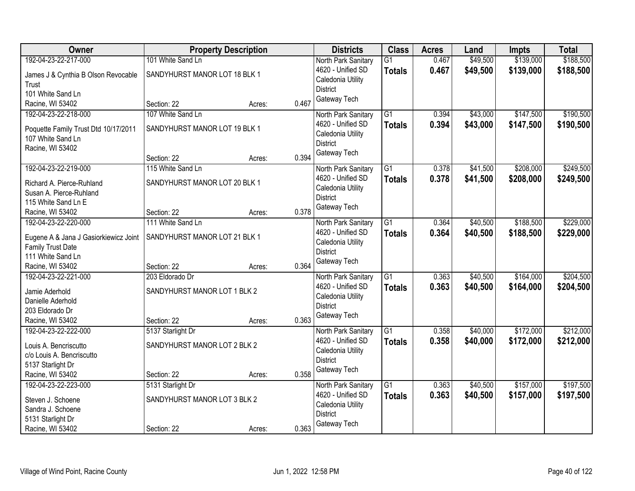| Owner                                 |                               | <b>Property Description</b> |       | <b>Districts</b>    | <b>Class</b>    | <b>Acres</b> | Land     | <b>Impts</b> | <b>Total</b> |
|---------------------------------------|-------------------------------|-----------------------------|-------|---------------------|-----------------|--------------|----------|--------------|--------------|
| 192-04-23-22-217-000                  | 101 White Sand Ln             |                             |       | North Park Sanitary | G <sub>1</sub>  | 0.467        | \$49,500 | \$139,000    | \$188,500    |
| James J & Cynthia B Olson Revocable   | SANDYHURST MANOR LOT 18 BLK 1 |                             |       | 4620 - Unified SD   | <b>Totals</b>   | 0.467        | \$49,500 | \$139,000    | \$188,500    |
| Trust                                 |                               |                             |       | Caledonia Utility   |                 |              |          |              |              |
| 101 White Sand Ln                     |                               |                             |       | <b>District</b>     |                 |              |          |              |              |
| Racine, WI 53402                      | Section: 22                   | Acres:                      | 0.467 | Gateway Tech        |                 |              |          |              |              |
| 192-04-23-22-218-000                  | 107 White Sand Ln             |                             |       | North Park Sanitary | $\overline{G1}$ | 0.394        | \$43,000 | \$147,500    | \$190,500    |
|                                       |                               |                             |       | 4620 - Unified SD   | <b>Totals</b>   | 0.394        | \$43,000 | \$147,500    | \$190,500    |
| Poquette Family Trust Dtd 10/17/2011  | SANDYHURST MANOR LOT 19 BLK 1 |                             |       | Caledonia Utility   |                 |              |          |              |              |
| 107 White Sand Ln<br>Racine, WI 53402 |                               |                             |       | <b>District</b>     |                 |              |          |              |              |
|                                       | Section: 22                   | Acres:                      | 0.394 | Gateway Tech        |                 |              |          |              |              |
| 192-04-23-22-219-000                  | 115 White Sand Ln             |                             |       | North Park Sanitary | $\overline{G1}$ | 0.378        | \$41,500 | \$208,000    | \$249,500    |
|                                       |                               |                             |       | 4620 - Unified SD   | <b>Totals</b>   | 0.378        | \$41,500 | \$208,000    | \$249,500    |
| Richard A. Pierce-Ruhland             | SANDYHURST MANOR LOT 20 BLK 1 |                             |       | Caledonia Utility   |                 |              |          |              |              |
| Susan A. Pierce-Ruhland               |                               |                             |       | <b>District</b>     |                 |              |          |              |              |
| 115 White Sand Ln E                   |                               |                             |       | Gateway Tech        |                 |              |          |              |              |
| Racine, WI 53402                      | Section: 22                   | Acres:                      | 0.378 |                     |                 |              |          |              |              |
| 192-04-23-22-220-000                  | 111 White Sand Ln             |                             |       | North Park Sanitary | G1              | 0.364        | \$40,500 | \$188,500    | \$229,000    |
| Eugene A & Jana J Gasiorkiewicz Joint | SANDYHURST MANOR LOT 21 BLK 1 |                             |       | 4620 - Unified SD   | <b>Totals</b>   | 0.364        | \$40,500 | \$188,500    | \$229,000    |
| Family Trust Date                     |                               |                             |       | Caledonia Utility   |                 |              |          |              |              |
| 111 White Sand Ln                     |                               |                             |       | <b>District</b>     |                 |              |          |              |              |
| Racine, WI 53402                      | Section: 22                   | Acres:                      | 0.364 | Gateway Tech        |                 |              |          |              |              |
| 192-04-23-22-221-000                  | 203 Eldorado Dr               |                             |       | North Park Sanitary | $\overline{G1}$ | 0.363        | \$40,500 | \$164,000    | \$204,500    |
| Jamie Aderhold                        | SANDYHURST MANOR LOT 1 BLK 2  |                             |       | 4620 - Unified SD   | Totals          | 0.363        | \$40,500 | \$164,000    | \$204,500    |
| Danielle Aderhold                     |                               |                             |       | Caledonia Utility   |                 |              |          |              |              |
| 203 Eldorado Dr                       |                               |                             |       | <b>District</b>     |                 |              |          |              |              |
| Racine, WI 53402                      | Section: 22                   | Acres:                      | 0.363 | Gateway Tech        |                 |              |          |              |              |
| 192-04-23-22-222-000                  | 5137 Starlight Dr             |                             |       | North Park Sanitary | $\overline{G1}$ | 0.358        | \$40,000 | \$172,000    | \$212,000    |
|                                       |                               |                             |       | 4620 - Unified SD   | <b>Totals</b>   | 0.358        | \$40,000 | \$172,000    | \$212,000    |
| Louis A. Bencriscutto                 | SANDYHURST MANOR LOT 2 BLK 2  |                             |       | Caledonia Utility   |                 |              |          |              |              |
| c/o Louis A. Bencriscutto             |                               |                             |       | <b>District</b>     |                 |              |          |              |              |
| 5137 Starlight Dr                     |                               |                             |       | Gateway Tech        |                 |              |          |              |              |
| Racine, WI 53402                      | Section: 22                   | Acres:                      | 0.358 |                     |                 |              |          |              |              |
| 192-04-23-22-223-000                  | 5131 Starlight Dr             |                             |       | North Park Sanitary | $\overline{G1}$ | 0.363        | \$40,500 | \$157,000    | \$197,500    |
| Steven J. Schoene                     | SANDYHURST MANOR LOT 3 BLK 2  |                             |       | 4620 - Unified SD   | <b>Totals</b>   | 0.363        | \$40,500 | \$157,000    | \$197,500    |
| Sandra J. Schoene                     |                               |                             |       | Caledonia Utility   |                 |              |          |              |              |
| 5131 Starlight Dr                     |                               |                             |       | <b>District</b>     |                 |              |          |              |              |
| Racine, WI 53402                      | Section: 22                   | Acres:                      | 0.363 | Gateway Tech        |                 |              |          |              |              |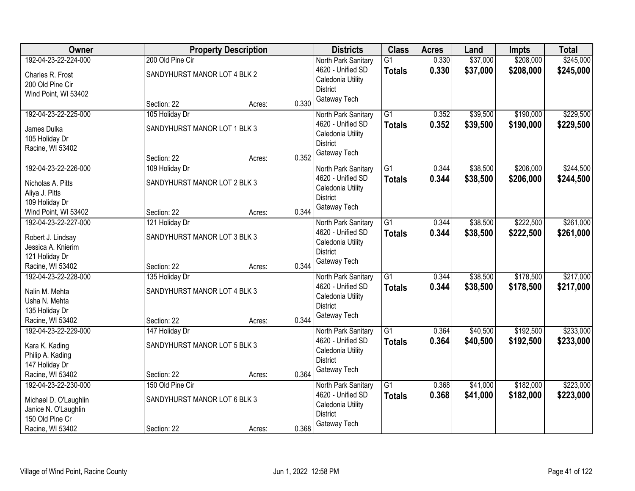| Owner                           |                              | <b>Property Description</b> |       | <b>Districts</b>                     | <b>Class</b>    | <b>Acres</b> | Land     | Impts     | <b>Total</b> |
|---------------------------------|------------------------------|-----------------------------|-------|--------------------------------------|-----------------|--------------|----------|-----------|--------------|
| 192-04-23-22-224-000            | 200 Old Pine Cir             |                             |       | North Park Sanitary                  | $\overline{G1}$ | 0.330        | \$37,000 | \$208,000 | \$245,000    |
| Charles R. Frost                | SANDYHURST MANOR LOT 4 BLK 2 |                             |       | 4620 - Unified SD                    | <b>Totals</b>   | 0.330        | \$37,000 | \$208,000 | \$245,000    |
| 200 Old Pine Cir                |                              |                             |       | Caledonia Utility                    |                 |              |          |           |              |
| Wind Point, WI 53402            |                              |                             |       | <b>District</b>                      |                 |              |          |           |              |
|                                 | Section: 22                  | Acres:                      | 0.330 | Gateway Tech                         |                 |              |          |           |              |
| 192-04-23-22-225-000            | 105 Holiday Dr               |                             |       | North Park Sanitary                  | $\overline{G1}$ | 0.352        | \$39,500 | \$190,000 | \$229,500    |
| James Dulka                     | SANDYHURST MANOR LOT 1 BLK 3 |                             |       | 4620 - Unified SD                    | <b>Totals</b>   | 0.352        | \$39,500 | \$190,000 | \$229,500    |
| 105 Holiday Dr                  |                              |                             |       | Caledonia Utility                    |                 |              |          |           |              |
| Racine, WI 53402                |                              |                             |       | <b>District</b>                      |                 |              |          |           |              |
|                                 | Section: 22                  | Acres:                      | 0.352 | Gateway Tech                         |                 |              |          |           |              |
| 192-04-23-22-226-000            | 109 Holiday Dr               |                             |       | North Park Sanitary                  | $\overline{G1}$ | 0.344        | \$38,500 | \$206,000 | \$244,500    |
| Nicholas A. Pitts               | SANDYHURST MANOR LOT 2 BLK 3 |                             |       | 4620 - Unified SD                    | <b>Totals</b>   | 0.344        | \$38,500 | \$206,000 | \$244,500    |
| Aliya J. Pitts                  |                              |                             |       | Caledonia Utility                    |                 |              |          |           |              |
| 109 Holiday Dr                  |                              |                             |       | <b>District</b>                      |                 |              |          |           |              |
| Wind Point, WI 53402            | Section: 22                  | Acres:                      | 0.344 | Gateway Tech                         |                 |              |          |           |              |
| 192-04-23-22-227-000            | 121 Holiday Dr               |                             |       | North Park Sanitary                  | G1              | 0.344        | \$38,500 | \$222,500 | \$261,000    |
| Robert J. Lindsay               | SANDYHURST MANOR LOT 3 BLK 3 |                             |       | 4620 - Unified SD                    | <b>Totals</b>   | 0.344        | \$38,500 | \$222,500 | \$261,000    |
| Jessica A. Knierim              |                              |                             |       | Caledonia Utility                    |                 |              |          |           |              |
| 121 Holiday Dr                  |                              |                             |       | <b>District</b>                      |                 |              |          |           |              |
| Racine, WI 53402                | Section: 22                  | Acres:                      | 0.344 | Gateway Tech                         |                 |              |          |           |              |
| 192-04-23-22-228-000            | 135 Holiday Dr               |                             |       | North Park Sanitary                  | $\overline{G1}$ | 0.344        | \$38,500 | \$178,500 | \$217,000    |
|                                 | SANDYHURST MANOR LOT 4 BLK 3 |                             |       | 4620 - Unified SD                    | <b>Totals</b>   | 0.344        | \$38,500 | \$178,500 | \$217,000    |
| Nalin M. Mehta<br>Usha N. Mehta |                              |                             |       | Caledonia Utility                    |                 |              |          |           |              |
| 135 Holiday Dr                  |                              |                             |       | <b>District</b>                      |                 |              |          |           |              |
| Racine, WI 53402                | Section: 22                  | Acres:                      | 0.344 | Gateway Tech                         |                 |              |          |           |              |
| 192-04-23-22-229-000            | 147 Holiday Dr               |                             |       | North Park Sanitary                  | $\overline{G1}$ | 0.364        | \$40,500 | \$192,500 | \$233,000    |
|                                 |                              |                             |       | 4620 - Unified SD                    | <b>Totals</b>   | 0.364        | \$40,500 | \$192,500 | \$233,000    |
| Kara K. Kading                  | SANDYHURST MANOR LOT 5 BLK 3 |                             |       | Caledonia Utility                    |                 |              |          |           |              |
| Philip A. Kading                |                              |                             |       | <b>District</b>                      |                 |              |          |           |              |
| 147 Holiday Dr                  |                              |                             |       | Gateway Tech                         |                 |              |          |           |              |
| Racine, WI 53402                | Section: 22                  | Acres:                      | 0.364 |                                      |                 |              |          |           |              |
| 192-04-23-22-230-000            | 150 Old Pine Cir             |                             |       | North Park Sanitary                  | $\overline{G1}$ | 0.368        | \$41,000 | \$182,000 | \$223,000    |
| Michael D. O'Laughlin           | SANDYHURST MANOR LOT 6 BLK 3 |                             |       | 4620 - Unified SD                    | <b>Totals</b>   | 0.368        | \$41,000 | \$182,000 | \$223,000    |
| Janice N. O'Laughlin            |                              |                             |       | Caledonia Utility<br><b>District</b> |                 |              |          |           |              |
| 150 Old Pine Cr                 |                              |                             |       | Gateway Tech                         |                 |              |          |           |              |
| Racine, WI 53402                | Section: 22                  | Acres:                      | 0.368 |                                      |                 |              |          |           |              |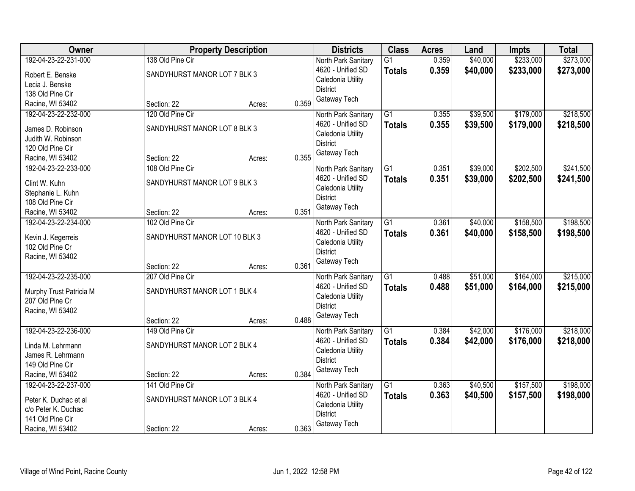| Owner                   |                               | <b>Property Description</b> |       | <b>Districts</b>                     | <b>Class</b>    | <b>Acres</b> | Land     | <b>Impts</b> | <b>Total</b> |
|-------------------------|-------------------------------|-----------------------------|-------|--------------------------------------|-----------------|--------------|----------|--------------|--------------|
| 192-04-23-22-231-000    | 138 Old Pine Cir              |                             |       | North Park Sanitary                  | $\overline{G1}$ | 0.359        | \$40,000 | \$233,000    | \$273,000    |
| Robert E. Benske        | SANDYHURST MANOR LOT 7 BLK 3  |                             |       | 4620 - Unified SD                    | <b>Totals</b>   | 0.359        | \$40,000 | \$233,000    | \$273,000    |
| Lecia J. Benske         |                               |                             |       | Caledonia Utility                    |                 |              |          |              |              |
| 138 Old Pine Cir        |                               |                             |       | <b>District</b>                      |                 |              |          |              |              |
| Racine, WI 53402        | Section: 22                   | Acres:                      | 0.359 | Gateway Tech                         |                 |              |          |              |              |
| 192-04-23-22-232-000    | 120 Old Pine Cir              |                             |       | North Park Sanitary                  | $\overline{G1}$ | 0.355        | \$39,500 | \$179,000    | \$218,500    |
| James D. Robinson       | SANDYHURST MANOR LOT 8 BLK 3  |                             |       | 4620 - Unified SD                    | <b>Totals</b>   | 0.355        | \$39,500 | \$179,000    | \$218,500    |
| Judith W. Robinson      |                               |                             |       | Caledonia Utility                    |                 |              |          |              |              |
| 120 Old Pine Cir        |                               |                             |       | <b>District</b>                      |                 |              |          |              |              |
| Racine, WI 53402        | Section: 22                   | Acres:                      | 0.355 | Gateway Tech                         |                 |              |          |              |              |
| 192-04-23-22-233-000    | 108 Old Pine Cir              |                             |       | North Park Sanitary                  | $\overline{G1}$ | 0.351        | \$39,000 | \$202,500    | \$241,500    |
|                         |                               |                             |       | 4620 - Unified SD                    | <b>Totals</b>   | 0.351        | \$39,000 | \$202,500    | \$241,500    |
| Clint W. Kuhn           | SANDYHURST MANOR LOT 9 BLK 3  |                             |       | Caledonia Utility                    |                 |              |          |              |              |
| Stephanie L. Kuhn       |                               |                             |       | <b>District</b>                      |                 |              |          |              |              |
| 108 Old Pine Cir        |                               |                             |       | Gateway Tech                         |                 |              |          |              |              |
| Racine, WI 53402        | Section: 22                   | Acres:                      | 0.351 |                                      |                 |              |          |              |              |
| 192-04-23-22-234-000    | 102 Old Pine Cir              |                             |       | North Park Sanitary                  | G1              | 0.361        | \$40,000 | \$158,500    | \$198,500    |
| Kevin J. Kegerreis      | SANDYHURST MANOR LOT 10 BLK 3 |                             |       | 4620 - Unified SD                    | <b>Totals</b>   | 0.361        | \$40,000 | \$158,500    | \$198,500    |
| 102 Old Pine Cr         |                               |                             |       | Caledonia Utility<br><b>District</b> |                 |              |          |              |              |
| Racine, WI 53402        |                               |                             |       | Gateway Tech                         |                 |              |          |              |              |
|                         | Section: 22                   | Acres:                      | 0.361 |                                      |                 |              |          |              |              |
| 192-04-23-22-235-000    | 207 Old Pine Cir              |                             |       | North Park Sanitary                  | $\overline{G1}$ | 0.488        | \$51,000 | \$164,000    | \$215,000    |
| Murphy Trust Patricia M | SANDYHURST MANOR LOT 1 BLK 4  |                             |       | 4620 - Unified SD                    | Totals          | 0.488        | \$51,000 | \$164,000    | \$215,000    |
| 207 Old Pine Cr         |                               |                             |       | Caledonia Utility                    |                 |              |          |              |              |
| Racine, WI 53402        |                               |                             |       | <b>District</b>                      |                 |              |          |              |              |
|                         | Section: 22                   | Acres:                      | 0.488 | Gateway Tech                         |                 |              |          |              |              |
| 192-04-23-22-236-000    | 149 Old Pine Cir              |                             |       | North Park Sanitary                  | $\overline{G1}$ | 0.384        | \$42,000 | \$176,000    | \$218,000    |
| Linda M. Lehrmann       | SANDYHURST MANOR LOT 2 BLK 4  |                             |       | 4620 - Unified SD                    | <b>Totals</b>   | 0.384        | \$42,000 | \$176,000    | \$218,000    |
| James R. Lehrmann       |                               |                             |       | Caledonia Utility                    |                 |              |          |              |              |
| 149 Old Pine Cir        |                               |                             |       | <b>District</b>                      |                 |              |          |              |              |
| Racine, WI 53402        | Section: 22                   | Acres:                      | 0.384 | Gateway Tech                         |                 |              |          |              |              |
| 192-04-23-22-237-000    | 141 Old Pine Cir              |                             |       | North Park Sanitary                  | $\overline{G1}$ | 0.363        | \$40,500 | \$157,500    | \$198,000    |
|                         |                               |                             |       | 4620 - Unified SD                    | <b>Totals</b>   | 0.363        | \$40,500 | \$157,500    | \$198,000    |
| Peter K. Duchac et al   | SANDYHURST MANOR LOT 3 BLK 4  |                             |       | Caledonia Utility                    |                 |              |          |              |              |
| c/o Peter K. Duchac     |                               |                             |       | <b>District</b>                      |                 |              |          |              |              |
| 141 Old Pine Cir        |                               |                             |       | Gateway Tech                         |                 |              |          |              |              |
| Racine, WI 53402        | Section: 22                   | Acres:                      | 0.363 |                                      |                 |              |          |              |              |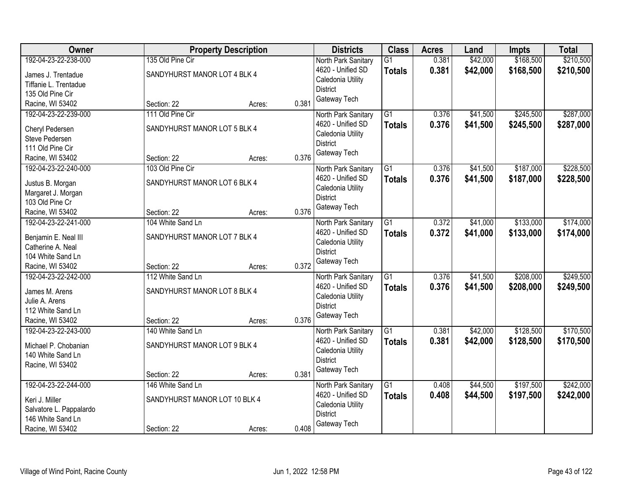| Owner                   |                               | <b>Property Description</b> |       | <b>Districts</b>                     | <b>Class</b>    | <b>Acres</b> | Land     | <b>Impts</b> | <b>Total</b> |
|-------------------------|-------------------------------|-----------------------------|-------|--------------------------------------|-----------------|--------------|----------|--------------|--------------|
| 192-04-23-22-238-000    | 135 Old Pine Cir              |                             |       | North Park Sanitary                  | $\overline{G1}$ | 0.381        | \$42,000 | \$168,500    | \$210,500    |
| James J. Trentadue      | SANDYHURST MANOR LOT 4 BLK 4  |                             |       | 4620 - Unified SD                    | <b>Totals</b>   | 0.381        | \$42,000 | \$168,500    | \$210,500    |
| Tiffanie L. Trentadue   |                               |                             |       | Caledonia Utility                    |                 |              |          |              |              |
| 135 Old Pine Cir        |                               |                             |       | <b>District</b>                      |                 |              |          |              |              |
| Racine, WI 53402        | Section: 22                   | Acres:                      | 0.381 | Gateway Tech                         |                 |              |          |              |              |
| 192-04-23-22-239-000    | 111 Old Pine Cir              |                             |       | North Park Sanitary                  | $\overline{G1}$ | 0.376        | \$41,500 | \$245,500    | \$287,000    |
|                         |                               |                             |       | 4620 - Unified SD                    | <b>Totals</b>   | 0.376        | \$41,500 | \$245,500    | \$287,000    |
| Cheryl Pedersen         | SANDYHURST MANOR LOT 5 BLK 4  |                             |       | Caledonia Utility                    |                 |              |          |              |              |
| Steve Pedersen          |                               |                             |       | <b>District</b>                      |                 |              |          |              |              |
| 111 Old Pine Cir        |                               |                             |       | Gateway Tech                         |                 |              |          |              |              |
| Racine, WI 53402        | Section: 22                   | Acres:                      | 0.376 |                                      |                 |              |          |              |              |
| 192-04-23-22-240-000    | 103 Old Pine Cir              |                             |       | North Park Sanitary                  | $\overline{G1}$ | 0.376        | \$41,500 | \$187,000    | \$228,500    |
| Justus B. Morgan        | SANDYHURST MANOR LOT 6 BLK 4  |                             |       | 4620 - Unified SD                    | <b>Totals</b>   | 0.376        | \$41,500 | \$187,000    | \$228,500    |
| Margaret J. Morgan      |                               |                             |       | Caledonia Utility                    |                 |              |          |              |              |
| 103 Old Pine Cr         |                               |                             |       | <b>District</b>                      |                 |              |          |              |              |
| Racine, WI 53402        | Section: 22                   | Acres:                      | 0.376 | Gateway Tech                         |                 |              |          |              |              |
| 192-04-23-22-241-000    | 104 White Sand Ln             |                             |       | North Park Sanitary                  | $\overline{G1}$ | 0.372        | \$41,000 | \$133,000    | \$174,000    |
|                         |                               |                             |       | 4620 - Unified SD                    | <b>Totals</b>   | 0.372        | \$41,000 | \$133,000    | \$174,000    |
| Benjamin E. Neal III    | SANDYHURST MANOR LOT 7 BLK 4  |                             |       | Caledonia Utility                    |                 |              |          |              |              |
| Catherine A. Neal       |                               |                             |       | <b>District</b>                      |                 |              |          |              |              |
| 104 White Sand Ln       |                               |                             | 0.372 | Gateway Tech                         |                 |              |          |              |              |
| Racine, WI 53402        | Section: 22                   | Acres:                      |       |                                      |                 |              |          |              |              |
| 192-04-23-22-242-000    | 112 White Sand Ln             |                             |       | North Park Sanitary                  | $\overline{G1}$ | 0.376        | \$41,500 | \$208,000    | \$249,500    |
| James M. Arens          | SANDYHURST MANOR LOT 8 BLK 4  |                             |       | 4620 - Unified SD                    | <b>Totals</b>   | 0.376        | \$41,500 | \$208,000    | \$249,500    |
| Julie A. Arens          |                               |                             |       | Caledonia Utility<br><b>District</b> |                 |              |          |              |              |
| 112 White Sand Ln       |                               |                             |       |                                      |                 |              |          |              |              |
| Racine, WI 53402        | Section: 22                   | Acres:                      | 0.376 | Gateway Tech                         |                 |              |          |              |              |
| 192-04-23-22-243-000    | 140 White Sand Ln             |                             |       | North Park Sanitary                  | $\overline{G1}$ | 0.381        | \$42,000 | \$128,500    | \$170,500    |
| Michael P. Chobanian    | SANDYHURST MANOR LOT 9 BLK 4  |                             |       | 4620 - Unified SD                    | <b>Totals</b>   | 0.381        | \$42,000 | \$128,500    | \$170,500    |
| 140 White Sand Ln       |                               |                             |       | Caledonia Utility                    |                 |              |          |              |              |
| Racine, WI 53402        |                               |                             |       | <b>District</b>                      |                 |              |          |              |              |
|                         | Section: 22                   | Acres:                      | 0.381 | Gateway Tech                         |                 |              |          |              |              |
| 192-04-23-22-244-000    | 146 White Sand Ln             |                             |       | North Park Sanitary                  | $\overline{G1}$ | 0.408        | \$44,500 | \$197,500    | \$242,000    |
|                         |                               |                             |       | 4620 - Unified SD                    | <b>Totals</b>   | 0.408        | \$44,500 | \$197,500    | \$242,000    |
| Keri J. Miller          | SANDYHURST MANOR LOT 10 BLK 4 |                             |       | Caledonia Utility                    |                 |              |          |              |              |
| Salvatore L. Pappalardo |                               |                             |       | <b>District</b>                      |                 |              |          |              |              |
| 146 White Sand Ln       |                               |                             |       | Gateway Tech                         |                 |              |          |              |              |
| Racine, WI 53402        | Section: 22                   | Acres:                      | 0.408 |                                      |                 |              |          |              |              |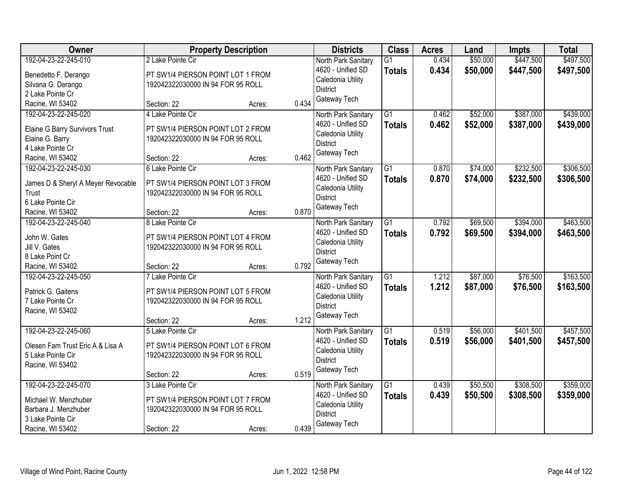| <b>Owner</b>                        |                                   | <b>Property Description</b> |       | <b>Districts</b>                     | <b>Class</b>    | <b>Acres</b> | Land     | <b>Impts</b> | <b>Total</b> |
|-------------------------------------|-----------------------------------|-----------------------------|-------|--------------------------------------|-----------------|--------------|----------|--------------|--------------|
| 192-04-23-22-245-010                | 2 Lake Pointe Cir                 |                             |       | North Park Sanitary                  | $\overline{G1}$ | 0.434        | \$50,000 | \$447,500    | \$497,500    |
| Benedetto F. Derango                | PT SW1/4 PIERSON POINT LOT 1 FROM |                             |       | 4620 - Unified SD                    | <b>Totals</b>   | 0.434        | \$50,000 | \$447,500    | \$497,500    |
| Silvana G. Derango                  | 192042322030000 IN 94 FOR 95 ROLL |                             |       | Caledonia Utility                    |                 |              |          |              |              |
| 2 Lake Pointe Cr                    |                                   |                             |       | <b>District</b>                      |                 |              |          |              |              |
| Racine, WI 53402                    | Section: 22                       | Acres:                      | 0.434 | Gateway Tech                         |                 |              |          |              |              |
| 192-04-23-22-245-020                | 4 Lake Pointe Cir                 |                             |       | North Park Sanitary                  | $\overline{G1}$ | 0.462        | \$52,000 | \$387,000    | \$439,000    |
|                                     |                                   |                             |       | 4620 - Unified SD                    | <b>Totals</b>   | 0.462        | \$52,000 | \$387,000    | \$439,000    |
| Elaine G Barry Survivors Trust      | PT SW1/4 PIERSON POINT LOT 2 FROM |                             |       | Caledonia Utility                    |                 |              |          |              |              |
| Elaine G. Barry<br>4 Lake Pointe Cr | 192042322030000 IN 94 FOR 95 ROLL |                             |       | <b>District</b>                      |                 |              |          |              |              |
| Racine, WI 53402                    | Section: 22                       | Acres:                      | 0.462 | Gateway Tech                         |                 |              |          |              |              |
| 192-04-23-22-245-030                | 6 Lake Pointe Cir                 |                             |       | North Park Sanitary                  | G1              | 0.870        | \$74,000 | \$232,500    | \$306,500    |
|                                     |                                   |                             |       | 4620 - Unified SD                    | <b>Totals</b>   | 0.870        | \$74,000 | \$232,500    | \$306,500    |
| James D & Sheryl A Meyer Revocable  | PT SW1/4 PIERSON POINT LOT 3 FROM |                             |       | Caledonia Utility                    |                 |              |          |              |              |
| Trust                               | 192042322030000 IN 94 FOR 95 ROLL |                             |       | <b>District</b>                      |                 |              |          |              |              |
| 6 Lake Pointe Cir                   |                                   |                             |       | Gateway Tech                         |                 |              |          |              |              |
| Racine, WI 53402                    | Section: 22                       | Acres:                      | 0.870 |                                      |                 |              |          |              |              |
| 192-04-23-22-245-040                | 8 Lake Pointe Cir                 |                             |       | North Park Sanitary                  | G1              | 0.792        | \$69,500 | \$394,000    | \$463,500    |
| John W. Gates                       | PT SW1/4 PIERSON POINT LOT 4 FROM |                             |       | 4620 - Unified SD                    | <b>Totals</b>   | 0.792        | \$69,500 | \$394,000    | \$463,500    |
| Jill V. Gates                       | 192042322030000 IN 94 FOR 95 ROLL |                             |       | Caledonia Utility                    |                 |              |          |              |              |
| 8 Lake Point Cr                     |                                   |                             |       | <b>District</b>                      |                 |              |          |              |              |
| Racine, WI 53402                    | Section: 22                       | Acres:                      | 0.792 | Gateway Tech                         |                 |              |          |              |              |
| 192-04-23-22-245-050                | 7 Lake Pointe Cir                 |                             |       | North Park Sanitary                  | $\overline{G1}$ | 1.212        | \$87,000 | \$76,500     | \$163,500    |
|                                     |                                   |                             |       | 4620 - Unified SD                    | <b>Totals</b>   | 1.212        | \$87,000 | \$76,500     | \$163,500    |
| Patrick G. Gaitens                  | PT SW1/4 PIERSON POINT LOT 5 FROM |                             |       | Caledonia Utility                    |                 |              |          |              |              |
| 7 Lake Pointe Cr                    | 192042322030000 IN 94 FOR 95 ROLL |                             |       | <b>District</b>                      |                 |              |          |              |              |
| Racine, WI 53402                    |                                   |                             |       | Gateway Tech                         |                 |              |          |              |              |
|                                     | Section: 22                       | Acres:                      | 1.212 |                                      |                 |              |          |              |              |
| 192-04-23-22-245-060                | 5 Lake Pointe Cir                 |                             |       | North Park Sanitary                  | $\overline{G1}$ | 0.519        | \$56,000 | \$401,500    | \$457,500    |
| Olesen Fam Trust Eric A & Lisa A    | PT SW1/4 PIERSON POINT LOT 6 FROM |                             |       | 4620 - Unified SD                    | <b>Totals</b>   | 0.519        | \$56,000 | \$401,500    | \$457,500    |
| 5 Lake Pointe Cir                   | 192042322030000 IN 94 FOR 95 ROLL |                             |       | Caledonia Utility<br><b>District</b> |                 |              |          |              |              |
| Racine, WI 53402                    |                                   |                             |       | Gateway Tech                         |                 |              |          |              |              |
|                                     | Section: 22                       | Acres:                      | 0.519 |                                      |                 |              |          |              |              |
| 192-04-23-22-245-070                | 3 Lake Pointe Cir                 |                             |       | North Park Sanitary                  | $\overline{G1}$ | 0.439        | \$50,500 | \$308,500    | \$359,000    |
| Michael W. Menzhuber                | PT SW1/4 PIERSON POINT LOT 7 FROM |                             |       | 4620 - Unified SD                    | <b>Totals</b>   | 0.439        | \$50,500 | \$308,500    | \$359,000    |
| Barbara J. Menzhuber                | 192042322030000 IN 94 FOR 95 ROLL |                             |       | Caledonia Utility                    |                 |              |          |              |              |
| 3 Lake Pointe Cir                   |                                   |                             |       | <b>District</b>                      |                 |              |          |              |              |
| Racine, WI 53402                    | Section: 22                       | Acres:                      | 0.439 | Gateway Tech                         |                 |              |          |              |              |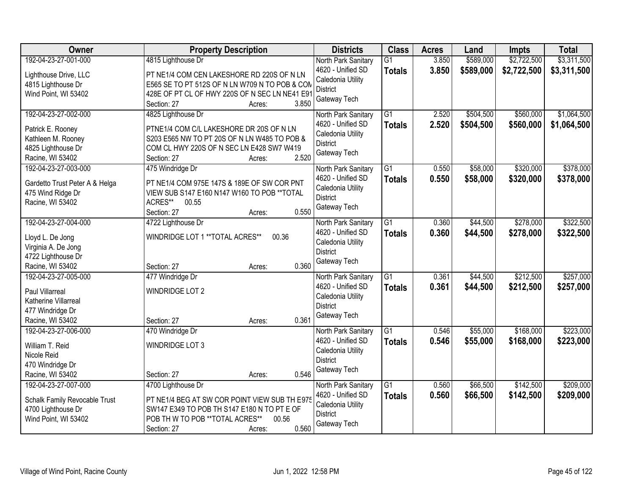| Owner                                    | <b>Property Description</b>                                      | <b>Districts</b>                         | <b>Class</b>    | <b>Acres</b> | Land      | <b>Impts</b> | <b>Total</b> |
|------------------------------------------|------------------------------------------------------------------|------------------------------------------|-----------------|--------------|-----------|--------------|--------------|
| 192-04-23-27-001-000                     | 4815 Lighthouse Dr                                               | North Park Sanitary                      | $\overline{G1}$ | 3.850        | \$589,000 | \$2,722,500  | \$3,311,500  |
| Lighthouse Drive, LLC                    | PT NE1/4 COM CEN LAKESHORE RD 220S OF N LN                       | 4620 - Unified SD                        | <b>Totals</b>   | 3.850        | \$589,000 | \$2,722,500  | \$3,311,500  |
| 4815 Lighthouse Dr                       | E565 SE TO PT 512S OF N LN W709 N TO POB & COM                   | Caledonia Utility                        |                 |              |           |              |              |
| Wind Point, WI 53402                     | 428E OF PT CL OF HWY 220S OF N SEC LN NE41 E91                   | <b>District</b>                          |                 |              |           |              |              |
|                                          | 3.850<br>Section: 27<br>Acres:                                   | Gateway Tech                             |                 |              |           |              |              |
| 192-04-23-27-002-000                     | 4825 Lighthouse Dr                                               | North Park Sanitary                      | $\overline{G1}$ | 2.520        | \$504,500 | \$560,000    | \$1,064,500  |
| Patrick E. Rooney                        | PTNE1/4 COM C/L LAKESHORE DR 20S OF N LN                         | 4620 - Unified SD                        | <b>Totals</b>   | 2.520        | \$504,500 | \$560,000    | \$1,064,500  |
| Kathleen M. Rooney                       | S203 E565 NW TO PT 20S OF N LN W485 TO POB &                     | Caledonia Utility                        |                 |              |           |              |              |
| 4825 Lighthouse Dr                       | COM CL HWY 220S OF N SEC LN E428 SW7 W419                        | <b>District</b>                          |                 |              |           |              |              |
| Racine, WI 53402                         | 2.520<br>Section: 27<br>Acres:                                   | Gateway Tech                             |                 |              |           |              |              |
| 192-04-23-27-003-000                     | 475 Windridge Dr                                                 | North Park Sanitary                      | $\overline{G1}$ | 0.550        | \$58,000  | \$320,000    | \$378,000    |
|                                          |                                                                  | 4620 - Unified SD                        | <b>Totals</b>   | 0.550        | \$58,000  | \$320,000    | \$378,000    |
| Gardetto Trust Peter A & Helga           | PT NE1/4 COM 975E 147S & 189E OF SW COR PNT                      | Caledonia Utility                        |                 |              |           |              |              |
| 475 Wind Ridge Dr<br>Racine, WI 53402    | VIEW SUB S147 E160 N147 W160 TO POB ** TOTAL<br>ACRES**<br>00.55 | District                                 |                 |              |           |              |              |
|                                          | 0.550<br>Section: 27<br>Acres:                                   | Gateway Tech                             |                 |              |           |              |              |
| 192-04-23-27-004-000                     | 4722 Lighthouse Dr                                               | North Park Sanitary                      | G1              | 0.360        | \$44,500  | \$278,000    | \$322,500    |
|                                          |                                                                  | 4620 - Unified SD                        | <b>Totals</b>   | 0.360        | \$44,500  | \$278,000    | \$322,500    |
| Lloyd L. De Jong                         | WINDRIDGE LOT 1 ** TOTAL ACRES**<br>00.36                        | Caledonia Utility                        |                 |              |           |              |              |
| Virginia A. De Jong                      |                                                                  | <b>District</b>                          |                 |              |           |              |              |
| 4722 Lighthouse Dr                       | 0.360                                                            | Gateway Tech                             |                 |              |           |              |              |
| Racine, WI 53402<br>192-04-23-27-005-000 | Section: 27<br>Acres:                                            |                                          | $\overline{G1}$ |              |           | \$212,500    | \$257,000    |
|                                          | 477 Windridge Dr                                                 | North Park Sanitary<br>4620 - Unified SD |                 | 0.361        | \$44,500  |              |              |
| Paul Villarreal                          | <b>WINDRIDGE LOT 2</b>                                           |                                          | <b>Totals</b>   | 0.361        | \$44,500  | \$212,500    | \$257,000    |
| Katherine Villarreal                     |                                                                  | Caledonia Utility<br><b>District</b>     |                 |              |           |              |              |
| 477 Windridge Dr                         |                                                                  | Gateway Tech                             |                 |              |           |              |              |
| Racine, WI 53402                         | 0.361<br>Section: 27<br>Acres:                                   |                                          |                 |              |           |              |              |
| 192-04-23-27-006-000                     | 470 Windridge Dr                                                 | North Park Sanitary                      | $\overline{G1}$ | 0.546        | \$55,000  | \$168,000    | \$223,000    |
| William T. Reid                          | <b>WINDRIDGE LOT 3</b>                                           | 4620 - Unified SD                        | <b>Totals</b>   | 0.546        | \$55,000  | \$168,000    | \$223,000    |
| Nicole Reid                              |                                                                  | Caledonia Utility                        |                 |              |           |              |              |
| 470 Windridge Dr                         |                                                                  | <b>District</b>                          |                 |              |           |              |              |
| Racine, WI 53402                         | 0.546<br>Section: 27<br>Acres:                                   | Gateway Tech                             |                 |              |           |              |              |
| 192-04-23-27-007-000                     | 4700 Lighthouse Dr                                               | North Park Sanitary                      | $\overline{G1}$ | 0.560        | \$66,500  | \$142,500    | \$209,000    |
| Schalk Family Revocable Trust            | PT NE1/4 BEG AT SW COR POINT VIEW SUB TH E975                    | 4620 - Unified SD                        | <b>Totals</b>   | 0.560        | \$66,500  | \$142,500    | \$209,000    |
| 4700 Lighthouse Dr                       | SW147 E349 TO POB TH S147 E180 N TO PT E OF                      | Caledonia Utility                        |                 |              |           |              |              |
| Wind Point, WI 53402                     | POB TH W TO POB ** TOTAL ACRES**<br>00.56                        | <b>District</b>                          |                 |              |           |              |              |
|                                          | 0.560<br>Section: 27<br>Acres:                                   | Gateway Tech                             |                 |              |           |              |              |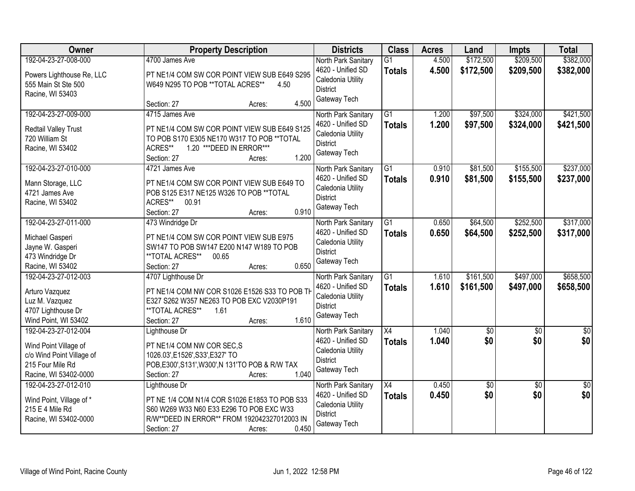| Owner                                                                                                                   | <b>Property Description</b>                                                                                                                                                                  | <b>Districts</b>                                                                                 | <b>Class</b>                     | <b>Acres</b>   | Land                   | <b>Impts</b>           | <b>Total</b>           |
|-------------------------------------------------------------------------------------------------------------------------|----------------------------------------------------------------------------------------------------------------------------------------------------------------------------------------------|--------------------------------------------------------------------------------------------------|----------------------------------|----------------|------------------------|------------------------|------------------------|
| 192-04-23-27-008-000<br>Powers Lighthouse Re, LLC<br>555 Main St Ste 500<br>Racine, WI 53403                            | 4700 James Ave<br>PT NE1/4 COM SW COR POINT VIEW SUB E649 S295<br>W649 N295 TO POB ** TOTAL ACRES**<br>4.50                                                                                  | North Park Sanitary<br>4620 - Unified SD<br>Caledonia Utility<br><b>District</b>                 | $\overline{G1}$<br><b>Totals</b> | 4.500<br>4.500 | \$172,500<br>\$172,500 | \$209,500<br>\$209,500 | \$382,000<br>\$382,000 |
|                                                                                                                         | 4.500<br>Section: 27<br>Acres:                                                                                                                                                               | Gateway Tech                                                                                     |                                  |                |                        |                        |                        |
| 192-04-23-27-009-000<br>Redtail Valley Trust<br>720 William St<br>Racine, WI 53402                                      | 4715 James Ave<br>PT NE1/4 COM SW COR POINT VIEW SUB E649 S125<br>TO POB S170 E305 NE170 W317 TO POB ** TOTAL<br>ACRES**<br>1.20 *** DEED IN ERROR***<br>1.200<br>Section: 27<br>Acres:      | North Park Sanitary<br>4620 - Unified SD<br>Caledonia Utility<br><b>District</b><br>Gateway Tech | $\overline{G1}$<br><b>Totals</b> | 1.200<br>1.200 | \$97,500<br>\$97,500   | \$324,000<br>\$324,000 | \$421,500<br>\$421,500 |
| 192-04-23-27-010-000<br>Mann Storage, LLC<br>4721 James Ave<br>Racine, WI 53402                                         | 4721 James Ave<br>PT NE1/4 COM SW COR POINT VIEW SUB E649 TO<br>POB S125 E317 NE125 W326 TO POB ** TOTAL<br>ACRES**<br>00.91<br>0.910<br>Section: 27<br>Acres:                               | North Park Sanitary<br>4620 - Unified SD<br>Caledonia Utility<br><b>District</b><br>Gateway Tech | $\overline{G1}$<br><b>Totals</b> | 0.910<br>0.910 | \$81,500<br>\$81,500   | \$155,500<br>\$155,500 | \$237,000<br>\$237,000 |
| 192-04-23-27-011-000<br>Michael Gasperi<br>Jayne W. Gasperi<br>473 Windridge Dr<br>Racine, WI 53402                     | 473 Windridge Dr<br>PT NE1/4 COM SW COR POINT VIEW SUB E975<br>SW147 TO POB SW147 E200 N147 W189 TO POB<br>**TOTAL ACRES**<br>00.65<br>0.650<br>Section: 27<br>Acres:                        | North Park Sanitary<br>4620 - Unified SD<br>Caledonia Utility<br><b>District</b><br>Gateway Tech | G1<br><b>Totals</b>              | 0.650<br>0.650 | \$64,500<br>\$64,500   | \$252,500<br>\$252,500 | \$317,000<br>\$317,000 |
| 192-04-23-27-012-003<br>Arturo Vazquez<br>Luz M. Vazquez<br>4707 Lighthouse Dr<br>Wind Point, WI 53402                  | 4707 Lighthouse Dr<br>PT NE1/4 COM NW COR S1026 E1526 S33 TO POB TH<br>E327 S262 W357 NE263 TO POB EXC V2030P191<br>**TOTAL ACRES**<br>1.61<br>1.610<br>Section: 27<br>Acres:                | North Park Sanitary<br>4620 - Unified SD<br>Caledonia Utility<br><b>District</b><br>Gateway Tech | $\overline{G1}$<br><b>Totals</b> | 1.610<br>1.610 | \$161,500<br>\$161,500 | \$497,000<br>\$497,000 | \$658,500<br>\$658,500 |
| 192-04-23-27-012-004<br>Wind Point Village of<br>c/o Wind Point Village of<br>215 Four Mile Rd<br>Racine, WI 53402-0000 | Lighthouse Dr<br>PT NE1/4 COM NW COR SEC,S<br>1026.03', E1526', S33', E327' TO<br>POB, E300', S131', W300', N 131'TO POB & R/W TAX<br>1.040<br>Section: 27<br>Acres:                         | North Park Sanitary<br>4620 - Unified SD<br>Caledonia Utility<br><b>District</b><br>Gateway Tech | $\overline{X4}$<br><b>Totals</b> | 1.040<br>1.040 | $\sqrt{50}$<br>\$0     | $\overline{50}$<br>\$0 | $\overline{50}$<br>\$0 |
| 192-04-23-27-012-010<br>Wind Point, Village of *<br>215 E 4 Mile Rd<br>Racine, WI 53402-0000                            | Lighthouse Dr<br>PT NE 1/4 COM N1/4 COR S1026 E1853 TO POB S33<br>S60 W269 W33 N60 E33 E296 TO POB EXC W33<br>R/W**DEED IN ERROR** FROM 192042327012003 IN<br>0.450<br>Section: 27<br>Acres: | North Park Sanitary<br>4620 - Unified SD<br>Caledonia Utility<br><b>District</b><br>Gateway Tech | X4<br><b>Totals</b>              | 0.450<br>0.450 | $\overline{50}$<br>\$0 | $\overline{30}$<br>\$0 | $\overline{50}$<br>\$0 |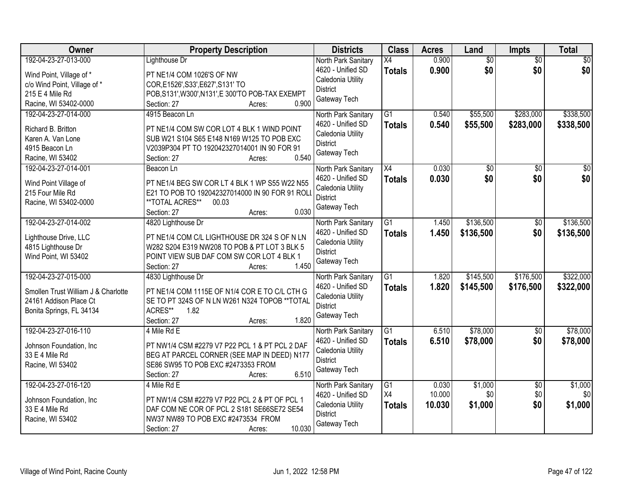| Owner                                                                                                                        | <b>Property Description</b>                                                                                                                                                                       | <b>Districts</b>                                                                                 | <b>Class</b>                     | <b>Acres</b>              | Land                      | <b>Impts</b>                  | <b>Total</b>              |
|------------------------------------------------------------------------------------------------------------------------------|---------------------------------------------------------------------------------------------------------------------------------------------------------------------------------------------------|--------------------------------------------------------------------------------------------------|----------------------------------|---------------------------|---------------------------|-------------------------------|---------------------------|
| 192-04-23-27-013-000<br>Wind Point, Village of *<br>c/o Wind Point, Village of *<br>215 E 4 Mile Rd<br>Racine, WI 53402-0000 | Lighthouse Dr<br>PT NE1/4 COM 1026'S OF NW<br>COR, E1526', S33', E627', S131' TO<br>POB, S131', W300', N131', E 300'TO POB-TAX EXEMPT<br>0.900<br>Section: 27<br>Acres:                           | North Park Sanitary<br>4620 - Unified SD<br>Caledonia Utility<br><b>District</b><br>Gateway Tech | X4<br><b>Totals</b>              | 0.900<br>0.900            | $\overline{50}$<br>\$0    | $\overline{50}$<br>\$0        | $\overline{30}$<br>\$0    |
| 192-04-23-27-014-000<br>Richard B. Britton<br>Karen A. Van Lone<br>4915 Beacon Ln<br>Racine, WI 53402                        | 4915 Beacon Ln<br>PT NE1/4 COM SW COR LOT 4 BLK 1 WIND POINT<br>SUB W21 S104 S65 E148 N169 W125 TO POB EXC<br>V2039P304 PT TO 192042327014001 IN 90 FOR 91<br>0.540<br>Section: 27<br>Acres:      | North Park Sanitary<br>4620 - Unified SD<br>Caledonia Utility<br><b>District</b><br>Gateway Tech | $\overline{G1}$<br><b>Totals</b> | 0.540<br>0.540            | \$55,500<br>\$55,500      | \$283,000<br>\$283,000        | \$338,500<br>\$338,500    |
| 192-04-23-27-014-001<br>Wind Point Village of<br>215 Four Mile Rd<br>Racine, WI 53402-0000                                   | Beacon Ln<br>PT NE1/4 BEG SW COR LT 4 BLK 1 WP S55 W22 N55<br>E21 TO POB TO 192042327014000 IN 90 FOR 91 ROLI<br>**TOTAL ACRES**<br>00.03<br>0.030<br>Section: 27<br>Acres:                       | North Park Sanitary<br>4620 - Unified SD<br>Caledonia Utility<br><b>District</b><br>Gateway Tech | X4<br><b>Totals</b>              | 0.030<br>0.030            | $\overline{50}$<br>\$0    | $\overline{50}$<br>\$0        | $\overline{50}$<br>\$0    |
| 192-04-23-27-014-002<br>Lighthouse Drive, LLC<br>4815 Lighthouse Dr<br>Wind Point, WI 53402                                  | 4820 Lighthouse Dr<br>PT NE1/4 COM C/L LIGHTHOUSE DR 324 S OF N LN<br>W282 S204 E319 NW208 TO POB & PT LOT 3 BLK 5<br>POINT VIEW SUB DAF COM SW COR LOT 4 BLK 1<br>1.450<br>Section: 27<br>Acres: | North Park Sanitary<br>4620 - Unified SD<br>Caledonia Utility<br><b>District</b><br>Gateway Tech | $\overline{G1}$<br><b>Totals</b> | 1.450<br>1.450            | \$136,500<br>\$136,500    | $\sqrt[6]{}$<br>\$0           | \$136,500<br>\$136,500    |
| 192-04-23-27-015-000<br>Smollen Trust William J & Charlotte<br>24161 Addison Place Ct<br>Bonita Springs, FL 34134            | 4830 Lighthouse Dr<br>PT NE1/4 COM 1115E OF N1/4 COR E TO C/L CTH G<br>SE TO PT 324S OF N LN W261 N324 TOPOB ** TOTAL<br>ACRES**<br>1.82<br>1.820<br>Section: 27<br>Acres:                        | North Park Sanitary<br>4620 - Unified SD<br>Caledonia Utility<br><b>District</b><br>Gateway Tech | $\overline{G1}$<br>Totals        | 1.820<br>1.820            | \$145,500<br>\$145,500    | \$176,500<br>\$176,500        | \$322,000<br>\$322,000    |
| 192-04-23-27-016-110<br>Johnson Foundation, Inc.<br>33 E 4 Mile Rd<br>Racine, WI 53402                                       | 4 Mile Rd E<br>PT NW1/4 CSM #2279 V7 P22 PCL 1 & PT PCL 2 DAF<br>BEG AT PARCEL CORNER (SEE MAP IN DEED) N177<br>SE86 SW95 TO POB EXC #2473353 FROM<br>6.510<br>Section: 27<br>Acres:              | North Park Sanitary<br>4620 - Unified SD<br>Caledonia Utility<br><b>District</b><br>Gateway Tech | $\overline{G1}$<br><b>Totals</b> | 6.510<br>6.510            | \$78,000<br>\$78,000      | $\overline{60}$<br>\$0        | \$78,000<br>\$78,000      |
| 192-04-23-27-016-120<br>Johnson Foundation, Inc.<br>33 E 4 Mile Rd<br>Racine, WI 53402                                       | 4 Mile Rd E<br>PT NW1/4 CSM #2279 V7 P22 PCL 2 & PT OF PCL 1<br>DAF COM NE COR OF PCL 2 S181 SE66SE72 SE54<br>NW37 NW89 TO POB EXC #2473534 FROM<br>10.030<br>Section: 27<br>Acres:               | North Park Sanitary<br>4620 - Unified SD<br>Caledonia Utility<br><b>District</b><br>Gateway Tech | G1<br>X4<br><b>Totals</b>        | 0.030<br>10.000<br>10.030 | \$1,000<br>\$0<br>\$1,000 | $\overline{30}$<br>\$0<br>\$0 | \$1,000<br>\$0<br>\$1,000 |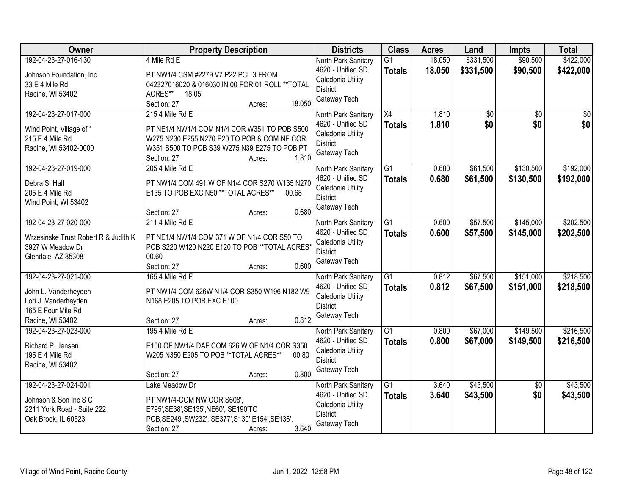| Owner                                | <b>Property Description</b>                             | <b>Districts</b>                         | <b>Class</b>    | <b>Acres</b> | Land      | <b>Impts</b>    | <b>Total</b>    |
|--------------------------------------|---------------------------------------------------------|------------------------------------------|-----------------|--------------|-----------|-----------------|-----------------|
| 192-04-23-27-016-130                 | 4 Mile Rd E                                             | North Park Sanitary                      | $\overline{G1}$ | 18.050       | \$331,500 | \$90,500        | \$422,000       |
| Johnson Foundation, Inc.             | PT NW1/4 CSM #2279 V7 P22 PCL 3 FROM                    | 4620 - Unified SD                        | <b>Totals</b>   | 18.050       | \$331,500 | \$90,500        | \$422,000       |
| 33 E 4 Mile Rd                       | 042327016020 & 016030 IN 00 FOR 01 ROLL ** TOTAL        | Caledonia Utility                        |                 |              |           |                 |                 |
| Racine, WI 53402                     | ACRES**<br>18.05                                        | <b>District</b>                          |                 |              |           |                 |                 |
|                                      | 18.050<br>Section: 27<br>Acres:                         | Gateway Tech                             |                 |              |           |                 |                 |
| 192-04-23-27-017-000                 | 215 4 Mile Rd E                                         | North Park Sanitary                      | $\overline{X4}$ | 1.810        | \$0       | $\overline{50}$ | $\overline{50}$ |
| Wind Point, Village of *             | PT NE1/4 NW1/4 COM N1/4 COR W351 TO POB S500            | 4620 - Unified SD                        | <b>Totals</b>   | 1.810        | \$0       | \$0             | \$0             |
| 215 E 4 Mile Rd                      | W275 N230 E255 N270 E20 TO POB & COM NE COR             | Caledonia Utility                        |                 |              |           |                 |                 |
| Racine, WI 53402-0000                | W351 S500 TO POB S39 W275 N39 E275 TO POB PT            | <b>District</b>                          |                 |              |           |                 |                 |
|                                      | 1.810<br>Section: 27<br>Acres:                          | Gateway Tech                             |                 |              |           |                 |                 |
| 192-04-23-27-019-000                 | 205 4 Mile Rd E                                         | North Park Sanitary                      | $\overline{G1}$ | 0.680        | \$61,500  | \$130,500       | \$192,000       |
| Debra S. Hall                        | PT NW1/4 COM 491 W OF N1/4 COR S270 W135 N270           | 4620 - Unified SD                        | <b>Totals</b>   | 0.680        | \$61,500  | \$130,500       | \$192,000       |
| 205 E 4 Mile Rd                      | E135 TO POB EXC N50 ** TOTAL ACRES**<br>00.68           | Caledonia Utility                        |                 |              |           |                 |                 |
| Wind Point, WI 53402                 |                                                         | <b>District</b>                          |                 |              |           |                 |                 |
|                                      | 0.680<br>Section: 27<br>Acres:                          | Gateway Tech                             |                 |              |           |                 |                 |
| 192-04-23-27-020-000                 | 211 4 Mile Rd E                                         | North Park Sanitary                      | G1              | 0.600        | \$57,500  | \$145,000       | \$202,500       |
|                                      |                                                         | 4620 - Unified SD                        | <b>Totals</b>   | 0.600        | \$57,500  | \$145,000       | \$202,500       |
| Wrzesinske Trust Robert R & Judith K | PT NE1/4 NW1/4 COM 371 W OF N1/4 COR S50 TO             | Caledonia Utility                        |                 |              |           |                 |                 |
| 3927 W Meadow Dr                     | POB S220 W120 N220 E120 TO POB ** TOTAL ACRES*<br>00.60 | <b>District</b>                          |                 |              |           |                 |                 |
| Glendale, AZ 85308                   | 0.600<br>Section: 27                                    | Gateway Tech                             |                 |              |           |                 |                 |
| 192-04-23-27-021-000                 | Acres:<br>165 4 Mile Rd E                               |                                          | $\overline{G1}$ | 0.812        | \$67,500  | \$151,000       | \$218,500       |
|                                      |                                                         | North Park Sanitary<br>4620 - Unified SD |                 |              |           |                 |                 |
| John L. Vanderheyden                 | PT NW1/4 COM 626W N1/4 COR S350 W196 N182 W9            | Caledonia Utility                        | <b>Totals</b>   | 0.812        | \$67,500  | \$151,000       | \$218,500       |
| Lori J. Vanderheyden                 | N168 E205 TO POB EXC E100                               | <b>District</b>                          |                 |              |           |                 |                 |
| 165 E Four Mile Rd                   |                                                         | Gateway Tech                             |                 |              |           |                 |                 |
| Racine, WI 53402                     | 0.812<br>Section: 27<br>Acres:                          |                                          |                 |              |           |                 |                 |
| 192-04-23-27-023-000                 | 195 4 Mile Rd E                                         | North Park Sanitary                      | $\overline{G1}$ | 0.800        | \$67,000  | \$149,500       | \$216,500       |
| Richard P. Jensen                    | E100 OF NW1/4 DAF COM 626 W OF N1/4 COR S350            | 4620 - Unified SD                        | <b>Totals</b>   | 0.800        | \$67,000  | \$149,500       | \$216,500       |
| 195 E 4 Mile Rd                      | W205 N350 E205 TO POB ** TOTAL ACRES**<br>00.80         | Caledonia Utility                        |                 |              |           |                 |                 |
| Racine, WI 53402                     |                                                         | <b>District</b>                          |                 |              |           |                 |                 |
|                                      | 0.800<br>Section: 27<br>Acres:                          | Gateway Tech                             |                 |              |           |                 |                 |
| 192-04-23-27-024-001                 | Lake Meadow Dr                                          | North Park Sanitary                      | $\overline{G1}$ | 3.640        | \$43,500  | $\overline{50}$ | \$43,500        |
| Johnson & Son Inc S C                | PT NW1/4-COM NW COR, S608',                             | 4620 - Unified SD                        | <b>Totals</b>   | 3.640        | \$43,500  | \$0             | \$43,500        |
| 2211 York Road - Suite 222           | E795', SE38', SE135', NE60', SE190'TO                   | Caledonia Utility                        |                 |              |           |                 |                 |
| Oak Brook, IL 60523                  | POB, SE249', SW232', SE377', S130', E154', SE136',      | <b>District</b>                          |                 |              |           |                 |                 |
|                                      | 3.640<br>Section: 27<br>Acres:                          | Gateway Tech                             |                 |              |           |                 |                 |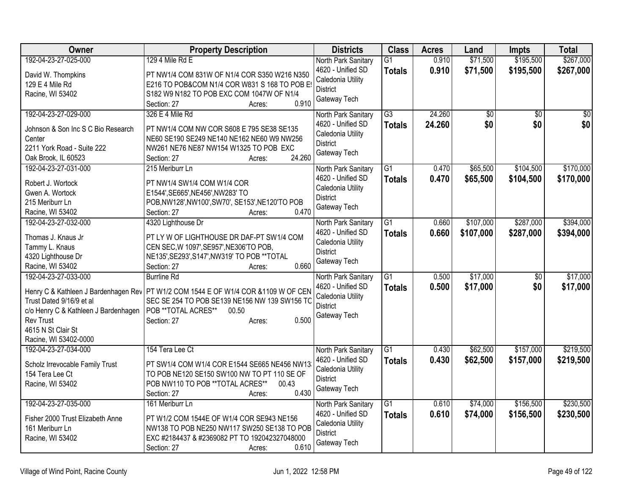| Owner<br><b>Districts</b><br><b>Class</b><br><b>Acres</b><br><b>Property Description</b><br>Land<br><b>Impts</b>                                        | <b>Total</b>    |
|---------------------------------------------------------------------------------------------------------------------------------------------------------|-----------------|
| 192-04-23-27-025-000<br>\$195,500<br>129 4 Mile Rd E<br>0.910<br>\$71,500<br>$\overline{G1}$<br>North Park Sanitary                                     | \$267,000       |
| 4620 - Unified SD<br>0.910<br>\$71,500<br>\$195,500<br><b>Totals</b><br>PT NW1/4 COM 831W OF N1/4 COR S350 W216 N350<br>David W. Thompkins              | \$267,000       |
| Caledonia Utility<br>E216 TO POB&COM N1/4 COR W831 S 168 TO POB E<br>129 E 4 Mile Rd                                                                    |                 |
| <b>District</b><br>Racine, WI 53402<br>S182 W9 N182 TO POB EXC COM 1047W OF N1/4                                                                        |                 |
| Gateway Tech<br>Section: 27<br>0.910<br>Acres:                                                                                                          |                 |
| 192-04-23-27-029-000<br>326 E 4 Mile Rd<br>$\overline{G3}$<br>24.260<br>$\sqrt{30}$<br>$\overline{50}$<br>North Park Sanitary                           | $\overline{50}$ |
| \$0<br>24.260<br>\$0<br>4620 - Unified SD<br><b>Totals</b><br>PT NW1/4 COM NW COR S608 E 795 SE38 SE135<br>Johnson & Son Inc S C Bio Research           | \$0             |
| Caledonia Utility<br>Center<br>NE60 SE190 SE249 NE140 NE162 NE60 W9 NW256                                                                               |                 |
| <b>District</b><br>2211 York Road - Suite 222<br>NW261 NE76 NE87 NW154 W1325 TO POB EXC                                                                 |                 |
| Gateway Tech<br>24.260<br>Oak Brook, IL 60523<br>Section: 27<br>Acres:                                                                                  |                 |
| \$104,500<br>192-04-23-27-031-000<br>$\overline{G1}$<br>0.470<br>\$65,500<br>215 Meriburr Ln<br>North Park Sanitary                                     | \$170,000       |
| 4620 - Unified SD<br>0.470<br>\$65,500<br>\$104,500<br><b>Totals</b>                                                                                    | \$170,000       |
| Robert J. Wortock<br>PT NW1/4 SW1/4 COM W1/4 COR<br>Caledonia Utility                                                                                   |                 |
| Gwen A. Wortock<br>E1544', SE665', NE456', NW283' TO<br><b>District</b>                                                                                 |                 |
| 215 Meriburr Ln<br>POB, NW128', NW100', SW70', SE153', NE120'TO POB<br>Gateway Tech<br>0.470<br>Section: 27<br>Racine, WI 53402<br>Acres:               |                 |
| $\overline{G1}$<br>\$107,000<br>\$287,000<br>192-04-23-27-032-000<br>4320 Lighthouse Dr<br>0.660<br>North Park Sanitary                                 | \$394,000       |
| 4620 - Unified SD<br>0.660<br>\$107,000<br>\$287,000                                                                                                    |                 |
| <b>Totals</b><br>Thomas J. Knaus Jr<br>PT LY W OF LIGHTHOUSE DR DAF-PT SW1/4 COM<br>Caledonia Utility                                                   | \$394,000       |
| Tammy L. Knaus<br>CEN SEC, W 1097', SE957', NE306'TO POB,<br><b>District</b>                                                                            |                 |
| 4320 Lighthouse Dr<br>NE135', SE293', S147', NW319' TO POB ** TOTAL<br>Gateway Tech                                                                     |                 |
| 0.660<br>Racine, WI 53402<br>Section: 27<br>Acres:                                                                                                      |                 |
| \$17,000<br>192-04-23-27-033-000<br>$\overline{G1}$<br>0.500<br>$\overline{50}$<br><b>Burrline Rd</b><br>North Park Sanitary                            | \$17,000        |
| 4620 - Unified SD<br>0.500<br>\$17,000<br>\$0<br><b>Totals</b><br>Henry C & Kathleen J Bardenhagen Rev   PT W1/2 COM 1544 E OF W1/4 COR &1109 W OF CEN  | \$17,000        |
| Caledonia Utility<br>Trust Dated 9/16/9 et al<br>SEC SE 254 TO POB SE139 NE156 NW 139 SW156 TC                                                          |                 |
| District<br>c/o Henry C & Kathleen J Bardenhagen<br>POB **TOTAL ACRES**<br>00.50                                                                        |                 |
| Gateway Tech<br><b>Rev Trust</b><br>0.500<br>Section: 27<br>Acres:                                                                                      |                 |
| 4615 N St Clair St                                                                                                                                      |                 |
| Racine, WI 53402-0000                                                                                                                                   |                 |
| 192-04-23-27-034-000<br>\$62,500<br>\$157,000<br>154 Tera Lee Ct<br>G1<br>0.430<br>North Park Sanitary                                                  | \$219,500       |
| 0.430<br>\$62,500<br>\$157,000<br>4620 - Unified SD<br><b>Totals</b><br>PT SW1/4 COM W1/4 COR E1544 SE665 NE456 NW13<br>Scholz Irrevocable Family Trust | \$219,500       |
| Caledonia Utility<br>154 Tera Lee Ct<br>TO POB NE120 SE150 SW100 NW TO PT 110 SE OF                                                                     |                 |
| <b>District</b><br>POB NW110 TO POB **TOTAL ACRES**<br>Racine, WI 53402<br>00.43                                                                        |                 |
| Gateway Tech<br>0.430<br>Section: 27<br>Acres:                                                                                                          |                 |
| \$156,500<br>192-04-23-27-035-000<br>$\overline{G1}$<br>\$74,000<br>161 Meriburr Ln<br>North Park Sanitary<br>0.610                                     | \$230,500       |
| 4620 - Unified SD<br>0.610<br>\$74,000<br>\$156,500<br><b>Totals</b><br>Fisher 2000 Trust Elizabeth Anne                                                | \$230,500       |
| PT W1/2 COM 1544E OF W1/4 COR SE943 NE156<br>Caledonia Utility<br>161 Meriburr Ln<br>NW138 TO POB NE250 NW117 SW250 SE138 TO POB                        |                 |
| <b>District</b><br>EXC #2184437 & #2369082 PT TO 192042327048000<br>Racine, WI 53402                                                                    |                 |
| Gateway Tech<br>0.610<br>Section: 27<br>Acres:                                                                                                          |                 |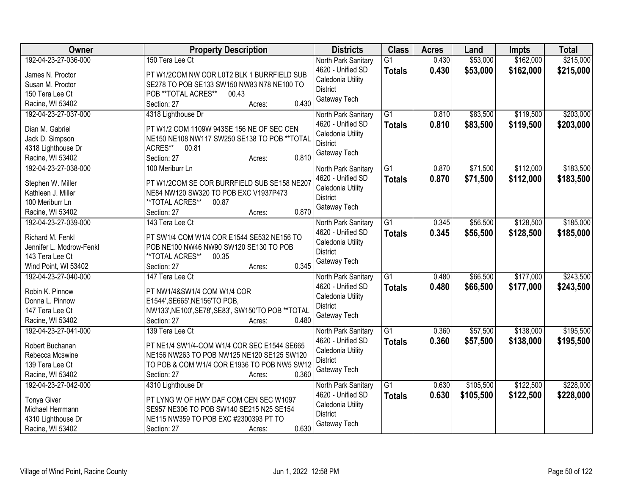| Owner                                                                                                           | <b>Property Description</b>                                                                                                                                                                   | <b>Districts</b>                                                                                 | <b>Class</b>                     | <b>Acres</b>   | Land                   | <b>Impts</b>           | <b>Total</b>           |
|-----------------------------------------------------------------------------------------------------------------|-----------------------------------------------------------------------------------------------------------------------------------------------------------------------------------------------|--------------------------------------------------------------------------------------------------|----------------------------------|----------------|------------------------|------------------------|------------------------|
| 192-04-23-27-036-000<br>James N. Proctor<br>Susan M. Proctor<br>150 Tera Lee Ct<br>Racine, WI 53402             | 150 Tera Lee Ct<br>PT W1/2COM NW COR L0T2 BLK 1 BURRFIELD SUB<br>SE278 TO POB SE133 SW150 NW83 N78 NE100 TO<br>POB **TOTAL ACRES**<br>00.43<br>0.430<br>Section: 27<br>Acres:                 | North Park Sanitary<br>4620 - Unified SD<br>Caledonia Utility<br><b>District</b><br>Gateway Tech | $\overline{G1}$<br><b>Totals</b> | 0.430<br>0.430 | \$53,000<br>\$53,000   | \$162,000<br>\$162,000 | \$215,000<br>\$215,000 |
| 192-04-23-27-037-000<br>Dian M. Gabriel<br>Jack D. Simpson<br>4318 Lighthouse Dr<br>Racine, WI 53402            | 4318 Lighthouse Dr<br>PT W1/2 COM 1109W 943SE 156 NE OF SEC CEN<br>NE150 NE108 NW117 SW250 SE138 TO POB ** TOTAL<br>ACRES**<br>00.81<br>0.810<br>Section: 27<br>Acres:                        | North Park Sanitary<br>4620 - Unified SD<br>Caledonia Utility<br><b>District</b><br>Gateway Tech | $\overline{G1}$<br><b>Totals</b> | 0.810<br>0.810 | \$83,500<br>\$83,500   | \$119,500<br>\$119,500 | \$203,000<br>\$203,000 |
| 192-04-23-27-038-000<br>Stephen W. Miller<br>Kathleen J. Miller<br>100 Meriburr Ln<br>Racine, WI 53402          | 100 Meriburr Ln<br>PT W1/2COM SE COR BURRFIELD SUB SE158 NE207<br>NE84 NW120 SW320 TO POB EXC V1937P473<br>**TOTAL ACRES**<br>00.87<br>0.870<br>Section: 27<br>Acres:                         | North Park Sanitary<br>4620 - Unified SD<br>Caledonia Utility<br><b>District</b><br>Gateway Tech | $\overline{G1}$<br><b>Totals</b> | 0.870<br>0.870 | \$71,500<br>\$71,500   | \$112,000<br>\$112,000 | \$183,500<br>\$183,500 |
| 192-04-23-27-039-000<br>Richard M. Fenkl<br>Jennifer L. Modrow-Fenkl<br>143 Tera Lee Ct<br>Wind Point, WI 53402 | 143 Tera Lee Ct<br>PT SW1/4 COM W1/4 COR E1544 SE532 NE156 TO<br>POB NE100 NW46 NW90 SW120 SE130 TO POB<br>**TOTAL ACRES**<br>00.35<br>0.345<br>Section: 27<br>Acres:                         | North Park Sanitary<br>4620 - Unified SD<br>Caledonia Utility<br><b>District</b><br>Gateway Tech | G1<br><b>Totals</b>              | 0.345<br>0.345 | \$56,500<br>\$56,500   | \$128,500<br>\$128,500 | \$185,000<br>\$185,000 |
| 192-04-23-27-040-000<br>Robin K. Pinnow<br>Donna L. Pinnow<br>147 Tera Lee Ct<br>Racine, WI 53402               | 147 Tera Lee Ct<br>PT NW1/4&SW1/4 COM W1/4 COR<br>E1544', SE665', NE156'TO POB,<br>NW133', NE100', SE78', SE83', SW150'TO POB ** TOTAL<br>0.480<br>Section: 27<br>Acres:                      | North Park Sanitary<br>4620 - Unified SD<br>Caledonia Utility<br><b>District</b><br>Gateway Tech | $\overline{G1}$<br><b>Totals</b> | 0.480<br>0.480 | \$66,500<br>\$66,500   | \$177,000<br>\$177,000 | \$243,500<br>\$243,500 |
| 192-04-23-27-041-000<br>Robert Buchanan<br>Rebecca Mcswine<br>139 Tera Lee Ct<br>Racine, WI 53402               | 139 Tera Lee Ct<br>PT NE1/4 SW1/4-COM W1/4 COR SEC E1544 SE665<br>NE156 NW263 TO POB NW125 NE120 SE125 SW120<br>TO POB & COM W1/4 COR E1936 TO POB NW5 SW12<br>0.360<br>Section: 27<br>Acres: | North Park Sanitary<br>4620 - Unified SD<br>Caledonia Utility<br><b>District</b><br>Gateway Tech | $\overline{G1}$<br><b>Totals</b> | 0.360<br>0.360 | \$57,500<br>\$57,500   | \$138,000<br>\$138,000 | \$195,500<br>\$195,500 |
| 192-04-23-27-042-000<br><b>Tonya Giver</b><br>Michael Herrmann<br>4310 Lighthouse Dr<br>Racine, WI 53402        | 4310 Lighthouse Dr<br>PT LYNG W OF HWY DAF COM CEN SEC W1097<br>SE957 NE306 TO POB SW140 SE215 N25 SE154<br>NE115 NW359 TO POB EXC #2300393 PT TO<br>0.630<br>Section: 27<br>Acres:           | North Park Sanitary<br>4620 - Unified SD<br>Caledonia Utility<br><b>District</b><br>Gateway Tech | $\overline{G1}$<br><b>Totals</b> | 0.630<br>0.630 | \$105,500<br>\$105,500 | \$122,500<br>\$122,500 | \$228,000<br>\$228,000 |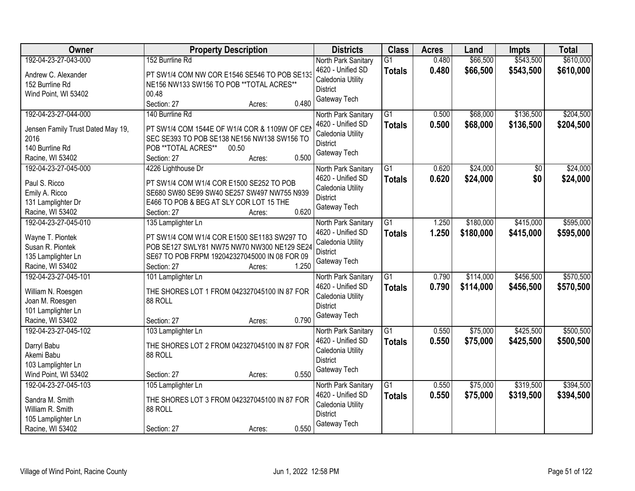| Owner                                                                                                    | <b>Property Description</b>                                                                                                                                                                         | <b>Districts</b>                                                                                 | <b>Class</b>                     | <b>Acres</b>   | Land                   | <b>Impts</b>           | <b>Total</b>           |
|----------------------------------------------------------------------------------------------------------|-----------------------------------------------------------------------------------------------------------------------------------------------------------------------------------------------------|--------------------------------------------------------------------------------------------------|----------------------------------|----------------|------------------------|------------------------|------------------------|
| 192-04-23-27-043-000<br>Andrew C. Alexander<br>152 Burrline Rd<br>Wind Point, WI 53402                   | 152 Burrline Rd<br>PT SW1/4 COM NW COR E1546 SE546 TO POB SE133<br>NE156 NW133 SW156 TO POB ** TOTAL ACRES**<br>00.48<br>0.480<br>Section: 27<br>Acres:                                             | North Park Sanitary<br>4620 - Unified SD<br>Caledonia Utility<br><b>District</b><br>Gateway Tech | $\overline{G1}$<br><b>Totals</b> | 0.480<br>0.480 | \$66,500<br>\$66,500   | \$543,500<br>\$543,500 | \$610,000<br>\$610,000 |
| 192-04-23-27-044-000<br>Jensen Family Trust Dated May 19,<br>2016<br>140 Burrline Rd<br>Racine, WI 53402 | 140 Burrline Rd<br>PT SW1/4 COM 1544E OF W1/4 COR & 1109W OF CEN<br>SEC SE393 TO POB SE138 NE156 NW138 SW156 TO<br>POB **TOTAL ACRES**<br>00.50<br>0.500<br>Section: 27<br>Acres:                   | North Park Sanitary<br>4620 - Unified SD<br>Caledonia Utility<br><b>District</b><br>Gateway Tech | $\overline{G1}$<br><b>Totals</b> | 0.500<br>0.500 | \$68,000<br>\$68,000   | \$136,500<br>\$136,500 | \$204,500<br>\$204,500 |
| 192-04-23-27-045-000<br>Paul S. Ricco<br>Emily A. Ricco<br>131 Lamplighter Dr<br>Racine, WI 53402        | 4226 Lighthouse Dr<br>PT SW1/4 COM W1/4 COR E1500 SE252 TO POB<br>SE680 SW80 SE99 SW40 SE257 SW497 NW755 N939<br>E466 TO POB & BEG AT SLY COR LOT 15 THE<br>0.620<br>Section: 27<br>Acres:          | North Park Sanitary<br>4620 - Unified SD<br>Caledonia Utility<br><b>District</b><br>Gateway Tech | $\overline{G1}$<br><b>Totals</b> | 0.620<br>0.620 | \$24,000<br>\$24,000   | $\overline{50}$<br>\$0 | \$24,000<br>\$24,000   |
| 192-04-23-27-045-010<br>Wayne T. Piontek<br>Susan R. Piontek<br>135 Lamplighter Ln<br>Racine, WI 53402   | 135 Lamplighter Ln<br>PT SW1/4 COM W1/4 COR E1500 SE1183 SW297 TO<br>POB SE127 SWLY81 NW75 NW70 NW300 NE129 SE24<br>SE67 TO POB FRPM 192042327045000 IN 08 FOR 09<br>1.250<br>Section: 27<br>Acres: | North Park Sanitary<br>4620 - Unified SD<br>Caledonia Utility<br><b>District</b><br>Gateway Tech | G1<br><b>Totals</b>              | 1.250<br>1.250 | \$180,000<br>\$180,000 | \$415,000<br>\$415,000 | \$595,000<br>\$595,000 |
| 192-04-23-27-045-101<br>William N. Roesgen<br>Joan M. Roesgen<br>101 Lamplighter Ln<br>Racine, WI 53402  | 101 Lamplighter Ln<br>THE SHORES LOT 1 FROM 042327045100 IN 87 FOR<br>88 ROLL<br>0.790<br>Section: 27<br>Acres:                                                                                     | North Park Sanitary<br>4620 - Unified SD<br>Caledonia Utility<br><b>District</b><br>Gateway Tech | $\overline{G1}$<br><b>Totals</b> | 0.790<br>0.790 | \$114,000<br>\$114,000 | \$456,500<br>\$456,500 | \$570,500<br>\$570,500 |
| 192-04-23-27-045-102<br>Darryl Babu<br>Akemi Babu<br>103 Lamplighter Ln<br>Wind Point, WI 53402          | 103 Lamplighter Ln<br>THE SHORES LOT 2 FROM 042327045100 IN 87 FOR<br>88 ROLL<br>0.550<br>Section: 27<br>Acres:                                                                                     | North Park Sanitary<br>4620 - Unified SD<br>Caledonia Utility<br><b>District</b><br>Gateway Tech | $\overline{G1}$<br><b>Totals</b> | 0.550<br>0.550 | \$75,000<br>\$75,000   | \$425,500<br>\$425,500 | \$500,500<br>\$500,500 |
| 192-04-23-27-045-103<br>Sandra M. Smith<br>William R. Smith<br>105 Lamplighter Ln<br>Racine, WI 53402    | 105 Lamplighter Ln<br>THE SHORES LOT 3 FROM 042327045100 IN 87 FOR<br>88 ROLL<br>0.550<br>Section: 27<br>Acres:                                                                                     | North Park Sanitary<br>4620 - Unified SD<br>Caledonia Utility<br><b>District</b><br>Gateway Tech | $\overline{G1}$<br><b>Totals</b> | 0.550<br>0.550 | \$75,000<br>\$75,000   | \$319,500<br>\$319,500 | \$394,500<br>\$394,500 |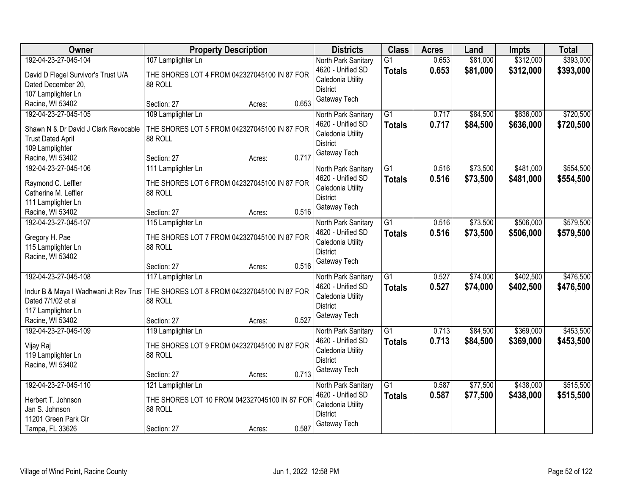| Owner                                                                                                                           | <b>Property Description</b>                                                                                      | <b>Districts</b>                                                                                 | <b>Class</b>                     | <b>Acres</b>   | Land                 | <b>Impts</b>           | <b>Total</b>           |
|---------------------------------------------------------------------------------------------------------------------------------|------------------------------------------------------------------------------------------------------------------|--------------------------------------------------------------------------------------------------|----------------------------------|----------------|----------------------|------------------------|------------------------|
| 192-04-23-27-045-104<br>David D Flegel Survivor's Trust U/A<br>Dated December 20,<br>107 Lamplighter Ln                         | 107 Lamplighter Ln<br>THE SHORES LOT 4 FROM 042327045100 IN 87 FOR<br>88 ROLL                                    | North Park Sanitary<br>4620 - Unified SD<br>Caledonia Utility<br><b>District</b>                 | $\overline{G1}$<br><b>Totals</b> | 0.653<br>0.653 | \$81,000<br>\$81,000 | \$312,000<br>\$312,000 | \$393,000<br>\$393,000 |
| Racine, WI 53402                                                                                                                | 0.653<br>Section: 27<br>Acres:                                                                                   | Gateway Tech                                                                                     |                                  |                |                      |                        |                        |
| 192-04-23-27-045-105<br>Shawn N & Dr David J Clark Revocable<br><b>Trust Dated April</b><br>109 Lamplighter<br>Racine, WI 53402 | 109 Lamplighter Ln<br>THE SHORES LOT 5 FROM 042327045100 IN 87 FOR<br>88 ROLL<br>0.717<br>Section: 27<br>Acres:  | North Park Sanitary<br>4620 - Unified SD<br>Caledonia Utility<br><b>District</b><br>Gateway Tech | $\overline{G1}$<br><b>Totals</b> | 0.717<br>0.717 | \$84,500<br>\$84,500 | \$636,000<br>\$636,000 | \$720,500<br>\$720,500 |
| 192-04-23-27-045-106<br>Raymond C. Leffler<br>Catherine M. Leffler<br>111 Lamplighter Ln<br>Racine, WI 53402                    | 111 Lamplighter Ln<br>THE SHORES LOT 6 FROM 042327045100 IN 87 FOR<br>88 ROLL<br>0.516<br>Section: 27<br>Acres:  | North Park Sanitary<br>4620 - Unified SD<br>Caledonia Utility<br><b>District</b><br>Gateway Tech | G1<br><b>Totals</b>              | 0.516<br>0.516 | \$73,500<br>\$73,500 | \$481,000<br>\$481,000 | \$554,500<br>\$554,500 |
| 192-04-23-27-045-107<br>Gregory H. Pae<br>115 Lamplighter Ln<br>Racine, WI 53402                                                | 115 Lamplighter Ln<br>THE SHORES LOT 7 FROM 042327045100 IN 87 FOR<br>88 ROLL<br>0.516<br>Section: 27<br>Acres:  | North Park Sanitary<br>4620 - Unified SD<br>Caledonia Utility<br><b>District</b><br>Gateway Tech | $\overline{G1}$<br><b>Totals</b> | 0.516<br>0.516 | \$73,500<br>\$73,500 | \$506,000<br>\$506,000 | \$579,500<br>\$579,500 |
| 192-04-23-27-045-108<br>Indur B & Maya I Wadhwani Jt Rev Trus<br>Dated 7/1/02 et al<br>117 Lamplighter Ln<br>Racine, WI 53402   | 117 Lamplighter Ln<br>THE SHORES LOT 8 FROM 042327045100 IN 87 FOR<br>88 ROLL<br>0.527<br>Section: 27<br>Acres:  | North Park Sanitary<br>4620 - Unified SD<br>Caledonia Utility<br><b>District</b><br>Gateway Tech | $\overline{G1}$<br>Totals        | 0.527<br>0.527 | \$74,000<br>\$74,000 | \$402,500<br>\$402,500 | \$476,500<br>\$476,500 |
| 192-04-23-27-045-109<br>Vijay Raj<br>119 Lamplighter Ln<br>Racine, WI 53402                                                     | 119 Lamplighter Ln<br>THE SHORES LOT 9 FROM 042327045100 IN 87 FOR<br>88 ROLL<br>0.713<br>Section: 27<br>Acres:  | North Park Sanitary<br>4620 - Unified SD<br>Caledonia Utility<br><b>District</b><br>Gateway Tech | $\overline{G1}$<br><b>Totals</b> | 0.713<br>0.713 | \$84,500<br>\$84,500 | \$369,000<br>\$369,000 | \$453,500<br>\$453,500 |
| 192-04-23-27-045-110<br>Herbert T. Johnson<br>Jan S. Johnson<br>11201 Green Park Cir<br>Tampa, FL 33626                         | 121 Lamplighter Ln<br>THE SHORES LOT 10 FROM 042327045100 IN 87 FOR<br>88 ROLL<br>0.587<br>Section: 27<br>Acres: | North Park Sanitary<br>4620 - Unified SD<br>Caledonia Utility<br><b>District</b><br>Gateway Tech | $\overline{G1}$<br><b>Totals</b> | 0.587<br>0.587 | \$77,500<br>\$77,500 | \$438,000<br>\$438,000 | \$515,500<br>\$515,500 |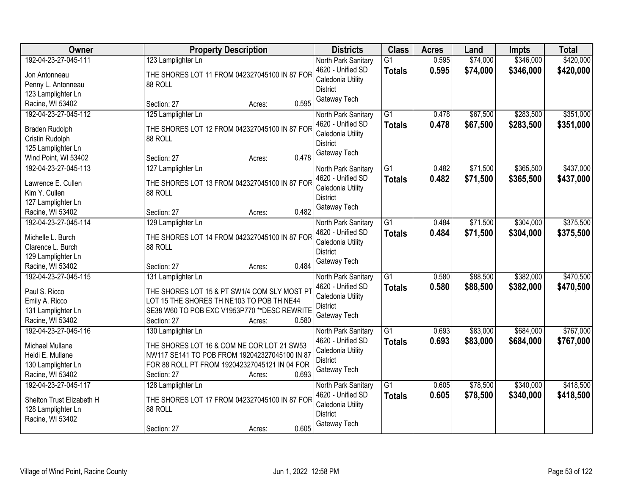| <b>Owner</b>              | <b>Property Description</b>                   | <b>Districts</b>                         | <b>Class</b>    | <b>Acres</b> | Land     | Impts     | <b>Total</b> |
|---------------------------|-----------------------------------------------|------------------------------------------|-----------------|--------------|----------|-----------|--------------|
| 192-04-23-27-045-111      | 123 Lamplighter Ln                            | North Park Sanitary                      | $\overline{G1}$ | 0.595        | \$74,000 | \$346,000 | \$420,000    |
| Jon Antonneau             | THE SHORES LOT 11 FROM 042327045100 IN 87 FOR | 4620 - Unified SD                        | <b>Totals</b>   | 0.595        | \$74,000 | \$346,000 | \$420,000    |
| Penny L. Antonneau        | 88 ROLL                                       | Caledonia Utility                        |                 |              |          |           |              |
| 123 Lamplighter Ln        |                                               | <b>District</b>                          |                 |              |          |           |              |
| Racine, WI 53402          | 0.595<br>Section: 27<br>Acres:                | Gateway Tech                             |                 |              |          |           |              |
| 192-04-23-27-045-112      | 125 Lamplighter Ln                            | North Park Sanitary                      | $\overline{G1}$ | 0.478        | \$67,500 | \$283,500 | \$351,000    |
| Braden Rudolph            | THE SHORES LOT 12 FROM 042327045100 IN 87 FOR | 4620 - Unified SD                        | <b>Totals</b>   | 0.478        | \$67,500 | \$283,500 | \$351,000    |
| Cristin Rudolph           | 88 ROLL                                       | Caledonia Utility                        |                 |              |          |           |              |
| 125 Lamplighter Ln        |                                               | <b>District</b>                          |                 |              |          |           |              |
| Wind Point, WI 53402      | 0.478<br>Section: 27<br>Acres:                | Gateway Tech                             |                 |              |          |           |              |
| 192-04-23-27-045-113      | 127 Lamplighter Ln                            |                                          | G1              | 0.482        | \$71,500 | \$365,500 | \$437,000    |
|                           |                                               | North Park Sanitary<br>4620 - Unified SD |                 | 0.482        |          |           |              |
| Lawrence E. Cullen        | THE SHORES LOT 13 FROM 042327045100 IN 87 FOR | Caledonia Utility                        | <b>Totals</b>   |              | \$71,500 | \$365,500 | \$437,000    |
| Kim Y. Cullen             | 88 ROLL                                       | <b>District</b>                          |                 |              |          |           |              |
| 127 Lamplighter Ln        |                                               | Gateway Tech                             |                 |              |          |           |              |
| Racine, WI 53402          | 0.482<br>Section: 27<br>Acres:                |                                          |                 |              |          |           |              |
| 192-04-23-27-045-114      | 129 Lamplighter Ln                            | North Park Sanitary                      | G1              | 0.484        | \$71,500 | \$304,000 | \$375,500    |
| Michelle L. Burch         | THE SHORES LOT 14 FROM 042327045100 IN 87 FOR | 4620 - Unified SD                        | <b>Totals</b>   | 0.484        | \$71,500 | \$304,000 | \$375,500    |
| Clarence L. Burch         | 88 ROLL                                       | Caledonia Utility                        |                 |              |          |           |              |
| 129 Lamplighter Ln        |                                               | <b>District</b>                          |                 |              |          |           |              |
| Racine, WI 53402          | 0.484<br>Section: 27<br>Acres:                | Gateway Tech                             |                 |              |          |           |              |
| 192-04-23-27-045-115      | 131 Lamplighter Ln                            | North Park Sanitary                      | $\overline{G1}$ | 0.580        | \$88,500 | \$382,000 | \$470,500    |
|                           |                                               | 4620 - Unified SD                        | <b>Totals</b>   | 0.580        | \$88,500 | \$382,000 | \$470,500    |
| Paul S. Ricco             | THE SHORES LOT 15 & PT SW1/4 COM SLY MOST PT  | Caledonia Utility                        |                 |              |          |           |              |
| Emily A. Ricco            | LOT 15 THE SHORES TH NE103 TO POB TH NE44     | <b>District</b>                          |                 |              |          |           |              |
| 131 Lamplighter Ln        | SE38 W60 TO POB EXC V1953P770 ** DESC REWRITE | Gateway Tech                             |                 |              |          |           |              |
| Racine, WI 53402          | 0.580<br>Section: 27<br>Acres:                |                                          |                 |              |          |           |              |
| 192-04-23-27-045-116      | 130 Lamplighter Ln                            | North Park Sanitary                      | $\overline{G1}$ | 0.693        | \$83,000 | \$684,000 | \$767,000    |
| Michael Mullane           | THE SHORES LOT 16 & COM NE COR LOT 21 SW53    | 4620 - Unified SD                        | <b>Totals</b>   | 0.693        | \$83,000 | \$684,000 | \$767,000    |
| Heidi E. Mullane          | NW117 SE141 TO POB FROM 192042327045100 IN 87 | Caledonia Utility                        |                 |              |          |           |              |
| 130 Lamplighter Ln        | FOR 88 ROLL PT FROM 192042327045121 IN 04 FOR | <b>District</b>                          |                 |              |          |           |              |
| Racine, WI 53402          | 0.693<br>Section: 27<br>Acres:                | Gateway Tech                             |                 |              |          |           |              |
| 192-04-23-27-045-117      | 128 Lamplighter Ln                            | North Park Sanitary                      | $\overline{G1}$ | 0.605        | \$78,500 | \$340,000 | \$418,500    |
|                           |                                               | 4620 - Unified SD                        | <b>Totals</b>   | 0.605        | \$78,500 | \$340,000 | \$418,500    |
| Shelton Trust Elizabeth H | THE SHORES LOT 17 FROM 042327045100 IN 87 FOR | Caledonia Utility                        |                 |              |          |           |              |
| 128 Lamplighter Ln        | 88 ROLL                                       | <b>District</b>                          |                 |              |          |           |              |
| Racine, WI 53402          |                                               | Gateway Tech                             |                 |              |          |           |              |
|                           | 0.605<br>Section: 27<br>Acres:                |                                          |                 |              |          |           |              |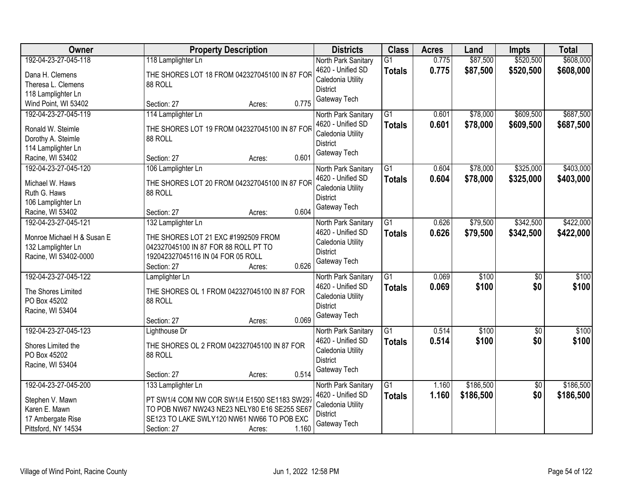| <b>Owner</b>               | <b>Property Description</b>                   | <b>Districts</b>                     | <b>Class</b>    | <b>Acres</b> | Land      | <b>Impts</b>    | <b>Total</b> |
|----------------------------|-----------------------------------------------|--------------------------------------|-----------------|--------------|-----------|-----------------|--------------|
| 192-04-23-27-045-118       | 118 Lamplighter Ln                            | North Park Sanitary                  | $\overline{G1}$ | 0.775        | \$87,500  | \$520,500       | \$608,000    |
| Dana H. Clemens            | THE SHORES LOT 18 FROM 042327045100 IN 87 FOR | 4620 - Unified SD                    | <b>Totals</b>   | 0.775        | \$87,500  | \$520,500       | \$608,000    |
| Theresa L. Clemens         | 88 ROLL                                       | Caledonia Utility                    |                 |              |           |                 |              |
| 118 Lamplighter Ln         |                                               | <b>District</b>                      |                 |              |           |                 |              |
| Wind Point, WI 53402       | 0.775<br>Section: 27<br>Acres:                | Gateway Tech                         |                 |              |           |                 |              |
| 192-04-23-27-045-119       | 114 Lamplighter Ln                            | North Park Sanitary                  | $\overline{G1}$ | 0.601        | \$78,000  | \$609,500       | \$687,500    |
|                            |                                               | 4620 - Unified SD                    | <b>Totals</b>   | 0.601        | \$78,000  | \$609,500       | \$687,500    |
| Ronald W. Steimle          | THE SHORES LOT 19 FROM 042327045100 IN 87 FOR | Caledonia Utility                    |                 |              |           |                 |              |
| Dorothy A. Steimle         | 88 ROLL                                       | <b>District</b>                      |                 |              |           |                 |              |
| 114 Lamplighter Ln         |                                               | Gateway Tech                         |                 |              |           |                 |              |
| Racine, WI 53402           | 0.601<br>Section: 27<br>Acres:                |                                      |                 |              |           |                 |              |
| 192-04-23-27-045-120       | 106 Lamplighter Ln                            | North Park Sanitary                  | $\overline{G1}$ | 0.604        | \$78,000  | \$325,000       | \$403,000    |
| Michael W. Haws            | THE SHORES LOT 20 FROM 042327045100 IN 87 FOR | 4620 - Unified SD                    | <b>Totals</b>   | 0.604        | \$78,000  | \$325,000       | \$403,000    |
| Ruth G. Haws               | 88 ROLL                                       | Caledonia Utility                    |                 |              |           |                 |              |
| 106 Lamplighter Ln         |                                               | <b>District</b>                      |                 |              |           |                 |              |
| Racine, WI 53402           | 0.604<br>Section: 27<br>Acres:                | Gateway Tech                         |                 |              |           |                 |              |
| 192-04-23-27-045-121       | 132 Lamplighter Ln                            | North Park Sanitary                  | G1              | 0.626        | \$79,500  | \$342,500       | \$422,000    |
|                            |                                               | 4620 - Unified SD                    | <b>Totals</b>   | 0.626        | \$79,500  | \$342,500       | \$422,000    |
| Monroe Michael H & Susan E | THE SHORES LOT 21 EXC #1992509 FROM           | Caledonia Utility                    |                 |              |           |                 |              |
| 132 Lamplighter Ln         | 042327045100 IN 87 FOR 88 ROLL PT TO          | <b>District</b>                      |                 |              |           |                 |              |
| Racine, WI 53402-0000      | 192042327045116 IN 04 FOR 05 ROLL<br>0.626    | Gateway Tech                         |                 |              |           |                 |              |
|                            | Section: 27<br>Acres:                         |                                      |                 |              |           |                 |              |
| 192-04-23-27-045-122       | Lamplighter Ln                                | North Park Sanitary                  | $\overline{G1}$ | 0.069        | \$100     | $\overline{50}$ | \$100        |
| The Shores Limited         | THE SHORES OL 1 FROM 042327045100 IN 87 FOR   | 4620 - Unified SD                    | <b>Totals</b>   | 0.069        | \$100     | \$0             | \$100        |
| PO Box 45202               | 88 ROLL                                       | Caledonia Utility<br><b>District</b> |                 |              |           |                 |              |
| Racine, WI 53404           |                                               |                                      |                 |              |           |                 |              |
|                            | 0.069<br>Section: 27<br>Acres:                | Gateway Tech                         |                 |              |           |                 |              |
| 192-04-23-27-045-123       | Lighthouse Dr                                 | North Park Sanitary                  | $\overline{G1}$ | 0.514        | \$100     | $\overline{50}$ | \$100        |
| Shores Limited the         | THE SHORES OL 2 FROM 042327045100 IN 87 FOR   | 4620 - Unified SD                    | <b>Totals</b>   | 0.514        | \$100     | \$0             | \$100        |
| PO Box 45202               | 88 ROLL                                       | Caledonia Utility                    |                 |              |           |                 |              |
| Racine, WI 53404           |                                               | <b>District</b>                      |                 |              |           |                 |              |
|                            | 0.514<br>Section: 27<br>Acres:                | Gateway Tech                         |                 |              |           |                 |              |
| 192-04-23-27-045-200       | 133 Lamplighter Ln                            | North Park Sanitary                  | $\overline{G1}$ | 1.160        | \$186,500 | $\overline{50}$ | \$186,500    |
|                            |                                               | 4620 - Unified SD                    | <b>Totals</b>   | 1.160        | \$186,500 | \$0             | \$186,500    |
| Stephen V. Mawn            | PT SW1/4 COM NW COR SW1/4 E1500 SE1183 SW297  | Caledonia Utility                    |                 |              |           |                 |              |
| Karen E. Mawn              | TO POB NW67 NW243 NE23 NELY80 E16 SE255 SE67  | District                             |                 |              |           |                 |              |
| 17 Ambergate Rise          | SE123 TO LAKE SWLY120 NW61 NW66 TO POB EXC    | Gateway Tech                         |                 |              |           |                 |              |
| Pittsford, NY 14534        | 1.160<br>Section: 27<br>Acres:                |                                      |                 |              |           |                 |              |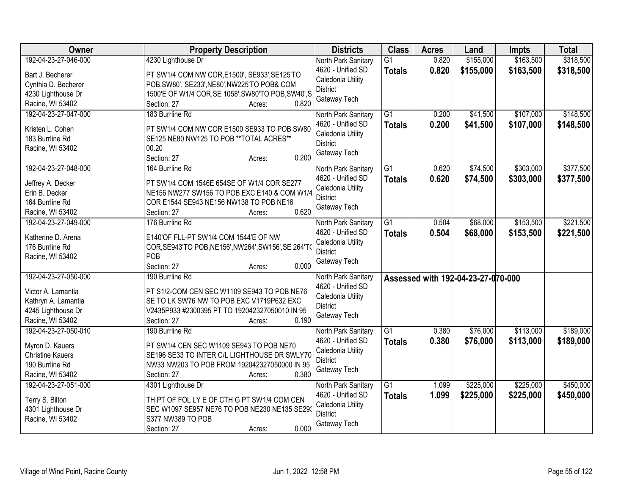| Owner                                    | <b>Property Description</b>                                         | <b>Districts</b>                         | <b>Class</b>                     | <b>Acres</b>   | Land                               | <b>Impts</b>           | <b>Total</b>           |
|------------------------------------------|---------------------------------------------------------------------|------------------------------------------|----------------------------------|----------------|------------------------------------|------------------------|------------------------|
| 192-04-23-27-046-000<br>Bart J. Becherer | 4230 Lighthouse Dr<br>PT SW1/4 COM NW COR, E1500', SE933', SE125'TO | North Park Sanitary<br>4620 - Unified SD | $\overline{G1}$<br><b>Totals</b> | 0.820<br>0.820 | \$155,000<br>\$155,000             | \$163,500<br>\$163,500 | \$318,500<br>\$318,500 |
| Cynthia D. Becherer                      | POB, SW80', SE233', NE80', NW225'TO POB& COM                        | Caledonia Utility                        |                                  |                |                                    |                        |                        |
| 4230 Lighthouse Dr                       | 1500'E OF W1/4 COR, SE 1058', SW80'TO POB, SW40', S                 | <b>District</b>                          |                                  |                |                                    |                        |                        |
| Racine, WI 53402                         | 0.820<br>Section: 27<br>Acres:                                      | Gateway Tech                             |                                  |                |                                    |                        |                        |
| 192-04-23-27-047-000                     | 183 Burrline Rd                                                     | North Park Sanitary<br>4620 - Unified SD | $\overline{G1}$<br><b>Totals</b> | 0.200<br>0.200 | \$41,500<br>\$41,500               | \$107,000<br>\$107,000 | \$148,500<br>\$148,500 |
| Kristen L. Cohen                         | PT SW1/4 COM NW COR E1500 SE933 TO POB SW80                         | Caledonia Utility                        |                                  |                |                                    |                        |                        |
| 183 Burrline Rd                          | SE125 NE80 NW125 TO POB ** TOTAL ACRES**                            | <b>District</b>                          |                                  |                |                                    |                        |                        |
| Racine, WI 53402                         | 00.20<br>0.200<br>Section: 27<br>Acres:                             | Gateway Tech                             |                                  |                |                                    |                        |                        |
| 192-04-23-27-048-000                     | 164 Burrline Rd                                                     | North Park Sanitary                      | $\overline{G1}$                  | 0.620          | \$74,500                           | \$303,000              | \$377,500              |
| Jeffrey A. Decker                        | PT SW1/4 COM 1546E 654SE OF W1/4 COR SE277                          | 4620 - Unified SD                        | <b>Totals</b>                    | 0.620          | \$74,500                           | \$303,000              | \$377,500              |
| Erin B. Decker                           | NE156 NW277 SW156 TO POB EXC E140 & COM W1/4                        | Caledonia Utility                        |                                  |                |                                    |                        |                        |
| 164 Burrline Rd                          | COR E1544 SE943 NE156 NW138 TO POB NE16                             | <b>District</b>                          |                                  |                |                                    |                        |                        |
| Racine, WI 53402                         | 0.620<br>Section: 27<br>Acres:                                      | Gateway Tech                             |                                  |                |                                    |                        |                        |
| 192-04-23-27-049-000                     | 176 Burrline Rd                                                     | North Park Sanitary                      | G1                               | 0.504          | \$68,000                           | \$153,500              | \$221,500              |
| Katherine D. Arena                       | E140'OF FLL-PT SW1/4 COM 1544'E OF NW                               | 4620 - Unified SD                        | <b>Totals</b>                    | 0.504          | \$68,000                           | \$153,500              | \$221,500              |
| 176 Burrline Rd                          | COR, SE943'TO POB, NE156', NW264', SW156', SE 264'T                 | Caledonia Utility                        |                                  |                |                                    |                        |                        |
| Racine, WI 53402                         | POB                                                                 | <b>District</b>                          |                                  |                |                                    |                        |                        |
|                                          | Section: 27<br>0.000<br>Acres:                                      | Gateway Tech                             |                                  |                |                                    |                        |                        |
| 192-04-23-27-050-000                     | 190 Burrline Rd                                                     | North Park Sanitary<br>4620 - Unified SD |                                  |                | Assessed with 192-04-23-27-070-000 |                        |                        |
| Victor A. Lamantia                       | PT S1/2-COM CEN SEC W1109 SE943 TO POB NE76                         | Caledonia Utility                        |                                  |                |                                    |                        |                        |
| Kathryn A. Lamantia                      | SE TO LK SW76 NW TO POB EXC V1719P632 EXC                           | <b>District</b>                          |                                  |                |                                    |                        |                        |
| 4245 Lighthouse Dr                       | V2435P933 #2300395 PT TO 192042327050010 IN 95                      | Gateway Tech                             |                                  |                |                                    |                        |                        |
| Racine, WI 53402                         | 0.190<br>Section: 27<br>Acres:                                      |                                          |                                  |                |                                    |                        |                        |
| 192-04-23-27-050-010                     | 190 Burrline Rd                                                     | North Park Sanitary                      | $\overline{G1}$                  | 0.380          | \$76,000                           | \$113,000              | \$189,000              |
| Myron D. Kauers                          | PT SW1/4 CEN SEC W1109 SE943 TO POB NE70                            | 4620 - Unified SD                        | <b>Totals</b>                    | 0.380          | \$76,000                           | \$113,000              | \$189,000              |
| <b>Christine Kauers</b>                  | SE196 SE33 TO INTER C/L LIGHTHOUSE DR SWLY70                        | Caledonia Utility<br><b>District</b>     |                                  |                |                                    |                        |                        |
| 190 Burrline Rd                          | NW33 NW203 TO POB FROM 192042327050000 IN 95                        | Gateway Tech                             |                                  |                |                                    |                        |                        |
| Racine, WI 53402                         | 0.380<br>Section: 27<br>Acres:                                      |                                          |                                  |                |                                    |                        |                        |
| 192-04-23-27-051-000                     | 4301 Lighthouse Dr                                                  | North Park Sanitary                      | $\overline{G1}$                  | 1.099          | \$225,000                          | \$225,000              | \$450,000              |
| Terry S. Bilton                          | TH PT OF FOL LY E OF CTH G PT SW1/4 COM CEN                         | 4620 - Unified SD                        | <b>Totals</b>                    | 1.099          | \$225,000                          | \$225,000              | \$450,000              |
| 4301 Lighthouse Dr                       | SEC W1097 SE957 NE76 TO POB NE230 NE135 SE293                       | Caledonia Utility                        |                                  |                |                                    |                        |                        |
| Racine, WI 53402                         | S377 NW389 TO POB                                                   | <b>District</b>                          |                                  |                |                                    |                        |                        |
|                                          | 0.000<br>Section: 27<br>Acres:                                      | Gateway Tech                             |                                  |                |                                    |                        |                        |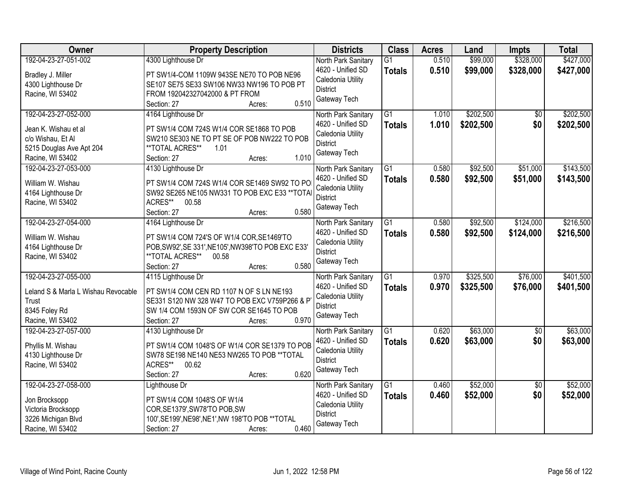| Owner                                                                                                             | <b>Property Description</b>                                                                                                                                                                   | <b>Districts</b>                                                                                 | <b>Class</b>                     | <b>Acres</b>   | Land                   | <b>Impts</b>           | <b>Total</b>           |
|-------------------------------------------------------------------------------------------------------------------|-----------------------------------------------------------------------------------------------------------------------------------------------------------------------------------------------|--------------------------------------------------------------------------------------------------|----------------------------------|----------------|------------------------|------------------------|------------------------|
| 192-04-23-27-051-002<br>Bradley J. Miller<br>4300 Lighthouse Dr                                                   | 4300 Lighthouse Dr<br>PT SW1/4-COM 1109W 943SE NE70 TO POB NE96<br>SE107 SE75 SE33 SW106 NW33 NW196 TO POB PT                                                                                 | North Park Sanitary<br>4620 - Unified SD<br>Caledonia Utility<br><b>District</b>                 | $\overline{G1}$<br><b>Totals</b> | 0.510<br>0.510 | \$99,000<br>\$99,000   | \$328,000<br>\$328,000 | \$427,000<br>\$427,000 |
| Racine, WI 53402                                                                                                  | FROM 192042327042000 & PT FROM<br>0.510<br>Section: 27<br>Acres:                                                                                                                              | Gateway Tech                                                                                     |                                  |                |                        |                        |                        |
| 192-04-23-27-052-000<br>Jean K. Wishau et al<br>c/o Wishau, Et Al<br>5215 Douglas Ave Apt 204<br>Racine, WI 53402 | 4164 Lighthouse Dr<br>PT SW1/4 COM 724S W1/4 COR SE1868 TO POB<br>SW210 SE303 NE TO PT SE OF POB NW222 TO POB<br>**TOTAL ACRES**<br>1.01<br>1.010<br>Section: 27<br>Acres:                    | North Park Sanitary<br>4620 - Unified SD<br>Caledonia Utility<br><b>District</b><br>Gateway Tech | $\overline{G1}$<br><b>Totals</b> | 1.010<br>1.010 | \$202,500<br>\$202,500 | \$0<br>\$0             | \$202,500<br>\$202,500 |
| 192-04-23-27-053-000<br>William W. Wishau<br>4164 Lighthouse Dr<br>Racine, WI 53402                               | 4130 Lighthouse Dr<br>PT SW1/4 COM 724S W1/4 COR SE1469 SW92 TO PO<br>SW92 SE265 NE105 NW331 TO POB EXC E33 ** TOTA<br>ACRES**<br>00.58<br>0.580<br>Section: 27<br>Acres:                     | North Park Sanitary<br>4620 - Unified SD<br>Caledonia Utility<br><b>District</b><br>Gateway Tech | $\overline{G1}$<br><b>Totals</b> | 0.580<br>0.580 | \$92,500<br>\$92,500   | \$51,000<br>\$51,000   | \$143,500<br>\$143,500 |
| 192-04-23-27-054-000<br>William W. Wishau<br>4164 Lighthouse Dr<br>Racine, WI 53402                               | 4164 Lighthouse Dr<br>PT SW1/4 COM 724'S OF W1/4 COR, SE1469'TO<br>POB, SW92', SE 331', NE105', NW398'TO POB EXC E33'<br>**TOTAL ACRES**<br>00.58<br>0.580<br>Section: 27<br>Acres:           | North Park Sanitary<br>4620 - Unified SD<br>Caledonia Utility<br><b>District</b><br>Gateway Tech | G1<br><b>Totals</b>              | 0.580<br>0.580 | \$92,500<br>\$92,500   | \$124,000<br>\$124,000 | \$216,500<br>\$216,500 |
| 192-04-23-27-055-000<br>Leland S & Marla L Wishau Revocable<br>Trust<br>8345 Foley Rd<br>Racine, WI 53402         | 4115 Lighthouse Dr<br>PT SW1/4 COM CEN RD 1107 N OF S LN NE193<br>SE331 S120 NW 328 W47 TO POB EXC V759P266 & P<br>SW 1/4 COM 1593N OF SW COR SE1645 TO POB<br>0.970<br>Section: 27<br>Acres: | North Park Sanitary<br>4620 - Unified SD<br>Caledonia Utility<br><b>District</b><br>Gateway Tech | $\overline{G1}$<br><b>Totals</b> | 0.970<br>0.970 | \$325,500<br>\$325,500 | \$76,000<br>\$76,000   | \$401,500<br>\$401,500 |
| 192-04-23-27-057-000<br>Phyllis M. Wishau<br>4130 Lighthouse Dr<br>Racine, WI 53402                               | 4130 Lighthouse Dr<br>PT SW1/4 COM 1048'S OF W1/4 COR SE1379 TO POB<br>SW78 SE198 NE140 NE53 NW265 TO POB ** TOTAL<br>ACRES**<br>00.62<br>0.620<br>Section: 27<br>Acres:                      | North Park Sanitary<br>4620 - Unified SD<br>Caledonia Utility<br><b>District</b><br>Gateway Tech | $\overline{G1}$<br><b>Totals</b> | 0.620<br>0.620 | \$63,000<br>\$63,000   | $\overline{50}$<br>\$0 | \$63,000<br>\$63,000   |
| 192-04-23-27-058-000<br>Jon Brocksopp<br>Victoria Brocksopp<br>3226 Michigan Blvd<br>Racine, WI 53402             | Lighthouse Dr<br>PT SW1/4 COM 1048'S OF W1/4<br>COR, SE1379', SW78'TO POB, SW<br>100', SE199', NE98', NE1', NW 198'TO POB ** TOTAL<br>0.460<br>Section: 27<br>Acres:                          | North Park Sanitary<br>4620 - Unified SD<br>Caledonia Utility<br><b>District</b><br>Gateway Tech | $\overline{G1}$<br><b>Totals</b> | 0.460<br>0.460 | \$52,000<br>\$52,000   | $\overline{30}$<br>\$0 | \$52,000<br>\$52,000   |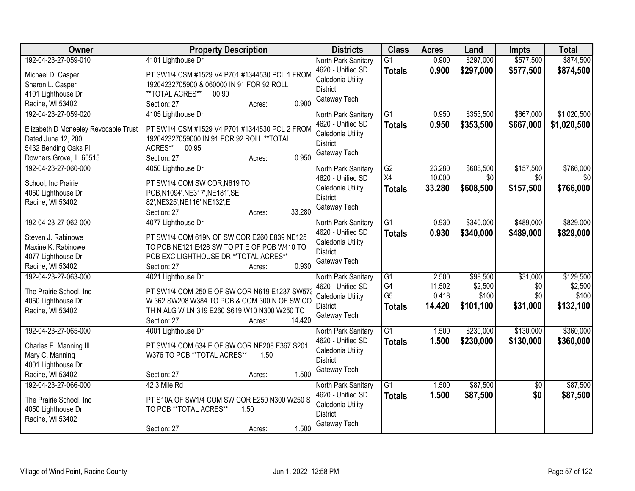| Owner                                | <b>Property Description</b>                    | <b>Districts</b>    | <b>Class</b>    | <b>Acres</b> | Land      | <b>Impts</b>    | <b>Total</b> |
|--------------------------------------|------------------------------------------------|---------------------|-----------------|--------------|-----------|-----------------|--------------|
| 192-04-23-27-059-010                 | 4101 Lighthouse Dr                             | North Park Sanitary | $\overline{G1}$ | 0.900        | \$297,000 | \$577,500       | \$874,500    |
| Michael D. Casper                    | PT SW1/4 CSM #1529 V4 P701 #1344530 PCL 1 FROM | 4620 - Unified SD   | <b>Totals</b>   | 0.900        | \$297,000 | \$577,500       | \$874,500    |
| Sharon L. Casper                     | 19204232705900 & 060000 IN 91 FOR 92 ROLL      | Caledonia Utility   |                 |              |           |                 |              |
| 4101 Lighthouse Dr                   | **TOTAL ACRES**<br>00.90                       | <b>District</b>     |                 |              |           |                 |              |
| Racine, WI 53402                     | 0.900<br>Section: 27<br>Acres:                 | Gateway Tech        |                 |              |           |                 |              |
| 192-04-23-27-059-020                 | 4105 Lighthouse Dr                             | North Park Sanitary | $\overline{G1}$ | 0.950        | \$353,500 | \$667,000       | \$1,020,500  |
|                                      |                                                | 4620 - Unified SD   | <b>Totals</b>   | 0.950        | \$353,500 | \$667,000       | \$1,020,500  |
| Elizabeth D Mcneeley Revocable Trust | PT SW1/4 CSM #1529 V4 P701 #1344530 PCL 2 FROM | Caledonia Utility   |                 |              |           |                 |              |
| Dated June 12, 200                   | 192042327059000 IN 91 FOR 92 ROLL ** TOTAL     | <b>District</b>     |                 |              |           |                 |              |
| 5432 Bending Oaks Pl                 | ACRES**<br>00.95                               | Gateway Tech        |                 |              |           |                 |              |
| Downers Grove, IL 60515              | 0.950<br>Section: 27<br>Acres:                 |                     |                 |              |           |                 |              |
| 192-04-23-27-060-000                 | 4050 Lighthouse Dr                             | North Park Sanitary | G2              | 23.280       | \$608,500 | \$157,500       | \$766,000    |
| School, Inc Prairie                  | PT SW1/4 COM SW COR, N619'TO                   | 4620 - Unified SD   | X4              | 10.000       | \$0       | \$0             | \$0          |
| 4050 Lighthouse Dr                   | POB, N1094', NE317', NE181', SE                | Caledonia Utility   | <b>Totals</b>   | 33.280       | \$608,500 | \$157,500       | \$766,000    |
| Racine, WI 53402                     | 82', NE325', NE116', NE132', E                 | <b>District</b>     |                 |              |           |                 |              |
|                                      | 33.280<br>Section: 27<br>Acres:                | Gateway Tech        |                 |              |           |                 |              |
| 192-04-23-27-062-000                 | 4077 Lighthouse Dr                             | North Park Sanitary | G1              | 0.930        | \$340,000 | \$489,000       | \$829,000    |
|                                      |                                                | 4620 - Unified SD   | <b>Totals</b>   | 0.930        | \$340,000 | \$489,000       | \$829,000    |
| Steven J. Rabinowe                   | PT SW1/4 COM 619N OF SW COR E260 E839 NE125    | Caledonia Utility   |                 |              |           |                 |              |
| Maxine K. Rabinowe                   | TO POB NE121 E426 SW TO PT E OF POB W410 TO    | <b>District</b>     |                 |              |           |                 |              |
| 4077 Lighthouse Dr                   | POB EXC LIGHTHOUSE DR ** TOTAL ACRES**         | Gateway Tech        |                 |              |           |                 |              |
| Racine, WI 53402                     | 0.930<br>Section: 27<br>Acres:                 |                     |                 |              |           |                 |              |
| 192-04-23-27-063-000                 | 4021 Lighthouse Dr                             | North Park Sanitary | $\overline{G1}$ | 2.500        | \$98,500  | \$31,000        | \$129,500    |
| The Prairie School, Inc              | PT SW1/4 COM 250 E OF SW COR N619 E1237 SW57   | 4620 - Unified SD   | G <sub>4</sub>  | 11.502       | \$2,500   | \$0             | \$2,500      |
| 4050 Lighthouse Dr                   | W 362 SW208 W384 TO POB & COM 300 N OF SW CO   | Caledonia Utility   | G <sub>5</sub>  | 0.418        | \$100     | \$0             | \$100        |
| Racine, WI 53402                     | TH N ALG W LN 319 E260 S619 W10 N300 W250 TO   | <b>District</b>     | <b>Totals</b>   | 14.420       | \$101,100 | \$31,000        | \$132,100    |
|                                      | 14.420<br>Section: 27<br>Acres:                | Gateway Tech        |                 |              |           |                 |              |
| 192-04-23-27-065-000                 | 4001 Lighthouse Dr                             | North Park Sanitary | $\overline{G1}$ | 1.500        | \$230,000 | \$130,000       | \$360,000    |
|                                      |                                                | 4620 - Unified SD   | <b>Totals</b>   | 1.500        | \$230,000 | \$130,000       | \$360,000    |
| Charles E. Manning III               | PT SW1/4 COM 634 E OF SW COR NE208 E367 S201   | Caledonia Utility   |                 |              |           |                 |              |
| Mary C. Manning                      | W376 TO POB **TOTAL ACRES**<br>1.50            | <b>District</b>     |                 |              |           |                 |              |
| 4001 Lighthouse Dr                   |                                                | Gateway Tech        |                 |              |           |                 |              |
| Racine, WI 53402                     | 1.500<br>Section: 27<br>Acres:                 |                     |                 |              |           |                 |              |
| 192-04-23-27-066-000                 | 42 3 Mile Rd                                   | North Park Sanitary | $\overline{G1}$ | 1.500        | \$87,500  | $\overline{30}$ | \$87,500     |
| The Prairie School, Inc              | PT S10A OF SW1/4 COM SW COR E250 N300 W250 S   | 4620 - Unified SD   | <b>Totals</b>   | 1.500        | \$87,500  | \$0             | \$87,500     |
| 4050 Lighthouse Dr                   | TO POB **TOTAL ACRES**<br>1.50                 | Caledonia Utility   |                 |              |           |                 |              |
| Racine, WI 53402                     |                                                | <b>District</b>     |                 |              |           |                 |              |
|                                      | 1.500<br>Section: 27<br>Acres:                 | Gateway Tech        |                 |              |           |                 |              |
|                                      |                                                |                     |                 |              |           |                 |              |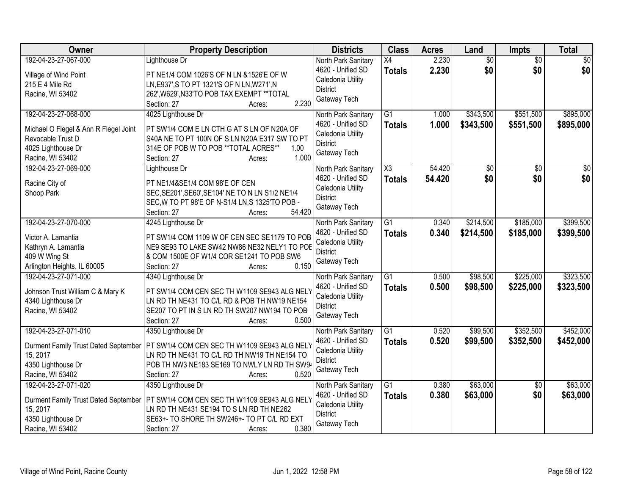| Owner                                                                                                                        | <b>Property Description</b>                                                                                                                                                                          | <b>Districts</b>                                                                                 | <b>Class</b>                         | <b>Acres</b>     | Land                   | <b>Impts</b>           | <b>Total</b>           |
|------------------------------------------------------------------------------------------------------------------------------|------------------------------------------------------------------------------------------------------------------------------------------------------------------------------------------------------|--------------------------------------------------------------------------------------------------|--------------------------------------|------------------|------------------------|------------------------|------------------------|
| 192-04-23-27-067-000<br>Village of Wind Point<br>215 E 4 Mile Rd<br>Racine, WI 53402                                         | Lighthouse Dr<br>PT NE1/4 COM 1026'S OF N LN & 1526'E OF W<br>LN, E937', S TO PT 1321'S OF N LN, W271', N<br>262', W629', N33'TO POB TAX EXEMPT ** TOTAL<br>2.230<br>Section: 27<br>Acres:           | North Park Sanitary<br>4620 - Unified SD<br>Caledonia Utility<br><b>District</b><br>Gateway Tech | X4<br><b>Totals</b>                  | 2.230<br>2.230   | $\overline{50}$<br>\$0 | $\overline{50}$<br>\$0 | $\overline{50}$<br>\$0 |
| 192-04-23-27-068-000<br>Michael O Flegel & Ann R Flegel Joint<br>Revocable Trust D<br>4025 Lighthouse Dr<br>Racine, WI 53402 | 4025 Lighthouse Dr<br>PT SW1/4 COM E LN CTH G AT S LN OF N20A OF<br>S40A NE TO PT 100N OF S LN N20A E317 SW TO PT<br>314E OF POB W TO POB ** TOTAL ACRES**<br>1.00<br>1.000<br>Section: 27<br>Acres: | North Park Sanitary<br>4620 - Unified SD<br>Caledonia Utility<br><b>District</b><br>Gateway Tech | $\overline{G1}$<br><b>Totals</b>     | 1.000<br>1.000   | \$343,500<br>\$343,500 | \$551,500<br>\$551,500 | \$895,000<br>\$895,000 |
| 192-04-23-27-069-000<br>Racine City of<br>Shoop Park                                                                         | Lighthouse Dr<br>PT NE1/4&SE1/4 COM 98'E OF CEN<br>SEC, SE201', SE60', SE104' NE TO N LN S1/2 NE1/4<br>SEC, W TO PT 98'E OF N-S1/4 LN, S 1325'TO POB -<br>54.420<br>Section: 27<br>Acres:            | North Park Sanitary<br>4620 - Unified SD<br>Caledonia Utility<br><b>District</b><br>Gateway Tech | $\overline{\chi_3}$<br><b>Totals</b> | 54.420<br>54.420 | $\overline{50}$<br>\$0 | $\overline{50}$<br>\$0 | $\overline{50}$<br>\$0 |
| 192-04-23-27-070-000<br>Victor A. Lamantia<br>Kathryn A. Lamantia<br>409 W Wing St<br>Arlington Heights, IL 60005            | 4245 Lighthouse Dr<br>PT SW1/4 COM 1109 W OF CEN SEC SE1179 TO POB<br>NE9 SE93 TO LAKE SW42 NW86 NE32 NELY1 TO POE<br>& COM 1500E OF W1/4 COR SE1241 TO POB SW6<br>0.150<br>Section: 27<br>Acres:    | North Park Sanitary<br>4620 - Unified SD<br>Caledonia Utility<br><b>District</b><br>Gateway Tech | G1<br><b>Totals</b>                  | 0.340<br>0.340   | \$214,500<br>\$214,500 | \$185,000<br>\$185,000 | \$399,500<br>\$399,500 |
| 192-04-23-27-071-000<br>Johnson Trust William C & Mary K<br>4340 Lighthouse Dr<br>Racine, WI 53402                           | 4340 Lighthouse Dr<br>PT SW1/4 COM CEN SEC TH W1109 SE943 ALG NELY<br>LN RD TH NE431 TO C/L RD & POB TH NW19 NE154<br>SE207 TO PT IN S LN RD TH SW207 NW194 TO POB<br>0.500<br>Section: 27<br>Acres: | North Park Sanitary<br>4620 - Unified SD<br>Caledonia Utility<br>District<br>Gateway Tech        | $\overline{G1}$<br><b>Totals</b>     | 0.500<br>0.500   | \$98,500<br>\$98,500   | \$225,000<br>\$225,000 | \$323,500<br>\$323,500 |
| 192-04-23-27-071-010<br>Durment Family Trust Dated September<br>15, 2017<br>4350 Lighthouse Dr<br>Racine, WI 53402           | 4350 Lighthouse Dr<br>PT SW1/4 COM CEN SEC TH W1109 SE943 ALG NELY<br>LN RD TH NE431 TO C/L RD TH NW19 TH NE154 TO<br>POB TH NW3 NE183 SE169 TO NWLY LN RD TH SW94<br>0.520<br>Section: 27<br>Acres: | North Park Sanitary<br>4620 - Unified SD<br>Caledonia Utility<br><b>District</b><br>Gateway Tech | $\overline{G1}$<br><b>Totals</b>     | 0.520<br>0.520   | \$99,500<br>\$99,500   | \$352,500<br>\$352,500 | \$452,000<br>\$452,000 |
| 192-04-23-27-071-020<br>Durment Family Trust Dated September<br>15, 2017<br>4350 Lighthouse Dr<br>Racine, WI 53402           | 4350 Lighthouse Dr<br>PT SW1/4 COM CEN SEC TH W1109 SE943 ALG NELY<br>LN RD TH NE431 SE194 TO S LN RD TH NE262<br>SE63+- TO SHORE TH SW246+- TO PT C/L RD EXT<br>0.380<br>Section: 27<br>Acres:      | North Park Sanitary<br>4620 - Unified SD<br>Caledonia Utility<br><b>District</b><br>Gateway Tech | $\overline{G1}$<br><b>Totals</b>     | 0.380<br>0.380   | \$63,000<br>\$63,000   | $\overline{50}$<br>\$0 | \$63,000<br>\$63,000   |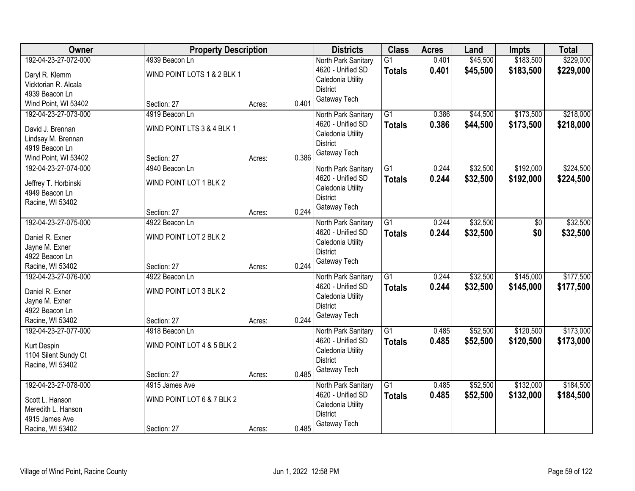| Owner                                                                                                    | <b>Property Description</b>                                 |        |       | <b>Districts</b>                                                                                 | <b>Class</b>                     | <b>Acres</b>   | Land                 | <b>Impts</b>           | <b>Total</b>           |
|----------------------------------------------------------------------------------------------------------|-------------------------------------------------------------|--------|-------|--------------------------------------------------------------------------------------------------|----------------------------------|----------------|----------------------|------------------------|------------------------|
| 192-04-23-27-072-000<br>Daryl R. Klemm<br>Vicktorian R. Alcala<br>4939 Beacon Ln                         | 4939 Beacon Ln<br>WIND POINT LOTS 1 & 2 BLK 1               |        |       | North Park Sanitary<br>4620 - Unified SD<br>Caledonia Utility<br><b>District</b>                 | $\overline{G1}$<br><b>Totals</b> | 0.401<br>0.401 | \$45,500<br>\$45,500 | \$183,500<br>\$183,500 | \$229,000<br>\$229,000 |
| Wind Point, WI 53402                                                                                     | Section: 27                                                 | Acres: | 0.401 | Gateway Tech                                                                                     |                                  |                |                      |                        |                        |
| 192-04-23-27-073-000<br>David J. Brennan<br>Lindsay M. Brennan<br>4919 Beacon Ln<br>Wind Point, WI 53402 | 4919 Beacon Ln<br>WIND POINT LTS 3 & 4 BLK 1<br>Section: 27 | Acres: | 0.386 | North Park Sanitary<br>4620 - Unified SD<br>Caledonia Utility<br><b>District</b><br>Gateway Tech | $\overline{G1}$<br><b>Totals</b> | 0.386<br>0.386 | \$44,500<br>\$44,500 | \$173,500<br>\$173,500 | \$218,000<br>\$218,000 |
| 192-04-23-27-074-000<br>Jeffrey T. Horbinski<br>4949 Beacon Ln<br>Racine, WI 53402                       | 4940 Beacon Ln<br>WIND POINT LOT 1 BLK 2<br>Section: 27     | Acres: | 0.244 | North Park Sanitary<br>4620 - Unified SD<br>Caledonia Utility<br><b>District</b><br>Gateway Tech | $\overline{G1}$<br><b>Totals</b> | 0.244<br>0.244 | \$32,500<br>\$32,500 | \$192,000<br>\$192,000 | \$224,500<br>\$224,500 |
| 192-04-23-27-075-000<br>Daniel R. Exner<br>Jayne M. Exner<br>4922 Beacon Ln<br>Racine, WI 53402          | 4922 Beacon Ln<br>WIND POINT LOT 2 BLK 2<br>Section: 27     | Acres: | 0.244 | North Park Sanitary<br>4620 - Unified SD<br>Caledonia Utility<br><b>District</b><br>Gateway Tech | G1<br><b>Totals</b>              | 0.244<br>0.244 | \$32,500<br>\$32,500 | \$0<br>\$0             | \$32,500<br>\$32,500   |
| 192-04-23-27-076-000<br>Daniel R. Exner<br>Jayne M. Exner<br>4922 Beacon Ln<br>Racine, WI 53402          | 4922 Beacon Ln<br>WIND POINT LOT 3 BLK 2<br>Section: 27     | Acres: | 0.244 | North Park Sanitary<br>4620 - Unified SD<br>Caledonia Utility<br><b>District</b><br>Gateway Tech | $\overline{G1}$<br>Totals        | 0.244<br>0.244 | \$32,500<br>\$32,500 | \$145,000<br>\$145,000 | \$177,500<br>\$177,500 |
| 192-04-23-27-077-000<br>Kurt Despin<br>1104 Silent Sundy Ct<br>Racine, WI 53402                          | 4918 Beacon Ln<br>WIND POINT LOT 4 & 5 BLK 2<br>Section: 27 | Acres: | 0.485 | North Park Sanitary<br>4620 - Unified SD<br>Caledonia Utility<br><b>District</b><br>Gateway Tech | $\overline{G1}$<br><b>Totals</b> | 0.485<br>0.485 | \$52,500<br>\$52,500 | \$120,500<br>\$120,500 | \$173,000<br>\$173,000 |
| 192-04-23-27-078-000<br>Scott L. Hanson<br>Meredith L. Hanson<br>4915 James Ave<br>Racine, WI 53402      | 4915 James Ave<br>WIND POINT LOT 6 & 7 BLK 2<br>Section: 27 | Acres: | 0.485 | North Park Sanitary<br>4620 - Unified SD<br>Caledonia Utility<br><b>District</b><br>Gateway Tech | $\overline{G1}$<br><b>Totals</b> | 0.485<br>0.485 | \$52,500<br>\$52,500 | \$132,000<br>\$132,000 | \$184,500<br>\$184,500 |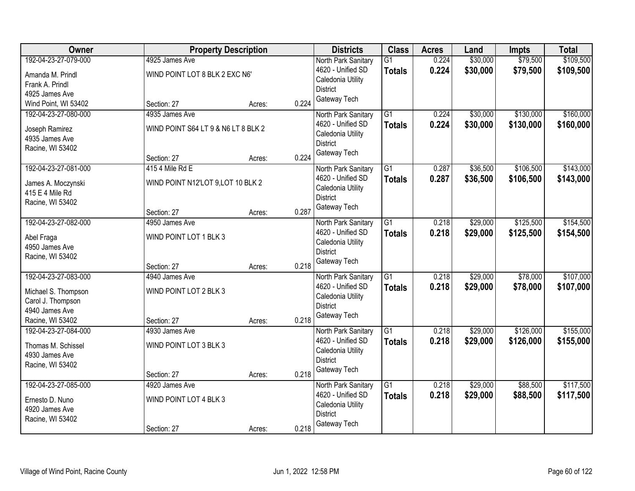| Owner                                                                                                  | <b>Property Description</b>                                          |                 | <b>Districts</b>                                                                                 | <b>Class</b>                     | <b>Acres</b>   | Land                 | <b>Impts</b>           | <b>Total</b>           |
|--------------------------------------------------------------------------------------------------------|----------------------------------------------------------------------|-----------------|--------------------------------------------------------------------------------------------------|----------------------------------|----------------|----------------------|------------------------|------------------------|
| 192-04-23-27-079-000<br>Amanda M. Prindl<br>Frank A. Prindl                                            | 4925 James Ave<br>WIND POINT LOT 8 BLK 2 EXC N6'                     |                 | North Park Sanitary<br>4620 - Unified SD<br>Caledonia Utility<br><b>District</b>                 | $\overline{G1}$<br><b>Totals</b> | 0.224<br>0.224 | \$30,000<br>\$30,000 | \$79,500<br>\$79,500   | \$109,500<br>\$109,500 |
| 4925 James Ave<br>Wind Point, WI 53402                                                                 | Section: 27                                                          | 0.224<br>Acres: | Gateway Tech                                                                                     |                                  |                |                      |                        |                        |
| 192-04-23-27-080-000<br>Joseph Ramirez<br>4935 James Ave<br>Racine, WI 53402                           | 4935 James Ave<br>WIND POINT S64 LT 9 & N6 LT 8 BLK 2<br>Section: 27 | 0.224<br>Acres: | North Park Sanitary<br>4620 - Unified SD<br>Caledonia Utility<br><b>District</b><br>Gateway Tech | $\overline{G1}$<br><b>Totals</b> | 0.224<br>0.224 | \$30,000<br>\$30,000 | \$130,000<br>\$130,000 | \$160,000<br>\$160,000 |
| 192-04-23-27-081-000<br>James A. Moczynski<br>415 E 4 Mile Rd<br>Racine, WI 53402                      | 415 4 Mile Rd E<br>WIND POINT N12'LOT 9, LOT 10 BLK 2<br>Section: 27 | 0.287<br>Acres: | North Park Sanitary<br>4620 - Unified SD<br>Caledonia Utility<br><b>District</b><br>Gateway Tech | $\overline{G1}$<br><b>Totals</b> | 0.287<br>0.287 | \$36,500<br>\$36,500 | \$106,500<br>\$106,500 | \$143,000<br>\$143,000 |
| 192-04-23-27-082-000<br>Abel Fraga<br>4950 James Ave<br>Racine, WI 53402                               | 4950 James Ave<br>WIND POINT LOT 1 BLK 3<br>Section: 27              | 0.218<br>Acres: | North Park Sanitary<br>4620 - Unified SD<br>Caledonia Utility<br><b>District</b><br>Gateway Tech | $\overline{G1}$<br><b>Totals</b> | 0.218<br>0.218 | \$29,000<br>\$29,000 | \$125,500<br>\$125,500 | \$154,500<br>\$154,500 |
| 192-04-23-27-083-000<br>Michael S. Thompson<br>Carol J. Thompson<br>4940 James Ave<br>Racine, WI 53402 | 4940 James Ave<br>WIND POINT LOT 2 BLK 3<br>Section: 27              | 0.218<br>Acres: | North Park Sanitary<br>4620 - Unified SD<br>Caledonia Utility<br><b>District</b><br>Gateway Tech | $\overline{G1}$<br><b>Totals</b> | 0.218<br>0.218 | \$29,000<br>\$29,000 | \$78,000<br>\$78,000   | \$107,000<br>\$107,000 |
| 192-04-23-27-084-000<br>Thomas M. Schissel<br>4930 James Ave<br>Racine, WI 53402                       | 4930 James Ave<br>WIND POINT LOT 3 BLK 3<br>Section: 27              | 0.218<br>Acres: | North Park Sanitary<br>4620 - Unified SD<br>Caledonia Utility<br><b>District</b><br>Gateway Tech | $\overline{G1}$<br><b>Totals</b> | 0.218<br>0.218 | \$29,000<br>\$29,000 | \$126,000<br>\$126,000 | \$155,000<br>\$155,000 |
| 192-04-23-27-085-000<br>Ernesto D. Nuno<br>4920 James Ave<br>Racine, WI 53402                          | 4920 James Ave<br>WIND POINT LOT 4 BLK 3<br>Section: 27              | 0.218<br>Acres: | North Park Sanitary<br>4620 - Unified SD<br>Caledonia Utility<br><b>District</b><br>Gateway Tech | $\overline{G1}$<br><b>Totals</b> | 0.218<br>0.218 | \$29,000<br>\$29,000 | \$88,500<br>\$88,500   | \$117,500<br>\$117,500 |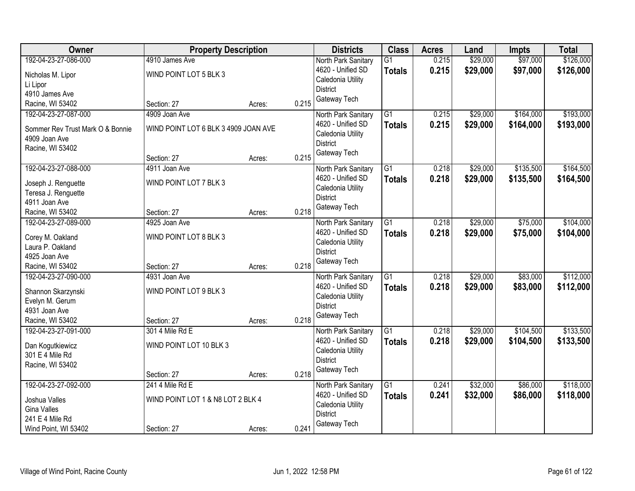| Owner                            | <b>Property Description</b>          |        |       | <b>Districts</b>                     | <b>Class</b>    | <b>Acres</b> | Land     | <b>Impts</b> | <b>Total</b> |
|----------------------------------|--------------------------------------|--------|-------|--------------------------------------|-----------------|--------------|----------|--------------|--------------|
| 192-04-23-27-086-000             | 4910 James Ave                       |        |       | North Park Sanitary                  | $\overline{G1}$ | 0.215        | \$29,000 | \$97,000     | \$126,000    |
| Nicholas M. Lipor                | WIND POINT LOT 5 BLK 3               |        |       | 4620 - Unified SD                    | <b>Totals</b>   | 0.215        | \$29,000 | \$97,000     | \$126,000    |
| Li Lipor                         |                                      |        |       | Caledonia Utility                    |                 |              |          |              |              |
| 4910 James Ave                   |                                      |        |       | <b>District</b>                      |                 |              |          |              |              |
| Racine, WI 53402                 | Section: 27                          | Acres: | 0.215 | Gateway Tech                         |                 |              |          |              |              |
| 192-04-23-27-087-000             | 4909 Joan Ave                        |        |       | North Park Sanitary                  | $\overline{G1}$ | 0.215        | \$29,000 | \$164,000    | \$193,000    |
|                                  |                                      |        |       | 4620 - Unified SD                    | <b>Totals</b>   | 0.215        | \$29,000 | \$164,000    | \$193,000    |
| Sommer Rev Trust Mark O & Bonnie | WIND POINT LOT 6 BLK 3 4909 JOAN AVE |        |       | Caledonia Utility                    |                 |              |          |              |              |
| 4909 Joan Ave                    |                                      |        |       | <b>District</b>                      |                 |              |          |              |              |
| Racine, WI 53402                 |                                      |        |       | Gateway Tech                         |                 |              |          |              |              |
|                                  | Section: 27                          | Acres: | 0.215 |                                      |                 |              |          |              |              |
| 192-04-23-27-088-000             | 4911 Joan Ave                        |        |       | North Park Sanitary                  | G1              | 0.218        | \$29,000 | \$135,500    | \$164,500    |
| Joseph J. Renguette              | WIND POINT LOT 7 BLK 3               |        |       | 4620 - Unified SD                    | <b>Totals</b>   | 0.218        | \$29,000 | \$135,500    | \$164,500    |
| Teresa J. Renguette              |                                      |        |       | Caledonia Utility                    |                 |              |          |              |              |
| 4911 Joan Ave                    |                                      |        |       | <b>District</b>                      |                 |              |          |              |              |
| Racine, WI 53402                 | Section: 27                          | Acres: | 0.218 | Gateway Tech                         |                 |              |          |              |              |
| 192-04-23-27-089-000             | 4925 Joan Ave                        |        |       | North Park Sanitary                  | $\overline{G1}$ | 0.218        | \$29,000 | \$75,000     | \$104,000    |
|                                  |                                      |        |       | 4620 - Unified SD                    | <b>Totals</b>   | 0.218        | \$29,000 | \$75,000     | \$104,000    |
| Corey M. Oakland                 | WIND POINT LOT 8 BLK 3               |        |       | Caledonia Utility                    |                 |              |          |              |              |
| Laura P. Oakland                 |                                      |        |       | <b>District</b>                      |                 |              |          |              |              |
| 4925 Joan Ave                    |                                      |        |       | Gateway Tech                         |                 |              |          |              |              |
| Racine, WI 53402                 | Section: 27                          | Acres: | 0.218 |                                      |                 |              |          |              |              |
| 192-04-23-27-090-000             | 4931 Joan Ave                        |        |       | North Park Sanitary                  | $\overline{G1}$ | 0.218        | \$29,000 | \$83,000     | \$112,000    |
| Shannon Skarzynski               | WIND POINT LOT 9 BLK 3               |        |       | 4620 - Unified SD                    | Totals          | 0.218        | \$29,000 | \$83,000     | \$112,000    |
| Evelyn M. Gerum                  |                                      |        |       | Caledonia Utility                    |                 |              |          |              |              |
| 4931 Joan Ave                    |                                      |        |       | <b>District</b>                      |                 |              |          |              |              |
| Racine, WI 53402                 | Section: 27                          | Acres: | 0.218 | Gateway Tech                         |                 |              |          |              |              |
| 192-04-23-27-091-000             | 301 4 Mile Rd E                      |        |       | North Park Sanitary                  | $\overline{G1}$ | 0.218        | \$29,000 | \$104,500    | \$133,500    |
|                                  |                                      |        |       | 4620 - Unified SD                    | <b>Totals</b>   | 0.218        | \$29,000 | \$104,500    | \$133,500    |
| Dan Kogutkiewicz                 | WIND POINT LOT 10 BLK 3              |        |       | Caledonia Utility                    |                 |              |          |              |              |
| 301 E 4 Mile Rd                  |                                      |        |       | <b>District</b>                      |                 |              |          |              |              |
| Racine, WI 53402                 |                                      |        | 0.218 | Gateway Tech                         |                 |              |          |              |              |
| 192-04-23-27-092-000             | Section: 27<br>241 4 Mile Rd E       | Acres: |       |                                      |                 |              | \$32,000 |              | \$118,000    |
|                                  |                                      |        |       | North Park Sanitary                  | $\overline{G1}$ | 0.241        |          | \$86,000     |              |
| Joshua Valles                    | WIND POINT LOT 1 & N8 LOT 2 BLK 4    |        |       | 4620 - Unified SD                    | <b>Totals</b>   | 0.241        | \$32,000 | \$86,000     | \$118,000    |
| Gina Valles                      |                                      |        |       | Caledonia Utility<br><b>District</b> |                 |              |          |              |              |
| 241 E 4 Mile Rd                  |                                      |        |       |                                      |                 |              |          |              |              |
| Wind Point, WI 53402             | Section: 27                          | Acres: | 0.241 | Gateway Tech                         |                 |              |          |              |              |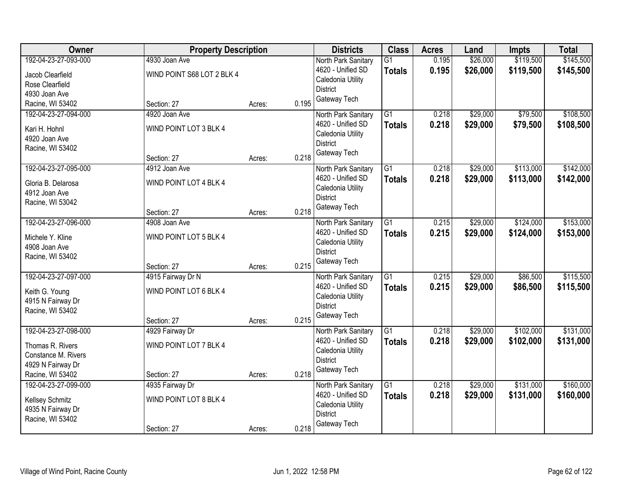| Owner                                                                                                    | <b>Property Description</b>                                |        |       | <b>Districts</b>                                                                                 | <b>Class</b>                     | <b>Acres</b>   | Land                 | <b>Impts</b>           | <b>Total</b>           |
|----------------------------------------------------------------------------------------------------------|------------------------------------------------------------|--------|-------|--------------------------------------------------------------------------------------------------|----------------------------------|----------------|----------------------|------------------------|------------------------|
| 192-04-23-27-093-000<br>Jacob Clearfield<br>Rose Clearfield<br>4930 Joan Ave                             | 4930 Joan Ave<br>WIND POINT S68 LOT 2 BLK 4                |        |       | North Park Sanitary<br>4620 - Unified SD<br>Caledonia Utility<br><b>District</b>                 | $\overline{G1}$<br><b>Totals</b> | 0.195<br>0.195 | \$26,000<br>\$26,000 | \$119,500<br>\$119,500 | \$145,500<br>\$145,500 |
| Racine, WI 53402                                                                                         | Section: 27                                                | Acres: | 0.195 | Gateway Tech                                                                                     |                                  |                |                      |                        |                        |
| 192-04-23-27-094-000<br>Kari H. Hohnl<br>4920 Joan Ave<br>Racine, WI 53402                               | 4920 Joan Ave<br>WIND POINT LOT 3 BLK 4<br>Section: 27     | Acres: | 0.218 | North Park Sanitary<br>4620 - Unified SD<br>Caledonia Utility<br><b>District</b><br>Gateway Tech | $\overline{G1}$<br><b>Totals</b> | 0.218<br>0.218 | \$29,000<br>\$29,000 | \$79,500<br>\$79,500   | \$108,500<br>\$108,500 |
| 192-04-23-27-095-000<br>Gloria B. Delarosa<br>4912 Joan Ave<br>Racine, WI 53042                          | 4912 Joan Ave<br>WIND POINT LOT 4 BLK 4<br>Section: 27     | Acres: | 0.218 | North Park Sanitary<br>4620 - Unified SD<br>Caledonia Utility<br><b>District</b><br>Gateway Tech | $\overline{G1}$<br><b>Totals</b> | 0.218<br>0.218 | \$29,000<br>\$29,000 | \$113,000<br>\$113,000 | \$142,000<br>\$142,000 |
| 192-04-23-27-096-000<br>Michele Y. Kline<br>4908 Joan Ave<br>Racine, WI 53402                            | 4908 Joan Ave<br>WIND POINT LOT 5 BLK 4<br>Section: 27     | Acres: | 0.215 | North Park Sanitary<br>4620 - Unified SD<br>Caledonia Utility<br><b>District</b><br>Gateway Tech | G1<br><b>Totals</b>              | 0.215<br>0.215 | \$29,000<br>\$29,000 | \$124,000<br>\$124,000 | \$153,000<br>\$153,000 |
| 192-04-23-27-097-000<br>Keith G. Young<br>4915 N Fairway Dr<br>Racine, WI 53402                          | 4915 Fairway Dr N<br>WIND POINT LOT 6 BLK 4<br>Section: 27 | Acres: | 0.215 | North Park Sanitary<br>4620 - Unified SD<br>Caledonia Utility<br><b>District</b><br>Gateway Tech | $\overline{G1}$<br><b>Totals</b> | 0.215<br>0.215 | \$29,000<br>\$29,000 | \$86,500<br>\$86,500   | \$115,500<br>\$115,500 |
| 192-04-23-27-098-000<br>Thomas R. Rivers<br>Constance M. Rivers<br>4929 N Fairway Dr<br>Racine, WI 53402 | 4929 Fairway Dr<br>WIND POINT LOT 7 BLK 4<br>Section: 27   | Acres: | 0.218 | North Park Sanitary<br>4620 - Unified SD<br>Caledonia Utility<br><b>District</b><br>Gateway Tech | $\overline{G1}$<br><b>Totals</b> | 0.218<br>0.218 | \$29,000<br>\$29,000 | \$102,000<br>\$102,000 | \$131,000<br>\$131,000 |
| 192-04-23-27-099-000<br>Kellsey Schmitz<br>4935 N Fairway Dr<br>Racine, WI 53402                         | 4935 Fairway Dr<br>WIND POINT LOT 8 BLK 4<br>Section: 27   | Acres: | 0.218 | North Park Sanitary<br>4620 - Unified SD<br>Caledonia Utility<br><b>District</b><br>Gateway Tech | $\overline{G1}$<br><b>Totals</b> | 0.218<br>0.218 | \$29,000<br>\$29,000 | \$131,000<br>\$131,000 | \$160,000<br>\$160,000 |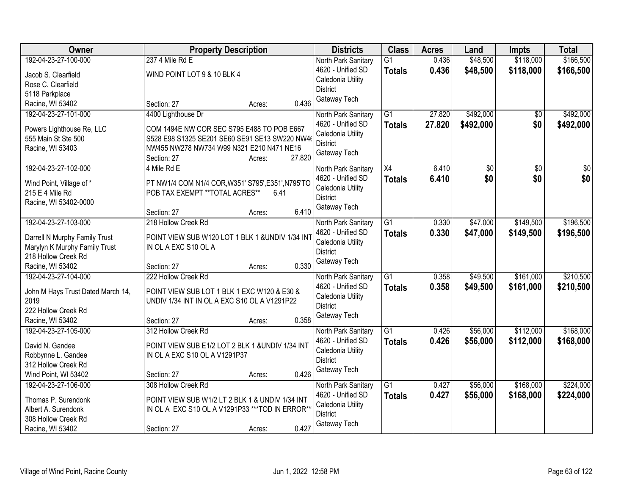| Owner                                                                                                                             | <b>Property Description</b>                                                                                                                                                                       | <b>Districts</b>                                                                                 | <b>Class</b>                     | <b>Acres</b>     | Land                   | <b>Impts</b>           | <b>Total</b>           |
|-----------------------------------------------------------------------------------------------------------------------------------|---------------------------------------------------------------------------------------------------------------------------------------------------------------------------------------------------|--------------------------------------------------------------------------------------------------|----------------------------------|------------------|------------------------|------------------------|------------------------|
| 192-04-23-27-100-000<br>Jacob S. Clearfield<br>Rose C. Clearfield<br>5118 Parkplace                                               | 237 4 Mile Rd E<br>WIND POINT LOT 9 & 10 BLK 4                                                                                                                                                    | North Park Sanitary<br>4620 - Unified SD<br>Caledonia Utility<br><b>District</b>                 | $\overline{G1}$<br><b>Totals</b> | 0.436<br>0.436   | \$48,500<br>\$48,500   | \$118,000<br>\$118,000 | \$166,500<br>\$166,500 |
| Racine, WI 53402                                                                                                                  | 0.436<br>Section: 27<br>Acres:                                                                                                                                                                    | Gateway Tech                                                                                     |                                  |                  |                        |                        |                        |
| 192-04-23-27-101-000<br>Powers Lighthouse Re, LLC<br>555 Main St Ste 500<br>Racine, WI 53403                                      | 4400 Lighthouse Dr<br>COM 1494E NW COR SEC S795 E488 TO POB E667<br>S528 E98 S1325 SE201 SE60 SE91 SE13 SW220 NW4<br>NW455 NW278 NW734 W99 N321 E210 N471 NE16<br>27.820<br>Section: 27<br>Acres: | North Park Sanitary<br>4620 - Unified SD<br>Caledonia Utility<br><b>District</b><br>Gateway Tech | $\overline{G1}$<br><b>Totals</b> | 27.820<br>27.820 | \$492,000<br>\$492,000 | \$0<br>\$0             | \$492,000<br>\$492,000 |
| 192-04-23-27-102-000<br>Wind Point, Village of *<br>215 E 4 Mile Rd<br>Racine, WI 53402-0000                                      | 4 Mile Rd E<br>PT NW1/4 COM N1/4 COR, W351' S795', E351', N795'TO<br>POB TAX EXEMPT ** TOTAL ACRES**<br>6.41<br>6.410<br>Section: 27<br>Acres:                                                    | North Park Sanitary<br>4620 - Unified SD<br>Caledonia Utility<br><b>District</b><br>Gateway Tech | X4<br><b>Totals</b>              | 6.410<br>6.410   | $\overline{50}$<br>\$0 | $\overline{50}$<br>\$0 | $\overline{30}$<br>\$0 |
| 192-04-23-27-103-000<br>Darrell N Murphy Family Trust<br>Marylyn K Murphy Family Trust<br>218 Hollow Creek Rd<br>Racine, WI 53402 | 218 Hollow Creek Rd<br>POINT VIEW SUB W120 LOT 1 BLK 1 & UNDIV 1/34 INT<br>IN OL A EXC S10 OL A<br>0.330<br>Section: 27<br>Acres:                                                                 | North Park Sanitary<br>4620 - Unified SD<br>Caledonia Utility<br><b>District</b><br>Gateway Tech | $\overline{G1}$<br><b>Totals</b> | 0.330<br>0.330   | \$47,000<br>\$47,000   | \$149,500<br>\$149,500 | \$196,500<br>\$196,500 |
| 192-04-23-27-104-000<br>John M Hays Trust Dated March 14,<br>2019<br>222 Hollow Creek Rd<br>Racine, WI 53402                      | 222 Hollow Creek Rd<br>POINT VIEW SUB LOT 1 BLK 1 EXC W120 & E30 &<br>UNDIV 1/34 INT IN OL A EXC S10 OL A V1291P22<br>0.358<br>Section: 27<br>Acres:                                              | North Park Sanitary<br>4620 - Unified SD<br>Caledonia Utility<br><b>District</b><br>Gateway Tech | $\overline{G1}$<br>Totals        | 0.358<br>0.358   | \$49,500<br>\$49,500   | \$161,000<br>\$161,000 | \$210,500<br>\$210,500 |
| 192-04-23-27-105-000<br>David N. Gandee<br>Robbynne L. Gandee<br>312 Hollow Creek Rd<br>Wind Point, WI 53402                      | 312 Hollow Creek Rd<br>POINT VIEW SUB E1/2 LOT 2 BLK 1 & UNDIV 1/34 INT<br>IN OL A EXC S10 OL A V1291P37<br>0.426<br>Section: 27<br>Acres:                                                        | North Park Sanitary<br>4620 - Unified SD<br>Caledonia Utility<br><b>District</b><br>Gateway Tech | $\overline{G1}$<br><b>Totals</b> | 0.426<br>0.426   | \$56,000<br>\$56,000   | \$112,000<br>\$112,000 | \$168,000<br>\$168,000 |
| 192-04-23-27-106-000<br>Thomas P. Surendonk<br>Albert A. Surendonk<br>308 Hollow Creek Rd<br>Racine, WI 53402                     | 308 Hollow Creek Rd<br>POINT VIEW SUB W1/2 LT 2 BLK 1 & UNDIV 1/34 INT<br>IN OL A EXC S10 OL A V1291P33 *** TOD IN ERROR**<br>0.427<br>Section: 27<br>Acres:                                      | North Park Sanitary<br>4620 - Unified SD<br>Caledonia Utility<br><b>District</b><br>Gateway Tech | $\overline{G1}$<br><b>Totals</b> | 0.427<br>0.427   | \$56,000<br>\$56,000   | \$168,000<br>\$168,000 | \$224,000<br>\$224,000 |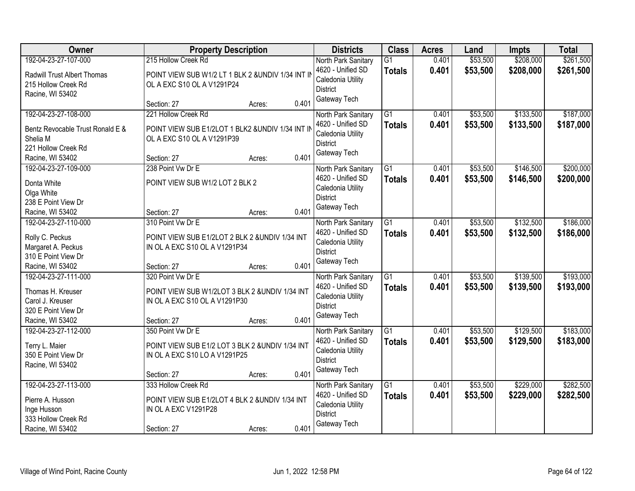| Owner                                                                                                           | <b>Property Description</b>                                                                                                             | <b>Districts</b>                                                                                 | <b>Class</b>                     | <b>Acres</b>   | Land                 | <b>Impts</b>           | <b>Total</b>           |
|-----------------------------------------------------------------------------------------------------------------|-----------------------------------------------------------------------------------------------------------------------------------------|--------------------------------------------------------------------------------------------------|----------------------------------|----------------|----------------------|------------------------|------------------------|
| 192-04-23-27-107-000<br>Radwill Trust Albert Thomas<br>215 Hollow Creek Rd<br>Racine, WI 53402                  | 215 Hollow Creek Rd<br>POINT VIEW SUB W1/2 LT 1 BLK 2 &UNDIV 1/34 INT IN<br>OL A EXC S10 OL A V1291P24                                  | North Park Sanitary<br>4620 - Unified SD<br>Caledonia Utility<br><b>District</b>                 | $\overline{G1}$<br><b>Totals</b> | 0.401<br>0.401 | \$53,500<br>\$53,500 | \$208,000<br>\$208,000 | \$261,500<br>\$261,500 |
|                                                                                                                 | 0.401<br>Section: 27<br>Acres:                                                                                                          | Gateway Tech                                                                                     |                                  |                |                      |                        |                        |
| 192-04-23-27-108-000<br>Bentz Revocable Trust Ronald E &<br>Shelia M<br>221 Hollow Creek Rd<br>Racine, WI 53402 | 221 Hollow Creek Rd<br>POINT VIEW SUB E1/2LOT 1 BLK2 &UNDIV 1/34 INT IN<br>OL A EXC S10 OL A V1291P39<br>0.401<br>Section: 27<br>Acres: | North Park Sanitary<br>4620 - Unified SD<br>Caledonia Utility<br><b>District</b><br>Gateway Tech | $\overline{G1}$<br><b>Totals</b> | 0.401<br>0.401 | \$53,500<br>\$53,500 | \$133,500<br>\$133,500 | \$187,000<br>\$187,000 |
| 192-04-23-27-109-000<br>Donta White<br>Olga White<br>238 E Point View Dr<br>Racine, WI 53402                    | 238 Point Vw Dr E<br>POINT VIEW SUB W1/2 LOT 2 BLK 2<br>0.401<br>Section: 27<br>Acres:                                                  | North Park Sanitary<br>4620 - Unified SD<br>Caledonia Utility<br><b>District</b><br>Gateway Tech | $\overline{G1}$<br><b>Totals</b> | 0.401<br>0.401 | \$53,500<br>\$53,500 | \$146,500<br>\$146,500 | \$200,000<br>\$200,000 |
| 192-04-23-27-110-000<br>Rolly C. Peckus<br>Margaret A. Peckus<br>310 E Point View Dr<br>Racine, WI 53402        | 310 Point Vw Dr E<br>POINT VIEW SUB E1/2LOT 2 BLK 2 &UNDIV 1/34 INT<br>IN OL A EXC S10 OL A V1291P34<br>0.401<br>Section: 27<br>Acres:  | North Park Sanitary<br>4620 - Unified SD<br>Caledonia Utility<br><b>District</b><br>Gateway Tech | $\overline{G1}$<br><b>Totals</b> | 0.401<br>0.401 | \$53,500<br>\$53,500 | \$132,500<br>\$132,500 | \$186,000<br>\$186,000 |
| 192-04-23-27-111-000<br>Thomas H. Kreuser<br>Carol J. Kreuser<br>320 E Point View Dr<br>Racine, WI 53402        | 320 Point Vw Dr E<br>POINT VIEW SUB W1/2LOT 3 BLK 2 &UNDIV 1/34 INT<br>IN OL A EXC S10 OL A V1291P30<br>0.401<br>Section: 27<br>Acres:  | North Park Sanitary<br>4620 - Unified SD<br>Caledonia Utility<br><b>District</b><br>Gateway Tech | $\overline{G1}$<br><b>Totals</b> | 0.401<br>0.401 | \$53,500<br>\$53,500 | \$139,500<br>\$139,500 | \$193,000<br>\$193,000 |
| 192-04-23-27-112-000<br>Terry L. Maier<br>350 E Point View Dr<br>Racine, WI 53402                               | 350 Point Vw Dr E<br>POINT VIEW SUB E1/2 LOT 3 BLK 2 &UNDIV 1/34 INT<br>IN OL A EXC S10 LO A V1291P25<br>0.401<br>Section: 27<br>Acres: | North Park Sanitary<br>4620 - Unified SD<br>Caledonia Utility<br><b>District</b><br>Gateway Tech | $\overline{G1}$<br><b>Totals</b> | 0.401<br>0.401 | \$53,500<br>\$53,500 | \$129,500<br>\$129,500 | \$183,000<br>\$183,000 |
| 192-04-23-27-113-000<br>Pierre A. Husson<br>Inge Husson<br>333 Hollow Creek Rd<br>Racine, WI 53402              | 333 Hollow Creek Rd<br>POINT VIEW SUB E1/2LOT 4 BLK 2 &UNDIV 1/34 INT<br>IN OL A EXC V1291P28<br>0.401<br>Section: 27<br>Acres:         | North Park Sanitary<br>4620 - Unified SD<br>Caledonia Utility<br><b>District</b><br>Gateway Tech | $\overline{G1}$<br><b>Totals</b> | 0.401<br>0.401 | \$53,500<br>\$53,500 | \$229,000<br>\$229,000 | \$282,500<br>\$282,500 |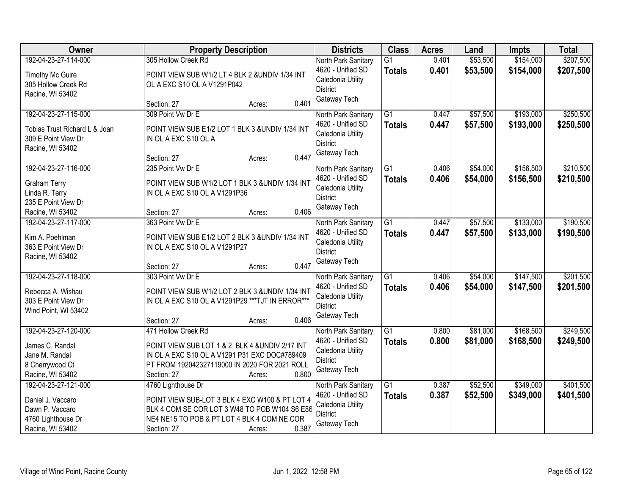| Owner                                                                                                    | <b>Property Description</b>                                                                                                                                                                               | <b>Districts</b>                                                                                 | <b>Class</b>                     | <b>Acres</b>   | Land                 | <b>Impts</b>           | <b>Total</b>           |
|----------------------------------------------------------------------------------------------------------|-----------------------------------------------------------------------------------------------------------------------------------------------------------------------------------------------------------|--------------------------------------------------------------------------------------------------|----------------------------------|----------------|----------------------|------------------------|------------------------|
| 192-04-23-27-114-000<br><b>Timothy Mc Guire</b><br>305 Hollow Creek Rd<br>Racine, WI 53402               | 305 Hollow Creek Rd<br>POINT VIEW SUB W1/2 LT 4 BLK 2 &UNDIV 1/34 INT<br>OL A EXC S10 OL A V1291P042                                                                                                      | North Park Sanitary<br>4620 - Unified SD<br>Caledonia Utility<br><b>District</b>                 | $\overline{G1}$<br><b>Totals</b> | 0.401<br>0.401 | \$53,500<br>\$53,500 | \$154,000<br>\$154,000 | \$207,500<br>\$207,500 |
|                                                                                                          | 0.401<br>Section: 27<br>Acres:                                                                                                                                                                            | Gateway Tech                                                                                     |                                  |                |                      |                        |                        |
| 192-04-23-27-115-000<br>Tobias Trust Richard L & Joan<br>309 E Point View Dr<br>Racine, WI 53402         | 309 Point Vw Dr E<br>POINT VIEW SUB E1/2 LOT 1 BLK 3 &UNDIV 1/34 INT<br>IN OL A EXC S10 OL A<br>0.447<br>Section: 27<br>Acres:                                                                            | North Park Sanitary<br>4620 - Unified SD<br>Caledonia Utility<br><b>District</b><br>Gateway Tech | $\overline{G1}$<br><b>Totals</b> | 0.447<br>0.447 | \$57,500<br>\$57,500 | \$193,000<br>\$193,000 | \$250,500<br>\$250,500 |
| 192-04-23-27-116-000<br><b>Graham Terry</b><br>Linda R. Terry<br>235 E Point View Dr<br>Racine, WI 53402 | 235 Point Vw Dr E<br>POINT VIEW SUB W1/2 LOT 1 BLK 3 &UNDIV 1/34 INT<br>IN OL A EXC S10 OL A V1291P36<br>0.406<br>Section: 27<br>Acres:                                                                   | North Park Sanitary<br>4620 - Unified SD<br>Caledonia Utility<br><b>District</b><br>Gateway Tech | $\overline{G1}$<br><b>Totals</b> | 0.406<br>0.406 | \$54,000<br>\$54,000 | \$156,500<br>\$156,500 | \$210,500<br>\$210,500 |
| 192-04-23-27-117-000<br>Kim A. Poehlman<br>363 E Point View Dr<br>Racine, WI 53402                       | 363 Point Vw Dr E<br>POINT VIEW SUB E1/2 LOT 2 BLK 3 &UNDIV 1/34 INT<br>IN OL A EXC S10 OL A V1291P27<br>0.447<br>Section: 27<br>Acres:                                                                   | North Park Sanitary<br>4620 - Unified SD<br>Caledonia Utility<br><b>District</b><br>Gateway Tech | $\overline{G1}$<br><b>Totals</b> | 0.447<br>0.447 | \$57,500<br>\$57,500 | \$133,000<br>\$133,000 | \$190,500<br>\$190,500 |
| 192-04-23-27-118-000<br>Rebecca A. Wishau<br>303 E Point View Dr<br>Wind Point, WI 53402                 | 303 Point Vw Dr E<br>POINT VIEW SUB W1/2 LOT 2 BLK 3 &UNDIV 1/34 INT<br>IN OL A EXC S10 OL A V1291P29 *** TJT IN ERROR***<br>0.406<br>Section: 27<br>Acres:                                               | North Park Sanitary<br>4620 - Unified SD<br>Caledonia Utility<br><b>District</b><br>Gateway Tech | $\overline{G1}$<br><b>Totals</b> | 0.406<br>0.406 | \$54,000<br>\$54,000 | \$147,500<br>\$147,500 | \$201,500<br>\$201,500 |
| 192-04-23-27-120-000<br>James C. Randal<br>Jane M. Randal<br>8 Cherrywood Ct<br>Racine, WI 53402         | 471 Hollow Creek Rd<br>POINT VIEW SUB LOT 1 & 2 BLK 4 &UNDIV 2/17 INT<br>IN OL A EXC S10 OL A V1291 P31 EXC DOC#789409<br>PT FROM 192042327119000 IN 2020 FOR 2021 ROLL<br>0.800<br>Section: 27<br>Acres: | North Park Sanitary<br>4620 - Unified SD<br>Caledonia Utility<br><b>District</b><br>Gateway Tech | $\overline{G1}$<br><b>Totals</b> | 0.800<br>0.800 | \$81,000<br>\$81,000 | \$168,500<br>\$168,500 | \$249,500<br>\$249,500 |
| 192-04-23-27-121-000<br>Daniel J. Vaccaro<br>Dawn P. Vaccaro<br>4760 Lighthouse Dr<br>Racine, WI 53402   | 4760 Lighthouse Dr<br>POINT VIEW SUB-LOT 3 BLK 4 EXC W100 & PT LOT 4<br>BLK 4 COM SE COR LOT 3 W48 TO POB W104 S6 E86<br>NE4 NE15 TO POB & PT LOT 4 BLK 4 COM NE COR<br>0.387<br>Section: 27<br>Acres:    | North Park Sanitary<br>4620 - Unified SD<br>Caledonia Utility<br>District<br>Gateway Tech        | $\overline{G1}$<br><b>Totals</b> | 0.387<br>0.387 | \$52,500<br>\$52,500 | \$349,000<br>\$349,000 | \$401,500<br>\$401,500 |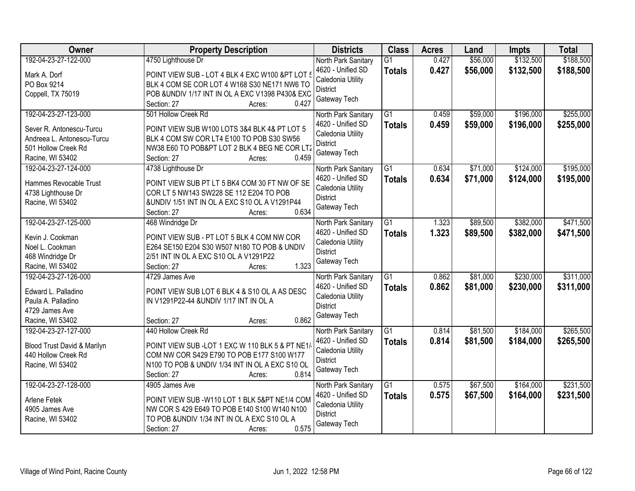| Owner                       | <b>Property Description</b>                                                                  | <b>Districts</b>                     | <b>Class</b>    | <b>Acres</b> | Land     | <b>Impts</b> | <b>Total</b> |
|-----------------------------|----------------------------------------------------------------------------------------------|--------------------------------------|-----------------|--------------|----------|--------------|--------------|
| 192-04-23-27-122-000        | 4750 Lighthouse Dr                                                                           | North Park Sanitary                  | $\overline{G1}$ | 0.427        | \$56,000 | \$132,500    | \$188,500    |
| Mark A. Dorf                | POINT VIEW SUB - LOT 4 BLK 4 EXC W100 &PT LOT 5                                              | 4620 - Unified SD                    | <b>Totals</b>   | 0.427        | \$56,000 | \$132,500    | \$188,500    |
| PO Box 9214                 | BLK 4 COM SE COR LOT 4 W168 S30 NE171 NW6 TO                                                 | Caledonia Utility                    |                 |              |          |              |              |
| Coppell, TX 75019           | POB & UNDIV 1/17 INT IN OL A EXC V1398 P430& EXC                                             | <b>District</b>                      |                 |              |          |              |              |
|                             | 0.427<br>Section: 27<br>Acres:                                                               | Gateway Tech                         |                 |              |          |              |              |
| 192-04-23-27-123-000        | 501 Hollow Creek Rd                                                                          | North Park Sanitary                  | $\overline{G1}$ | 0.459        | \$59,000 | \$196,000    | \$255,000    |
| Sever R. Antonescu-Turcu    | POINT VIEW SUB W100 LOTS 3&4 BLK 4& PT LOT 5                                                 | 4620 - Unified SD                    | <b>Totals</b>   | 0.459        | \$59,000 | \$196,000    | \$255,000    |
| Andreea L. Antonescu-Turcu  | BLK 4 COM SW COR LT4 E100 TO POB S30 SW56                                                    | Caledonia Utility                    |                 |              |          |              |              |
| 501 Hollow Creek Rd         | NW38 E60 TO POB&PT LOT 2 BLK 4 BEG NE COR LT2                                                | <b>District</b>                      |                 |              |          |              |              |
| Racine, WI 53402            | 0.459<br>Section: 27<br>Acres:                                                               | Gateway Tech                         |                 |              |          |              |              |
| 192-04-23-27-124-000        | 4738 Lighthouse Dr                                                                           | North Park Sanitary                  | $\overline{G1}$ | 0.634        | \$71,000 | \$124,000    | \$195,000    |
|                             |                                                                                              | 4620 - Unified SD                    | <b>Totals</b>   | 0.634        | \$71,000 | \$124,000    | \$195,000    |
| Hammes Revocable Trust      | POINT VIEW SUB PT LT 5 BK4 COM 30 FT NW OF SE                                                | Caledonia Utility                    |                 |              |          |              |              |
| 4738 Lighthouse Dr          | COR LT 5 NW143 SW228 SE 112 E204 TO POB                                                      | <b>District</b>                      |                 |              |          |              |              |
| Racine, WI 53402            | &UNDIV 1/51 INT IN OL A EXC S10 OL A V1291P44                                                | Gateway Tech                         |                 |              |          |              |              |
|                             | 0.634<br>Section: 27<br>Acres:                                                               |                                      |                 |              |          |              |              |
| 192-04-23-27-125-000        | 468 Windridge Dr                                                                             | North Park Sanitary                  | G1              | 1.323        | \$89,500 | \$382,000    | \$471,500    |
| Kevin J. Cookman            | POINT VIEW SUB - PT LOT 5 BLK 4 COM NW COR                                                   | 4620 - Unified SD                    | <b>Totals</b>   | 1.323        | \$89,500 | \$382,000    | \$471,500    |
| Noel L. Cookman             | E264 SE150 E204 S30 W507 N180 TO POB & UNDIV                                                 | Caledonia Utility<br><b>District</b> |                 |              |          |              |              |
| 468 Windridge Dr            | 2/51 INT IN OL A EXC S10 OL A V1291P22                                                       | Gateway Tech                         |                 |              |          |              |              |
| Racine, WI 53402            | 1.323<br>Section: 27<br>Acres:                                                               |                                      |                 |              |          |              |              |
| 192-04-23-27-126-000        | 4729 James Ave                                                                               | North Park Sanitary                  | $\overline{G1}$ | 0.862        | \$81,000 | \$230,000    | \$311,000    |
| Edward L. Palladino         | POINT VIEW SUB LOT 6 BLK 4 & S10 OL A AS DESC                                                | 4620 - Unified SD                    | <b>Totals</b>   | 0.862        | \$81,000 | \$230,000    | \$311,000    |
| Paula A. Palladino          | IN V1291P22-44 &UNDIV 1/17 INT IN OL A                                                       | Caledonia Utility                    |                 |              |          |              |              |
| 4729 James Ave              |                                                                                              | <b>District</b>                      |                 |              |          |              |              |
| Racine, WI 53402            | 0.862<br>Section: 27<br>Acres:                                                               | Gateway Tech                         |                 |              |          |              |              |
| 192-04-23-27-127-000        | 440 Hollow Creek Rd                                                                          | North Park Sanitary                  | G1              | 0.814        | \$81,500 | \$184,000    | \$265,500    |
|                             |                                                                                              | 4620 - Unified SD                    | <b>Totals</b>   | 0.814        | \$81,500 | \$184,000    | \$265,500    |
| Blood Trust David & Marilyn | POINT VIEW SUB-LOT 1 EXC W 110 BLK 5 & PT NE1/<br>COM NW COR S429 E790 TO POB E177 S100 W177 | Caledonia Utility                    |                 |              |          |              |              |
| 440 Hollow Creek Rd         | N100 TO POB & UNDIV 1/34 INT IN OL A EXC S10 OL                                              | <b>District</b>                      |                 |              |          |              |              |
| Racine, WI 53402            | 0.814<br>Section: 27                                                                         | Gateway Tech                         |                 |              |          |              |              |
| 192-04-23-27-128-000        | Acres:<br>4905 James Ave                                                                     | North Park Sanitary                  | $\overline{G1}$ | 0.575        | \$67,500 | \$164,000    | \$231,500    |
|                             |                                                                                              | 4620 - Unified SD                    |                 | 0.575        | \$67,500 | \$164,000    |              |
| Arlene Fetek                | POINT VIEW SUB - W110 LOT 1 BLK 5&PT NE1/4 COM                                               | Caledonia Utility                    | <b>Totals</b>   |              |          |              | \$231,500    |
| 4905 James Ave              | NW COR S 429 E649 TO POB E140 S100 W140 N100                                                 | <b>District</b>                      |                 |              |          |              |              |
| Racine, WI 53402            | TO POB & UNDIV 1/34 INT IN OL A EXC S10 OL A                                                 | Gateway Tech                         |                 |              |          |              |              |
|                             | 0.575<br>Section: 27<br>Acres:                                                               |                                      |                 |              |          |              |              |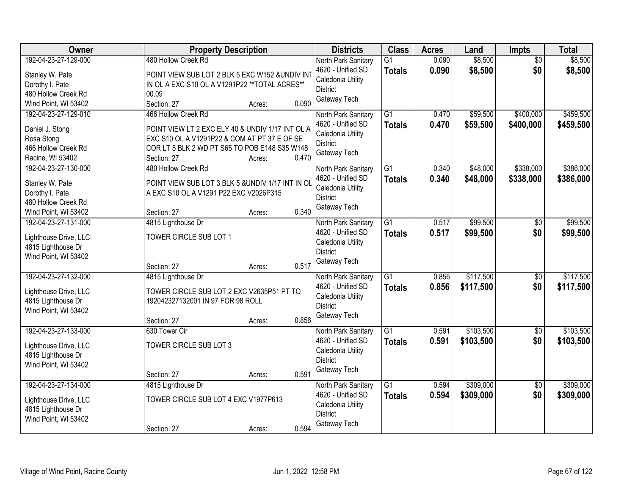| <b>Owner</b>                                                                                              | <b>Property Description</b>                                                                                                                                                                                | <b>Districts</b>                                                                                 | <b>Class</b>                     | <b>Acres</b>   | Land                   | Impts                  | <b>Total</b>           |
|-----------------------------------------------------------------------------------------------------------|------------------------------------------------------------------------------------------------------------------------------------------------------------------------------------------------------------|--------------------------------------------------------------------------------------------------|----------------------------------|----------------|------------------------|------------------------|------------------------|
| 192-04-23-27-129-000<br>Stanley W. Pate<br>Dorothy I. Pate<br>480 Hollow Creek Rd<br>Wind Point, WI 53402 | 480 Hollow Creek Rd<br>POINT VIEW SUB LOT 2 BLK 5 EXC W152 &UNDIV IN<br>IN OL A EXC S10 OL A V1291P22 ** TOTAL ACRES**<br>00.09<br>0.090<br>Section: 27<br>Acres:                                          | North Park Sanitary<br>4620 - Unified SD<br>Caledonia Utility<br><b>District</b><br>Gateway Tech | $\overline{G1}$<br><b>Totals</b> | 0.090<br>0.090 | \$8,500<br>\$8,500     | $\overline{50}$<br>\$0 | \$8,500<br>\$8,500     |
| 192-04-23-27-129-010<br>Daniel J. Stong<br>Rosa Stong<br>466 Hollow Creek Rd<br>Racine, WI 53402          | 466 Hollow Creek Rd<br>POINT VIEW LT 2 EXC ELY 40 & UNDIV 1/17 INT OL A<br>EXC S10 OL A V1291P22 & COM AT PT 37 E OF SE<br>COR LT 5 BLK 2 WD PT S65 TO POB E148 S35 W148<br>0.470<br>Section: 27<br>Acres: | North Park Sanitary<br>4620 - Unified SD<br>Caledonia Utility<br><b>District</b><br>Gateway Tech | $\overline{G1}$<br><b>Totals</b> | 0.470<br>0.470 | \$59,500<br>\$59,500   | \$400,000<br>\$400,000 | \$459,500<br>\$459,500 |
| 192-04-23-27-130-000<br>Stanley W. Pate<br>Dorothy I. Pate<br>480 Hollow Creek Rd<br>Wind Point, WI 53402 | 480 Hollow Creek Rd<br>POINT VIEW SUB LOT 3 BLK 5 &UNDIV 1/17 INT IN OI<br>A EXC S10 OL A V1291 P22 EXC V2026P315<br>0.340<br>Section: 27<br>Acres:                                                        | North Park Sanitary<br>4620 - Unified SD<br>Caledonia Utility<br><b>District</b><br>Gateway Tech | $\overline{G1}$<br><b>Totals</b> | 0.340<br>0.340 | \$48,000<br>\$48,000   | \$338,000<br>\$338,000 | \$386,000<br>\$386,000 |
| 192-04-23-27-131-000<br>Lighthouse Drive, LLC<br>4815 Lighthouse Dr<br>Wind Point, WI 53402               | 4815 Lighthouse Dr<br>TOWER CIRCLE SUB LOT 1<br>0.517<br>Section: 27<br>Acres:                                                                                                                             | North Park Sanitary<br>4620 - Unified SD<br>Caledonia Utility<br><b>District</b><br>Gateway Tech | $\overline{G1}$<br><b>Totals</b> | 0.517<br>0.517 | \$99,500<br>\$99,500   | $\sqrt[6]{3}$<br>\$0   | \$99,500<br>\$99,500   |
| 192-04-23-27-132-000<br>Lighthouse Drive, LLC<br>4815 Lighthouse Dr<br>Wind Point, WI 53402               | 4815 Lighthouse Dr<br>TOWER CIRCLE SUB LOT 2 EXC V2635P51 PT TO<br>192042327132001 IN 97 FOR 98 ROLL<br>0.856<br>Section: 27<br>Acres:                                                                     | North Park Sanitary<br>4620 - Unified SD<br>Caledonia Utility<br><b>District</b><br>Gateway Tech | $\overline{G1}$<br><b>Totals</b> | 0.856<br>0.856 | \$117,500<br>\$117,500 | $\overline{50}$<br>\$0 | \$117,500<br>\$117,500 |
| 192-04-23-27-133-000<br>Lighthouse Drive, LLC<br>4815 Lighthouse Dr<br>Wind Point, WI 53402               | 630 Tower Cir<br>TOWER CIRCLE SUB LOT 3<br>0.591<br>Section: 27<br>Acres:                                                                                                                                  | North Park Sanitary<br>4620 - Unified SD<br>Caledonia Utility<br><b>District</b><br>Gateway Tech | $\overline{G1}$<br><b>Totals</b> | 0.591<br>0.591 | \$103,500<br>\$103,500 | $\sqrt{6}$<br>\$0      | \$103,500<br>\$103,500 |
| 192-04-23-27-134-000<br>Lighthouse Drive, LLC<br>4815 Lighthouse Dr<br>Wind Point, WI 53402               | 4815 Lighthouse Dr<br>TOWER CIRCLE SUB LOT 4 EXC V1977P613<br>0.594<br>Section: 27<br>Acres:                                                                                                               | North Park Sanitary<br>4620 - Unified SD<br>Caledonia Utility<br><b>District</b><br>Gateway Tech | $\overline{G1}$<br><b>Totals</b> | 0.594<br>0.594 | \$309,000<br>\$309,000 | $\overline{50}$<br>\$0 | \$309,000<br>\$309,000 |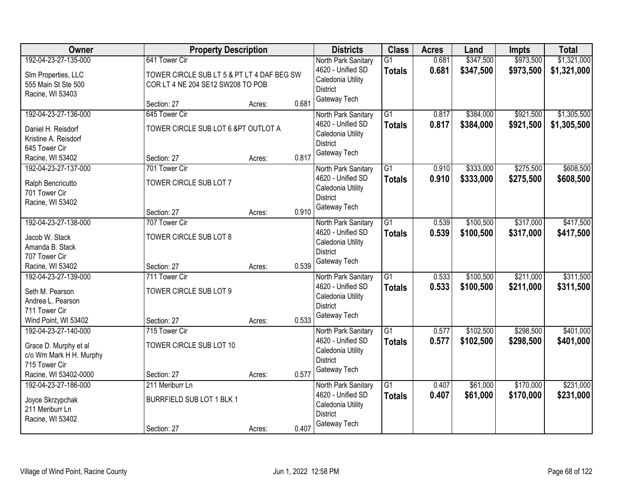| \$1,321,000<br>\$347,500<br>\$973,500<br>192-04-23-27-135-000<br>641 Tower Cir<br>$\overline{G1}$<br>0.681<br>North Park Sanitary<br>4620 - Unified SD<br>0.681<br>\$347,500<br>\$973,500<br>\$1,321,000<br><b>Totals</b><br>SIm Properties, LLC<br>TOWER CIRCLE SUB LT 5 & PT LT 4 DAF BEG SW<br>Caledonia Utility<br>555 Main St Ste 500<br>COR LT 4 NE 204 SE12 SW208 TO POB<br><b>District</b><br>Racine, WI 53403<br>Gateway Tech<br>0.681<br>Section: 27<br>Acres:<br>\$921,500<br>\$1,305,500<br>192-04-23-27-136-000<br>645 Tower Cir<br>North Park Sanitary<br>$\overline{G1}$<br>\$384,000<br>0.817<br>4620 - Unified SD<br>0.817<br>\$384,000<br>\$921,500<br>\$1,305,500<br><b>Totals</b><br>TOWER CIRCLE SUB LOT 6 &PT OUTLOT A<br>Daniel H. Reisdorf<br>Caledonia Utility<br>Kristine A. Reisdorf<br><b>District</b><br>645 Tower Cir<br>Gateway Tech<br>0.817<br>Section: 27<br>Racine, WI 53402<br>Acres:<br>\$275,500<br>\$608,500<br>192-04-23-27-137-000<br>701 Tower Cir<br>G1<br>\$333,000<br>North Park Sanitary<br>0.910<br>4620 - Unified SD<br>\$333,000<br>\$275,500<br>0.910<br>\$608,500<br><b>Totals</b><br>TOWER CIRCLE SUB LOT 7<br>Ralph Bencricutto<br>Caledonia Utility<br>701 Tower Cir<br><b>District</b><br>Racine, WI 53402<br>Gateway Tech<br>0.910<br>Section: 27<br>Acres:<br>\$317,000<br>192-04-23-27-138-000<br>$\overline{G1}$<br>\$100,500<br>\$417,500<br>707 Tower Cir<br>0.539<br>North Park Sanitary<br>4620 - Unified SD<br>0.539<br>\$100,500<br>\$317,000<br><b>Totals</b><br>\$417,500<br>TOWER CIRCLE SUB LOT 8<br>Jacob W. Stack<br>Caledonia Utility<br>Amanda B. Stack<br><b>District</b><br>707 Tower Cir<br>Gateway Tech<br>0.539<br>Racine, WI 53402<br>Section: 27<br>Acres:<br>$\overline{G1}$<br>\$211,000<br>192-04-23-27-139-000<br>711 Tower Cir<br>0.533<br>\$100,500<br>North Park Sanitary<br>4620 - Unified SD<br>0.533<br><b>Totals</b><br>\$100,500<br>\$211,000<br>\$311,500<br>Seth M. Pearson<br>TOWER CIRCLE SUB LOT 9<br>Caledonia Utility<br>Andrea L. Pearson<br><b>District</b><br>711 Tower Cir<br>Gateway Tech<br>0.533<br>Wind Point, WI 53402<br>Section: 27<br>Acres:<br>$\overline{G1}$<br>\$102,500<br>\$298,500<br>192-04-23-27-140-000<br>715 Tower Cir<br>0.577<br>North Park Sanitary<br>4620 - Unified SD<br>0.577<br>\$102,500<br>\$298,500<br><b>Totals</b><br>TOWER CIRCLE SUB LOT 10<br>Grace D. Murphy et al<br>Caledonia Utility<br>c/o Wm Mark H H. Murphy<br><b>District</b><br>715 Tower Cir<br>Gateway Tech<br>0.577<br>Racine, WI 53402-0000<br>Section: 27<br>Acres:<br>\$170,000<br>\$231,000<br>$\overline{G1}$<br>\$61,000<br>192-04-23-27-186-000<br>211 Meriburr Ln<br>0.407<br>North Park Sanitary<br>0.407<br>\$61,000<br>\$170,000<br>\$231,000<br>4620 - Unified SD<br><b>Totals</b><br>BURRFIELD SUB LOT 1 BLK 1<br>Joyce Skrzypchak<br>Caledonia Utility<br>211 Meriburr Ln<br><b>District</b><br>Racine, WI 53402 | Owner | <b>Property Description</b> |  | <b>Districts</b> | <b>Class</b> | <b>Acres</b> | Land | <b>Impts</b> | <b>Total</b> |
|----------------------------------------------------------------------------------------------------------------------------------------------------------------------------------------------------------------------------------------------------------------------------------------------------------------------------------------------------------------------------------------------------------------------------------------------------------------------------------------------------------------------------------------------------------------------------------------------------------------------------------------------------------------------------------------------------------------------------------------------------------------------------------------------------------------------------------------------------------------------------------------------------------------------------------------------------------------------------------------------------------------------------------------------------------------------------------------------------------------------------------------------------------------------------------------------------------------------------------------------------------------------------------------------------------------------------------------------------------------------------------------------------------------------------------------------------------------------------------------------------------------------------------------------------------------------------------------------------------------------------------------------------------------------------------------------------------------------------------------------------------------------------------------------------------------------------------------------------------------------------------------------------------------------------------------------------------------------------------------------------------------------------------------------------------------------------------------------------------------------------------------------------------------------------------------------------------------------------------------------------------------------------------------------------------------------------------------------------------------------------------------------------------------------------------------------------------------------------------------------------------------------------------------------------------------------------------------------------------------------------------------------------------------------------------------------------------------------------------------------------------------------------------------------------------------------------------------------------------------------------------------------------------------------------------------|-------|-----------------------------|--|------------------|--------------|--------------|------|--------------|--------------|
|                                                                                                                                                                                                                                                                                                                                                                                                                                                                                                                                                                                                                                                                                                                                                                                                                                                                                                                                                                                                                                                                                                                                                                                                                                                                                                                                                                                                                                                                                                                                                                                                                                                                                                                                                                                                                                                                                                                                                                                                                                                                                                                                                                                                                                                                                                                                                                                                                                                                                                                                                                                                                                                                                                                                                                                                                                                                                                                                        |       |                             |  |                  |              |              |      |              |              |
|                                                                                                                                                                                                                                                                                                                                                                                                                                                                                                                                                                                                                                                                                                                                                                                                                                                                                                                                                                                                                                                                                                                                                                                                                                                                                                                                                                                                                                                                                                                                                                                                                                                                                                                                                                                                                                                                                                                                                                                                                                                                                                                                                                                                                                                                                                                                                                                                                                                                                                                                                                                                                                                                                                                                                                                                                                                                                                                                        |       |                             |  |                  |              |              |      |              |              |
|                                                                                                                                                                                                                                                                                                                                                                                                                                                                                                                                                                                                                                                                                                                                                                                                                                                                                                                                                                                                                                                                                                                                                                                                                                                                                                                                                                                                                                                                                                                                                                                                                                                                                                                                                                                                                                                                                                                                                                                                                                                                                                                                                                                                                                                                                                                                                                                                                                                                                                                                                                                                                                                                                                                                                                                                                                                                                                                                        |       |                             |  |                  |              |              |      |              |              |
|                                                                                                                                                                                                                                                                                                                                                                                                                                                                                                                                                                                                                                                                                                                                                                                                                                                                                                                                                                                                                                                                                                                                                                                                                                                                                                                                                                                                                                                                                                                                                                                                                                                                                                                                                                                                                                                                                                                                                                                                                                                                                                                                                                                                                                                                                                                                                                                                                                                                                                                                                                                                                                                                                                                                                                                                                                                                                                                                        |       |                             |  |                  |              |              |      |              |              |
|                                                                                                                                                                                                                                                                                                                                                                                                                                                                                                                                                                                                                                                                                                                                                                                                                                                                                                                                                                                                                                                                                                                                                                                                                                                                                                                                                                                                                                                                                                                                                                                                                                                                                                                                                                                                                                                                                                                                                                                                                                                                                                                                                                                                                                                                                                                                                                                                                                                                                                                                                                                                                                                                                                                                                                                                                                                                                                                                        |       |                             |  |                  |              |              |      |              |              |
|                                                                                                                                                                                                                                                                                                                                                                                                                                                                                                                                                                                                                                                                                                                                                                                                                                                                                                                                                                                                                                                                                                                                                                                                                                                                                                                                                                                                                                                                                                                                                                                                                                                                                                                                                                                                                                                                                                                                                                                                                                                                                                                                                                                                                                                                                                                                                                                                                                                                                                                                                                                                                                                                                                                                                                                                                                                                                                                                        |       |                             |  |                  |              |              |      |              |              |
|                                                                                                                                                                                                                                                                                                                                                                                                                                                                                                                                                                                                                                                                                                                                                                                                                                                                                                                                                                                                                                                                                                                                                                                                                                                                                                                                                                                                                                                                                                                                                                                                                                                                                                                                                                                                                                                                                                                                                                                                                                                                                                                                                                                                                                                                                                                                                                                                                                                                                                                                                                                                                                                                                                                                                                                                                                                                                                                                        |       |                             |  |                  |              |              |      |              |              |
|                                                                                                                                                                                                                                                                                                                                                                                                                                                                                                                                                                                                                                                                                                                                                                                                                                                                                                                                                                                                                                                                                                                                                                                                                                                                                                                                                                                                                                                                                                                                                                                                                                                                                                                                                                                                                                                                                                                                                                                                                                                                                                                                                                                                                                                                                                                                                                                                                                                                                                                                                                                                                                                                                                                                                                                                                                                                                                                                        |       |                             |  |                  |              |              |      |              |              |
|                                                                                                                                                                                                                                                                                                                                                                                                                                                                                                                                                                                                                                                                                                                                                                                                                                                                                                                                                                                                                                                                                                                                                                                                                                                                                                                                                                                                                                                                                                                                                                                                                                                                                                                                                                                                                                                                                                                                                                                                                                                                                                                                                                                                                                                                                                                                                                                                                                                                                                                                                                                                                                                                                                                                                                                                                                                                                                                                        |       |                             |  |                  |              |              |      |              |              |
|                                                                                                                                                                                                                                                                                                                                                                                                                                                                                                                                                                                                                                                                                                                                                                                                                                                                                                                                                                                                                                                                                                                                                                                                                                                                                                                                                                                                                                                                                                                                                                                                                                                                                                                                                                                                                                                                                                                                                                                                                                                                                                                                                                                                                                                                                                                                                                                                                                                                                                                                                                                                                                                                                                                                                                                                                                                                                                                                        |       |                             |  |                  |              |              |      |              |              |
|                                                                                                                                                                                                                                                                                                                                                                                                                                                                                                                                                                                                                                                                                                                                                                                                                                                                                                                                                                                                                                                                                                                                                                                                                                                                                                                                                                                                                                                                                                                                                                                                                                                                                                                                                                                                                                                                                                                                                                                                                                                                                                                                                                                                                                                                                                                                                                                                                                                                                                                                                                                                                                                                                                                                                                                                                                                                                                                                        |       |                             |  |                  |              |              |      |              |              |
| \$311,500<br>\$401,000<br>\$401,000                                                                                                                                                                                                                                                                                                                                                                                                                                                                                                                                                                                                                                                                                                                                                                                                                                                                                                                                                                                                                                                                                                                                                                                                                                                                                                                                                                                                                                                                                                                                                                                                                                                                                                                                                                                                                                                                                                                                                                                                                                                                                                                                                                                                                                                                                                                                                                                                                                                                                                                                                                                                                                                                                                                                                                                                                                                                                                    |       |                             |  |                  |              |              |      |              |              |
|                                                                                                                                                                                                                                                                                                                                                                                                                                                                                                                                                                                                                                                                                                                                                                                                                                                                                                                                                                                                                                                                                                                                                                                                                                                                                                                                                                                                                                                                                                                                                                                                                                                                                                                                                                                                                                                                                                                                                                                                                                                                                                                                                                                                                                                                                                                                                                                                                                                                                                                                                                                                                                                                                                                                                                                                                                                                                                                                        |       |                             |  |                  |              |              |      |              |              |
|                                                                                                                                                                                                                                                                                                                                                                                                                                                                                                                                                                                                                                                                                                                                                                                                                                                                                                                                                                                                                                                                                                                                                                                                                                                                                                                                                                                                                                                                                                                                                                                                                                                                                                                                                                                                                                                                                                                                                                                                                                                                                                                                                                                                                                                                                                                                                                                                                                                                                                                                                                                                                                                                                                                                                                                                                                                                                                                                        |       |                             |  |                  |              |              |      |              |              |
|                                                                                                                                                                                                                                                                                                                                                                                                                                                                                                                                                                                                                                                                                                                                                                                                                                                                                                                                                                                                                                                                                                                                                                                                                                                                                                                                                                                                                                                                                                                                                                                                                                                                                                                                                                                                                                                                                                                                                                                                                                                                                                                                                                                                                                                                                                                                                                                                                                                                                                                                                                                                                                                                                                                                                                                                                                                                                                                                        |       |                             |  |                  |              |              |      |              |              |
|                                                                                                                                                                                                                                                                                                                                                                                                                                                                                                                                                                                                                                                                                                                                                                                                                                                                                                                                                                                                                                                                                                                                                                                                                                                                                                                                                                                                                                                                                                                                                                                                                                                                                                                                                                                                                                                                                                                                                                                                                                                                                                                                                                                                                                                                                                                                                                                                                                                                                                                                                                                                                                                                                                                                                                                                                                                                                                                                        |       |                             |  |                  |              |              |      |              |              |
|                                                                                                                                                                                                                                                                                                                                                                                                                                                                                                                                                                                                                                                                                                                                                                                                                                                                                                                                                                                                                                                                                                                                                                                                                                                                                                                                                                                                                                                                                                                                                                                                                                                                                                                                                                                                                                                                                                                                                                                                                                                                                                                                                                                                                                                                                                                                                                                                                                                                                                                                                                                                                                                                                                                                                                                                                                                                                                                                        |       |                             |  |                  |              |              |      |              |              |
|                                                                                                                                                                                                                                                                                                                                                                                                                                                                                                                                                                                                                                                                                                                                                                                                                                                                                                                                                                                                                                                                                                                                                                                                                                                                                                                                                                                                                                                                                                                                                                                                                                                                                                                                                                                                                                                                                                                                                                                                                                                                                                                                                                                                                                                                                                                                                                                                                                                                                                                                                                                                                                                                                                                                                                                                                                                                                                                                        |       |                             |  |                  |              |              |      |              |              |
|                                                                                                                                                                                                                                                                                                                                                                                                                                                                                                                                                                                                                                                                                                                                                                                                                                                                                                                                                                                                                                                                                                                                                                                                                                                                                                                                                                                                                                                                                                                                                                                                                                                                                                                                                                                                                                                                                                                                                                                                                                                                                                                                                                                                                                                                                                                                                                                                                                                                                                                                                                                                                                                                                                                                                                                                                                                                                                                                        |       |                             |  |                  |              |              |      |              |              |
|                                                                                                                                                                                                                                                                                                                                                                                                                                                                                                                                                                                                                                                                                                                                                                                                                                                                                                                                                                                                                                                                                                                                                                                                                                                                                                                                                                                                                                                                                                                                                                                                                                                                                                                                                                                                                                                                                                                                                                                                                                                                                                                                                                                                                                                                                                                                                                                                                                                                                                                                                                                                                                                                                                                                                                                                                                                                                                                                        |       |                             |  |                  |              |              |      |              |              |
|                                                                                                                                                                                                                                                                                                                                                                                                                                                                                                                                                                                                                                                                                                                                                                                                                                                                                                                                                                                                                                                                                                                                                                                                                                                                                                                                                                                                                                                                                                                                                                                                                                                                                                                                                                                                                                                                                                                                                                                                                                                                                                                                                                                                                                                                                                                                                                                                                                                                                                                                                                                                                                                                                                                                                                                                                                                                                                                                        |       |                             |  |                  |              |              |      |              |              |
|                                                                                                                                                                                                                                                                                                                                                                                                                                                                                                                                                                                                                                                                                                                                                                                                                                                                                                                                                                                                                                                                                                                                                                                                                                                                                                                                                                                                                                                                                                                                                                                                                                                                                                                                                                                                                                                                                                                                                                                                                                                                                                                                                                                                                                                                                                                                                                                                                                                                                                                                                                                                                                                                                                                                                                                                                                                                                                                                        |       |                             |  |                  |              |              |      |              |              |
|                                                                                                                                                                                                                                                                                                                                                                                                                                                                                                                                                                                                                                                                                                                                                                                                                                                                                                                                                                                                                                                                                                                                                                                                                                                                                                                                                                                                                                                                                                                                                                                                                                                                                                                                                                                                                                                                                                                                                                                                                                                                                                                                                                                                                                                                                                                                                                                                                                                                                                                                                                                                                                                                                                                                                                                                                                                                                                                                        |       |                             |  |                  |              |              |      |              |              |
|                                                                                                                                                                                                                                                                                                                                                                                                                                                                                                                                                                                                                                                                                                                                                                                                                                                                                                                                                                                                                                                                                                                                                                                                                                                                                                                                                                                                                                                                                                                                                                                                                                                                                                                                                                                                                                                                                                                                                                                                                                                                                                                                                                                                                                                                                                                                                                                                                                                                                                                                                                                                                                                                                                                                                                                                                                                                                                                                        |       |                             |  |                  |              |              |      |              |              |
|                                                                                                                                                                                                                                                                                                                                                                                                                                                                                                                                                                                                                                                                                                                                                                                                                                                                                                                                                                                                                                                                                                                                                                                                                                                                                                                                                                                                                                                                                                                                                                                                                                                                                                                                                                                                                                                                                                                                                                                                                                                                                                                                                                                                                                                                                                                                                                                                                                                                                                                                                                                                                                                                                                                                                                                                                                                                                                                                        |       |                             |  |                  |              |              |      |              |              |
|                                                                                                                                                                                                                                                                                                                                                                                                                                                                                                                                                                                                                                                                                                                                                                                                                                                                                                                                                                                                                                                                                                                                                                                                                                                                                                                                                                                                                                                                                                                                                                                                                                                                                                                                                                                                                                                                                                                                                                                                                                                                                                                                                                                                                                                                                                                                                                                                                                                                                                                                                                                                                                                                                                                                                                                                                                                                                                                                        |       |                             |  |                  |              |              |      |              |              |
|                                                                                                                                                                                                                                                                                                                                                                                                                                                                                                                                                                                                                                                                                                                                                                                                                                                                                                                                                                                                                                                                                                                                                                                                                                                                                                                                                                                                                                                                                                                                                                                                                                                                                                                                                                                                                                                                                                                                                                                                                                                                                                                                                                                                                                                                                                                                                                                                                                                                                                                                                                                                                                                                                                                                                                                                                                                                                                                                        |       |                             |  |                  |              |              |      |              |              |
|                                                                                                                                                                                                                                                                                                                                                                                                                                                                                                                                                                                                                                                                                                                                                                                                                                                                                                                                                                                                                                                                                                                                                                                                                                                                                                                                                                                                                                                                                                                                                                                                                                                                                                                                                                                                                                                                                                                                                                                                                                                                                                                                                                                                                                                                                                                                                                                                                                                                                                                                                                                                                                                                                                                                                                                                                                                                                                                                        |       |                             |  |                  |              |              |      |              |              |
|                                                                                                                                                                                                                                                                                                                                                                                                                                                                                                                                                                                                                                                                                                                                                                                                                                                                                                                                                                                                                                                                                                                                                                                                                                                                                                                                                                                                                                                                                                                                                                                                                                                                                                                                                                                                                                                                                                                                                                                                                                                                                                                                                                                                                                                                                                                                                                                                                                                                                                                                                                                                                                                                                                                                                                                                                                                                                                                                        |       |                             |  |                  |              |              |      |              |              |
|                                                                                                                                                                                                                                                                                                                                                                                                                                                                                                                                                                                                                                                                                                                                                                                                                                                                                                                                                                                                                                                                                                                                                                                                                                                                                                                                                                                                                                                                                                                                                                                                                                                                                                                                                                                                                                                                                                                                                                                                                                                                                                                                                                                                                                                                                                                                                                                                                                                                                                                                                                                                                                                                                                                                                                                                                                                                                                                                        |       |                             |  |                  |              |              |      |              |              |
|                                                                                                                                                                                                                                                                                                                                                                                                                                                                                                                                                                                                                                                                                                                                                                                                                                                                                                                                                                                                                                                                                                                                                                                                                                                                                                                                                                                                                                                                                                                                                                                                                                                                                                                                                                                                                                                                                                                                                                                                                                                                                                                                                                                                                                                                                                                                                                                                                                                                                                                                                                                                                                                                                                                                                                                                                                                                                                                                        |       |                             |  |                  |              |              |      |              |              |
| 0.407<br>Section: 27<br>Acres:                                                                                                                                                                                                                                                                                                                                                                                                                                                                                                                                                                                                                                                                                                                                                                                                                                                                                                                                                                                                                                                                                                                                                                                                                                                                                                                                                                                                                                                                                                                                                                                                                                                                                                                                                                                                                                                                                                                                                                                                                                                                                                                                                                                                                                                                                                                                                                                                                                                                                                                                                                                                                                                                                                                                                                                                                                                                                                         |       |                             |  | Gateway Tech     |              |              |      |              |              |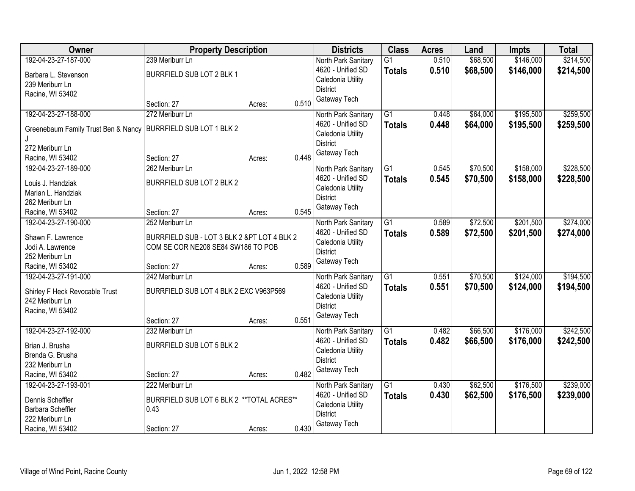| <b>Owner</b>                            | <b>Property Description</b>                 |        |       | <b>Districts</b>                       | <b>Class</b>    | <b>Acres</b> | Land     | <b>Impts</b> | <b>Total</b> |
|-----------------------------------------|---------------------------------------------|--------|-------|----------------------------------------|-----------------|--------------|----------|--------------|--------------|
| 192-04-23-27-187-000                    | 239 Meriburr Ln                             |        |       | North Park Sanitary                    | $\overline{G1}$ | 0.510        | \$68,500 | \$146,000    | \$214,500    |
| Barbara L. Stevenson                    | BURRFIELD SUB LOT 2 BLK 1                   |        |       | 4620 - Unified SD                      | <b>Totals</b>   | 0.510        | \$68,500 | \$146,000    | \$214,500    |
| 239 Meriburr Ln                         |                                             |        |       | Caledonia Utility                      |                 |              |          |              |              |
| Racine, WI 53402                        |                                             |        |       | <b>District</b>                        |                 |              |          |              |              |
|                                         | Section: 27                                 | Acres: | 0.510 | Gateway Tech                           |                 |              |          |              |              |
| 192-04-23-27-188-000                    | 272 Meriburr Ln                             |        |       | North Park Sanitary                    | $\overline{G1}$ | 0.448        | \$64,000 | \$195,500    | \$259,500    |
| Greenebaum Family Trust Ben & Nancy     | BURRFIELD SUB LOT 1 BLK 2                   |        |       | 4620 - Unified SD<br>Caledonia Utility | <b>Totals</b>   | 0.448        | \$64,000 | \$195,500    | \$259,500    |
| 272 Meriburr Ln                         |                                             |        |       | <b>District</b>                        |                 |              |          |              |              |
| Racine, WI 53402                        | Section: 27                                 | Acres: | 0.448 | Gateway Tech                           |                 |              |          |              |              |
| 192-04-23-27-189-000                    | 262 Meriburr Ln                             |        |       | North Park Sanitary                    | $\overline{G1}$ | 0.545        | \$70,500 | \$158,000    | \$228,500    |
|                                         | BURRFIELD SUB LOT 2 BLK 2                   |        |       | 4620 - Unified SD                      | <b>Totals</b>   | 0.545        | \$70,500 | \$158,000    | \$228,500    |
| Louis J. Handziak<br>Marian L. Handziak |                                             |        |       | Caledonia Utility                      |                 |              |          |              |              |
| 262 Meriburr Ln                         |                                             |        |       | <b>District</b>                        |                 |              |          |              |              |
| Racine, WI 53402                        | Section: 27                                 | Acres: | 0.545 | Gateway Tech                           |                 |              |          |              |              |
| 192-04-23-27-190-000                    | 252 Meriburr Ln                             |        |       | North Park Sanitary                    | G1              | 0.589        | \$72,500 | \$201,500    | \$274,000    |
|                                         |                                             |        |       | 4620 - Unified SD                      | <b>Totals</b>   | 0.589        | \$72,500 | \$201,500    | \$274,000    |
| Shawn F. Lawrence                       | BURRFIELD SUB - LOT 3 BLK 2 &PT LOT 4 BLK 2 |        |       | Caledonia Utility                      |                 |              |          |              |              |
| Jodi A. Lawrence                        | COM SE COR NE208 SE84 SW186 TO POB          |        |       | <b>District</b>                        |                 |              |          |              |              |
| 252 Meriburr Ln<br>Racine, WI 53402     |                                             |        | 0.589 | Gateway Tech                           |                 |              |          |              |              |
| 192-04-23-27-191-000                    | Section: 27<br>242 Meriburr Ln              | Acres: |       | North Park Sanitary                    | $\overline{G1}$ | 0.551        | \$70,500 | \$124,000    | \$194,500    |
|                                         |                                             |        |       | 4620 - Unified SD                      | Totals          | 0.551        | \$70,500 | \$124,000    | \$194,500    |
| Shirley F Heck Revocable Trust          | BURRFIELD SUB LOT 4 BLK 2 EXC V963P569      |        |       | Caledonia Utility                      |                 |              |          |              |              |
| 242 Meriburr Ln                         |                                             |        |       | <b>District</b>                        |                 |              |          |              |              |
| Racine, WI 53402                        |                                             |        |       | Gateway Tech                           |                 |              |          |              |              |
|                                         | Section: 27                                 | Acres: | 0.551 |                                        |                 |              |          |              |              |
| 192-04-23-27-192-000                    | 232 Meriburr Ln                             |        |       | North Park Sanitary                    | $\overline{G1}$ | 0.482        | \$66,500 | \$176,000    | \$242,500    |
| Brian J. Brusha                         | BURRFIELD SUB LOT 5 BLK 2                   |        |       | 4620 - Unified SD                      | <b>Totals</b>   | 0.482        | \$66,500 | \$176,000    | \$242,500    |
| Brenda G. Brusha                        |                                             |        |       | Caledonia Utility                      |                 |              |          |              |              |
| 232 Meriburr Ln                         |                                             |        |       | <b>District</b>                        |                 |              |          |              |              |
| Racine, WI 53402                        | Section: 27                                 | Acres: | 0.482 | Gateway Tech                           |                 |              |          |              |              |
| 192-04-23-27-193-001                    | 222 Meriburr Ln                             |        |       | North Park Sanitary                    | $\overline{G1}$ | 0.430        | \$62,500 | \$176,500    | \$239,000    |
| Dennis Scheffler                        | BURRFIELD SUB LOT 6 BLK 2 ** TOTAL ACRES**  |        |       | 4620 - Unified SD                      | <b>Totals</b>   | 0.430        | \$62,500 | \$176,500    | \$239,000    |
| Barbara Scheffler                       | 0.43                                        |        |       | Caledonia Utility                      |                 |              |          |              |              |
| 222 Meriburr Ln                         |                                             |        |       | <b>District</b>                        |                 |              |          |              |              |
| Racine, WI 53402                        | Section: 27                                 | Acres: | 0.430 | Gateway Tech                           |                 |              |          |              |              |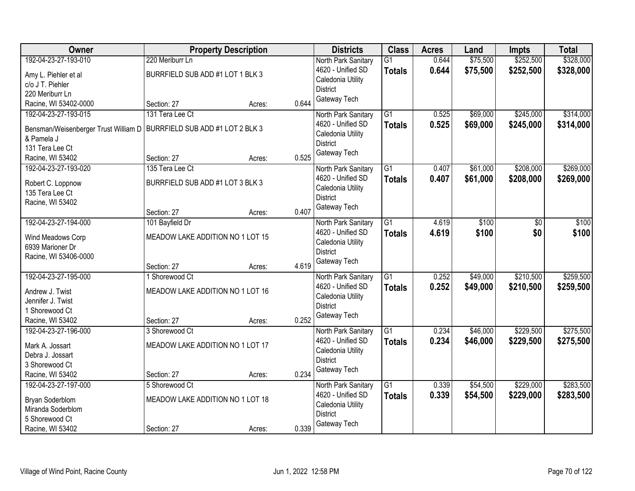| Owner                                              | <b>Property Description</b>      |        |       | <b>Districts</b>    | <b>Class</b>    | <b>Acres</b> | Land     | <b>Impts</b> | <b>Total</b> |
|----------------------------------------------------|----------------------------------|--------|-------|---------------------|-----------------|--------------|----------|--------------|--------------|
| 192-04-23-27-193-010                               | 220 Meriburr Ln                  |        |       | North Park Sanitary | $\overline{G1}$ | 0.644        | \$75,500 | \$252,500    | \$328,000    |
| Amy L. Piehler et al                               | BURRFIELD SUB ADD #1 LOT 1 BLK 3 |        |       | 4620 - Unified SD   | <b>Totals</b>   | 0.644        | \$75,500 | \$252,500    | \$328,000    |
| c/o J T. Piehler                                   |                                  |        |       | Caledonia Utility   |                 |              |          |              |              |
| 220 Meriburr Ln                                    |                                  |        |       | <b>District</b>     |                 |              |          |              |              |
| Racine, WI 53402-0000                              | Section: 27                      | Acres: | 0.644 | Gateway Tech        |                 |              |          |              |              |
| 192-04-23-27-193-015                               | 131 Tera Lee Ct                  |        |       | North Park Sanitary | $\overline{G1}$ | 0.525        | \$69,000 | \$245,000    | \$314,000    |
|                                                    | BURRFIELD SUB ADD #1 LOT 2 BLK 3 |        |       | 4620 - Unified SD   | <b>Totals</b>   | 0.525        | \$69,000 | \$245,000    | \$314,000    |
| Bensman/Weisenberger Trust William D<br>& Pamela J |                                  |        |       | Caledonia Utility   |                 |              |          |              |              |
| 131 Tera Lee Ct                                    |                                  |        |       | <b>District</b>     |                 |              |          |              |              |
| Racine, WI 53402                                   | Section: 27                      | Acres: | 0.525 | Gateway Tech        |                 |              |          |              |              |
| 192-04-23-27-193-020                               | 135 Tera Lee Ct                  |        |       | North Park Sanitary | $\overline{G1}$ | 0.407        | \$61,000 | \$208,000    | \$269,000    |
|                                                    |                                  |        |       | 4620 - Unified SD   | <b>Totals</b>   | 0.407        | \$61,000 | \$208,000    | \$269,000    |
| Robert C. Loppnow                                  | BURRFIELD SUB ADD #1 LOT 3 BLK 3 |        |       | Caledonia Utility   |                 |              |          |              |              |
| 135 Tera Lee Ct                                    |                                  |        |       | <b>District</b>     |                 |              |          |              |              |
| Racine, WI 53402                                   |                                  |        |       | Gateway Tech        |                 |              |          |              |              |
|                                                    | Section: 27                      | Acres: | 0.407 |                     |                 |              |          |              |              |
| 192-04-23-27-194-000                               | 101 Bayfield Dr                  |        |       | North Park Sanitary | G1              | 4.619        | \$100    | \$0          | \$100        |
| Wind Meadows Corp                                  | MEADOW LAKE ADDITION NO 1 LOT 15 |        |       | 4620 - Unified SD   | <b>Totals</b>   | 4.619        | \$100    | \$0          | \$100        |
| 6939 Marioner Dr                                   |                                  |        |       | Caledonia Utility   |                 |              |          |              |              |
| Racine, WI 53406-0000                              |                                  |        |       | <b>District</b>     |                 |              |          |              |              |
|                                                    | Section: 27                      | Acres: | 4.619 | Gateway Tech        |                 |              |          |              |              |
| 192-04-23-27-195-000                               | 1 Shorewood Ct                   |        |       | North Park Sanitary | $\overline{G1}$ | 0.252        | \$49,000 | \$210,500    | \$259,500    |
| Andrew J. Twist                                    | MEADOW LAKE ADDITION NO 1 LOT 16 |        |       | 4620 - Unified SD   | <b>Totals</b>   | 0.252        | \$49,000 | \$210,500    | \$259,500    |
| Jennifer J. Twist                                  |                                  |        |       | Caledonia Utility   |                 |              |          |              |              |
| 1 Shorewood Ct                                     |                                  |        |       | <b>District</b>     |                 |              |          |              |              |
| Racine, WI 53402                                   | Section: 27                      | Acres: | 0.252 | Gateway Tech        |                 |              |          |              |              |
| 192-04-23-27-196-000                               | 3 Shorewood Ct                   |        |       | North Park Sanitary | $\overline{G1}$ | 0.234        | \$46,000 | \$229,500    | \$275,500    |
|                                                    |                                  |        |       | 4620 - Unified SD   | <b>Totals</b>   | 0.234        | \$46,000 | \$229,500    | \$275,500    |
| Mark A. Jossart                                    | MEADOW LAKE ADDITION NO 1 LOT 17 |        |       | Caledonia Utility   |                 |              |          |              |              |
| Debra J. Jossart                                   |                                  |        |       | <b>District</b>     |                 |              |          |              |              |
| 3 Shorewood Ct                                     |                                  |        |       | Gateway Tech        |                 |              |          |              |              |
| Racine, WI 53402                                   | Section: 27                      | Acres: | 0.234 |                     |                 |              |          |              |              |
| 192-04-23-27-197-000                               | 5 Shorewood Ct                   |        |       | North Park Sanitary | $\overline{G1}$ | 0.339        | \$54,500 | \$229,000    | \$283,500    |
| Bryan Soderblom                                    | MEADOW LAKE ADDITION NO 1 LOT 18 |        |       | 4620 - Unified SD   | <b>Totals</b>   | 0.339        | \$54,500 | \$229,000    | \$283,500    |
| Miranda Soderblom                                  |                                  |        |       | Caledonia Utility   |                 |              |          |              |              |
| 5 Shorewood Ct                                     |                                  |        |       | <b>District</b>     |                 |              |          |              |              |
| Racine, WI 53402                                   | Section: 27                      | Acres: | 0.339 | Gateway Tech        |                 |              |          |              |              |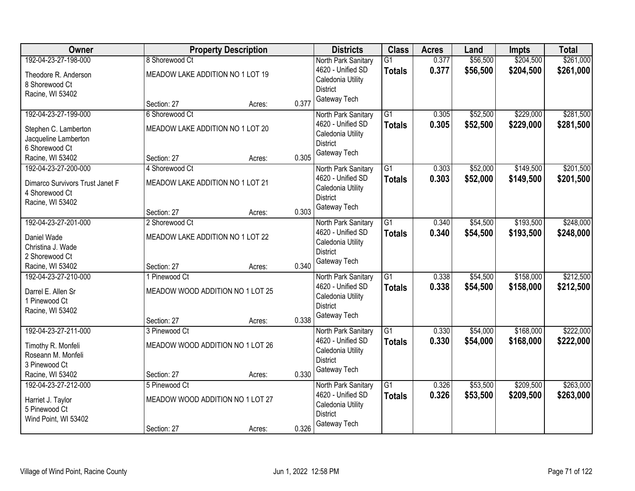| Owner                                                                                                 |                                                                  | <b>Property Description</b> |       | <b>Districts</b>                                                                                 | <b>Class</b>                     | <b>Acres</b>   | Land                 | Impts                  | <b>Total</b>           |
|-------------------------------------------------------------------------------------------------------|------------------------------------------------------------------|-----------------------------|-------|--------------------------------------------------------------------------------------------------|----------------------------------|----------------|----------------------|------------------------|------------------------|
| 192-04-23-27-198-000                                                                                  | 8 Shorewood Ct                                                   |                             |       | North Park Sanitary                                                                              | $\overline{G1}$                  | 0.377          | \$56,500             | \$204,500              | \$261,000              |
| Theodore R. Anderson<br>8 Shorewood Ct<br>Racine, WI 53402                                            | MEADOW LAKE ADDITION NO 1 LOT 19                                 |                             |       | 4620 - Unified SD<br>Caledonia Utility<br><b>District</b>                                        | <b>Totals</b>                    | 0.377          | \$56,500             | \$204,500              | \$261,000              |
|                                                                                                       | Section: 27                                                      | Acres:                      | 0.377 | Gateway Tech                                                                                     |                                  |                |                      |                        |                        |
| 192-04-23-27-199-000                                                                                  | 6 Shorewood Ct                                                   |                             |       | North Park Sanitary                                                                              | $\overline{G1}$                  | 0.305          | \$52,500             | \$229,000              | \$281,500              |
| Stephen C. Lamberton<br>Jacqueline Lamberton<br>6 Shorewood Ct                                        | MEADOW LAKE ADDITION NO 1 LOT 20                                 |                             |       | 4620 - Unified SD<br>Caledonia Utility<br><b>District</b>                                        | <b>Totals</b>                    | 0.305          | \$52,500             | \$229,000              | \$281,500              |
| Racine, WI 53402                                                                                      | Section: 27                                                      | Acres:                      | 0.305 | Gateway Tech                                                                                     |                                  |                |                      |                        |                        |
| 192-04-23-27-200-000                                                                                  | 4 Shorewood Ct                                                   |                             |       | North Park Sanitary                                                                              | G1                               | 0.303          | \$52,000             | \$149,500              | \$201,500              |
| Dimarco Survivors Trust Janet F<br>4 Shorewood Ct<br>Racine, WI 53402                                 | MEADOW LAKE ADDITION NO 1 LOT 21                                 |                             |       | 4620 - Unified SD<br>Caledonia Utility<br><b>District</b>                                        | <b>Totals</b>                    | 0.303          | \$52,000             | \$149,500              | \$201,500              |
|                                                                                                       | Section: 27                                                      | Acres:                      | 0.303 | Gateway Tech                                                                                     |                                  |                |                      |                        |                        |
| 192-04-23-27-201-000                                                                                  | 2 Shorewood Ct                                                   |                             |       | North Park Sanitary                                                                              | $\overline{G1}$                  | 0.340          | \$54,500             | \$193,500              | \$248,000              |
| Daniel Wade<br>Christina J. Wade                                                                      | MEADOW LAKE ADDITION NO 1 LOT 22                                 |                             |       | 4620 - Unified SD<br>Caledonia Utility<br><b>District</b>                                        | <b>Totals</b>                    | 0.340          | \$54,500             | \$193,500              | \$248,000              |
| 2 Shorewood Ct<br>Racine, WI 53402                                                                    | Section: 27                                                      | Acres:                      | 0.340 | Gateway Tech                                                                                     |                                  |                |                      |                        |                        |
| 192-04-23-27-210-000                                                                                  | 1 Pinewood Ct                                                    |                             |       | North Park Sanitary                                                                              | $\overline{G1}$                  | 0.338          | \$54,500             | \$158,000              | \$212,500              |
| Darrel E. Allen Sr<br>1 Pinewood Ct<br>Racine, WI 53402                                               | MEADOW WOOD ADDITION NO 1 LOT 25                                 |                             |       | 4620 - Unified SD<br>Caledonia Utility<br><b>District</b><br>Gateway Tech                        | <b>Totals</b>                    | 0.338          | \$54,500             | \$158,000              | \$212,500              |
|                                                                                                       | Section: 27                                                      | Acres:                      | 0.338 |                                                                                                  |                                  |                |                      |                        |                        |
| 192-04-23-27-211-000<br>Timothy R. Monfeli<br>Roseann M. Monfeli<br>3 Pinewood Ct<br>Racine, WI 53402 | 3 Pinewood Ct<br>MEADOW WOOD ADDITION NO 1 LOT 26<br>Section: 27 | Acres:                      | 0.330 | North Park Sanitary<br>4620 - Unified SD<br>Caledonia Utility<br><b>District</b><br>Gateway Tech | $\overline{G1}$<br><b>Totals</b> | 0.330<br>0.330 | \$54,000<br>\$54,000 | \$168,000<br>\$168,000 | \$222,000<br>\$222,000 |
| 192-04-23-27-212-000                                                                                  | 5 Pinewood Ct                                                    |                             |       | North Park Sanitary                                                                              | $\overline{G1}$                  | 0.326          | \$53,500             | \$209,500              | \$263,000              |
| Harriet J. Taylor<br>5 Pinewood Ct<br>Wind Point, WI 53402                                            | MEADOW WOOD ADDITION NO 1 LOT 27                                 |                             |       | 4620 - Unified SD<br>Caledonia Utility<br><b>District</b><br>Gateway Tech                        | <b>Totals</b>                    | 0.326          | \$53,500             | \$209,500              | \$263,000              |
|                                                                                                       | Section: 27                                                      | Acres:                      | 0.326 |                                                                                                  |                                  |                |                      |                        |                        |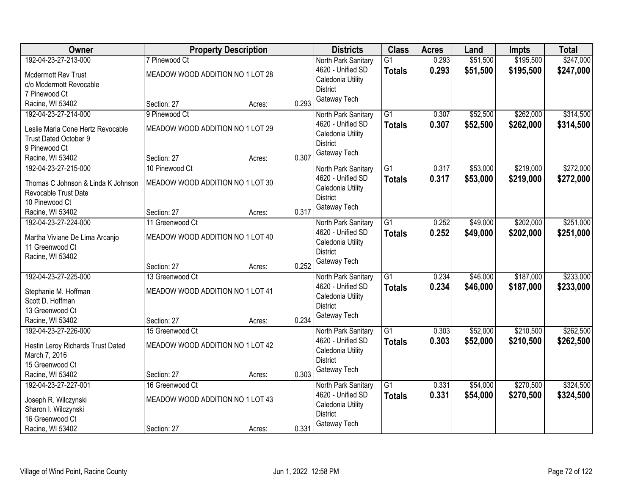| <b>Class</b><br>Owner<br><b>Districts</b><br><b>Acres</b><br><b>Property Description</b><br>Land<br><b>Impts</b>                               | <b>Total</b> |
|------------------------------------------------------------------------------------------------------------------------------------------------|--------------|
| \$51,500<br>\$195,500<br>192-04-23-27-213-000<br>7 Pinewood Ct<br>$\overline{G1}$<br>0.293<br>North Park Sanitary                              | \$247,000    |
| 0.293<br>4620 - Unified SD<br>\$51,500<br>\$195,500<br><b>Totals</b><br>MEADOW WOOD ADDITION NO 1 LOT 28<br>Mcdermott Rev Trust                | \$247,000    |
| Caledonia Utility<br>c/o Mcdermott Revocable                                                                                                   |              |
| <b>District</b><br>7 Pinewood Ct                                                                                                               |              |
| Gateway Tech<br>0.293<br>Racine, WI 53402<br>Section: 27<br>Acres:                                                                             |              |
| \$262,000<br>192-04-23-27-214-000<br>9 Pinewood Ct<br>$\overline{G1}$<br>0.307<br>\$52,500<br>North Park Sanitary                              | \$314,500    |
| 4620 - Unified SD<br>0.307<br>\$52,500<br>\$262,000<br><b>Totals</b>                                                                           | \$314,500    |
| MEADOW WOOD ADDITION NO 1 LOT 29<br>Leslie Maria Cone Hertz Revocable<br>Caledonia Utility                                                     |              |
| <b>Trust Dated October 9</b><br><b>District</b><br>9 Pinewood Ct                                                                               |              |
| Gateway Tech<br>0.307<br>Section: 27                                                                                                           |              |
| Racine, WI 53402<br>Acres:<br>\$53,000<br>\$219,000<br>192-04-23-27-215-000<br>10 Pinewood Ct<br>G1<br>0.317                                   | \$272,000    |
| North Park Sanitary<br>4620 - Unified SD                                                                                                       |              |
| 0.317<br>\$53,000<br>\$219,000<br><b>Totals</b><br>MEADOW WOOD ADDITION NO 1 LOT 30<br>Thomas C Johnson & Linda K Johnson<br>Caledonia Utility | \$272,000    |
| Revocable Trust Date<br><b>District</b>                                                                                                        |              |
| 10 Pinewood Ct<br>Gateway Tech                                                                                                                 |              |
| 0.317<br>Racine, WI 53402<br>Section: 27<br>Acres:                                                                                             |              |
| $\overline{G1}$<br>0.252<br>\$49,000<br>\$202,000<br>192-04-23-27-224-000<br>11 Greenwood Ct<br>North Park Sanitary                            | \$251,000    |
| 4620 - Unified SD<br>0.252<br>\$49,000<br>\$202,000<br><b>Totals</b><br>MEADOW WOOD ADDITION NO 1 LOT 40<br>Martha Viviane De Lima Arcanjo     | \$251,000    |
| Caledonia Utility<br>11 Greenwood Ct                                                                                                           |              |
| <b>District</b><br>Racine, WI 53402                                                                                                            |              |
| Gateway Tech<br>0.252<br>Section: 27<br>Acres:                                                                                                 |              |
| $\overline{G1}$<br>\$187,000<br>192-04-23-27-225-000<br>0.234<br>\$46,000<br>13 Greenwood Ct<br>North Park Sanitary                            | \$233,000    |
| 4620 - Unified SD<br>0.234<br>\$187,000<br><b>Totals</b><br>\$46,000                                                                           | \$233,000    |
| MEADOW WOOD ADDITION NO 1 LOT 41<br>Stephanie M. Hoffman<br>Caledonia Utility                                                                  |              |
| Scott D. Hoffman<br><b>District</b>                                                                                                            |              |
| 13 Greenwood Ct<br>Gateway Tech                                                                                                                |              |
| 0.234<br>Racine, WI 53402<br>Section: 27<br>Acres:                                                                                             |              |
| $\overline{G1}$<br>\$52,000<br>\$210,500<br>192-04-23-27-226-000<br>0.303<br>15 Greenwood Ct<br>North Park Sanitary                            | \$262,500    |
| \$52,000<br>4620 - Unified SD<br>0.303<br>\$210,500<br><b>Totals</b><br>MEADOW WOOD ADDITION NO 1 LOT 42<br>Hestin Leroy Richards Trust Dated  | \$262,500    |
| Caledonia Utility<br>March 7, 2016                                                                                                             |              |
| <b>District</b><br>15 Greenwood Ct                                                                                                             |              |
| Gateway Tech<br>0.303<br>Racine, WI 53402<br>Section: 27<br>Acres:                                                                             |              |
| \$270,500<br>192-04-23-27-227-001<br>$\overline{G1}$<br>\$54,000<br>16 Greenwood Ct<br>0.331<br>North Park Sanitary                            | \$324,500    |
| 0.331<br>\$54,000<br>4620 - Unified SD<br>\$270,500<br><b>Totals</b><br>MEADOW WOOD ADDITION NO 1 LOT 43<br>Joseph R. Wilczynski               | \$324,500    |
| Caledonia Utility<br>Sharon I. Wilczynski                                                                                                      |              |
| <b>District</b><br>16 Greenwood Ct                                                                                                             |              |
| Gateway Tech<br>0.331<br>Racine, WI 53402<br>Section: 27<br>Acres:                                                                             |              |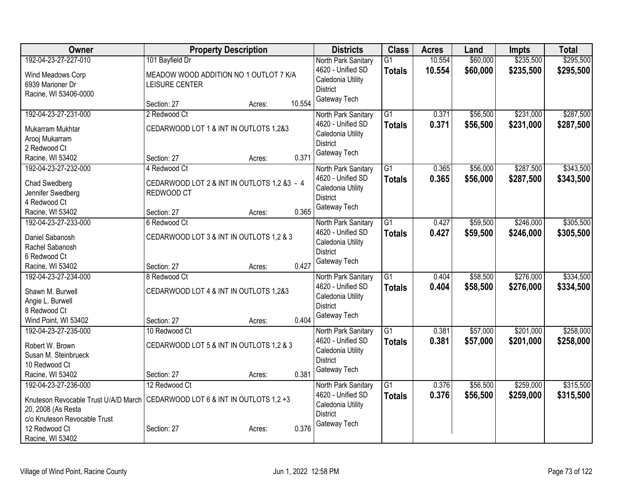| Owner                                                                                                           | <b>Property Description</b>                                                                                                     | <b>Districts</b>                                                                                 | <b>Class</b>                     | <b>Acres</b>     | Land                 | Impts                  | <b>Total</b>           |
|-----------------------------------------------------------------------------------------------------------------|---------------------------------------------------------------------------------------------------------------------------------|--------------------------------------------------------------------------------------------------|----------------------------------|------------------|----------------------|------------------------|------------------------|
| 192-04-23-27-227-010<br>Wind Meadows Corp<br>6939 Marioner Dr<br>Racine, WI 53406-0000                          | 101 Bayfield Dr<br>MEADOW WOOD ADDITION NO 1 OUTLOT 7 K/A<br>LEISURE CENTER                                                     | North Park Sanitary<br>4620 - Unified SD<br>Caledonia Utility<br><b>District</b>                 | $\overline{G1}$<br><b>Totals</b> | 10.554<br>10.554 | \$60,000<br>\$60,000 | \$235,500<br>\$235,500 | \$295,500<br>\$295,500 |
|                                                                                                                 | 10.554<br>Section: 27<br>Acres:                                                                                                 | Gateway Tech                                                                                     |                                  |                  |                      |                        |                        |
| 192-04-23-27-231-000<br>Mukarram Mukhtar<br>Arooj Mukarram<br>2 Redwood Ct<br>Racine, WI 53402                  | 2 Redwood Ct<br>CEDARWOOD LOT 1 & INT IN OUTLOTS 1,2&3<br>0.371<br>Section: 27<br>Acres:                                        | North Park Sanitary<br>4620 - Unified SD<br>Caledonia Utility<br><b>District</b><br>Gateway Tech | G1<br><b>Totals</b>              | 0.371<br>0.371   | \$56,500<br>\$56,500 | \$231,000<br>\$231,000 | \$287,500<br>\$287,500 |
| 192-04-23-27-232-000<br>Chad Swedberg<br>Jennifer Swedberg<br>4 Redwood Ct<br>Racine, WI 53402                  | 4 Redwood Ct<br>CEDARWOOD LOT 2 & INT IN OUTLOTS 1,2 &3 - 4<br>REDWOOD CT<br>0.365<br>Section: 27<br>Acres:                     | North Park Sanitary<br>4620 - Unified SD<br>Caledonia Utility<br><b>District</b><br>Gateway Tech | $\overline{G1}$<br><b>Totals</b> | 0.365<br>0.365   | \$56,000<br>\$56,000 | \$287,500<br>\$287,500 | \$343,500<br>\$343,500 |
| 192-04-23-27-233-000<br>Daniel Sabanosh<br>Rachel Sabanosh<br>6 Redwood Ct<br>Racine, WI 53402                  | 6 Redwood Ct<br>CEDARWOOD LOT 3 & INT IN OUTLOTS 1,2 & 3<br>0.427<br>Section: 27<br>Acres:                                      | North Park Sanitary<br>4620 - Unified SD<br>Caledonia Utility<br><b>District</b><br>Gateway Tech | $\overline{G1}$<br><b>Totals</b> | 0.427<br>0.427   | \$59,500<br>\$59,500 | \$246,000<br>\$246,000 | \$305,500<br>\$305,500 |
| 192-04-23-27-234-000<br>Shawn M. Burwell<br>Angie L. Burwell<br>8 Redwood Ct<br>Wind Point, WI 53402            | 8 Redwood Ct<br>CEDARWOOD LOT 4 & INT IN OUTLOTS 1,2&3<br>0.404<br>Section: 27<br>Acres:                                        | North Park Sanitary<br>4620 - Unified SD<br>Caledonia Utility<br><b>District</b><br>Gateway Tech | $\overline{G1}$<br><b>Totals</b> | 0.404<br>0.404   | \$58,500<br>\$58,500 | \$276,000<br>\$276,000 | \$334,500<br>\$334,500 |
| 192-04-23-27-235-000<br>Robert W. Brown<br>Susan M. Steinbrueck<br>10 Redwood Ct<br>Racine, WI 53402            | 10 Redwood Ct<br>CEDARWOOD LOT 5 & INT IN OUTLOTS 1,2 & 3<br>0.381<br>Section: 27<br>Acres:                                     | North Park Sanitary<br>4620 - Unified SD<br>Caledonia Utility<br><b>District</b><br>Gateway Tech | $\overline{G1}$<br><b>Totals</b> | 0.381<br>0.381   | \$57,000<br>\$57,000 | \$201,000<br>\$201,000 | \$258,000<br>\$258,000 |
| 192-04-23-27-236-000<br>20, 2008 (As Resta<br>c/o Knuteson Revocable Trust<br>12 Redwood Ct<br>Racine, WI 53402 | 12 Redwood Ct<br>Knuteson Revocable Trust U/A/D March CEDARWOOD LOT 6 & INT IN OUTLOTS 1,2 +3<br>0.376<br>Section: 27<br>Acres: | North Park Sanitary<br>4620 - Unified SD<br>Caledonia Utility<br><b>District</b><br>Gateway Tech | $\overline{G1}$<br><b>Totals</b> | 0.376<br>0.376   | \$56,500<br>\$56,500 | \$259,000<br>\$259,000 | \$315,500<br>\$315,500 |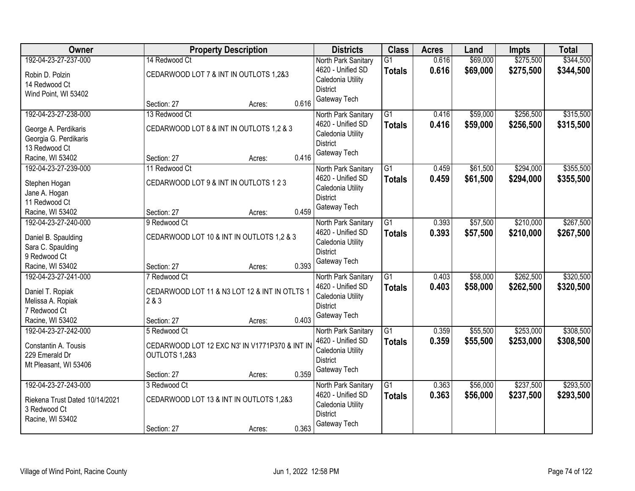| <b>Class</b><br><b>Owner</b><br><b>Acres</b><br><b>Property Description</b><br>Land<br><b>Impts</b>                                               |           |
|---------------------------------------------------------------------------------------------------------------------------------------------------|-----------|
| \$69,000<br>\$275,500<br>192-04-23-27-237-000<br>14 Redwood Ct<br>$\overline{G1}$<br>0.616<br>North Park Sanitary                                 | \$344,500 |
| 0.616<br>\$69,000<br>4620 - Unified SD<br>\$275,500<br><b>Totals</b><br>CEDARWOOD LOT 7 & INT IN OUTLOTS 1,2&3<br>Robin D. Polzin                 | \$344,500 |
| Caledonia Utility<br>14 Redwood Ct                                                                                                                |           |
| <b>District</b><br>Wind Point, WI 53402                                                                                                           |           |
| Gateway Tech<br>0.616<br>Section: 27<br>Acres:                                                                                                    |           |
| \$256,500<br>192-04-23-27-238-000<br>13 Redwood Ct<br>$\overline{G1}$<br>\$59,000<br>North Park Sanitary<br>0.416                                 | \$315,500 |
| 4620 - Unified SD<br>0.416<br>\$59,000<br>\$256,500<br><b>Totals</b><br>CEDARWOOD LOT 8 & INT IN OUTLOTS 1,2 & 3<br>George A. Perdikaris          | \$315,500 |
| Caledonia Utility<br>Georgia G. Perdikaris                                                                                                        |           |
| <b>District</b><br>13 Redwood Ct                                                                                                                  |           |
| Gateway Tech<br>0.416<br>Racine, WI 53402<br>Section: 27<br>Acres:                                                                                |           |
| 192-04-23-27-239-000<br>\$294,000<br>G1<br>\$61,500<br>11 Redwood Ct<br>0.459<br>North Park Sanitary                                              | \$355,500 |
| 4620 - Unified SD<br>0.459<br>\$61,500<br>\$294,000<br><b>Totals</b><br>CEDARWOOD LOT 9 & INT IN OUTLOTS 1 2 3<br>Stephen Hogan                   | \$355,500 |
| Caledonia Utility<br>Jane A. Hogan                                                                                                                |           |
| <b>District</b><br>11 Redwood Ct                                                                                                                  |           |
| Gateway Tech<br>0.459<br>Racine, WI 53402<br>Section: 27<br>Acres:                                                                                |           |
| \$57,500<br>\$210,000<br>192-04-23-27-240-000<br>9 Redwood Ct<br>G1<br>0.393<br>North Park Sanitary                                               | \$267,500 |
| 4620 - Unified SD<br>0.393<br>\$57,500<br>\$210,000<br><b>Totals</b>                                                                              | \$267,500 |
| CEDARWOOD LOT 10 & INT IN OUTLOTS 1,2 & 3<br>Daniel B. Spaulding<br>Caledonia Utility                                                             |           |
| Sara C. Spaulding<br><b>District</b>                                                                                                              |           |
| 9 Redwood Ct<br>Gateway Tech                                                                                                                      |           |
| 0.393<br>Racine, WI 53402<br>Section: 27<br>Acres:                                                                                                |           |
| \$262,500<br>192-04-23-27-241-000<br>$\overline{G1}$<br>\$58,000<br>7 Redwood Ct<br>0.403<br>North Park Sanitary                                  | \$320,500 |
| 4620 - Unified SD<br>0.403<br>\$58,000<br>\$262,500<br><b>Totals</b><br>Daniel T. Ropiak<br>CEDARWOOD LOT 11 & N3 LOT 12 & INT IN OTLTS 1         | \$320,500 |
| Caledonia Utility<br>2 & 3<br>Melissa A. Ropiak<br><b>District</b>                                                                                |           |
| 7 Redwood Ct<br>Gateway Tech                                                                                                                      |           |
| 0.403<br>Racine, WI 53402<br>Section: 27<br>Acres:                                                                                                |           |
| $\overline{G1}$<br>\$253,000<br>192-04-23-27-242-000<br>0.359<br>\$55,500<br>5 Redwood Ct<br>North Park Sanitary                                  | \$308,500 |
| 4620 - Unified SD<br>0.359<br>\$55,500<br>\$253,000<br><b>Totals</b><br>CEDARWOOD LOT 12 EXC N3' IN V1771P370 & INT IN<br>Constantin A. Tousis    | \$308,500 |
| Caledonia Utility<br>229 Emerald Dr<br>OUTLOTS 1,2&3                                                                                              |           |
| <b>District</b><br>Mt Pleasant, WI 53406                                                                                                          |           |
| Gateway Tech<br>0.359<br>Section: 27<br>Acres:                                                                                                    |           |
| \$237,500<br>192-04-23-27-243-000<br>\$56,000<br>3 Redwood Ct<br>$\overline{G1}$<br>0.363<br>North Park Sanitary                                  | \$293,500 |
| 0.363<br>\$56,000<br>\$237,500<br>4620 - Unified SD<br><b>Totals</b><br>CEDARWOOD LOT 13 & INT IN OUTLOTS 1,2&3<br>Riekena Trust Dated 10/14/2021 | \$293,500 |
| Caledonia Utility<br>3 Redwood Ct                                                                                                                 |           |
| <b>District</b><br>Racine, WI 53402                                                                                                               |           |
| Gateway Tech<br>0.363<br>Section: 27<br>Acres:                                                                                                    |           |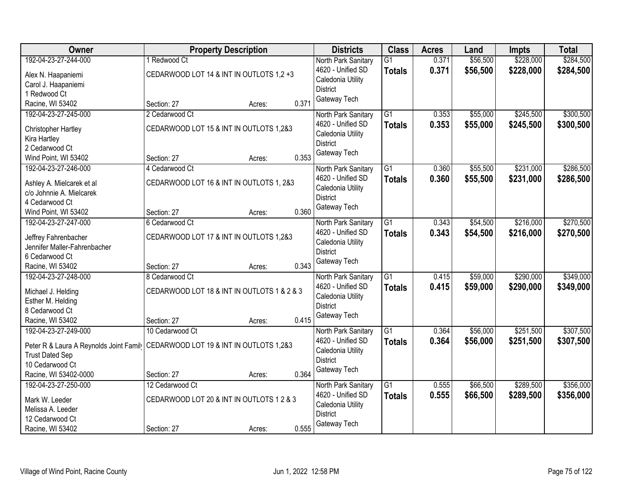| Owner                                                                          | <b>Property Description</b>                 |                 | <b>Districts</b>    | <b>Class</b>    | <b>Acres</b> | Land     | <b>Impts</b> | <b>Total</b> |
|--------------------------------------------------------------------------------|---------------------------------------------|-----------------|---------------------|-----------------|--------------|----------|--------------|--------------|
| 192-04-23-27-244-000                                                           | 1 Redwood Ct                                |                 | North Park Sanitary | $\overline{G1}$ | 0.371        | \$56,500 | \$228,000    | \$284,500    |
| Alex N. Haapaniemi                                                             | CEDARWOOD LOT 14 & INT IN OUTLOTS 1,2 +3    |                 | 4620 - Unified SD   | <b>Totals</b>   | 0.371        | \$56,500 | \$228,000    | \$284,500    |
| Carol J. Haapaniemi                                                            |                                             |                 | Caledonia Utility   |                 |              |          |              |              |
| 1 Redwood Ct                                                                   |                                             |                 | <b>District</b>     |                 |              |          |              |              |
| Racine, WI 53402                                                               | Section: 27                                 | 0.371<br>Acres: | Gateway Tech        |                 |              |          |              |              |
| 192-04-23-27-245-000                                                           | 2 Cedarwood Ct                              |                 | North Park Sanitary | $\overline{G1}$ | 0.353        | \$55,000 | \$245,500    | \$300,500    |
| Christopher Hartley                                                            | CEDARWOOD LOT 15 & INT IN OUTLOTS 1,2&3     |                 | 4620 - Unified SD   | <b>Totals</b>   | 0.353        | \$55,000 | \$245,500    | \$300,500    |
| Kira Hartley                                                                   |                                             |                 | Caledonia Utility   |                 |              |          |              |              |
| 2 Cedarwood Ct                                                                 |                                             |                 | <b>District</b>     |                 |              |          |              |              |
| Wind Point, WI 53402                                                           | Section: 27                                 | 0.353<br>Acres: | Gateway Tech        |                 |              |          |              |              |
| 192-04-23-27-246-000                                                           | 4 Cedarwood Ct                              |                 | North Park Sanitary | $\overline{G1}$ | 0.360        | \$55,500 | \$231,000    | \$286,500    |
| Ashley A. Mielcarek et al                                                      | CEDARWOOD LOT 16 & INT IN OUTLOTS 1, 2&3    |                 | 4620 - Unified SD   | <b>Totals</b>   | 0.360        | \$55,500 | \$231,000    | \$286,500    |
| c/o Johnnie A. Mielcarek                                                       |                                             |                 | Caledonia Utility   |                 |              |          |              |              |
| 4 Cedarwood Ct                                                                 |                                             |                 | <b>District</b>     |                 |              |          |              |              |
| Wind Point, WI 53402                                                           | Section: 27                                 | 0.360<br>Acres: | Gateway Tech        |                 |              |          |              |              |
| 192-04-23-27-247-000                                                           | 6 Cedarwood Ct                              |                 | North Park Sanitary | G1              | 0.343        | \$54,500 | \$216,000    | \$270,500    |
| Jeffrey Fahrenbacher                                                           | CEDARWOOD LOT 17 & INT IN OUTLOTS 1,2&3     |                 | 4620 - Unified SD   | <b>Totals</b>   | 0.343        | \$54,500 | \$216,000    | \$270,500    |
| Jennifer Maller-Fahrenbacher                                                   |                                             |                 | Caledonia Utility   |                 |              |          |              |              |
| 6 Cedarwood Ct                                                                 |                                             |                 | <b>District</b>     |                 |              |          |              |              |
| Racine, WI 53402                                                               | Section: 27                                 | 0.343<br>Acres: | Gateway Tech        |                 |              |          |              |              |
| 192-04-23-27-248-000                                                           | 8 Cedarwood Ct                              |                 | North Park Sanitary | $\overline{G1}$ | 0.415        | \$59,000 | \$290,000    | \$349,000    |
|                                                                                | CEDARWOOD LOT 18 & INT IN OUTLOTS 1 & 2 & 3 |                 | 4620 - Unified SD   | <b>Totals</b>   | 0.415        | \$59,000 | \$290,000    | \$349,000    |
| Michael J. Helding<br>Esther M. Helding                                        |                                             |                 | Caledonia Utility   |                 |              |          |              |              |
| 8 Cedarwood Ct                                                                 |                                             |                 | <b>District</b>     |                 |              |          |              |              |
| Racine, WI 53402                                                               | Section: 27                                 | 0.415<br>Acres: | Gateway Tech        |                 |              |          |              |              |
| 192-04-23-27-249-000                                                           | 10 Cedarwood Ct                             |                 | North Park Sanitary | $\overline{G1}$ | 0.364        | \$56,000 | \$251,500    | \$307,500    |
|                                                                                |                                             |                 | 4620 - Unified SD   | <b>Totals</b>   | 0.364        | \$56,000 | \$251,500    | \$307,500    |
| Peter R & Laura A Reynolds Joint Famil CEDARWOOD LOT 19 & INT IN OUTLOTS 1,2&3 |                                             |                 | Caledonia Utility   |                 |              |          |              |              |
| <b>Trust Dated Sep</b><br>10 Cedarwood Ct                                      |                                             |                 | <b>District</b>     |                 |              |          |              |              |
| Racine, WI 53402-0000                                                          | Section: 27                                 | 0.364<br>Acres: | Gateway Tech        |                 |              |          |              |              |
| 192-04-23-27-250-000                                                           | 12 Cedarwood Ct                             |                 | North Park Sanitary | $\overline{G1}$ | 0.555        | \$66,500 | \$289,500    | \$356,000    |
|                                                                                |                                             |                 | 4620 - Unified SD   | <b>Totals</b>   | 0.555        | \$66,500 | \$289,500    | \$356,000    |
| Mark W. Leeder                                                                 | CEDARWOOD LOT 20 & INT IN OUTLOTS 1 2 & 3   |                 | Caledonia Utility   |                 |              |          |              |              |
| Melissa A. Leeder                                                              |                                             |                 | <b>District</b>     |                 |              |          |              |              |
| 12 Cedarwood Ct<br>Racine, WI 53402                                            |                                             | 0.555           | Gateway Tech        |                 |              |          |              |              |
|                                                                                | Section: 27                                 | Acres:          |                     |                 |              |          |              |              |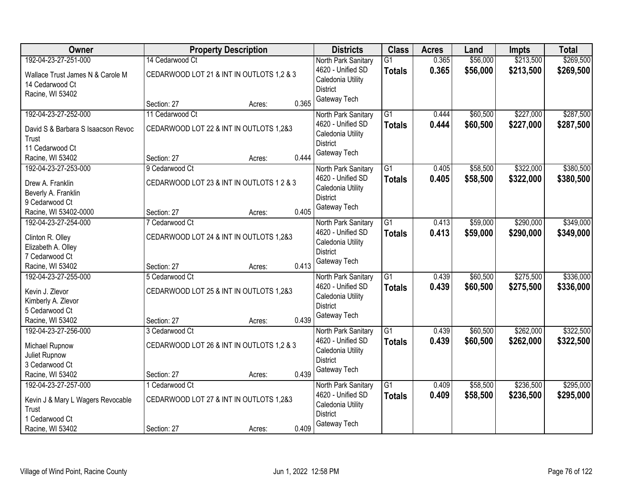| Owner                                      | <b>Property Description</b>               |        |       | <b>Districts</b>                     | <b>Class</b>    | <b>Acres</b> | Land     | Impts     | <b>Total</b> |
|--------------------------------------------|-------------------------------------------|--------|-------|--------------------------------------|-----------------|--------------|----------|-----------|--------------|
| 192-04-23-27-251-000                       | 14 Cedarwood Ct                           |        |       | North Park Sanitary                  | G <sub>1</sub>  | 0.365        | \$56,000 | \$213,500 | \$269,500    |
| Wallace Trust James N & Carole M           | CEDARWOOD LOT 21 & INT IN OUTLOTS 1,2 & 3 |        |       | 4620 - Unified SD                    | <b>Totals</b>   | 0.365        | \$56,000 | \$213,500 | \$269,500    |
| 14 Cedarwood Ct                            |                                           |        |       | Caledonia Utility<br><b>District</b> |                 |              |          |           |              |
| Racine, WI 53402                           |                                           |        |       | Gateway Tech                         |                 |              |          |           |              |
|                                            | Section: 27                               | Acres: | 0.365 |                                      |                 |              |          |           |              |
| 192-04-23-27-252-000                       | 11 Cedarwood Ct                           |        |       | North Park Sanitary                  | $\overline{G1}$ | 0.444        | \$60,500 | \$227,000 | \$287,500    |
| David S & Barbara S Isaacson Revoc         | CEDARWOOD LOT 22 & INT IN OUTLOTS 1,2&3   |        |       | 4620 - Unified SD                    | <b>Totals</b>   | 0.444        | \$60,500 | \$227,000 | \$287,500    |
| Trust                                      |                                           |        |       | Caledonia Utility                    |                 |              |          |           |              |
| 11 Cedarwood Ct                            |                                           |        |       | <b>District</b>                      |                 |              |          |           |              |
| Racine, WI 53402                           | Section: 27                               | Acres: | 0.444 | Gateway Tech                         |                 |              |          |           |              |
| 192-04-23-27-253-000                       | 9 Cedarwood Ct                            |        |       | North Park Sanitary                  | $\overline{G1}$ | 0.405        | \$58,500 | \$322,000 | \$380,500    |
| Drew A. Franklin                           | CEDARWOOD LOT 23 & INT IN OUTLOTS 1 2 & 3 |        |       | 4620 - Unified SD                    | <b>Totals</b>   | 0.405        | \$58,500 | \$322,000 | \$380,500    |
| Beverly A. Franklin                        |                                           |        |       | Caledonia Utility                    |                 |              |          |           |              |
| 9 Cedarwood Ct                             |                                           |        |       | <b>District</b>                      |                 |              |          |           |              |
| Racine, WI 53402-0000                      | Section: 27                               | Acres: | 0.405 | Gateway Tech                         |                 |              |          |           |              |
| 192-04-23-27-254-000                       | 7 Cedarwood Ct                            |        |       | North Park Sanitary                  | G1              | 0.413        | \$59,000 | \$290,000 | \$349,000    |
| Clinton R. Olley                           | CEDARWOOD LOT 24 & INT IN OUTLOTS 1,2&3   |        |       | 4620 - Unified SD                    | <b>Totals</b>   | 0.413        | \$59,000 | \$290,000 | \$349,000    |
| Elizabeth A. Olley                         |                                           |        |       | Caledonia Utility                    |                 |              |          |           |              |
| 7 Cedarwood Ct                             |                                           |        |       | <b>District</b>                      |                 |              |          |           |              |
| Racine, WI 53402                           | Section: 27                               | Acres: | 0.413 | Gateway Tech                         |                 |              |          |           |              |
| 192-04-23-27-255-000                       | 5 Cedarwood Ct                            |        |       | North Park Sanitary                  | $\overline{G1}$ | 0.439        | \$60,500 | \$275,500 | \$336,000    |
| Kevin J. Zlevor                            | CEDARWOOD LOT 25 & INT IN OUTLOTS 1,2&3   |        |       | 4620 - Unified SD                    | <b>Totals</b>   | 0.439        | \$60,500 | \$275,500 | \$336,000    |
| Kimberly A. Zlevor                         |                                           |        |       | Caledonia Utility                    |                 |              |          |           |              |
| 5 Cedarwood Ct                             |                                           |        |       | <b>District</b>                      |                 |              |          |           |              |
| Racine, WI 53402                           | Section: 27                               | Acres: | 0.439 | Gateway Tech                         |                 |              |          |           |              |
| 192-04-23-27-256-000                       | 3 Cedarwood Ct                            |        |       | North Park Sanitary                  | $\overline{G1}$ | 0.439        | \$60,500 | \$262,000 | \$322,500    |
| Michael Rupnow                             | CEDARWOOD LOT 26 & INT IN OUTLOTS 1,2 & 3 |        |       | 4620 - Unified SD                    | <b>Totals</b>   | 0.439        | \$60,500 | \$262,000 | \$322,500    |
| Juliet Rupnow                              |                                           |        |       | Caledonia Utility                    |                 |              |          |           |              |
| 3 Cedarwood Ct                             |                                           |        |       | <b>District</b>                      |                 |              |          |           |              |
| Racine, WI 53402                           | Section: 27                               | Acres: | 0.439 | Gateway Tech                         |                 |              |          |           |              |
| 192-04-23-27-257-000                       | 1 Cedarwood Ct                            |        |       | North Park Sanitary                  | $\overline{G1}$ | 0.409        | \$58,500 | \$236,500 | \$295,000    |
|                                            | CEDARWOOD LOT 27 & INT IN OUTLOTS 1,2&3   |        |       | 4620 - Unified SD                    | <b>Totals</b>   | 0.409        | \$58,500 | \$236,500 | \$295,000    |
| Kevin J & Mary L Wagers Revocable<br>Trust |                                           |        |       | Caledonia Utility                    |                 |              |          |           |              |
| 1 Cedarwood Ct                             |                                           |        |       | <b>District</b>                      |                 |              |          |           |              |
| Racine, WI 53402                           | Section: 27                               | Acres: | 0.409 | Gateway Tech                         |                 |              |          |           |              |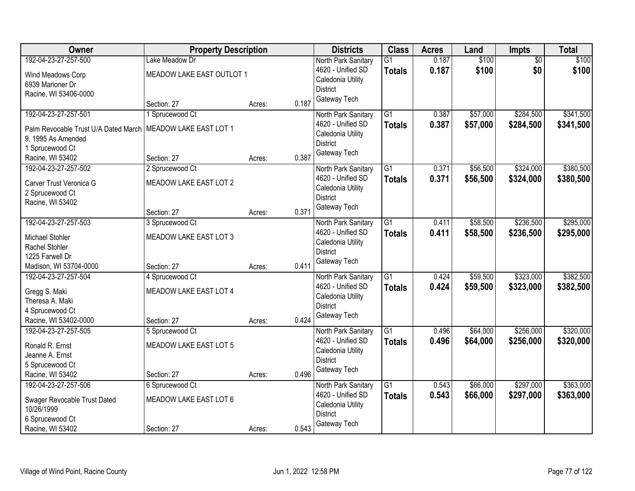| Owner                                | <b>Property Description</b> |        |       | <b>Districts</b>                     | <b>Class</b>    | <b>Acres</b> | Land     | <b>Impts</b>    | <b>Total</b> |
|--------------------------------------|-----------------------------|--------|-------|--------------------------------------|-----------------|--------------|----------|-----------------|--------------|
| 192-04-23-27-257-500                 | Lake Meadow Dr              |        |       | North Park Sanitary                  | $\overline{G1}$ | 0.187        | \$100    | $\overline{50}$ | \$100        |
| Wind Meadows Corp                    | MEADOW LAKE EAST OUTLOT 1   |        |       | 4620 - Unified SD                    | <b>Totals</b>   | 0.187        | \$100    | \$0             | \$100        |
| 6939 Marioner Dr                     |                             |        |       | Caledonia Utility                    |                 |              |          |                 |              |
| Racine, WI 53406-0000                |                             |        |       | <b>District</b>                      |                 |              |          |                 |              |
|                                      | Section: 27                 | Acres: | 0.187 | Gateway Tech                         |                 |              |          |                 |              |
| 192-04-23-27-257-501                 | 1 Sprucewood Ct             |        |       | North Park Sanitary                  | $\overline{G1}$ | 0.387        | \$57,000 | \$284,500       | \$341,500    |
| Palm Revocable Trust U/A Dated March | MEADOW LAKE EAST LOT 1      |        |       | 4620 - Unified SD                    | <b>Totals</b>   | 0.387        | \$57,000 | \$284,500       | \$341,500    |
| 9, 1995 As Amended                   |                             |        |       | Caledonia Utility                    |                 |              |          |                 |              |
| 1 Sprucewood Ct                      |                             |        |       | <b>District</b>                      |                 |              |          |                 |              |
| Racine, WI 53402                     | Section: 27                 | Acres: | 0.387 | Gateway Tech                         |                 |              |          |                 |              |
| 192-04-23-27-257-502                 | 2 Sprucewood Ct             |        |       | North Park Sanitary                  | G1              | 0.371        | \$56,500 | \$324,000       | \$380,500    |
| Carver Trust Veronica G              | MEADOW LAKE EAST LOT 2      |        |       | 4620 - Unified SD                    | <b>Totals</b>   | 0.371        | \$56,500 | \$324,000       | \$380,500    |
| 2 Sprucewood Ct                      |                             |        |       | Caledonia Utility                    |                 |              |          |                 |              |
| Racine, WI 53402                     |                             |        |       | <b>District</b>                      |                 |              |          |                 |              |
|                                      | Section: 27                 | Acres: | 0.371 | Gateway Tech                         |                 |              |          |                 |              |
| 192-04-23-27-257-503                 | 3 Sprucewood Ct             |        |       | North Park Sanitary                  | $\overline{G1}$ | 0.411        | \$58,500 | \$236,500       | \$295,000    |
|                                      |                             |        |       | 4620 - Unified SD                    | <b>Totals</b>   | 0.411        | \$58,500 | \$236,500       | \$295,000    |
| Michael Stohler                      | MEADOW LAKE EAST LOT 3      |        |       | Caledonia Utility                    |                 |              |          |                 |              |
| Rachel Stohler<br>1225 Farwell Dr    |                             |        |       | <b>District</b>                      |                 |              |          |                 |              |
| Madison, WI 53704-0000               | Section: 27                 | Acres: | 0.411 | Gateway Tech                         |                 |              |          |                 |              |
| 192-04-23-27-257-504                 | 4 Sprucewood Ct             |        |       | North Park Sanitary                  | $\overline{G1}$ | 0.424        | \$59,500 | \$323,000       | \$382,500    |
|                                      |                             |        |       | 4620 - Unified SD                    |                 | 0.424        | \$59,500 | \$323,000       | \$382,500    |
| Gregg S. Maki                        | MEADOW LAKE EAST LOT 4      |        |       | Caledonia Utility                    | <b>Totals</b>   |              |          |                 |              |
| Theresa A. Maki                      |                             |        |       | <b>District</b>                      |                 |              |          |                 |              |
| 4 Sprucewood Ct                      |                             |        |       | Gateway Tech                         |                 |              |          |                 |              |
| Racine, WI 53402-0000                | Section: 27                 | Acres: | 0.424 |                                      |                 |              |          |                 |              |
| 192-04-23-27-257-505                 | 5 Sprucewood Ct             |        |       | North Park Sanitary                  | $\overline{G1}$ | 0.496        | \$64,000 | \$256,000       | \$320,000    |
| Ronald R. Ernst                      | MEADOW LAKE EAST LOT 5      |        |       | 4620 - Unified SD                    | <b>Totals</b>   | 0.496        | \$64,000 | \$256,000       | \$320,000    |
| Jeanne A. Ernst                      |                             |        |       | Caledonia Utility<br><b>District</b> |                 |              |          |                 |              |
| 5 Sprucewood Ct                      |                             |        |       |                                      |                 |              |          |                 |              |
| Racine, WI 53402                     | Section: 27                 | Acres: | 0.496 | Gateway Tech                         |                 |              |          |                 |              |
| 192-04-23-27-257-506                 | 6 Sprucewood Ct             |        |       | North Park Sanitary                  | $\overline{G1}$ | 0.543        | \$66,000 | \$297,000       | \$363,000    |
| Swager Revocable Trust Dated         | MEADOW LAKE EAST LOT 6      |        |       | 4620 - Unified SD                    | <b>Totals</b>   | 0.543        | \$66,000 | \$297,000       | \$363,000    |
| 10/26/1999                           |                             |        |       | Caledonia Utility                    |                 |              |          |                 |              |
| 6 Sprucewood Ct                      |                             |        |       | <b>District</b>                      |                 |              |          |                 |              |
| Racine, WI 53402                     | Section: 27                 | Acres: | 0.543 | Gateway Tech                         |                 |              |          |                 |              |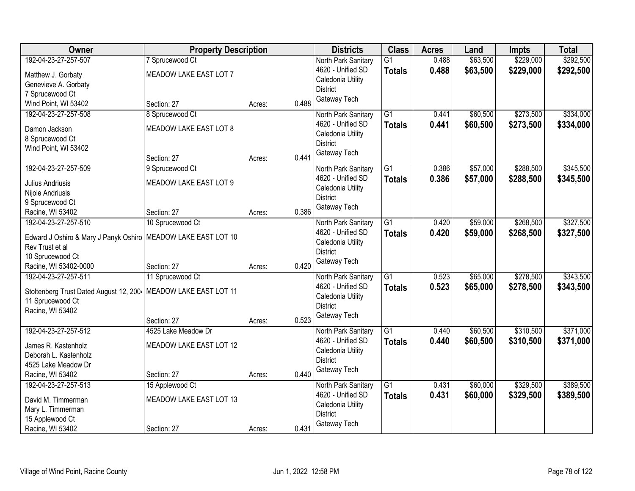| Owner                                   | <b>Property Description</b> |        |       | <b>Districts</b>                         | <b>Class</b>                    | <b>Acres</b>   | Land                 | Impts                  | <b>Total</b>           |
|-----------------------------------------|-----------------------------|--------|-------|------------------------------------------|---------------------------------|----------------|----------------------|------------------------|------------------------|
| 192-04-23-27-257-507                    | 7 Sprucewood Ct             |        |       | North Park Sanitary<br>4620 - Unified SD | G <sub>1</sub><br><b>Totals</b> | 0.488<br>0.488 | \$63,500<br>\$63,500 | \$229,000<br>\$229,000 | \$292,500<br>\$292,500 |
| Matthew J. Gorbaty                      | MEADOW LAKE EAST LOT 7      |        |       | Caledonia Utility                        |                                 |                |                      |                        |                        |
| Genevieve A. Gorbaty<br>7 Sprucewood Ct |                             |        |       | <b>District</b>                          |                                 |                |                      |                        |                        |
| Wind Point, WI 53402                    | Section: 27                 | Acres: | 0.488 | Gateway Tech                             |                                 |                |                      |                        |                        |
| 192-04-23-27-257-508                    | 8 Sprucewood Ct             |        |       | North Park Sanitary                      | $\overline{G1}$                 | 0.441          | \$60,500             | \$273,500              | \$334,000              |
|                                         |                             |        |       | 4620 - Unified SD                        | <b>Totals</b>                   | 0.441          | \$60,500             | \$273,500              | \$334,000              |
| Damon Jackson                           | MEADOW LAKE EAST LOT 8      |        |       | Caledonia Utility                        |                                 |                |                      |                        |                        |
| 8 Sprucewood Ct<br>Wind Point, WI 53402 |                             |        |       | <b>District</b>                          |                                 |                |                      |                        |                        |
|                                         | Section: 27                 | Acres: | 0.441 | Gateway Tech                             |                                 |                |                      |                        |                        |
| 192-04-23-27-257-509                    | 9 Sprucewood Ct             |        |       | North Park Sanitary                      | $\overline{G1}$                 | 0.386          | \$57,000             | \$288,500              | \$345,500              |
|                                         |                             |        |       | 4620 - Unified SD                        | <b>Totals</b>                   | 0.386          | \$57,000             | \$288,500              | \$345,500              |
| Julius Andriusis                        | MEADOW LAKE EAST LOT 9      |        |       | Caledonia Utility                        |                                 |                |                      |                        |                        |
| Nijole Andriusis<br>9 Sprucewood Ct     |                             |        |       | <b>District</b>                          |                                 |                |                      |                        |                        |
| Racine, WI 53402                        | Section: 27                 | Acres: | 0.386 | Gateway Tech                             |                                 |                |                      |                        |                        |
| 192-04-23-27-257-510                    | 10 Sprucewood Ct            |        |       | North Park Sanitary                      | G1                              | 0.420          | \$59,000             | \$268,500              | \$327,500              |
|                                         |                             |        |       | 4620 - Unified SD                        | <b>Totals</b>                   | 0.420          | \$59,000             | \$268,500              | \$327,500              |
| Edward J Oshiro & Mary J Panyk Oshiro   | MEADOW LAKE EAST LOT 10     |        |       | Caledonia Utility                        |                                 |                |                      |                        |                        |
| Rev Trust et al<br>10 Sprucewood Ct     |                             |        |       | <b>District</b>                          |                                 |                |                      |                        |                        |
| Racine, WI 53402-0000                   | Section: 27                 | Acres: | 0.420 | Gateway Tech                             |                                 |                |                      |                        |                        |
| 192-04-23-27-257-511                    | 11 Sprucewood Ct            |        |       | North Park Sanitary                      | $\overline{G1}$                 | 0.523          | \$65,000             | \$278,500              | \$343,500              |
|                                         |                             |        |       | 4620 - Unified SD                        | <b>Totals</b>                   | 0.523          | \$65,000             | \$278,500              | \$343,500              |
| Stoltenberg Trust Dated August 12, 200  | MEADOW LAKE EAST LOT 11     |        |       | Caledonia Utility                        |                                 |                |                      |                        |                        |
| 11 Sprucewood Ct                        |                             |        |       | <b>District</b>                          |                                 |                |                      |                        |                        |
| Racine, WI 53402                        |                             |        |       | Gateway Tech                             |                                 |                |                      |                        |                        |
|                                         | Section: 27                 | Acres: | 0.523 |                                          |                                 |                |                      |                        |                        |
| 192-04-23-27-257-512                    | 4525 Lake Meadow Dr         |        |       | North Park Sanitary<br>4620 - Unified SD | $\overline{G1}$                 | 0.440<br>0.440 | \$60,500             | \$310,500              | \$371,000              |
| James R. Kastenholz                     | MEADOW LAKE EAST LOT 12     |        |       | Caledonia Utility                        | <b>Totals</b>                   |                | \$60,500             | \$310,500              | \$371,000              |
| Deborah L. Kastenholz                   |                             |        |       | <b>District</b>                          |                                 |                |                      |                        |                        |
| 4525 Lake Meadow Dr                     |                             |        |       | Gateway Tech                             |                                 |                |                      |                        |                        |
| Racine, WI 53402                        | Section: 27                 | Acres: | 0.440 |                                          |                                 |                |                      |                        |                        |
| 192-04-23-27-257-513                    | 15 Applewood Ct             |        |       | North Park Sanitary                      | $\overline{G1}$                 | 0.431          | \$60,000             | \$329,500              | \$389,500              |
| David M. Timmerman                      | MEADOW LAKE EAST LOT 13     |        |       | 4620 - Unified SD                        | <b>Totals</b>                   | 0.431          | \$60,000             | \$329,500              | \$389,500              |
| Mary L. Timmerman                       |                             |        |       | Caledonia Utility                        |                                 |                |                      |                        |                        |
| 15 Applewood Ct                         |                             |        |       | <b>District</b><br>Gateway Tech          |                                 |                |                      |                        |                        |
| Racine, WI 53402                        | Section: 27                 | Acres: | 0.431 |                                          |                                 |                |                      |                        |                        |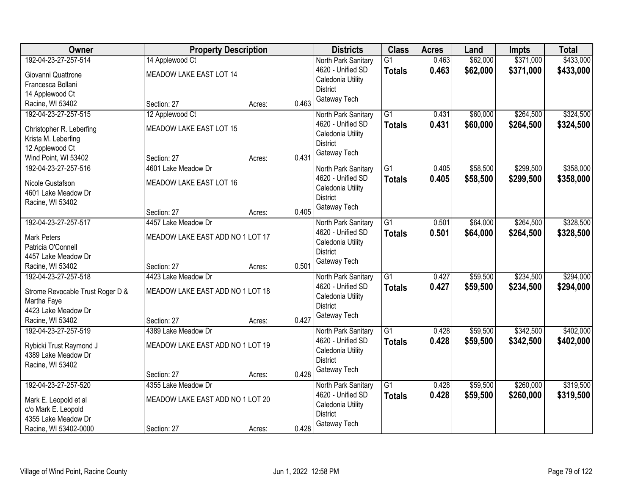| Owner                                           | <b>Property Description</b>      |                 | <b>Districts</b>    | <b>Class</b>    | <b>Acres</b> | Land     | Impts     | <b>Total</b> |
|-------------------------------------------------|----------------------------------|-----------------|---------------------|-----------------|--------------|----------|-----------|--------------|
| 192-04-23-27-257-514                            | 14 Applewood Ct                  |                 | North Park Sanitary | $\overline{G1}$ | 0.463        | \$62,000 | \$371,000 | \$433,000    |
| Giovanni Quattrone                              | MEADOW LAKE EAST LOT 14          |                 | 4620 - Unified SD   | <b>Totals</b>   | 0.463        | \$62,000 | \$371,000 | \$433,000    |
| Francesca Bollani                               |                                  |                 | Caledonia Utility   |                 |              |          |           |              |
| 14 Applewood Ct                                 |                                  |                 | <b>District</b>     |                 |              |          |           |              |
| Racine, WI 53402                                | Section: 27                      | 0.463<br>Acres: | Gateway Tech        |                 |              |          |           |              |
| 192-04-23-27-257-515                            | 12 Applewood Ct                  |                 | North Park Sanitary | $\overline{G1}$ | 0.431        | \$60,000 | \$264,500 | \$324,500    |
| Christopher R. Leberfing                        | MEADOW LAKE EAST LOT 15          |                 | 4620 - Unified SD   | <b>Totals</b>   | 0.431        | \$60,000 | \$264,500 | \$324,500    |
| Krista M. Leberfing                             |                                  |                 | Caledonia Utility   |                 |              |          |           |              |
| 12 Applewood Ct                                 |                                  |                 | <b>District</b>     |                 |              |          |           |              |
| Wind Point, WI 53402                            | Section: 27                      | 0.431<br>Acres: | Gateway Tech        |                 |              |          |           |              |
| 192-04-23-27-257-516                            | 4601 Lake Meadow Dr              |                 | North Park Sanitary | $\overline{G1}$ | 0.405        | \$58,500 | \$299,500 | \$358,000    |
| Nicole Gustafson                                | MEADOW LAKE EAST LOT 16          |                 | 4620 - Unified SD   | <b>Totals</b>   | 0.405        | \$58,500 | \$299,500 | \$358,000    |
| 4601 Lake Meadow Dr                             |                                  |                 | Caledonia Utility   |                 |              |          |           |              |
| Racine, WI 53402                                |                                  |                 | <b>District</b>     |                 |              |          |           |              |
|                                                 | Section: 27                      | 0.405<br>Acres: | Gateway Tech        |                 |              |          |           |              |
| 192-04-23-27-257-517                            | 4457 Lake Meadow Dr              |                 | North Park Sanitary | G1              | 0.501        | \$64,000 | \$264,500 | \$328,500    |
| <b>Mark Peters</b>                              | MEADOW LAKE EAST ADD NO 1 LOT 17 |                 | 4620 - Unified SD   | <b>Totals</b>   | 0.501        | \$64,000 | \$264,500 | \$328,500    |
| Patricia O'Connell                              |                                  |                 | Caledonia Utility   |                 |              |          |           |              |
| 4457 Lake Meadow Dr                             |                                  |                 | <b>District</b>     |                 |              |          |           |              |
| Racine, WI 53402                                | Section: 27                      | 0.501<br>Acres: | Gateway Tech        |                 |              |          |           |              |
| 192-04-23-27-257-518                            | 4423 Lake Meadow Dr              |                 | North Park Sanitary | $\overline{G1}$ | 0.427        | \$59,500 | \$234,500 | \$294,000    |
|                                                 | MEADOW LAKE EAST ADD NO 1 LOT 18 |                 | 4620 - Unified SD   | <b>Totals</b>   | 0.427        | \$59,500 | \$234,500 | \$294,000    |
| Strome Revocable Trust Roger D &<br>Martha Faye |                                  |                 | Caledonia Utility   |                 |              |          |           |              |
| 4423 Lake Meadow Dr                             |                                  |                 | <b>District</b>     |                 |              |          |           |              |
| Racine, WI 53402                                | Section: 27                      | 0.427<br>Acres: | Gateway Tech        |                 |              |          |           |              |
| 192-04-23-27-257-519                            | 4389 Lake Meadow Dr              |                 | North Park Sanitary | $\overline{G1}$ | 0.428        | \$59,500 | \$342,500 | \$402,000    |
|                                                 |                                  |                 | 4620 - Unified SD   | <b>Totals</b>   | 0.428        | \$59,500 | \$342,500 | \$402,000    |
| Rybicki Trust Raymond J                         | MEADOW LAKE EAST ADD NO 1 LOT 19 |                 | Caledonia Utility   |                 |              |          |           |              |
| 4389 Lake Meadow Dr                             |                                  |                 | <b>District</b>     |                 |              |          |           |              |
| Racine, WI 53402                                | Section: 27                      | 0.428<br>Acres: | Gateway Tech        |                 |              |          |           |              |
| 192-04-23-27-257-520                            | 4355 Lake Meadow Dr              |                 | North Park Sanitary | $\overline{G1}$ | 0.428        | \$59,500 | \$260,000 | \$319,500    |
|                                                 |                                  |                 | 4620 - Unified SD   | <b>Totals</b>   | 0.428        | \$59,500 | \$260,000 | \$319,500    |
| Mark E. Leopold et al                           | MEADOW LAKE EAST ADD NO 1 LOT 20 |                 | Caledonia Utility   |                 |              |          |           |              |
| c/o Mark E. Leopold<br>4355 Lake Meadow Dr      |                                  |                 | <b>District</b>     |                 |              |          |           |              |
| Racine, WI 53402-0000                           | Section: 27                      | 0.428<br>Acres: | Gateway Tech        |                 |              |          |           |              |
|                                                 |                                  |                 |                     |                 |              |          |           |              |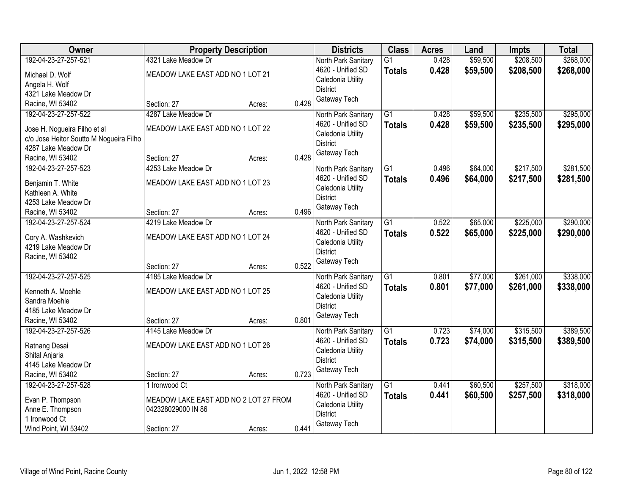| Owner                                     | <b>Property Description</b>           |                 | <b>Districts</b>                     | <b>Class</b>    | <b>Acres</b> | Land     | <b>Impts</b> | <b>Total</b> |
|-------------------------------------------|---------------------------------------|-----------------|--------------------------------------|-----------------|--------------|----------|--------------|--------------|
| 192-04-23-27-257-521                      | 4321 Lake Meadow Dr                   |                 | North Park Sanitary                  | $\overline{G1}$ | 0.428        | \$59,500 | \$208,500    | \$268,000    |
| Michael D. Wolf                           | MEADOW LAKE EAST ADD NO 1 LOT 21      |                 | 4620 - Unified SD                    | <b>Totals</b>   | 0.428        | \$59,500 | \$208,500    | \$268,000    |
| Angela H. Wolf                            |                                       |                 | Caledonia Utility                    |                 |              |          |              |              |
| 4321 Lake Meadow Dr                       |                                       |                 | <b>District</b>                      |                 |              |          |              |              |
| Racine, WI 53402                          | Section: 27                           | 0.428<br>Acres: | Gateway Tech                         |                 |              |          |              |              |
| 192-04-23-27-257-522                      | 4287 Lake Meadow Dr                   |                 | North Park Sanitary                  | $\overline{G1}$ | 0.428        | \$59,500 | \$235,500    | \$295,000    |
|                                           |                                       |                 | 4620 - Unified SD                    | <b>Totals</b>   | 0.428        | \$59,500 | \$235,500    | \$295,000    |
| Jose H. Nogueira Filho et al              | MEADOW LAKE EAST ADD NO 1 LOT 22      |                 | Caledonia Utility                    |                 |              |          |              |              |
| c/o Jose Heitor Soutto M Nogueira Filho   |                                       |                 | <b>District</b>                      |                 |              |          |              |              |
| 4287 Lake Meadow Dr                       |                                       |                 | Gateway Tech                         |                 |              |          |              |              |
| Racine, WI 53402                          | Section: 27                           | 0.428<br>Acres: |                                      |                 |              |          |              |              |
| 192-04-23-27-257-523                      | 4253 Lake Meadow Dr                   |                 | North Park Sanitary                  | $\overline{G1}$ | 0.496        | \$64,000 | \$217,500    | \$281,500    |
| Benjamin T. White                         | MEADOW LAKE EAST ADD NO 1 LOT 23      |                 | 4620 - Unified SD                    | <b>Totals</b>   | 0.496        | \$64,000 | \$217,500    | \$281,500    |
| Kathleen A. White                         |                                       |                 | Caledonia Utility<br><b>District</b> |                 |              |          |              |              |
| 4253 Lake Meadow Dr                       |                                       |                 |                                      |                 |              |          |              |              |
| Racine, WI 53402                          | Section: 27                           | Acres:          | Gateway Tech<br>0.496                |                 |              |          |              |              |
| 192-04-23-27-257-524                      | 4219 Lake Meadow Dr                   |                 | North Park Sanitary                  | G1              | 0.522        | \$65,000 | \$225,000    | \$290,000    |
|                                           | MEADOW LAKE EAST ADD NO 1 LOT 24      |                 | 4620 - Unified SD                    | <b>Totals</b>   | 0.522        | \$65,000 | \$225,000    | \$290,000    |
| Cory A. Washkevich<br>4219 Lake Meadow Dr |                                       |                 | Caledonia Utility                    |                 |              |          |              |              |
| Racine, WI 53402                          |                                       |                 | <b>District</b>                      |                 |              |          |              |              |
|                                           | Section: 27                           | 0.522<br>Acres: | Gateway Tech                         |                 |              |          |              |              |
| 192-04-23-27-257-525                      | 4185 Lake Meadow Dr                   |                 | North Park Sanitary                  | $\overline{G1}$ | 0.801        | \$77,000 | \$261,000    | \$338,000    |
|                                           |                                       |                 | 4620 - Unified SD                    | <b>Totals</b>   | 0.801        | \$77,000 | \$261,000    | \$338,000    |
| Kenneth A. Moehle                         | MEADOW LAKE EAST ADD NO 1 LOT 25      |                 | Caledonia Utility                    |                 |              |          |              |              |
| Sandra Moehle                             |                                       |                 | <b>District</b>                      |                 |              |          |              |              |
| 4185 Lake Meadow Dr                       |                                       |                 | Gateway Tech                         |                 |              |          |              |              |
| Racine, WI 53402                          | Section: 27                           | 0.801<br>Acres: |                                      |                 |              |          |              |              |
| 192-04-23-27-257-526                      | 4145 Lake Meadow Dr                   |                 | North Park Sanitary                  | $\overline{G1}$ | 0.723        | \$74,000 | \$315,500    | \$389,500    |
| Ratnang Desai                             | MEADOW LAKE EAST ADD NO 1 LOT 26      |                 | 4620 - Unified SD                    | <b>Totals</b>   | 0.723        | \$74,000 | \$315,500    | \$389,500    |
| Shital Anjaria                            |                                       |                 | Caledonia Utility                    |                 |              |          |              |              |
| 4145 Lake Meadow Dr                       |                                       |                 | <b>District</b>                      |                 |              |          |              |              |
| Racine, WI 53402                          | Section: 27                           | Acres:          | Gateway Tech<br>0.723                |                 |              |          |              |              |
| 192-04-23-27-257-528                      | 1 Ironwood Ct                         |                 | North Park Sanitary                  | $\overline{G1}$ | 0.441        | \$60,500 | \$257,500    | \$318,000    |
|                                           |                                       |                 | 4620 - Unified SD                    | <b>Totals</b>   | 0.441        | \$60,500 | \$257,500    | \$318,000    |
| Evan P. Thompson                          | MEADOW LAKE EAST ADD NO 2 LOT 27 FROM |                 | Caledonia Utility                    |                 |              |          |              |              |
| Anne E. Thompson<br>1 Ironwood Ct         | 042328029000 IN 86                    |                 | <b>District</b>                      |                 |              |          |              |              |
| Wind Point, WI 53402                      | Section: 27                           | 0.441           | Gateway Tech                         |                 |              |          |              |              |
|                                           |                                       | Acres:          |                                      |                 |              |          |              |              |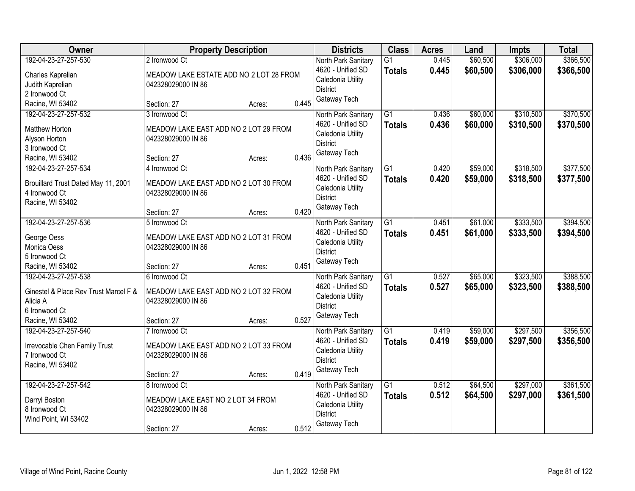| Owner                                                | <b>Property Description</b>             |                 | <b>Districts</b>                         | <b>Class</b>                     | <b>Acres</b>   | Land                 | <b>Impts</b>           | <b>Total</b>           |
|------------------------------------------------------|-----------------------------------------|-----------------|------------------------------------------|----------------------------------|----------------|----------------------|------------------------|------------------------|
| 192-04-23-27-257-530                                 | 2 Ironwood Ct                           |                 | North Park Sanitary<br>4620 - Unified SD | $\overline{G1}$<br><b>Totals</b> | 0.445<br>0.445 | \$60,500<br>\$60,500 | \$306,000<br>\$306,000 | \$366,500<br>\$366,500 |
| Charles Kaprelian                                    | MEADOW LAKE ESTATE ADD NO 2 LOT 28 FROM |                 | Caledonia Utility                        |                                  |                |                      |                        |                        |
| Judith Kaprelian                                     | 042328029000 IN 86                      |                 | <b>District</b>                          |                                  |                |                      |                        |                        |
| 2 Ironwood Ct                                        |                                         |                 | Gateway Tech                             |                                  |                |                      |                        |                        |
| Racine, WI 53402                                     | Section: 27                             | 0.445<br>Acres: |                                          |                                  |                |                      |                        |                        |
| 192-04-23-27-257-532                                 | 3 Ironwood Ct                           |                 | North Park Sanitary                      | $\overline{G1}$                  | 0.436          | \$60,000             | \$310,500              | \$370,500              |
| Matthew Horton                                       | MEADOW LAKE EAST ADD NO 2 LOT 29 FROM   |                 | 4620 - Unified SD                        | <b>Totals</b>                    | 0.436          | \$60,000             | \$310,500              | \$370,500              |
| Alyson Horton                                        | 042328029000 IN 86                      |                 | Caledonia Utility                        |                                  |                |                      |                        |                        |
| 3 Ironwood Ct                                        |                                         |                 | <b>District</b>                          |                                  |                |                      |                        |                        |
| Racine, WI 53402                                     | Section: 27                             | 0.436<br>Acres: | Gateway Tech                             |                                  |                |                      |                        |                        |
| 192-04-23-27-257-534                                 | 4 Ironwood Ct                           |                 | North Park Sanitary                      | G1                               | 0.420          | \$59,000             | \$318,500              | \$377,500              |
|                                                      | MEADOW LAKE EAST ADD NO 2 LOT 30 FROM   |                 | 4620 - Unified SD                        | <b>Totals</b>                    | 0.420          | \$59,000             | \$318,500              | \$377,500              |
| Brouillard Trust Dated May 11, 2001<br>4 Ironwood Ct | 042328029000 IN 86                      |                 | Caledonia Utility                        |                                  |                |                      |                        |                        |
| Racine, WI 53402                                     |                                         |                 | <b>District</b>                          |                                  |                |                      |                        |                        |
|                                                      | Section: 27                             | 0.420<br>Acres: | Gateway Tech                             |                                  |                |                      |                        |                        |
| 192-04-23-27-257-536                                 | 5 Ironwood Ct                           |                 | North Park Sanitary                      | $\overline{G1}$                  | 0.451          | \$61,000             | \$333,500              | \$394,500              |
|                                                      |                                         |                 | 4620 - Unified SD                        | <b>Totals</b>                    | 0.451          | \$61,000             | \$333,500              | \$394,500              |
| George Oess                                          | MEADOW LAKE EAST ADD NO 2 LOT 31 FROM   |                 | Caledonia Utility                        |                                  |                |                      |                        |                        |
| Monica Oess                                          | 042328029000 IN 86                      |                 | <b>District</b>                          |                                  |                |                      |                        |                        |
| 5 Ironwood Ct                                        |                                         |                 | Gateway Tech                             |                                  |                |                      |                        |                        |
| Racine, WI 53402                                     | Section: 27                             | 0.451<br>Acres: |                                          |                                  |                |                      |                        |                        |
| 192-04-23-27-257-538                                 | 6 Ironwood Ct                           |                 | North Park Sanitary                      | $\overline{G1}$                  | 0.527          | \$65,000             | \$323,500              | \$388,500              |
| Ginestel & Place Rev Trust Marcel F &                | MEADOW LAKE EAST ADD NO 2 LOT 32 FROM   |                 | 4620 - Unified SD                        | <b>Totals</b>                    | 0.527          | \$65,000             | \$323,500              | \$388,500              |
| Alicia A                                             | 042328029000 IN 86                      |                 | Caledonia Utility                        |                                  |                |                      |                        |                        |
| 6 Ironwood Ct                                        |                                         |                 | <b>District</b>                          |                                  |                |                      |                        |                        |
| Racine, WI 53402                                     | Section: 27                             | 0.527<br>Acres: | Gateway Tech                             |                                  |                |                      |                        |                        |
| 192-04-23-27-257-540                                 | 7 Ironwood Ct                           |                 | North Park Sanitary                      | $\overline{G1}$                  | 0.419          | \$59,000             | \$297,500              | \$356,500              |
| Irrevocable Chen Family Trust                        | MEADOW LAKE EAST ADD NO 2 LOT 33 FROM   |                 | 4620 - Unified SD                        | <b>Totals</b>                    | 0.419          | \$59,000             | \$297,500              | \$356,500              |
| 7 Ironwood Ct                                        | 042328029000 IN 86                      |                 | Caledonia Utility                        |                                  |                |                      |                        |                        |
| Racine, WI 53402                                     |                                         |                 | <b>District</b>                          |                                  |                |                      |                        |                        |
|                                                      | Section: 27                             | 0.419<br>Acres: | Gateway Tech                             |                                  |                |                      |                        |                        |
| 192-04-23-27-257-542                                 | 8 Ironwood Ct                           |                 | North Park Sanitary                      | $\overline{G1}$                  | 0.512          | \$64,500             | \$297,000              | \$361,500              |
|                                                      |                                         |                 | 4620 - Unified SD                        | <b>Totals</b>                    | 0.512          | \$64,500             | \$297,000              | \$361,500              |
| Darryl Boston                                        | MEADOW LAKE EAST NO 2 LOT 34 FROM       |                 | Caledonia Utility                        |                                  |                |                      |                        |                        |
| 8 Ironwood Ct                                        | 042328029000 IN 86                      |                 | <b>District</b>                          |                                  |                |                      |                        |                        |
| Wind Point, WI 53402                                 |                                         |                 | Gateway Tech                             |                                  |                |                      |                        |                        |
|                                                      | Section: 27                             | 0.512<br>Acres: |                                          |                                  |                |                      |                        |                        |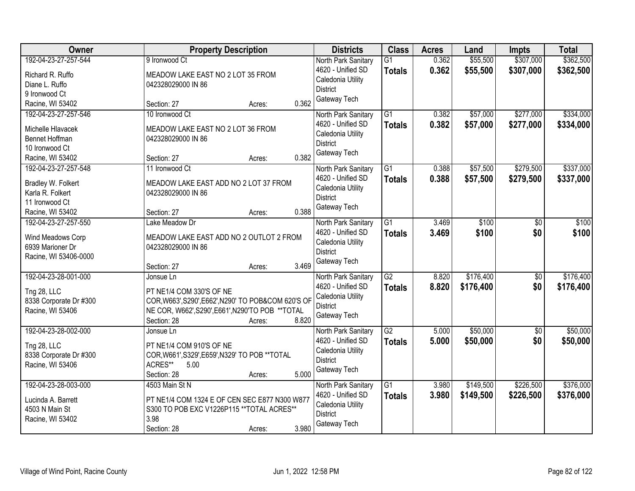| Owner                  | <b>Property Description</b>                         | <b>Districts</b>                     | <b>Class</b>    | <b>Acres</b> | Land      | <b>Impts</b>    | <b>Total</b> |
|------------------------|-----------------------------------------------------|--------------------------------------|-----------------|--------------|-----------|-----------------|--------------|
| 192-04-23-27-257-544   | 9 Ironwood Ct                                       | North Park Sanitary                  | $\overline{G1}$ | 0.362        | \$55,500  | \$307,000       | \$362,500    |
| Richard R. Ruffo       | MEADOW LAKE EAST NO 2 LOT 35 FROM                   | 4620 - Unified SD                    | <b>Totals</b>   | 0.362        | \$55,500  | \$307,000       | \$362,500    |
| Diane L. Ruffo         | 042328029000 IN 86                                  | Caledonia Utility                    |                 |              |           |                 |              |
| 9 Ironwood Ct          |                                                     | <b>District</b>                      |                 |              |           |                 |              |
| Racine, WI 53402       | 0.362<br>Section: 27<br>Acres:                      | Gateway Tech                         |                 |              |           |                 |              |
| 192-04-23-27-257-546   | 10 Ironwood Ct                                      | North Park Sanitary                  | $\overline{G1}$ | 0.382        | \$57,000  | \$277,000       | \$334,000    |
|                        |                                                     | 4620 - Unified SD                    | <b>Totals</b>   | 0.382        | \$57,000  | \$277,000       | \$334,000    |
| Michelle Hlavacek      | MEADOW LAKE EAST NO 2 LOT 36 FROM                   | Caledonia Utility                    |                 |              |           |                 |              |
| Bennet Hoffman         | 042328029000 IN 86                                  | <b>District</b>                      |                 |              |           |                 |              |
| 10 Ironwood Ct         | 0.382                                               | Gateway Tech                         |                 |              |           |                 |              |
| Racine, WI 53402       | Section: 27<br>Acres:                               |                                      |                 |              |           | \$279,500       | \$337,000    |
| 192-04-23-27-257-548   | 11 Ironwood Ct                                      | North Park Sanitary                  | G1              | 0.388        | \$57,500  |                 |              |
| Bradley W. Folkert     | MEADOW LAKE EAST ADD NO 2 LOT 37 FROM               | 4620 - Unified SD                    | <b>Totals</b>   | 0.388        | \$57,500  | \$279,500       | \$337,000    |
| Karla R. Folkert       | 042328029000 IN 86                                  | Caledonia Utility<br><b>District</b> |                 |              |           |                 |              |
| 11 Ironwood Ct         |                                                     | Gateway Tech                         |                 |              |           |                 |              |
| Racine, WI 53402       | 0.388<br>Section: 27<br>Acres:                      |                                      |                 |              |           |                 |              |
| 192-04-23-27-257-550   | Lake Meadow Dr                                      | North Park Sanitary                  | $\overline{G1}$ | 3.469        | \$100     | \$0             | \$100        |
| Wind Meadows Corp      | MEADOW LAKE EAST ADD NO 2 OUTLOT 2 FROM             | 4620 - Unified SD                    | <b>Totals</b>   | 3.469        | \$100     | \$0             | \$100        |
| 6939 Marioner Dr       | 042328029000 IN 86                                  | Caledonia Utility                    |                 |              |           |                 |              |
| Racine, WI 53406-0000  |                                                     | <b>District</b>                      |                 |              |           |                 |              |
|                        | 3.469<br>Section: 27<br>Acres:                      | Gateway Tech                         |                 |              |           |                 |              |
| 192-04-23-28-001-000   | Jonsue Ln                                           | North Park Sanitary                  | $\overline{G2}$ | 8.820        | \$176,400 | $\overline{50}$ | \$176,400    |
|                        |                                                     | 4620 - Unified SD                    |                 | 8.820        | \$176,400 | \$0             | \$176,400    |
| Tng 28, LLC            | PT NE1/4 COM 330'S OF NE                            | Caledonia Utility                    | <b>Totals</b>   |              |           |                 |              |
| 8338 Corporate Dr #300 | COR, W663', S290', E662', N290' TO POB&COM 620'S OF | <b>District</b>                      |                 |              |           |                 |              |
| Racine, WI 53406       | NE COR, W662', S290', E661', N290'TO POB ** TOTAL   | Gateway Tech                         |                 |              |           |                 |              |
|                        | 8.820<br>Section: 28<br>Acres:                      |                                      |                 |              |           |                 |              |
| 192-04-23-28-002-000   | Jonsue Ln                                           | North Park Sanitary                  | $\overline{G2}$ | 5.000        | \$50,000  | $\overline{60}$ | \$50,000     |
| Tng 28, LLC            | PT NE1/4 COM 910'S OF NE                            | 4620 - Unified SD                    | <b>Totals</b>   | 5.000        | \$50,000  | \$0             | \$50,000     |
| 8338 Corporate Dr #300 | COR, W661', S329', E659', N329' TO POB ** TOTAL     | Caledonia Utility                    |                 |              |           |                 |              |
| Racine, WI 53406       | ACRES**<br>5.00                                     | <b>District</b>                      |                 |              |           |                 |              |
|                        | 5.000<br>Section: 28<br>Acres:                      | Gateway Tech                         |                 |              |           |                 |              |
| 192-04-23-28-003-000   | 4503 Main St N                                      | North Park Sanitary                  | $\overline{G1}$ | 3.980        | \$149,500 | \$226,500       | \$376,000    |
|                        |                                                     | 4620 - Unified SD                    | <b>Totals</b>   | 3.980        | \$149,500 | \$226,500       | \$376,000    |
| Lucinda A. Barrett     | PT NE1/4 COM 1324 E OF CEN SEC E877 N300 W877       | Caledonia Utility                    |                 |              |           |                 |              |
| 4503 N Main St         | S300 TO POB EXC V1226P115 ** TOTAL ACRES**          | <b>District</b>                      |                 |              |           |                 |              |
| Racine, WI 53402       | 3.98                                                | Gateway Tech                         |                 |              |           |                 |              |
|                        | 3.980<br>Section: 28<br>Acres:                      |                                      |                 |              |           |                 |              |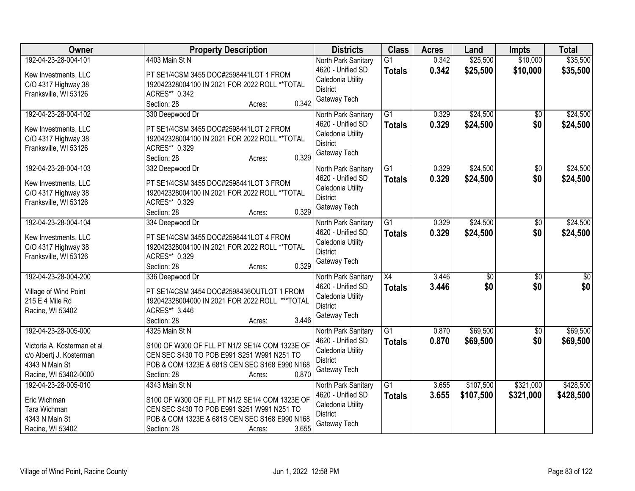| Owner                                                                                                                      | <b>Property Description</b>                                                                                                                                                                       | <b>Districts</b>                                                                                 | <b>Class</b>                     | <b>Acres</b>   | Land                   | <b>Impts</b>           | <b>Total</b>            |
|----------------------------------------------------------------------------------------------------------------------------|---------------------------------------------------------------------------------------------------------------------------------------------------------------------------------------------------|--------------------------------------------------------------------------------------------------|----------------------------------|----------------|------------------------|------------------------|-------------------------|
| 192-04-23-28-004-101<br>Kew Investments, LLC<br>C/O 4317 Highway 38<br>Franksville, WI 53126                               | 4403 Main St N<br>PT SE1/4CSM 3455 DOC#2598441LOT 1 FROM<br>192042328004100 IN 2021 FOR 2022 ROLL ** TOTAL<br>ACRES** 0.342<br>0.342<br>Section: 28<br>Acres:                                     | North Park Sanitary<br>4620 - Unified SD<br>Caledonia Utility<br><b>District</b><br>Gateway Tech | $\overline{G1}$<br><b>Totals</b> | 0.342<br>0.342 | \$25,500<br>\$25,500   | \$10,000<br>\$10,000   | \$35,500<br>\$35,500    |
| 192-04-23-28-004-102<br>Kew Investments, LLC<br>C/O 4317 Highway 38<br>Franksville, WI 53126                               | 330 Deepwood Dr<br>PT SE1/4CSM 3455 DOC#2598441LOT 2 FROM<br>192042328004100 IN 2021 FOR 2022 ROLL ** TOTAL<br>ACRES** 0.329<br>0.329<br>Section: 28<br>Acres:                                    | North Park Sanitary<br>4620 - Unified SD<br>Caledonia Utility<br><b>District</b><br>Gateway Tech | $\overline{G1}$<br><b>Totals</b> | 0.329<br>0.329 | \$24,500<br>\$24,500   | $\overline{50}$<br>\$0 | \$24,500<br>\$24,500    |
| 192-04-23-28-004-103<br>Kew Investments, LLC<br>C/O 4317 Highway 38<br>Franksville, WI 53126                               | 332 Deepwood Dr<br>PT SE1/4CSM 3455 DOC#2598441LOT 3 FROM<br>192042328004100 IN 2021 FOR 2022 ROLL ** TOTAL<br>ACRES** 0.329<br>0.329<br>Section: 28<br>Acres:                                    | North Park Sanitary<br>4620 - Unified SD<br>Caledonia Utility<br><b>District</b><br>Gateway Tech | $\overline{G1}$<br><b>Totals</b> | 0.329<br>0.329 | \$24,500<br>\$24,500   | $\overline{50}$<br>\$0 | \$24,500<br>\$24,500    |
| 192-04-23-28-004-104<br>Kew Investments, LLC<br>C/O 4317 Highway 38<br>Franksville, WI 53126                               | 334 Deepwood Dr<br>PT SE1/4CSM 3455 DOC#2598441LOT 4 FROM<br>192042328004100 IN 2021 FOR 2022 ROLL ** TOTAL<br>ACRES** 0.329<br>0.329<br>Section: 28<br>Acres:                                    | North Park Sanitary<br>4620 - Unified SD<br>Caledonia Utility<br><b>District</b><br>Gateway Tech | $\overline{G1}$<br><b>Totals</b> | 0.329<br>0.329 | \$24,500<br>\$24,500   | \$0<br>\$0             | \$24,500<br>\$24,500    |
| 192-04-23-28-004-200<br>Village of Wind Point<br>215 E 4 Mile Rd<br>Racine, WI 53402                                       | 336 Deepwood Dr<br>PT SE1/4CSM 3454 DOC#2598436OUTLOT 1 FROM<br>192042328004000 IN 2021 FOR 2022 ROLL *** TOTAL<br>ACRES** 3.446<br>3.446<br>Section: 28<br>Acres:                                | North Park Sanitary<br>4620 - Unified SD<br>Caledonia Utility<br><b>District</b><br>Gateway Tech | $\overline{X4}$<br><b>Totals</b> | 3.446<br>3.446 | $\overline{50}$<br>\$0 | $\overline{50}$<br>\$0 | $\overline{\$0}$<br>\$0 |
| 192-04-23-28-005-000<br>Victoria A. Kosterman et al<br>c/o Albertj J. Kosterman<br>4343 N Main St<br>Racine, WI 53402-0000 | 4325 Main St N<br>S100 OF W300 OF FLL PT N1/2 SE1/4 COM 1323E OF<br>CEN SEC S430 TO POB E991 S251 W991 N251 TO<br>POB & COM 1323E & 681S CEN SEC S168 E990 N168<br>0.870<br>Section: 28<br>Acres: | North Park Sanitary<br>4620 - Unified SD<br>Caledonia Utility<br><b>District</b><br>Gateway Tech | $\overline{G1}$<br><b>Totals</b> | 0.870<br>0.870 | \$69,500<br>\$69,500   | $\overline{50}$<br>\$0 | \$69,500<br>\$69,500    |
| 192-04-23-28-005-010<br>Eric Wichman<br>Tara Wichman<br>4343 N Main St<br>Racine, WI 53402                                 | 4343 Main St N<br>S100 OF W300 OF FLL PT N1/2 SE1/4 COM 1323E OF<br>CEN SEC S430 TO POB E991 S251 W991 N251 TO<br>POB & COM 1323E & 681S CEN SEC S168 E990 N168<br>3.655<br>Section: 28<br>Acres: | North Park Sanitary<br>4620 - Unified SD<br>Caledonia Utility<br><b>District</b><br>Gateway Tech | $\overline{G1}$<br><b>Totals</b> | 3.655<br>3.655 | \$107,500<br>\$107,500 | \$321,000<br>\$321,000 | \$428,500<br>\$428,500  |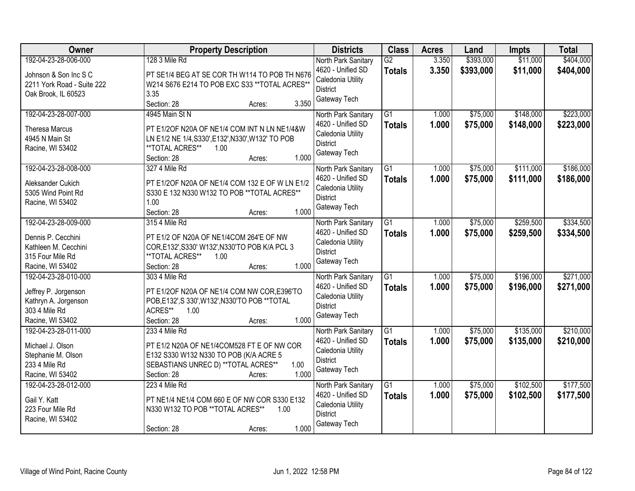| Owner                                                                                                      | <b>Property Description</b>                                                                                                                                                             | <b>Districts</b>                                                                                 | <b>Class</b>                     | <b>Acres</b>   | Land                   | <b>Impts</b>           | <b>Total</b>           |
|------------------------------------------------------------------------------------------------------------|-----------------------------------------------------------------------------------------------------------------------------------------------------------------------------------------|--------------------------------------------------------------------------------------------------|----------------------------------|----------------|------------------------|------------------------|------------------------|
| 192-04-23-28-006-000<br>Johnson & Son Inc S C<br>2211 York Road - Suite 222<br>Oak Brook, IL 60523         | 128 3 Mile Rd<br>PT SE1/4 BEG AT SE COR TH W114 TO POB TH N676<br>W214 S676 E214 TO POB EXC S33 ** TOTAL ACRES**<br>3.35<br>3.350<br>Section: 28<br>Acres:                              | North Park Sanitary<br>4620 - Unified SD<br>Caledonia Utility<br><b>District</b><br>Gateway Tech | $\overline{G2}$<br><b>Totals</b> | 3.350<br>3.350 | \$393,000<br>\$393,000 | \$11,000<br>\$11,000   | \$404,000<br>\$404,000 |
| 192-04-23-28-007-000<br><b>Theresa Marcus</b><br>4945 N Main St<br>Racine, WI 53402                        | 4945 Main St N<br>PT E1/2OF N20A OF NE1/4 COM INT N LN NE1/4&W<br>LN E1/2 NE 1/4, S330', E132', N330', W132' TO POB<br>**TOTAL ACRES**<br>1.00<br>1.000<br>Section: 28<br>Acres:        | North Park Sanitary<br>4620 - Unified SD<br>Caledonia Utility<br><b>District</b><br>Gateway Tech | $\overline{G1}$<br><b>Totals</b> | 1.000<br>1.000 | \$75,000<br>\$75,000   | \$148,000<br>\$148,000 | \$223,000<br>\$223,000 |
| 192-04-23-28-008-000<br>Aleksander Cukich<br>5305 Wind Point Rd<br>Racine, WI 53402                        | 327 4 Mile Rd<br>PT E1/2OF N20A OF NE1/4 COM 132 E OF W LN E1/2<br>S330 E 132 N330 W132 TO POB ** TOTAL ACRES**<br>1.00<br>1.000<br>Section: 28<br>Acres:                               | North Park Sanitary<br>4620 - Unified SD<br>Caledonia Utility<br><b>District</b><br>Gateway Tech | $\overline{G1}$<br><b>Totals</b> | 1.000<br>1.000 | \$75,000<br>\$75,000   | \$111,000<br>\$111,000 | \$186,000<br>\$186,000 |
| 192-04-23-28-009-000<br>Dennis P. Cecchini<br>Kathleen M. Cecchini<br>315 Four Mile Rd<br>Racine, WI 53402 | 315 4 Mile Rd<br>PT E1/2 OF N20A OF NE1/4COM 264'E OF NW<br>COR, E132', S330' W132', N330'TO POB K/A PCL 3<br>**TOTAL ACRES**<br>1.00<br>1.000<br>Section: 28<br>Acres:                 | North Park Sanitary<br>4620 - Unified SD<br>Caledonia Utility<br><b>District</b><br>Gateway Tech | G1<br><b>Totals</b>              | 1.000<br>1.000 | \$75,000<br>\$75,000   | \$259,500<br>\$259,500 | \$334,500<br>\$334,500 |
| 192-04-23-28-010-000<br>Jeffrey P. Jorgenson<br>Kathryn A. Jorgenson<br>303 4 Mile Rd<br>Racine, WI 53402  | 303 4 Mile Rd<br>PT E1/2OF N20A OF NE1/4 COM NW COR, E396'TO<br>POB, E132', S 330', W132', N330'TO POB ** TOTAL<br>ACRES**<br>1.00<br>1.000<br>Section: 28<br>Acres:                    | North Park Sanitary<br>4620 - Unified SD<br>Caledonia Utility<br><b>District</b><br>Gateway Tech | $\overline{G1}$<br><b>Totals</b> | 1.000<br>1.000 | \$75,000<br>\$75,000   | \$196,000<br>\$196,000 | \$271,000<br>\$271,000 |
| 192-04-23-28-011-000<br>Michael J. Olson<br>Stephanie M. Olson<br>233 4 Mile Rd<br>Racine, WI 53402        | 233 4 Mile Rd<br>PT E1/2 N20A OF NE1/4COM528 FT E OF NW COR<br>E132 S330 W132 N330 TO POB (K/A ACRE 5<br>SEBASTIANS UNREC D) ** TOTAL ACRES**<br>1.00<br>1.000<br>Section: 28<br>Acres: | North Park Sanitary<br>4620 - Unified SD<br>Caledonia Utility<br><b>District</b><br>Gateway Tech | $\overline{G1}$<br><b>Totals</b> | 1.000<br>1.000 | \$75,000<br>\$75,000   | \$135,000<br>\$135,000 | \$210,000<br>\$210,000 |
| 192-04-23-28-012-000<br>Gail Y. Katt<br>223 Four Mile Rd<br>Racine, WI 53402                               | 223 4 Mile Rd<br>PT NE1/4 NE1/4 COM 660 E OF NW COR S330 E132<br>N330 W132 TO POB ** TOTAL ACRES**<br>1.00<br>1.000<br>Section: 28<br>Acres:                                            | North Park Sanitary<br>4620 - Unified SD<br>Caledonia Utility<br><b>District</b><br>Gateway Tech | $\overline{G1}$<br><b>Totals</b> | 1.000<br>1.000 | \$75,000<br>\$75,000   | \$102,500<br>\$102,500 | \$177,500<br>\$177,500 |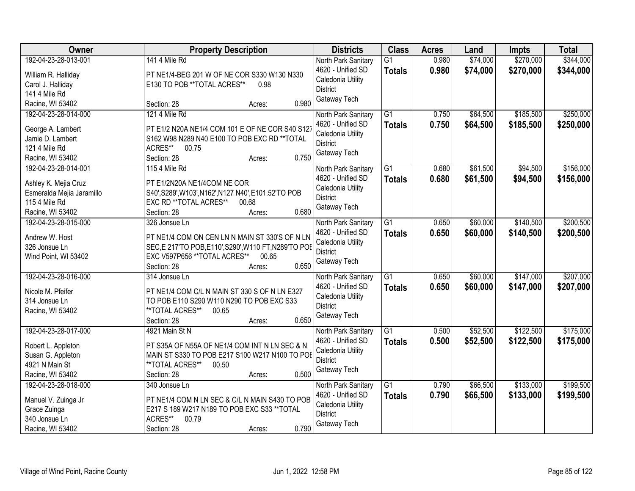| Owner                                                                                                          | <b>Property Description</b>                                                                                                                                                                          | <b>Districts</b>                                                                                 | <b>Class</b>                     | <b>Acres</b>   | Land                 | <b>Impts</b>           | <b>Total</b>           |
|----------------------------------------------------------------------------------------------------------------|------------------------------------------------------------------------------------------------------------------------------------------------------------------------------------------------------|--------------------------------------------------------------------------------------------------|----------------------------------|----------------|----------------------|------------------------|------------------------|
| 192-04-23-28-013-001<br>William R. Halliday<br>Carol J. Halliday<br>141 4 Mile Rd                              | 141 4 Mile Rd<br>PT NE1/4-BEG 201 W OF NE COR S330 W130 N330<br>E130 TO POB **TOTAL ACRES**<br>0.98                                                                                                  | North Park Sanitary<br>4620 - Unified SD<br>Caledonia Utility<br><b>District</b>                 | $\overline{G1}$<br><b>Totals</b> | 0.980<br>0.980 | \$74,000<br>\$74,000 | \$270,000<br>\$270,000 | \$344,000<br>\$344,000 |
| Racine, WI 53402                                                                                               | 0.980<br>Section: 28<br>Acres:                                                                                                                                                                       | Gateway Tech                                                                                     |                                  |                |                      |                        |                        |
| 192-04-23-28-014-000<br>George A. Lambert<br>Jamie D. Lambert<br>121 4 Mile Rd<br>Racine, WI 53402             | 121 4 Mile Rd<br>PT E1/2 N20A NE1/4 COM 101 E OF NE COR S40 S127<br>S162 W98 N289 N40 E100 TO POB EXC RD ** TOTAL<br>ACRES**<br>00.75<br>0.750<br>Section: 28<br>Acres:                              | North Park Sanitary<br>4620 - Unified SD<br>Caledonia Utility<br><b>District</b><br>Gateway Tech | $\overline{G1}$<br><b>Totals</b> | 0.750<br>0.750 | \$64,500<br>\$64,500 | \$185,500<br>\$185,500 | \$250,000<br>\$250,000 |
| 192-04-23-28-014-001<br>Ashley K. Mejia Cruz<br>Esmeralda Mejia Jaramillo<br>115 4 Mile Rd<br>Racine, WI 53402 | 115 4 Mile Rd<br>PT E1/2N20A NE1/4COM NE COR<br>S40', S289', W103', N162', N127 N40', E101.52'TO POB<br>EXC RD ** TOTAL ACRES**<br>00.68<br>0.680<br>Section: 28<br>Acres:                           | North Park Sanitary<br>4620 - Unified SD<br>Caledonia Utility<br><b>District</b><br>Gateway Tech | $\overline{G1}$<br><b>Totals</b> | 0.680<br>0.680 | \$61,500<br>\$61,500 | \$94,500<br>\$94,500   | \$156,000<br>\$156,000 |
| 192-04-23-28-015-000<br>Andrew W. Host<br>326 Jonsue Ln<br>Wind Point, WI 53402                                | 326 Jonsue Ln<br>PT NE1/4 COM ON CEN LN N MAIN ST 330'S OF N LN<br>SEC, E 217'TO POB, E110', S290', W110 FT, N289'TO POE<br>EXC V597P656 ** TOTAL ACRES**<br>00.65<br>0.650<br>Section: 28<br>Acres: | North Park Sanitary<br>4620 - Unified SD<br>Caledonia Utility<br>District<br>Gateway Tech        | G1<br><b>Totals</b>              | 0.650<br>0.650 | \$60,000<br>\$60,000 | \$140,500<br>\$140,500 | \$200,500<br>\$200,500 |
| 192-04-23-28-016-000<br>Nicole M. Pfeifer<br>314 Jonsue Ln<br>Racine, WI 53402                                 | 314 Jonsue Ln<br>PT NE1/4 COM C/L N MAIN ST 330 S OF N LN E327<br>TO POB E110 S290 W110 N290 TO POB EXC S33<br>**TOTAL ACRES**<br>00.65<br>0.650<br>Section: 28<br>Acres:                            | North Park Sanitary<br>4620 - Unified SD<br>Caledonia Utility<br><b>District</b><br>Gateway Tech | $\overline{G1}$<br><b>Totals</b> | 0.650<br>0.650 | \$60,000<br>\$60,000 | \$147,000<br>\$147,000 | \$207,000<br>\$207,000 |
| 192-04-23-28-017-000<br>Robert L. Appleton<br>Susan G. Appleton<br>4921 N Main St<br>Racine, WI 53402          | 4921 Main St N<br>PT S35A OF N55A OF NE1/4 COM INT N LN SEC & N<br>MAIN ST S330 TO POB E217 S100 W217 N100 TO POE<br>**TOTAL ACRES**<br>00.50<br>0.500<br>Section: 28<br>Acres:                      | North Park Sanitary<br>4620 - Unified SD<br>Caledonia Utility<br><b>District</b><br>Gateway Tech | $\overline{G1}$<br><b>Totals</b> | 0.500<br>0.500 | \$52,500<br>\$52,500 | \$122,500<br>\$122,500 | \$175,000<br>\$175,000 |
| 192-04-23-28-018-000<br>Manuel V. Zuinga Jr<br>Grace Zuinga<br>340 Jonsue Ln<br>Racine, WI 53402               | 340 Jonsue Ln<br>PT NE1/4 COM N LN SEC & C/L N MAIN S430 TO POB<br>E217 S 189 W217 N189 TO POB EXC S33 ** TOTAL<br>ACRES**<br>00.79<br>0.790<br>Section: 28<br>Acres:                                | North Park Sanitary<br>4620 - Unified SD<br>Caledonia Utility<br><b>District</b><br>Gateway Tech | $\overline{G1}$<br><b>Totals</b> | 0.790<br>0.790 | \$66,500<br>\$66,500 | \$133,000<br>\$133,000 | \$199,500<br>\$199,500 |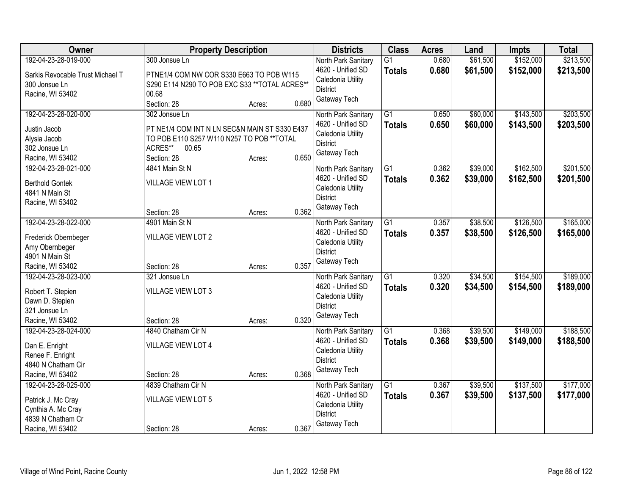| Owner                            | <b>Property Description</b>                    |        |       | <b>Districts</b>    | <b>Class</b>    | <b>Acres</b> | Land     | <b>Impts</b> | <b>Total</b> |
|----------------------------------|------------------------------------------------|--------|-------|---------------------|-----------------|--------------|----------|--------------|--------------|
| 192-04-23-28-019-000             | 300 Jonsue Ln                                  |        |       | North Park Sanitary | $\overline{G1}$ | 0.680        | \$61,500 | \$152,000    | \$213,500    |
| Sarkis Revocable Trust Michael T | PTNE1/4 COM NW COR S330 E663 TO POB W115       |        |       | 4620 - Unified SD   | <b>Totals</b>   | 0.680        | \$61,500 | \$152,000    | \$213,500    |
| 300 Jonsue Ln                    | S290 E114 N290 TO POB EXC S33 ** TOTAL ACRES** |        |       | Caledonia Utility   |                 |              |          |              |              |
| Racine, WI 53402                 | 00.68                                          |        |       | <b>District</b>     |                 |              |          |              |              |
|                                  | Section: 28                                    | Acres: | 0.680 | Gateway Tech        |                 |              |          |              |              |
| 192-04-23-28-020-000             | 302 Jonsue Ln                                  |        |       | North Park Sanitary | $\overline{G1}$ | 0.650        | \$60,000 | \$143,500    | \$203,500    |
| Justin Jacob                     | PT NE1/4 COM INT N LN SEC&N MAIN ST S330 E437  |        |       | 4620 - Unified SD   | <b>Totals</b>   | 0.650        | \$60,000 | \$143,500    | \$203,500    |
| Alysia Jacob                     | TO POB E110 S257 W110 N257 TO POB ** TOTAL     |        |       | Caledonia Utility   |                 |              |          |              |              |
| 302 Jonsue Ln                    | ACRES**<br>00.65                               |        |       | <b>District</b>     |                 |              |          |              |              |
| Racine, WI 53402                 | Section: 28                                    | Acres: | 0.650 | Gateway Tech        |                 |              |          |              |              |
| 192-04-23-28-021-000             | 4841 Main St N                                 |        |       | North Park Sanitary | G1              | 0.362        | \$39,000 | \$162,500    | \$201,500    |
|                                  |                                                |        |       | 4620 - Unified SD   | <b>Totals</b>   | 0.362        | \$39,000 | \$162,500    | \$201,500    |
| <b>Berthold Gontek</b>           | VILLAGE VIEW LOT 1                             |        |       | Caledonia Utility   |                 |              |          |              |              |
| 4841 N Main St                   |                                                |        |       | <b>District</b>     |                 |              |          |              |              |
| Racine, WI 53402                 |                                                |        |       | Gateway Tech        |                 |              |          |              |              |
|                                  | Section: 28                                    | Acres: | 0.362 |                     |                 |              |          |              |              |
| 192-04-23-28-022-000             | 4901 Main St N                                 |        |       | North Park Sanitary | $\overline{G1}$ | 0.357        | \$38,500 | \$126,500    | \$165,000    |
| Frederick Obernbeger             | <b>VILLAGE VIEW LOT 2</b>                      |        |       | 4620 - Unified SD   | <b>Totals</b>   | 0.357        | \$38,500 | \$126,500    | \$165,000    |
| Amy Obernbeger                   |                                                |        |       | Caledonia Utility   |                 |              |          |              |              |
| 4901 N Main St                   |                                                |        |       | <b>District</b>     |                 |              |          |              |              |
| Racine, WI 53402                 | Section: 28                                    | Acres: | 0.357 | Gateway Tech        |                 |              |          |              |              |
| 192-04-23-28-023-000             | 321 Jonsue Ln                                  |        |       | North Park Sanitary | $\overline{G1}$ | 0.320        | \$34,500 | \$154,500    | \$189,000    |
| Robert T. Stepien                | VILLAGE VIEW LOT 3                             |        |       | 4620 - Unified SD   | <b>Totals</b>   | 0.320        | \$34,500 | \$154,500    | \$189,000    |
| Dawn D. Stepien                  |                                                |        |       | Caledonia Utility   |                 |              |          |              |              |
| 321 Jonsue Ln                    |                                                |        |       | <b>District</b>     |                 |              |          |              |              |
| Racine, WI 53402                 | Section: 28                                    | Acres: | 0.320 | Gateway Tech        |                 |              |          |              |              |
| 192-04-23-28-024-000             | 4840 Chatham Cir N                             |        |       | North Park Sanitary | $\overline{G1}$ | 0.368        | \$39,500 | \$149,000    | \$188,500    |
|                                  |                                                |        |       | 4620 - Unified SD   | <b>Totals</b>   | 0.368        | \$39,500 | \$149,000    | \$188,500    |
| Dan E. Enright                   | <b>VILLAGE VIEW LOT 4</b>                      |        |       | Caledonia Utility   |                 |              |          |              |              |
| Renee F. Enright                 |                                                |        |       | <b>District</b>     |                 |              |          |              |              |
| 4840 N Chatham Cir               |                                                |        |       | Gateway Tech        |                 |              |          |              |              |
| Racine, WI 53402                 | Section: 28                                    | Acres: | 0.368 |                     |                 |              |          |              |              |
| 192-04-23-28-025-000             | 4839 Chatham Cir N                             |        |       | North Park Sanitary | $\overline{G1}$ | 0.367        | \$39,500 | \$137,500    | \$177,000    |
| Patrick J. Mc Cray               | <b>VILLAGE VIEW LOT 5</b>                      |        |       | 4620 - Unified SD   | <b>Totals</b>   | 0.367        | \$39,500 | \$137,500    | \$177,000    |
| Cynthia A. Mc Cray               |                                                |        |       | Caledonia Utility   |                 |              |          |              |              |
| 4839 N Chatham Cr                |                                                |        |       | <b>District</b>     |                 |              |          |              |              |
| Racine, WI 53402                 | Section: 28                                    | Acres: | 0.367 | Gateway Tech        |                 |              |          |              |              |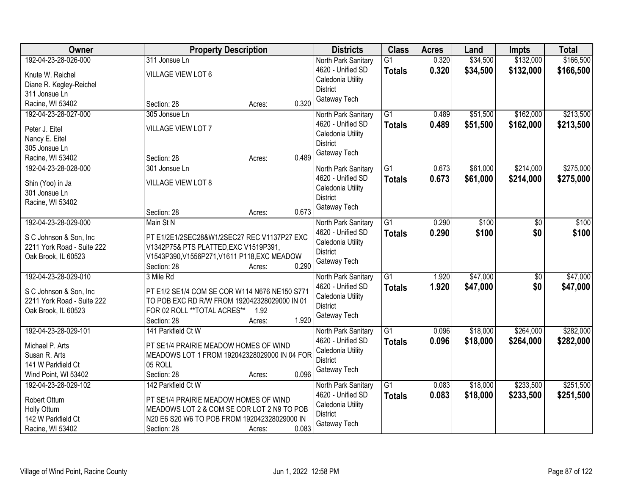| Owner                      | <b>Property Description</b>                                 |       | <b>Districts</b>                     | <b>Class</b>    | <b>Acres</b> | Land     | <b>Impts</b>    | <b>Total</b> |
|----------------------------|-------------------------------------------------------------|-------|--------------------------------------|-----------------|--------------|----------|-----------------|--------------|
| 192-04-23-28-026-000       | 311 Jonsue Ln                                               |       | North Park Sanitary                  | $\overline{G1}$ | 0.320        | \$34,500 | \$132,000       | \$166,500    |
| Knute W. Reichel           | VILLAGE VIEW LOT 6                                          |       | 4620 - Unified SD                    | <b>Totals</b>   | 0.320        | \$34,500 | \$132,000       | \$166,500    |
| Diane R. Kegley-Reichel    |                                                             |       | Caledonia Utility                    |                 |              |          |                 |              |
| 311 Jonsue Ln              |                                                             |       | <b>District</b>                      |                 |              |          |                 |              |
| Racine, WI 53402           | Section: 28<br>Acres:                                       | 0.320 | Gateway Tech                         |                 |              |          |                 |              |
| 192-04-23-28-027-000       | 305 Jonsue Ln                                               |       | North Park Sanitary                  | $\overline{G1}$ | 0.489        | \$51,500 | \$162,000       | \$213,500    |
|                            |                                                             |       | 4620 - Unified SD                    | <b>Totals</b>   | 0.489        | \$51,500 | \$162,000       | \$213,500    |
| Peter J. Eitel             | VILLAGE VIEW LOT 7                                          |       | Caledonia Utility                    |                 |              |          |                 |              |
| Nancy E. Eitel             |                                                             |       | <b>District</b>                      |                 |              |          |                 |              |
| 305 Jonsue Ln              |                                                             |       | Gateway Tech                         |                 |              |          |                 |              |
| Racine, WI 53402           | Section: 28<br>Acres:                                       | 0.489 |                                      |                 |              |          |                 |              |
| 192-04-23-28-028-000       | 301 Jonsue Ln                                               |       | North Park Sanitary                  | G1              | 0.673        | \$61,000 | \$214,000       | \$275,000    |
| Shin (Yoo) in Ja           | <b>VILLAGE VIEW LOT 8</b>                                   |       | 4620 - Unified SD                    | <b>Totals</b>   | 0.673        | \$61,000 | \$214,000       | \$275,000    |
| 301 Jonsue Ln              |                                                             |       | Caledonia Utility                    |                 |              |          |                 |              |
| Racine, WI 53402           |                                                             |       | <b>District</b>                      |                 |              |          |                 |              |
|                            | Section: 28<br>Acres:                                       | 0.673 | Gateway Tech                         |                 |              |          |                 |              |
| 192-04-23-28-029-000       | Main St N                                                   |       | North Park Sanitary                  | G1              | 0.290        | \$100    | \$0             | \$100        |
|                            |                                                             |       | 4620 - Unified SD                    | <b>Totals</b>   | 0.290        | \$100    | \$0             | \$100        |
| S C Johnson & Son, Inc.    | PT E1/2E1/2SEC28&W1/2SEC27 REC V1137P27 EXC                 |       | Caledonia Utility                    |                 |              |          |                 |              |
| 2211 York Road - Suite 222 | V1342P75& PTS PLATTED, EXC V1519P391,                       |       | <b>District</b>                      |                 |              |          |                 |              |
| Oak Brook, IL 60523        | V1543P390, V1556P271, V1611 P118, EXC MEADOW<br>Section: 28 | 0.290 | Gateway Tech                         |                 |              |          |                 |              |
| 192-04-23-28-029-010       | Acres:<br>3 Mile Rd                                         |       |                                      | $\overline{G1}$ | 1.920        | \$47,000 | $\overline{50}$ | \$47,000     |
|                            |                                                             |       | North Park Sanitary                  |                 |              |          |                 |              |
| S C Johnson & Son, Inc     | PT E1/2 SE1/4 COM SE COR W114 N676 NE150 S771               |       | 4620 - Unified SD                    | <b>Totals</b>   | 1.920        | \$47,000 | \$0             | \$47,000     |
| 2211 York Road - Suite 222 | TO POB EXC RD R/W FROM 192042328029000 IN 01                |       | Caledonia Utility<br><b>District</b> |                 |              |          |                 |              |
| Oak Brook, IL 60523        | FOR 02 ROLL ** TOTAL ACRES**<br>1.92                        |       | Gateway Tech                         |                 |              |          |                 |              |
|                            | Section: 28<br>Acres:                                       | 1.920 |                                      |                 |              |          |                 |              |
| 192-04-23-28-029-101       | 141 Parkfield Ct W                                          |       | North Park Sanitary                  | $\overline{G1}$ | 0.096        | \$18,000 | \$264,000       | \$282,000    |
| Michael P. Arts            | PT SE1/4 PRAIRIE MEADOW HOMES OF WIND                       |       | 4620 - Unified SD                    | <b>Totals</b>   | 0.096        | \$18,000 | \$264,000       | \$282,000    |
| Susan R. Arts              | MEADOWS LOT 1 FROM 192042328029000 IN 04 FOR                |       | Caledonia Utility                    |                 |              |          |                 |              |
| 141 W Parkfield Ct         | 05 ROLL                                                     |       | <b>District</b>                      |                 |              |          |                 |              |
| Wind Point, WI 53402       | Section: 28<br>Acres:                                       | 0.096 | Gateway Tech                         |                 |              |          |                 |              |
| 192-04-23-28-029-102       | 142 Parkfield Ct W                                          |       | North Park Sanitary                  | $\overline{G1}$ | 0.083        | \$18,000 | \$233,500       | \$251,500    |
|                            |                                                             |       | 4620 - Unified SD                    | <b>Totals</b>   | 0.083        | \$18,000 | \$233,500       | \$251,500    |
| Robert Ottum               | PT SE1/4 PRAIRIE MEADOW HOMES OF WIND                       |       | Caledonia Utility                    |                 |              |          |                 |              |
| Holly Ottum                | MEADOWS LOT 2 & COM SE COR LOT 2 N9 TO POB                  |       | <b>District</b>                      |                 |              |          |                 |              |
| 142 W Parkfield Ct         | N20 E6 S20 W6 TO POB FROM 192042328029000 IN                |       | Gateway Tech                         |                 |              |          |                 |              |
| Racine, WI 53402           | Section: 28<br>Acres:                                       | 0.083 |                                      |                 |              |          |                 |              |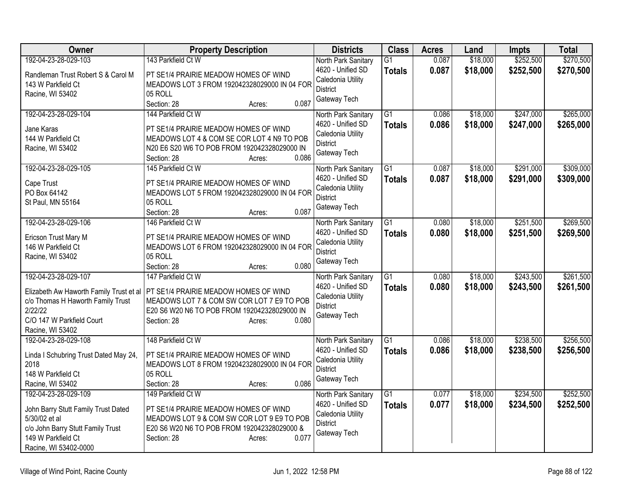| Owner                                   | <b>Property Description</b>                  | <b>Districts</b>                     | <b>Class</b>    | <b>Acres</b> | Land     | <b>Impts</b> | <b>Total</b> |
|-----------------------------------------|----------------------------------------------|--------------------------------------|-----------------|--------------|----------|--------------|--------------|
| 192-04-23-28-029-103                    | 143 Parkfield Ct W                           | North Park Sanitary                  | $\overline{G1}$ | 0.087        | \$18,000 | \$252,500    | \$270,500    |
| Randleman Trust Robert S & Carol M      | PT SE1/4 PRAIRIE MEADOW HOMES OF WIND        | 4620 - Unified SD                    | <b>Totals</b>   | 0.087        | \$18,000 | \$252,500    | \$270,500    |
| 143 W Parkfield Ct                      | MEADOWS LOT 3 FROM 192042328029000 IN 04 FOR | Caledonia Utility<br><b>District</b> |                 |              |          |              |              |
| Racine, WI 53402                        | 05 ROLL                                      | Gateway Tech                         |                 |              |          |              |              |
|                                         | Section: 28<br>0.087<br>Acres:               |                                      |                 |              |          |              |              |
| 192-04-23-28-029-104                    | 144 Parkfield Ct W                           | North Park Sanitary                  | $\overline{G1}$ | 0.086        | \$18,000 | \$247,000    | \$265,000    |
| Jane Karas                              | PT SE1/4 PRAIRIE MEADOW HOMES OF WIND        | 4620 - Unified SD                    | <b>Totals</b>   | 0.086        | \$18,000 | \$247,000    | \$265,000    |
| 144 W Parkfield Ct                      | MEADOWS LOT 4 & COM SE COR LOT 4 N9 TO POB   | Caledonia Utility<br><b>District</b> |                 |              |          |              |              |
| Racine, WI 53402                        | N20 E6 S20 W6 TO POB FROM 192042328029000 IN | Gateway Tech                         |                 |              |          |              |              |
|                                         | 0.086<br>Section: 28<br>Acres:               |                                      |                 |              |          |              |              |
| 192-04-23-28-029-105                    | 145 Parkfield Ct W                           | North Park Sanitary                  | $\overline{G1}$ | 0.087        | \$18,000 | \$291,000    | \$309,000    |
| Cape Trust                              | PT SE1/4 PRAIRIE MEADOW HOMES OF WIND        | 4620 - Unified SD                    | <b>Totals</b>   | 0.087        | \$18,000 | \$291,000    | \$309,000    |
| PO Box 64142                            | MEADOWS LOT 5 FROM 192042328029000 IN 04 FOR | Caledonia Utility<br><b>District</b> |                 |              |          |              |              |
| St Paul, MN 55164                       | 05 ROLL                                      | Gateway Tech                         |                 |              |          |              |              |
|                                         | 0.087<br>Section: 28<br>Acres:               |                                      |                 |              |          |              |              |
| 192-04-23-28-029-106                    | 146 Parkfield Ct W                           | North Park Sanitary                  | $\overline{G1}$ | 0.080        | \$18,000 | \$251,500    | \$269,500    |
| Ericson Trust Mary M                    | PT SE1/4 PRAIRIE MEADOW HOMES OF WIND        | 4620 - Unified SD                    | <b>Totals</b>   | 0.080        | \$18,000 | \$251,500    | \$269,500    |
| 146 W Parkfield Ct                      | MEADOWS LOT 6 FROM 192042328029000 IN 04 FOR | Caledonia Utility<br><b>District</b> |                 |              |          |              |              |
| Racine, WI 53402                        | 05 ROLL                                      | Gateway Tech                         |                 |              |          |              |              |
|                                         | 0.080<br>Section: 28<br>Acres:               |                                      |                 |              |          |              |              |
| 192-04-23-28-029-107                    | 147 Parkfield Ct W                           | North Park Sanitary                  | $\overline{G1}$ | 0.080        | \$18,000 | \$243,500    | \$261,500    |
| Elizabeth Aw Haworth Family Trust et al | PT SE1/4 PRAIRIE MEADOW HOMES OF WIND        | 4620 - Unified SD                    | <b>Totals</b>   | 0.080        | \$18,000 | \$243,500    | \$261,500    |
| c/o Thomas H Haworth Family Trust       | MEADOWS LOT 7 & COM SW COR LOT 7 E9 TO POB   | Caledonia Utility                    |                 |              |          |              |              |
| 2/22/22                                 | E20 S6 W20 N6 TO POB FROM 192042328029000 IN | <b>District</b><br>Gateway Tech      |                 |              |          |              |              |
| C/O 147 W Parkfield Court               | 0.080<br>Section: 28<br>Acres:               |                                      |                 |              |          |              |              |
| Racine, WI 53402                        |                                              |                                      |                 |              |          |              |              |
| 192-04-23-28-029-108                    | 148 Parkfield Ct W                           | North Park Sanitary                  | $\overline{G1}$ | 0.086        | \$18,000 | \$238,500    | \$256,500    |
| Linda I Schubring Trust Dated May 24,   | PT SE1/4 PRAIRIE MEADOW HOMES OF WIND        | 4620 - Unified SD                    | <b>Totals</b>   | 0.086        | \$18,000 | \$238,500    | \$256,500    |
| 2018                                    | MEADOWS LOT 8 FROM 192042328029000 IN 04 FOR | Caledonia Utility<br><b>District</b> |                 |              |          |              |              |
| 148 W Parkfield Ct                      | 05 ROLL                                      | Gateway Tech                         |                 |              |          |              |              |
| Racine, WI 53402                        | 0.086<br>Section: 28<br>Acres:               |                                      |                 |              |          |              |              |
| 192-04-23-28-029-109                    | 149 Parkfield Ct W                           | North Park Sanitary                  | $\overline{G1}$ | 0.077        | \$18,000 | \$234,500    | \$252,500    |
| John Barry Stutt Family Trust Dated     | PT SE1/4 PRAIRIE MEADOW HOMES OF WIND        | 4620 - Unified SD                    | <b>Totals</b>   | 0.077        | \$18,000 | \$234,500    | \$252,500    |
| 5/30/02 et al                           | MEADOWS LOT 9 & COM SW COR LOT 9 E9 TO POB   | Caledonia Utility                    |                 |              |          |              |              |
| c/o John Barry Stutt Family Trust       | E20 S6 W20 N6 TO POB FROM 192042328029000 &  | <b>District</b><br>Gateway Tech      |                 |              |          |              |              |
| 149 W Parkfield Ct                      | Section: 28<br>0.077<br>Acres:               |                                      |                 |              |          |              |              |
| Racine, WI 53402-0000                   |                                              |                                      |                 |              |          |              |              |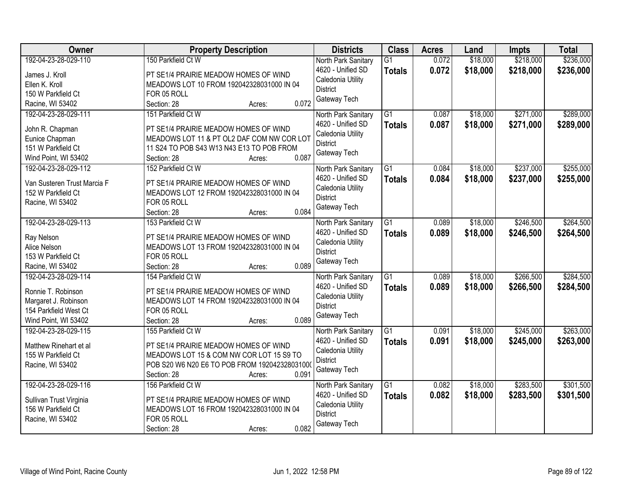| Owner                                | <b>Property Description</b>                                                         | <b>Districts</b>                     | <b>Class</b>    | <b>Acres</b> | Land     | <b>Impts</b> | <b>Total</b> |
|--------------------------------------|-------------------------------------------------------------------------------------|--------------------------------------|-----------------|--------------|----------|--------------|--------------|
| 192-04-23-28-029-110                 | 150 Parkfield Ct W                                                                  | North Park Sanitary                  | $\overline{G1}$ | 0.072        | \$18,000 | \$218,000    | \$236,000    |
| James J. Kroll                       | PT SE1/4 PRAIRIE MEADOW HOMES OF WIND                                               | 4620 - Unified SD                    | <b>Totals</b>   | 0.072        | \$18,000 | \$218,000    | \$236,000    |
| Ellen K. Kroll                       | MEADOWS LOT 10 FROM 192042328031000 IN 04                                           | Caledonia Utility                    |                 |              |          |              |              |
| 150 W Parkfield Ct                   | FOR 05 ROLL                                                                         | <b>District</b>                      |                 |              |          |              |              |
| Racine, WI 53402                     | 0.072<br>Section: 28<br>Acres:                                                      | Gateway Tech                         |                 |              |          |              |              |
| 192-04-23-28-029-111                 | 151 Parkfield Ct W                                                                  | North Park Sanitary                  | $\overline{G1}$ | 0.087        | \$18,000 | \$271,000    | \$289,000    |
|                                      |                                                                                     | 4620 - Unified SD                    | <b>Totals</b>   | 0.087        | \$18,000 | \$271,000    | \$289,000    |
| John R. Chapman                      | PT SE1/4 PRAIRIE MEADOW HOMES OF WIND<br>MEADOWS LOT 11 & PT OL2 DAF COM NW COR LOT | Caledonia Utility                    |                 |              |          |              |              |
| Eunice Chapman<br>151 W Parkfield Ct | 11 S24 TO POB S43 W13 N43 E13 TO POB FROM                                           | <b>District</b>                      |                 |              |          |              |              |
| Wind Point, WI 53402                 | 0.087<br>Section: 28<br>Acres:                                                      | Gateway Tech                         |                 |              |          |              |              |
| 192-04-23-28-029-112                 | 152 Parkfield Ct W                                                                  | North Park Sanitary                  | G1              | 0.084        | \$18,000 | \$237,000    | \$255,000    |
|                                      |                                                                                     | 4620 - Unified SD                    | <b>Totals</b>   | 0.084        | \$18,000 | \$237,000    | \$255,000    |
| Van Susteren Trust Marcia F          | PT SE1/4 PRAIRIE MEADOW HOMES OF WIND                                               | Caledonia Utility                    |                 |              |          |              |              |
| 152 W Parkfield Ct                   | MEADOWS LOT 12 FROM 192042328031000 IN 04                                           | <b>District</b>                      |                 |              |          |              |              |
| Racine, WI 53402                     | FOR 05 ROLL                                                                         | Gateway Tech                         |                 |              |          |              |              |
|                                      | 0.084<br>Section: 28<br>Acres:                                                      |                                      |                 |              |          |              |              |
| 192-04-23-28-029-113                 | 153 Parkfield Ct W                                                                  | North Park Sanitary                  | G1              | 0.089        | \$18,000 | \$246,500    | \$264,500    |
| Ray Nelson                           | PT SE1/4 PRAIRIE MEADOW HOMES OF WIND                                               | 4620 - Unified SD                    | <b>Totals</b>   | 0.089        | \$18,000 | \$246,500    | \$264,500    |
| Alice Nelson                         | MEADOWS LOT 13 FROM 192042328031000 IN 04                                           | Caledonia Utility                    |                 |              |          |              |              |
| 153 W Parkfield Ct                   | FOR 05 ROLL                                                                         | <b>District</b>                      |                 |              |          |              |              |
| Racine, WI 53402                     | 0.089<br>Section: 28<br>Acres:                                                      | Gateway Tech                         |                 |              |          |              |              |
| 192-04-23-28-029-114                 | 154 Parkfield Ct W                                                                  | North Park Sanitary                  | $\overline{G1}$ | 0.089        | \$18,000 | \$266,500    | \$284,500    |
| Ronnie T. Robinson                   | PT SE1/4 PRAIRIE MEADOW HOMES OF WIND                                               | 4620 - Unified SD                    | <b>Totals</b>   | 0.089        | \$18,000 | \$266,500    | \$284,500    |
| Margaret J. Robinson                 | MEADOWS LOT 14 FROM 192042328031000 IN 04                                           | Caledonia Utility                    |                 |              |          |              |              |
| 154 Parkfield West Ct                | FOR 05 ROLL                                                                         | <b>District</b>                      |                 |              |          |              |              |
| Wind Point, WI 53402                 | 0.089<br>Section: 28<br>Acres:                                                      | Gateway Tech                         |                 |              |          |              |              |
| 192-04-23-28-029-115                 | 155 Parkfield Ct W                                                                  | North Park Sanitary                  | $\overline{G1}$ | 0.091        | \$18,000 | \$245,000    | \$263,000    |
|                                      |                                                                                     | 4620 - Unified SD                    | <b>Totals</b>   | 0.091        | \$18,000 | \$245,000    | \$263,000    |
| Matthew Rinehart et al               | PT SE1/4 PRAIRIE MEADOW HOMES OF WIND                                               | Caledonia Utility                    |                 |              |          |              |              |
| 155 W Parkfield Ct                   | MEADOWS LOT 15 & COM NW COR LOT 15 S9 TO                                            | <b>District</b>                      |                 |              |          |              |              |
| Racine, WI 53402                     | POB S20 W6 N20 E6 TO POB FROM 192042328031000                                       | Gateway Tech                         |                 |              |          |              |              |
|                                      | 0.091<br>Section: 28<br>Acres:                                                      |                                      |                 |              |          |              |              |
| 192-04-23-28-029-116                 | 156 Parkfield Ct W                                                                  | North Park Sanitary                  | $\overline{G1}$ | 0.082        | \$18,000 | \$283,500    | \$301,500    |
| Sullivan Trust Virginia              | PT SE1/4 PRAIRIE MEADOW HOMES OF WIND                                               | 4620 - Unified SD                    | <b>Totals</b>   | 0.082        | \$18,000 | \$283,500    | \$301,500    |
| 156 W Parkfield Ct                   | MEADOWS LOT 16 FROM 192042328031000 IN 04                                           | Caledonia Utility<br><b>District</b> |                 |              |          |              |              |
| Racine, WI 53402                     | FOR 05 ROLL                                                                         |                                      |                 |              |          |              |              |
|                                      | 0.082<br>Section: 28<br>Acres:                                                      | Gateway Tech                         |                 |              |          |              |              |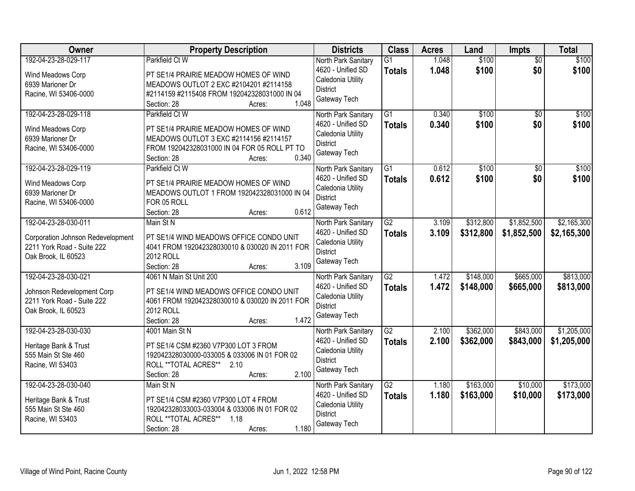| Owner                                                                                                          | <b>Property Description</b>                                                                                                                                                         | <b>Districts</b>                                                                                 | <b>Class</b>                     | <b>Acres</b>   | Land                   | <b>Impts</b>               | <b>Total</b>               |
|----------------------------------------------------------------------------------------------------------------|-------------------------------------------------------------------------------------------------------------------------------------------------------------------------------------|--------------------------------------------------------------------------------------------------|----------------------------------|----------------|------------------------|----------------------------|----------------------------|
| 192-04-23-28-029-117<br>Wind Meadows Corp<br>6939 Marioner Dr<br>Racine, WI 53406-0000                         | Parkfield Ct W<br>PT SE1/4 PRAIRIE MEADOW HOMES OF WIND<br>MEADOWS OUTLOT 2 EXC #2104201 #2114158<br>#2114159 #2115408 FROM 192042328031000 IN 04<br>1.048<br>Section: 28<br>Acres: | North Park Sanitary<br>4620 - Unified SD<br>Caledonia Utility<br><b>District</b><br>Gateway Tech | $\overline{G1}$<br><b>Totals</b> | 1.048<br>1.048 | \$100<br>\$100         | $\overline{50}$<br>\$0     | \$100<br>\$100             |
| 192-04-23-28-029-118<br>Wind Meadows Corp<br>6939 Marioner Dr<br>Racine, WI 53406-0000                         | Parkfield Ct W<br>PT SE1/4 PRAIRIE MEADOW HOMES OF WIND<br>MEADOWS OUTLOT 3 EXC #2114156 #2114157<br>FROM 192042328031000 IN 04 FOR 05 ROLL PT TO<br>0.340<br>Section: 28<br>Acres: | North Park Sanitary<br>4620 - Unified SD<br>Caledonia Utility<br><b>District</b><br>Gateway Tech | $\overline{G1}$<br><b>Totals</b> | 0.340<br>0.340 | \$100<br>\$100         | $\overline{50}$<br>\$0     | \$100<br>\$100             |
| 192-04-23-28-029-119<br>Wind Meadows Corp<br>6939 Marioner Dr<br>Racine, WI 53406-0000                         | Parkfield Ct W<br>PT SE1/4 PRAIRIE MEADOW HOMES OF WIND<br>MEADOWS OUTLOT 1 FROM 192042328031000 IN 04<br>FOR 05 ROLL<br>0.612<br>Section: 28<br>Acres:                             | North Park Sanitary<br>4620 - Unified SD<br>Caledonia Utility<br><b>District</b><br>Gateway Tech | $\overline{G1}$<br><b>Totals</b> | 0.612<br>0.612 | \$100<br>\$100         | $\overline{50}$<br>\$0     | \$100<br>\$100             |
| 192-04-23-28-030-011<br>Corporation Johnson Redevelopment<br>2211 York Road - Suite 222<br>Oak Brook, IL 60523 | Main St N<br>PT SE1/4 WIND MEADOWS OFFICE CONDO UNIT<br>4041 FROM 192042328030010 & 030020 IN 2011 FOR<br>2012 ROLL<br>3.109<br>Section: 28<br>Acres:                               | North Park Sanitary<br>4620 - Unified SD<br>Caledonia Utility<br><b>District</b><br>Gateway Tech | $\overline{G2}$<br><b>Totals</b> | 3.109<br>3.109 | \$312,800<br>\$312,800 | \$1,852,500<br>\$1,852,500 | \$2,165,300<br>\$2,165,300 |
| 192-04-23-28-030-021<br>Johnson Redevelopment Corp<br>2211 York Road - Suite 222<br>Oak Brook, IL 60523        | 4061 N Main St Unit 200<br>PT SE1/4 WIND MEADOWS OFFICE CONDO UNIT<br>4061 FROM 192042328030010 & 030020 IN 2011 FOR<br>2012 ROLL<br>1.472<br>Section: 28<br>Acres:                 | North Park Sanitary<br>4620 - Unified SD<br>Caledonia Utility<br><b>District</b><br>Gateway Tech | $\overline{G2}$<br><b>Totals</b> | 1.472<br>1.472 | \$148,000<br>\$148,000 | \$665,000<br>\$665,000     | \$813,000<br>\$813,000     |
| 192-04-23-28-030-030<br>Heritage Bank & Trust<br>555 Main St Ste 460<br>Racine, WI 53403                       | 4001 Main St N<br>PT SE1/4 CSM #2360 V7P300 LOT 3 FROM<br>192042328030000-033005 & 033006 IN 01 FOR 02<br>ROLL ** TOTAL ACRES** 2.10<br>2.100<br>Section: 28<br>Acres:              | North Park Sanitary<br>4620 - Unified SD<br>Caledonia Utility<br><b>District</b><br>Gateway Tech | $\overline{G2}$<br><b>Totals</b> | 2.100<br>2.100 | \$362,000<br>\$362,000 | \$843,000<br>\$843,000     | \$1,205,000<br>\$1,205,000 |
| 192-04-23-28-030-040<br>Heritage Bank & Trust<br>555 Main St Ste 460<br>Racine, WI 53403                       | Main St N<br>PT SE1/4 CSM #2360 V7P300 LOT 4 FROM<br>192042328033003-033004 & 033006 IN 01 FOR 02<br>ROLL ** TOTAL ACRES**<br>1.18<br>1.180<br>Section: 28<br>Acres:                | North Park Sanitary<br>4620 - Unified SD<br>Caledonia Utility<br><b>District</b><br>Gateway Tech | G2<br><b>Totals</b>              | 1.180<br>1.180 | \$163,000<br>\$163,000 | \$10,000<br>\$10,000       | \$173,000<br>\$173,000     |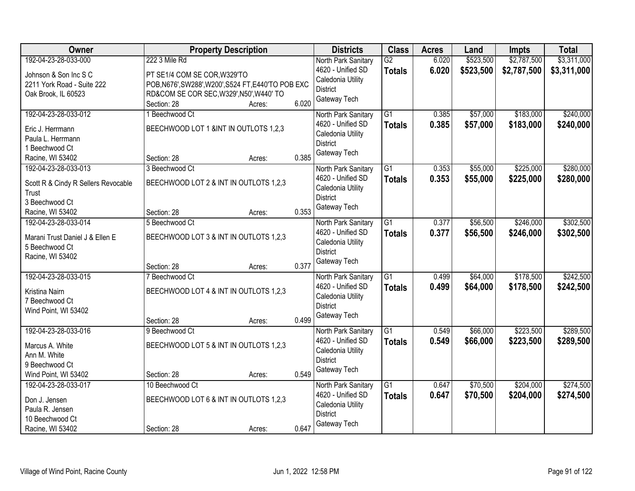| <b>Owner</b>                                      | <b>Property Description</b>                         |        |       | <b>Districts</b>                     | <b>Class</b>    | <b>Acres</b> | Land      | Impts       | <b>Total</b> |
|---------------------------------------------------|-----------------------------------------------------|--------|-------|--------------------------------------|-----------------|--------------|-----------|-------------|--------------|
| 192-04-23-28-033-000                              | 222 3 Mile Rd                                       |        |       | North Park Sanitary                  | $\overline{G2}$ | 6.020        | \$523,500 | \$2,787,500 | \$3,311,000  |
| Johnson & Son Inc S C                             | PT SE1/4 COM SE COR, W329'TO                        |        |       | 4620 - Unified SD                    | <b>Totals</b>   | 6.020        | \$523,500 | \$2,787,500 | \$3,311,000  |
| 2211 York Road - Suite 222                        | POB, N676', SW288', W200', S524 FT, E440'TO POB EXC |        |       | Caledonia Utility                    |                 |              |           |             |              |
| Oak Brook, IL 60523                               | RD&COM SE COR SEC, W329', N50', W440' TO            |        |       | <b>District</b>                      |                 |              |           |             |              |
|                                                   | Section: 28                                         | Acres: | 6.020 | Gateway Tech                         |                 |              |           |             |              |
| 192-04-23-28-033-012                              | 1 Beechwood Ct                                      |        |       | North Park Sanitary                  | $\overline{G1}$ | 0.385        | \$57,000  | \$183,000   | \$240,000    |
| Eric J. Herrmann                                  | BEECHWOOD LOT 1 &INT IN OUTLOTS 1,2,3               |        |       | 4620 - Unified SD                    | <b>Totals</b>   | 0.385        | \$57,000  | \$183,000   | \$240,000    |
| Paula L. Herrmann                                 |                                                     |        |       | Caledonia Utility                    |                 |              |           |             |              |
| 1 Beechwood Ct                                    |                                                     |        |       | <b>District</b>                      |                 |              |           |             |              |
| Racine, WI 53402                                  | Section: 28                                         | Acres: | 0.385 | Gateway Tech                         |                 |              |           |             |              |
| 192-04-23-28-033-013                              | 3 Beechwood Ct                                      |        |       | North Park Sanitary                  | G1              | 0.353        | \$55,000  | \$225,000   | \$280,000    |
| Scott R & Cindy R Sellers Revocable               | BEECHWOOD LOT 2 & INT IN OUTLOTS 1,2,3              |        |       | 4620 - Unified SD                    | <b>Totals</b>   | 0.353        | \$55,000  | \$225,000   | \$280,000    |
| Trust                                             |                                                     |        |       | Caledonia Utility                    |                 |              |           |             |              |
| 3 Beechwood Ct                                    |                                                     |        |       | <b>District</b>                      |                 |              |           |             |              |
| Racine, WI 53402                                  | Section: 28                                         | Acres: | 0.353 | Gateway Tech                         |                 |              |           |             |              |
| 192-04-23-28-033-014                              | 5 Beechwood Ct                                      |        |       | North Park Sanitary                  | G1              | 0.377        | \$56,500  | \$246,000   | \$302,500    |
|                                                   |                                                     |        |       | 4620 - Unified SD                    | <b>Totals</b>   | 0.377        | \$56,500  | \$246,000   | \$302,500    |
| Marani Trust Daniel J & Ellen E<br>5 Beechwood Ct | BEECHWOOD LOT 3 & INT IN OUTLOTS 1,2,3              |        |       | Caledonia Utility                    |                 |              |           |             |              |
| Racine, WI 53402                                  |                                                     |        |       | <b>District</b>                      |                 |              |           |             |              |
|                                                   | Section: 28                                         | Acres: | 0.377 | Gateway Tech                         |                 |              |           |             |              |
| 192-04-23-28-033-015                              | 7 Beechwood Ct                                      |        |       | North Park Sanitary                  | $\overline{G1}$ | 0.499        | \$64,000  | \$178,500   | \$242,500    |
|                                                   |                                                     |        |       | 4620 - Unified SD                    | <b>Totals</b>   | 0.499        | \$64,000  | \$178,500   | \$242,500    |
| Kristina Nairn                                    | BEECHWOOD LOT 4 & INT IN OUTLOTS 1,2,3              |        |       | Caledonia Utility                    |                 |              |           |             |              |
| 7 Beechwood Ct                                    |                                                     |        |       | <b>District</b>                      |                 |              |           |             |              |
| Wind Point, WI 53402                              |                                                     |        |       | Gateway Tech                         |                 |              |           |             |              |
|                                                   | Section: 28                                         | Acres: | 0.499 |                                      |                 |              |           |             |              |
| 192-04-23-28-033-016                              | 9 Beechwood Ct                                      |        |       | North Park Sanitary                  | $\overline{G1}$ | 0.549        | \$66,000  | \$223,500   | \$289,500    |
| Marcus A. White                                   | BEECHWOOD LOT 5 & INT IN OUTLOTS 1,2,3              |        |       | 4620 - Unified SD                    | <b>Totals</b>   | 0.549        | \$66,000  | \$223,500   | \$289,500    |
| Ann M. White                                      |                                                     |        |       | Caledonia Utility<br><b>District</b> |                 |              |           |             |              |
| 9 Beechwood Ct                                    |                                                     |        |       | Gateway Tech                         |                 |              |           |             |              |
| Wind Point, WI 53402                              | Section: 28                                         | Acres: | 0.549 |                                      |                 |              |           |             |              |
| 192-04-23-28-033-017                              | 10 Beechwood Ct                                     |        |       | North Park Sanitary                  | $\overline{G1}$ | 0.647        | \$70,500  | \$204,000   | \$274,500    |
| Don J. Jensen                                     | BEECHWOOD LOT 6 & INT IN OUTLOTS 1,2,3              |        |       | 4620 - Unified SD                    | <b>Totals</b>   | 0.647        | \$70,500  | \$204,000   | \$274,500    |
| Paula R. Jensen                                   |                                                     |        |       | Caledonia Utility                    |                 |              |           |             |              |
| 10 Beechwood Ct                                   |                                                     |        |       | <b>District</b>                      |                 |              |           |             |              |
| Racine, WI 53402                                  | Section: 28                                         | Acres: | 0.647 | Gateway Tech                         |                 |              |           |             |              |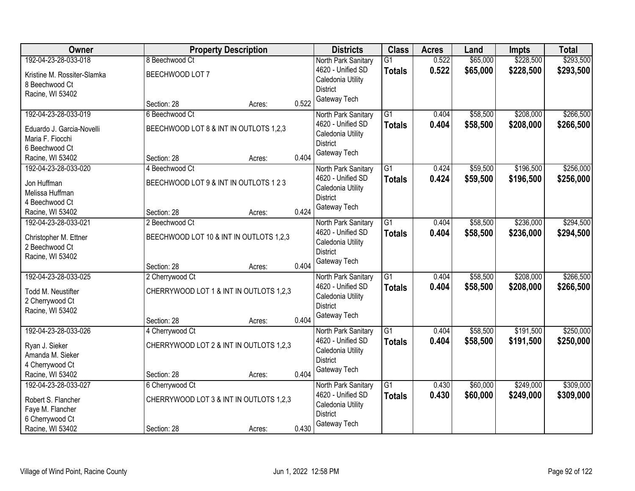| Owner                       |                                         | <b>Property Description</b> |       | <b>Districts</b>                | <b>Class</b>    | <b>Acres</b> | Land     | <b>Impts</b> | <b>Total</b> |
|-----------------------------|-----------------------------------------|-----------------------------|-------|---------------------------------|-----------------|--------------|----------|--------------|--------------|
| 192-04-23-28-033-018        | 8 Beechwood Ct                          |                             |       | North Park Sanitary             | $\overline{G1}$ | 0.522        | \$65,000 | \$228,500    | \$293,500    |
| Kristine M. Rossiter-Slamka | BEECHWOOD LOT 7                         |                             |       | 4620 - Unified SD               | <b>Totals</b>   | 0.522        | \$65,000 | \$228,500    | \$293,500    |
| 8 Beechwood Ct              |                                         |                             |       | Caledonia Utility               |                 |              |          |              |              |
| Racine, WI 53402            |                                         |                             |       | <b>District</b><br>Gateway Tech |                 |              |          |              |              |
|                             | Section: 28                             | Acres:                      | 0.522 |                                 |                 |              |          |              |              |
| 192-04-23-28-033-019        | 6 Beechwood Ct                          |                             |       | North Park Sanitary             | $\overline{G1}$ | 0.404        | \$58,500 | \$208,000    | \$266,500    |
| Eduardo J. Garcia-Novelli   | BEECHWOOD LOT 8 & INT IN OUTLOTS 1,2,3  |                             |       | 4620 - Unified SD               | <b>Totals</b>   | 0.404        | \$58,500 | \$208,000    | \$266,500    |
| Maria F. Fiocchi            |                                         |                             |       | Caledonia Utility               |                 |              |          |              |              |
| 6 Beechwood Ct              |                                         |                             |       | <b>District</b><br>Gateway Tech |                 |              |          |              |              |
| Racine, WI 53402            | Section: 28                             | Acres:                      | 0.404 |                                 |                 |              |          |              |              |
| 192-04-23-28-033-020        | 4 Beechwood Ct                          |                             |       | North Park Sanitary             | G1              | 0.424        | \$59,500 | \$196,500    | \$256,000    |
| Jon Huffman                 | BEECHWOOD LOT 9 & INT IN OUTLOTS 1 2 3  |                             |       | 4620 - Unified SD               | <b>Totals</b>   | 0.424        | \$59,500 | \$196,500    | \$256,000    |
| Melissa Huffman             |                                         |                             |       | Caledonia Utility               |                 |              |          |              |              |
| 4 Beechwood Ct              |                                         |                             |       | <b>District</b>                 |                 |              |          |              |              |
| Racine, WI 53402            | Section: 28                             | Acres:                      | 0.424 | Gateway Tech                    |                 |              |          |              |              |
| 192-04-23-28-033-021        | 2 Beechwood Ct                          |                             |       | North Park Sanitary             | $\overline{G1}$ | 0.404        | \$58,500 | \$236,000    | \$294,500    |
| Christopher M. Ettner       | BEECHWOOD LOT 10 & INT IN OUTLOTS 1,2,3 |                             |       | 4620 - Unified SD               | <b>Totals</b>   | 0.404        | \$58,500 | \$236,000    | \$294,500    |
| 2 Beechwood Ct              |                                         |                             |       | Caledonia Utility               |                 |              |          |              |              |
| Racine, WI 53402            |                                         |                             |       | <b>District</b>                 |                 |              |          |              |              |
|                             | Section: 28                             | Acres:                      | 0.404 | Gateway Tech                    |                 |              |          |              |              |
| 192-04-23-28-033-025        | 2 Cherrywood Ct                         |                             |       | North Park Sanitary             | $\overline{G1}$ | 0.404        | \$58,500 | \$208,000    | \$266,500    |
| Todd M. Neustifter          | CHERRYWOOD LOT 1 & INT IN OUTLOTS 1,2,3 |                             |       | 4620 - Unified SD               | <b>Totals</b>   | 0.404        | \$58,500 | \$208,000    | \$266,500    |
| 2 Cherrywood Ct             |                                         |                             |       | Caledonia Utility               |                 |              |          |              |              |
| Racine, WI 53402            |                                         |                             |       | <b>District</b>                 |                 |              |          |              |              |
|                             | Section: 28                             | Acres:                      | 0.404 | Gateway Tech                    |                 |              |          |              |              |
| 192-04-23-28-033-026        | 4 Cherrywood Ct                         |                             |       | North Park Sanitary             | $\overline{G1}$ | 0.404        | \$58,500 | \$191,500    | \$250,000    |
| Ryan J. Sieker              | CHERRYWOOD LOT 2 & INT IN OUTLOTS 1,2,3 |                             |       | 4620 - Unified SD               | <b>Totals</b>   | 0.404        | \$58,500 | \$191,500    | \$250,000    |
| Amanda M. Sieker            |                                         |                             |       | Caledonia Utility               |                 |              |          |              |              |
| 4 Cherrywood Ct             |                                         |                             |       | <b>District</b>                 |                 |              |          |              |              |
| Racine, WI 53402            | Section: 28                             | Acres:                      | 0.404 | Gateway Tech                    |                 |              |          |              |              |
| 192-04-23-28-033-027        | 6 Cherrywood Ct                         |                             |       | North Park Sanitary             | $\overline{G1}$ | 0.430        | \$60,000 | \$249,000    | \$309,000    |
| Robert S. Flancher          | CHERRYWOOD LOT 3 & INT IN OUTLOTS 1,2,3 |                             |       | 4620 - Unified SD               | <b>Totals</b>   | 0.430        | \$60,000 | \$249,000    | \$309,000    |
| Faye M. Flancher            |                                         |                             |       | Caledonia Utility               |                 |              |          |              |              |
| 6 Cherrywood Ct             |                                         |                             |       | <b>District</b>                 |                 |              |          |              |              |
| Racine, WI 53402            | Section: 28                             | Acres:                      | 0.430 | Gateway Tech                    |                 |              |          |              |              |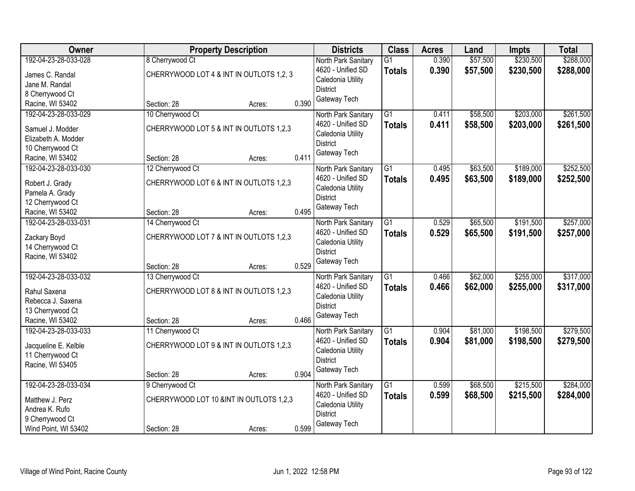| Owner                                    | <b>Property Description</b>              | <b>Districts</b>                         | <b>Class</b>    | <b>Acres</b> | Land     | Impts     | <b>Total</b> |
|------------------------------------------|------------------------------------------|------------------------------------------|-----------------|--------------|----------|-----------|--------------|
| 192-04-23-28-033-028                     | 8 Cherrywood Ct                          | North Park Sanitary                      | $\overline{G1}$ | 0.390        | \$57,500 | \$230,500 | \$288,000    |
| James C. Randal                          | CHERRYWOOD LOT 4 & INT IN OUTLOTS 1,2, 3 | 4620 - Unified SD                        | <b>Totals</b>   | 0.390        | \$57,500 | \$230,500 | \$288,000    |
| Jane M. Randal                           |                                          | Caledonia Utility                        |                 |              |          |           |              |
| 8 Cherrywood Ct                          |                                          | <b>District</b>                          |                 |              |          |           |              |
| Racine, WI 53402                         | 0.390<br>Section: 28<br>Acres:           | Gateway Tech                             |                 |              |          |           |              |
| 192-04-23-28-033-029                     | 10 Cherrywood Ct                         | North Park Sanitary                      | $\overline{G1}$ | 0.411        | \$58,500 | \$203,000 | \$261,500    |
| Samuel J. Modder                         | CHERRYWOOD LOT 5 & INT IN OUTLOTS 1,2,3  | 4620 - Unified SD                        | <b>Totals</b>   | 0.411        | \$58,500 | \$203,000 | \$261,500    |
| Elizabeth A. Modder                      |                                          | Caledonia Utility                        |                 |              |          |           |              |
| 10 Cherrywood Ct                         |                                          | <b>District</b>                          |                 |              |          |           |              |
| Racine, WI 53402                         | 0.411<br>Section: 28<br>Acres:           | Gateway Tech                             |                 |              |          |           |              |
| 192-04-23-28-033-030                     | 12 Cherrywood Ct                         | North Park Sanitary                      | $\overline{G1}$ | 0.495        | \$63,500 | \$189,000 | \$252,500    |
| Robert J. Grady                          | CHERRYWOOD LOT 6 & INT IN OUTLOTS 1,2,3  | 4620 - Unified SD                        | <b>Totals</b>   | 0.495        | \$63,500 | \$189,000 | \$252,500    |
| Pamela A. Grady                          |                                          | Caledonia Utility                        |                 |              |          |           |              |
| 12 Cherrywood Ct                         |                                          | <b>District</b>                          |                 |              |          |           |              |
| Racine, WI 53402                         | 0.495<br>Section: 28<br>Acres:           | Gateway Tech                             |                 |              |          |           |              |
| 192-04-23-28-033-031                     | 14 Cherrywood Ct                         | North Park Sanitary                      | $\overline{G1}$ | 0.529        | \$65,500 | \$191,500 | \$257,000    |
|                                          |                                          | 4620 - Unified SD                        | <b>Totals</b>   | 0.529        | \$65,500 | \$191,500 | \$257,000    |
| Zackary Boyd                             | CHERRYWOOD LOT 7 & INT IN OUTLOTS 1,2,3  | Caledonia Utility                        |                 |              |          |           |              |
| 14 Cherrywood Ct<br>Racine, WI 53402     |                                          | <b>District</b>                          |                 |              |          |           |              |
|                                          | 0.529<br>Section: 28<br>Acres:           | Gateway Tech                             |                 |              |          |           |              |
| 192-04-23-28-033-032                     | 13 Cherrywood Ct                         | North Park Sanitary                      | $\overline{G1}$ | 0.466        | \$62,000 | \$255,000 | \$317,000    |
|                                          |                                          | 4620 - Unified SD                        | <b>Totals</b>   | 0.466        | \$62,000 | \$255,000 | \$317,000    |
| Rahul Saxena                             | CHERRYWOOD LOT 8 & INT IN OUTLOTS 1,2,3  | Caledonia Utility                        |                 |              |          |           |              |
| Rebecca J. Saxena                        |                                          | <b>District</b>                          |                 |              |          |           |              |
| 13 Cherrywood Ct                         | 0.466                                    | Gateway Tech                             |                 |              |          |           |              |
| Racine, WI 53402<br>192-04-23-28-033-033 | Section: 28<br>Acres:                    |                                          | $\overline{G1}$ |              | \$81,000 | \$198,500 | \$279,500    |
|                                          | 11 Cherrywood Ct                         | North Park Sanitary<br>4620 - Unified SD |                 | 0.904        |          |           |              |
| Jacqueline E. Kelble                     | CHERRYWOOD LOT 9 & INT IN OUTLOTS 1,2,3  | Caledonia Utility                        | <b>Totals</b>   | 0.904        | \$81,000 | \$198,500 | \$279,500    |
| 11 Cherrywood Ct                         |                                          | <b>District</b>                          |                 |              |          |           |              |
| Racine, WI 53405                         |                                          | Gateway Tech                             |                 |              |          |           |              |
|                                          | 0.904<br>Section: 28<br>Acres:           |                                          |                 |              |          |           |              |
| 192-04-23-28-033-034                     | 9 Cherrywood Ct                          | North Park Sanitary                      | $\overline{G1}$ | 0.599        | \$68,500 | \$215,500 | \$284,000    |
| Matthew J. Perz                          | CHERRYWOOD LOT 10 &INT IN OUTLOTS 1,2,3  | 4620 - Unified SD                        | <b>Totals</b>   | 0.599        | \$68,500 | \$215,500 | \$284,000    |
| Andrea K. Rufo                           |                                          | Caledonia Utility<br><b>District</b>     |                 |              |          |           |              |
| 9 Cherrywood Ct                          |                                          | Gateway Tech                             |                 |              |          |           |              |
| Wind Point, WI 53402                     | 0.599<br>Section: 28<br>Acres:           |                                          |                 |              |          |           |              |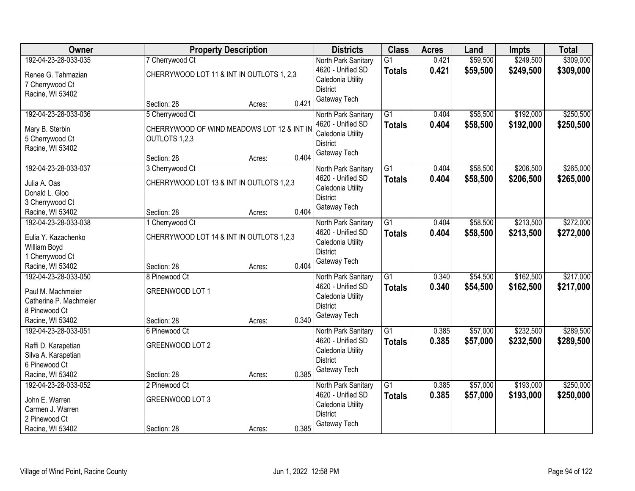| Owner                                                                                                    |                                                             | <b>Property Description</b> |       | <b>Districts</b>                                                                                 | <b>Class</b>                     | <b>Acres</b>   | Land                 | Impts                  | <b>Total</b>           |
|----------------------------------------------------------------------------------------------------------|-------------------------------------------------------------|-----------------------------|-------|--------------------------------------------------------------------------------------------------|----------------------------------|----------------|----------------------|------------------------|------------------------|
| 192-04-23-28-033-035                                                                                     | 7 Cherrywood Ct                                             |                             |       | North Park Sanitary                                                                              | G <sub>1</sub>                   | 0.421          | \$59,500             | \$249,500              | \$309,000              |
| Renee G. Tahmazian<br>7 Cherrywood Ct<br>Racine, WI 53402                                                | CHERRYWOOD LOT 11 & INT IN OUTLOTS 1, 2,3                   |                             |       | 4620 - Unified SD<br>Caledonia Utility<br><b>District</b>                                        | <b>Totals</b>                    | 0.421          | \$59,500             | \$249,500              | \$309,000              |
|                                                                                                          | Section: 28                                                 | Acres:                      | 0.421 | Gateway Tech                                                                                     |                                  |                |                      |                        |                        |
| 192-04-23-28-033-036                                                                                     | 5 Cherrywood Ct                                             |                             |       | North Park Sanitary                                                                              | $\overline{G1}$                  | 0.404          | \$58,500             | \$192,000              | \$250,500              |
| Mary B. Sterbin<br>5 Cherrywood Ct<br>Racine, WI 53402                                                   | CHERRYWOOD OF WIND MEADOWS LOT 12 & INT IN<br>OUTLOTS 1,2,3 |                             |       | 4620 - Unified SD<br>Caledonia Utility<br><b>District</b><br>Gateway Tech                        | <b>Totals</b>                    | 0.404          | \$58,500             | \$192,000              | \$250,500              |
|                                                                                                          | Section: 28                                                 | Acres:                      | 0.404 |                                                                                                  |                                  |                |                      |                        |                        |
| 192-04-23-28-033-037                                                                                     | 3 Cherrywood Ct                                             |                             |       | North Park Sanitary                                                                              | $\overline{G1}$                  | 0.404          | \$58,500             | \$206,500              | \$265,000              |
| Julia A. Oas<br>Donald L. Gloo<br>3 Cherrywood Ct                                                        | CHERRYWOOD LOT 13 & INT IN OUTLOTS 1,2,3                    |                             |       | 4620 - Unified SD<br>Caledonia Utility<br><b>District</b>                                        | <b>Totals</b>                    | 0.404          | \$58,500             | \$206,500              | \$265,000              |
| Racine, WI 53402                                                                                         | Section: 28                                                 | Acres:                      | 0.404 | Gateway Tech                                                                                     |                                  |                |                      |                        |                        |
| 192-04-23-28-033-038                                                                                     | 1 Cherrywood Ct                                             |                             |       | North Park Sanitary                                                                              | G1                               | 0.404          | \$58,500             | \$213,500              | \$272,000              |
| Eulia Y. Kazachenko<br>William Boyd<br>1 Cherrywood Ct                                                   | CHERRYWOOD LOT 14 & INT IN OUTLOTS 1,2,3                    |                             |       | 4620 - Unified SD<br>Caledonia Utility<br><b>District</b>                                        | <b>Totals</b>                    | 0.404          | \$58,500             | \$213,500              | \$272,000              |
| Racine, WI 53402                                                                                         | Section: 28                                                 | Acres:                      | 0.404 | Gateway Tech                                                                                     |                                  |                |                      |                        |                        |
| 192-04-23-28-033-050<br>Paul M. Machmeier<br>Catherine P. Machmeier<br>8 Pinewood Ct<br>Racine, WI 53402 | 8 Pinewood Ct<br>GREENWOOD LOT 1<br>Section: 28             | Acres:                      | 0.340 | North Park Sanitary<br>4620 - Unified SD<br>Caledonia Utility<br><b>District</b><br>Gateway Tech | $\overline{G1}$<br><b>Totals</b> | 0.340<br>0.340 | \$54,500<br>\$54,500 | \$162,500<br>\$162,500 | \$217,000<br>\$217,000 |
| 192-04-23-28-033-051                                                                                     | 6 Pinewood Ct                                               |                             |       | North Park Sanitary                                                                              | $\overline{G1}$                  | 0.385          | \$57,000             | \$232,500              | \$289,500              |
| Raffi D. Karapetian<br>Silva A. Karapetian<br>6 Pinewood Ct<br>Racine, WI 53402                          | GREENWOOD LOT 2<br>Section: 28                              | Acres:                      | 0.385 | 4620 - Unified SD<br>Caledonia Utility<br><b>District</b><br>Gateway Tech                        | <b>Totals</b>                    | 0.385          | \$57,000             | \$232,500              | \$289,500              |
| 192-04-23-28-033-052                                                                                     | 2 Pinewood Ct                                               |                             |       | North Park Sanitary                                                                              | $\overline{G1}$                  | 0.385          | \$57,000             | \$193,000              | \$250,000              |
| John E. Warren<br>Carmen J. Warren<br>2 Pinewood Ct                                                      | GREENWOOD LOT 3                                             |                             |       | 4620 - Unified SD<br>Caledonia Utility<br><b>District</b><br>Gateway Tech                        | <b>Totals</b>                    | 0.385          | \$57,000             | \$193,000              | \$250,000              |
| Racine, WI 53402                                                                                         | Section: 28                                                 | Acres:                      | 0.385 |                                                                                                  |                                  |                |                      |                        |                        |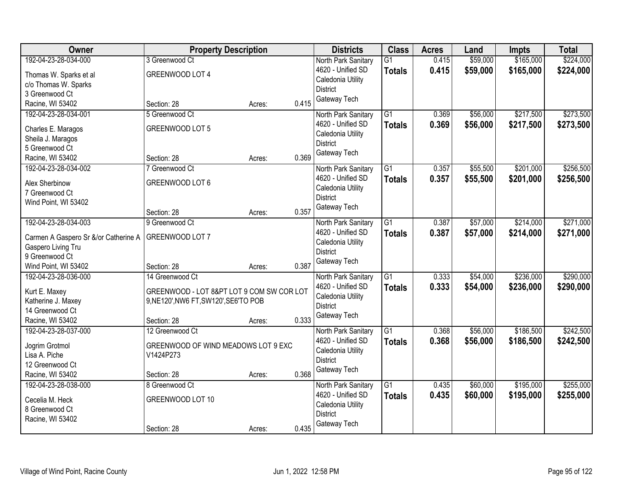| Owner                                | <b>Property Description</b>               |                 | <b>Districts</b>                         | <b>Class</b>    | <b>Acres</b> | Land     | <b>Impts</b> | <b>Total</b> |
|--------------------------------------|-------------------------------------------|-----------------|------------------------------------------|-----------------|--------------|----------|--------------|--------------|
| 192-04-23-28-034-000                 | 3 Greenwood Ct                            |                 | North Park Sanitary                      | $\overline{G1}$ | 0.415        | \$59,000 | \$165,000    | \$224,000    |
| Thomas W. Sparks et al               | GREENWOOD LOT 4                           |                 | 4620 - Unified SD                        | <b>Totals</b>   | 0.415        | \$59,000 | \$165,000    | \$224,000    |
| c/o Thomas W. Sparks                 |                                           |                 | Caledonia Utility                        |                 |              |          |              |              |
| 3 Greenwood Ct                       |                                           |                 | <b>District</b>                          |                 |              |          |              |              |
| Racine, WI 53402                     | Section: 28                               | 0.415<br>Acres: | Gateway Tech                             |                 |              |          |              |              |
| 192-04-23-28-034-001                 | 5 Greenwood Ct                            |                 | North Park Sanitary                      | $\overline{G1}$ | 0.369        | \$56,000 | \$217,500    | \$273,500    |
| Charles E. Maragos                   | GREENWOOD LOT 5                           |                 | 4620 - Unified SD                        | <b>Totals</b>   | 0.369        | \$56,000 | \$217,500    | \$273,500    |
| Sheila J. Maragos                    |                                           |                 | Caledonia Utility                        |                 |              |          |              |              |
| 5 Greenwood Ct                       |                                           |                 | <b>District</b>                          |                 |              |          |              |              |
| Racine, WI 53402                     | Section: 28                               | 0.369<br>Acres: | Gateway Tech                             |                 |              |          |              |              |
| 192-04-23-28-034-002                 | 7 Greenwood Ct                            |                 | North Park Sanitary                      | G1              | 0.357        | \$55,500 | \$201,000    | \$256,500    |
|                                      |                                           |                 | 4620 - Unified SD                        | <b>Totals</b>   | 0.357        | \$55,500 | \$201,000    | \$256,500    |
| Alex Sherbinow                       | GREENWOOD LOT 6                           |                 | Caledonia Utility                        |                 |              |          |              |              |
| 7 Greenwood Ct                       |                                           |                 | <b>District</b>                          |                 |              |          |              |              |
| Wind Point, WI 53402                 |                                           |                 | Gateway Tech                             |                 |              |          |              |              |
|                                      | Section: 28                               | 0.357<br>Acres: |                                          |                 |              |          |              |              |
| 192-04-23-28-034-003                 | 9 Greenwood Ct                            |                 | North Park Sanitary                      | $\overline{G1}$ | 0.387        | \$57,000 | \$214,000    | \$271,000    |
| Carmen A Gaspero Sr &/or Catherine A | GREENWOOD LOT 7                           |                 | 4620 - Unified SD                        | <b>Totals</b>   | 0.387        | \$57,000 | \$214,000    | \$271,000    |
| Gaspero Living Tru                   |                                           |                 | Caledonia Utility                        |                 |              |          |              |              |
| 9 Greenwood Ct                       |                                           |                 | <b>District</b>                          |                 |              |          |              |              |
| Wind Point, WI 53402                 | Section: 28                               | 0.387<br>Acres: | Gateway Tech                             |                 |              |          |              |              |
| 192-04-23-28-036-000                 | 14 Greenwood Ct                           |                 | North Park Sanitary                      | $\overline{G1}$ | 0.333        | \$54,000 | \$236,000    | \$290,000    |
| Kurt E. Maxey                        | GREENWOOD - LOT 8&PT LOT 9 COM SW COR LOT |                 | 4620 - Unified SD                        | <b>Totals</b>   | 0.333        | \$54,000 | \$236,000    | \$290,000    |
| Katherine J. Maxey                   | 9, NE120', NW6 FT, SW120', SE6'TO POB     |                 | Caledonia Utility                        |                 |              |          |              |              |
| 14 Greenwood Ct                      |                                           |                 | <b>District</b>                          |                 |              |          |              |              |
| Racine, WI 53402                     | Section: 28                               | 0.333<br>Acres: | Gateway Tech                             |                 |              |          |              |              |
| 192-04-23-28-037-000                 | 12 Greenwood Ct                           |                 | North Park Sanitary                      | $\overline{G1}$ | 0.368        | \$56,000 | \$186,500    | \$242,500    |
|                                      |                                           |                 | 4620 - Unified SD                        | <b>Totals</b>   | 0.368        | \$56,000 | \$186,500    | \$242,500    |
| Jogrim Grotmol                       | GREENWOOD OF WIND MEADOWS LOT 9 EXC       |                 | Caledonia Utility                        |                 |              |          |              |              |
| Lisa A. Piche<br>12 Greenwood Ct     | V1424P273                                 |                 | <b>District</b>                          |                 |              |          |              |              |
| Racine, WI 53402                     | Section: 28                               | 0.368           | Gateway Tech                             |                 |              |          |              |              |
| 192-04-23-28-038-000                 | 8 Greenwood Ct                            | Acres:          |                                          | $\overline{G1}$ | 0.435        | \$60,000 | \$195,000    | \$255,000    |
|                                      |                                           |                 | North Park Sanitary<br>4620 - Unified SD |                 | 0.435        |          |              |              |
| Cecelia M. Heck                      | GREENWOOD LOT 10                          |                 | Caledonia Utility                        | <b>Totals</b>   |              | \$60,000 | \$195,000    | \$255,000    |
| 8 Greenwood Ct                       |                                           |                 | <b>District</b>                          |                 |              |          |              |              |
| Racine, WI 53402                     |                                           |                 | Gateway Tech                             |                 |              |          |              |              |
|                                      | Section: 28                               | 0.435<br>Acres: |                                          |                 |              |          |              |              |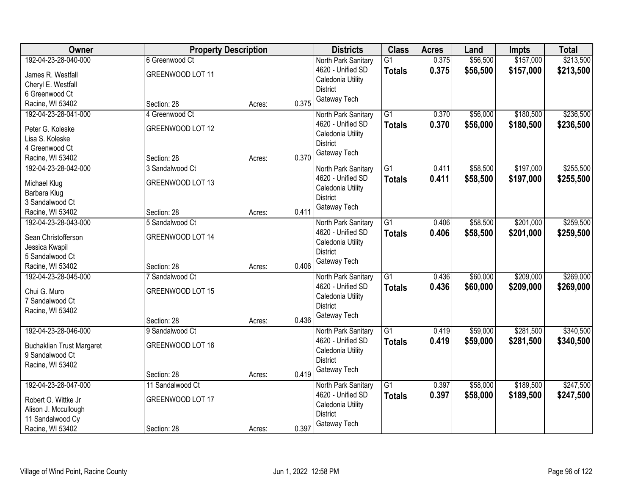| Owner                               | <b>Property Description</b> |        |       | <b>Districts</b>                         | <b>Class</b>    | <b>Acres</b> | Land     | <b>Impts</b> | <b>Total</b> |
|-------------------------------------|-----------------------------|--------|-------|------------------------------------------|-----------------|--------------|----------|--------------|--------------|
| 192-04-23-28-040-000                | 6 Greenwood Ct              |        |       | North Park Sanitary                      | $\overline{G1}$ | 0.375        | \$56,500 | \$157,000    | \$213,500    |
| James R. Westfall                   | GREENWOOD LOT 11            |        |       | 4620 - Unified SD                        | <b>Totals</b>   | 0.375        | \$56,500 | \$157,000    | \$213,500    |
| Cheryl E. Westfall                  |                             |        |       | Caledonia Utility                        |                 |              |          |              |              |
| 6 Greenwood Ct                      |                             |        |       | <b>District</b>                          |                 |              |          |              |              |
| Racine, WI 53402                    | Section: 28                 | Acres: | 0.375 | Gateway Tech                             |                 |              |          |              |              |
| 192-04-23-28-041-000                | 4 Greenwood Ct              |        |       | North Park Sanitary                      | $\overline{G1}$ | 0.370        | \$56,000 | \$180,500    | \$236,500    |
| Peter G. Koleske                    | GREENWOOD LOT 12            |        |       | 4620 - Unified SD                        | <b>Totals</b>   | 0.370        | \$56,000 | \$180,500    | \$236,500    |
| Lisa S. Koleske                     |                             |        |       | Caledonia Utility                        |                 |              |          |              |              |
| 4 Greenwood Ct                      |                             |        |       | <b>District</b>                          |                 |              |          |              |              |
| Racine, WI 53402                    | Section: 28                 | Acres: | 0.370 | Gateway Tech                             |                 |              |          |              |              |
| 192-04-23-28-042-000                | 3 Sandalwood Ct             |        |       | North Park Sanitary                      | G1              | 0.411        | \$58,500 | \$197,000    | \$255,500    |
|                                     |                             |        |       | 4620 - Unified SD                        | <b>Totals</b>   | 0.411        | \$58,500 | \$197,000    | \$255,500    |
| Michael Klug                        | GREENWOOD LOT 13            |        |       | Caledonia Utility                        |                 |              |          |              |              |
| Barbara Klug                        |                             |        |       | <b>District</b>                          |                 |              |          |              |              |
| 3 Sandalwood Ct<br>Racine, WI 53402 | Section: 28                 |        | 0.411 | Gateway Tech                             |                 |              |          |              |              |
| 192-04-23-28-043-000                | 5 Sandalwood Ct             | Acres: |       |                                          | $\overline{G1}$ |              | \$58,500 | \$201,000    | \$259,500    |
|                                     |                             |        |       | North Park Sanitary<br>4620 - Unified SD |                 | 0.406        |          |              |              |
| Sean Christofferson                 | GREENWOOD LOT 14            |        |       | Caledonia Utility                        | <b>Totals</b>   | 0.406        | \$58,500 | \$201,000    | \$259,500    |
| Jessica Kwapil                      |                             |        |       | <b>District</b>                          |                 |              |          |              |              |
| 5 Sandalwood Ct                     |                             |        |       | Gateway Tech                             |                 |              |          |              |              |
| Racine, WI 53402                    | Section: 28                 | Acres: | 0.406 |                                          |                 |              |          |              |              |
| 192-04-23-28-045-000                | 7 Sandalwood Ct             |        |       | North Park Sanitary                      | $\overline{G1}$ | 0.436        | \$60,000 | \$209,000    | \$269,000    |
| Chui G. Muro                        | GREENWOOD LOT 15            |        |       | 4620 - Unified SD                        | <b>Totals</b>   | 0.436        | \$60,000 | \$209,000    | \$269,000    |
| 7 Sandalwood Ct                     |                             |        |       | Caledonia Utility                        |                 |              |          |              |              |
| Racine, WI 53402                    |                             |        |       | <b>District</b>                          |                 |              |          |              |              |
|                                     | Section: 28                 | Acres: | 0.436 | Gateway Tech                             |                 |              |          |              |              |
| 192-04-23-28-046-000                | 9 Sandalwood Ct             |        |       | North Park Sanitary                      | $\overline{G1}$ | 0.419        | \$59,000 | \$281,500    | \$340,500    |
| <b>Buchaklian Trust Margaret</b>    | GREENWOOD LOT 16            |        |       | 4620 - Unified SD                        | <b>Totals</b>   | 0.419        | \$59,000 | \$281,500    | \$340,500    |
| 9 Sandalwood Ct                     |                             |        |       | Caledonia Utility                        |                 |              |          |              |              |
| Racine, WI 53402                    |                             |        |       | <b>District</b>                          |                 |              |          |              |              |
|                                     | Section: 28                 | Acres: | 0.419 | Gateway Tech                             |                 |              |          |              |              |
| 192-04-23-28-047-000                | 11 Sandalwood Ct            |        |       | North Park Sanitary                      | $\overline{G1}$ | 0.397        | \$58,000 | \$189,500    | \$247,500    |
|                                     |                             |        |       | 4620 - Unified SD                        | <b>Totals</b>   | 0.397        | \$58,000 | \$189,500    | \$247,500    |
| Robert O. Wittke Jr                 | GREENWOOD LOT 17            |        |       | Caledonia Utility                        |                 |              |          |              |              |
| Alison J. Mccullough                |                             |        |       | <b>District</b>                          |                 |              |          |              |              |
| 11 Sandalwood Cy                    |                             |        | 0.397 | Gateway Tech                             |                 |              |          |              |              |
| Racine, WI 53402                    | Section: 28                 | Acres: |       |                                          |                 |              |          |              |              |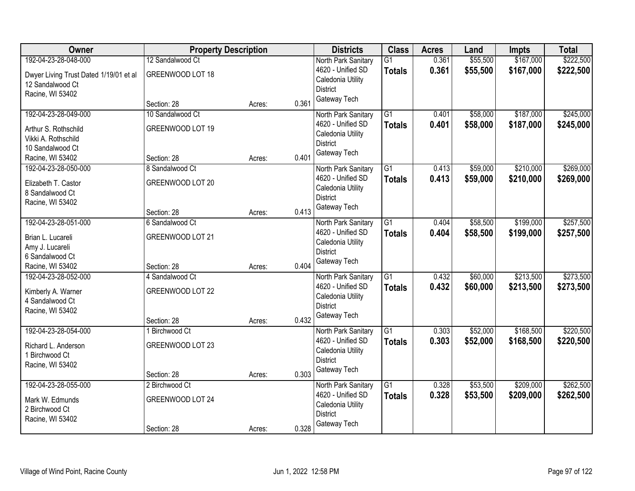| Owner                                  | <b>Property Description</b> |        |       | <b>Districts</b>                       | <b>Class</b>    | <b>Acres</b> | Land     | <b>Impts</b> | <b>Total</b> |
|----------------------------------------|-----------------------------|--------|-------|----------------------------------------|-----------------|--------------|----------|--------------|--------------|
| 192-04-23-28-048-000                   | 12 Sandalwood Ct            |        |       | North Park Sanitary                    | $\overline{G1}$ | 0.361        | \$55,500 | \$167,000    | \$222,500    |
| Dwyer Living Trust Dated 1/19/01 et al | GREENWOOD LOT 18            |        |       | 4620 - Unified SD<br>Caledonia Utility | <b>Totals</b>   | 0.361        | \$55,500 | \$167,000    | \$222,500    |
| 12 Sandalwood Ct<br>Racine, WI 53402   |                             |        |       | <b>District</b>                        |                 |              |          |              |              |
|                                        | Section: 28                 | Acres: | 0.361 | Gateway Tech                           |                 |              |          |              |              |
| 192-04-23-28-049-000                   | 10 Sandalwood Ct            |        |       | North Park Sanitary                    | $\overline{G1}$ | 0.401        | \$58,000 | \$187,000    | \$245,000    |
| Arthur S. Rothschild                   | GREENWOOD LOT 19            |        |       | 4620 - Unified SD                      | <b>Totals</b>   | 0.401        | \$58,000 | \$187,000    | \$245,000    |
| Vikki A. Rothschild                    |                             |        |       | Caledonia Utility                      |                 |              |          |              |              |
| 10 Sandalwood Ct                       |                             |        |       | <b>District</b>                        |                 |              |          |              |              |
| Racine, WI 53402                       | Section: 28                 | Acres: | 0.401 | Gateway Tech                           |                 |              |          |              |              |
| 192-04-23-28-050-000                   | 8 Sandalwood Ct             |        |       | North Park Sanitary                    | $\overline{G1}$ | 0.413        | \$59,000 | \$210,000    | \$269,000    |
| Elizabeth T. Castor                    | GREENWOOD LOT 20            |        |       | 4620 - Unified SD                      | <b>Totals</b>   | 0.413        | \$59,000 | \$210,000    | \$269,000    |
| 8 Sandalwood Ct                        |                             |        |       | Caledonia Utility                      |                 |              |          |              |              |
| Racine, WI 53402                       |                             |        |       | <b>District</b>                        |                 |              |          |              |              |
|                                        | Section: 28                 | Acres: | 0.413 | Gateway Tech                           |                 |              |          |              |              |
| 192-04-23-28-051-000                   | 6 Sandalwood Ct             |        |       | North Park Sanitary                    | G1              | 0.404        | \$58,500 | \$199,000    | \$257,500    |
| Brian L. Lucareli                      | GREENWOOD LOT 21            |        |       | 4620 - Unified SD                      | <b>Totals</b>   | 0.404        | \$58,500 | \$199,000    | \$257,500    |
| Amy J. Lucareli                        |                             |        |       | Caledonia Utility                      |                 |              |          |              |              |
| 6 Sandalwood Ct                        |                             |        |       | <b>District</b>                        |                 |              |          |              |              |
| Racine, WI 53402                       | Section: 28                 | Acres: | 0.404 | Gateway Tech                           |                 |              |          |              |              |
| 192-04-23-28-052-000                   | 4 Sandalwood Ct             |        |       | North Park Sanitary                    | $\overline{G1}$ | 0.432        | \$60,000 | \$213,500    | \$273,500    |
|                                        | GREENWOOD LOT 22            |        |       | 4620 - Unified SD                      | <b>Totals</b>   | 0.432        | \$60,000 | \$213,500    | \$273,500    |
| Kimberly A. Warner<br>4 Sandalwood Ct  |                             |        |       | Caledonia Utility                      |                 |              |          |              |              |
| Racine, WI 53402                       |                             |        |       | <b>District</b>                        |                 |              |          |              |              |
|                                        | Section: 28                 | Acres: | 0.432 | Gateway Tech                           |                 |              |          |              |              |
| 192-04-23-28-054-000                   | 1 Birchwood Ct              |        |       | North Park Sanitary                    | $\overline{G1}$ | 0.303        | \$52,000 | \$168,500    | \$220,500    |
| Richard L. Anderson                    | GREENWOOD LOT 23            |        |       | 4620 - Unified SD                      | <b>Totals</b>   | 0.303        | \$52,000 | \$168,500    | \$220,500    |
| 1 Birchwood Ct                         |                             |        |       | Caledonia Utility                      |                 |              |          |              |              |
| Racine, WI 53402                       |                             |        |       | <b>District</b>                        |                 |              |          |              |              |
|                                        | Section: 28                 | Acres: | 0.303 | Gateway Tech                           |                 |              |          |              |              |
| 192-04-23-28-055-000                   | 2 Birchwood Ct              |        |       | North Park Sanitary                    | $\overline{G1}$ | 0.328        | \$53,500 | \$209,000    | \$262,500    |
| Mark W. Edmunds                        | GREENWOOD LOT 24            |        |       | 4620 - Unified SD                      | <b>Totals</b>   | 0.328        | \$53,500 | \$209,000    | \$262,500    |
| 2 Birchwood Ct                         |                             |        |       | Caledonia Utility                      |                 |              |          |              |              |
| Racine, WI 53402                       |                             |        |       | <b>District</b>                        |                 |              |          |              |              |
|                                        | Section: 28                 | Acres: | 0.328 | Gateway Tech                           |                 |              |          |              |              |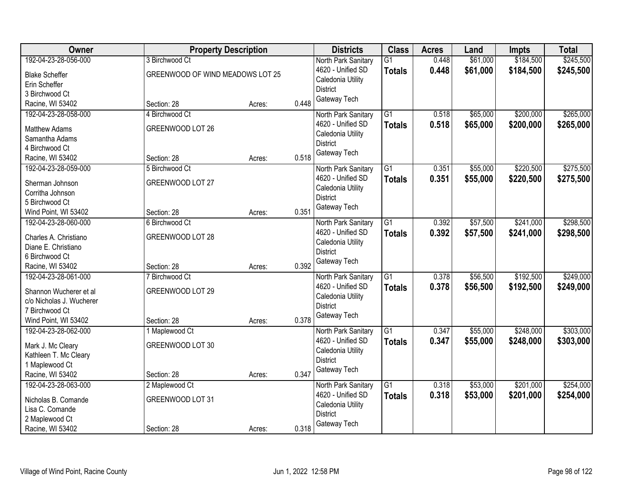| 192-04-23-28-056-000<br>\$184,500<br>3 Birchwood Ct<br>$\overline{G1}$<br>0.448<br>North Park Sanitary<br>4620 - Unified SD<br>0.448<br>\$61,000<br>\$184,500<br><b>Totals</b><br>GREENWOOD OF WIND MEADOWS LOT 25<br><b>Blake Scheffer</b><br>Caledonia Utility<br>Erin Scheffer<br><b>District</b><br>3 Birchwood Ct<br>Gateway Tech<br>0.448<br>Racine, WI 53402<br>Section: 28<br>Acres:<br>\$200,000<br>192-04-23-28-058-000<br>$\overline{G1}$<br>0.518<br>\$65,000<br>4 Birchwood Ct<br>North Park Sanitary<br>0.518<br>4620 - Unified SD<br>\$65,000<br>\$200,000<br><b>Totals</b><br>GREENWOOD LOT 26<br><b>Matthew Adams</b><br>Caledonia Utility<br>Samantha Adams<br><b>District</b> | Owner          | <b>Property Description</b> |  | <b>Districts</b> | <b>Class</b> | <b>Acres</b> | Land     | <b>Impts</b> | <b>Total</b> |
|--------------------------------------------------------------------------------------------------------------------------------------------------------------------------------------------------------------------------------------------------------------------------------------------------------------------------------------------------------------------------------------------------------------------------------------------------------------------------------------------------------------------------------------------------------------------------------------------------------------------------------------------------------------------------------------------------|----------------|-----------------------------|--|------------------|--------------|--------------|----------|--------------|--------------|
|                                                                                                                                                                                                                                                                                                                                                                                                                                                                                                                                                                                                                                                                                                  |                |                             |  |                  |              |              | \$61,000 |              | \$245,500    |
|                                                                                                                                                                                                                                                                                                                                                                                                                                                                                                                                                                                                                                                                                                  |                |                             |  |                  |              |              |          |              | \$245,500    |
|                                                                                                                                                                                                                                                                                                                                                                                                                                                                                                                                                                                                                                                                                                  |                |                             |  |                  |              |              |          |              |              |
|                                                                                                                                                                                                                                                                                                                                                                                                                                                                                                                                                                                                                                                                                                  |                |                             |  |                  |              |              |          |              |              |
|                                                                                                                                                                                                                                                                                                                                                                                                                                                                                                                                                                                                                                                                                                  |                |                             |  |                  |              |              |          |              |              |
|                                                                                                                                                                                                                                                                                                                                                                                                                                                                                                                                                                                                                                                                                                  |                |                             |  |                  |              |              |          |              | \$265,000    |
|                                                                                                                                                                                                                                                                                                                                                                                                                                                                                                                                                                                                                                                                                                  |                |                             |  |                  |              |              |          |              | \$265,000    |
|                                                                                                                                                                                                                                                                                                                                                                                                                                                                                                                                                                                                                                                                                                  |                |                             |  |                  |              |              |          |              |              |
|                                                                                                                                                                                                                                                                                                                                                                                                                                                                                                                                                                                                                                                                                                  | 4 Birchwood Ct |                             |  |                  |              |              |          |              |              |
| Gateway Tech<br>0.518<br>Section: 28<br>Racine, WI 53402<br>Acres:                                                                                                                                                                                                                                                                                                                                                                                                                                                                                                                                                                                                                               |                |                             |  |                  |              |              |          |              |              |
| \$220,500<br>192-04-23-28-059-000<br>G1<br>0.351<br>\$55,000<br>5 Birchwood Ct<br>North Park Sanitary                                                                                                                                                                                                                                                                                                                                                                                                                                                                                                                                                                                            |                |                             |  |                  |              |              |          |              | \$275,500    |
| 4620 - Unified SD<br>0.351<br>\$55,000<br>\$220,500<br><b>Totals</b>                                                                                                                                                                                                                                                                                                                                                                                                                                                                                                                                                                                                                             |                |                             |  |                  |              |              |          |              | \$275,500    |
| GREENWOOD LOT 27<br>Sherman Johnson<br>Caledonia Utility                                                                                                                                                                                                                                                                                                                                                                                                                                                                                                                                                                                                                                         |                |                             |  |                  |              |              |          |              |              |
| Corritha Johnson<br><b>District</b>                                                                                                                                                                                                                                                                                                                                                                                                                                                                                                                                                                                                                                                              |                |                             |  |                  |              |              |          |              |              |
| 5 Birchwood Ct<br>Gateway Tech                                                                                                                                                                                                                                                                                                                                                                                                                                                                                                                                                                                                                                                                   |                |                             |  |                  |              |              |          |              |              |
| 0.351<br>Wind Point, WI 53402<br>Section: 28<br>Acres:                                                                                                                                                                                                                                                                                                                                                                                                                                                                                                                                                                                                                                           |                |                             |  |                  |              |              |          |              |              |
| 192-04-23-28-060-000<br>$\overline{G1}$<br>0.392<br>\$57,500<br>\$241,000<br>6 Birchwood Ct<br>North Park Sanitary                                                                                                                                                                                                                                                                                                                                                                                                                                                                                                                                                                               |                |                             |  |                  |              |              |          |              | \$298,500    |
| 4620 - Unified SD<br>0.392<br>\$57,500<br>\$241,000<br><b>Totals</b><br>GREENWOOD LOT 28<br>Charles A. Christiano                                                                                                                                                                                                                                                                                                                                                                                                                                                                                                                                                                                |                |                             |  |                  |              |              |          |              | \$298,500    |
| Caledonia Utility<br>Diane E. Christiano                                                                                                                                                                                                                                                                                                                                                                                                                                                                                                                                                                                                                                                         |                |                             |  |                  |              |              |          |              |              |
| <b>District</b><br>6 Birchwood Ct                                                                                                                                                                                                                                                                                                                                                                                                                                                                                                                                                                                                                                                                |                |                             |  |                  |              |              |          |              |              |
| Gateway Tech<br>0.392<br>Racine, WI 53402<br>Section: 28<br>Acres:                                                                                                                                                                                                                                                                                                                                                                                                                                                                                                                                                                                                                               |                |                             |  |                  |              |              |          |              |              |
| $\overline{G1}$<br>\$192,500<br>192-04-23-28-061-000<br>0.378<br>\$56,500<br>7 Birchwood Ct<br>North Park Sanitary                                                                                                                                                                                                                                                                                                                                                                                                                                                                                                                                                                               |                |                             |  |                  |              |              |          |              | \$249,000    |
| 4620 - Unified SD<br>0.378<br>\$56,500<br>\$192,500<br><b>Totals</b>                                                                                                                                                                                                                                                                                                                                                                                                                                                                                                                                                                                                                             |                |                             |  |                  |              |              |          |              | \$249,000    |
| GREENWOOD LOT 29<br>Shannon Wucherer et al<br>Caledonia Utility                                                                                                                                                                                                                                                                                                                                                                                                                                                                                                                                                                                                                                  |                |                             |  |                  |              |              |          |              |              |
| c/o Nicholas J. Wucherer<br><b>District</b>                                                                                                                                                                                                                                                                                                                                                                                                                                                                                                                                                                                                                                                      |                |                             |  |                  |              |              |          |              |              |
| 7 Birchwood Ct<br>Gateway Tech                                                                                                                                                                                                                                                                                                                                                                                                                                                                                                                                                                                                                                                                   |                |                             |  |                  |              |              |          |              |              |
| 0.378<br>Wind Point, WI 53402<br>Section: 28<br>Acres:                                                                                                                                                                                                                                                                                                                                                                                                                                                                                                                                                                                                                                           |                |                             |  |                  |              |              |          |              |              |
| $\overline{G1}$<br>\$55,000<br>\$248,000<br>192-04-23-28-062-000<br>0.347<br>1 Maplewood Ct<br>North Park Sanitary                                                                                                                                                                                                                                                                                                                                                                                                                                                                                                                                                                               |                |                             |  |                  |              |              |          |              | \$303,000    |
| 4620 - Unified SD<br>0.347<br>\$55,000<br>\$248,000<br><b>Totals</b><br>GREENWOOD LOT 30<br>Mark J. Mc Cleary                                                                                                                                                                                                                                                                                                                                                                                                                                                                                                                                                                                    |                |                             |  |                  |              |              |          |              | \$303,000    |
| Caledonia Utility<br>Kathleen T. Mc Cleary                                                                                                                                                                                                                                                                                                                                                                                                                                                                                                                                                                                                                                                       |                |                             |  |                  |              |              |          |              |              |
| <b>District</b><br>1 Maplewood Ct                                                                                                                                                                                                                                                                                                                                                                                                                                                                                                                                                                                                                                                                |                |                             |  |                  |              |              |          |              |              |
| Gateway Tech<br>0.347<br>Racine, WI 53402<br>Section: 28<br>Acres:                                                                                                                                                                                                                                                                                                                                                                                                                                                                                                                                                                                                                               |                |                             |  |                  |              |              |          |              |              |
| $\overline{G1}$<br>\$53,000<br>\$201,000<br>192-04-23-28-063-000<br>2 Maplewood Ct<br>0.318<br>North Park Sanitary                                                                                                                                                                                                                                                                                                                                                                                                                                                                                                                                                                               |                |                             |  |                  |              |              |          |              | \$254,000    |
| 0.318<br>\$53,000<br>4620 - Unified SD<br>\$201,000<br><b>Totals</b><br>GREENWOOD LOT 31<br>Nicholas B. Comande                                                                                                                                                                                                                                                                                                                                                                                                                                                                                                                                                                                  |                |                             |  |                  |              |              |          |              | \$254,000    |
| Caledonia Utility<br>Lisa C. Comande                                                                                                                                                                                                                                                                                                                                                                                                                                                                                                                                                                                                                                                             |                |                             |  |                  |              |              |          |              |              |
| <b>District</b><br>2 Maplewood Ct                                                                                                                                                                                                                                                                                                                                                                                                                                                                                                                                                                                                                                                                |                |                             |  |                  |              |              |          |              |              |
| Gateway Tech<br>0.318<br>Racine, WI 53402<br>Section: 28<br>Acres:                                                                                                                                                                                                                                                                                                                                                                                                                                                                                                                                                                                                                               |                |                             |  |                  |              |              |          |              |              |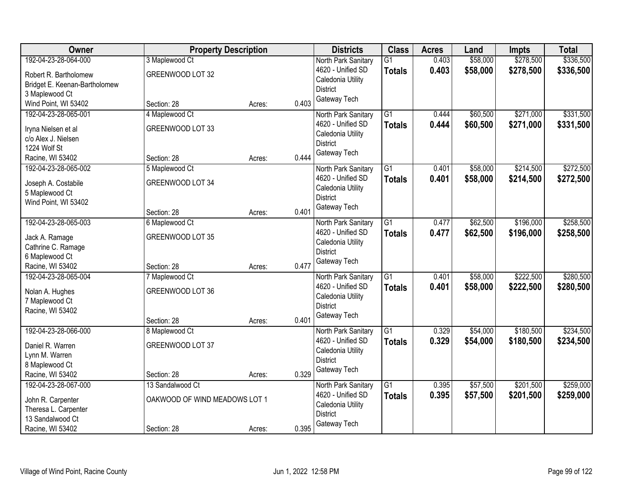| Owner                                    |                               | <b>Property Description</b> |       | <b>Districts</b>                | <b>Class</b>    | <b>Acres</b> | Land     | <b>Impts</b> | <b>Total</b> |
|------------------------------------------|-------------------------------|-----------------------------|-------|---------------------------------|-----------------|--------------|----------|--------------|--------------|
| 192-04-23-28-064-000                     | 3 Maplewood Ct                |                             |       | North Park Sanitary             | $\overline{G1}$ | 0.403        | \$58,000 | \$278,500    | \$336,500    |
| Robert R. Bartholomew                    | GREENWOOD LOT 32              |                             |       | 4620 - Unified SD               | <b>Totals</b>   | 0.403        | \$58,000 | \$278,500    | \$336,500    |
| Bridget E. Keenan-Bartholomew            |                               |                             |       | Caledonia Utility               |                 |              |          |              |              |
| 3 Maplewood Ct                           |                               |                             |       | <b>District</b>                 |                 |              |          |              |              |
| Wind Point, WI 53402                     | Section: 28                   | Acres:                      | 0.403 | Gateway Tech                    |                 |              |          |              |              |
| 192-04-23-28-065-001                     | 4 Maplewood Ct                |                             |       | North Park Sanitary             | $\overline{G1}$ | 0.444        | \$60,500 | \$271,000    | \$331,500    |
| Iryna Nielsen et al                      | GREENWOOD LOT 33              |                             |       | 4620 - Unified SD               | <b>Totals</b>   | 0.444        | \$60,500 | \$271,000    | \$331,500    |
| c/o Alex J. Nielsen                      |                               |                             |       | Caledonia Utility               |                 |              |          |              |              |
| 1224 Wolf St                             |                               |                             |       | <b>District</b>                 |                 |              |          |              |              |
| Racine, WI 53402                         | Section: 28                   | Acres:                      | 0.444 | Gateway Tech                    |                 |              |          |              |              |
| 192-04-23-28-065-002                     | 5 Maplewood Ct                |                             |       | North Park Sanitary             | G1              | 0.401        | \$58,000 | \$214,500    | \$272,500    |
|                                          |                               |                             |       | 4620 - Unified SD               | <b>Totals</b>   | 0.401        | \$58,000 | \$214,500    | \$272,500    |
| Joseph A. Costabile                      | GREENWOOD LOT 34              |                             |       | Caledonia Utility               |                 |              |          |              |              |
| 5 Maplewood Ct                           |                               |                             |       | <b>District</b>                 |                 |              |          |              |              |
| Wind Point, WI 53402                     | Section: 28                   | Acres:                      | 0.401 | Gateway Tech                    |                 |              |          |              |              |
| 192-04-23-28-065-003                     | 6 Maplewood Ct                |                             |       | North Park Sanitary             | $\overline{G1}$ | 0.477        | \$62,500 | \$196,000    | \$258,500    |
|                                          |                               |                             |       | 4620 - Unified SD               | <b>Totals</b>   | 0.477        | \$62,500 | \$196,000    | \$258,500    |
| Jack A. Ramage                           | GREENWOOD LOT 35              |                             |       | Caledonia Utility               |                 |              |          |              |              |
| Cathrine C. Ramage                       |                               |                             |       | <b>District</b>                 |                 |              |          |              |              |
| 6 Maplewood Ct                           |                               |                             |       | Gateway Tech                    |                 |              |          |              |              |
| Racine, WI 53402                         | Section: 28                   | Acres:                      | 0.477 |                                 |                 |              |          |              |              |
| 192-04-23-28-065-004                     | 7 Maplewood Ct                |                             |       | North Park Sanitary             | $\overline{G1}$ | 0.401        | \$58,000 | \$222,500    | \$280,500    |
| Nolan A. Hughes                          | GREENWOOD LOT 36              |                             |       | 4620 - Unified SD               | <b>Totals</b>   | 0.401        | \$58,000 | \$222,500    | \$280,500    |
| 7 Maplewood Ct                           |                               |                             |       | Caledonia Utility               |                 |              |          |              |              |
| Racine, WI 53402                         |                               |                             |       | <b>District</b><br>Gateway Tech |                 |              |          |              |              |
|                                          | Section: 28                   | Acres:                      | 0.401 |                                 |                 |              |          |              |              |
| 192-04-23-28-066-000                     | 8 Maplewood Ct                |                             |       | North Park Sanitary             | $\overline{G1}$ | 0.329        | \$54,000 | \$180,500    | \$234,500    |
| Daniel R. Warren                         | GREENWOOD LOT 37              |                             |       | 4620 - Unified SD               | <b>Totals</b>   | 0.329        | \$54,000 | \$180,500    | \$234,500    |
| Lynn M. Warren                           |                               |                             |       | Caledonia Utility               |                 |              |          |              |              |
| 8 Maplewood Ct                           |                               |                             |       | <b>District</b>                 |                 |              |          |              |              |
| Racine, WI 53402                         | Section: 28                   | Acres:                      | 0.329 | Gateway Tech                    |                 |              |          |              |              |
| 192-04-23-28-067-000                     | 13 Sandalwood Ct              |                             |       | North Park Sanitary             | $\overline{G1}$ | 0.395        | \$57,500 | \$201,500    | \$259,000    |
|                                          |                               |                             |       | 4620 - Unified SD               | <b>Totals</b>   | 0.395        | \$57,500 | \$201,500    | \$259,000    |
| John R. Carpenter                        | OAKWOOD OF WIND MEADOWS LOT 1 |                             |       | Caledonia Utility               |                 |              |          |              |              |
| Theresa L. Carpenter<br>13 Sandalwood Ct |                               |                             |       | <b>District</b>                 |                 |              |          |              |              |
| Racine, WI 53402                         | Section: 28                   | Acres:                      | 0.395 | Gateway Tech                    |                 |              |          |              |              |
|                                          |                               |                             |       |                                 |                 |              |          |              |              |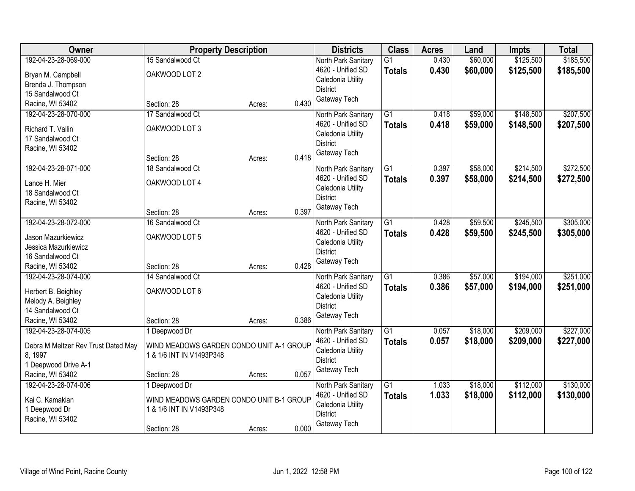| <b>Owner</b>                        |                                          | <b>Property Description</b> |       | <b>Districts</b>    | <b>Class</b>    | <b>Acres</b> | Land     | <b>Impts</b> | <b>Total</b> |
|-------------------------------------|------------------------------------------|-----------------------------|-------|---------------------|-----------------|--------------|----------|--------------|--------------|
| 192-04-23-28-069-000                | 15 Sandalwood Ct                         |                             |       | North Park Sanitary | $\overline{G1}$ | 0.430        | \$60,000 | \$125,500    | \$185,500    |
| Bryan M. Campbell                   | OAKWOOD LOT 2                            |                             |       | 4620 - Unified SD   | <b>Totals</b>   | 0.430        | \$60,000 | \$125,500    | \$185,500    |
| Brenda J. Thompson                  |                                          |                             |       | Caledonia Utility   |                 |              |          |              |              |
| 15 Sandalwood Ct                    |                                          |                             |       | <b>District</b>     |                 |              |          |              |              |
| Racine, WI 53402                    | Section: 28                              | Acres:                      | 0.430 | Gateway Tech        |                 |              |          |              |              |
| 192-04-23-28-070-000                | 17 Sandalwood Ct                         |                             |       | North Park Sanitary | $\overline{G1}$ | 0.418        | \$59,000 | \$148,500    | \$207,500    |
| Richard T. Vallin                   | OAKWOOD LOT 3                            |                             |       | 4620 - Unified SD   | <b>Totals</b>   | 0.418        | \$59,000 | \$148,500    | \$207,500    |
| 17 Sandalwood Ct                    |                                          |                             |       | Caledonia Utility   |                 |              |          |              |              |
| Racine, WI 53402                    |                                          |                             |       | <b>District</b>     |                 |              |          |              |              |
|                                     | Section: 28                              | Acres:                      | 0.418 | Gateway Tech        |                 |              |          |              |              |
| 192-04-23-28-071-000                | 18 Sandalwood Ct                         |                             |       | North Park Sanitary | G1              | 0.397        | \$58,000 | \$214,500    | \$272,500    |
| Lance H. Mier                       | OAKWOOD LOT 4                            |                             |       | 4620 - Unified SD   | <b>Totals</b>   | 0.397        | \$58,000 | \$214,500    | \$272,500    |
| 18 Sandalwood Ct                    |                                          |                             |       | Caledonia Utility   |                 |              |          |              |              |
| Racine, WI 53402                    |                                          |                             |       | <b>District</b>     |                 |              |          |              |              |
|                                     | Section: 28                              | Acres:                      | 0.397 | Gateway Tech        |                 |              |          |              |              |
| 192-04-23-28-072-000                | 16 Sandalwood Ct                         |                             |       | North Park Sanitary | G1              | 0.428        | \$59,500 | \$245,500    | \$305,000    |
| Jason Mazurkiewicz                  | OAKWOOD LOT 5                            |                             |       | 4620 - Unified SD   | <b>Totals</b>   | 0.428        | \$59,500 | \$245,500    | \$305,000    |
| Jessica Mazurkiewicz                |                                          |                             |       | Caledonia Utility   |                 |              |          |              |              |
| 16 Sandalwood Ct                    |                                          |                             |       | <b>District</b>     |                 |              |          |              |              |
| Racine, WI 53402                    | Section: 28                              | Acres:                      | 0.428 | Gateway Tech        |                 |              |          |              |              |
| 192-04-23-28-074-000                | 14 Sandalwood Ct                         |                             |       | North Park Sanitary | $\overline{G1}$ | 0.386        | \$57,000 | \$194,000    | \$251,000    |
|                                     |                                          |                             |       | 4620 - Unified SD   | <b>Totals</b>   | 0.386        | \$57,000 | \$194,000    | \$251,000    |
| Herbert B. Beighley                 | OAKWOOD LOT 6                            |                             |       | Caledonia Utility   |                 |              |          |              |              |
| Melody A. Beighley                  |                                          |                             |       | <b>District</b>     |                 |              |          |              |              |
| 14 Sandalwood Ct                    |                                          |                             |       | Gateway Tech        |                 |              |          |              |              |
| Racine, WI 53402                    | Section: 28                              | Acres:                      | 0.386 |                     |                 |              |          |              |              |
| 192-04-23-28-074-005                | 1 Deepwood Dr                            |                             |       | North Park Sanitary | $\overline{G1}$ | 0.057        | \$18,000 | \$209,000    | \$227,000    |
| Debra M Meltzer Rev Trust Dated May | WIND MEADOWS GARDEN CONDO UNIT A-1 GROUP |                             |       | 4620 - Unified SD   | <b>Totals</b>   | 0.057        | \$18,000 | \$209,000    | \$227,000    |
| 8, 1997                             | 1 & 1/6 INT IN V1493P348                 |                             |       | Caledonia Utility   |                 |              |          |              |              |
| 1 Deepwood Drive A-1                |                                          |                             |       | <b>District</b>     |                 |              |          |              |              |
| Racine, WI 53402                    | Section: 28                              | Acres:                      | 0.057 | Gateway Tech        |                 |              |          |              |              |
| 192-04-23-28-074-006                | 1 Deepwood Dr                            |                             |       | North Park Sanitary | $\overline{G1}$ | 1.033        | \$18,000 | \$112,000    | \$130,000    |
| Kai C. Kamakian                     | WIND MEADOWS GARDEN CONDO UNIT B-1 GROUP |                             |       | 4620 - Unified SD   | <b>Totals</b>   | 1.033        | \$18,000 | \$112,000    | \$130,000    |
| 1 Deepwood Dr                       | 1 & 1/6 INT IN V1493P348                 |                             |       | Caledonia Utility   |                 |              |          |              |              |
| Racine, WI 53402                    |                                          |                             |       | <b>District</b>     |                 |              |          |              |              |
|                                     | Section: 28                              | Acres:                      | 0.000 | Gateway Tech        |                 |              |          |              |              |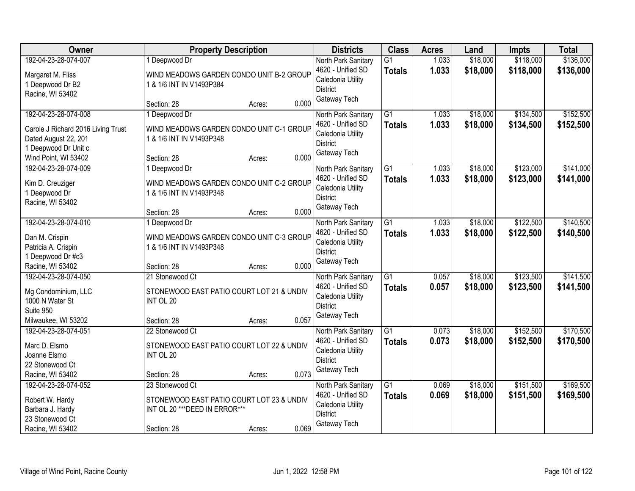| Owner                               |                                                                             | <b>Property Description</b> |       | <b>Districts</b>                     | <b>Class</b>    | <b>Acres</b> | Land     | <b>Impts</b> | <b>Total</b> |
|-------------------------------------|-----------------------------------------------------------------------------|-----------------------------|-------|--------------------------------------|-----------------|--------------|----------|--------------|--------------|
| 192-04-23-28-074-007                | 1 Deepwood Dr                                                               |                             |       | North Park Sanitary                  | $\overline{G1}$ | 1.033        | \$18,000 | \$118,000    | \$136,000    |
| Margaret M. Fliss                   | WIND MEADOWS GARDEN CONDO UNIT B-2 GROUP                                    |                             |       | 4620 - Unified SD                    | <b>Totals</b>   | 1.033        | \$18,000 | \$118,000    | \$136,000    |
| 1 Deepwood Dr B2                    | 1 & 1/6 INT IN V1493P384                                                    |                             |       | Caledonia Utility<br><b>District</b> |                 |              |          |              |              |
| Racine, WI 53402                    |                                                                             |                             |       | Gateway Tech                         |                 |              |          |              |              |
|                                     | Section: 28                                                                 | Acres:                      | 0.000 |                                      |                 |              |          |              |              |
| 192-04-23-28-074-008                | 1 Deepwood Dr                                                               |                             |       | North Park Sanitary                  | $\overline{G1}$ | 1.033        | \$18,000 | \$134,500    | \$152,500    |
| Carole J Richard 2016 Living Trust  | WIND MEADOWS GARDEN CONDO UNIT C-1 GROUP                                    |                             |       | 4620 - Unified SD                    | <b>Totals</b>   | 1.033        | \$18,000 | \$134,500    | \$152,500    |
| Dated August 22, 201                | 1 & 1/6 INT IN V1493P348                                                    |                             |       | Caledonia Utility<br><b>District</b> |                 |              |          |              |              |
| 1 Deepwood Dr Unit c                |                                                                             |                             |       | Gateway Tech                         |                 |              |          |              |              |
| Wind Point, WI 53402                | Section: 28                                                                 | Acres:                      | 0.000 |                                      |                 |              |          |              |              |
| 192-04-23-28-074-009                | 1 Deepwood Dr                                                               |                             |       | North Park Sanitary                  | $\overline{G1}$ | 1.033        | \$18,000 | \$123,000    | \$141,000    |
| Kim D. Creuziger                    | WIND MEADOWS GARDEN CONDO UNIT C-2 GROUP                                    |                             |       | 4620 - Unified SD                    | <b>Totals</b>   | 1.033        | \$18,000 | \$123,000    | \$141,000    |
| 1 Deepwood Dr                       | 1 & 1/6 INT IN V1493P348                                                    |                             |       | Caledonia Utility                    |                 |              |          |              |              |
| Racine, WI 53402                    |                                                                             |                             |       | <b>District</b>                      |                 |              |          |              |              |
|                                     | Section: 28                                                                 | Acres:                      | 0.000 | Gateway Tech                         |                 |              |          |              |              |
| 192-04-23-28-074-010                | 1 Deepwood Dr                                                               |                             |       | North Park Sanitary                  | G1              | 1.033        | \$18,000 | \$122,500    | \$140,500    |
| Dan M. Crispin                      | WIND MEADOWS GARDEN CONDO UNIT C-3 GROUP                                    |                             |       | 4620 - Unified SD                    | <b>Totals</b>   | 1.033        | \$18,000 | \$122,500    | \$140,500    |
| Patricia A. Crispin                 | 1 & 1/6 INT IN V1493P348                                                    |                             |       | Caledonia Utility                    |                 |              |          |              |              |
| 1 Deepwood Dr #c3                   |                                                                             |                             |       | <b>District</b>                      |                 |              |          |              |              |
| Racine, WI 53402                    | Section: 28                                                                 | Acres:                      | 0.000 | Gateway Tech                         |                 |              |          |              |              |
| 192-04-23-28-074-050                | 21 Stonewood Ct                                                             |                             |       | North Park Sanitary                  | $\overline{G1}$ | 0.057        | \$18,000 | \$123,500    | \$141,500    |
| Mg Condominium, LLC                 | STONEWOOD EAST PATIO COURT LOT 21 & UNDIV                                   |                             |       | 4620 - Unified SD                    | Totals          | 0.057        | \$18,000 | \$123,500    | \$141,500    |
| 1000 N Water St                     | INT OL 20                                                                   |                             |       | Caledonia Utility                    |                 |              |          |              |              |
| Suite 950                           |                                                                             |                             |       | <b>District</b>                      |                 |              |          |              |              |
| Milwaukee, WI 53202                 | Section: 28                                                                 | Acres:                      | 0.057 | Gateway Tech                         |                 |              |          |              |              |
| 192-04-23-28-074-051                | 22 Stonewood Ct                                                             |                             |       | North Park Sanitary                  | $\overline{G1}$ | 0.073        | \$18,000 | \$152,500    | \$170,500    |
| Marc D. Elsmo                       | STONEWOOD EAST PATIO COURT LOT 22 & UNDIV                                   |                             |       | 4620 - Unified SD                    | <b>Totals</b>   | 0.073        | \$18,000 | \$152,500    | \$170,500    |
| Joanne Elsmo                        | INT OL 20                                                                   |                             |       | Caledonia Utility                    |                 |              |          |              |              |
| 22 Stonewood Ct                     |                                                                             |                             |       | <b>District</b>                      |                 |              |          |              |              |
| Racine, WI 53402                    | Section: 28                                                                 | Acres:                      | 0.073 | Gateway Tech                         |                 |              |          |              |              |
| 192-04-23-28-074-052                | 23 Stonewood Ct                                                             |                             |       | North Park Sanitary                  | $\overline{G1}$ | 0.069        | \$18,000 | \$151,500    | \$169,500    |
|                                     |                                                                             |                             |       | 4620 - Unified SD                    | <b>Totals</b>   | 0.069        | \$18,000 | \$151,500    | \$169,500    |
| Robert W. Hardy<br>Barbara J. Hardy | STONEWOOD EAST PATIO COURT LOT 23 & UNDIV<br>INT OL 20 *** DEED IN ERROR*** |                             |       | Caledonia Utility                    |                 |              |          |              |              |
| 23 Stonewood Ct                     |                                                                             |                             |       | <b>District</b>                      |                 |              |          |              |              |
| Racine, WI 53402                    | Section: 28                                                                 | Acres:                      | 0.069 | Gateway Tech                         |                 |              |          |              |              |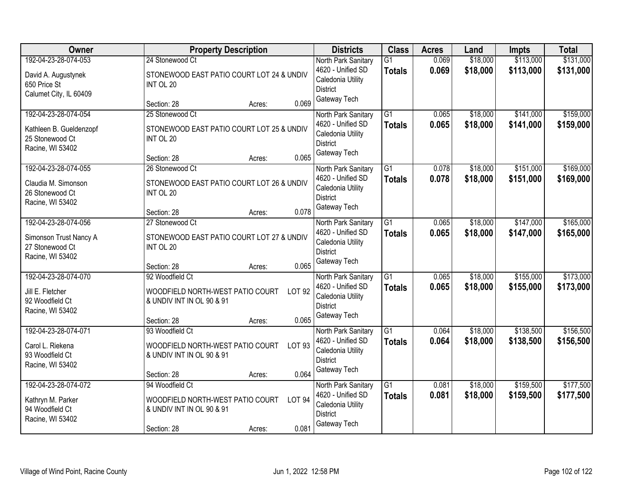| Owner                                                          | <b>Property Description</b>                                                    | <b>Districts</b>                                          | <b>Class</b>    | <b>Acres</b> | Land     | <b>Impts</b> | <b>Total</b> |
|----------------------------------------------------------------|--------------------------------------------------------------------------------|-----------------------------------------------------------|-----------------|--------------|----------|--------------|--------------|
| 192-04-23-28-074-053                                           | 24 Stonewood Ct                                                                | North Park Sanitary                                       | $\overline{G1}$ | 0.069        | \$18,000 | \$113,000    | \$131,000    |
| David A. Augustynek<br>650 Price St<br>Calumet City, IL 60409  | STONEWOOD EAST PATIO COURT LOT 24 & UNDIV<br>INT OL 20                         | 4620 - Unified SD<br>Caledonia Utility<br><b>District</b> | <b>Totals</b>   | 0.069        | \$18,000 | \$113,000    | \$131,000    |
|                                                                | 0.069<br>Section: 28<br>Acres:                                                 | Gateway Tech                                              |                 |              |          |              |              |
| 192-04-23-28-074-054                                           | 25 Stonewood Ct                                                                | North Park Sanitary                                       | $\overline{G1}$ | 0.065        | \$18,000 | \$141,000    | \$159,000    |
| Kathleen B. Gueldenzopf<br>25 Stonewood Ct<br>Racine, WI 53402 | STONEWOOD EAST PATIO COURT LOT 25 & UNDIV<br>INT OL 20                         | 4620 - Unified SD<br>Caledonia Utility<br><b>District</b> | <b>Totals</b>   | 0.065        | \$18,000 | \$141,000    | \$159,000    |
|                                                                | 0.065<br>Section: 28<br>Acres:                                                 | Gateway Tech                                              |                 |              |          |              |              |
| 192-04-23-28-074-055                                           | 26 Stonewood Ct                                                                | North Park Sanitary                                       | G1              | 0.078        | \$18,000 | \$151,000    | \$169,000    |
| Claudia M. Simonson<br>26 Stonewood Ct<br>Racine, WI 53402     | STONEWOOD EAST PATIO COURT LOT 26 & UNDIV<br>INT OL 20                         | 4620 - Unified SD<br>Caledonia Utility<br><b>District</b> | <b>Totals</b>   | 0.078        | \$18,000 | \$151,000    | \$169,000    |
|                                                                | 0.078<br>Section: 28<br>Acres:                                                 | Gateway Tech                                              |                 |              |          |              |              |
| 192-04-23-28-074-056                                           | 27 Stonewood Ct                                                                | North Park Sanitary                                       | $\overline{G1}$ | 0.065        | \$18,000 | \$147,000    | \$165,000    |
| Simonson Trust Nancy A<br>27 Stonewood Ct<br>Racine, WI 53402  | STONEWOOD EAST PATIO COURT LOT 27 & UNDIV<br>INT OL 20                         | 4620 - Unified SD<br>Caledonia Utility<br><b>District</b> | <b>Totals</b>   | 0.065        | \$18,000 | \$147,000    | \$165,000    |
|                                                                | 0.065<br>Section: 28<br>Acres:                                                 | Gateway Tech                                              |                 |              |          |              |              |
| 192-04-23-28-074-070                                           | 92 Woodfield Ct                                                                | North Park Sanitary                                       | $\overline{G1}$ | 0.065        | \$18,000 | \$155,000    | \$173,000    |
| Jill E. Fletcher                                               | <b>LOT 92</b><br>WOODFIELD NORTH-WEST PATIO COURT                              | 4620 - Unified SD                                         | <b>Totals</b>   | 0.065        | \$18,000 | \$155,000    | \$173,000    |
| 92 Woodfield Ct                                                | & UNDIV INT IN OL 90 & 91                                                      | Caledonia Utility<br><b>District</b>                      |                 |              |          |              |              |
| Racine, WI 53402                                               | 0.065<br>Section: 28<br>Acres:                                                 | Gateway Tech                                              |                 |              |          |              |              |
| 192-04-23-28-074-071                                           | 93 Woodfield Ct                                                                | North Park Sanitary                                       | $\overline{G1}$ | 0.064        | \$18,000 | \$138,500    | \$156,500    |
| Carol L. Riekena<br>93 Woodfield Ct<br>Racine, WI 53402        | WOODFIELD NORTH-WEST PATIO COURT<br>LOT 93<br>& UNDIV INT IN OL 90 & 91        | 4620 - Unified SD<br>Caledonia Utility<br><b>District</b> | <b>Totals</b>   | 0.064        | \$18,000 | \$138,500    | \$156,500    |
|                                                                | 0.064<br>Section: 28<br>Acres:                                                 | Gateway Tech                                              |                 |              |          |              |              |
| 192-04-23-28-074-072                                           | 94 Woodfield Ct                                                                | North Park Sanitary                                       | $\overline{G1}$ | 0.081        | \$18,000 | \$159,500    | \$177,500    |
| Kathryn M. Parker<br>94 Woodfield Ct<br>Racine, WI 53402       | WOODFIELD NORTH-WEST PATIO COURT<br><b>LOT 94</b><br>& UNDIV INT IN OL 90 & 91 | 4620 - Unified SD<br>Caledonia Utility<br><b>District</b> | <b>Totals</b>   | 0.081        | \$18,000 | \$159,500    | \$177,500    |
|                                                                | 0.081<br>Section: 28<br>Acres:                                                 | Gateway Tech                                              |                 |              |          |              |              |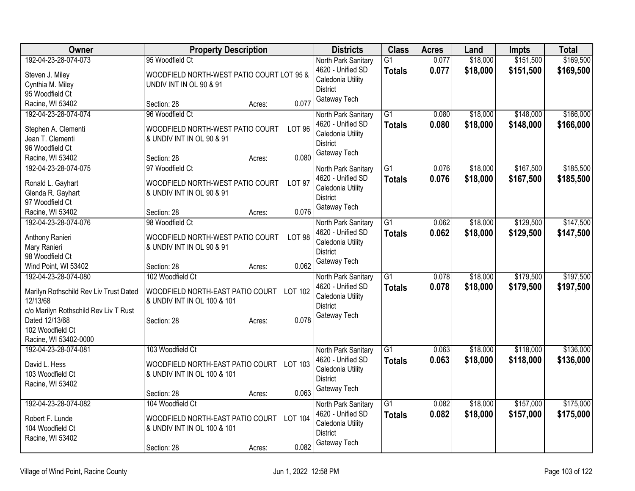| Owner                                              | <b>Property Description</b>                                             |               | <b>Districts</b>    | <b>Class</b>    | <b>Acres</b> | Land     | <b>Impts</b> | <b>Total</b> |
|----------------------------------------------------|-------------------------------------------------------------------------|---------------|---------------------|-----------------|--------------|----------|--------------|--------------|
| 192-04-23-28-074-073                               | 95 Woodfield Ct                                                         |               | North Park Sanitary | $\overline{G1}$ | 0.077        | \$18,000 | \$151,500    | \$169,500    |
| Steven J. Miley                                    | WOODFIELD NORTH-WEST PATIO COURT LOT 95 &                               |               | 4620 - Unified SD   | <b>Totals</b>   | 0.077        | \$18,000 | \$151,500    | \$169,500    |
| Cynthia M. Miley                                   | UNDIV INT IN OL 90 & 91                                                 |               | Caledonia Utility   |                 |              |          |              |              |
| 95 Woodfield Ct                                    |                                                                         |               | <b>District</b>     |                 |              |          |              |              |
| Racine, WI 53402                                   | Section: 28<br>Acres:                                                   | 0.077         | Gateway Tech        |                 |              |          |              |              |
| 192-04-23-28-074-074                               | 96 Woodfield Ct                                                         |               | North Park Sanitary | $\overline{G1}$ | 0.080        | \$18,000 | \$148,000    | \$166,000    |
| Stephen A. Clementi                                | WOODFIELD NORTH-WEST PATIO COURT                                        | <b>LOT 96</b> | 4620 - Unified SD   | <b>Totals</b>   | 0.080        | \$18,000 | \$148,000    | \$166,000    |
| Jean T. Clementi                                   | & UNDIV INT IN OL 90 & 91                                               |               | Caledonia Utility   |                 |              |          |              |              |
| 96 Woodfield Ct                                    |                                                                         |               | <b>District</b>     |                 |              |          |              |              |
| Racine, WI 53402                                   | Section: 28<br>Acres:                                                   | 0.080         | Gateway Tech        |                 |              |          |              |              |
| 192-04-23-28-074-075                               | 97 Woodfield Ct                                                         |               | North Park Sanitary | $\overline{G1}$ | 0.076        | \$18,000 | \$167,500    | \$185,500    |
| Ronald L. Gayhart                                  | WOODFIELD NORTH-WEST PATIO COURT                                        | <b>LOT 97</b> | 4620 - Unified SD   | <b>Totals</b>   | 0.076        | \$18,000 | \$167,500    | \$185,500    |
| Glenda R. Gayhart                                  | & UNDIV INT IN OL 90 & 91                                               |               | Caledonia Utility   |                 |              |          |              |              |
| 97 Woodfield Ct                                    |                                                                         |               | <b>District</b>     |                 |              |          |              |              |
| Racine, WI 53402                                   | Section: 28<br>Acres:                                                   | 0.076         | Gateway Tech        |                 |              |          |              |              |
| 192-04-23-28-074-076                               | 98 Woodfield Ct                                                         |               | North Park Sanitary | $\overline{G1}$ | 0.062        | \$18,000 | \$129,500    | \$147,500    |
|                                                    | WOODFIELD NORTH-WEST PATIO COURT                                        | <b>LOT 98</b> | 4620 - Unified SD   | Totals          | 0.062        | \$18,000 | \$129,500    | \$147,500    |
| Anthony Ranieri<br>Mary Ranieri                    | & UNDIV INT IN OL 90 & 91                                               |               | Caledonia Utility   |                 |              |          |              |              |
| 98 Woodfield Ct                                    |                                                                         |               | <b>District</b>     |                 |              |          |              |              |
| Wind Point, WI 53402                               | Section: 28<br>Acres:                                                   | 0.062         | Gateway Tech        |                 |              |          |              |              |
| 192-04-23-28-074-080                               | 102 Woodfield Ct                                                        |               | North Park Sanitary | $\overline{G1}$ | 0.078        | \$18,000 | \$179,500    | \$197,500    |
|                                                    |                                                                         |               | 4620 - Unified SD   | Totals          | 0.078        | \$18,000 | \$179,500    | \$197,500    |
| Marilyn Rothschild Rev Liv Trust Dated<br>12/13/68 | WOODFIELD NORTH-EAST PATIO COURT LOT 102<br>& UNDIV INT IN OL 100 & 101 |               | Caledonia Utility   |                 |              |          |              |              |
| c/o Marilyn Rothschild Rev Liv T Rust              |                                                                         |               | <b>District</b>     |                 |              |          |              |              |
| Dated 12/13/68                                     | Section: 28<br>Acres:                                                   | 0.078         | Gateway Tech        |                 |              |          |              |              |
| 102 Woodfield Ct                                   |                                                                         |               |                     |                 |              |          |              |              |
| Racine, WI 53402-0000                              |                                                                         |               |                     |                 |              |          |              |              |
| 192-04-23-28-074-081                               | 103 Woodfield Ct                                                        |               | North Park Sanitary | $\overline{G1}$ | 0.063        | \$18,000 | \$118,000    | \$136,000    |
| David L. Hess                                      | WOODFIELD NORTH-EAST PATIO COURT LOT 103                                |               | 4620 - Unified SD   | <b>Totals</b>   | 0.063        | \$18,000 | \$118,000    | \$136,000    |
| 103 Woodfield Ct                                   | & UNDIV INT IN OL 100 & 101                                             |               | Caledonia Utility   |                 |              |          |              |              |
| Racine, WI 53402                                   |                                                                         |               | <b>District</b>     |                 |              |          |              |              |
|                                                    | Section: 28<br>Acres:                                                   | 0.063         | Gateway Tech        |                 |              |          |              |              |
| 192-04-23-28-074-082                               | 104 Woodfield Ct                                                        |               | North Park Sanitary | $\overline{G1}$ | 0.082        | \$18,000 | \$157,000    | \$175,000    |
|                                                    |                                                                         |               | 4620 - Unified SD   | <b>Totals</b>   | 0.082        | \$18,000 | \$157,000    | \$175,000    |
| Robert F. Lunde<br>104 Woodfield Ct                | WOODFIELD NORTH-EAST PATIO COURT LOT 104<br>& UNDIV INT IN OL 100 & 101 |               | Caledonia Utility   |                 |              |          |              |              |
| Racine, WI 53402                                   |                                                                         |               | <b>District</b>     |                 |              |          |              |              |
|                                                    | Section: 28<br>Acres:                                                   | 0.082         | Gateway Tech        |                 |              |          |              |              |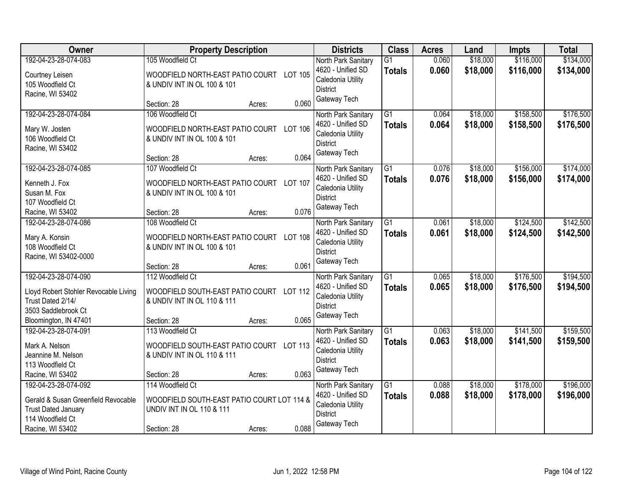| Owner                                 | <b>Property Description</b>                                     |                | <b>Districts</b>                     | <b>Class</b>    | <b>Acres</b> | Land     | <b>Impts</b> | <b>Total</b> |
|---------------------------------------|-----------------------------------------------------------------|----------------|--------------------------------------|-----------------|--------------|----------|--------------|--------------|
| 192-04-23-28-074-083                  | 105 Woodfield Ct                                                |                | North Park Sanitary                  | $\overline{G1}$ | 0.060        | \$18,000 | \$116,000    | \$134,000    |
| Courtney Leisen                       | WOODFIELD NORTH-EAST PATIO COURT                                | LOT 105        | 4620 - Unified SD                    | <b>Totals</b>   | 0.060        | \$18,000 | \$116,000    | \$134,000    |
| 105 Woodfield Ct                      | & UNDIV INT IN OL 100 & 101                                     |                | Caledonia Utility                    |                 |              |          |              |              |
| Racine, WI 53402                      |                                                                 |                | <b>District</b>                      |                 |              |          |              |              |
|                                       | Section: 28<br>Acres:                                           | 0.060          | Gateway Tech                         |                 |              |          |              |              |
| 192-04-23-28-074-084                  | 106 Woodfield Ct                                                |                | North Park Sanitary                  | $\overline{G1}$ | 0.064        | \$18,000 | \$158,500    | \$176,500    |
| Mary W. Josten                        | WOODFIELD NORTH-EAST PATIO COURT LOT 106                        |                | 4620 - Unified SD                    | <b>Totals</b>   | 0.064        | \$18,000 | \$158,500    | \$176,500    |
| 106 Woodfield Ct                      | & UNDIV INT IN OL 100 & 101                                     |                | Caledonia Utility                    |                 |              |          |              |              |
| Racine, WI 53402                      |                                                                 |                | <b>District</b>                      |                 |              |          |              |              |
|                                       | Section: 28<br>Acres:                                           | 0.064          | Gateway Tech                         |                 |              |          |              |              |
| 192-04-23-28-074-085                  | 107 Woodfield Ct                                                |                | North Park Sanitary                  | G1              | 0.076        | \$18,000 | \$156,000    | \$174,000    |
| Kenneth J. Fox                        | WOODFIELD NORTH-EAST PATIO COURT                                | <b>LOT 107</b> | 4620 - Unified SD                    | <b>Totals</b>   | 0.076        | \$18,000 | \$156,000    | \$174,000    |
| Susan M. Fox                          | & UNDIV INT IN OL 100 & 101                                     |                | Caledonia Utility                    |                 |              |          |              |              |
| 107 Woodfield Ct                      |                                                                 |                | <b>District</b>                      |                 |              |          |              |              |
| Racine, WI 53402                      | Section: 28<br>Acres:                                           | 0.076          | Gateway Tech                         |                 |              |          |              |              |
| 192-04-23-28-074-086                  | 108 Woodfield Ct                                                |                | North Park Sanitary                  | G1              | 0.061        | \$18,000 | \$124,500    | \$142,500    |
|                                       |                                                                 |                | 4620 - Unified SD                    | <b>Totals</b>   | 0.061        | \$18,000 | \$124,500    | \$142,500    |
| Mary A. Konsin<br>108 Woodfield Ct    | WOODFIELD NORTH-EAST PATIO COURT<br>& UNDIV INT IN OL 100 & 101 | <b>LOT 108</b> | Caledonia Utility                    |                 |              |          |              |              |
| Racine, WI 53402-0000                 |                                                                 |                | <b>District</b>                      |                 |              |          |              |              |
|                                       | Section: 28<br>Acres:                                           | 0.061          | Gateway Tech                         |                 |              |          |              |              |
| 192-04-23-28-074-090                  | 112 Woodfield Ct                                                |                | North Park Sanitary                  | $\overline{G1}$ | 0.065        | \$18,000 | \$176,500    | \$194,500    |
|                                       |                                                                 |                | 4620 - Unified SD                    | <b>Totals</b>   | 0.065        | \$18,000 | \$176,500    | \$194,500    |
| Lloyd Robert Stohler Revocable Living | WOODFIELD SOUTH-EAST PATIO COURT LOT 112                        |                | Caledonia Utility                    |                 |              |          |              |              |
| Trust Dated 2/14/                     | & UNDIV INT IN OL 110 & 111                                     |                | <b>District</b>                      |                 |              |          |              |              |
| 3503 Saddlebrook Ct                   |                                                                 |                | Gateway Tech                         |                 |              |          |              |              |
| Bloomington, IN 47401                 | Section: 28<br>Acres:                                           | 0.065          |                                      |                 |              |          |              |              |
| 192-04-23-28-074-091                  | 113 Woodfield Ct                                                |                | North Park Sanitary                  | $\overline{G1}$ | 0.063        | \$18,000 | \$141,500    | \$159,500    |
| Mark A. Nelson                        | WOODFIELD SOUTH-EAST PATIO COURT LOT 113                        |                | 4620 - Unified SD                    | <b>Totals</b>   | 0.063        | \$18,000 | \$141,500    | \$159,500    |
| Jeannine M. Nelson                    | & UNDIV INT IN OL 110 & 111                                     |                | Caledonia Utility<br><b>District</b> |                 |              |          |              |              |
| 113 Woodfield Ct                      |                                                                 |                | Gateway Tech                         |                 |              |          |              |              |
| Racine, WI 53402                      | Section: 28<br>Acres:                                           | 0.063          |                                      |                 |              |          |              |              |
| 192-04-23-28-074-092                  | 114 Woodfield Ct                                                |                | North Park Sanitary                  | $\overline{G1}$ | 0.088        | \$18,000 | \$178,000    | \$196,000    |
| Gerald & Susan Greenfield Revocable   | WOODFIELD SOUTH-EAST PATIO COURT LOT 114 &                      |                | 4620 - Unified SD                    | <b>Totals</b>   | 0.088        | \$18,000 | \$178,000    | \$196,000    |
| <b>Trust Dated January</b>            | <b>UNDIV INT IN OL 110 &amp; 111</b>                            |                | Caledonia Utility                    |                 |              |          |              |              |
| 114 Woodfield Ct                      |                                                                 |                | <b>District</b>                      |                 |              |          |              |              |
| Racine, WI 53402                      | Section: 28<br>Acres:                                           | 0.088          | Gateway Tech                         |                 |              |          |              |              |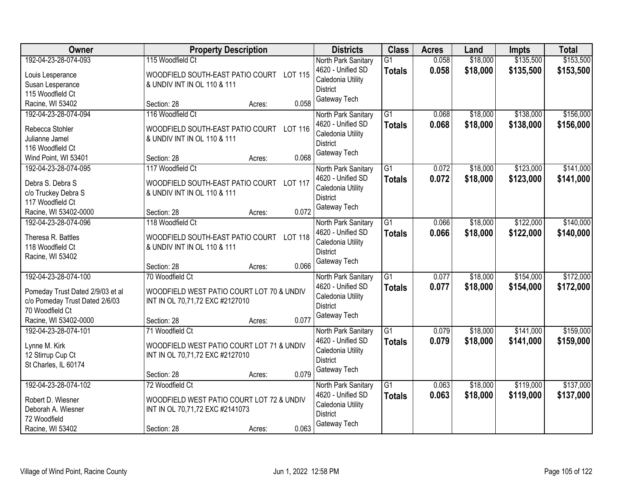| Owner                                             |                                                                 | <b>Property Description</b> |                | <b>Districts</b>                       | <b>Class</b>    | <b>Acres</b> | Land     | <b>Impts</b> | <b>Total</b> |
|---------------------------------------------------|-----------------------------------------------------------------|-----------------------------|----------------|----------------------------------------|-----------------|--------------|----------|--------------|--------------|
| 192-04-23-28-074-093                              | 115 Woodfield Ct                                                |                             |                | North Park Sanitary                    | $\overline{G1}$ | 0.058        | \$18,000 | \$135,500    | \$153,500    |
| Louis Lesperance                                  | WOODFIELD SOUTH-EAST PATIO COURT LOT 115                        |                             |                | 4620 - Unified SD                      | <b>Totals</b>   | 0.058        | \$18,000 | \$135,500    | \$153,500    |
| Susan Lesperance                                  | & UNDIV INT IN OL 110 & 111                                     |                             |                | Caledonia Utility                      |                 |              |          |              |              |
| 115 Woodfield Ct                                  |                                                                 |                             |                | <b>District</b><br>Gateway Tech        |                 |              |          |              |              |
| Racine, WI 53402                                  | Section: 28                                                     | Acres:                      | 0.058          |                                        |                 |              |          |              |              |
| 192-04-23-28-074-094                              | 116 Woodfield Ct                                                |                             |                | North Park Sanitary                    | $\overline{G1}$ | 0.068        | \$18,000 | \$138,000    | \$156,000    |
| Rebecca Stohler                                   | WOODFIELD SOUTH-EAST PATIO COURT                                |                             | LOT 116        | 4620 - Unified SD                      | <b>Totals</b>   | 0.068        | \$18,000 | \$138,000    | \$156,000    |
| Julianne Jamel                                    | & UNDIV INT IN OL 110 & 111                                     |                             |                | Caledonia Utility                      |                 |              |          |              |              |
| 116 Woodfield Ct                                  |                                                                 |                             |                | <b>District</b>                        |                 |              |          |              |              |
| Wind Point, WI 53401                              | Section: 28                                                     | Acres:                      | 0.068          | Gateway Tech                           |                 |              |          |              |              |
| 192-04-23-28-074-095                              | 117 Woodfield Ct                                                |                             |                | North Park Sanitary                    | G1              | 0.072        | \$18,000 | \$123,000    | \$141,000    |
| Debra S. Debra S                                  | WOODFIELD SOUTH-EAST PATIO COURT                                |                             | <b>LOT 117</b> | 4620 - Unified SD                      | <b>Totals</b>   | 0.072        | \$18,000 | \$123,000    | \$141,000    |
| c/o Truckey Debra S                               | & UNDIV INT IN OL 110 & 111                                     |                             |                | Caledonia Utility                      |                 |              |          |              |              |
| 117 Woodfield Ct                                  |                                                                 |                             |                | <b>District</b>                        |                 |              |          |              |              |
| Racine, WI 53402-0000                             | Section: 28                                                     | Acres:                      | 0.072          | Gateway Tech                           |                 |              |          |              |              |
| 192-04-23-28-074-096                              | 118 Woodfield Ct                                                |                             |                | North Park Sanitary                    | $\overline{G1}$ | 0.066        | \$18,000 | \$122,000    | \$140,000    |
|                                                   |                                                                 |                             |                | 4620 - Unified SD                      | <b>Totals</b>   | 0.066        | \$18,000 | \$122,000    | \$140,000    |
| Theresa R. Battles<br>118 Woodfield Ct            | WOODFIELD SOUTH-EAST PATIO COURT<br>& UNDIV INT IN OL 110 & 111 |                             | <b>LOT 118</b> | Caledonia Utility                      |                 |              |          |              |              |
| Racine, WI 53402                                  |                                                                 |                             |                | <b>District</b>                        |                 |              |          |              |              |
|                                                   | Section: 28                                                     | Acres:                      | 0.066          | Gateway Tech                           |                 |              |          |              |              |
| 192-04-23-28-074-100                              | 70 Woodfield Ct                                                 |                             |                | North Park Sanitary                    | $\overline{G1}$ | 0.077        | \$18,000 | \$154,000    | \$172,000    |
|                                                   |                                                                 |                             |                | 4620 - Unified SD                      | Totals          | 0.077        | \$18,000 | \$154,000    | \$172,000    |
| Pomeday Trust Dated 2/9/03 et al                  | WOODFIELD WEST PATIO COURT LOT 70 & UNDIV                       |                             |                | Caledonia Utility                      |                 |              |          |              |              |
| c/o Pomeday Trust Dated 2/6/03<br>70 Woodfield Ct | INT IN OL 70,71,72 EXC #2127010                                 |                             |                | <b>District</b>                        |                 |              |          |              |              |
| Racine, WI 53402-0000                             | Section: 28                                                     | Acres:                      | 0.077          | Gateway Tech                           |                 |              |          |              |              |
| 192-04-23-28-074-101                              | 71 Woodfield Ct                                                 |                             |                | North Park Sanitary                    | $\overline{G1}$ | 0.079        | \$18,000 | \$141,000    | \$159,000    |
|                                                   |                                                                 |                             |                | 4620 - Unified SD                      | <b>Totals</b>   | 0.079        | \$18,000 | \$141,000    | \$159,000    |
| Lynne M. Kirk                                     | WOODFIELD WEST PATIO COURT LOT 71 & UNDIV                       |                             |                | Caledonia Utility                      |                 |              |          |              |              |
| 12 Stirrup Cup Ct                                 | INT IN OL 70,71,72 EXC #2127010                                 |                             |                | <b>District</b>                        |                 |              |          |              |              |
| St Charles, IL 60174                              |                                                                 |                             |                | Gateway Tech                           |                 |              |          |              |              |
|                                                   | Section: 28                                                     | Acres:                      | 0.079          |                                        |                 |              |          |              |              |
| 192-04-23-28-074-102                              | 72 Woodfield Ct                                                 |                             |                | North Park Sanitary                    | $\overline{G1}$ | 0.063        | \$18,000 | \$119,000    | \$137,000    |
| Robert D. Wiesner                                 | WOODFIELD WEST PATIO COURT LOT 72 & UNDIV                       |                             |                | 4620 - Unified SD<br>Caledonia Utility | <b>Totals</b>   | 0.063        | \$18,000 | \$119,000    | \$137,000    |
| Deborah A. Wiesner                                | INT IN OL 70,71,72 EXC #2141073                                 |                             |                | <b>District</b>                        |                 |              |          |              |              |
| 72 Woodfield                                      |                                                                 |                             |                | Gateway Tech                           |                 |              |          |              |              |
| Racine, WI 53402                                  | Section: 28                                                     | Acres:                      | 0.063          |                                        |                 |              |          |              |              |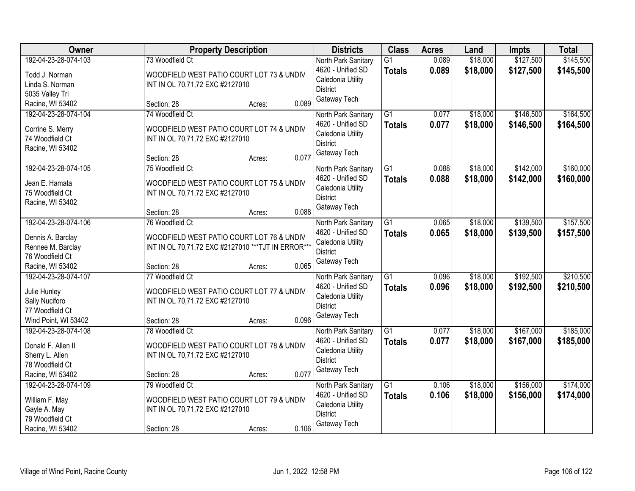| Owner                                                                                                 | <b>Property Description</b>                                                                                                                           | <b>Districts</b>                                                                                 | <b>Class</b>                     | <b>Acres</b>   | Land                 | <b>Impts</b>           | <b>Total</b>           |
|-------------------------------------------------------------------------------------------------------|-------------------------------------------------------------------------------------------------------------------------------------------------------|--------------------------------------------------------------------------------------------------|----------------------------------|----------------|----------------------|------------------------|------------------------|
| 192-04-23-28-074-103<br>Todd J. Norman<br>Linda S. Norman<br>5035 Valley Trl                          | 73 Woodfield Ct<br>WOODFIELD WEST PATIO COURT LOT 73 & UNDIV<br>INT IN OL 70,71,72 EXC #2127010                                                       | North Park Sanitary<br>4620 - Unified SD<br>Caledonia Utility<br><b>District</b>                 | $\overline{G1}$<br><b>Totals</b> | 0.089<br>0.089 | \$18,000<br>\$18,000 | \$127,500<br>\$127,500 | \$145,500<br>\$145,500 |
| Racine, WI 53402                                                                                      | 0.089<br>Section: 28<br>Acres:                                                                                                                        | Gateway Tech                                                                                     |                                  |                |                      |                        |                        |
| 192-04-23-28-074-104<br>Corrine S. Merry<br>74 Woodfield Ct<br>Racine, WI 53402                       | 74 Woodfield Ct<br>WOODFIELD WEST PATIO COURT LOT 74 & UNDIV<br>INT IN OL 70,71,72 EXC #2127010<br>0.077<br>Section: 28<br>Acres:                     | North Park Sanitary<br>4620 - Unified SD<br>Caledonia Utility<br><b>District</b><br>Gateway Tech | $\overline{G1}$<br><b>Totals</b> | 0.077<br>0.077 | \$18,000<br>\$18,000 | \$146,500<br>\$146,500 | \$164,500<br>\$164,500 |
| 192-04-23-28-074-105<br>Jean E. Hamata<br>75 Woodfield Ct<br>Racine, WI 53402                         | 75 Woodfield Ct<br>WOODFIELD WEST PATIO COURT LOT 75 & UNDIV<br>INT IN OL 70,71,72 EXC #2127010<br>0.088<br>Section: 28<br>Acres:                     | North Park Sanitary<br>4620 - Unified SD<br>Caledonia Utility<br><b>District</b><br>Gateway Tech | G1<br><b>Totals</b>              | 0.088<br>0.088 | \$18,000<br>\$18,000 | \$142,000<br>\$142,000 | \$160,000<br>\$160,000 |
| 192-04-23-28-074-106<br>Dennis A. Barclay<br>Rennee M. Barclay<br>76 Woodfield Ct<br>Racine, WI 53402 | 76 Woodfield Ct<br>WOODFIELD WEST PATIO COURT LOT 76 & UNDIV<br>INT IN OL 70,71,72 EXC #2127010 *** TJT IN ERROR***<br>0.065<br>Section: 28<br>Acres: | North Park Sanitary<br>4620 - Unified SD<br>Caledonia Utility<br><b>District</b><br>Gateway Tech | G1<br><b>Totals</b>              | 0.065<br>0.065 | \$18,000<br>\$18,000 | \$139,500<br>\$139,500 | \$157,500<br>\$157,500 |
| 192-04-23-28-074-107<br>Julie Hunley<br>Sally Nuciforo<br>77 Woodfield Ct<br>Wind Point, WI 53402     | 77 Woodfield Ct<br>WOODFIELD WEST PATIO COURT LOT 77 & UNDIV<br>INT IN OL 70,71,72 EXC #2127010<br>0.096<br>Section: 28<br>Acres:                     | North Park Sanitary<br>4620 - Unified SD<br>Caledonia Utility<br><b>District</b><br>Gateway Tech | $\overline{G1}$<br><b>Totals</b> | 0.096<br>0.096 | \$18,000<br>\$18,000 | \$192,500<br>\$192,500 | \$210,500<br>\$210,500 |
| 192-04-23-28-074-108<br>Donald F. Allen II<br>Sherry L. Allen<br>78 Woodfield Ct<br>Racine, WI 53402  | 78 Woodfield Ct<br>WOODFIELD WEST PATIO COURT LOT 78 & UNDIV<br>INT IN OL 70,71,72 EXC #2127010<br>0.077<br>Section: 28<br>Acres:                     | North Park Sanitary<br>4620 - Unified SD<br>Caledonia Utility<br><b>District</b><br>Gateway Tech | $\overline{G1}$<br><b>Totals</b> | 0.077<br>0.077 | \$18,000<br>\$18,000 | \$167,000<br>\$167,000 | \$185,000<br>\$185,000 |
| 192-04-23-28-074-109<br>William F. May<br>Gayle A. May<br>79 Woodfield Ct<br>Racine, WI 53402         | 79 Woodfield Ct<br>WOODFIELD WEST PATIO COURT LOT 79 & UNDIV<br>INT IN OL 70,71,72 EXC #2127010<br>0.106<br>Section: 28<br>Acres:                     | North Park Sanitary<br>4620 - Unified SD<br>Caledonia Utility<br><b>District</b><br>Gateway Tech | $\overline{G1}$<br><b>Totals</b> | 0.106<br>0.106 | \$18,000<br>\$18,000 | \$156,000<br>\$156,000 | \$174,000<br>\$174,000 |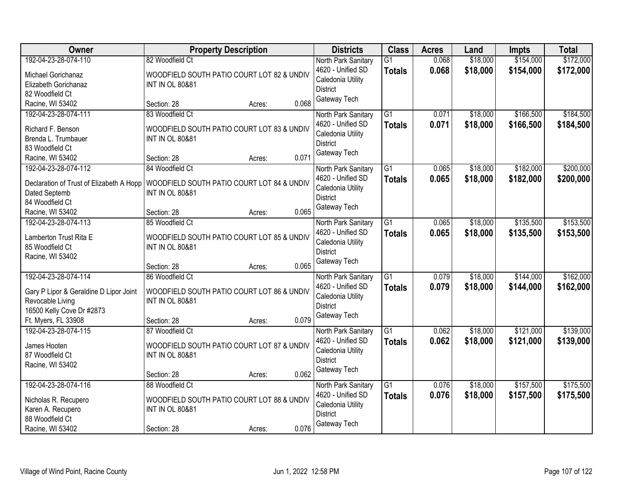| Owner                                                                                                                                  | <b>Property Description</b>                                                                                                   | <b>Districts</b>                                                                                 | <b>Class</b>                     | <b>Acres</b>   | Land                 | <b>Impts</b>           | <b>Total</b>           |
|----------------------------------------------------------------------------------------------------------------------------------------|-------------------------------------------------------------------------------------------------------------------------------|--------------------------------------------------------------------------------------------------|----------------------------------|----------------|----------------------|------------------------|------------------------|
| 192-04-23-28-074-110<br>Michael Gorichanaz<br>Elizabeth Gorichanaz<br>82 Woodfield Ct                                                  | 82 Woodfield Ct<br>WOODFIELD SOUTH PATIO COURT LOT 82 & UNDIV<br><b>INT IN OL 80&amp;81</b>                                   | North Park Sanitary<br>4620 - Unified SD<br>Caledonia Utility<br><b>District</b>                 | $\overline{G1}$<br><b>Totals</b> | 0.068<br>0.068 | \$18,000<br>\$18,000 | \$154,000<br>\$154,000 | \$172,000<br>\$172,000 |
| Racine, WI 53402                                                                                                                       | 0.068<br>Section: 28<br>Acres:                                                                                                | Gateway Tech                                                                                     |                                  |                |                      |                        |                        |
| 192-04-23-28-074-111<br>Richard F. Benson<br>Brenda L. Trumbauer<br>83 Woodfield Ct<br>Racine, WI 53402                                | 83 Woodfield Ct<br>WOODFIELD SOUTH PATIO COURT LOT 83 & UNDIV<br><b>INT IN OL 80&amp;81</b><br>0.071<br>Section: 28<br>Acres: | North Park Sanitary<br>4620 - Unified SD<br>Caledonia Utility<br><b>District</b><br>Gateway Tech | $\overline{G1}$<br><b>Totals</b> | 0.071<br>0.071 | \$18,000<br>\$18,000 | \$166,500<br>\$166,500 | \$184,500<br>\$184,500 |
| 192-04-23-28-074-112<br>Declaration of Trust of Elizabeth A Hopp<br>Dated Septemb<br>84 Woodfield Ct<br>Racine, WI 53402               | 84 Woodfield Ct<br>WOODFIELD SOUTH PATIO COURT LOT 84 & UNDIV<br><b>INT IN OL 80&amp;81</b><br>0.065<br>Section: 28<br>Acres: | North Park Sanitary<br>4620 - Unified SD<br>Caledonia Utility<br><b>District</b><br>Gateway Tech | G1<br><b>Totals</b>              | 0.065<br>0.065 | \$18,000<br>\$18,000 | \$182,000<br>\$182,000 | \$200,000<br>\$200,000 |
| 192-04-23-28-074-113<br>Lamberton Trust Rita E<br>85 Woodfield Ct<br>Racine, WI 53402                                                  | 85 Woodfield Ct<br>WOODFIELD SOUTH PATIO COURT LOT 85 & UNDIV<br><b>INT IN OL 80&amp;81</b><br>0.065<br>Section: 28<br>Acres: | North Park Sanitary<br>4620 - Unified SD<br>Caledonia Utility<br><b>District</b><br>Gateway Tech | G1<br><b>Totals</b>              | 0.065<br>0.065 | \$18,000<br>\$18,000 | \$135,500<br>\$135,500 | \$153,500<br>\$153,500 |
| 192-04-23-28-074-114<br>Gary P Lipor & Geraldine D Lipor Joint<br>Revocable Living<br>16500 Kelly Cove Dr #2873<br>Ft. Myers, FL 33908 | 86 Woodfield Ct<br>WOODFIELD SOUTH PATIO COURT LOT 86 & UNDIV<br><b>INT IN OL 80&amp;81</b><br>0.079<br>Section: 28<br>Acres: | North Park Sanitary<br>4620 - Unified SD<br>Caledonia Utility<br><b>District</b><br>Gateway Tech | $\overline{G1}$<br><b>Totals</b> | 0.079<br>0.079 | \$18,000<br>\$18,000 | \$144,000<br>\$144,000 | \$162,000<br>\$162,000 |
| 192-04-23-28-074-115<br>James Hooten<br>87 Woodfield Ct<br>Racine, WI 53402                                                            | 87 Woodfield Ct<br>WOODFIELD SOUTH PATIO COURT LOT 87 & UNDIV<br><b>INT IN OL 80&amp;81</b><br>0.062<br>Section: 28<br>Acres: | North Park Sanitary<br>4620 - Unified SD<br>Caledonia Utility<br><b>District</b><br>Gateway Tech | $\overline{G1}$<br><b>Totals</b> | 0.062<br>0.062 | \$18,000<br>\$18,000 | \$121,000<br>\$121,000 | \$139,000<br>\$139,000 |
| 192-04-23-28-074-116<br>Nicholas R. Recupero<br>Karen A. Recupero<br>88 Woodfield Ct<br>Racine, WI 53402                               | 88 Woodfield Ct<br>WOODFIELD SOUTH PATIO COURT LOT 88 & UNDIV<br><b>INT IN OL 80&amp;81</b><br>0.076<br>Section: 28<br>Acres: | North Park Sanitary<br>4620 - Unified SD<br>Caledonia Utility<br><b>District</b><br>Gateway Tech | $\overline{G1}$<br><b>Totals</b> | 0.076<br>0.076 | \$18,000<br>\$18,000 | \$157,500<br>\$157,500 | \$175,500<br>\$175,500 |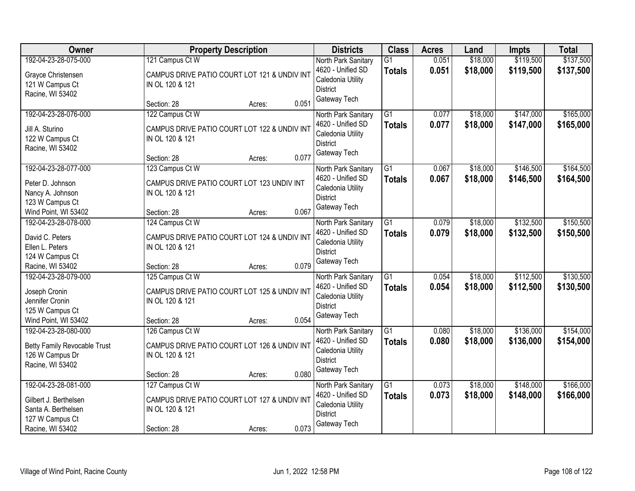| Owner                                                                                                       | <b>Property Description</b>                                                                                          | <b>Districts</b>                                                                                 | <b>Class</b>                     | <b>Acres</b>   | Land                 | <b>Impts</b>           | <b>Total</b>           |
|-------------------------------------------------------------------------------------------------------------|----------------------------------------------------------------------------------------------------------------------|--------------------------------------------------------------------------------------------------|----------------------------------|----------------|----------------------|------------------------|------------------------|
| 192-04-23-28-075-000<br>Grayce Christensen<br>121 W Campus Ct<br>Racine, WI 53402                           | 121 Campus Ct W<br>CAMPUS DRIVE PATIO COURT LOT 121 & UNDIV INT<br>IN OL 120 & 121                                   | North Park Sanitary<br>4620 - Unified SD<br>Caledonia Utility<br><b>District</b>                 | $\overline{G1}$<br><b>Totals</b> | 0.051<br>0.051 | \$18,000<br>\$18,000 | \$119,500<br>\$119,500 | \$137,500<br>\$137,500 |
|                                                                                                             | 0.051<br>Section: 28<br>Acres:                                                                                       | Gateway Tech                                                                                     |                                  |                |                      |                        |                        |
| 192-04-23-28-076-000<br>Jill A. Sturino<br>122 W Campus Ct<br>Racine, WI 53402                              | 122 Campus Ct W<br>CAMPUS DRIVE PATIO COURT LOT 122 & UNDIV INT<br>IN OL 120 & 121<br>0.077<br>Section: 28<br>Acres: | North Park Sanitary<br>4620 - Unified SD<br>Caledonia Utility<br><b>District</b><br>Gateway Tech | $\overline{G1}$<br><b>Totals</b> | 0.077<br>0.077 | \$18,000<br>\$18,000 | \$147,000<br>\$147,000 | \$165,000<br>\$165,000 |
| 192-04-23-28-077-000<br>Peter D. Johnson<br>Nancy A. Johnson<br>123 W Campus Ct<br>Wind Point, WI 53402     | 123 Campus Ct W<br>CAMPUS DRIVE PATIO COURT LOT 123 UNDIV INT<br>IN OL 120 & 121<br>0.067<br>Section: 28<br>Acres:   | North Park Sanitary<br>4620 - Unified SD<br>Caledonia Utility<br><b>District</b><br>Gateway Tech | $\overline{G1}$<br><b>Totals</b> | 0.067<br>0.067 | \$18,000<br>\$18,000 | \$146,500<br>\$146,500 | \$164,500<br>\$164,500 |
| 192-04-23-28-078-000<br>David C. Peters<br>Ellen L. Peters<br>124 W Campus Ct<br>Racine, WI 53402           | 124 Campus Ct W<br>CAMPUS DRIVE PATIO COURT LOT 124 & UNDIV INT<br>IN OL 120 & 121<br>0.079<br>Section: 28<br>Acres: | North Park Sanitary<br>4620 - Unified SD<br>Caledonia Utility<br><b>District</b><br>Gateway Tech | $\overline{G1}$<br><b>Totals</b> | 0.079<br>0.079 | \$18,000<br>\$18,000 | \$132,500<br>\$132,500 | \$150,500<br>\$150,500 |
| 192-04-23-28-079-000<br>Joseph Cronin<br>Jennifer Cronin<br>125 W Campus Ct<br>Wind Point, WI 53402         | 125 Campus Ct W<br>CAMPUS DRIVE PATIO COURT LOT 125 & UNDIV INT<br>IN OL 120 & 121<br>0.054<br>Section: 28<br>Acres: | North Park Sanitary<br>4620 - Unified SD<br>Caledonia Utility<br><b>District</b><br>Gateway Tech | $\overline{G1}$<br><b>Totals</b> | 0.054<br>0.054 | \$18,000<br>\$18,000 | \$112,500<br>\$112,500 | \$130,500<br>\$130,500 |
| 192-04-23-28-080-000<br><b>Betty Family Revocable Trust</b><br>126 W Campus Dr<br>Racine, WI 53402          | 126 Campus Ct W<br>CAMPUS DRIVE PATIO COURT LOT 126 & UNDIV INT<br>IN OL 120 & 121<br>0.080<br>Section: 28<br>Acres: | North Park Sanitary<br>4620 - Unified SD<br>Caledonia Utility<br><b>District</b><br>Gateway Tech | $\overline{G1}$<br><b>Totals</b> | 0.080<br>0.080 | \$18,000<br>\$18,000 | \$136,000<br>\$136,000 | \$154,000<br>\$154,000 |
| 192-04-23-28-081-000<br>Gilbert J. Berthelsen<br>Santa A. Berthelsen<br>127 W Campus Ct<br>Racine, WI 53402 | 127 Campus Ct W<br>CAMPUS DRIVE PATIO COURT LOT 127 & UNDIV INT<br>IN OL 120 & 121<br>0.073<br>Section: 28<br>Acres: | North Park Sanitary<br>4620 - Unified SD<br>Caledonia Utility<br><b>District</b><br>Gateway Tech | $\overline{G1}$<br><b>Totals</b> | 0.073<br>0.073 | \$18,000<br>\$18,000 | \$148,000<br>\$148,000 | \$166,000<br>\$166,000 |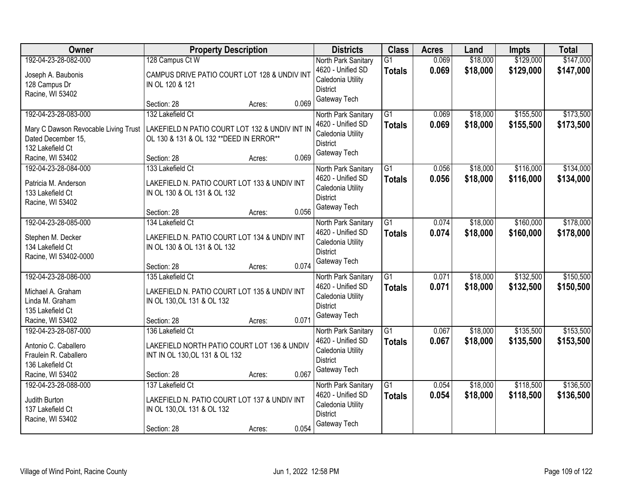| <b>Owner</b>                          | <b>Property Description</b>                                                 |        | <b>Districts</b>                         | <b>Class</b>                     | <b>Acres</b>   | Land                 | <b>Impts</b>           | <b>Total</b>           |
|---------------------------------------|-----------------------------------------------------------------------------|--------|------------------------------------------|----------------------------------|----------------|----------------------|------------------------|------------------------|
| 192-04-23-28-082-000                  | 128 Campus Ct W                                                             |        | North Park Sanitary<br>4620 - Unified SD | $\overline{G1}$<br><b>Totals</b> | 0.069<br>0.069 | \$18,000<br>\$18,000 | \$129,000<br>\$129,000 | \$147,000<br>\$147,000 |
| Joseph A. Baubonis<br>128 Campus Dr   | CAMPUS DRIVE PATIO COURT LOT 128 & UNDIV INT<br>IN OL 120 & 121             |        | Caledonia Utility                        |                                  |                |                      |                        |                        |
| Racine, WI 53402                      |                                                                             |        | <b>District</b>                          |                                  |                |                      |                        |                        |
|                                       | Section: 28                                                                 | Acres: | Gateway Tech<br>0.069                    |                                  |                |                      |                        |                        |
| 192-04-23-28-083-000                  | 132 Lakefield Ct                                                            |        | North Park Sanitary                      | $\overline{G1}$                  | 0.069          | \$18,000             | \$155,500              | \$173,500              |
| Mary C Dawson Revocable Living Trust  | LAKEFIELD N PATIO COURT LOT 132 & UNDIV INT IN                              |        | 4620 - Unified SD                        | <b>Totals</b>                    | 0.069          | \$18,000             | \$155,500              | \$173,500              |
| Dated December 15.                    | OL 130 & 131 & OL 132 ** DEED IN ERROR**                                    |        | Caledonia Utility                        |                                  |                |                      |                        |                        |
| 132 Lakefield Ct                      |                                                                             |        | <b>District</b>                          |                                  |                |                      |                        |                        |
| Racine, WI 53402                      | Section: 28                                                                 | Acres: | Gateway Tech<br>0.069                    |                                  |                |                      |                        |                        |
| 192-04-23-28-084-000                  | 133 Lakefield Ct                                                            |        | North Park Sanitary                      | G1                               | 0.056          | \$18,000             | \$116,000              | \$134,000              |
| Patricia M. Anderson                  | LAKEFIELD N. PATIO COURT LOT 133 & UNDIV INT                                |        | 4620 - Unified SD                        | <b>Totals</b>                    | 0.056          | \$18,000             | \$116,000              | \$134,000              |
| 133 Lakefield Ct                      | IN OL 130 & OL 131 & OL 132                                                 |        | Caledonia Utility                        |                                  |                |                      |                        |                        |
| Racine, WI 53402                      |                                                                             |        | <b>District</b>                          |                                  |                |                      |                        |                        |
|                                       | Section: 28                                                                 | Acres: | Gateway Tech<br>0.056                    |                                  |                |                      |                        |                        |
| 192-04-23-28-085-000                  | 134 Lakefield Ct                                                            |        | North Park Sanitary                      | $\overline{G1}$                  | 0.074          | \$18,000             | \$160,000              | \$178,000              |
|                                       |                                                                             |        | 4620 - Unified SD                        | <b>Totals</b>                    | 0.074          | \$18,000             | \$160,000              | \$178,000              |
| Stephen M. Decker<br>134 Lakefield Ct | LAKEFIELD N. PATIO COURT LOT 134 & UNDIV INT<br>IN OL 130 & OL 131 & OL 132 |        | Caledonia Utility                        |                                  |                |                      |                        |                        |
| Racine, WI 53402-0000                 |                                                                             |        | <b>District</b>                          |                                  |                |                      |                        |                        |
|                                       | Section: 28                                                                 | Acres: | Gateway Tech<br>0.074                    |                                  |                |                      |                        |                        |
| 192-04-23-28-086-000                  | 135 Lakefield Ct                                                            |        | North Park Sanitary                      | $\overline{G1}$                  | 0.071          | \$18,000             | \$132,500              | \$150,500              |
|                                       |                                                                             |        | 4620 - Unified SD                        | <b>Totals</b>                    | 0.071          | \$18,000             | \$132,500              | \$150,500              |
| Michael A. Graham                     | LAKEFIELD N. PATIO COURT LOT 135 & UNDIV INT                                |        | Caledonia Utility                        |                                  |                |                      |                        |                        |
| Linda M. Graham                       | IN OL 130, OL 131 & OL 132                                                  |        | <b>District</b>                          |                                  |                |                      |                        |                        |
| 135 Lakefield Ct<br>Racine, WI 53402  | Section: 28                                                                 | Acres: | Gateway Tech<br>0.071                    |                                  |                |                      |                        |                        |
| 192-04-23-28-087-000                  | 136 Lakefield Ct                                                            |        | North Park Sanitary                      | $\overline{G1}$                  | 0.067          | \$18,000             | \$135,500              | \$153,500              |
|                                       |                                                                             |        | 4620 - Unified SD                        | <b>Totals</b>                    | 0.067          | \$18,000             | \$135,500              | \$153,500              |
| Antonio C. Caballero                  | LAKEFIELD NORTH PATIO COURT LOT 136 & UNDIV                                 |        | Caledonia Utility                        |                                  |                |                      |                        |                        |
| Fraulein R. Caballero                 | INT IN OL 130, OL 131 & OL 132                                              |        | <b>District</b>                          |                                  |                |                      |                        |                        |
| 136 Lakefield Ct                      |                                                                             |        | Gateway Tech                             |                                  |                |                      |                        |                        |
| Racine, WI 53402                      | Section: 28                                                                 | Acres: | 0.067                                    |                                  |                |                      |                        |                        |
| 192-04-23-28-088-000                  | 137 Lakefield Ct                                                            |        | North Park Sanitary<br>4620 - Unified SD | $\overline{G1}$                  | 0.054          | \$18,000             | \$118,500              | \$136,500              |
| Judith Burton                         | LAKEFIELD N. PATIO COURT LOT 137 & UNDIV INT                                |        | Caledonia Utility                        | <b>Totals</b>                    | 0.054          | \$18,000             | \$118,500              | \$136,500              |
| 137 Lakefield Ct                      | IN OL 130, OL 131 & OL 132                                                  |        | <b>District</b>                          |                                  |                |                      |                        |                        |
| Racine, WI 53402                      |                                                                             |        | Gateway Tech                             |                                  |                |                      |                        |                        |
|                                       | Section: 28                                                                 | Acres: | 0.054                                    |                                  |                |                      |                        |                        |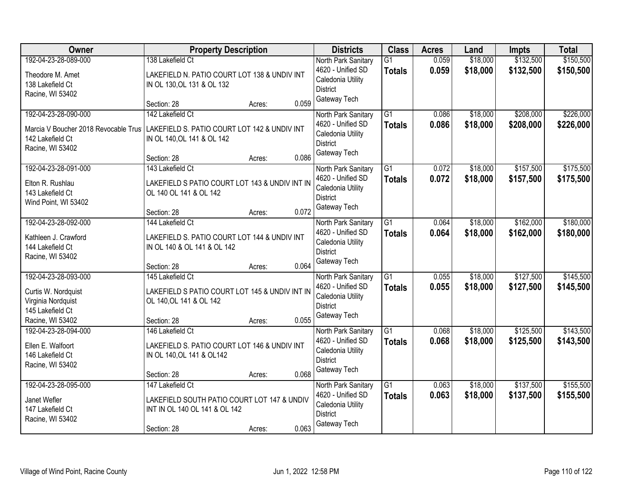| <b>Owner</b>                                                                                              | <b>Property Description</b>                                                                                                      |       | <b>Districts</b>                                                                                 | <b>Class</b>                     | <b>Acres</b>   | Land                 | <b>Impts</b>           | <b>Total</b>           |
|-----------------------------------------------------------------------------------------------------------|----------------------------------------------------------------------------------------------------------------------------------|-------|--------------------------------------------------------------------------------------------------|----------------------------------|----------------|----------------------|------------------------|------------------------|
| 192-04-23-28-089-000<br>Theodore M. Amet<br>138 Lakefield Ct<br>Racine, WI 53402                          | 138 Lakefield Ct<br>LAKEFIELD N. PATIO COURT LOT 138 & UNDIV INT<br>IN OL 130, OL 131 & OL 132                                   |       | North Park Sanitary<br>4620 - Unified SD<br>Caledonia Utility<br><b>District</b>                 | $\overline{G1}$<br><b>Totals</b> | 0.059<br>0.059 | \$18,000<br>\$18,000 | \$132,500<br>\$132,500 | \$150,500<br>\$150,500 |
|                                                                                                           | Section: 28<br>Acres:                                                                                                            | 0.059 | Gateway Tech                                                                                     |                                  |                |                      |                        |                        |
| 192-04-23-28-090-000<br>Marcia V Boucher 2018 Revocable Trus<br>142 Lakefield Ct<br>Racine, WI 53402      | 142 Lakefield Ct<br>LAKEFIELD S. PATIO COURT LOT 142 & UNDIV INT<br>IN OL 140, OL 141 & OL 142<br>Section: 28<br>Acres:          | 0.086 | North Park Sanitary<br>4620 - Unified SD<br>Caledonia Utility<br><b>District</b><br>Gateway Tech | $\overline{G1}$<br><b>Totals</b> | 0.086<br>0.086 | \$18,000<br>\$18,000 | \$208,000<br>\$208,000 | \$226,000<br>\$226,000 |
| 192-04-23-28-091-000<br>Elton R. Rushlau<br>143 Lakefield Ct<br>Wind Point, WI 53402                      | 143 Lakefield Ct<br>LAKEFIELD S PATIO COURT LOT 143 & UNDIV INT IN<br>OL 140 OL 141 & OL 142<br>Section: 28<br>Acres:            | 0.072 | North Park Sanitary<br>4620 - Unified SD<br>Caledonia Utility<br><b>District</b><br>Gateway Tech | G1<br><b>Totals</b>              | 0.072<br>0.072 | \$18,000<br>\$18,000 | \$157,500<br>\$157,500 | \$175,500<br>\$175,500 |
| 192-04-23-28-092-000<br>Kathleen J. Crawford<br>144 Lakefield Ct<br>Racine, WI 53402                      | 144 Lakefield Ct<br>LAKEFIELD S. PATIO COURT LOT 144 & UNDIV INT<br>IN OL 140 & OL 141 & OL 142<br>Section: 28                   | 0.064 | North Park Sanitary<br>4620 - Unified SD<br>Caledonia Utility<br><b>District</b><br>Gateway Tech | G1<br><b>Totals</b>              | 0.064<br>0.064 | \$18,000<br>\$18,000 | \$162,000<br>\$162,000 | \$180,000<br>\$180,000 |
| 192-04-23-28-093-000<br>Curtis W. Nordquist<br>Virginia Nordquist<br>145 Lakefield Ct<br>Racine, WI 53402 | Acres:<br>145 Lakefield Ct<br>LAKEFIELD S PATIO COURT LOT 145 & UNDIV INT IN<br>OL 140, OL 141 & OL 142<br>Section: 28<br>Acres: | 0.055 | North Park Sanitary<br>4620 - Unified SD<br>Caledonia Utility<br><b>District</b><br>Gateway Tech | $\overline{G1}$<br><b>Totals</b> | 0.055<br>0.055 | \$18,000<br>\$18,000 | \$127,500<br>\$127,500 | \$145,500<br>\$145,500 |
| 192-04-23-28-094-000<br>Ellen E. Walfoort<br>146 Lakefield Ct<br>Racine, WI 53402                         | 146 Lakefield Ct<br>LAKEFIELD S. PATIO COURT LOT 146 & UNDIV INT<br>IN OL 140, OL 141 & OL142<br>Section: 28<br>Acres:           | 0.068 | North Park Sanitary<br>4620 - Unified SD<br>Caledonia Utility<br><b>District</b><br>Gateway Tech | $\overline{G1}$<br><b>Totals</b> | 0.068<br>0.068 | \$18,000<br>\$18,000 | \$125,500<br>\$125,500 | \$143,500<br>\$143,500 |
| 192-04-23-28-095-000<br>Janet Wefler<br>147 Lakefield Ct<br>Racine, WI 53402                              | 147 Lakefield Ct<br>LAKEFIELD SOUTH PATIO COURT LOT 147 & UNDIV<br>INT IN OL 140 OL 141 & OL 142<br>Section: 28<br>Acres:        | 0.063 | North Park Sanitary<br>4620 - Unified SD<br>Caledonia Utility<br><b>District</b><br>Gateway Tech | $\overline{G1}$<br><b>Totals</b> | 0.063<br>0.063 | \$18,000<br>\$18,000 | \$137,500<br>\$137,500 | \$155,500<br>\$155,500 |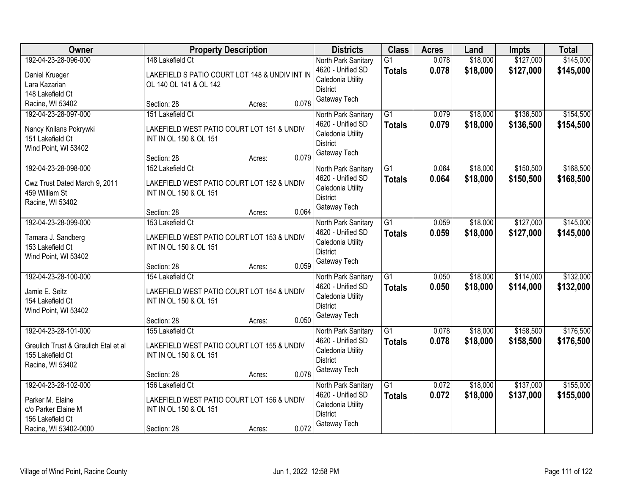| Owner                                                                                                        | <b>Property Description</b>                                                                                       |       | <b>Districts</b>                                                                                 | <b>Class</b>                     | <b>Acres</b>   | Land                 | <b>Impts</b>           | <b>Total</b>           |
|--------------------------------------------------------------------------------------------------------------|-------------------------------------------------------------------------------------------------------------------|-------|--------------------------------------------------------------------------------------------------|----------------------------------|----------------|----------------------|------------------------|------------------------|
| 192-04-23-28-096-000<br>Daniel Krueger<br>Lara Kazarian<br>148 Lakefield Ct                                  | 148 Lakefield Ct<br>LAKEFIELD S PATIO COURT LOT 148 & UNDIV INT IN<br>OL 140 OL 141 & OL 142                      |       | North Park Sanitary<br>4620 - Unified SD<br>Caledonia Utility<br><b>District</b>                 | $\overline{G1}$<br><b>Totals</b> | 0.078<br>0.078 | \$18,000<br>\$18,000 | \$127,000<br>\$127,000 | \$145,000<br>\$145,000 |
| Racine, WI 53402                                                                                             | Section: 28<br>Acres:                                                                                             | 0.078 | Gateway Tech                                                                                     |                                  |                |                      |                        |                        |
| 192-04-23-28-097-000<br>Nancy Knilans Pokrywki<br>151 Lakefield Ct<br>Wind Point, WI 53402                   | 151 Lakefield Ct<br>LAKEFIELD WEST PATIO COURT LOT 151 & UNDIV<br>INT IN OL 150 & OL 151<br>Section: 28<br>Acres: | 0.079 | North Park Sanitary<br>4620 - Unified SD<br>Caledonia Utility<br><b>District</b><br>Gateway Tech | $\overline{G1}$<br><b>Totals</b> | 0.079<br>0.079 | \$18,000<br>\$18,000 | \$136,500<br>\$136,500 | \$154,500<br>\$154,500 |
| 192-04-23-28-098-000<br>Cwz Trust Dated March 9, 2011<br>459 William St<br>Racine, WI 53402                  | 152 Lakefield Ct<br>LAKEFIELD WEST PATIO COURT LOT 152 & UNDIV<br>INT IN OL 150 & OL 151<br>Section: 28<br>Acres: | 0.064 | North Park Sanitary<br>4620 - Unified SD<br>Caledonia Utility<br><b>District</b><br>Gateway Tech | $\overline{G1}$<br><b>Totals</b> | 0.064<br>0.064 | \$18,000<br>\$18,000 | \$150,500<br>\$150,500 | \$168,500<br>\$168,500 |
| 192-04-23-28-099-000<br>Tamara J. Sandberg<br>153 Lakefield Ct<br>Wind Point, WI 53402                       | 153 Lakefield Ct<br>LAKEFIELD WEST PATIO COURT LOT 153 & UNDIV<br>INT IN OL 150 & OL 151<br>Section: 28<br>Acres: | 0.059 | North Park Sanitary<br>4620 - Unified SD<br>Caledonia Utility<br><b>District</b><br>Gateway Tech | G1<br><b>Totals</b>              | 0.059<br>0.059 | \$18,000<br>\$18,000 | \$127,000<br>\$127,000 | \$145,000<br>\$145,000 |
| 192-04-23-28-100-000<br>Jamie E. Seitz<br>154 Lakefield Ct<br>Wind Point, WI 53402                           | 154 Lakefield Ct<br>LAKEFIELD WEST PATIO COURT LOT 154 & UNDIV<br>INT IN OL 150 & OL 151<br>Section: 28<br>Acres: | 0.050 | North Park Sanitary<br>4620 - Unified SD<br>Caledonia Utility<br><b>District</b><br>Gateway Tech | $\overline{G1}$<br><b>Totals</b> | 0.050<br>0.050 | \$18,000<br>\$18,000 | \$114,000<br>\$114,000 | \$132,000<br>\$132,000 |
| 192-04-23-28-101-000<br>Greulich Trust & Greulich Etal et al<br>155 Lakefield Ct<br>Racine, WI 53402         | 155 Lakefield Ct<br>LAKEFIELD WEST PATIO COURT LOT 155 & UNDIV<br>INT IN OL 150 & OL 151<br>Section: 28<br>Acres: | 0.078 | North Park Sanitary<br>4620 - Unified SD<br>Caledonia Utility<br><b>District</b><br>Gateway Tech | G1<br><b>Totals</b>              | 0.078<br>0.078 | \$18,000<br>\$18,000 | \$158,500<br>\$158,500 | \$176,500<br>\$176,500 |
| 192-04-23-28-102-000<br>Parker M. Elaine<br>c/o Parker Elaine M<br>156 Lakefield Ct<br>Racine, WI 53402-0000 | 156 Lakefield Ct<br>LAKEFIELD WEST PATIO COURT LOT 156 & UNDIV<br>INT IN OL 150 & OL 151<br>Section: 28<br>Acres: | 0.072 | North Park Sanitary<br>4620 - Unified SD<br>Caledonia Utility<br><b>District</b><br>Gateway Tech | $\overline{G1}$<br><b>Totals</b> | 0.072<br>0.072 | \$18,000<br>\$18,000 | \$137,000<br>\$137,000 | \$155,000<br>\$155,000 |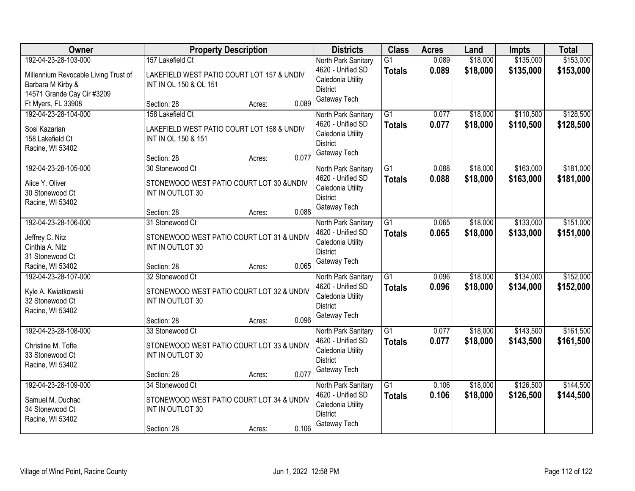| Owner                                                                                                           | <b>Property Description</b>                                                                                             | <b>Districts</b>                                                                                 | <b>Class</b>                     | <b>Acres</b>   | Land                 | <b>Impts</b>           | <b>Total</b>           |
|-----------------------------------------------------------------------------------------------------------------|-------------------------------------------------------------------------------------------------------------------------|--------------------------------------------------------------------------------------------------|----------------------------------|----------------|----------------------|------------------------|------------------------|
| 192-04-23-28-103-000<br>Millennium Revocable Living Trust of<br>Barbara M Kirby &<br>14571 Grande Cay Cir #3209 | 157 Lakefield Ct<br>LAKEFIELD WEST PATIO COURT LOT 157 & UNDIV<br>INT IN OL 150 & OL 151                                | North Park Sanitary<br>4620 - Unified SD<br>Caledonia Utility<br><b>District</b>                 | $\overline{G1}$<br><b>Totals</b> | 0.089<br>0.089 | \$18,000<br>\$18,000 | \$135,000<br>\$135,000 | \$153,000<br>\$153,000 |
| Ft Myers, FL 33908                                                                                              | 0.089<br>Section: 28<br>Acres:                                                                                          | Gateway Tech                                                                                     |                                  |                |                      |                        |                        |
| 192-04-23-28-104-000<br>Sosi Kazarian<br>158 Lakefield Ct<br>Racine, WI 53402                                   | 158 Lakefield Ct<br>LAKEFIELD WEST PATIO COURT LOT 158 & UNDIV<br>INT IN OL 150 & 151<br>0.077<br>Section: 28<br>Acres: | North Park Sanitary<br>4620 - Unified SD<br>Caledonia Utility<br><b>District</b><br>Gateway Tech | $\overline{G1}$<br><b>Totals</b> | 0.077<br>0.077 | \$18,000<br>\$18,000 | \$110,500<br>\$110,500 | \$128,500<br>\$128,500 |
| 192-04-23-28-105-000<br>Alice Y. Oliver<br>30 Stonewood Ct<br>Racine, WI 53402                                  | 30 Stonewood Ct<br>STONEWOOD WEST PATIO COURT LOT 30 &UNDIV<br>INT IN OUTLOT 30<br>0.088<br>Section: 28<br>Acres:       | North Park Sanitary<br>4620 - Unified SD<br>Caledonia Utility<br><b>District</b><br>Gateway Tech | $\overline{G1}$<br><b>Totals</b> | 0.088<br>0.088 | \$18,000<br>\$18,000 | \$163,000<br>\$163,000 | \$181,000<br>\$181,000 |
| 192-04-23-28-106-000<br>Jeffrey C. Nitz<br>Cinthia A. Nitz<br>31 Stonewood Ct<br>Racine, WI 53402               | 31 Stonewood Ct<br>STONEWOOD WEST PATIO COURT LOT 31 & UNDIV<br>INT IN OUTLOT 30<br>0.065<br>Section: 28<br>Acres:      | North Park Sanitary<br>4620 - Unified SD<br>Caledonia Utility<br><b>District</b><br>Gateway Tech | $\overline{G1}$<br><b>Totals</b> | 0.065<br>0.065 | \$18,000<br>\$18,000 | \$133,000<br>\$133,000 | \$151,000<br>\$151,000 |
| 192-04-23-28-107-000<br>Kyle A. Kwiatkowski<br>32 Stonewood Ct<br>Racine, WI 53402                              | 32 Stonewood Ct<br>STONEWOOD WEST PATIO COURT LOT 32 & UNDIV<br>INT IN OUTLOT 30<br>0.096<br>Section: 28<br>Acres:      | North Park Sanitary<br>4620 - Unified SD<br>Caledonia Utility<br><b>District</b><br>Gateway Tech | $\overline{G1}$<br><b>Totals</b> | 0.096<br>0.096 | \$18,000<br>\$18,000 | \$134,000<br>\$134,000 | \$152,000<br>\$152,000 |
| 192-04-23-28-108-000<br>Christine M. Tofte<br>33 Stonewood Ct<br>Racine, WI 53402                               | 33 Stonewood Ct<br>STONEWOOD WEST PATIO COURT LOT 33 & UNDIV<br>INT IN OUTLOT 30<br>0.077<br>Section: 28<br>Acres:      | North Park Sanitary<br>4620 - Unified SD<br>Caledonia Utility<br><b>District</b><br>Gateway Tech | $\overline{G1}$<br><b>Totals</b> | 0.077<br>0.077 | \$18,000<br>\$18,000 | \$143,500<br>\$143,500 | \$161,500<br>\$161,500 |
| 192-04-23-28-109-000<br>Samuel M. Duchac<br>34 Stonewood Ct<br>Racine, WI 53402                                 | 34 Stonewood Ct<br>STONEWOOD WEST PATIO COURT LOT 34 & UNDIV<br>INT IN OUTLOT 30<br>0.106<br>Section: 28<br>Acres:      | North Park Sanitary<br>4620 - Unified SD<br>Caledonia Utility<br><b>District</b><br>Gateway Tech | $\overline{G1}$<br><b>Totals</b> | 0.106<br>0.106 | \$18,000<br>\$18,000 | \$126,500<br>\$126,500 | \$144,500<br>\$144,500 |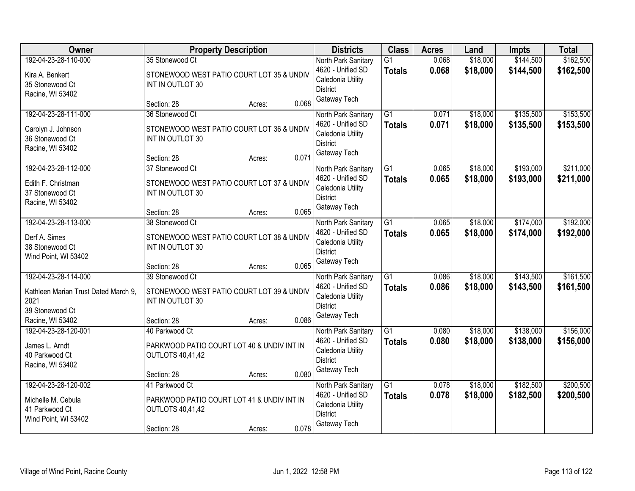| Owner                                                                                                       | <b>Property Description</b>                                                                                               | <b>Districts</b>                                                                                 | <b>Class</b>                     | <b>Acres</b>   | Land                 | <b>Impts</b>           | <b>Total</b>           |
|-------------------------------------------------------------------------------------------------------------|---------------------------------------------------------------------------------------------------------------------------|--------------------------------------------------------------------------------------------------|----------------------------------|----------------|----------------------|------------------------|------------------------|
| 192-04-23-28-110-000<br>Kira A. Benkert<br>35 Stonewood Ct<br>Racine, WI 53402                              | 35 Stonewood Ct<br>STONEWOOD WEST PATIO COURT LOT 35 & UNDIV<br>INT IN OUTLOT 30                                          | North Park Sanitary<br>4620 - Unified SD<br>Caledonia Utility<br><b>District</b>                 | $\overline{G1}$<br><b>Totals</b> | 0.068<br>0.068 | \$18,000<br>\$18,000 | \$144,500<br>\$144,500 | \$162,500<br>\$162,500 |
|                                                                                                             | 0.068<br>Section: 28<br>Acres:                                                                                            | Gateway Tech                                                                                     |                                  |                |                      |                        |                        |
| 192-04-23-28-111-000<br>Carolyn J. Johnson<br>36 Stonewood Ct<br>Racine, WI 53402                           | 36 Stonewood Ct<br>STONEWOOD WEST PATIO COURT LOT 36 & UNDIV<br>INT IN OUTLOT 30<br>0.071<br>Section: 28<br>Acres:        | North Park Sanitary<br>4620 - Unified SD<br>Caledonia Utility<br><b>District</b><br>Gateway Tech | $\overline{G1}$<br><b>Totals</b> | 0.071<br>0.071 | \$18,000<br>\$18,000 | \$135,500<br>\$135,500 | \$153,500<br>\$153,500 |
| 192-04-23-28-112-000<br>Edith F. Christman<br>37 Stonewood Ct<br>Racine, WI 53402                           | 37 Stonewood Ct<br>STONEWOOD WEST PATIO COURT LOT 37 & UNDIV<br>INT IN OUTLOT 30<br>0.065<br>Section: 28<br>Acres:        | North Park Sanitary<br>4620 - Unified SD<br>Caledonia Utility<br><b>District</b><br>Gateway Tech | G1<br><b>Totals</b>              | 0.065<br>0.065 | \$18,000<br>\$18,000 | \$193,000<br>\$193,000 | \$211,000<br>\$211,000 |
| 192-04-23-28-113-000<br>Derf A. Simes<br>38 Stonewood Ct<br>Wind Point, WI 53402                            | 38 Stonewood Ct<br>STONEWOOD WEST PATIO COURT LOT 38 & UNDIV<br>INT IN OUTLOT 30<br>0.065<br>Section: 28<br>Acres:        | North Park Sanitary<br>4620 - Unified SD<br>Caledonia Utility<br><b>District</b><br>Gateway Tech | $\overline{G1}$<br><b>Totals</b> | 0.065<br>0.065 | \$18,000<br>\$18,000 | \$174,000<br>\$174,000 | \$192,000<br>\$192,000 |
| 192-04-23-28-114-000<br>Kathleen Marian Trust Dated March 9.<br>2021<br>39 Stonewood Ct<br>Racine, WI 53402 | 39 Stonewood Ct<br>STONEWOOD WEST PATIO COURT LOT 39 & UNDIV<br>INT IN OUTLOT 30<br>0.086<br>Section: 28<br>Acres:        | North Park Sanitary<br>4620 - Unified SD<br>Caledonia Utility<br><b>District</b><br>Gateway Tech | $\overline{G1}$<br><b>Totals</b> | 0.086<br>0.086 | \$18,000<br>\$18,000 | \$143,500<br>\$143,500 | \$161,500<br>\$161,500 |
| 192-04-23-28-120-001<br>James L. Arndt<br>40 Parkwood Ct<br>Racine, WI 53402                                | 40 Parkwood Ct<br>PARKWOOD PATIO COURT LOT 40 & UNDIV INT IN<br><b>OUTLOTS 40,41,42</b><br>0.080<br>Section: 28<br>Acres: | North Park Sanitary<br>4620 - Unified SD<br>Caledonia Utility<br><b>District</b><br>Gateway Tech | $\overline{G1}$<br><b>Totals</b> | 0.080<br>0.080 | \$18,000<br>\$18,000 | \$138,000<br>\$138,000 | \$156,000<br>\$156,000 |
| 192-04-23-28-120-002<br>Michelle M. Cebula<br>41 Parkwood Ct<br>Wind Point, WI 53402                        | 41 Parkwood Ct<br>PARKWOOD PATIO COURT LOT 41 & UNDIV INT IN<br><b>OUTLOTS 40,41,42</b><br>0.078<br>Section: 28<br>Acres: | North Park Sanitary<br>4620 - Unified SD<br>Caledonia Utility<br><b>District</b><br>Gateway Tech | $\overline{G1}$<br><b>Totals</b> | 0.078<br>0.078 | \$18,000<br>\$18,000 | \$182,500<br>\$182,500 | \$200,500<br>\$200,500 |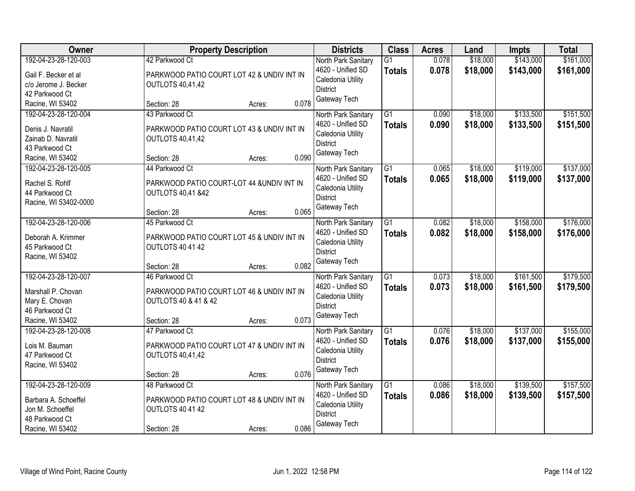| Owner                                                                                                  | <b>Property Description</b>                                                                                        |        | <b>Districts</b>                                                                                          | <b>Class</b>                     | <b>Acres</b>   | Land                 | <b>Impts</b>           | <b>Total</b>           |
|--------------------------------------------------------------------------------------------------------|--------------------------------------------------------------------------------------------------------------------|--------|-----------------------------------------------------------------------------------------------------------|----------------------------------|----------------|----------------------|------------------------|------------------------|
| 192-04-23-28-120-003<br>Gail F. Becker et al<br>c/o Jerome J. Becker<br>42 Parkwood Ct                 | 42 Parkwood Ct<br>PARKWOOD PATIO COURT LOT 42 & UNDIV INT IN<br><b>OUTLOTS 40,41,42</b>                            |        | North Park Sanitary<br>4620 - Unified SD<br>Caledonia Utility<br><b>District</b>                          | $\overline{G1}$<br><b>Totals</b> | 0.078<br>0.078 | \$18,000<br>\$18,000 | \$143,000<br>\$143,000 | \$161,000<br>\$161,000 |
| Racine, WI 53402                                                                                       | Section: 28                                                                                                        | Acres: | Gateway Tech<br>0.078                                                                                     |                                  |                |                      |                        |                        |
| 192-04-23-28-120-004<br>Denis J. Navratil<br>Zainab D. Navratil<br>43 Parkwood Ct<br>Racine, WI 53402  | 43 Parkwood Ct<br>PARKWOOD PATIO COURT LOT 43 & UNDIV INT IN<br><b>OUTLOTS 40,41,42</b><br>Section: 28             | Acres: | North Park Sanitary<br>4620 - Unified SD<br>Caledonia Utility<br><b>District</b><br>Gateway Tech<br>0.090 | $\overline{G1}$<br><b>Totals</b> | 0.090<br>0.090 | \$18,000<br>\$18,000 | \$133,500<br>\$133,500 | \$151,500<br>\$151,500 |
| 192-04-23-28-120-005<br>Rachel S. Rohlf<br>44 Parkwood Ct<br>Racine, WI 53402-0000                     | 44 Parkwood Ct<br>PARKWOOD PATIO COURT-LOT 44 &UNDIV INT IN<br><b>OUTLOTS 40,41 &amp;42</b><br>Section: 28         | Acres: | North Park Sanitary<br>4620 - Unified SD<br>Caledonia Utility<br><b>District</b><br>Gateway Tech<br>0.065 | $\overline{G1}$<br><b>Totals</b> | 0.065<br>0.065 | \$18,000<br>\$18,000 | \$119,000<br>\$119,000 | \$137,000<br>\$137,000 |
| 192-04-23-28-120-006<br>Deborah A. Krimmer<br>45 Parkwood Ct<br>Racine, WI 53402                       | 45 Parkwood Ct<br>PARKWOOD PATIO COURT LOT 45 & UNDIV INT IN<br><b>OUTLOTS 40 41 42</b><br>Section: 28             | Acres: | North Park Sanitary<br>4620 - Unified SD<br>Caledonia Utility<br><b>District</b><br>Gateway Tech<br>0.082 | G1<br><b>Totals</b>              | 0.082<br>0.082 | \$18,000<br>\$18,000 | \$158,000<br>\$158,000 | \$176,000<br>\$176,000 |
| 192-04-23-28-120-007<br>Marshall P. Chovan<br>Mary E. Chovan<br>46 Parkwood Ct<br>Racine, WI 53402     | 46 Parkwood Ct<br>PARKWOOD PATIO COURT LOT 46 & UNDIV INT IN<br><b>OUTLOTS 40 &amp; 41 &amp; 42</b><br>Section: 28 | Acres: | North Park Sanitary<br>4620 - Unified SD<br>Caledonia Utility<br><b>District</b><br>Gateway Tech<br>0.073 | $\overline{G1}$<br><b>Totals</b> | 0.073<br>0.073 | \$18,000<br>\$18,000 | \$161,500<br>\$161,500 | \$179,500<br>\$179,500 |
| 192-04-23-28-120-008<br>Lois M. Bauman<br>47 Parkwood Ct<br>Racine, WI 53402                           | 47 Parkwood Ct<br>PARKWOOD PATIO COURT LOT 47 & UNDIV INT IN<br><b>OUTLOTS 40,41,42</b><br>Section: 28             | Acres: | North Park Sanitary<br>4620 - Unified SD<br>Caledonia Utility<br><b>District</b><br>Gateway Tech<br>0.076 | $\overline{G1}$<br><b>Totals</b> | 0.076<br>0.076 | \$18,000<br>\$18,000 | \$137,000<br>\$137,000 | \$155,000<br>\$155,000 |
| 192-04-23-28-120-009<br>Barbara A. Schoeffel<br>Jon M. Schoeffel<br>48 Parkwood Ct<br>Racine, WI 53402 | 48 Parkwood Ct<br>PARKWOOD PATIO COURT LOT 48 & UNDIV INT IN<br><b>OUTLOTS 40 41 42</b><br>Section: 28             | Acres: | North Park Sanitary<br>4620 - Unified SD<br>Caledonia Utility<br><b>District</b><br>Gateway Tech<br>0.086 | $\overline{G1}$<br><b>Totals</b> | 0.086<br>0.086 | \$18,000<br>\$18,000 | \$139,500<br>\$139,500 | \$157,500<br>\$157,500 |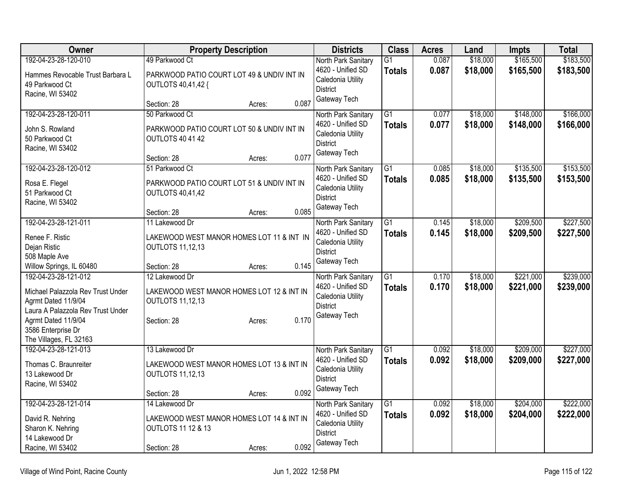| Owner                                                    | <b>Property Description</b>                                          |       | <b>Districts</b>                | <b>Class</b>    | <b>Acres</b> | Land     | <b>Impts</b> | <b>Total</b> |
|----------------------------------------------------------|----------------------------------------------------------------------|-------|---------------------------------|-----------------|--------------|----------|--------------|--------------|
| 192-04-23-28-120-010                                     | 49 Parkwood Ct                                                       |       | North Park Sanitary             | $\overline{G1}$ | 0.087        | \$18,000 | \$165,500    | \$183,500    |
| Hammes Revocable Trust Barbara L                         | PARKWOOD PATIO COURT LOT 49 & UNDIV INT IN                           |       | 4620 - Unified SD               | <b>Totals</b>   | 0.087        | \$18,000 | \$165,500    | \$183,500    |
| 49 Parkwood Ct                                           | OUTLOTS 40,41,42 {                                                   |       | Caledonia Utility               |                 |              |          |              |              |
| Racine, WI 53402                                         |                                                                      |       | <b>District</b><br>Gateway Tech |                 |              |          |              |              |
|                                                          | Section: 28<br>Acres:                                                | 0.087 |                                 |                 |              |          |              |              |
| 192-04-23-28-120-011                                     | 50 Parkwood Ct                                                       |       | North Park Sanitary             | $\overline{G1}$ | 0.077        | \$18,000 | \$148,000    | \$166,000    |
| John S. Rowland                                          | PARKWOOD PATIO COURT LOT 50 & UNDIV INT IN                           |       | 4620 - Unified SD               | <b>Totals</b>   | 0.077        | \$18,000 | \$148,000    | \$166,000    |
| 50 Parkwood Ct                                           | <b>OUTLOTS 40 41 42</b>                                              |       | Caledonia Utility               |                 |              |          |              |              |
| Racine, WI 53402                                         |                                                                      |       | <b>District</b>                 |                 |              |          |              |              |
|                                                          | Section: 28<br>Acres:                                                | 0.077 | Gateway Tech                    |                 |              |          |              |              |
| 192-04-23-28-120-012                                     | 51 Parkwood Ct                                                       |       | North Park Sanitary             | $\overline{G1}$ | 0.085        | \$18,000 | \$135,500    | \$153,500    |
| Rosa E. Flegel                                           | PARKWOOD PATIO COURT LOT 51 & UNDIV INT IN                           |       | 4620 - Unified SD               | Totals          | 0.085        | \$18,000 | \$135,500    | \$153,500    |
| 51 Parkwood Ct                                           | <b>OUTLOTS 40,41,42</b>                                              |       | Caledonia Utility               |                 |              |          |              |              |
| Racine, WI 53402                                         |                                                                      |       | <b>District</b>                 |                 |              |          |              |              |
|                                                          | Section: 28<br>Acres:                                                | 0.085 | Gateway Tech                    |                 |              |          |              |              |
| 192-04-23-28-121-011                                     | 11 Lakewood Dr                                                       |       | North Park Sanitary             | $\overline{G1}$ | 0.145        | \$18,000 | \$209,500    | \$227,500    |
| Renee F. Ristic                                          | LAKEWOOD WEST MANOR HOMES LOT 11 & INT IN                            |       | 4620 - Unified SD               | Totals          | 0.145        | \$18,000 | \$209,500    | \$227,500    |
| Dejan Ristic                                             | <b>OUTLOTS 11,12,13</b>                                              |       | Caledonia Utility               |                 |              |          |              |              |
| 508 Maple Ave                                            |                                                                      |       | <b>District</b>                 |                 |              |          |              |              |
| Willow Springs, IL 60480                                 | Section: 28<br>Acres:                                                | 0.145 | Gateway Tech                    |                 |              |          |              |              |
| 192-04-23-28-121-012                                     | 12 Lakewood Dr                                                       |       | North Park Sanitary             | $\overline{G1}$ | 0.170        | \$18,000 | \$221,000    | \$239,000    |
|                                                          |                                                                      |       | 4620 - Unified SD               | <b>Totals</b>   | 0.170        | \$18,000 | \$221,000    | \$239,000    |
| Michael Palazzola Rev Trust Under<br>Agrmt Dated 11/9/04 | LAKEWOOD WEST MANOR HOMES LOT 12 & INT IN<br><b>OUTLOTS 11,12,13</b> |       | Caledonia Utility               |                 |              |          |              |              |
| Laura A Palazzola Rev Trust Under                        |                                                                      |       | <b>District</b>                 |                 |              |          |              |              |
| Agrmt Dated 11/9/04                                      | Section: 28<br>Acres:                                                | 0.170 | Gateway Tech                    |                 |              |          |              |              |
| 3586 Enterprise Dr                                       |                                                                      |       |                                 |                 |              |          |              |              |
| The Villages, FL 32163                                   |                                                                      |       |                                 |                 |              |          |              |              |
| 192-04-23-28-121-013                                     | 13 Lakewood Dr                                                       |       | North Park Sanitary             | $\overline{G1}$ | 0.092        | \$18,000 | \$209,000    | \$227,000    |
| Thomas C. Braunreiter                                    | LAKEWOOD WEST MANOR HOMES LOT 13 & INT IN                            |       | 4620 - Unified SD               | Totals          | 0.092        | \$18,000 | \$209,000    | \$227,000    |
| 13 Lakewood Dr                                           | <b>OUTLOTS 11,12,13</b>                                              |       | Caledonia Utility               |                 |              |          |              |              |
| Racine, WI 53402                                         |                                                                      |       | <b>District</b>                 |                 |              |          |              |              |
|                                                          | Section: 28<br>Acres:                                                | 0.092 | Gateway Tech                    |                 |              |          |              |              |
| 192-04-23-28-121-014                                     | 14 Lakewood Dr                                                       |       | North Park Sanitary             | $\overline{G1}$ | 0.092        | \$18,000 | \$204,000    | \$222,000    |
| David R. Nehring                                         | LAKEWOOD WEST MANOR HOMES LOT 14 & INT IN                            |       | 4620 - Unified SD               | <b>Totals</b>   | 0.092        | \$18,000 | \$204,000    | \$222,000    |
| Sharon K. Nehring                                        | <b>OUTLOTS 11 12 &amp; 13</b>                                        |       | Caledonia Utility               |                 |              |          |              |              |
| 14 Lakewood Dr                                           |                                                                      |       | <b>District</b>                 |                 |              |          |              |              |
| Racine, WI 53402                                         | Section: 28<br>Acres:                                                | 0.092 | Gateway Tech                    |                 |              |          |              |              |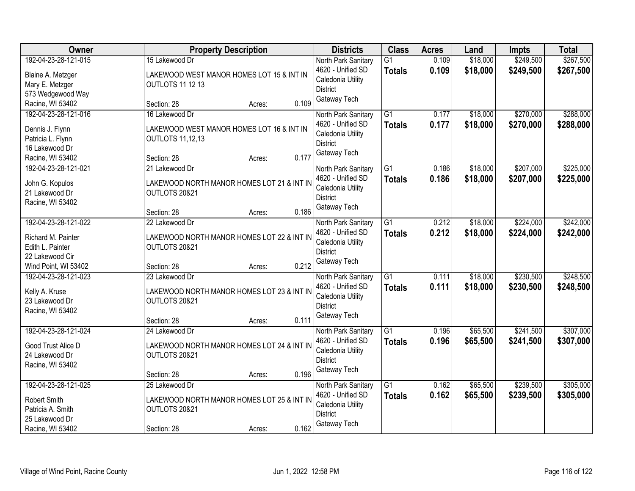| Owner                                                                                                     | <b>Property Description</b>                                                                                              | <b>Districts</b>                                                                                 | <b>Class</b>                     | <b>Acres</b>   | Land                 | <b>Impts</b>           | <b>Total</b>           |
|-----------------------------------------------------------------------------------------------------------|--------------------------------------------------------------------------------------------------------------------------|--------------------------------------------------------------------------------------------------|----------------------------------|----------------|----------------------|------------------------|------------------------|
| 192-04-23-28-121-015<br>Blaine A. Metzger<br>Mary E. Metzger<br>573 Wedgewood Way                         | 15 Lakewood Dr<br>LAKEWOOD WEST MANOR HOMES LOT 15 & INT IN<br><b>OUTLOTS 11 12 13</b>                                   | North Park Sanitary<br>4620 - Unified SD<br>Caledonia Utility<br><b>District</b>                 | $\overline{G1}$<br><b>Totals</b> | 0.109<br>0.109 | \$18,000<br>\$18,000 | \$249,500<br>\$249,500 | \$267,500<br>\$267,500 |
| Racine, WI 53402                                                                                          | 0.109<br>Section: 28<br>Acres:                                                                                           | Gateway Tech                                                                                     |                                  |                |                      |                        |                        |
| 192-04-23-28-121-016<br>Dennis J. Flynn<br>Patricia L. Flynn<br>16 Lakewood Dr<br>Racine, WI 53402        | 16 Lakewood Dr<br>LAKEWOOD WEST MANOR HOMES LOT 16 & INT IN<br><b>OUTLOTS 11,12,13</b><br>0.177<br>Section: 28<br>Acres: | North Park Sanitary<br>4620 - Unified SD<br>Caledonia Utility<br><b>District</b><br>Gateway Tech | $\overline{G1}$<br><b>Totals</b> | 0.177<br>0.177 | \$18,000<br>\$18,000 | \$270,000<br>\$270,000 | \$288,000<br>\$288,000 |
| 192-04-23-28-121-021<br>John G. Kopulos<br>21 Lakewood Dr<br>Racine, WI 53402                             | 21 Lakewood Dr<br>LAKEWOOD NORTH MANOR HOMES LOT 21 & INT IN<br>OUTLOTS 20&21<br>0.186<br>Section: 28<br>Acres:          | North Park Sanitary<br>4620 - Unified SD<br>Caledonia Utility<br><b>District</b><br>Gateway Tech | $\overline{G1}$<br><b>Totals</b> | 0.186<br>0.186 | \$18,000<br>\$18,000 | \$207,000<br>\$207,000 | \$225,000<br>\$225,000 |
| 192-04-23-28-121-022<br>Richard M. Painter<br>Edith L. Painter<br>22 Lakewood Cir<br>Wind Point, WI 53402 | 22 Lakewood Dr<br>LAKEWOOD NORTH MANOR HOMES LOT 22 & INT IN<br>OUTLOTS 20&21<br>0.212<br>Section: 28<br>Acres:          | North Park Sanitary<br>4620 - Unified SD<br>Caledonia Utility<br><b>District</b><br>Gateway Tech | $\overline{G1}$<br><b>Totals</b> | 0.212<br>0.212 | \$18,000<br>\$18,000 | \$224,000<br>\$224,000 | \$242,000<br>\$242,000 |
| 192-04-23-28-121-023<br>Kelly A. Kruse<br>23 Lakewood Dr<br>Racine, WI 53402                              | 23 Lakewood Dr<br>LAKEWOOD NORTH MANOR HOMES LOT 23 & INT IN<br>OUTLOTS 20&21<br>0.111<br>Section: 28<br>Acres:          | North Park Sanitary<br>4620 - Unified SD<br>Caledonia Utility<br><b>District</b><br>Gateway Tech | $\overline{G1}$<br><b>Totals</b> | 0.111<br>0.111 | \$18,000<br>\$18,000 | \$230,500<br>\$230,500 | \$248,500<br>\$248,500 |
| 192-04-23-28-121-024<br>Good Trust Alice D<br>24 Lakewood Dr<br>Racine, WI 53402                          | 24 Lakewood Dr<br>LAKEWOOD NORTH MANOR HOMES LOT 24 & INT IN<br>OUTLOTS 20&21<br>0.196<br>Section: 28<br>Acres:          | North Park Sanitary<br>4620 - Unified SD<br>Caledonia Utility<br><b>District</b><br>Gateway Tech | $\overline{G1}$<br><b>Totals</b> | 0.196<br>0.196 | \$65,500<br>\$65,500 | \$241,500<br>\$241,500 | \$307,000<br>\$307,000 |
| 192-04-23-28-121-025<br>Robert Smith<br>Patricia A. Smith<br>25 Lakewood Dr<br>Racine, WI 53402           | 25 Lakewood Dr<br>LAKEWOOD NORTH MANOR HOMES LOT 25 & INT IN<br>OUTLOTS 20&21<br>0.162<br>Section: 28<br>Acres:          | North Park Sanitary<br>4620 - Unified SD<br>Caledonia Utility<br><b>District</b><br>Gateway Tech | $\overline{G1}$<br><b>Totals</b> | 0.162<br>0.162 | \$65,500<br>\$65,500 | \$239,500<br>\$239,500 | \$305,000<br>\$305,000 |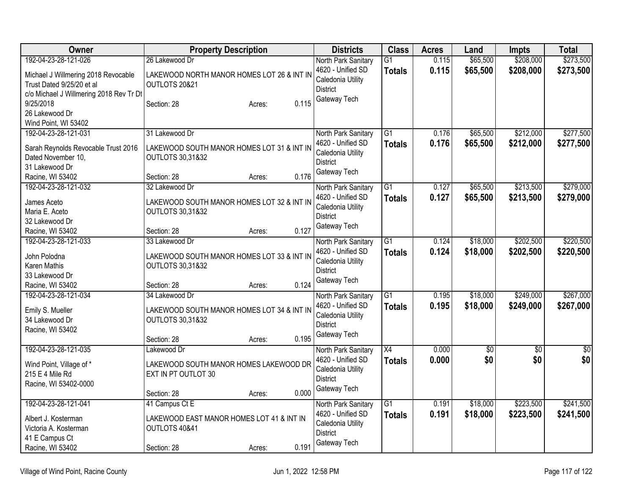| Owner                                   | <b>Property Description</b>                | <b>Districts</b>                         | <b>Class</b>    | <b>Acres</b> | Land            | <b>Impts</b> | <b>Total</b> |
|-----------------------------------------|--------------------------------------------|------------------------------------------|-----------------|--------------|-----------------|--------------|--------------|
| 192-04-23-28-121-026                    | 26 Lakewood Dr                             | North Park Sanitary                      | $\overline{G1}$ | 0.115        | \$65,500        | \$208,000    | \$273,500    |
| Michael J Willmering 2018 Revocable     | LAKEWOOD NORTH MANOR HOMES LOT 26 & INT IN | 4620 - Unified SD                        | <b>Totals</b>   | 0.115        | \$65,500        | \$208,000    | \$273,500    |
| Trust Dated 9/25/20 et al               | OUTLOTS 20&21                              | Caledonia Utility                        |                 |              |                 |              |              |
| c/o Michael J Willmering 2018 Rev Tr Dt |                                            | <b>District</b>                          |                 |              |                 |              |              |
| 9/25/2018                               | 0.115<br>Section: 28<br>Acres:             | Gateway Tech                             |                 |              |                 |              |              |
| 26 Lakewood Dr                          |                                            |                                          |                 |              |                 |              |              |
| Wind Point, WI 53402                    |                                            |                                          |                 |              |                 |              |              |
| 192-04-23-28-121-031                    | 31 Lakewood Dr                             | North Park Sanitary                      | $\overline{G1}$ | 0.176        | \$65,500        | \$212,000    | \$277,500    |
| Sarah Reynolds Revocable Trust 2016     | LAKEWOOD SOUTH MANOR HOMES LOT 31 & INT IN | 4620 - Unified SD                        | <b>Totals</b>   | 0.176        | \$65,500        | \$212,000    | \$277,500    |
| Dated November 10,                      | <b>OUTLOTS 30,31&amp;32</b>                | Caledonia Utility                        |                 |              |                 |              |              |
| 31 Lakewood Dr                          |                                            | <b>District</b>                          |                 |              |                 |              |              |
| Racine, WI 53402                        | 0.176<br>Section: 28<br>Acres:             | Gateway Tech                             |                 |              |                 |              |              |
| 192-04-23-28-121-032                    | 32 Lakewood Dr                             | North Park Sanitary                      | G1              | 0.127        | \$65,500        | \$213,500    | \$279,000    |
|                                         |                                            | 4620 - Unified SD                        | <b>Totals</b>   | 0.127        | \$65,500        | \$213,500    | \$279,000    |
| James Aceto                             | LAKEWOOD SOUTH MANOR HOMES LOT 32 & INT IN | Caledonia Utility                        |                 |              |                 |              |              |
| Maria E. Aceto                          | <b>OUTLOTS 30,31&amp;32</b>                | <b>District</b>                          |                 |              |                 |              |              |
| 32 Lakewood Dr<br>Racine, WI 53402      | 0.127<br>Section: 28<br>Acres:             | Gateway Tech                             |                 |              |                 |              |              |
| 192-04-23-28-121-033                    | 33 Lakewood Dr                             |                                          | G <sub>1</sub>  | 0.124        | \$18,000        | \$202,500    | \$220,500    |
|                                         |                                            | North Park Sanitary<br>4620 - Unified SD |                 |              |                 |              |              |
| John Polodna                            | LAKEWOOD SOUTH MANOR HOMES LOT 33 & INT IN | Caledonia Utility                        | <b>Totals</b>   | 0.124        | \$18,000        | \$202,500    | \$220,500    |
| Karen Mathis                            | <b>OUTLOTS 30,31&amp;32</b>                | <b>District</b>                          |                 |              |                 |              |              |
| 33 Lakewood Dr                          |                                            | Gateway Tech                             |                 |              |                 |              |              |
| Racine, WI 53402                        | 0.124<br>Section: 28<br>Acres:             |                                          |                 |              |                 |              |              |
| 192-04-23-28-121-034                    | 34 Lakewood Dr                             | North Park Sanitary                      | $\overline{G1}$ | 0.195        | \$18,000        | \$249,000    | \$267,000    |
| Emily S. Mueller                        | LAKEWOOD SOUTH MANOR HOMES LOT 34 & INT IN | 4620 - Unified SD                        | <b>Totals</b>   | 0.195        | \$18,000        | \$249,000    | \$267,000    |
| 34 Lakewood Dr                          | <b>OUTLOTS 30,31&amp;32</b>                | Caledonia Utility                        |                 |              |                 |              |              |
| Racine, WI 53402                        |                                            | <b>District</b>                          |                 |              |                 |              |              |
|                                         | 0.195<br>Section: 28<br>Acres:             | Gateway Tech                             |                 |              |                 |              |              |
| 192-04-23-28-121-035                    | Lakewood Dr                                | North Park Sanitary                      | X4              | 0.000        | $\overline{60}$ | $\sqrt{$0}$  | \$0          |
| Wind Point, Village of *                | LAKEWOOD SOUTH MANOR HOMES LAKEWOOD DR     | 4620 - Unified SD                        | <b>Totals</b>   | 0.000        | \$0             | \$0          | \$0          |
| 215 E 4 Mile Rd                         | EXT IN PT OUTLOT 30                        | Caledonia Utility                        |                 |              |                 |              |              |
| Racine, WI 53402-0000                   |                                            | <b>District</b>                          |                 |              |                 |              |              |
|                                         | 0.000<br>Section: 28<br>Acres:             | Gateway Tech                             |                 |              |                 |              |              |
| 192-04-23-28-121-041                    | 41 Campus Ct E                             | North Park Sanitary                      | $\overline{G1}$ | 0.191        | \$18,000        | \$223,500    | \$241,500    |
|                                         |                                            | 4620 - Unified SD                        | <b>Totals</b>   | 0.191        | \$18,000        | \$223,500    | \$241,500    |
| Albert J. Kosterman                     | LAKEWOOD EAST MANOR HOMES LOT 41 & INT IN  | Caledonia Utility                        |                 |              |                 |              |              |
| Victoria A. Kosterman                   | OUTLOTS 40&41                              | <b>District</b>                          |                 |              |                 |              |              |
| 41 E Campus Ct                          |                                            | Gateway Tech                             |                 |              |                 |              |              |
| Racine, WI 53402                        | 0.191<br>Section: 28<br>Acres:             |                                          |                 |              |                 |              |              |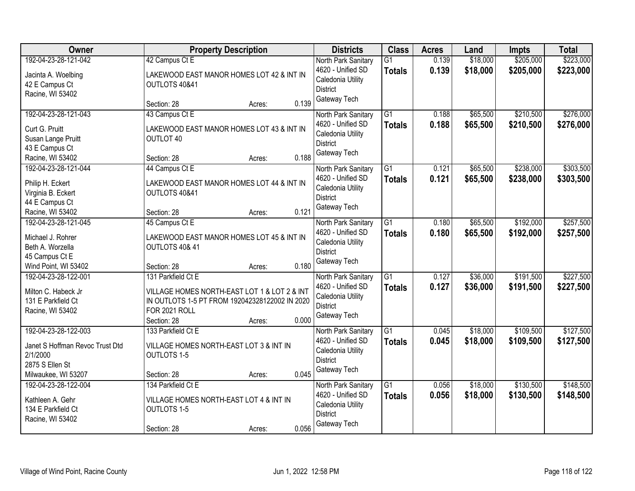| <b>Owner</b>                    | <b>Property Description</b>                    |        |       | <b>Districts</b>    | <b>Class</b>    | <b>Acres</b> | Land     | <b>Impts</b> | <b>Total</b> |
|---------------------------------|------------------------------------------------|--------|-------|---------------------|-----------------|--------------|----------|--------------|--------------|
| 192-04-23-28-121-042            | 42 Campus Ct E                                 |        |       | North Park Sanitary | $\overline{G1}$ | 0.139        | \$18,000 | \$205,000    | \$223,000    |
| Jacinta A. Woelbing             | LAKEWOOD EAST MANOR HOMES LOT 42 & INT IN      |        |       | 4620 - Unified SD   | <b>Totals</b>   | 0.139        | \$18,000 | \$205,000    | \$223,000    |
| 42 E Campus Ct                  | OUTLOTS 40&41                                  |        |       | Caledonia Utility   |                 |              |          |              |              |
| Racine, WI 53402                |                                                |        |       | <b>District</b>     |                 |              |          |              |              |
|                                 | Section: 28                                    | Acres: | 0.139 | Gateway Tech        |                 |              |          |              |              |
| 192-04-23-28-121-043            | 43 Campus Ct E                                 |        |       | North Park Sanitary | $\overline{G1}$ | 0.188        | \$65,500 | \$210,500    | \$276,000    |
| Curt G. Pruitt                  | LAKEWOOD EAST MANOR HOMES LOT 43 & INT IN      |        |       | 4620 - Unified SD   | <b>Totals</b>   | 0.188        | \$65,500 | \$210,500    | \$276,000    |
| Susan Lange Pruitt              | OUTLOT 40                                      |        |       | Caledonia Utility   |                 |              |          |              |              |
| 43 E Campus Ct                  |                                                |        |       | <b>District</b>     |                 |              |          |              |              |
| Racine, WI 53402                | Section: 28                                    | Acres: | 0.188 | Gateway Tech        |                 |              |          |              |              |
| 192-04-23-28-121-044            | 44 Campus Ct E                                 |        |       | North Park Sanitary | $\overline{G1}$ | 0.121        | \$65,500 | \$238,000    | \$303,500    |
| Philip H. Eckert                | LAKEWOOD EAST MANOR HOMES LOT 44 & INT IN      |        |       | 4620 - Unified SD   | <b>Totals</b>   | 0.121        | \$65,500 | \$238,000    | \$303,500    |
| Virginia B. Eckert              | OUTLOTS 40&41                                  |        |       | Caledonia Utility   |                 |              |          |              |              |
| 44 E Campus Ct                  |                                                |        |       | <b>District</b>     |                 |              |          |              |              |
| Racine, WI 53402                | Section: 28                                    | Acres: | 0.121 | Gateway Tech        |                 |              |          |              |              |
| 192-04-23-28-121-045            | 45 Campus Ct E                                 |        |       | North Park Sanitary | G1              | 0.180        | \$65,500 | \$192,000    | \$257,500    |
| Michael J. Rohrer               | LAKEWOOD EAST MANOR HOMES LOT 45 & INT IN      |        |       | 4620 - Unified SD   | <b>Totals</b>   | 0.180        | \$65,500 | \$192,000    | \$257,500    |
| Beth A. Worzella                | OUTLOTS 40& 41                                 |        |       | Caledonia Utility   |                 |              |          |              |              |
| 45 Campus Ct E                  |                                                |        |       | <b>District</b>     |                 |              |          |              |              |
| Wind Point, WI 53402            | Section: 28                                    | Acres: | 0.180 | Gateway Tech        |                 |              |          |              |              |
| 192-04-23-28-122-001            | 131 Parkfield Ct E                             |        |       | North Park Sanitary | $\overline{G1}$ | 0.127        | \$36,000 | \$191,500    | \$227,500    |
| Milton C. Habeck Jr             | VILLAGE HOMES NORTH-EAST LOT 1 & LOT 2 & INT   |        |       | 4620 - Unified SD   | <b>Totals</b>   | 0.127        | \$36,000 | \$191,500    | \$227,500    |
| 131 E Parkfield Ct              | IN OUTLOTS 1-5 PT FROM 192042328122002 IN 2020 |        |       | Caledonia Utility   |                 |              |          |              |              |
| Racine, WI 53402                | <b>FOR 2021 ROLL</b>                           |        |       | <b>District</b>     |                 |              |          |              |              |
|                                 | Section: 28                                    | Acres: | 0.000 | Gateway Tech        |                 |              |          |              |              |
| 192-04-23-28-122-003            | 133 Parkfield Ct E                             |        |       | North Park Sanitary | $\overline{G1}$ | 0.045        | \$18,000 | \$109,500    | \$127,500    |
| Janet S Hoffman Revoc Trust Dtd | VILLAGE HOMES NORTH-EAST LOT 3 & INT IN        |        |       | 4620 - Unified SD   | <b>Totals</b>   | 0.045        | \$18,000 | \$109,500    | \$127,500    |
| 2/1/2000                        | <b>OUTLOTS 1-5</b>                             |        |       | Caledonia Utility   |                 |              |          |              |              |
| 2875 S Ellen St                 |                                                |        |       | <b>District</b>     |                 |              |          |              |              |
| Milwaukee, WI 53207             | Section: 28                                    | Acres: | 0.045 | Gateway Tech        |                 |              |          |              |              |
| 192-04-23-28-122-004            | 134 Parkfield Ct E                             |        |       | North Park Sanitary | $\overline{G1}$ | 0.056        | \$18,000 | \$130,500    | \$148,500    |
| Kathleen A. Gehr                | VILLAGE HOMES NORTH-EAST LOT 4 & INT IN        |        |       | 4620 - Unified SD   | <b>Totals</b>   | 0.056        | \$18,000 | \$130,500    | \$148,500    |
| 134 E Parkfield Ct              | <b>OUTLOTS 1-5</b>                             |        |       | Caledonia Utility   |                 |              |          |              |              |
| Racine, WI 53402                |                                                |        |       | <b>District</b>     |                 |              |          |              |              |
|                                 | Section: 28                                    | Acres: | 0.056 | Gateway Tech        |                 |              |          |              |              |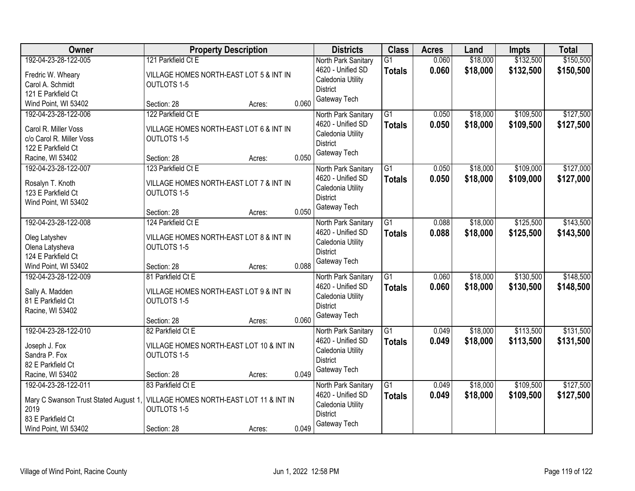| <b>Owner</b>                                  | <b>Property Description</b>                                    |        |       | <b>Districts</b>                       | <b>Class</b>    | <b>Acres</b> | Land     | <b>Impts</b> | <b>Total</b> |
|-----------------------------------------------|----------------------------------------------------------------|--------|-------|----------------------------------------|-----------------|--------------|----------|--------------|--------------|
| 192-04-23-28-122-005                          | 121 Parkfield Ct E                                             |        |       | North Park Sanitary                    | $\overline{G1}$ | 0.060        | \$18,000 | \$132,500    | \$150,500    |
| Fredric W. Wheary                             | VILLAGE HOMES NORTH-EAST LOT 5 & INT IN                        |        |       | 4620 - Unified SD                      | <b>Totals</b>   | 0.060        | \$18,000 | \$132,500    | \$150,500    |
| Carol A. Schmidt                              | <b>OUTLOTS 1-5</b>                                             |        |       | Caledonia Utility                      |                 |              |          |              |              |
| 121 E Parkfield Ct                            |                                                                |        |       | <b>District</b>                        |                 |              |          |              |              |
| Wind Point, WI 53402                          | Section: 28                                                    | Acres: | 0.060 | Gateway Tech                           |                 |              |          |              |              |
| 192-04-23-28-122-006                          | 122 Parkfield Ct E                                             |        |       | North Park Sanitary                    | $\overline{G1}$ | 0.050        | \$18,000 | \$109,500    | \$127,500    |
| Carol R. Miller Voss                          | VILLAGE HOMES NORTH-EAST LOT 6 & INT IN                        |        |       | 4620 - Unified SD                      | <b>Totals</b>   | 0.050        | \$18,000 | \$109,500    | \$127,500    |
| c/o Carol R. Miller Voss                      | <b>OUTLOTS 1-5</b>                                             |        |       | Caledonia Utility                      |                 |              |          |              |              |
| 122 E Parkfield Ct                            |                                                                |        |       | <b>District</b>                        |                 |              |          |              |              |
| Racine, WI 53402                              | Section: 28                                                    | Acres: | 0.050 | Gateway Tech                           |                 |              |          |              |              |
| 192-04-23-28-122-007                          | 123 Parkfield Ct E                                             |        |       | North Park Sanitary                    | $\overline{G1}$ | 0.050        | \$18,000 | \$109,000    | \$127,000    |
|                                               |                                                                |        |       | 4620 - Unified SD                      | <b>Totals</b>   | 0.050        | \$18,000 | \$109,000    | \$127,000    |
| Rosalyn T. Knoth                              | VILLAGE HOMES NORTH-EAST LOT 7 & INT IN                        |        |       | Caledonia Utility                      |                 |              |          |              |              |
| 123 E Parkfield Ct                            | <b>OUTLOTS 1-5</b>                                             |        |       | <b>District</b>                        |                 |              |          |              |              |
| Wind Point, WI 53402                          |                                                                |        |       | Gateway Tech                           |                 |              |          |              |              |
|                                               | Section: 28                                                    | Acres: | 0.050 |                                        |                 |              |          |              |              |
| 192-04-23-28-122-008                          | 124 Parkfield Ct E                                             |        |       | North Park Sanitary                    | G1              | 0.088        | \$18,000 | \$125,500    | \$143,500    |
| Oleg Latyshev                                 | VILLAGE HOMES NORTH-EAST LOT 8 & INT IN                        |        |       | 4620 - Unified SD<br>Caledonia Utility | <b>Totals</b>   | 0.088        | \$18,000 | \$125,500    | \$143,500    |
| Olena Latysheva                               | <b>OUTLOTS 1-5</b>                                             |        |       | <b>District</b>                        |                 |              |          |              |              |
| 124 E Parkfield Ct                            |                                                                |        |       | Gateway Tech                           |                 |              |          |              |              |
| Wind Point, WI 53402                          | Section: 28                                                    | Acres: | 0.088 |                                        |                 |              |          |              |              |
| 192-04-23-28-122-009                          | 81 Parkfield Ct E                                              |        |       | North Park Sanitary                    | $\overline{G1}$ | 0.060        | \$18,000 | \$130,500    | \$148,500    |
| Sally A. Madden                               | VILLAGE HOMES NORTH-EAST LOT 9 & INT IN                        |        |       | 4620 - Unified SD                      | <b>Totals</b>   | 0.060        | \$18,000 | \$130,500    | \$148,500    |
| 81 E Parkfield Ct                             | <b>OUTLOTS 1-5</b>                                             |        |       | Caledonia Utility                      |                 |              |          |              |              |
| Racine, WI 53402                              |                                                                |        |       | <b>District</b>                        |                 |              |          |              |              |
|                                               | Section: 28                                                    | Acres: | 0.060 | Gateway Tech                           |                 |              |          |              |              |
| 192-04-23-28-122-010                          | 82 Parkfield Ct E                                              |        |       | North Park Sanitary                    | $\overline{G1}$ | 0.049        | \$18,000 | \$113,500    | \$131,500    |
| Joseph J. Fox                                 | VILLAGE HOMES NORTH-EAST LOT 10 & INT IN                       |        |       | 4620 - Unified SD                      | <b>Totals</b>   | 0.049        | \$18,000 | \$113,500    | \$131,500    |
| Sandra P. Fox                                 | <b>OUTLOTS 1-5</b>                                             |        |       | Caledonia Utility                      |                 |              |          |              |              |
| 82 E Parkfield Ct                             |                                                                |        |       | <b>District</b>                        |                 |              |          |              |              |
| Racine, WI 53402                              | Section: 28                                                    | Acres: | 0.049 | Gateway Tech                           |                 |              |          |              |              |
| 192-04-23-28-122-011                          | 83 Parkfield Ct E                                              |        |       | North Park Sanitary                    | $\overline{G1}$ | 0.049        | \$18,000 | \$109,500    | \$127,500    |
|                                               |                                                                |        |       | 4620 - Unified SD                      | <b>Totals</b>   | 0.049        | \$18,000 | \$109,500    | \$127,500    |
| Mary C Swanson Trust Stated August 1,<br>2019 | VILLAGE HOMES NORTH-EAST LOT 11 & INT IN<br><b>OUTLOTS 1-5</b> |        |       | Caledonia Utility                      |                 |              |          |              |              |
| 83 E Parkfield Ct                             |                                                                |        |       | <b>District</b>                        |                 |              |          |              |              |
| Wind Point, WI 53402                          | Section: 28                                                    | Acres: | 0.049 | Gateway Tech                           |                 |              |          |              |              |
|                                               |                                                                |        |       |                                        |                 |              |          |              |              |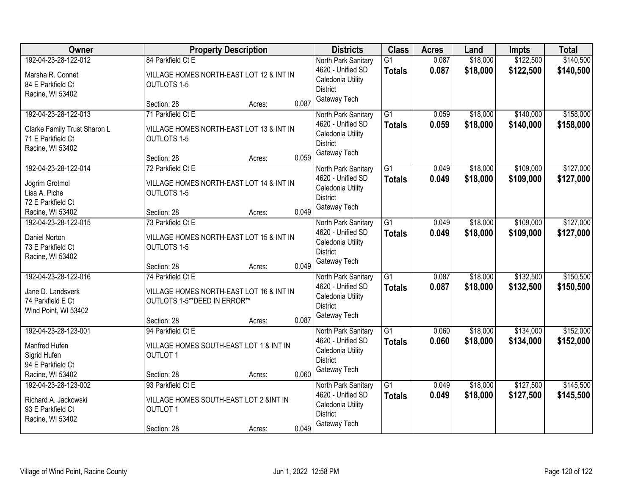| Owner                        | <b>Property Description</b>              |                 | <b>Districts</b>                       | <b>Class</b>    | <b>Acres</b> | Land     | <b>Impts</b> | <b>Total</b> |
|------------------------------|------------------------------------------|-----------------|----------------------------------------|-----------------|--------------|----------|--------------|--------------|
| 192-04-23-28-122-012         | 84 Parkfield Ct E                        |                 | North Park Sanitary                    | $\overline{G1}$ | 0.087        | \$18,000 | \$122,500    | \$140,500    |
| Marsha R. Connet             | VILLAGE HOMES NORTH-EAST LOT 12 & INT IN |                 | 4620 - Unified SD<br>Caledonia Utility | <b>Totals</b>   | 0.087        | \$18,000 | \$122,500    | \$140,500    |
| 84 E Parkfield Ct            | <b>OUTLOTS 1-5</b>                       |                 | <b>District</b>                        |                 |              |          |              |              |
| Racine, WI 53402             | Section: 28                              | 0.087<br>Acres: | Gateway Tech                           |                 |              |          |              |              |
| 192-04-23-28-122-013         | 71 Parkfield Ct E                        |                 | North Park Sanitary                    | $\overline{G1}$ | 0.059        | \$18,000 | \$140,000    | \$158,000    |
| Clarke Family Trust Sharon L | VILLAGE HOMES NORTH-EAST LOT 13 & INT IN |                 | 4620 - Unified SD                      | <b>Totals</b>   | 0.059        | \$18,000 | \$140,000    | \$158,000    |
| 71 E Parkfield Ct            | OUTLOTS 1-5                              |                 | Caledonia Utility                      |                 |              |          |              |              |
| Racine, WI 53402             |                                          |                 | <b>District</b>                        |                 |              |          |              |              |
|                              | Section: 28                              | 0.059<br>Acres: | Gateway Tech                           |                 |              |          |              |              |
| 192-04-23-28-122-014         | 72 Parkfield Ct E                        |                 | North Park Sanitary                    | $\overline{G1}$ | 0.049        | \$18,000 | \$109,000    | \$127,000    |
| Jogrim Grotmol               | VILLAGE HOMES NORTH-EAST LOT 14 & INT IN |                 | 4620 - Unified SD                      | <b>Totals</b>   | 0.049        | \$18,000 | \$109,000    | \$127,000    |
| Lisa A. Piche                | <b>OUTLOTS 1-5</b>                       |                 | Caledonia Utility                      |                 |              |          |              |              |
| 72 E Parkfield Ct            |                                          |                 | <b>District</b>                        |                 |              |          |              |              |
| Racine, WI 53402             | Section: 28                              | 0.049<br>Acres: | Gateway Tech                           |                 |              |          |              |              |
| 192-04-23-28-122-015         | 73 Parkfield Ct E                        |                 | North Park Sanitary                    | G1              | 0.049        | \$18,000 | \$109,000    | \$127,000    |
| <b>Daniel Norton</b>         | VILLAGE HOMES NORTH-EAST LOT 15 & INT IN |                 | 4620 - Unified SD                      | <b>Totals</b>   | 0.049        | \$18,000 | \$109,000    | \$127,000    |
| 73 E Parkfield Ct            | <b>OUTLOTS 1-5</b>                       |                 | Caledonia Utility                      |                 |              |          |              |              |
| Racine, WI 53402             |                                          |                 | <b>District</b>                        |                 |              |          |              |              |
|                              | Section: 28                              | 0.049<br>Acres: | Gateway Tech                           |                 |              |          |              |              |
| 192-04-23-28-122-016         | 74 Parkfield Ct E                        |                 | North Park Sanitary                    | $\overline{G1}$ | 0.087        | \$18,000 | \$132,500    | \$150,500    |
| Jane D. Landsverk            | VILLAGE HOMES NORTH-EAST LOT 16 & INT IN |                 | 4620 - Unified SD                      | <b>Totals</b>   | 0.087        | \$18,000 | \$132,500    | \$150,500    |
| 74 Parkfield E Ct            | OUTLOTS 1-5**DEED IN ERROR**             |                 | Caledonia Utility                      |                 |              |          |              |              |
| Wind Point, WI 53402         |                                          |                 | <b>District</b>                        |                 |              |          |              |              |
|                              | Section: 28                              | 0.087<br>Acres: | Gateway Tech                           |                 |              |          |              |              |
| 192-04-23-28-123-001         | 94 Parkfield Ct E                        |                 | North Park Sanitary                    | G1              | 0.060        | \$18,000 | \$134,000    | \$152,000    |
| Manfred Hufen                | VILLAGE HOMES SOUTH-EAST LOT 1 & INT IN  |                 | 4620 - Unified SD                      | <b>Totals</b>   | 0.060        | \$18,000 | \$134,000    | \$152,000    |
| Sigrid Hufen                 | <b>OUTLOT 1</b>                          |                 | Caledonia Utility                      |                 |              |          |              |              |
| 94 E Parkfield Ct            |                                          |                 | <b>District</b>                        |                 |              |          |              |              |
| Racine, WI 53402             | Section: 28                              | 0.060<br>Acres: | Gateway Tech                           |                 |              |          |              |              |
| 192-04-23-28-123-002         | 93 Parkfield Ct E                        |                 | North Park Sanitary                    | G1              | 0.049        | \$18,000 | \$127,500    | \$145,500    |
| Richard A. Jackowski         | VILLAGE HOMES SOUTH-EAST LOT 2 &INT IN   |                 | 4620 - Unified SD                      | <b>Totals</b>   | 0.049        | \$18,000 | \$127,500    | \$145,500    |
| 93 E Parkfield Ct            | <b>OUTLOT 1</b>                          |                 | Caledonia Utility                      |                 |              |          |              |              |
| Racine, WI 53402             |                                          |                 | <b>District</b>                        |                 |              |          |              |              |
|                              | Section: 28                              | 0.049<br>Acres: | Gateway Tech                           |                 |              |          |              |              |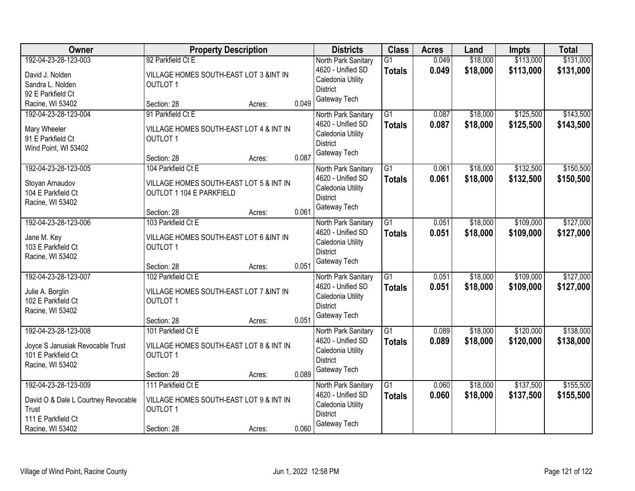| Owner                               | <b>Property Description</b>             |        | <b>Districts</b> | <b>Class</b>                    | <b>Acres</b>    | Land  | Impts    | <b>Total</b> |           |
|-------------------------------------|-----------------------------------------|--------|------------------|---------------------------------|-----------------|-------|----------|--------------|-----------|
| 192-04-23-28-123-003                | 92 Parkfield Ct E                       |        |                  | North Park Sanitary             | G <sub>1</sub>  | 0.049 | \$18,000 | \$113,000    | \$131,000 |
| David J. Nolden                     | VILLAGE HOMES SOUTH-EAST LOT 3 &INT IN  |        |                  | 4620 - Unified SD               | <b>Totals</b>   | 0.049 | \$18,000 | \$113,000    | \$131,000 |
| Sandra L. Nolden                    | <b>OUTLOT 1</b>                         |        |                  | Caledonia Utility               |                 |       |          |              |           |
| 92 E Parkfield Ct                   |                                         |        |                  | <b>District</b>                 |                 |       |          |              |           |
| Racine, WI 53402                    | Section: 28                             | Acres: | 0.049            | Gateway Tech                    |                 |       |          |              |           |
| 192-04-23-28-123-004                | 91 Parkfield Ct E                       |        |                  | North Park Sanitary             | $\overline{G1}$ | 0.087 | \$18,000 | \$125,500    | \$143,500 |
| Mary Wheeler                        | VILLAGE HOMES SOUTH-EAST LOT 4 & INT IN |        |                  | 4620 - Unified SD               | <b>Totals</b>   | 0.087 | \$18,000 | \$125,500    | \$143,500 |
| 91 E Parkfield Ct                   | <b>OUTLOT 1</b>                         |        |                  | Caledonia Utility               |                 |       |          |              |           |
| Wind Point, WI 53402                |                                         |        |                  | <b>District</b><br>Gateway Tech |                 |       |          |              |           |
|                                     | Section: 28                             | Acres: | 0.087            |                                 |                 |       |          |              |           |
| 192-04-23-28-123-005                | 104 Parkfield Ct E                      |        |                  | North Park Sanitary             | $\overline{G1}$ | 0.061 | \$18,000 | \$132,500    | \$150,500 |
| Stoyan Arnaudov                     | VILLAGE HOMES SOUTH-EAST LOT 5 & INT IN |        |                  | 4620 - Unified SD               | <b>Totals</b>   | 0.061 | \$18,000 | \$132,500    | \$150,500 |
| 104 E Parkfield Ct                  | OUTLOT 1 104 E PARKFIELD                |        |                  | Caledonia Utility               |                 |       |          |              |           |
| Racine, WI 53402                    |                                         |        |                  | <b>District</b>                 |                 |       |          |              |           |
|                                     | Section: 28                             | Acres: | 0.061            | Gateway Tech                    |                 |       |          |              |           |
| 192-04-23-28-123-006                | 103 Parkfield Ct E                      |        |                  | North Park Sanitary             | $\overline{G1}$ | 0.051 | \$18,000 | \$109,000    | \$127,000 |
| Jane M. Key                         | VILLAGE HOMES SOUTH-EAST LOT 6 &INT IN  |        |                  | 4620 - Unified SD               | <b>Totals</b>   | 0.051 | \$18,000 | \$109,000    | \$127,000 |
| 103 E Parkfield Ct                  | <b>OUTLOT 1</b>                         |        |                  | Caledonia Utility               |                 |       |          |              |           |
| Racine, WI 53402                    |                                         |        |                  | <b>District</b>                 |                 |       |          |              |           |
|                                     | Section: 28                             | Acres: | 0.051            | Gateway Tech                    |                 |       |          |              |           |
| 192-04-23-28-123-007                | 102 Parkfield Ct E                      |        |                  | North Park Sanitary             | $\overline{G1}$ | 0.051 | \$18,000 | \$109,000    | \$127,000 |
| Julie A. Borglin                    | VILLAGE HOMES SOUTH-EAST LOT 7 &INT IN  |        |                  | 4620 - Unified SD               | <b>Totals</b>   | 0.051 | \$18,000 | \$109,000    | \$127,000 |
| 102 E Parkfield Ct                  | <b>OUTLOT 1</b>                         |        |                  | Caledonia Utility               |                 |       |          |              |           |
| Racine, WI 53402                    |                                         |        |                  | <b>District</b>                 |                 |       |          |              |           |
|                                     | Section: 28                             | Acres: | 0.051            | Gateway Tech                    |                 |       |          |              |           |
| 192-04-23-28-123-008                | 101 Parkfield Ct E                      |        |                  | North Park Sanitary             | $\overline{G1}$ | 0.089 | \$18,000 | \$120,000    | \$138,000 |
| Joyce S Janusiak Revocable Trust    | VILLAGE HOMES SOUTH-EAST LOT 8 & INT IN |        |                  | 4620 - Unified SD               | <b>Totals</b>   | 0.089 | \$18,000 | \$120,000    | \$138,000 |
| 101 E Parkfield Ct                  | <b>OUTLOT 1</b>                         |        |                  | Caledonia Utility               |                 |       |          |              |           |
| Racine, WI 53402                    |                                         |        |                  | <b>District</b>                 |                 |       |          |              |           |
|                                     | Section: 28                             | Acres: | 0.089            | Gateway Tech                    |                 |       |          |              |           |
| 192-04-23-28-123-009                | 111 Parkfield Ct E                      |        |                  | North Park Sanitary             | $\overline{G1}$ | 0.060 | \$18,000 | \$137,500    | \$155,500 |
| David O & Dale L Courtney Revocable | VILLAGE HOMES SOUTH-EAST LOT 9 & INT IN |        |                  | 4620 - Unified SD               | <b>Totals</b>   | 0.060 | \$18,000 | \$137,500    | \$155,500 |
| Trust                               | <b>OUTLOT 1</b>                         |        |                  | Caledonia Utility               |                 |       |          |              |           |
| 111 E Parkfield Ct                  |                                         |        |                  | <b>District</b>                 |                 |       |          |              |           |
| Racine, WI 53402                    | Section: 28                             | Acres: | 0.060            | Gateway Tech                    |                 |       |          |              |           |